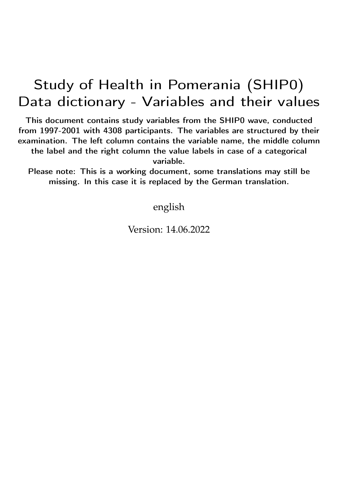## Study of Health in Pomerania (SHIP0) Data dictionary - Variables and their values

This document contains study variables from the SHIP0 wave, conducted from 1997-2001 with 4308 participants. The variables are structured by their examination. The left column contains the variable name, the middle column the label and the right column the value labels in case of a categorical variable.

Please note: This is a working document, some translations may still be missing. In this case it is replaced by the German translation.

english

Version: 14.06.2022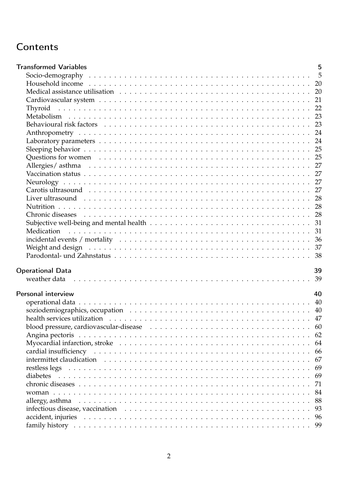## **Contents**

| <b>Transformed Variables</b>                                                                                                                                                                                                   | 5    |
|--------------------------------------------------------------------------------------------------------------------------------------------------------------------------------------------------------------------------------|------|
|                                                                                                                                                                                                                                |      |
|                                                                                                                                                                                                                                |      |
|                                                                                                                                                                                                                                |      |
|                                                                                                                                                                                                                                |      |
|                                                                                                                                                                                                                                |      |
|                                                                                                                                                                                                                                |      |
|                                                                                                                                                                                                                                |      |
|                                                                                                                                                                                                                                |      |
|                                                                                                                                                                                                                                |      |
|                                                                                                                                                                                                                                |      |
|                                                                                                                                                                                                                                |      |
|                                                                                                                                                                                                                                |      |
|                                                                                                                                                                                                                                |      |
|                                                                                                                                                                                                                                |      |
|                                                                                                                                                                                                                                |      |
|                                                                                                                                                                                                                                |      |
|                                                                                                                                                                                                                                |      |
|                                                                                                                                                                                                                                |      |
|                                                                                                                                                                                                                                |      |
| Medication                                                                                                                                                                                                                     |      |
|                                                                                                                                                                                                                                |      |
|                                                                                                                                                                                                                                |      |
|                                                                                                                                                                                                                                |      |
|                                                                                                                                                                                                                                |      |
| <b>Operational Data</b>                                                                                                                                                                                                        | 39   |
| weather data responses to the set of the set of the set of the set of the set of the set of the set of the set of the set of the set of the set of the set of the set of the set of the set of the set of the set of the set o |      |
|                                                                                                                                                                                                                                |      |
| Personal interview                                                                                                                                                                                                             | 40   |
|                                                                                                                                                                                                                                |      |
|                                                                                                                                                                                                                                |      |
|                                                                                                                                                                                                                                |      |
|                                                                                                                                                                                                                                |      |
|                                                                                                                                                                                                                                |      |
|                                                                                                                                                                                                                                |      |
|                                                                                                                                                                                                                                |      |
|                                                                                                                                                                                                                                |      |
|                                                                                                                                                                                                                                |      |
|                                                                                                                                                                                                                                | -69  |
|                                                                                                                                                                                                                                | 71   |
|                                                                                                                                                                                                                                |      |
|                                                                                                                                                                                                                                | 88   |
|                                                                                                                                                                                                                                | 93   |
|                                                                                                                                                                                                                                | - 96 |
|                                                                                                                                                                                                                                |      |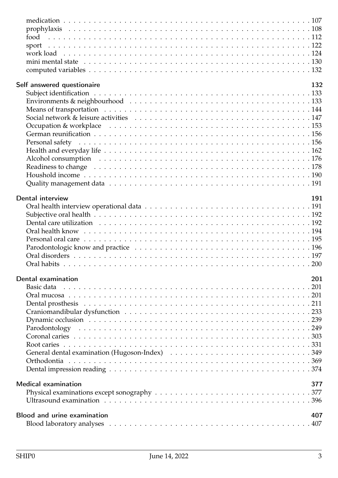| Self answered questionaire         | 132 |
|------------------------------------|-----|
|                                    |     |
|                                    |     |
|                                    |     |
|                                    |     |
|                                    |     |
|                                    |     |
|                                    |     |
|                                    |     |
|                                    |     |
|                                    |     |
|                                    |     |
|                                    |     |
| Dental interview                   | 191 |
|                                    |     |
|                                    |     |
|                                    |     |
|                                    |     |
|                                    |     |
|                                    |     |
|                                    |     |
|                                    |     |
|                                    |     |
| Dental examination                 | 201 |
| Basic data                         | 201 |
|                                    |     |
|                                    |     |
|                                    |     |
|                                    |     |
|                                    |     |
|                                    |     |
|                                    |     |
|                                    |     |
|                                    |     |
|                                    |     |
| <b>Medical examination</b>         | 377 |
|                                    |     |
|                                    |     |
|                                    |     |
| <b>Blood and urine examination</b> | 407 |
|                                    |     |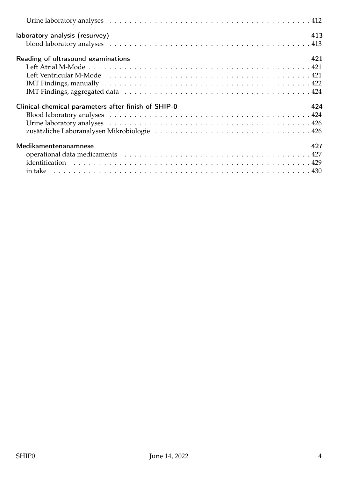| laboratory analysis (resurvey)                      | 413 |
|-----------------------------------------------------|-----|
|                                                     |     |
| Reading of ultrasound examinations                  | 421 |
|                                                     |     |
|                                                     |     |
|                                                     |     |
|                                                     |     |
| Clinical-chemical parameters after finish of SHIP-0 | 424 |
|                                                     |     |
|                                                     |     |
|                                                     |     |
| Medikamentenanamnese                                | 427 |
|                                                     |     |
|                                                     |     |
|                                                     |     |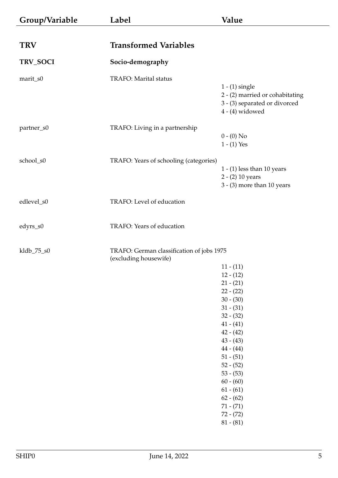<span id="page-4-1"></span><span id="page-4-0"></span>

| Group/Variable | Label                                                              | Value                                                                                                                                                                                                                                                                                                    |
|----------------|--------------------------------------------------------------------|----------------------------------------------------------------------------------------------------------------------------------------------------------------------------------------------------------------------------------------------------------------------------------------------------------|
|                |                                                                    |                                                                                                                                                                                                                                                                                                          |
| <b>TRV</b>     | <b>Transformed Variables</b>                                       |                                                                                                                                                                                                                                                                                                          |
| TRV_SOCI       | Socio-demography                                                   |                                                                                                                                                                                                                                                                                                          |
| marit_s0       | TRAFO: Marital status                                              | $1 - (1)$ single<br>2 - (2) married or cohabitating<br>3 - (3) separated or divorced<br>$4 - (4)$ widowed                                                                                                                                                                                                |
| partner_s0     | TRAFO: Living in a partnership                                     | $0 - (0)$ No<br>$1 - (1)$ Yes                                                                                                                                                                                                                                                                            |
| school_s0      | TRAFO: Years of schooling (categories)                             | $1 - (1)$ less than 10 years<br>2 - (2) 10 years<br>$3 - (3)$ more than 10 years                                                                                                                                                                                                                         |
| edlevel_s0     | TRAFO: Level of education                                          |                                                                                                                                                                                                                                                                                                          |
| edyrs_s0       | TRAFO: Years of education                                          |                                                                                                                                                                                                                                                                                                          |
| kldb_75_s0     | TRAFO: German classification of jobs 1975<br>(excluding housewife) |                                                                                                                                                                                                                                                                                                          |
|                |                                                                    | $11 - (11)$<br>$12 - (12)$<br>$21 - (21)$<br>$22 - (22)$<br>$30 - (30)$<br>$31 - (31)$<br>$32 - (32)$<br>$41 - (41)$<br>$42 - (42)$<br>$43 - (43)$<br>$44 - (44)$<br>$51 - (51)$<br>$52 - (52)$<br>$53 - (53)$<br>$60 - (60)$<br>$61 - (61)$<br>$62 - (62)$<br>$71 - (71)$<br>$72 - (72)$<br>$81 - (81)$ |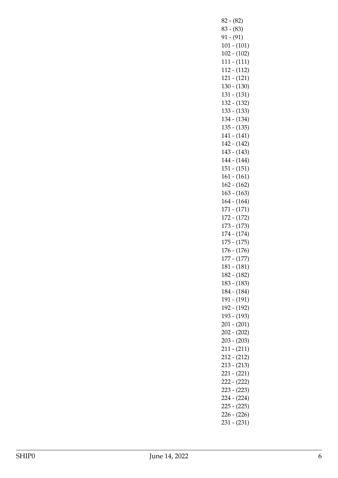82 - (82) 83 - (83) 91 - (91) 101 - (101) 102 - (102) 111 - (111) 112 - (112) 121 - (121) 130 - (130) 131 - (131) 132 - (132) 133 - (133) 134 - (134) 135 - (135) 141 - (141) 142 - (142) 143 - (143) 144 - (144) 151 - (151) 161 - (161) 162 - (162) 163 - (163) 164 - (164) 171 - (171) 172 - (172) 173 - (173) 174 - (174) 175 - (175) 176 - (176) 177 - (177) 181 - (181) 182 - (182) 183 - (183) 184 - (184) 191 - (191) 192 - (192) 193 - (193) 201 - (201) 202 - (202) 203 - (203) 211 - (211) 212 - (212) 213 - (213) 221 - (221) 222 - (222) 223 - (223) 224 - (224) 225 - (225) 226 - (226) 231 - (231)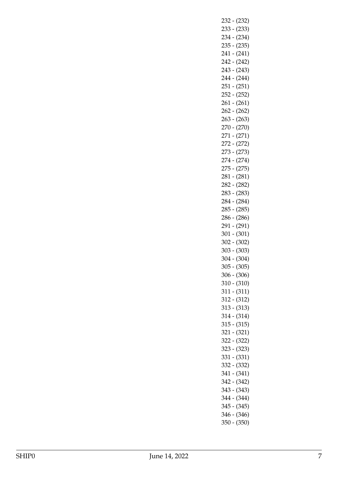232 - (232) 233 - (233) 234 - (234) 235 - (235) 241 - (241) 242 - (242) 243 - (243) 244 - (244) 251 - (251) 252 - (252) 261 - (261) 262 - (262) 263 - (263) 270 - (270) 271 - (271) 272 - (272) 273 - (273) 274 - (274) 275 - (275) 281 - (281) 282 - (282) 283 - (283) 284 - (284) 285 - (285) 286 - (286) 291 - (291) 301 - (301) 302 - (302) 303 - (303) 304 - (304) 305 - (305) 306 - (306) 310 - (310) 311 - (311) 312 - (312) 313 - (313) 314 - (314) 315 - (315) 321 - (321) 322 - (322) 323 - (323) 331 - (331) 332 - (332) 341 - (341) 342 - (342) 343 - (343) 344 - (344) 345 - (345) 346 - (346) 350 - (350)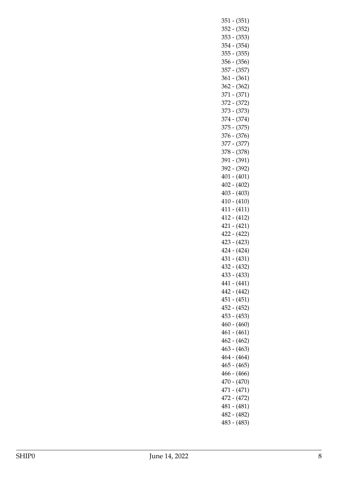351 - (351) 352 - (352) 353 - (353) 354 - (354) 355 - (355) 356 - (356) 357 - (357) 361 - (361) 362 - (362) 371 - (371) 372 - (372) 373 - (373) 374 - (374) 375 - (375) 376 - (376) 377 - (377) 378 - (378) 391 - (391) 392 - (392) 401 - (401) 402 - (402) 403 - (403) 410 - (410) 411 - (411) 412 - (412) 421 - (421) 422 - (422) 423 - (423) 424 - (424) 431 - (431) 432 - (432) 433 - (433) 441 - (441) 442 - (442) 451 - (451) 452 - (452) 453 - (453) 460 - (460) 461 - (461) 462 - (462) 463 - (463) 464 - (464) 465 - (465) 466 - (466) 470 - (470) 471 - (471) 472 - (472) 481 - (481) 482 - (482) 483 - (483)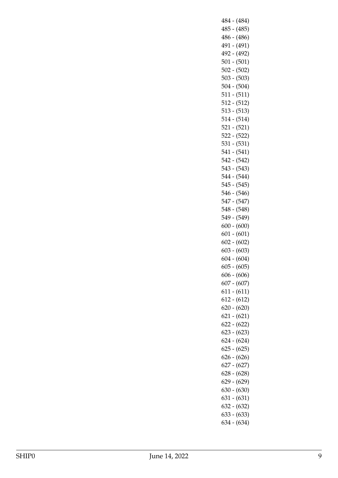484 - (484) 485 - (485) 486 - (486) 491 - (491) 492 - (492) 501 - (501) 502 - (502) 503 - (503) 504 - (504) 511 - (511) 512 - (512) 513 - (513) 514 - (514) 521 - (521) 522 - (522) 531 - (531) 541 - (541) 542 - (542) 543 - (543) 544 - (544) 545 - (545) 546 - (546) 547 - (547) 548 - (548) 549 - (549) 600 - (600) 601 - (601) 602 - (602) 603 - (603) 604 - (604) 605 - (605) 606 - (606) 607 - (607) 611 - (611) 612 - (612) 620 - (620) 621 - (621) 622 - (622) 623 - (623) 624 - (624) 625 - (625) 626 - (626) 627 - (627) 628 - (628) 629 - (629) 630 - (630) 631 - (631) 632 - (632) 633 - (633) 634 - (634)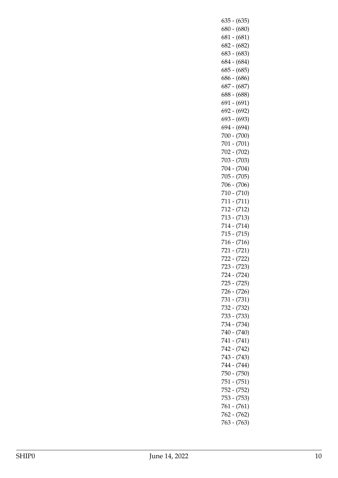|       | $635 - (635)$ |
|-------|---------------|
|       | $680 - (680)$ |
|       |               |
|       | $681 - (681)$ |
|       | $682 - (682)$ |
|       | $683 - (683)$ |
|       |               |
|       | 684 - (684)   |
|       | $685 - (685)$ |
|       | 686 - (686)   |
|       | 687 - (687)   |
|       |               |
|       | $688 - (688)$ |
|       | 691 - (691)   |
|       | 692 - (692)   |
|       |               |
|       | 693 - (693)   |
|       | 694 - (694)   |
|       | 700 - (700)   |
|       |               |
|       | 701 - (701)   |
|       | 702 - (702)   |
|       | 703 - (703)   |
|       |               |
|       | 704 - (704)   |
|       | $705 - (705)$ |
|       | 706 - (706)   |
|       |               |
|       | 710 - (710)   |
|       | 711 - (711)   |
|       | $712 - (712)$ |
|       | 713 - (713)   |
|       |               |
|       | 714 - (714)   |
|       | $715 - (715)$ |
|       | 716 - (716)   |
|       |               |
|       | 721 - (721)   |
|       | 722 - (722)   |
| 723 - | (723)         |
|       | 724 - (724)   |
|       |               |
|       | 725 - (725)   |
|       | 726 - (726)   |
|       | 731 - (731)   |
|       |               |
|       | 732 - (732)   |
|       | 733 - (733)   |
|       | 734 - (734)   |
|       | 740 - (740)   |
|       |               |
|       |               |
|       | 741 - (741)   |
|       |               |
|       | 742 - (742)   |
|       | $743 - (743)$ |
|       | 744 - (744)   |
|       | 750 - (750)   |
|       |               |
|       | 751 - (751)   |
|       | 752 - (752)   |
|       | 753 - (753)   |
|       |               |
|       | 761 - (761)   |
|       | $762 - (762)$ |
|       | 763 - (763)   |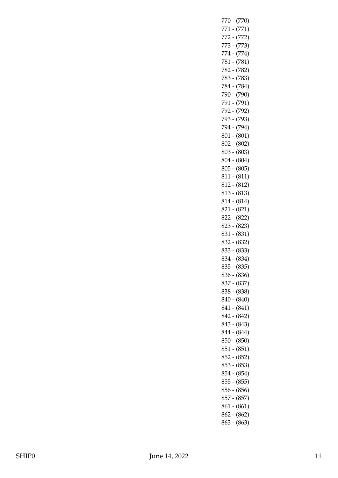| 770  | $-(770)$                       |
|------|--------------------------------|
| 771. | $-(771)$                       |
|      | 772 - (772)                    |
|      | 773 - (773)                    |
|      | 774 - (774)                    |
|      | 781 - (781)                    |
|      | 782 - (782)                    |
|      | 783 - (783)                    |
|      | 784 - (784)                    |
|      | 790 - (790)                    |
|      | 791 - (791)                    |
|      | 792 - (792)                    |
|      | 793 - (793)                    |
|      | 794 - (794)                    |
|      | 801 - (801)                    |
|      |                                |
|      | 802 - (802)<br>$803 - (803)$   |
|      |                                |
|      | $804 - (804)$                  |
|      | 805 - (805)                    |
|      | 811 - (811)                    |
|      | $812 - (812)$                  |
|      | $813 - (813)$                  |
|      | 814 - (814)                    |
|      | 821 - (821)                    |
|      | 822 - (822)                    |
|      | 823 - (823)                    |
|      | 831 - (831)                    |
|      | 832 - (832)                    |
|      | 833 - (833)                    |
|      | 834 - (834)                    |
|      | 835 - (835)                    |
|      | 836 - (836)                    |
|      | 837 - (837)                    |
|      | 838 - (838)                    |
|      | 840 - (840)                    |
|      | 841 - (841)                    |
|      | $842 - (842)$                  |
|      | 843 - (843)                    |
|      | 844 - (844)                    |
|      | $850 - (850)$                  |
|      | 851 - (851)                    |
|      | 852 - (852)                    |
|      | $853 - (853)$                  |
|      | 854 - (854)                    |
|      | $855 - (855)$                  |
|      | 856 - (856)                    |
|      | $857 - (857)$                  |
|      |                                |
|      | $861 - (861)$                  |
|      |                                |
|      | $862 - (862)$<br>$863 - (863)$ |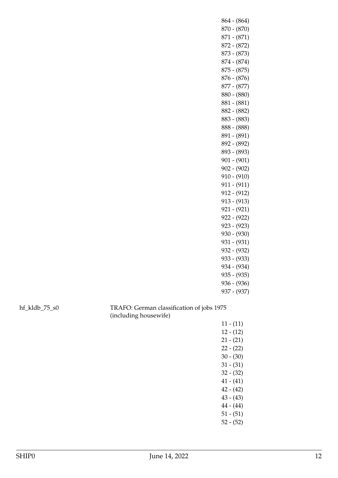| $864 - (864)$ |
|---------------|
| 870 - (870)   |
| $871 - (871)$ |
| 872 - (872)   |
| 873 - (873)   |
| 874 - (874)   |
| $875 - (875)$ |
| $876 - (876)$ |
| 877 - (877)   |
| $880 - (880)$ |
| 881 - (881)   |
| 882 - (882)   |
| $883 - (883)$ |
| $888 - (888)$ |
| $891 - (891)$ |
| $892 - (892)$ |
| 893 - (893)   |
| $901 - (901)$ |
| $902 - (902)$ |
| $910 - (910)$ |
| 911 - (911)   |
| $912 - (912)$ |
| $913 - (913)$ |
| $921 - (921)$ |
| $922 - (922)$ |
| $923 - (923)$ |
| $930 - (930)$ |
| $931 - (931)$ |
| $932 - (932)$ |
| 933 - (933)   |
| 934 - (934)   |
| $935 - (935)$ |
| $936 - (936)$ |
| 937 - (937)   |
| 975           |

hf\_kldb\_75\_s0 TRAFO: German classification of jobs 1975 (including housewife)

11 - (11) 12 - (12) 21 - (21) 22 - (22) 30 - (30) 31 - (31) 32 - (32) 41 - (41) 42 - (42) 43 - (43) 44 - (44) 51 - (51) 52 - (52)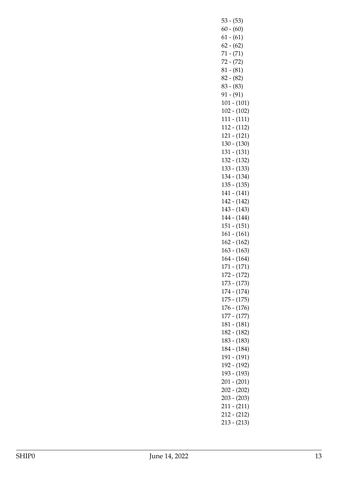53 - (53) 60 - (60) 61 - (61)  $62 - (62)$ 71 - (71) 72 - (72) 81 - (81) 82 - (82) 83 - (83) 91 - (91) 101 - (101) 102 - (102) 111 - (111) 112 - (112) 121 - (121) 130 - (130) 131 - (131) 132 - (132) 133 - (133) 134 - (134) 135 - (135) 141 - (141) 142 - (142) 143 - (143) 144 - (144) 151 - (151) 161 - (161) 162 - (162) 163 - (163) 164 - (164) 171 - (171) 172 - (172) 173 - (173) 174 - (174) 175 - (175) 176 - (176) 177 - (177) 181 - (181) 182 - (182) 183 - (183) 184 - (184) 191 - (191) 192 - (192) 193 - (193) 201 - (201) 202 - (202) 203 - (203) 211 - (211) 212 - (212) 213 - (213)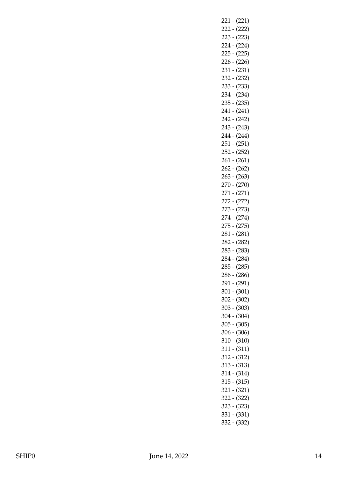221 - (221) 222 - (222) 223 - (223) 224 - (224) 225 - (225) 226 - (226) 231 - (231) 232 - (232) 233 - (233) 234 - (234) 235 - (235) 241 - (241) 242 - (242) 243 - (243) 244 - (244) 251 - (251) 252 - (252) 261 - (261) 262 - (262) 263 - (263) 270 - (270) 271 - (271) 272 - (272) 273 - (273) 274 - (274) 275 - (275) 281 - (281) 282 - (282) 283 - (283) 284 - (284) 285 - (285) 286 - (286) 291 - (291) 301 - (301) 302 - (302) 303 - (303) 304 - (304) 305 - (305) 306 - (306) 310 - (310) 311 - (311) 312 - (312) 313 - (313) 314 - (314) 315 - (315) 321 - (321) 322 - (322) 323 - (323) 331 - (331) 332 - (332)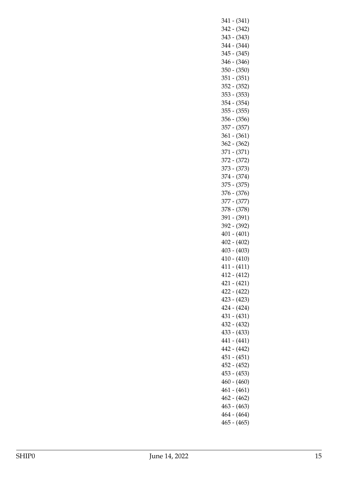341 - (341) 342 - (342) 343 - (343) 344 - (344) 345 - (345) 346 - (346) 350 - (350) 351 - (351) 352 - (352) 353 - (353) 354 - (354) 355 - (355) 356 - (356) 357 - (357) 361 - (361) 362 - (362) 371 - (371) 372 - (372) 373 - (373) 374 - (374) 375 - (375) 376 - (376) 377 - (377) 378 - (378) 391 - (391) 392 - (392) 401 - (401) 402 - (402) 403 - (403) 410 - (410) 411 - (411) 412 - (412) 421 - (421) 422 - (422) 423 - (423) 424 - (424) 431 - (431) 432 - (432) 433 - (433) 441 - (441) 442 - (442) 451 - (451) 452 - (452) 453 - (453) 460 - (460) 461 - (461) 462 - (462) 463 - (463) 464 - (464) 465 - (465)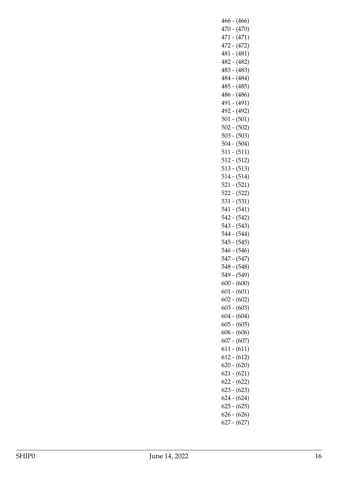466 - (466) 470 - (470) 471 - (471) 472 - (472) 481 - (481) 482 - (482) 483 - (483) 484 - (484) 485 - (485) 486 - (486) 491 - (491) 492 - (492) 501 - (501) 502 - (502) 503 - (503) 504 - (504) 511 - (511) 512 - (512) 513 - (513) 514 - (514) 521 - (521) 522 - (522) 531 - (531) 541 - (541) 542 - (542) 543 - (543) 544 - (544) 545 - (545) 546 - (546) 547 - (547) 548 - (548) 549 - (549) 600 - (600) 601 - (601) 602 - (602) 603 - (603) 604 - (604) 605 - (605) 606 - (606) 607 - (607) 611 - (611) 612 - (612) 620 - (620) 621 - (621) 622 - (622) 623 - (623) 624 - (624) 625 - (625) 626 - (626) 627 - (627)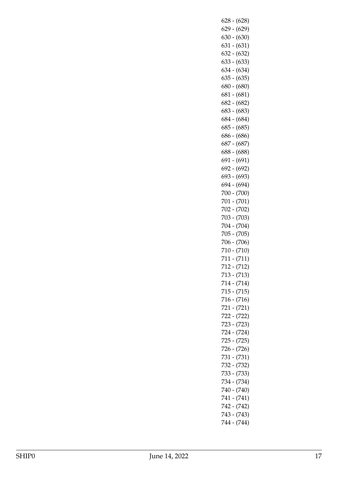| $628 - (628)$     |  |
|-------------------|--|
| (629)<br>629<br>- |  |
|                   |  |
| (630)<br>630 -    |  |
| (631)<br>631 -    |  |
| (632)<br>632 -    |  |
|                   |  |
| (633)<br>633 -    |  |
| (634)<br>634 -    |  |
| (635)<br>635      |  |
|                   |  |
| (680)<br>680      |  |
| (681)<br>681 -    |  |
| (682)<br>682 -    |  |
| 683 -<br>(683)    |  |
|                   |  |
| 684 -<br>(684)    |  |
| (685)<br>685 -    |  |
| (686)<br>686 -    |  |
|                   |  |
| (687)<br>687 -    |  |
| (688)<br>688 -    |  |
| (691)<br>691      |  |
| (692)<br>692 -    |  |
|                   |  |
| (693)<br>693 -    |  |
| (694)<br>694 -    |  |
| (700)<br>700 -    |  |
|                   |  |
| (701)<br>701      |  |
| (702)<br>702 -    |  |
| (703)<br>703 -    |  |
|                   |  |
| (704)<br>704 -    |  |
| (705)<br>705 -    |  |
| (706)<br>706 -    |  |
| (710)<br>710 -    |  |
|                   |  |
| 711 - (711)       |  |
| 712 -<br>(712)    |  |
| 713 - (713)       |  |
| 714 - (714)       |  |
|                   |  |
| 715 - (715)       |  |
| $716 - (716)$     |  |
| 721 - (721)       |  |
| 722 - (722)       |  |
|                   |  |
| 723 - (723)       |  |
| (724)<br>724 -    |  |
| 725 - (725)       |  |
|                   |  |
| 726 - (726)       |  |
| $731 - (731)$     |  |
| 732 - (732)       |  |
|                   |  |
| 733 - (733)       |  |
| 734 - (734)       |  |
|                   |  |
|                   |  |
| 740 - (740)       |  |
| $741 - (741)$     |  |
| 742 - (742)       |  |
| 743 - (743)       |  |
| 744 - (744)       |  |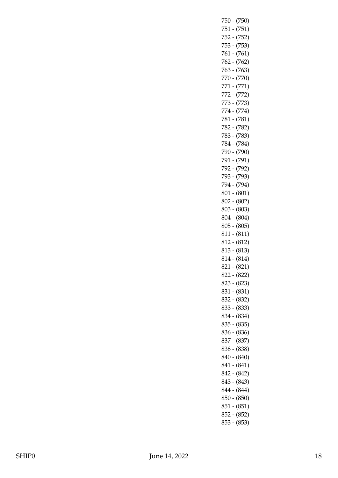| 750 - (750)                    |
|--------------------------------|
| 751 - (751)                    |
| 752 - (752)                    |
| 753 - (753)                    |
| 761 - (761)                    |
| 762 - (762)                    |
| $763 - (763)$                  |
| 770 - (770)                    |
| 771 - (771)                    |
| 772 - (772)                    |
| 773 - (773)                    |
| 774 - (774)                    |
| 781 - (781)                    |
| 782 - (782)                    |
| 783 - (783)                    |
|                                |
| 784 - (784)                    |
| 790 - (790)                    |
| 791 - (791)                    |
| 792 - (792)                    |
| 793 - (793)                    |
| 794 - (794)                    |
| $801 - (801)$                  |
| 802 - (802)                    |
| $803 - (803)$                  |
| 804 - (804)                    |
| 805 - (805)                    |
| $811 - (811)$                  |
|                                |
| 812 - (812)                    |
| 813 - (813)                    |
| 814 - (814)                    |
| $821 - (821)$                  |
| 822 - (822)                    |
|                                |
| 823 - (823)                    |
| $831 - (831)$                  |
| 832 - (832)                    |
| 833 - (833)                    |
| 834 - (834)                    |
| 835 - (835)                    |
| 836 - (836)                    |
| 837 - (837)                    |
| 838 - (838)                    |
| $840 - (840)$                  |
| $841 - (841)$                  |
| 842 - (842)                    |
| 843 - (843)                    |
| 844 - (844)                    |
| $850 - (850)$                  |
| $851 - (851)$                  |
| $852 - (852)$<br>$853 - (853)$ |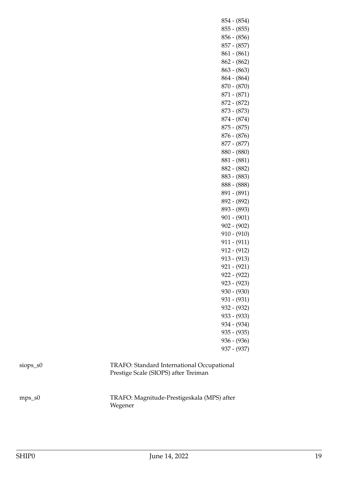854 - (854) 855 - (855) 856 - (856) 857 - (857) 861 - (861) 862 - (862) 863 - (863) 864 - (864) 870 - (870) 871 - (871) 872 - (872) 873 - (873) 874 - (874) 875 - (875) 876 - (876) 877 - (877) 880 - (880) 881 - (881) 882 - (882) 883 - (883) 888 - (888) 891 - (891) 892 - (892) 893 - (893) 901 - (901) 902 - (902) 910 - (910) 911 - (911) 912 - (912) 913 - (913) 921 - (921) 922 - (922) 923 - (923) 930 - (930) 931 - (931) 932 - (932) 933 - (933) 934 - (934) 935 - (935) 936 - (936) 937 - (937)

| $s$ <sub>10</sub> $p_s$ $s$ <sup>()</sup> |  |
|-------------------------------------------|--|
|-------------------------------------------|--|

## TRAFO: Standard International Occupational Prestige Scale (SIOPS) after Treiman

mps\_s0 TRAFO: Magnitude-Prestigeskala (MPS) after Wegener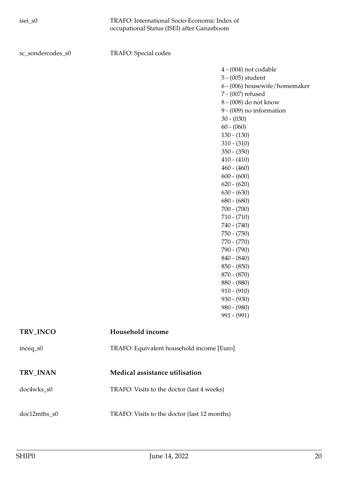sc\_sondercodes\_s0 TRAFO: Special codes

4 - (004) not codable 5 - (005) student 6 - (006) housewife/homemaker 7 - (007) refused 8 - (008) do not know 9 - (009) no information 30 - (030) 60 - (060) 130 - (130) 310 - (310) 350 - (350) 410 - (410) 460 - (460) 600 - (600) 620 - (620) 630 - (630) 680 - (680) 700 - (700) 710 - (710) 740 - (740) 750 - (750) 770 - (770) 790 - (790) 840 - (840) 850 - (850) 870 - (870) 880 - (880) 910 - (910) 930 - (930) 980 - (980) 991 - (991)

<span id="page-19-1"></span><span id="page-19-0"></span>

| TRV INCO     | Household income                             |
|--------------|----------------------------------------------|
| $inceq_s0$   | TRAFO: Equivalent household income [Euro]    |
|              |                                              |
| TRV_INAN     | Medical assistance utilisation               |
| doc4wks_s0   | TRAFO: Visits to the doctor (last 4 weeks)   |
|              |                                              |
| doc12mths s0 | TRAFO: Visits to the doctor (last 12 months) |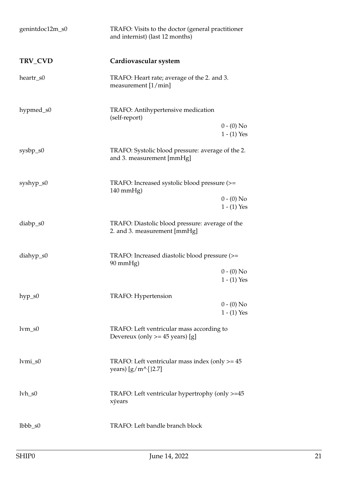<span id="page-20-0"></span>

| genintdoc12m_s0                                     | TRAFO: Visits to the doctor (general practitioner<br>and internist) (last 12 months) |                               |
|-----------------------------------------------------|--------------------------------------------------------------------------------------|-------------------------------|
| TRV_CVD                                             | Cardiovascular system                                                                |                               |
| heartr_s0                                           | TRAFO: Heart rate; average of the 2. and 3.<br>measurement $[1/min]$                 |                               |
| hypmed_s0                                           | TRAFO: Antihypertensive medication<br>(self-report)                                  |                               |
|                                                     |                                                                                      | $0 - (0)$ No<br>$1 - (1)$ Yes |
| $sysbp_s0$                                          | TRAFO: Systolic blood pressure: average of the 2.<br>and 3. measurement [mmHg]       |                               |
| syshyp_s0                                           | TRAFO: Increased systolic blood pressure (>=<br>140 mmHg)                            |                               |
|                                                     |                                                                                      | $0 - (0)$ No<br>$1 - (1)$ Yes |
| diabp_s0                                            | TRAFO: Diastolic blood pressure: average of the<br>2. and 3. measurement [mmHg]      |                               |
| $diahyp_80$                                         | TRAFO: Increased diastolic blood pressure (>=<br>90 mmHg)                            |                               |
|                                                     |                                                                                      | $0 - (0)$ No<br>$1 - (1)$ Yes |
| $hyp_s0$                                            | TRAFO: Hypertension                                                                  | $0 - (0)$ No<br>$1 - (1)$ Yes |
| $lvm_0$ s0                                          | TRAFO: Left ventricular mass according to<br>Devereux (only $>=$ 45 years) [g]       |                               |
| $lvmi_s0$                                           | TRAFO: Left ventricular mass index (only $>= 45$<br>years) $[g/m^{\text{A}}]2.7]$    |                               |
| $1$ <sub>V</sub> $h$ <sub><math>-</math>s</sub> $0$ | TRAFO: Left ventricular hypertrophy (only >=45<br>xýears                             |                               |
| $lbbb\_s0$                                          | TRAFO: Left bandle branch block                                                      |                               |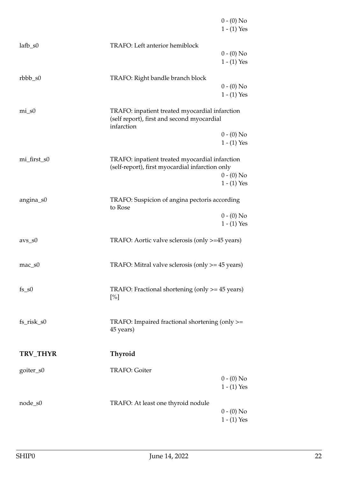<span id="page-21-0"></span>

|             |                                                                                                            | $0 - (0)$ No<br>$1 - (1)$ Yes |
|-------------|------------------------------------------------------------------------------------------------------------|-------------------------------|
| $lafb_80$   | TRAFO: Left anterior hemiblock                                                                             | $0 - (0)$ No<br>$1 - (1)$ Yes |
| $rbbb\_s0$  | TRAFO: Right bandle branch block                                                                           | $0 - (0)$ No<br>$1 - (1)$ Yes |
| $mi$ _s0    | TRAFO: inpatient treated myocardial infarction<br>(self report), first and second myocardial<br>infarction |                               |
|             |                                                                                                            | $0 - (0)$ No<br>$1 - (1)$ Yes |
| mi_first_s0 | TRAFO: inpatient treated myocardial infarction<br>(self-report), first myocardial infarction only          | $0 - (0)$ No<br>$1 - (1)$ Yes |
| angina_s0   | TRAFO: Suspicion of angina pectoris according<br>to Rose                                                   |                               |
|             |                                                                                                            | $0 - (0)$ No<br>$1 - (1)$ Yes |
| $avs_S0$    | TRAFO: Aortic valve sclerosis (only >=45 years)                                                            |                               |
| $mac\_s0$   | TRAFO: Mitral valve sclerosis (only $\ge$ = 45 years)                                                      |                               |
| $fs\_s0$    | TRAFO: Fractional shortening (only $\ge$ = 45 years)<br>$[\%]$                                             |                               |
| fs_risk_s0  | TRAFO: Impaired fractional shortening (only >=<br>45 years)                                                |                               |
| TRV_THYR    | Thyroid                                                                                                    |                               |
| goiter_s0   | TRAFO: Goiter                                                                                              | $0 - (0)$ No<br>$1 - (1)$ Yes |
| node_s0     | TRAFO: At least one thyroid nodule                                                                         | $0 - (0)$ No<br>$1 - (1)$ Yes |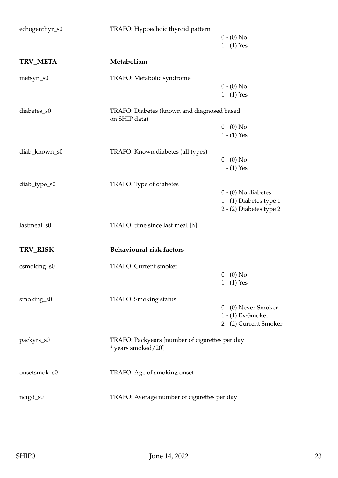<span id="page-22-1"></span><span id="page-22-0"></span>

| echogenthyr_s0  | TRAFO: Hypoechoic thyroid pattern                           |                               |
|-----------------|-------------------------------------------------------------|-------------------------------|
|                 |                                                             | $0 - (0)$ No<br>$1 - (1)$ Yes |
| <b>TRV_META</b> | Metabolism                                                  |                               |
| metsyn_s0       | TRAFO: Metabolic syndrome                                   |                               |
|                 |                                                             | $0 - (0)$ No                  |
|                 |                                                             | $1 - (1)$ Yes                 |
| diabetes_s0     | TRAFO: Diabetes (known and diagnosed based<br>on SHIP data) |                               |
|                 |                                                             | $0 - (0)$ No                  |
|                 |                                                             | $1 - (1)$ Yes                 |
| diab_known_s0   | TRAFO: Known diabetes (all types)                           |                               |
|                 |                                                             | $0 - (0)$ No                  |
|                 |                                                             | $1 - (1)$ Yes                 |
| diab_type_s0    | TRAFO: Type of diabetes                                     |                               |
|                 |                                                             | $0 - (0)$ No diabetes         |
|                 |                                                             | 1 - (1) Diabetes type 1       |
|                 |                                                             | 2 - (2) Diabetes type 2       |
| lastmeal_s0     | TRAFO: time since last meal [h]                             |                               |
| TRV_RISK        | <b>Behavioural risk factors</b>                             |                               |
| csmoking_s0     | <b>TRAFO: Current smoker</b>                                |                               |
|                 |                                                             | $0 - (0)$ No                  |
|                 |                                                             | $1 - (1)$ Yes                 |
| smoking_s0      | TRAFO: Smoking status                                       |                               |
|                 |                                                             | 0 - (0) Never Smoker          |
|                 |                                                             | 1 - (1) Ex-Smoker             |
|                 |                                                             | 2 - (2) Current Smoker        |
| packyrs_s0      | TRAFO: Packyears [number of cigarettes per day              |                               |
|                 | * years smoked/20]                                          |                               |
| onsetsmok_s0    | TRAFO: Age of smoking onset                                 |                               |
|                 |                                                             |                               |
| ncigd_s0        | TRAFO: Average number of cigarettes per day                 |                               |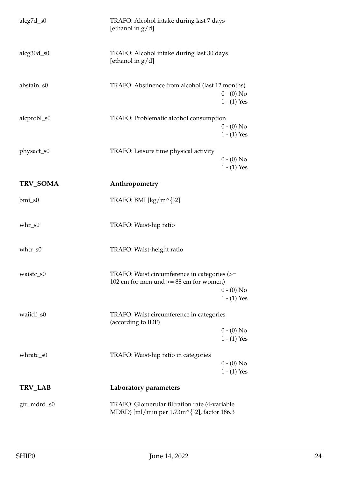<span id="page-23-1"></span><span id="page-23-0"></span>

| gfr_mdrd_s0  | TRAFO: Glomerular filtration rate (4-variable<br>MDRD) [ml/min per 1.73m^{}2], factor 186.3 |  |
|--------------|---------------------------------------------------------------------------------------------|--|
| TRV_LAB      | Laboratory parameters                                                                       |  |
| whratc_s0    | TRAFO: Waist-hip ratio in categories<br>$0 - (0)$ No<br>$1 - (1)$ Yes                       |  |
|              | $1 - (1)$ Yes                                                                               |  |
|              | $0 - (0)$ No                                                                                |  |
| waiidf_s0    | TRAFO: Waist circumference in categories<br>(according to IDF)                              |  |
|              | $1 - (1)$ Yes                                                                               |  |
|              | 102 cm for men und $>= 88$ cm for women)<br>$0 - (0)$ No                                    |  |
| waistc_s0    | TRAFO: Waist circumference in categories (>=                                                |  |
| $whtr_s0$    | TRAFO: Waist-height ratio                                                                   |  |
| $whr_s0$     | TRAFO: Waist-hip ratio                                                                      |  |
| $bmi$ _s0    | TRAFO: BMI [kg/m^{}2]                                                                       |  |
| TRV_SOMA     | Anthropometry                                                                               |  |
|              | $1 - (1)$ Yes                                                                               |  |
|              | $0 - (0)$ No                                                                                |  |
| physact_s0   | TRAFO: Leisure time physical activity                                                       |  |
|              | $0 - (0)$ No<br>$1 - (1)$ Yes                                                               |  |
| alcprobl_s0  | TRAFO: Problematic alcohol consumption                                                      |  |
| abstain_s0   | TRAFO: Abstinence from alcohol (last 12 months)<br>$0 - (0)$ No<br>$1 - (1)$ Yes            |  |
| $alcg30d_s0$ | TRAFO: Alcohol intake during last 30 days<br>[ethanol in $g/d$ ]                            |  |
|              | [ethanol in $g/d$ ]                                                                         |  |
| $alcg7d_s0$  | TRAFO: Alcohol intake during last 7 days                                                    |  |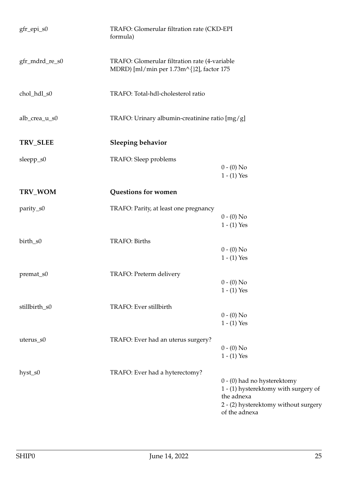<span id="page-24-1"></span><span id="page-24-0"></span>

| gfr_epi_s0      | TRAFO: Glomerular filtration rate (CKD-EPI<br>formula)                                    |                                                                                                                                            |
|-----------------|-------------------------------------------------------------------------------------------|--------------------------------------------------------------------------------------------------------------------------------------------|
| gfr_mdrd_re_s0  | TRAFO: Glomerular filtration rate (4-variable<br>MDRD) [ml/min per 1.73m^{}2], factor 175 |                                                                                                                                            |
| chol_hdl_s0     | TRAFO: Total-hdl-cholesterol ratio                                                        |                                                                                                                                            |
| alb_crea_u_s0   | TRAFO: Urinary albumin-creatinine ratio [mg/g]                                            |                                                                                                                                            |
| <b>TRV_SLEE</b> | <b>Sleeping behavior</b>                                                                  |                                                                                                                                            |
| sleepp_s0       | TRAFO: Sleep problems                                                                     | $0 - (0)$ No<br>$1 - (1)$ Yes                                                                                                              |
| TRV_WOM         | Questions for women                                                                       |                                                                                                                                            |
| parity_s0       | TRAFO: Parity, at least one pregnancy                                                     | $0 - (0)$ No<br>$1 - (1)$ Yes                                                                                                              |
| birth_s0        | TRAFO: Births                                                                             | $0 - (0)$ No<br>$1 - (1)$ Yes                                                                                                              |
| premat_s0       | TRAFO: Preterm delivery                                                                   | $0 - (0)$ No<br>$1 - (1)$ Yes                                                                                                              |
| stillbirth_s0   | TRAFO: Ever stillbirth                                                                    | $0 - (0)$ No<br>$1 - (1)$ Yes                                                                                                              |
| uterus_s0       | TRAFO: Ever had an uterus surgery?                                                        | $0 - (0)$ No<br>$1 - (1)$ Yes                                                                                                              |
| hyst_s0         | TRAFO: Ever had a hyterectomy?                                                            | 0 - (0) had no hysterektomy<br>1 - (1) hysterektomy with surgery of<br>the adnexa<br>2 - (2) hysterektomy without surgery<br>of the adnexa |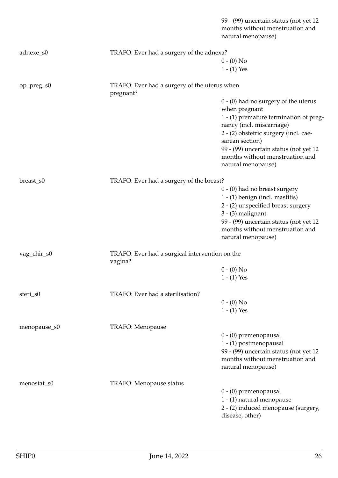|              |                                                           | 99 - (99) uncertain status (not yet 12<br>months without menstruation and<br>natural menopause) |
|--------------|-----------------------------------------------------------|-------------------------------------------------------------------------------------------------|
| adnexe_s0    | TRAFO: Ever had a surgery of the adnexa?                  |                                                                                                 |
|              |                                                           | $0 - (0)$ No                                                                                    |
|              |                                                           | $1 - (1)$ Yes                                                                                   |
| op_preg_s0   | TRAFO: Ever had a surgery of the uterus when<br>pregnant? |                                                                                                 |
|              |                                                           | $0 - (0)$ had no surgery of the uterus                                                          |
|              |                                                           | when pregnant                                                                                   |
|              |                                                           | 1 - (1) premature termination of preg-                                                          |
|              |                                                           | nancy (incl. miscarriage)                                                                       |
|              |                                                           | 2 - (2) obstetric surgery (incl. cae-                                                           |
|              |                                                           | sarean section)                                                                                 |
|              |                                                           | 99 - (99) uncertain status (not yet 12                                                          |
|              |                                                           | months without menstruation and<br>natural menopause)                                           |
|              |                                                           |                                                                                                 |
| breast_s0    | TRAFO: Ever had a surgery of the breast?                  |                                                                                                 |
|              |                                                           | 0 - (0) had no breast surgery                                                                   |
|              |                                                           | 1 - (1) benign (incl. mastitis)                                                                 |
|              |                                                           | 2 - (2) unspecified breast surgery                                                              |
|              |                                                           | $3 - (3)$ malignant                                                                             |
|              |                                                           | 99 - (99) uncertain status (not yet 12<br>months without menstruation and                       |
|              |                                                           | natural menopause)                                                                              |
|              |                                                           |                                                                                                 |
| vag_chir_s0  | TRAFO: Ever had a surgical intervention on the<br>vagina? |                                                                                                 |
|              |                                                           | $0 - (0)$ No                                                                                    |
|              |                                                           | $1 - (1)$ Yes                                                                                   |
| steri_s0     | TRAFO: Ever had a sterilisation?                          |                                                                                                 |
|              |                                                           | $0 - (0)$ No                                                                                    |
|              |                                                           | $1 - (1)$ Yes                                                                                   |
| menopause_s0 | TRAFO: Menopause                                          |                                                                                                 |
|              |                                                           | 0 - (0) premenopausal                                                                           |
|              |                                                           | 1 - (1) postmenopausal                                                                          |
|              |                                                           | 99 - (99) uncertain status (not yet 12                                                          |
|              |                                                           | months without menstruation and                                                                 |
|              |                                                           | natural menopause)                                                                              |
| menostat_s0  | TRAFO: Menopause status                                   |                                                                                                 |
|              |                                                           | 0 - (0) premenopausal                                                                           |
|              |                                                           | 1 - (1) natural menopause                                                                       |
|              |                                                           | 2 - (2) induced menopause (surgery,                                                             |
|              |                                                           | disease, other)                                                                                 |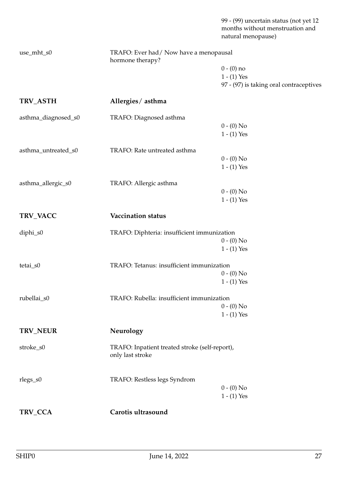99 - (99) uncertain status (not yet 12 months without menstruation and natural menopause)

<span id="page-26-3"></span><span id="page-26-2"></span><span id="page-26-1"></span><span id="page-26-0"></span>

| use_mht_s0          | TRAFO: Ever had / Now have a menopausal<br>hormone therapy?        |                                         |
|---------------------|--------------------------------------------------------------------|-----------------------------------------|
|                     |                                                                    | $0 - (0)$ no                            |
|                     |                                                                    | $1 - (1)$ Yes                           |
|                     |                                                                    | 97 - (97) is taking oral contraceptives |
| TRV_ASTH            | Allergies/asthma                                                   |                                         |
| asthma_diagnosed_s0 | TRAFO: Diagnosed asthma                                            |                                         |
|                     |                                                                    | $0 - (0)$ No                            |
|                     |                                                                    | $1 - (1)$ Yes                           |
| asthma_untreated_s0 | TRAFO: Rate untreated asthma                                       |                                         |
|                     |                                                                    | $0 - (0)$ No                            |
|                     |                                                                    | $1 - (1)$ Yes                           |
| asthma_allergic_s0  | TRAFO: Allergic asthma                                             |                                         |
|                     |                                                                    | $0 - (0)$ No                            |
|                     |                                                                    | $1 - (1)$ Yes                           |
| TRV_VACC            | Vaccination status                                                 |                                         |
| diphi_s0            | TRAFO: Diphteria: insufficient immunization                        |                                         |
|                     |                                                                    | $0 - (0)$ No                            |
|                     |                                                                    | $1 - (1)$ Yes                           |
| tetai_s0            | TRAFO: Tetanus: insufficient immunization                          |                                         |
|                     |                                                                    | $0 - (0)$ No                            |
|                     |                                                                    | $1 - (1)$ Yes                           |
| rubellai_s0         | TRAFO: Rubella: insufficient immunization                          |                                         |
|                     |                                                                    | $0 - (0)$ No                            |
|                     |                                                                    | $1 - (1)$ Yes                           |
| TRV_NEUR            | Neurology                                                          |                                         |
| stroke_s0           | TRAFO: Inpatient treated stroke (self-report),<br>only last stroke |                                         |
| rlegs_s0            | TRAFO: Restless legs Syndrom                                       |                                         |
|                     |                                                                    | $0 - (0)$ No                            |
|                     |                                                                    | $1 - (1)$ Yes                           |
| TRV_CCA             | Carotis ultrasound                                                 |                                         |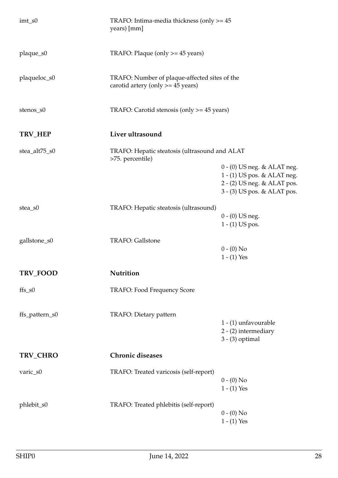<span id="page-27-2"></span><span id="page-27-1"></span><span id="page-27-0"></span>

| $imt$ _s $0$   | TRAFO: Intima-media thickness (only $>= 45$<br>years) [mm]                           |                                                                                                                            |
|----------------|--------------------------------------------------------------------------------------|----------------------------------------------------------------------------------------------------------------------------|
| plaque_s0      | TRAFO: Plaque (only >= 45 years)                                                     |                                                                                                                            |
| plaqueloc_s0   | TRAFO: Number of plaque-affected sites of the<br>carotid artery (only $>= 45$ years) |                                                                                                                            |
| stenos_s0      | TRAFO: Carotid stenosis (only >= 45 years)                                           |                                                                                                                            |
| TRV_HEP        | Liver ultrasound                                                                     |                                                                                                                            |
| stea_alt75_s0  | TRAFO: Hepatic steatosis (ultrasound and ALAT<br>>75. percentile)                    |                                                                                                                            |
|                |                                                                                      | $0 - (0)$ US neg. & ALAT neg.<br>1 - (1) US pos. & ALAT neg.<br>2 - (2) US neg. & ALAT pos.<br>3 - (3) US pos. & ALAT pos. |
| stea_s0        | TRAFO: Hepatic steatosis (ultrasound)                                                | $0 - (0)$ US neg.<br>$1 - (1)$ US pos.                                                                                     |
| gallstone_s0   | <b>TRAFO: Gallstone</b>                                                              | $0 - (0)$ No<br>$1 - (1)$ Yes                                                                                              |
| TRV_FOOD       | Nutrition                                                                            |                                                                                                                            |
| $ffs$ _s $0$   | TRAFO: Food Frequency Score                                                          |                                                                                                                            |
| ffs_pattern_s0 | TRAFO: Dietary pattern                                                               | 1 - (1) unfavourable<br>2 - (2) intermediary<br>$3 - (3)$ optimal                                                          |
| TRV_CHRO       | <b>Chronic diseases</b>                                                              |                                                                                                                            |
| varic_s0       | TRAFO: Treated varicosis (self-report)                                               | $0 - (0)$ No<br>$1 - (1)$ Yes                                                                                              |
| phlebit_s0     | TRAFO: Treated phlebitis (self-report)                                               | $0 - (0)$ No<br>$1 - (1)$ Yes                                                                                              |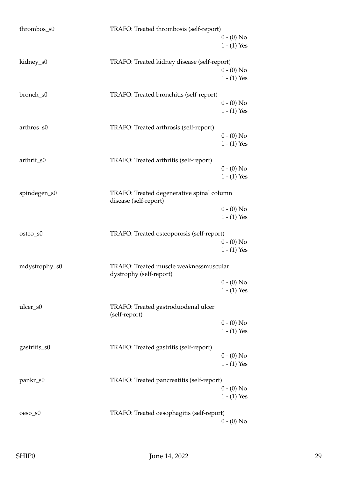| thrombos_s0   | TRAFO: Treated thrombosis (self-report)                            |               |
|---------------|--------------------------------------------------------------------|---------------|
|               |                                                                    | $0 - (0)$ No  |
|               |                                                                    | $1 - (1)$ Yes |
| kidney_s0     | TRAFO: Treated kidney disease (self-report)                        |               |
|               |                                                                    | $0 - (0)$ No  |
|               |                                                                    | $1 - (1)$ Yes |
| bronch_s0     | TRAFO: Treated bronchitis (self-report)                            |               |
|               |                                                                    | $0 - (0)$ No  |
|               |                                                                    | $1 - (1)$ Yes |
| arthros_s0    | TRAFO: Treated arthrosis (self-report)                             |               |
|               |                                                                    | $0 - (0)$ No  |
|               |                                                                    | $1 - (1)$ Yes |
| arthrit_s0    | TRAFO: Treated arthritis (self-report)                             |               |
|               |                                                                    | $0 - (0)$ No  |
|               |                                                                    | $1 - (1)$ Yes |
| spindegen_s0  | TRAFO: Treated degenerative spinal column<br>disease (self-report) |               |
|               |                                                                    | $0 - (0)$ No  |
|               |                                                                    | $1 - (1)$ Yes |
| osteo_s0      | TRAFO: Treated osteoporosis (self-report)                          |               |
|               |                                                                    | $0 - (0)$ No  |
|               |                                                                    | $1 - (1)$ Yes |
| mdystrophy_s0 | TRAFO: Treated muscle weaknessmuscular<br>dystrophy (self-report)  |               |
|               |                                                                    | $0 - (0)$ No  |
|               |                                                                    | $1 - (1)$ Yes |
| ulcer_s0      | TRAFO: Treated gastroduodenal ulcer<br>(self-report)               |               |
|               |                                                                    | $0 - (0)$ No  |
|               |                                                                    | $1 - (1)$ Yes |
| gastritis_s0  | TRAFO: Treated gastritis (self-report)                             |               |
|               |                                                                    | $0 - (0)$ No  |
|               |                                                                    | $1 - (1)$ Yes |
| pankr_s0      | TRAFO: Treated pancreatitis (self-report)                          |               |
|               |                                                                    | $0 - (0)$ No  |
|               |                                                                    | $1 - (1)$ Yes |
| $oeso_S0$     | TRAFO: Treated oesophagitis (self-report)                          |               |
|               |                                                                    | $0 - (0)$ No  |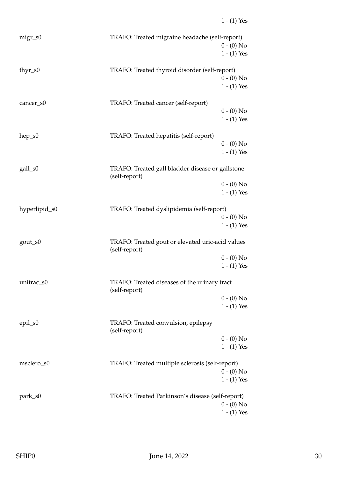| $migr$ _s0    | TRAFO: Treated migraine headache (self-report)                    | $0 - (0)$ No<br>$1 - (1)$ Yes |
|---------------|-------------------------------------------------------------------|-------------------------------|
| thy $r$ _s0   | TRAFO: Treated thyroid disorder (self-report)                     | $0 - (0)$ No<br>$1 - (1)$ Yes |
| cancer_s0     | TRAFO: Treated cancer (self-report)                               | $0 - (0)$ No<br>$1 - (1)$ Yes |
| $hep_S0$      | TRAFO: Treated hepatitis (self-report)                            | $0 - (0)$ No<br>$1 - (1)$ Yes |
| gall_s0       | TRAFO: Treated gall bladder disease or gallstone<br>(self-report) |                               |
|               |                                                                   | $0 - (0)$ No<br>$1 - (1)$ Yes |
| hyperlipid_s0 | TRAFO: Treated dyslipidemia (self-report)                         |                               |
|               |                                                                   | $0 - (0)$ No<br>$1 - (1)$ Yes |
| gout_s0       | TRAFO: Treated gout or elevated uric-acid values<br>(self-report) |                               |
|               |                                                                   | $0 - (0)$ No<br>$1 - (1)$ Yes |
| unitrac_s0    | TRAFO: Treated diseases of the urinary tract<br>(self-report)     |                               |
|               |                                                                   | $0 - (0)$ No<br>$1 - (1)$ Yes |
| epil_s0       | TRAFO: Treated convulsion, epilepsy<br>(self-report)              |                               |
|               |                                                                   | $0 - (0)$ No                  |
|               |                                                                   | $1 - (1)$ Yes                 |
| msclero_s0    | TRAFO: Treated multiple sclerosis (self-report)                   | $0 - (0)$ No                  |
|               |                                                                   | $1 - (1)$ Yes                 |
| park_s0       | TRAFO: Treated Parkinson's disease (self-report)                  |                               |
|               |                                                                   | $0 - (0)$ No                  |
|               |                                                                   | $1 - (1)$ Yes                 |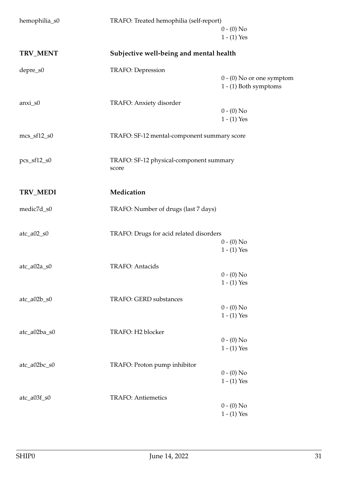<span id="page-30-1"></span><span id="page-30-0"></span>

| hemophilia_s0          | TRAFO: Treated hemophilia (self-report)          |                                                      |
|------------------------|--------------------------------------------------|------------------------------------------------------|
|                        |                                                  | $0 - (0)$ No<br>$1 - (1)$ Yes                        |
| TRV_MENT               | Subjective well-being and mental health          |                                                      |
| depre_s0               | <b>TRAFO: Depression</b>                         |                                                      |
|                        |                                                  | $0 - (0)$ No or one symptom<br>1 - (1) Both symptoms |
| $anxi$ s0              | TRAFO: Anxiety disorder                          |                                                      |
|                        |                                                  | $0 - (0)$ No<br>$1 - (1)$ Yes                        |
| $mcs\_sf12\_s0$        | TRAFO: SF-12 mental-component summary score      |                                                      |
| $pcs_sf12_s0$          | TRAFO: SF-12 physical-component summary<br>score |                                                      |
| TRV_MEDI               | Medication                                       |                                                      |
| medic7d_s0             | TRAFO: Number of drugs (last 7 days)             |                                                      |
| $\text{atc}\_a02\_s0$  | TRAFO: Drugs for acid related disorders          |                                                      |
|                        |                                                  | $0 - (0)$ No<br>$1 - (1)$ Yes                        |
| $\text{atc}\_a02a\_s0$ | TRAFO: Antacids                                  |                                                      |
|                        |                                                  | $0 - (0)$ No<br>$1 - (1)$ Yes                        |
| $\text{atc}\_a02b\_s0$ | TRAFO: GERD substances                           |                                                      |
|                        |                                                  | $0 - (0)$ No                                         |
|                        |                                                  | $1 - (1)$ Yes                                        |
| atc_a02ba_s0           | TRAFO: H2 blocker                                |                                                      |
|                        |                                                  | $0 - (0)$ No<br>$1 - (1)$ Yes                        |
|                        |                                                  |                                                      |
| atc_a02bc_s0           | TRAFO: Proton pump inhibitor                     |                                                      |
|                        |                                                  | $0 - (0)$ No<br>$1 - (1)$ Yes                        |
| atc_a03f_s0            | <b>TRAFO: Antiemetics</b>                        |                                                      |
|                        |                                                  | $0 - (0)$ No                                         |
|                        |                                                  | $1 - (1)$ Yes                                        |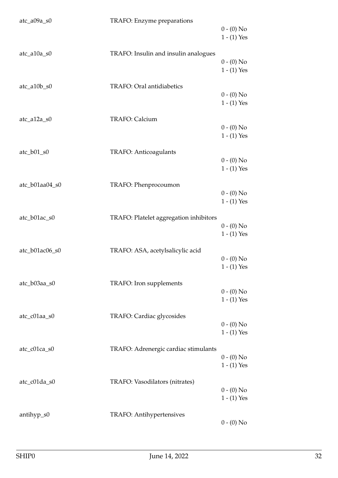| $\text{atc}\_a09a\_s0$                  | TRAFO: Enzyme preparations             | $0 - (0)$ No<br>$1 - (1)$ Yes |
|-----------------------------------------|----------------------------------------|-------------------------------|
| $\text{atc\_a10a\_s0}$                  | TRAFO: Insulin and insulin analogues   | $0 - (0)$ No<br>$1 - (1)$ Yes |
| atc_a10b_s0                             | TRAFO: Oral antidiabetics              | $0 - (0)$ No<br>$1 - (1)$ Yes |
| $\text{atc\_a12a\_s0}$                  | TRAFO: Calcium                         | $0 - (0)$ No<br>$1 - (1)$ Yes |
| $\text{atc}\_{\text{D}01}\_{\text{S}0}$ | TRAFO: Anticoagulants                  | $0 - (0)$ No<br>$1 - (1)$ Yes |
| atc_b01aa04_s0                          | TRAFO: Phenprocoumon                   | $0 - (0)$ No<br>$1 - (1)$ Yes |
| atc_b01ac_s0                            | TRAFO: Platelet aggregation inhibitors | $0 - (0)$ No<br>$1 - (1)$ Yes |
| atc_b01ac06_s0                          | TRAFO: ASA, acetylsalicylic acid       | $0 - (0)$ No<br>$1 - (1)$ Yes |
| atc_b03aa_s0                            | TRAFO: Iron supplements                | $0 - (0)$ No<br>$1 - (1)$ Yes |
| atc_c01aa_s0                            | TRAFO: Cardiac glycosides              | $0 - (0)$ No<br>$1 - (1)$ Yes |
| atc_c01ca_s0                            | TRAFO: Adrenergic cardiac stimulants   | $0 - (0)$ No<br>$1 - (1)$ Yes |
| atc_c01da_s0                            | TRAFO: Vasodilators (nitrates)         | $0 - (0)$ No<br>$1 - (1)$ Yes |
| antihyp_s0                              | TRAFO: Antihypertensives               | $0 - (0)$ No                  |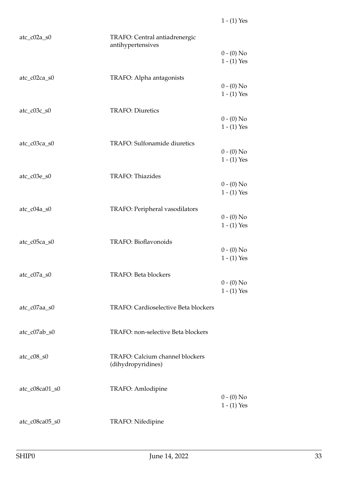| $\text{atc}\_{\text{c}02a}\_{\text{s}0}$ | TRAFO: Central antiadrenergic<br>antihypertensives |                               |
|------------------------------------------|----------------------------------------------------|-------------------------------|
|                                          |                                                    | $0 - (0)$ No<br>$1 - (1)$ Yes |
| $\text{atc}\_{c}02\text{ca}\_{s}0$       | TRAFO: Alpha antagonists                           |                               |
|                                          |                                                    | $0 - (0)$ No<br>$1 - (1)$ Yes |
| $\text{atc}\_{\text{c}03c}\_{\text{s}0}$ | <b>TRAFO: Diuretics</b>                            |                               |
|                                          |                                                    | $0 - (0)$ No<br>$1 - (1)$ Yes |
| atc_c03ca_s0                             | TRAFO: Sulfonamide diuretics                       |                               |
|                                          |                                                    | $0 - (0)$ No<br>$1 - (1)$ Yes |
| $\text{atc\_c03e\_s0}$                   | TRAFO: Thiazides                                   |                               |
|                                          |                                                    | $0 - (0)$ No<br>$1 - (1)$ Yes |
| atc_c04a_s0                              | TRAFO: Peripheral vasodilators                     |                               |
|                                          |                                                    | $0 - (0)$ No<br>$1 - (1)$ Yes |
| atc_c05ca_s0                             | TRAFO: Bioflavonoids                               |                               |
|                                          |                                                    | $0 - (0)$ No<br>$1 - (1)$ Yes |
| $\text{atc\_c07a\_s0}$                   | TRAFO: Beta blockers                               |                               |
|                                          |                                                    | $0 - (0)$ No<br>$1 - (1)$ Yes |
| atc_c07aa_s0                             | TRAFO: Cardioselective Beta blockers               |                               |
| atc_c07ab_s0                             | TRAFO: non-selective Beta blockers                 |                               |
| $\text{atc}\_{\text{c}}08\_{\text{s}}0$  | TRAFO: Calcium channel blockers                    |                               |
|                                          | (dihydropyridines)                                 |                               |
| atc_c08ca01_s0                           | TRAFO: Amlodipine                                  | $0 - (0)$ No                  |
|                                          |                                                    | $1 - (1)$ Yes                 |
| atc_c08ca05_s0                           | TRAFO: Nifedipine                                  |                               |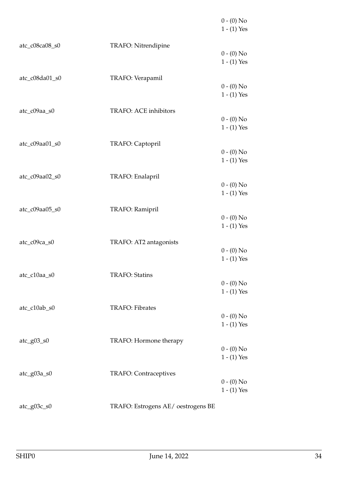|                       |                                    | $0 - (0)$ No<br>$1 - (1)$ Yes |
|-----------------------|------------------------------------|-------------------------------|
| atc_c08ca08_s0        | TRAFO: Nitrendipine                | $0 - (0)$ No                  |
|                       |                                    | $1 - (1)$ Yes                 |
| atc_c08da01_s0        | TRAFO: Verapamil                   | $0 - (0)$ No                  |
|                       |                                    | $1 - (1)$ Yes                 |
| atc_c09aa_s0          | TRAFO: ACE inhibitors              | $0 - (0)$ No                  |
|                       |                                    | $1 - (1)$ Yes                 |
| atc_c09aa01_s0        | TRAFO: Captopril                   |                               |
|                       |                                    | $0 - (0)$ No<br>$1 - (1)$ Yes |
| atc_c09aa02_s0        | TRAFO: Enalapril                   |                               |
|                       |                                    | $0 - (0)$ No<br>$1 - (1)$ Yes |
| atc_c09aa05_s0        | TRAFO: Ramipril                    |                               |
|                       |                                    | $0 - (0)$ No<br>$1 - (1)$ Yes |
|                       |                                    |                               |
| atc_c09ca_s0          | TRAFO: AT2 antagonists             | $0 - (0)$ No                  |
|                       |                                    | $1 - (1)$ Yes                 |
| atc_c10aa_s0          | <b>TRAFO: Statins</b>              | $0 - (0)$ No                  |
|                       |                                    | $1 - (1)$ Yes                 |
| atc_c10ab_s0          | <b>TRAFO: Fibrates</b>             |                               |
|                       |                                    | $0 - (0)$ No<br>$1 - (1)$ Yes |
| $\text{atc\_g}03\_s0$ | TRAFO: Hormone therapy             |                               |
|                       |                                    | $0 - (0)$ No<br>$1 - (1)$ Yes |
| atc_g03a_s0           | <b>TRAFO: Contraceptives</b>       |                               |
|                       |                                    | $0 - (0)$ No                  |
|                       |                                    | $1 - (1)$ Yes                 |
| atc_g03c_s0           | TRAFO: Estrogens AE/ oestrogens BE |                               |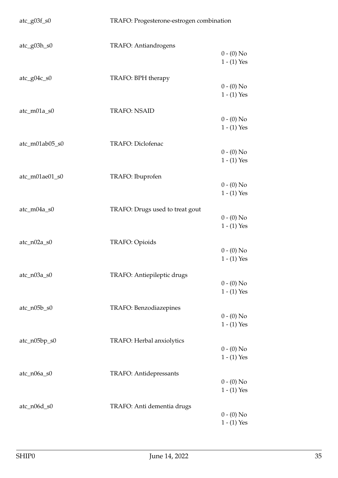| $\text{atc\_g}03f\_s0$ | TRAFO: Progesterone-estrogen combination |                               |
|------------------------|------------------------------------------|-------------------------------|
| atc_g03h_s0            | TRAFO: Antiandrogens                     | $0 - (0)$ No                  |
|                        |                                          | $1 - (1)$ Yes                 |
| $\text{atc\_g04c\_s0}$ | TRAFO: BPH therapy                       | $0 - (0)$ No                  |
|                        |                                          | $1 - (1)$ Yes                 |
| atc_m01a_s0            | <b>TRAFO: NSAID</b>                      | $0 - (0)$ No                  |
| atc_m01ab05_s0         | TRAFO: Diclofenac                        | $1 - (1)$ Yes                 |
|                        |                                          | $0 - (0)$ No<br>$1 - (1)$ Yes |
| atc_m01ae01_s0         | TRAFO: Ibuprofen                         |                               |
|                        |                                          | $0 - (0)$ No<br>$1 - (1)$ Yes |
| atc_m04a_s0            | TRAFO: Drugs used to treat gout          | $0 - (0)$ No                  |
|                        |                                          | $1 - (1)$ Yes                 |
| $\text{atc\_n02a\_s0}$ | TRAFO: Opioids                           | $0 - (0)$ No                  |
|                        |                                          | $1 - (1)$ Yes                 |
| atc_n03a_s0            | TRAFO: Antiepileptic drugs               | $0 - (0)$ No                  |
| $\text{atc\_n05b\_s0}$ | TRAFO: Benzodiazepines                   | $1 - (1)$ Yes                 |
|                        |                                          | $0 - (0)$ No<br>$1 - (1)$ Yes |
| atc_n05bp_s0           | TRAFO: Herbal anxiolytics                |                               |
|                        |                                          | $0 - (0)$ No<br>$1 - (1)$ Yes |
| atc_n06a_s0            | <b>TRAFO: Antidepressants</b>            | $0 - (0)$ No                  |
|                        |                                          | $1 - (1)$ Yes                 |
| atc_n06d_s0            | TRAFO: Anti dementia drugs               | $0 - (0)$ No                  |
|                        |                                          | $1 - (1)$ Yes                 |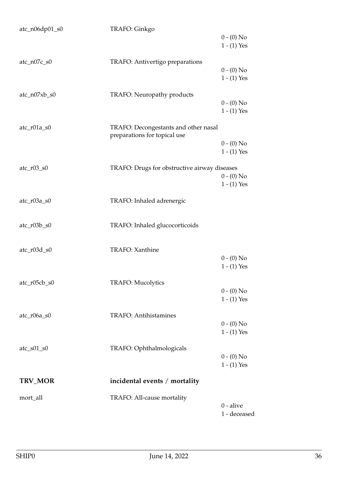<span id="page-35-0"></span>

| atc_n06dp01_s0          | TRAFO: Ginkgo                                |               |
|-------------------------|----------------------------------------------|---------------|
|                         |                                              | $0 - (0)$ No  |
|                         |                                              | $1 - (1)$ Yes |
|                         |                                              |               |
| $\text{atc\_n07c\_s0}$  | TRAFO: Antivertigo preparations              |               |
|                         |                                              | $0 - (0)$ No  |
|                         |                                              | $1 - (1)$ Yes |
|                         |                                              |               |
| $\text{atc\_n07xb\_s0}$ | TRAFO: Neuropathy products                   |               |
|                         |                                              | $0 - (0)$ No  |
|                         |                                              | $1 - (1)$ Yes |
|                         |                                              |               |
| atc_r01a_s0             | TRAFO: Decongestants and other nasal         |               |
|                         | preparations for topical use                 |               |
|                         |                                              | $0 - (0)$ No  |
|                         |                                              | $1 - (1)$ Yes |
|                         |                                              |               |
| $\text{atc\_r03\_s0}$   | TRAFO: Drugs for obstructive airway diseases |               |
|                         |                                              | $0 - (0)$ No  |
|                         |                                              | $1 - (1)$ Yes |
|                         |                                              |               |
| atc_r03a_s0             | TRAFO: Inhaled adrenergic                    |               |
|                         |                                              |               |
| $\text{atc\_r03b\_s0}$  | TRAFO: Inhaled glucocorticoids               |               |
|                         |                                              |               |
|                         |                                              |               |
| atc_r03d_s0             | <b>TRAFO:</b> Xanthine                       |               |
|                         |                                              | $0 - (0)$ No  |
|                         |                                              | $1 - (1)$ Yes |
|                         |                                              |               |
| atc_r05cb_s0            | <b>TRAFO: Mucolytics</b>                     |               |
|                         |                                              | $0 - (0)$ No  |
|                         |                                              | $1 - (1)$ Yes |
|                         |                                              |               |
| $\text{atc\_r06a\_s0}$  | <b>TRAFO: Antihistamines</b>                 |               |
|                         |                                              | $0 - (0)$ No  |
|                         |                                              | $1 - (1)$ Yes |
|                         |                                              |               |
| $\text{atc\_s01\_s0}$   | TRAFO: Ophthalmologicals                     |               |
|                         |                                              | $0 - (0)$ No  |
|                         |                                              | $1 - (1)$ Yes |
|                         |                                              |               |
| TRV_MOR                 | incidental events / mortality                |               |
|                         |                                              |               |
| mort_all                | TRAFO: All-cause mortality                   |               |
|                         |                                              | $0$ - alive   |
|                         |                                              | 1 - deceased  |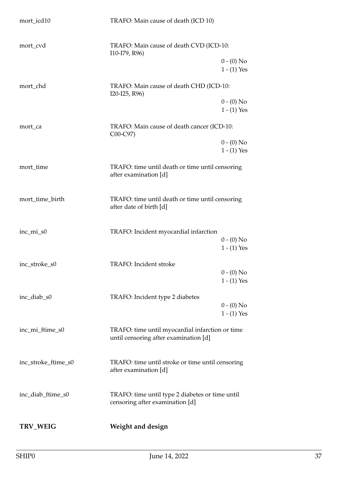| mort_icd10          | TRAFO: Main cause of death (ICD 10)                                                      |                               |
|---------------------|------------------------------------------------------------------------------------------|-------------------------------|
| mort_cvd            | TRAFO: Main cause of death CVD (ICD-10:<br>I10-I79, R96)                                 |                               |
|                     |                                                                                          | $0 - (0)$ No<br>$1 - (1)$ Yes |
| mort_chd            | TRAFO: Main cause of death CHD (ICD-10:<br>I20-I25, R96)                                 |                               |
|                     |                                                                                          | $0 - (0)$ No<br>$1 - (1)$ Yes |
| mort_ca             | TRAFO: Main cause of death cancer (ICD-10:<br>C00-C97)                                   |                               |
|                     |                                                                                          | $0 - (0)$ No<br>$1 - (1)$ Yes |
| mort_time           | TRAFO: time until death or time until censoring<br>after examination [d]                 |                               |
| mort_time_birth     | TRAFO: time until death or time until censoring<br>after date of birth [d]               |                               |
| inc_mi_s0           | TRAFO: Incident myocardial infarction                                                    | $0 - (0)$ No                  |
|                     |                                                                                          | $1 - (1)$ Yes                 |
| inc_stroke_s0       | <b>TRAFO:</b> Incident stroke                                                            | $0 - (0)$ No<br>$1 - (1)$ Yes |
| inc_diab_s0         | TRAFO: Incident type 2 diabetes                                                          | $0 - (0)$ No                  |
|                     |                                                                                          | $1 - (1)$ Yes                 |
| inc_mi_ftime_s0     | TRAFO: time until myocardial infarction or time<br>until censoring after examination [d] |                               |
| inc_stroke_ftime_s0 | TRAFO: time until stroke or time until censoring<br>after examination [d]                |                               |
| inc_diab_ftime_s0   | TRAFO: time until type 2 diabetes or time until<br>censoring after examination [d]       |                               |
| <b>TRV_WEIG</b>     | Weight and design                                                                        |                               |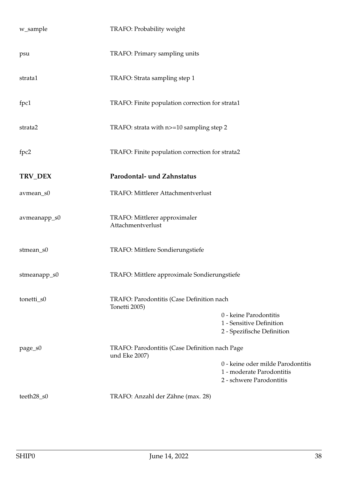| w_sample     | TRAFO: Probability weight                                       |                                                                                            |
|--------------|-----------------------------------------------------------------|--------------------------------------------------------------------------------------------|
| psu          | TRAFO: Primary sampling units                                   |                                                                                            |
| strata1      | TRAFO: Strata sampling step 1                                   |                                                                                            |
| fpc1         | TRAFO: Finite population correction for strata1                 |                                                                                            |
| strata2      | TRAFO: strata with n>=10 sampling step 2                        |                                                                                            |
| fpc2         | TRAFO: Finite population correction for strata2                 |                                                                                            |
| TRV_DEX      | Parodontal- und Zahnstatus                                      |                                                                                            |
| avmean_s0    | TRAFO: Mittlerer Attachmentverlust                              |                                                                                            |
| avmeanapp_s0 | TRAFO: Mittlerer approximaler<br>Attachmentverlust              |                                                                                            |
| stmean_s0    | TRAFO: Mittlere Sondierungstiefe                                |                                                                                            |
| stmeanapp_s0 | TRAFO: Mittlere approximale Sondierungstiefe                    |                                                                                            |
| tonetti_s0   | TRAFO: Parodontitis (Case Definition nach<br>Tonetti 2005)      | 0 - keine Parodontitis<br>1 - Sensitive Definition<br>2 - Spezifische Definition           |
| page_s0      | TRAFO: Parodontitis (Case Definition nach Page<br>und Eke 2007) | 0 - keine oder milde Parodontitis<br>1 - moderate Parodontitis<br>2 - schwere Parodontitis |
| teeth28_s0   | TRAFO: Anzahl der Zähne (max. 28)                               |                                                                                            |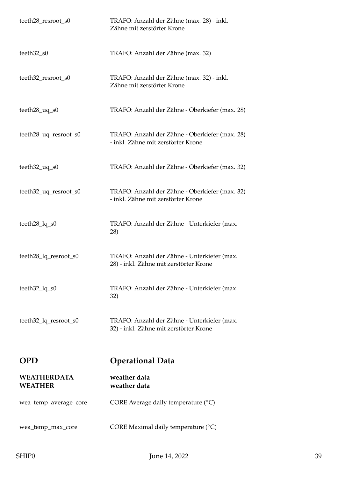| teeth28_resroot_s0                                   | TRAFO: Anzahl der Zähne (max. 28) - inkl.<br>Zähne mit zerstörter Krone               |
|------------------------------------------------------|---------------------------------------------------------------------------------------|
| teeth32_s0                                           | TRAFO: Anzahl der Zähne (max. 32)                                                     |
| teeth32_resroot_s0                                   | TRAFO: Anzahl der Zähne (max. 32) - inkl.<br>Zähne mit zerstörter Krone               |
| teeth $28 \_\text{uq\_s0}$                           | TRAFO: Anzahl der Zähne - Oberkiefer (max. 28)                                        |
| teeth28_uq_resroot_s0                                | TRAFO: Anzahl der Zähne - Oberkiefer (max. 28)<br>- inkl. Zähne mit zerstörter Krone  |
| $teeth32_uq_s0$                                      | TRAFO: Anzahl der Zähne - Oberkiefer (max. 32)                                        |
| teeth32_uq_resroot_s0                                | TRAFO: Anzahl der Zähne - Oberkiefer (max. 32)<br>- inkl. Zähne mit zerstörter Krone  |
| teeth $28$ <sup><math>lq</math><math>s0</math></sup> | TRAFO: Anzahl der Zähne - Unterkiefer (max.<br>28)                                    |
| teeth28_lq_resroot_s0                                | TRAFO: Anzahl der Zähne - Unterkiefer (max.<br>28) - inkl. Zähne mit zerstörter Krone |
| $teeth32_lq_s0$                                      | TRAFO: Anzahl der Zähne - Unterkiefer (max.<br>32)                                    |
| teeth32_lq_resroot_s0                                | TRAFO: Anzahl der Zähne - Unterkiefer (max.<br>32) - inkl. Zähne mit zerstörter Krone |
| <b>OPD</b>                                           | <b>Operational Data</b>                                                               |
| <b>WEATHERDATA</b><br><b>WEATHER</b>                 | weather data<br>weather data                                                          |
| wea_temp_average_core                                | CORE Average daily temperature $(^\circ C)$                                           |
| wea_temp_max_core                                    | CORE Maximal daily temperature $(^\circ C)$                                           |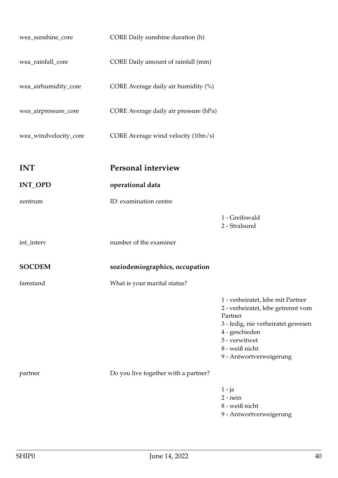| wea_sunshine_core     | CORE Daily sunshine duration (h)      |                                                                                                                                                                                                          |
|-----------------------|---------------------------------------|----------------------------------------------------------------------------------------------------------------------------------------------------------------------------------------------------------|
| wea_rainfall_core     | CORE Daily amount of rainfall (mm)    |                                                                                                                                                                                                          |
| wea_airhumidity_core  | CORE Average daily air humidity (%)   |                                                                                                                                                                                                          |
| wea_airpressure_core  | CORE Average daily air pressure (hPa) |                                                                                                                                                                                                          |
| wea_windvelocity_core | CORE Average wind velocity (10m/s)    |                                                                                                                                                                                                          |
| <b>INT</b>            | Personal interview                    |                                                                                                                                                                                                          |
| <b>INT_OPD</b>        | operational data                      |                                                                                                                                                                                                          |
| zentrum               | ID: examination centre                |                                                                                                                                                                                                          |
|                       |                                       | 1 - Greifswald<br>2 - Stralsund                                                                                                                                                                          |
| int_interv            | number of the examiner                |                                                                                                                                                                                                          |
| <b>SOCDEM</b>         | soziodemiographics, occupation        |                                                                                                                                                                                                          |
| famstand              | What is your marital status?          |                                                                                                                                                                                                          |
|                       |                                       | 1 - verheiratet, lebe mit Partner<br>2 - verheiratet, lebe getrennt vom<br>Partner<br>3 - ledig, nie verheiratet gewesen<br>4 - geschieden<br>5 - verwitwet<br>8 - weiß nicht<br>9 - Antwortverweigerung |
| partner               | Do you live together with a partner?  |                                                                                                                                                                                                          |
|                       |                                       | 1 - ja<br>$2$ - nein<br>8 - weiß nicht<br>9 - Antwortverweigerung                                                                                                                                        |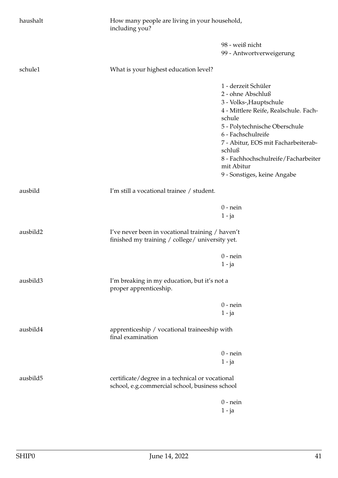| haushalt | including you?                                                                                      | How many people are living in your household, |  |
|----------|-----------------------------------------------------------------------------------------------------|-----------------------------------------------|--|
|          |                                                                                                     | 98 - weiß nicht                               |  |
|          |                                                                                                     | 99 - Antwortverweigerung                      |  |
| schule1  | What is your highest education level?                                                               |                                               |  |
|          |                                                                                                     | 1 - derzeit Schüler                           |  |
|          |                                                                                                     | 2 - ohne Abschluß                             |  |
|          |                                                                                                     | 3 - Volks-, Hauptschule                       |  |
|          |                                                                                                     | 4 - Mittlere Reife, Realschule. Fach-         |  |
|          |                                                                                                     | schule                                        |  |
|          |                                                                                                     | 5 - Polytechnische Oberschule                 |  |
|          |                                                                                                     | 6 - Fachschulreife                            |  |
|          |                                                                                                     | 7 - Abitur, EOS mit Facharbeiterab-           |  |
|          |                                                                                                     | schluß                                        |  |
|          |                                                                                                     | 8 - Fachhochschulreife/Facharbeiter           |  |
|          |                                                                                                     | mit Abitur                                    |  |
|          |                                                                                                     | 9 - Sonstiges, keine Angabe                   |  |
| ausbild  | I'm still a vocational trainee / student.                                                           |                                               |  |
|          |                                                                                                     | $0$ - nein                                    |  |
|          |                                                                                                     | 1 - ja                                        |  |
| ausbild2 | I've never been in vocational training / haven't<br>finished my training / college/ university yet. |                                               |  |
|          |                                                                                                     | $0$ - nein                                    |  |
|          |                                                                                                     | $1 - ja$                                      |  |
| ausbild3 | I'm breaking in my education, but it's not a                                                        |                                               |  |
|          | proper apprenticeship.                                                                              |                                               |  |
|          |                                                                                                     | $0$ - nein                                    |  |
|          |                                                                                                     | $1 - ja$                                      |  |
| ausbild4 | apprenticeship / vocational traineeship with<br>final examination                                   |                                               |  |
|          |                                                                                                     | $0$ - nein                                    |  |
|          |                                                                                                     | $1 - ja$                                      |  |
| ausbild5 | certificate/degree in a technical or vocational                                                     |                                               |  |
|          | school, e.g.commercial school, business school                                                      |                                               |  |
|          |                                                                                                     | $0$ - nein                                    |  |
|          |                                                                                                     | $1 - ja$                                      |  |
|          |                                                                                                     |                                               |  |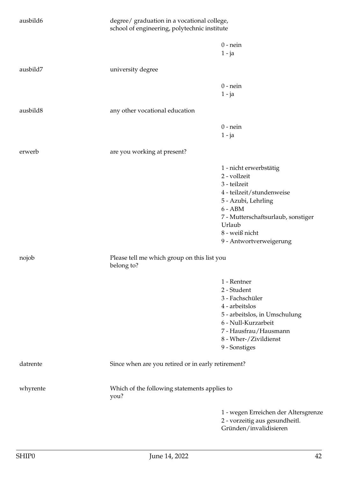| ausbild6 |                                                           | degree/ graduation in a vocational college,<br>school of engineering, polytechnic institute |  |
|----------|-----------------------------------------------------------|---------------------------------------------------------------------------------------------|--|
|          |                                                           | $0$ - nein                                                                                  |  |
|          |                                                           | $1 - ja$                                                                                    |  |
| ausbild7 | university degree                                         |                                                                                             |  |
|          |                                                           | $0$ - nein                                                                                  |  |
|          |                                                           | $1 - ja$                                                                                    |  |
| ausbild8 | any other vocational education                            |                                                                                             |  |
|          |                                                           | $0$ - nein                                                                                  |  |
|          |                                                           | $1 - ja$                                                                                    |  |
|          |                                                           |                                                                                             |  |
| erwerb   | are you working at present?                               |                                                                                             |  |
|          |                                                           | 1 - nicht erwerbstätig                                                                      |  |
|          |                                                           | 2 - vollzeit                                                                                |  |
|          |                                                           | 3 - teilzeit                                                                                |  |
|          |                                                           | 4 - teilzeit/stundenweise                                                                   |  |
|          |                                                           | 5 - Azubi, Lehrling                                                                         |  |
|          |                                                           | $6 - ABM$                                                                                   |  |
|          |                                                           | 7 - Mutterschaftsurlaub, sonstiger                                                          |  |
|          |                                                           | Urlaub                                                                                      |  |
|          |                                                           | 8 - weiß nicht                                                                              |  |
|          |                                                           | 9 - Antwortverweigerung                                                                     |  |
| nojob    | Please tell me which group on this list you<br>belong to? |                                                                                             |  |
|          |                                                           | 1 - Rentner                                                                                 |  |
|          |                                                           | 2 - Student                                                                                 |  |
|          |                                                           | 3 - Fachschüler                                                                             |  |
|          |                                                           | 4 - arbeitslos                                                                              |  |
|          |                                                           | 5 - arbeitslos, in Umschulung                                                               |  |
|          |                                                           | 6 - Null-Kurzarbeit                                                                         |  |
|          |                                                           | 7 - Hausfrau/Hausmann                                                                       |  |
|          |                                                           | 8 - Wher-/Zivildienst                                                                       |  |
|          |                                                           | 9 - Sonstiges                                                                               |  |
| datrente | Since when are you retired or in early retirement?        |                                                                                             |  |
| whyrente | Which of the following statements applies to<br>you?      |                                                                                             |  |
|          |                                                           | 1 - wegen Erreichen der Altersgrenze                                                        |  |
|          |                                                           | 2 - vorzeitig aus gesundheitl.                                                              |  |
|          |                                                           | Gründen/invalidisieren                                                                      |  |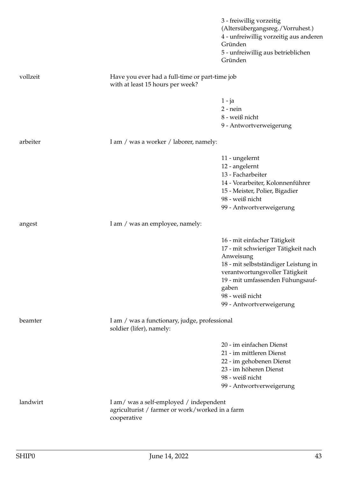|          |                                                                                                          | 3 - freiwillig vorzeitig<br>(Altersübergangsreg./Vorruhest.)<br>4 - unfreiwillig vorzeitig aus anderen<br>Gründen<br>5 - unfreiwillig aus betrieblichen<br>Gründen                                                                                     |
|----------|----------------------------------------------------------------------------------------------------------|--------------------------------------------------------------------------------------------------------------------------------------------------------------------------------------------------------------------------------------------------------|
| vollzeit | Have you ever had a full-time or part-time job<br>with at least 15 hours per week?                       |                                                                                                                                                                                                                                                        |
|          |                                                                                                          | $1 - ja$<br>$2$ - nein<br>8 - weiß nicht<br>9 - Antwortverweigerung                                                                                                                                                                                    |
| arbeiter | I am / was a worker / laborer, namely:                                                                   |                                                                                                                                                                                                                                                        |
|          |                                                                                                          | 11 - ungelernt<br>12 - angelernt<br>13 - Facharbeiter<br>14 - Vorarbeiter, Kolonnenführer<br>15 - Meister, Polier, Bigadier<br>98 - weiß nicht<br>99 - Antwortverweigerung                                                                             |
| angest   | I am / was an employee, namely:                                                                          |                                                                                                                                                                                                                                                        |
|          |                                                                                                          | 16 - mit einfacher Tätigkeit<br>17 - mit schwieriger Tätigkeit nach<br>Anweisung<br>18 - mit selbstständiger Leistung in<br>verantwortungsvoller Tätigkeit<br>19 - mit umfassenden Fühungsauf-<br>gaben<br>98 - weiß nicht<br>99 - Antwortverweigerung |
| beamter  | I am / was a functionary, judge, professional<br>soldier (lifer), namely:                                |                                                                                                                                                                                                                                                        |
|          |                                                                                                          | 20 - im einfachen Dienst<br>21 - im mittleren Dienst<br>22 - im gehobenen Dienst<br>23 - im höheren Dienst<br>98 - weiß nicht<br>99 - Antwortverweigerung                                                                                              |
| landwirt | I am/was a self-employed / independent<br>agriculturist / farmer or work/worked in a farm<br>cooperative |                                                                                                                                                                                                                                                        |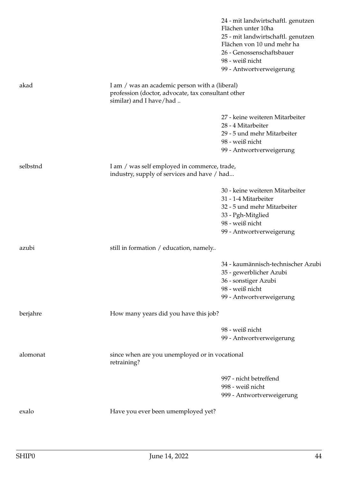|                                                                                                                                 | 24 - mit landwirtschaftl. genutzen<br>Flächen unter 10ha<br>25 - mit landwirtschaftl. genutzen<br>Flächen von 10 und mehr ha<br>26 - Genossenschaftsbauer<br>98 - weiß nicht<br>99 - Antwortverweigerung |
|---------------------------------------------------------------------------------------------------------------------------------|----------------------------------------------------------------------------------------------------------------------------------------------------------------------------------------------------------|
| I am / was an academic person with a (liberal)<br>profession (doctor, advocate, tax consultant other<br>similar) and I have/had |                                                                                                                                                                                                          |
|                                                                                                                                 | 27 - keine weiteren Mitarbeiter                                                                                                                                                                          |
|                                                                                                                                 | 28 - 4 Mitarbeiter                                                                                                                                                                                       |
|                                                                                                                                 | 29 - 5 und mehr Mitarbeiter                                                                                                                                                                              |
|                                                                                                                                 | 98 - weiß nicht                                                                                                                                                                                          |
|                                                                                                                                 | 99 - Antwortverweigerung                                                                                                                                                                                 |
|                                                                                                                                 |                                                                                                                                                                                                          |
| industry, supply of services and have / had                                                                                     |                                                                                                                                                                                                          |
|                                                                                                                                 | 30 - keine weiteren Mitarbeiter                                                                                                                                                                          |
|                                                                                                                                 | 31 - 1-4 Mitarbeiter                                                                                                                                                                                     |
|                                                                                                                                 | 32 - 5 und mehr Mitarbeiter                                                                                                                                                                              |
|                                                                                                                                 | 33 - Pgh-Mitglied                                                                                                                                                                                        |
|                                                                                                                                 | 98 - weiß nicht                                                                                                                                                                                          |
|                                                                                                                                 | 99 - Antwortverweigerung                                                                                                                                                                                 |
| still in formation / education, namely                                                                                          |                                                                                                                                                                                                          |
|                                                                                                                                 | 34 - kaumännisch-technischer Azubi                                                                                                                                                                       |
|                                                                                                                                 | 35 - gewerblicher Azubi                                                                                                                                                                                  |
|                                                                                                                                 | 36 - sonstiger Azubi                                                                                                                                                                                     |
|                                                                                                                                 | 98 - weiß nicht                                                                                                                                                                                          |
|                                                                                                                                 | 99 - Antwortverweigerung                                                                                                                                                                                 |
| How many years did you have this job?                                                                                           |                                                                                                                                                                                                          |
|                                                                                                                                 | 98 - weiß nicht                                                                                                                                                                                          |
|                                                                                                                                 | 99 - Antwortverweigerung                                                                                                                                                                                 |
| since when are you unemployed or in vocational<br>retraining?                                                                   |                                                                                                                                                                                                          |
|                                                                                                                                 | 997 - nicht betreffend                                                                                                                                                                                   |
|                                                                                                                                 | 998 - weiß nicht                                                                                                                                                                                         |
|                                                                                                                                 | 999 - Antwortverweigerung                                                                                                                                                                                |
| Have you ever been umemployed yet?                                                                                              |                                                                                                                                                                                                          |
|                                                                                                                                 | I am / was self employed in commerce, trade,                                                                                                                                                             |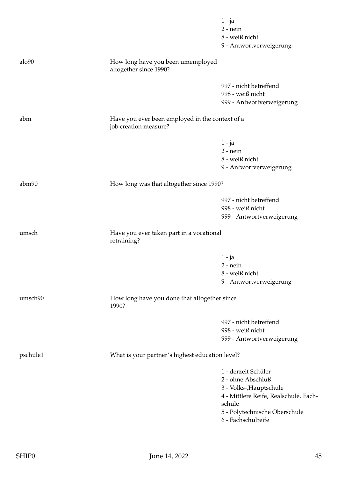|          |                                                                          | $1 - ja$<br>$2$ - nein<br>8 - weiß nicht<br>9 - Antwortverweigerung                                                                                                           |
|----------|--------------------------------------------------------------------------|-------------------------------------------------------------------------------------------------------------------------------------------------------------------------------|
| alo90    | How long have you been umemployed<br>altogether since 1990?              |                                                                                                                                                                               |
|          |                                                                          | 997 - nicht betreffend<br>998 - weiß nicht<br>999 - Antwortverweigerung                                                                                                       |
| abm      | Have you ever been employed in the context of a<br>job creation measure? |                                                                                                                                                                               |
|          |                                                                          | $1 - ja$<br>$2$ - nein<br>8 - weiß nicht<br>9 - Antwortverweigerung                                                                                                           |
| abm90    | How long was that altogether since 1990?                                 |                                                                                                                                                                               |
|          |                                                                          | 997 - nicht betreffend<br>998 - weiß nicht<br>999 - Antwortverweigerung                                                                                                       |
| umsch    | Have you ever taken part in a vocational<br>retraining?                  |                                                                                                                                                                               |
|          |                                                                          | $1 - ja$<br>$2$ - nein<br>8 - weiß nicht<br>9 - Antwortverweigerung                                                                                                           |
| umsch90  | How long have you done that altogether since<br>1990?                    |                                                                                                                                                                               |
|          |                                                                          | 997 - nicht betreffend<br>998 - weiß nicht<br>999 - Antwortverweigerung                                                                                                       |
| pschule1 | What is your partner's highest education level?                          |                                                                                                                                                                               |
|          |                                                                          | 1 - derzeit Schüler<br>2 - ohne Abschluß<br>3 - Volks-, Hauptschule<br>4 - Mittlere Reife, Realschule. Fach-<br>schule<br>5 - Polytechnische Oberschule<br>6 - Fachschulreife |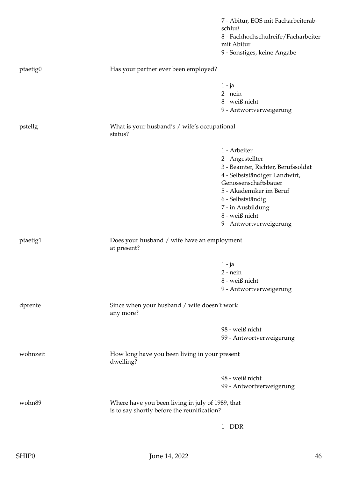|          |                                                                                                 | 7 - Abitur, EOS mit Facharbeiterab-<br>schluß<br>8 - Fachhochschulreife/Facharbeiter<br>mit Abitur |
|----------|-------------------------------------------------------------------------------------------------|----------------------------------------------------------------------------------------------------|
|          |                                                                                                 | 9 - Sonstiges, keine Angabe                                                                        |
| ptaetig0 | Has your partner ever been employed?                                                            |                                                                                                    |
|          |                                                                                                 | $1 - ja$                                                                                           |
|          |                                                                                                 | $2$ - nein                                                                                         |
|          |                                                                                                 | 8 - weiß nicht                                                                                     |
|          |                                                                                                 | 9 - Antwortverweigerung                                                                            |
| pstellg  | What is your husband's / wife's occupational<br>status?                                         |                                                                                                    |
|          |                                                                                                 | 1 - Arbeiter                                                                                       |
|          |                                                                                                 | 2 - Angestellter                                                                                   |
|          |                                                                                                 | 3 - Beamter, Richter, Berufssoldat<br>4 - Selbstständiger Landwirt,                                |
|          |                                                                                                 | Genossenschaftsbauer                                                                               |
|          |                                                                                                 | 5 - Akademiker im Beruf                                                                            |
|          |                                                                                                 | 6 - Selbstständig                                                                                  |
|          |                                                                                                 | 7 - in Ausbildung                                                                                  |
|          |                                                                                                 | 8 - weiß nicht                                                                                     |
|          |                                                                                                 | 9 - Antwortverweigerung                                                                            |
| ptaetig1 | Does your husband / wife have an employment<br>at present?                                      |                                                                                                    |
|          |                                                                                                 | $1 - ja$                                                                                           |
|          |                                                                                                 | $2$ - nein                                                                                         |
|          |                                                                                                 | 8 - weiß nicht                                                                                     |
|          |                                                                                                 | 9 - Antwortverweigerung                                                                            |
| dprente  | Since when your husband / wife doesn't work<br>any more?                                        |                                                                                                    |
|          |                                                                                                 | 98 - weiß nicht                                                                                    |
|          |                                                                                                 | 99 - Antwortverweigerung                                                                           |
| wohnzeit | How long have you been living in your present<br>dwelling?                                      |                                                                                                    |
|          |                                                                                                 | 98 - weiß nicht                                                                                    |
|          |                                                                                                 | 99 - Antwortverweigerung                                                                           |
| wohn89   | Where have you been living in july of 1989, that<br>is to say shortly before the reunification? |                                                                                                    |
|          |                                                                                                 | $1 - DDR$                                                                                          |
|          |                                                                                                 |                                                                                                    |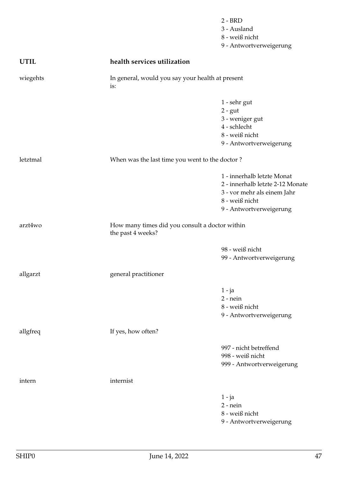|             |                                                                     | $2 - BRD$<br>3 - Ausland<br>8 - weiß nicht<br>9 - Antwortverweigerung                                                                      |
|-------------|---------------------------------------------------------------------|--------------------------------------------------------------------------------------------------------------------------------------------|
| <b>UTIL</b> | health services utilization                                         |                                                                                                                                            |
| wiegehts    | In general, would you say your health at present<br>is:             |                                                                                                                                            |
|             |                                                                     | 1 - sehr gut<br>$2 - gut$<br>3 - weniger gut<br>4 - schlecht<br>8 - weiß nicht<br>9 - Antwortverweigerung                                  |
| letztmal    | When was the last time you went to the doctor?                      |                                                                                                                                            |
|             |                                                                     | 1 - innerhalb letzte Monat<br>2 - innerhalb letzte 2-12 Monate<br>3 - vor mehr als einem Jahr<br>8 - weiß nicht<br>9 - Antwortverweigerung |
| arzt4wo     | How many times did you consult a doctor within<br>the past 4 weeks? |                                                                                                                                            |
|             |                                                                     | 98 - weiß nicht<br>99 - Antwortverweigerung                                                                                                |
| allgarzt    | general practitioner                                                |                                                                                                                                            |
|             |                                                                     | $1 - ja$<br>$2$ - nein<br>8 - weiß nicht<br>9 - Antwortverweigerung                                                                        |
| allgfreq    | If yes, how often?                                                  |                                                                                                                                            |
|             |                                                                     | 997 - nicht betreffend<br>998 - weiß nicht<br>999 - Antwortverweigerung                                                                    |
| intern      | internist                                                           |                                                                                                                                            |
|             |                                                                     | $1 - ja$<br>$2$ - nein<br>8 - weiß nicht<br>9 - Antwortverweigerung                                                                        |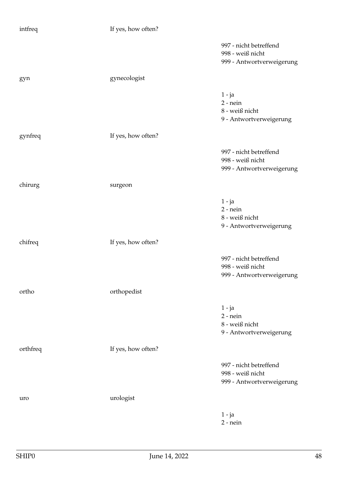| intfreq  | If yes, how often? |                                                                         |
|----------|--------------------|-------------------------------------------------------------------------|
|          |                    | 997 - nicht betreffend<br>998 - weiß nicht<br>999 - Antwortverweigerung |
| gyn      | gynecologist       |                                                                         |
|          |                    | $1 - ja$<br>$2$ - nein<br>8 - weiß nicht<br>9 - Antwortverweigerung     |
| gynfreq  | If yes, how often? |                                                                         |
|          |                    | 997 - nicht betreffend<br>998 - weiß nicht<br>999 - Antwortverweigerung |
| chirurg  | surgeon            |                                                                         |
|          |                    | $1 - ja$<br>$2$ - nein<br>8 - weiß nicht<br>9 - Antwortverweigerung     |
| chifreq  | If yes, how often? |                                                                         |
|          |                    | 997 - nicht betreffend<br>998 - weiß nicht<br>999 - Antwortverweigerung |
| ortho    | orthopedist        |                                                                         |
|          |                    | $1 - ja$<br>$2$ - nein<br>8 - weiß nicht<br>9 - Antwortverweigerung     |
| orthfreq | If yes, how often? |                                                                         |
|          |                    | 997 - nicht betreffend<br>998 - weiß nicht<br>999 - Antwortverweigerung |
| uro      | urologist          |                                                                         |
|          |                    | $1 - ja$<br>$2$ - nein                                                  |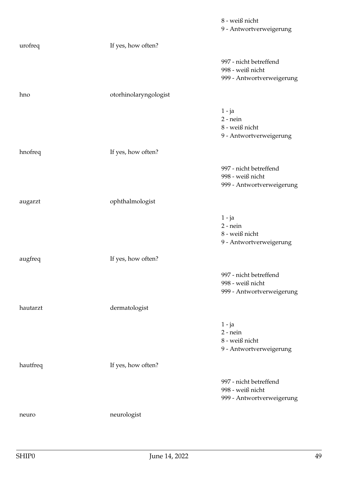|          |                       | 8 - weiß nicht<br>9 - Antwortverweigerung                               |
|----------|-----------------------|-------------------------------------------------------------------------|
| urofreq  | If yes, how often?    |                                                                         |
|          |                       | 997 - nicht betreffend<br>998 - weiß nicht<br>999 - Antwortverweigerung |
| hno      | otorhinolaryngologist |                                                                         |
|          |                       | $1 - ja$<br>$2$ - nein<br>8 - weiß nicht<br>9 - Antwortverweigerung     |
| hnofreq  | If yes, how often?    |                                                                         |
|          |                       | 997 - nicht betreffend<br>998 - weiß nicht<br>999 - Antwortverweigerung |
| augarzt  | ophthalmologist       |                                                                         |
|          |                       | $1 - ja$<br>$2$ - nein<br>8 - weiß nicht<br>9 - Antwortverweigerung     |
| augfreq  | If yes, how often?    |                                                                         |
|          |                       | 997 - nicht betreffend<br>998 - weiß nicht<br>999 - Antwortverweigerung |
| hautarzt | dermatologist         |                                                                         |
|          |                       | $1 - ja$<br>$2$ - nein<br>8 - weiß nicht<br>9 - Antwortverweigerung     |
| hautfreq | If yes, how often?    |                                                                         |
|          |                       | 997 - nicht betreffend<br>998 - weiß nicht<br>999 - Antwortverweigerung |
| neuro    | neurologist           |                                                                         |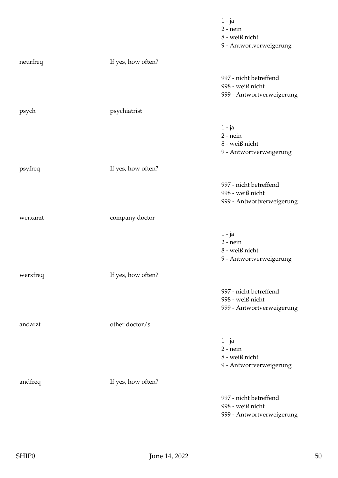|          |                    | $1 - ja$<br>$2$ - nein<br>8 - weiß nicht<br>9 - Antwortverweigerung     |
|----------|--------------------|-------------------------------------------------------------------------|
| neurfreq | If yes, how often? |                                                                         |
|          |                    | 997 - nicht betreffend<br>998 - weiß nicht<br>999 - Antwortverweigerung |
| psych    | psychiatrist       |                                                                         |
|          |                    | $1 - ja$<br>$2$ - nein<br>8 - weiß nicht<br>9 - Antwortverweigerung     |
| psyfreq  | If yes, how often? |                                                                         |
|          |                    | 997 - nicht betreffend<br>998 - weiß nicht<br>999 - Antwortverweigerung |
| werxarzt | company doctor     |                                                                         |
|          |                    | $1 - ja$<br>$2$ - nein<br>8 - weiß nicht<br>9 - Antwortverweigerung     |
| werxfreq | If yes, how often? |                                                                         |
|          |                    | 997 - nicht betreffend<br>998 - weiß nicht<br>999 - Antwortverweigerung |
| andarzt  | other doctor/s     |                                                                         |
|          |                    | $1 - ja$<br>$2$ - nein<br>8 - weiß nicht<br>9 - Antwortverweigerung     |
| andfreq  | If yes, how often? |                                                                         |
|          |                    | 997 - nicht betreffend<br>998 - weiß nicht<br>999 - Antwortverweigerung |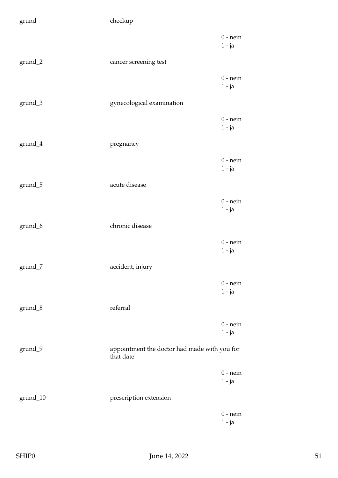| grund                                 | checkup                                                   |                        |
|---------------------------------------|-----------------------------------------------------------|------------------------|
|                                       |                                                           | $0$ - nein<br>$1 - ja$ |
| grund_2                               | cancer screening test                                     |                        |
|                                       |                                                           | $0$ - nein<br>$1 - ja$ |
| grund_3                               | gynecological examination                                 |                        |
|                                       |                                                           | $0$ - nein<br>$1 - ja$ |
| $grund_4$                             | pregnancy                                                 |                        |
|                                       |                                                           | $0$ - nein<br>$1 - ja$ |
| grund_5                               | acute disease                                             |                        |
|                                       |                                                           | $0$ - nein<br>$1 - ja$ |
| grund_6                               | chronic disease                                           |                        |
|                                       |                                                           | $0$ - nein<br>$1 - ja$ |
| $\mathop{\mathrm{grund}}\nolimits\_7$ | accident, injury                                          |                        |
|                                       |                                                           | $0$ - nein<br>$1 - ja$ |
| grund_8                               | referral                                                  |                        |
|                                       |                                                           | $0$ - nein<br>$1 - ja$ |
| grund_9                               | appointment the doctor had made with you for<br>that date |                        |
|                                       |                                                           | $0$ - nein<br>$1 - ja$ |
| grund_10                              | prescription extension                                    |                        |
|                                       |                                                           | $0$ - nein<br>$1 - ja$ |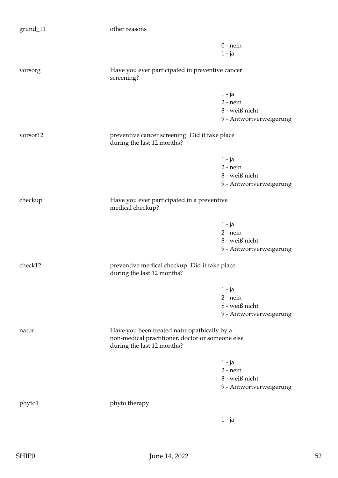| grund_11 | other reasons                                                                                                                 |                                                                     |
|----------|-------------------------------------------------------------------------------------------------------------------------------|---------------------------------------------------------------------|
|          |                                                                                                                               | $0$ - nein<br>$1 - ja$                                              |
| vorsorg  | Have you ever participated in preventive cancer<br>screening?                                                                 |                                                                     |
|          |                                                                                                                               | $1 - ja$<br>$2$ - nein<br>8 - weiß nicht<br>9 - Antwortverweigerung |
| vorsor12 | preventive cancer screening: Did it take place<br>during the last 12 months?                                                  |                                                                     |
|          |                                                                                                                               | $1 - ja$<br>$2$ - nein<br>8 - weiß nicht<br>9 - Antwortverweigerung |
| checkup  | Have you ever participated in a preventive<br>medical checkup?                                                                |                                                                     |
|          |                                                                                                                               | $1 - ja$<br>$2$ - nein<br>8 - weiß nicht<br>9 - Antwortverweigerung |
| check12  | preventive medical checkup: Did it take place<br>during the last 12 months?                                                   |                                                                     |
|          |                                                                                                                               | $1 - ja$<br>$2$ - nein<br>8 - weiß nicht<br>9 - Antwortverweigerung |
| natur    | Have you been treated naturopathically by a<br>non-medical practitioner, doctor or someone else<br>during the last 12 months? |                                                                     |
|          |                                                                                                                               | $1 - ja$<br>$2$ - nein<br>8 - weiß nicht<br>9 - Antwortverweigerung |
| phyto1   | phyto therapy                                                                                                                 |                                                                     |
|          |                                                                                                                               | $1 - ja$                                                            |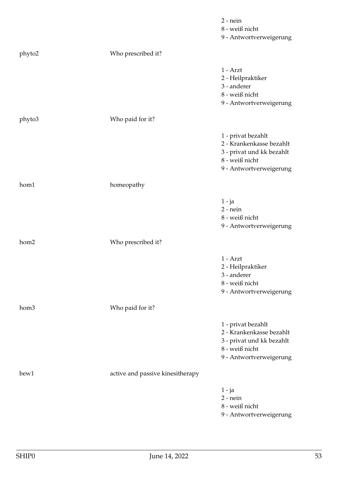|        |                                  | $2$ - nein<br>8 - weiß nicht<br>9 - Antwortverweigerung                                                                  |
|--------|----------------------------------|--------------------------------------------------------------------------------------------------------------------------|
| phyto2 | Who prescribed it?               |                                                                                                                          |
|        |                                  | $1 - Arzt$<br>2 - Heilpraktiker<br>3 - anderer<br>8 - weiß nicht<br>9 - Antwortverweigerung                              |
| phyto3 | Who paid for it?                 |                                                                                                                          |
|        |                                  | 1 - privat bezahlt<br>2 - Krankenkasse bezahlt<br>3 - privat und kk bezahlt<br>8 - weiß nicht<br>9 - Antwortverweigerung |
| hom1   | homeopathy                       |                                                                                                                          |
|        |                                  | $1 - ja$<br>$2$ - nein<br>8 - weiß nicht<br>9 - Antwortverweigerung                                                      |
| hom2   | Who prescribed it?               |                                                                                                                          |
|        |                                  | $1 - Arzt$<br>2 - Heilpraktiker<br>3 - anderer<br>8 - weiß nicht<br>9 - Antwortverweigerung                              |
| hom3   | Who paid for it?                 |                                                                                                                          |
|        |                                  | 1 - privat bezahlt<br>2 - Krankenkasse bezahlt<br>3 - privat und kk bezahlt<br>8 - weiß nicht<br>9 - Antwortverweigerung |
| bew1   | active and passive kinesitherapy |                                                                                                                          |
|        |                                  | 1 - ja<br>$2$ - nein<br>8 - weiß nicht<br>9 - Antwortverweigerung                                                        |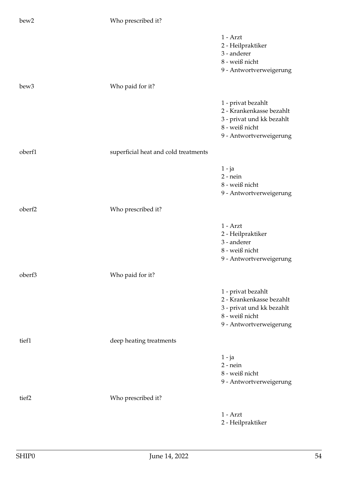| bew2             | Who prescribed it?                   |                                                                                                                          |
|------------------|--------------------------------------|--------------------------------------------------------------------------------------------------------------------------|
|                  |                                      | $1 - Arzt$<br>2 - Heilpraktiker<br>3 - anderer<br>8 - weiß nicht<br>9 - Antwortverweigerung                              |
| bew <sub>3</sub> | Who paid for it?                     |                                                                                                                          |
|                  |                                      | 1 - privat bezahlt<br>2 - Krankenkasse bezahlt<br>3 - privat und kk bezahlt<br>8 - weiß nicht<br>9 - Antwortverweigerung |
| oberf1           | superficial heat and cold treatments |                                                                                                                          |
|                  |                                      | 1 - ja<br>$2$ - nein<br>8 - weiß nicht<br>9 - Antwortverweigerung                                                        |
| oberf2           | Who prescribed it?                   |                                                                                                                          |
|                  |                                      | $1 - Arzt$<br>2 - Heilpraktiker<br>3 - anderer<br>8 - weiß nicht<br>9 - Antwortverweigerung                              |
| oberf3           | Who paid for it?                     |                                                                                                                          |
|                  |                                      | 1 - privat bezahlt<br>2 - Krankenkasse bezahlt<br>3 - privat und kk bezahlt<br>8 - weiß nicht<br>9 - Antwortverweigerung |
| tief1            | deep heating treatments              |                                                                                                                          |
|                  |                                      | $1 - ja$<br>$2$ - nein<br>8 - weiß nicht<br>9 - Antwortverweigerung                                                      |
| tief2            | Who prescribed it?                   |                                                                                                                          |
|                  |                                      | $1 - Arzt$<br>2 - Heilpraktiker                                                                                          |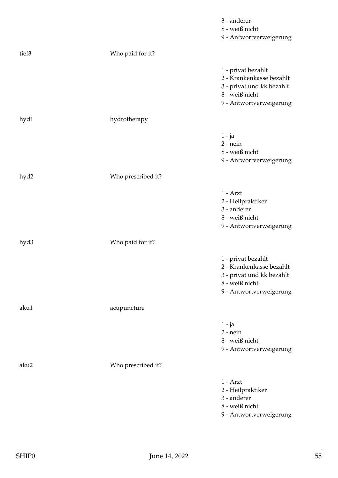|       |                    | 3 - anderer<br>8 - weiß nicht<br>9 - Antwortverweigerung                                                                 |
|-------|--------------------|--------------------------------------------------------------------------------------------------------------------------|
| tief3 | Who paid for it?   |                                                                                                                          |
|       |                    | 1 - privat bezahlt<br>2 - Krankenkasse bezahlt<br>3 - privat und kk bezahlt<br>8 - weiß nicht<br>9 - Antwortverweigerung |
| hyd1  | hydrotherapy       |                                                                                                                          |
|       |                    | 1 - ja<br>$2$ - nein<br>8 - weiß nicht<br>9 - Antwortverweigerung                                                        |
| hyd2  | Who prescribed it? |                                                                                                                          |
|       |                    | $1 - Arzt$<br>2 - Heilpraktiker<br>3 - anderer<br>$8$ - weiß nicht<br>9 - Antwortverweigerung                            |
| hyd3  | Who paid for it?   |                                                                                                                          |
|       |                    | 1 - privat bezahlt<br>2 - Krankenkasse bezahlt<br>3 - privat und kk bezahlt<br>8 - weiß nicht<br>9 - Antwortverweigerung |
| aku1  | acupuncture        |                                                                                                                          |
|       |                    | $1 - ja$<br>$2$ - nein<br>8 - weiß nicht<br>9 - Antwortverweigerung                                                      |
| aku2  | Who prescribed it? |                                                                                                                          |
|       |                    | $1 - Arzt$<br>2 - Heilpraktiker<br>3 - anderer<br>8 - weiß nicht<br>9 - Antwortverweigerung                              |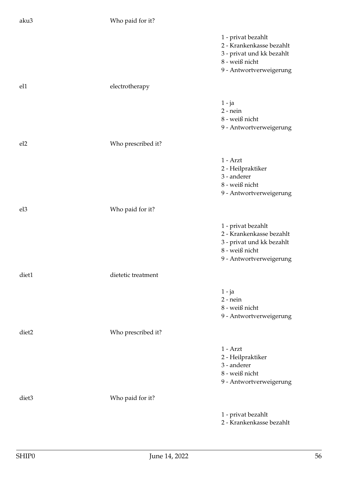| aku3              | Who paid for it?   |                                                                                                                          |
|-------------------|--------------------|--------------------------------------------------------------------------------------------------------------------------|
|                   |                    | 1 - privat bezahlt<br>2 - Krankenkasse bezahlt<br>3 - privat und kk bezahlt<br>8 - weiß nicht<br>9 - Antwortverweigerung |
| el1               | electrotherapy     |                                                                                                                          |
|                   |                    | $1 - ja$<br>$2$ - nein<br>8 - weiß nicht<br>9 - Antwortverweigerung                                                      |
| el <sub>2</sub>   | Who prescribed it? |                                                                                                                          |
|                   |                    | $1 - Arzt$<br>2 - Heilpraktiker<br>3 - anderer<br>8 - weiß nicht<br>9 - Antwortverweigerung                              |
| el <sub>3</sub>   | Who paid for it?   |                                                                                                                          |
|                   |                    | 1 - privat bezahlt<br>2 - Krankenkasse bezahlt<br>3 - privat und kk bezahlt<br>8 - weiß nicht<br>9 - Antwortverweigerung |
| diet1             | dietetic treatment |                                                                                                                          |
|                   |                    | $1 - ja$<br>$2$ - nein<br>8 - weiß nicht<br>9 - Antwortverweigerung                                                      |
| diet <sub>2</sub> | Who prescribed it? |                                                                                                                          |
|                   |                    | $1 - Arzt$<br>2 - Heilpraktiker<br>3 - anderer<br>8 - weiß nicht<br>9 - Antwortverweigerung                              |
| diet <sub>3</sub> | Who paid for it?   |                                                                                                                          |
|                   |                    | 1 - privat bezahlt<br>2 - Krankenkasse bezahlt                                                                           |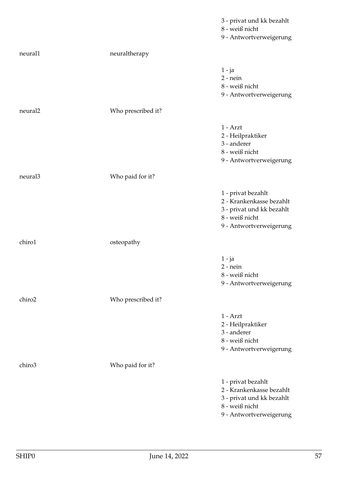|                     |                    | 3 - privat und kk bezahlt<br>8 - weiß nicht<br>9 - Antwortverweigerung                                                   |
|---------------------|--------------------|--------------------------------------------------------------------------------------------------------------------------|
| neural1             | neuraltherapy      |                                                                                                                          |
|                     |                    | $1 - ja$<br>$2$ - nein<br>8 - weiß nicht<br>9 - Antwortverweigerung                                                      |
| neural <sub>2</sub> | Who prescribed it? |                                                                                                                          |
|                     |                    | $1 - Arzt$<br>2 - Heilpraktiker<br>3 - anderer<br>8 - weiß nicht<br>9 - Antwortverweigerung                              |
| neural3             | Who paid for it?   |                                                                                                                          |
|                     |                    | 1 - privat bezahlt<br>2 - Krankenkasse bezahlt<br>3 - privat und kk bezahlt<br>8 - weiß nicht<br>9 - Antwortverweigerung |
| chiro1              | osteopathy         |                                                                                                                          |
|                     |                    | 1 - ja<br>$2$ - nein<br>8 - weiß nicht<br>9 - Antwortverweigerung                                                        |
| chiro <sub>2</sub>  | Who prescribed it? |                                                                                                                          |
|                     |                    | $1 - Arzt$<br>2 - Heilpraktiker<br>3 - anderer<br>$8$ - weiß nicht<br>9 - Antwortverweigerung                            |
| chiro3              | Who paid for it?   |                                                                                                                          |
|                     |                    | 1 - privat bezahlt<br>2 - Krankenkasse bezahlt<br>3 - privat und kk bezahlt<br>8 - weiß nicht<br>9 - Antwortverweigerung |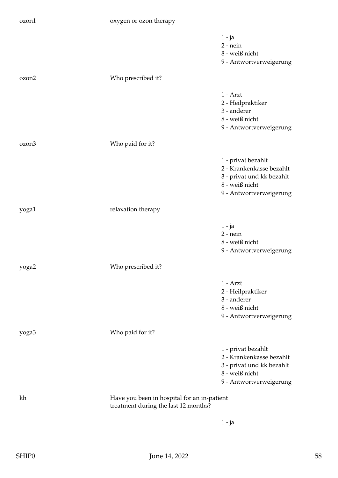## ozon1 oxygen or ozon therapy

|                   |                                                                                     | $1 - ja$                  |
|-------------------|-------------------------------------------------------------------------------------|---------------------------|
|                   |                                                                                     | $2$ - nein                |
|                   |                                                                                     | 8 - weiß nicht            |
|                   |                                                                                     | 9 - Antwortverweigerung   |
| ozon2             | Who prescribed it?                                                                  |                           |
|                   |                                                                                     | $1 - Arzt$                |
|                   |                                                                                     | 2 - Heilpraktiker         |
|                   |                                                                                     | 3 - anderer               |
|                   |                                                                                     | 8 - weiß nicht            |
|                   |                                                                                     | 9 - Antwortverweigerung   |
| ozon <sub>3</sub> | Who paid for it?                                                                    |                           |
|                   |                                                                                     | 1 - privat bezahlt        |
|                   |                                                                                     | 2 - Krankenkasse bezahlt  |
|                   |                                                                                     | 3 - privat und kk bezahlt |
|                   |                                                                                     | 8 - weiß nicht            |
|                   |                                                                                     | 9 - Antwortverweigerung   |
| yoga1             | relaxation therapy                                                                  |                           |
|                   |                                                                                     |                           |
|                   |                                                                                     | 1 - ja                    |
|                   |                                                                                     | $2$ - nein                |
|                   |                                                                                     | 8 - weiß nicht            |
|                   |                                                                                     | 9 - Antwortverweigerung   |
| yoga2             | Who prescribed it?                                                                  |                           |
|                   |                                                                                     | $1 - Arzt$                |
|                   |                                                                                     | 2 - Heilpraktiker         |
|                   |                                                                                     | 3 - anderer               |
|                   |                                                                                     | 8 - weiß nicht            |
|                   |                                                                                     | 9 - Antwortverweigerung   |
| yoga3             | Who paid for it?                                                                    |                           |
|                   |                                                                                     | 1 - privat bezahlt        |
|                   |                                                                                     | 2 - Krankenkasse bezahlt  |
|                   |                                                                                     | 3 - privat und kk bezahlt |
|                   |                                                                                     | 8 - weiß nicht            |
|                   |                                                                                     | 9 - Antwortverweigerung   |
| kh                | Have you been in hospital for an in-patient<br>treatment during the last 12 months? |                           |
|                   |                                                                                     |                           |
|                   |                                                                                     | 1 - ja                    |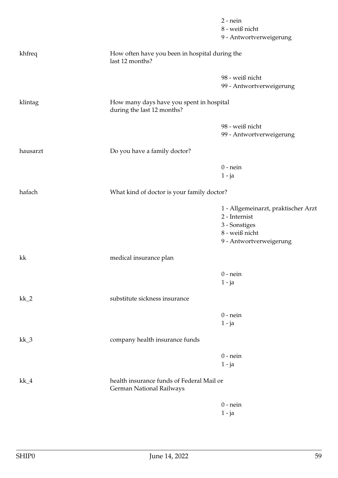|          |                                                                        | $2$ - nein<br>8 - weiß nicht        |
|----------|------------------------------------------------------------------------|-------------------------------------|
|          |                                                                        | 9 - Antwortverweigerung             |
| khfreq   | How often have you been in hospital during the<br>last 12 months?      |                                     |
|          |                                                                        | 98 - weiß nicht                     |
|          |                                                                        | 99 - Antwortverweigerung            |
| klintag  | How many days have you spent in hospital<br>during the last 12 months? |                                     |
|          |                                                                        | 98 - weiß nicht                     |
|          |                                                                        | 99 - Antwortverweigerung            |
| hausarzt | Do you have a family doctor?                                           |                                     |
|          |                                                                        | $0$ - nein                          |
|          |                                                                        | $1 - ja$                            |
| hafach   | What kind of doctor is your family doctor?                             |                                     |
|          |                                                                        | 1 - Allgemeinarzt, praktischer Arzt |
|          |                                                                        | 2 - Internist                       |
|          |                                                                        | 3 - Sonstiges<br>8 - weiß nicht     |
|          |                                                                        | 9 - Antwortverweigerung             |
| kk       | medical insurance plan                                                 |                                     |
|          |                                                                        | $0$ - nein                          |
|          |                                                                        | $1 - ja$                            |
| $kk_2$   | substitute sickness insurance                                          |                                     |
|          |                                                                        | $0$ - nein                          |
|          |                                                                        | $1 - ja$                            |
| $kk_3$   | company health insurance funds                                         |                                     |
|          |                                                                        | $0$ - nein                          |
|          |                                                                        | $1 - ja$                            |
| $kk_4$   | health insurance funds of Federal Mail or<br>German National Railways  |                                     |
|          |                                                                        | $0$ - nein                          |
|          |                                                                        | $1 - ja$                            |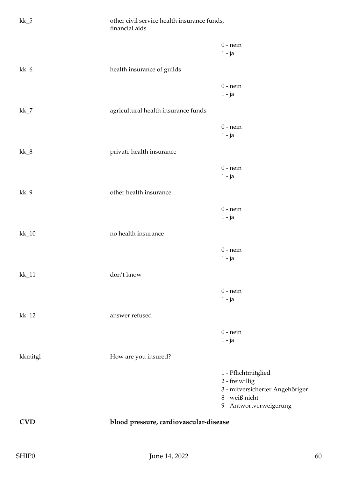| $kk_5$       | financial aids                      | other civil service health insurance funds, |  |
|--------------|-------------------------------------|---------------------------------------------|--|
|              |                                     | $0$ - nein<br>$1 - ja$                      |  |
| $kk_6$       | health insurance of guilds          |                                             |  |
|              |                                     | $0$ - nein                                  |  |
|              |                                     | $1 - ja$                                    |  |
| $kk_7$       | agricultural health insurance funds |                                             |  |
|              |                                     | $0$ - nein                                  |  |
|              |                                     | $1 - ja$                                    |  |
| $kk_8$       | private health insurance            |                                             |  |
|              |                                     | $0$ - nein                                  |  |
|              |                                     | $1 - ja$                                    |  |
| $kk_9$       | other health insurance              |                                             |  |
|              |                                     | $0$ - nein                                  |  |
|              |                                     | $1 - ja$                                    |  |
| $kk_10$      | no health insurance                 |                                             |  |
|              |                                     | $0$ - nein                                  |  |
|              |                                     | $1 - ja$                                    |  |
| $\rm kk\_11$ | don't know                          |                                             |  |
|              |                                     | $0$ - nein                                  |  |
|              |                                     | $1 - ja$                                    |  |
| $kk_12$      | answer refused                      |                                             |  |
|              |                                     | $0$ - nein                                  |  |
|              |                                     | $1 - ja$                                    |  |
| kkmitgl      | How are you insured?                |                                             |  |
|              |                                     | 1 - Pflichtmitglied                         |  |
|              |                                     | 2 - freiwillig                              |  |
|              |                                     | 3 - mitversicherter Angehöriger             |  |
|              |                                     | 8 - weiß nicht                              |  |
|              |                                     | 9 - Antwortverweigerung                     |  |
| <b>CVD</b>   |                                     | blood pressure, cardiovascular-disease      |  |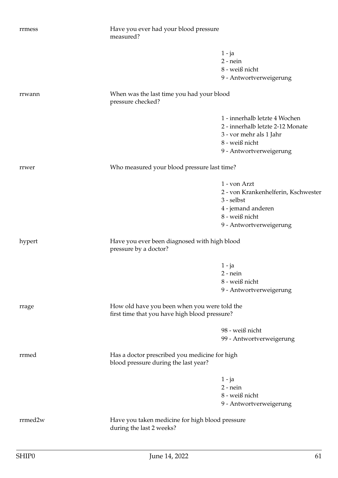| rrmess  | Have you ever had your blood pressure<br>measured?                                    |                                     |
|---------|---------------------------------------------------------------------------------------|-------------------------------------|
|         |                                                                                       | $1 - ja$                            |
|         |                                                                                       | $2$ - nein                          |
|         |                                                                                       | 8 - weiß nicht                      |
|         |                                                                                       | 9 - Antwortverweigerung             |
| rrwann  | When was the last time you had your blood<br>pressure checked?                        |                                     |
|         |                                                                                       | 1 - innerhalb letzte 4 Wochen       |
|         |                                                                                       | 2 - innerhalb letzte 2-12 Monate    |
|         |                                                                                       | 3 - vor mehr als 1 Jahr             |
|         |                                                                                       | 8 - weiß nicht                      |
|         |                                                                                       | 9 - Antwortverweigerung             |
| rrwer   | Who measured your blood pressure last time?                                           |                                     |
|         |                                                                                       | 1 - von Arzt                        |
|         |                                                                                       | 2 - von Krankenhelferin, Kschwester |
|         |                                                                                       | 3 - selbst                          |
|         |                                                                                       | 4 - jemand anderen                  |
|         |                                                                                       | 8 - weiß nicht                      |
|         |                                                                                       | 9 - Antwortverweigerung             |
|         |                                                                                       |                                     |
| hypert  | Have you ever been diagnosed with high blood<br>pressure by a doctor?                 |                                     |
|         |                                                                                       | $1 - ja$                            |
|         |                                                                                       | $2$ - nein                          |
|         |                                                                                       | 8 - weiß nicht                      |
|         |                                                                                       | 9 - Antwortverweigerung             |
| rrage   | How old have you been when you were told the                                          |                                     |
|         | first time that you have high blood pressure?                                         |                                     |
|         |                                                                                       | 98 - weiß nicht                     |
|         |                                                                                       | 99 - Antwortverweigerung            |
| rrmed   | Has a doctor prescribed you medicine for high<br>blood pressure during the last year? |                                     |
|         |                                                                                       | $1 - ja$                            |
|         |                                                                                       | $2$ - nein                          |
|         |                                                                                       | 8 - weiß nicht                      |
|         |                                                                                       | 9 - Antwortverweigerung             |
| rrmed2w | Have you taken medicine for high blood pressure<br>during the last 2 weeks?           |                                     |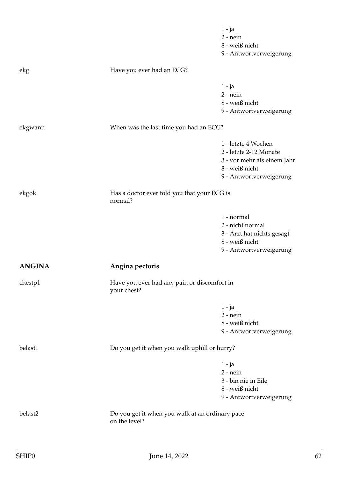|               |                                                                  | $1 - ja$<br>$2$ - nein<br>8 - weiß nicht<br>9 - Antwortverweigerung                                                       |
|---------------|------------------------------------------------------------------|---------------------------------------------------------------------------------------------------------------------------|
| ekg           | Have you ever had an ECG?                                        |                                                                                                                           |
|               |                                                                  | $1 - ja$<br>$2 - nein$<br>8 - weiß nicht<br>9 - Antwortverweigerung                                                       |
| ekgwann       | When was the last time you had an ECG?                           |                                                                                                                           |
|               |                                                                  | 1 - letzte 4 Wochen<br>2 - letzte 2-12 Monate<br>3 - vor mehr als einem Jahr<br>8 - weiß nicht<br>9 - Antwortverweigerung |
| ekgok         | Has a doctor ever told you that your ECG is<br>normal?           |                                                                                                                           |
|               |                                                                  | 1 - normal<br>2 - nicht normal<br>3 - Arzt hat nichts gesagt<br>8 - weiß nicht<br>9 - Antwortverweigerung                 |
| <b>ANGINA</b> | Angina pectoris                                                  |                                                                                                                           |
| chestp1       | Have you ever had any pain or discomfort in<br>your chest?       |                                                                                                                           |
|               |                                                                  | $1 - ja$<br>$2$ - nein<br>8 - weiß nicht<br>9 - Antwortverweigerung                                                       |
| belast1       | Do you get it when you walk uphill or hurry?                     |                                                                                                                           |
|               |                                                                  | $1 - ja$<br>$2$ - nein<br>3 - bin nie in Eile<br>8 - weiß nicht<br>9 - Antwortverweigerung                                |
| belast2       | Do you get it when you walk at an ordinary pace<br>on the level? |                                                                                                                           |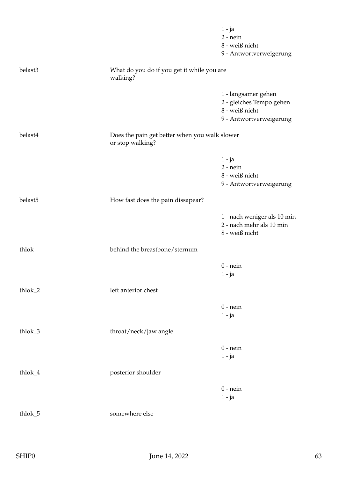|         |                                                                   | $1 - ja$<br>$2$ - nein<br>8 - weiß nicht<br>9 - Antwortverweigerung                          |
|---------|-------------------------------------------------------------------|----------------------------------------------------------------------------------------------|
| belast3 | What do you do if you get it while you are<br>walking?            |                                                                                              |
|         |                                                                   | 1 - langsamer gehen<br>2 - gleiches Tempo gehen<br>8 - weiß nicht<br>9 - Antwortverweigerung |
| belast4 | Does the pain get better when you walk slower<br>or stop walking? |                                                                                              |
|         |                                                                   | $1 - ja$<br>$2$ - nein<br>8 - weiß nicht<br>9 - Antwortverweigerung                          |
| belast5 | How fast does the pain dissapear?                                 |                                                                                              |
|         |                                                                   | 1 - nach weniger als 10 min<br>2 - nach mehr als 10 min<br>8 - weiß nicht                    |
| thlok   | behind the breastbone/sternum                                     |                                                                                              |
|         |                                                                   | $0$ - nein<br>$1 - ja$                                                                       |
| thlok_2 | left anterior chest                                               |                                                                                              |
|         |                                                                   | $0$ - nein<br>$1 - ja$                                                                       |
| thlok_3 | throat/neck/jaw angle                                             |                                                                                              |
|         |                                                                   | $0$ - nein<br>$1 - ja$                                                                       |
| thlok_4 | posterior shoulder                                                |                                                                                              |
|         |                                                                   | $0$ - nein<br>$1 - ja$                                                                       |
| thlok_5 | somewhere else                                                    |                                                                                              |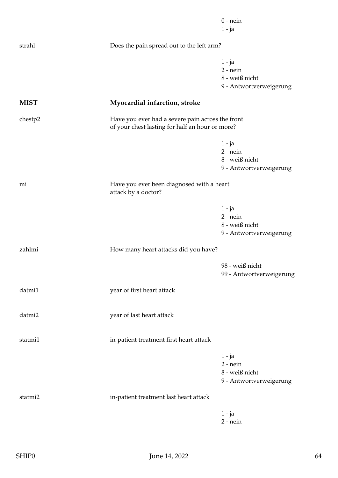|             |                                                                                                     | $0$ - nein<br>$1 - ja$                                              |
|-------------|-----------------------------------------------------------------------------------------------------|---------------------------------------------------------------------|
| strahl      | Does the pain spread out to the left arm?                                                           |                                                                     |
|             |                                                                                                     | $1 - ja$<br>$2$ - nein<br>8 - weiß nicht<br>9 - Antwortverweigerung |
| <b>MIST</b> | Myocardial infarction, stroke                                                                       |                                                                     |
| chestp2     | Have you ever had a severe pain across the front<br>of your chest lasting for half an hour or more? |                                                                     |
|             |                                                                                                     | $1 - ja$<br>$2$ - nein<br>8 - weiß nicht<br>9 - Antwortverweigerung |
| mi          | Have you ever been diagnosed with a heart<br>attack by a doctor?                                    |                                                                     |
|             |                                                                                                     | $1 - ja$<br>$2 - nein$<br>8 - weiß nicht<br>9 - Antwortverweigerung |
| zahlmi      | How many heart attacks did you have?                                                                |                                                                     |
|             |                                                                                                     | 98 - weiß nicht<br>99 - Antwortverweigerung                         |
| datmi1      | year of first heart attack                                                                          |                                                                     |
| datmi2      | year of last heart attack                                                                           |                                                                     |
| statmi1     | in-patient treatment first heart attack                                                             |                                                                     |
|             |                                                                                                     | $1 - ja$<br>$2$ - nein<br>8 - weiß nicht<br>9 - Antwortverweigerung |
| statmi2     | in-patient treatment last heart attack                                                              |                                                                     |
|             |                                                                                                     | $1 - ja$<br>$2$ - nein                                              |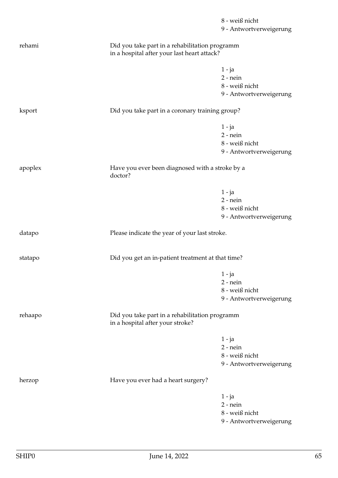|         |                                                                                               | 8 - weiß nicht          |
|---------|-----------------------------------------------------------------------------------------------|-------------------------|
|         |                                                                                               | 9 - Antwortverweigerung |
| rehami  | Did you take part in a rehabilitation programm<br>in a hospital after your last heart attack? |                         |
|         |                                                                                               | $1 - ja$                |
|         |                                                                                               | $2$ - nein              |
|         |                                                                                               | $8$ - weiß nicht        |
|         |                                                                                               | 9 - Antwortverweigerung |
| ksport  | Did you take part in a coronary training group?                                               |                         |
|         |                                                                                               | $1 - ja$                |
|         |                                                                                               | $2$ - nein              |
|         |                                                                                               | $8$ - weiß nicht        |
|         |                                                                                               | 9 - Antwortverweigerung |
| apoplex | Have you ever been diagnosed with a stroke by a<br>doctor?                                    |                         |
|         |                                                                                               | $1 - ja$                |
|         |                                                                                               | $2$ - nein              |
|         |                                                                                               | 8 - weiß nicht          |
|         |                                                                                               | 9 - Antwortverweigerung |
| datapo  | Please indicate the year of your last stroke.                                                 |                         |
| statapo | Did you get an in-patient treatment at that time?                                             |                         |
|         |                                                                                               | $1 - ja$                |
|         |                                                                                               | $2$ - nein              |
|         |                                                                                               | 8 - weiß nicht          |
|         |                                                                                               | 9 - Antwortverweigerung |
| rehaapo | Did you take part in a rehabilitation programm<br>in a hospital after your stroke?            |                         |
|         |                                                                                               | $1 - ja$                |
|         |                                                                                               | $2$ - nein              |
|         |                                                                                               | 8 - weiß nicht          |
|         |                                                                                               | 9 - Antwortverweigerung |
| herzop  | Have you ever had a heart surgery?                                                            |                         |
|         |                                                                                               | $1 - ja$                |
|         |                                                                                               | $2$ - nein              |
|         |                                                                                               | $8$ - weiß nicht        |
|         |                                                                                               | 9 - Antwortverweigerung |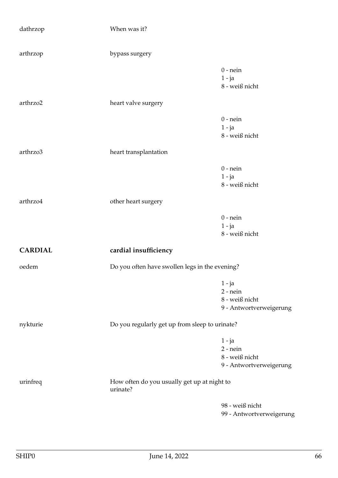| dathrzop       | When was it?                                            |                                                                     |
|----------------|---------------------------------------------------------|---------------------------------------------------------------------|
| arthrzop       | bypass surgery                                          |                                                                     |
|                |                                                         | $0$ - nein<br>$1 - ja$<br>8 - weiß nicht                            |
| arthrzo2       | heart valve surgery                                     |                                                                     |
|                |                                                         | $0$ - nein<br>$1 - ja$<br>8 - weiß nicht                            |
| arthrzo3       | heart transplantation                                   |                                                                     |
|                |                                                         | $0$ - nein<br>$1 - ja$<br>8 - weiß nicht                            |
| arthrzo4       | other heart surgery                                     |                                                                     |
|                |                                                         | $0$ - nein<br>$1 - ja$<br>8 - weiß nicht                            |
| <b>CARDIAL</b> | cardial insufficiency                                   |                                                                     |
| oedem          | Do you often have swollen legs in the evening?          |                                                                     |
|                |                                                         | $1 - ja$<br>$2$ - nein<br>8 - weiß nicht<br>9 - Antwortverweigerung |
| nykturie       | Do you regularly get up from sleep to urinate?          |                                                                     |
|                |                                                         | $1 - ja$<br>$2$ - nein<br>8 - weiß nicht<br>9 - Antwortverweigerung |
| urinfreq       | How often do you usually get up at night to<br>urinate? |                                                                     |
|                |                                                         | 98 - weiß nicht<br>99 - Antwortverweigerung                         |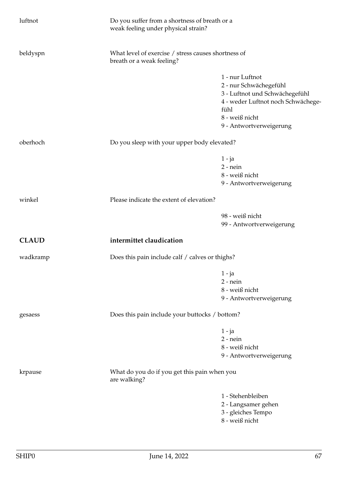| luftnot      | Do you suffer from a shortness of breath or a<br>weak feeling under physical strain? |                                                     |  |
|--------------|--------------------------------------------------------------------------------------|-----------------------------------------------------|--|
| beldyspn     | breath or a weak feeling?                                                            | What level of exercise / stress causes shortness of |  |
|              |                                                                                      | 1 - nur Luftnot                                     |  |
|              |                                                                                      | 2 - nur Schwächegefühl                              |  |
|              |                                                                                      | 3 - Luftnot und Schwächegefühl                      |  |
|              |                                                                                      | 4 - weder Luftnot noch Schwächege-                  |  |
|              |                                                                                      | fühl                                                |  |
|              |                                                                                      | 8 - weiß nicht                                      |  |
|              |                                                                                      | 9 - Antwortverweigerung                             |  |
| oberhoch     | Do you sleep with your upper body elevated?                                          |                                                     |  |
|              |                                                                                      | $1 - ja$                                            |  |
|              |                                                                                      | $2$ - nein                                          |  |
|              |                                                                                      | 8 - weiß nicht                                      |  |
|              |                                                                                      | 9 - Antwortverweigerung                             |  |
| winkel       | Please indicate the extent of elevation?                                             |                                                     |  |
|              |                                                                                      | 98 - weiß nicht                                     |  |
|              |                                                                                      | 99 - Antwortverweigerung                            |  |
| <b>CLAUD</b> | intermittet claudication                                                             |                                                     |  |
| wadkramp     | Does this pain include calf / calves or thighs?                                      |                                                     |  |
|              |                                                                                      | $1 - ja$                                            |  |
|              |                                                                                      | $2$ - nein                                          |  |
|              |                                                                                      | 8 - weiß nicht                                      |  |
|              |                                                                                      | 9 - Antwortverweigerung                             |  |
| gesaess      | Does this pain include your buttocks / bottom?                                       |                                                     |  |
|              |                                                                                      | $1 - ja$                                            |  |
|              |                                                                                      | $2$ - nein                                          |  |
|              |                                                                                      | 8 - weiß nicht                                      |  |
|              |                                                                                      | 9 - Antwortverweigerung                             |  |
| krpause      | What do you do if you get this pain when you<br>are walking?                         |                                                     |  |
|              |                                                                                      | 1 - Stehenbleiben                                   |  |
|              |                                                                                      | 2 - Langsamer gehen                                 |  |
|              |                                                                                      | 3 - gleiches Tempo                                  |  |
|              |                                                                                      | 8 - weiß nicht                                      |  |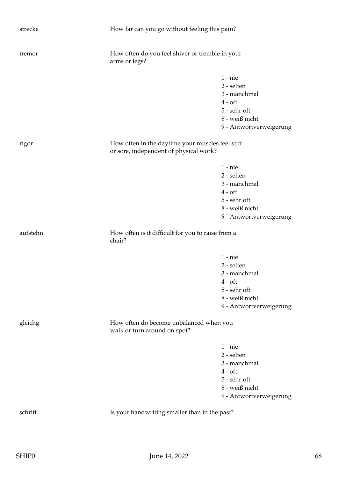| strecke  | How far can you go without feeling this pain?                                              |                                                                                                                    |  |
|----------|--------------------------------------------------------------------------------------------|--------------------------------------------------------------------------------------------------------------------|--|
| tremor   | How often do you feel shiver or tremble in your<br>arms or legs?                           |                                                                                                                    |  |
|          |                                                                                            | $1 - nie$<br>2 - selten<br>3 - manchmal<br>$4 - of t$<br>5 - sehr oft<br>8 - weiß nicht<br>9 - Antwortverweigerung |  |
| rigor    | How often in the daytime your muscles feel stiff<br>or sore, independent of physical work? |                                                                                                                    |  |
|          |                                                                                            | $1 - nie$<br>2 - selten<br>3 - manchmal<br>$4 - of t$<br>5 - sehr oft<br>8 - weiß nicht<br>9 - Antwortverweigerung |  |
| aufstehn | How often is it difficult for you to raise from a<br>chair?                                |                                                                                                                    |  |
|          |                                                                                            | $1 - nie$<br>2 - selten<br>3 - manchmal<br>$4 - of t$<br>5 - sehr oft<br>8 - weiß nicht<br>9 - Antwortverweigerung |  |
| gleichg  | How often do become unbalanced when you<br>walk or turn around on spot?                    |                                                                                                                    |  |
|          |                                                                                            | $1 - nie$<br>2 - selten<br>3 - manchmal<br>$4 - of t$<br>5 - sehr oft<br>8 - weiß nicht<br>9 - Antwortverweigerung |  |
| schrift  | Is your handwriting smaller than in the past?                                              |                                                                                                                    |  |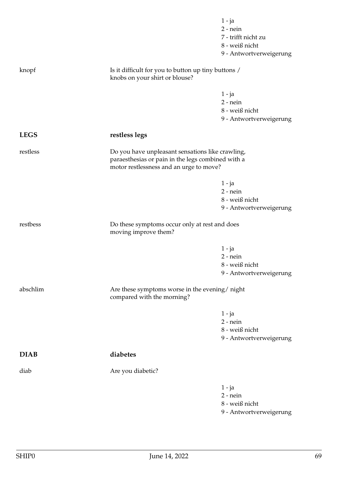|             |                                                                                                                                                  | $1 - ja$<br>$2$ - nein                    |
|-------------|--------------------------------------------------------------------------------------------------------------------------------------------------|-------------------------------------------|
|             |                                                                                                                                                  | 7 - trifft nicht zu                       |
|             |                                                                                                                                                  | 8 - weiß nicht                            |
|             |                                                                                                                                                  | 9 - Antwortverweigerung                   |
| knopf       | Is it difficult for you to button up tiny buttons /<br>knobs on your shirt or blouse?                                                            |                                           |
|             |                                                                                                                                                  | $1 - ja$                                  |
|             |                                                                                                                                                  | $2$ - nein                                |
|             |                                                                                                                                                  | 8 - weiß nicht                            |
|             |                                                                                                                                                  | 9 - Antwortverweigerung                   |
| <b>LEGS</b> | restless legs                                                                                                                                    |                                           |
| restless    | Do you have unpleasant sensations like crawling,<br>paraesthesias or pain in the legs combined with a<br>motor restlessness and an urge to move? |                                           |
|             |                                                                                                                                                  | $1 - ja$                                  |
|             |                                                                                                                                                  | $2$ - nein                                |
|             |                                                                                                                                                  | 8 - weiß nicht                            |
|             |                                                                                                                                                  | 9 - Antwortverweigerung                   |
| restbess    | Do these symptoms occur only at rest and does<br>moving improve them?                                                                            |                                           |
|             |                                                                                                                                                  | $1 - ja$                                  |
|             |                                                                                                                                                  | $2$ - nein                                |
|             |                                                                                                                                                  |                                           |
|             |                                                                                                                                                  | 8 - weiß nicht                            |
|             |                                                                                                                                                  | 9 - Antwortverweigerung                   |
| abschlim    | Are these symptoms worse in the evening/night<br>compared with the morning?                                                                      |                                           |
|             |                                                                                                                                                  |                                           |
|             |                                                                                                                                                  | $1 - ja$<br>$2$ - nein                    |
|             |                                                                                                                                                  | 8 - weiß nicht                            |
|             |                                                                                                                                                  | 9 - Antwortverweigerung                   |
| <b>DIAB</b> | diabetes                                                                                                                                         |                                           |
| diab        | Are you diabetic?                                                                                                                                |                                           |
|             |                                                                                                                                                  | $1 - ja$                                  |
|             |                                                                                                                                                  | $2$ - nein                                |
|             |                                                                                                                                                  | 8 - weiß nicht<br>9 - Antwortverweigerung |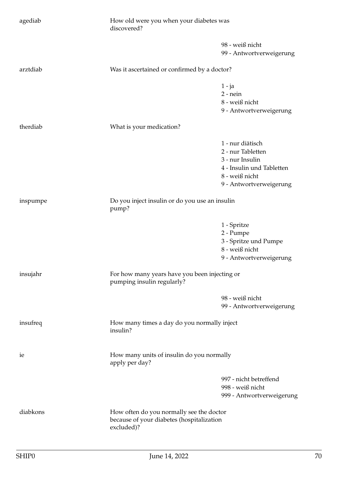| agediab  | How old were you when your diabetes was<br>discovered?                                              |                                                                                                                                    |
|----------|-----------------------------------------------------------------------------------------------------|------------------------------------------------------------------------------------------------------------------------------------|
|          |                                                                                                     | 98 - weiß nicht<br>99 - Antwortverweigerung                                                                                        |
| arztdiab | Was it ascertained or confirmed by a doctor?                                                        |                                                                                                                                    |
|          |                                                                                                     | $1 - ja$<br>$2$ - nein<br>8 - weiß nicht<br>9 - Antwortverweigerung                                                                |
| therdiab | What is your medication?                                                                            |                                                                                                                                    |
|          |                                                                                                     | 1 - nur diätisch<br>2 - nur Tabletten<br>3 - nur Insulin<br>4 - Insulin und Tabletten<br>8 - weiß nicht<br>9 - Antwortverweigerung |
| inspumpe | Do you inject insulin or do you use an insulin<br>pump?                                             |                                                                                                                                    |
|          |                                                                                                     | 1 - Spritze<br>2 - Pumpe<br>3 - Spritze und Pumpe<br>8 - weiß nicht<br>9 - Antwortverweigerung                                     |
| insujahr | For how many years have you been injecting or<br>pumping insulin regularly?                         |                                                                                                                                    |
|          |                                                                                                     | 98 - weiß nicht<br>99 - Antwortverweigerung                                                                                        |
| insufreq | How many times a day do you normally inject<br>insulin?                                             |                                                                                                                                    |
| ie       | How many units of insulin do you normally<br>apply per day?                                         |                                                                                                                                    |
|          |                                                                                                     | 997 - nicht betreffend<br>998 - weiß nicht<br>999 - Antwortverweigerung                                                            |
| diabkons | How often do you normally see the doctor<br>because of your diabetes (hospitalization<br>excluded)? |                                                                                                                                    |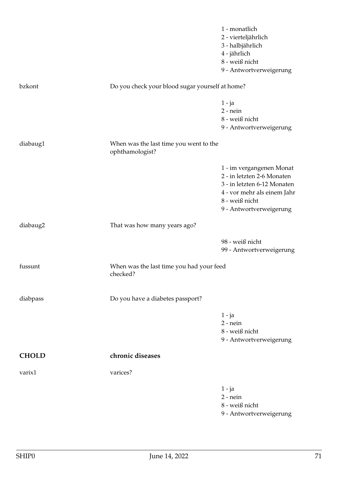|              |                                                           | 1 - monatlich<br>2 - vierteljährlich<br>3 - halbjährlich<br>4 - jährlich<br>8 - weiß nicht<br>9 - Antwortverweigerung                                             |
|--------------|-----------------------------------------------------------|-------------------------------------------------------------------------------------------------------------------------------------------------------------------|
| bzkont       | Do you check your blood sugar yourself at home?           |                                                                                                                                                                   |
|              |                                                           | $1 - ja$<br>$2$ - nein<br>8 - weiß nicht<br>9 - Antwortverweigerung                                                                                               |
| diabaug1     | When was the last time you went to the<br>ophthamologist? |                                                                                                                                                                   |
|              |                                                           | 1 - im vergangenen Monat<br>2 - in letzten 2-6 Monaten<br>3 - in letzten 6-12 Monaten<br>4 - vor mehr als einem Jahr<br>8 - weiß nicht<br>9 - Antwortverweigerung |
| diabaug2     | That was how many years ago?                              |                                                                                                                                                                   |
|              |                                                           | 98 - weiß nicht<br>99 - Antwortverweigerung                                                                                                                       |
| fussunt      | When was the last time you had your feed<br>checked?      |                                                                                                                                                                   |
| diabpass     | Do you have a diabetes passport?                          |                                                                                                                                                                   |
|              |                                                           | $1 - ja$<br>$2$ - nein<br>8 - weiß nicht<br>9 - Antwortverweigerung                                                                                               |
| <b>CHOLD</b> | chronic diseases                                          |                                                                                                                                                                   |
| varix1       | varices?                                                  |                                                                                                                                                                   |
|              |                                                           | $1 - ja$<br>$2$ - nein<br>8 - weiß nicht<br>9 - Antwortverweigerung                                                                                               |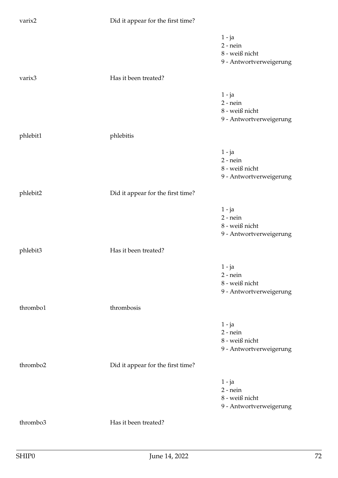| varix2   | Did it appear for the first time? |                                                                       |
|----------|-----------------------------------|-----------------------------------------------------------------------|
|          |                                   | $1 - ja$<br>$2$ - nein<br>8 - weiß nicht<br>9 - Antwortverweigerung   |
| varix3   | Has it been treated?              |                                                                       |
|          |                                   | $1 - ja$<br>$2$ - nein<br>8 - weiß nicht<br>9 - Antwortverweigerung   |
| phlebit1 | phlebitis                         |                                                                       |
|          |                                   | $1 - ja$<br>$2$ - nein<br>8 - weiß nicht<br>9 - Antwortverweigerung   |
| phlebit2 | Did it appear for the first time? |                                                                       |
|          |                                   | $1 - ja$<br>$2$ - nein<br>$8$ - weiß nicht<br>9 - Antwortverweigerung |
| phlebit3 | Has it been treated?              |                                                                       |
|          |                                   | $1 - ja$<br>$2$ - nein<br>8 - weiß nicht<br>9 - Antwortverweigerung   |
| thrombo1 | thrombosis                        |                                                                       |
|          |                                   | $1 - ja$<br>$2$ - nein<br>8 - weiß nicht<br>9 - Antwortverweigerung   |
| thrombo2 | Did it appear for the first time? |                                                                       |
|          |                                   | $1 - ja$<br>$2$ - nein<br>8 - weiß nicht<br>9 - Antwortverweigerung   |
| thrombo3 | Has it been treated?              |                                                                       |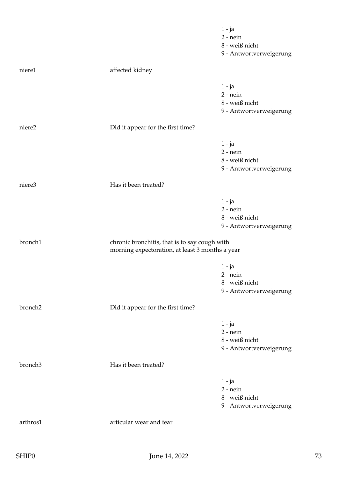|                     |                                                 | $1 - ja$                |
|---------------------|-------------------------------------------------|-------------------------|
|                     |                                                 | $2$ - nein              |
|                     |                                                 | 8 - weiß nicht          |
|                     |                                                 | 9 - Antwortverweigerung |
| niere1              | affected kidney                                 |                         |
|                     |                                                 | $1 - ja$                |
|                     |                                                 | $2$ - nein              |
|                     |                                                 | $8$ - weiß nicht        |
|                     |                                                 | 9 - Antwortverweigerung |
| niere2              | Did it appear for the first time?               |                         |
|                     |                                                 | $1 - ja$                |
|                     |                                                 | $2$ - nein              |
|                     |                                                 | $8$ - weiß nicht        |
|                     |                                                 | 9 - Antwortverweigerung |
| niere3              | Has it been treated?                            |                         |
|                     |                                                 | $1 - ja$                |
|                     |                                                 | $2$ - nein              |
|                     |                                                 | 8 - weiß nicht          |
|                     |                                                 | 9 - Antwortverweigerung |
| bronch1             | chronic bronchitis, that is to say cough with   |                         |
|                     | morning expectoration, at least 3 months a year |                         |
|                     |                                                 | $1 - ja$                |
|                     |                                                 | $2$ - nein              |
|                     |                                                 | $8$ - weiß nicht        |
|                     |                                                 | 9 - Antwortverweigerung |
| bronch <sub>2</sub> | Did it appear for the first time?               |                         |
|                     |                                                 | $1 - ja$                |
|                     |                                                 | $2$ - nein              |
|                     |                                                 | 8 - weiß nicht          |
|                     |                                                 | 9 - Antwortverweigerung |
| bronch <sub>3</sub> | Has it been treated?                            |                         |
|                     |                                                 | $1 - ja$                |
|                     |                                                 | $2$ - nein              |
|                     |                                                 | 8 - weiß nicht          |
|                     |                                                 |                         |
|                     |                                                 | 9 - Antwortverweigerung |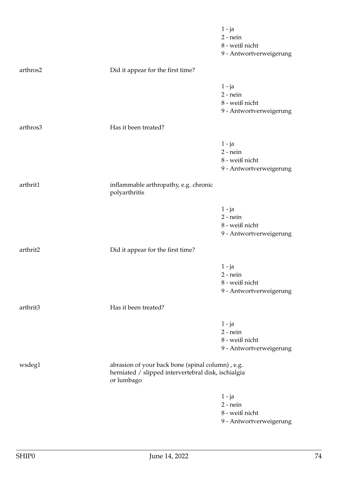|          |                                                                                                                       | $1 - ja$<br>$2$ - nein<br>8 - weiß nicht<br>9 - Antwortverweigerung |
|----------|-----------------------------------------------------------------------------------------------------------------------|---------------------------------------------------------------------|
| arthros2 | Did it appear for the first time?                                                                                     |                                                                     |
|          |                                                                                                                       | $1 - ja$<br>$2$ - nein<br>8 - weiß nicht<br>9 - Antwortverweigerung |
| arthros3 | Has it been treated?                                                                                                  |                                                                     |
|          |                                                                                                                       | $1 - ja$<br>$2$ - nein<br>8 - weiß nicht<br>9 - Antwortverweigerung |
| arthrit1 | inflammable arthropathy, e.g. chronic<br>polyarthritis                                                                |                                                                     |
|          |                                                                                                                       | $1 - ja$<br>$2$ - nein<br>8 - weiß nicht<br>9 - Antwortverweigerung |
| arthrit2 | Did it appear for the first time?                                                                                     |                                                                     |
|          |                                                                                                                       | $1 - ja$<br>$2$ - nein<br>8 - weiß nicht<br>9 - Antwortverweigerung |
| arthrit3 | Has it been treated?                                                                                                  |                                                                     |
|          |                                                                                                                       | $1 - ja$<br>$2$ - nein<br>8 - weiß nicht<br>9 - Antwortverweigerung |
| wsdeg1   | abrasion of your back bone (spinal column), e.g.<br>herniated / slipped intervertebral disk, ischialgia<br>or lumbago |                                                                     |
|          |                                                                                                                       | $1 - ja$<br>$2$ - nein<br>8 - weiß nicht<br>9 - Antwortverweigerung |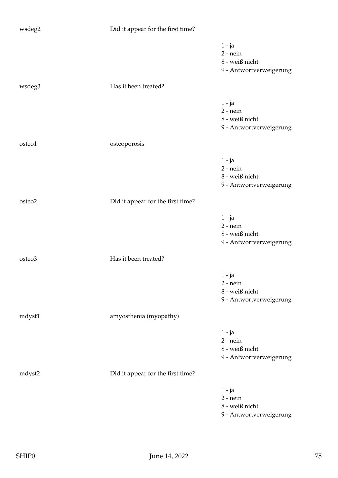| wsdeg2 | Did it appear for the first time? |                                                                     |
|--------|-----------------------------------|---------------------------------------------------------------------|
|        |                                   | $1 - ja$<br>$2$ - nein<br>8 - weiß nicht<br>9 - Antwortverweigerung |
| wsdeg3 | Has it been treated?              |                                                                     |
|        |                                   | $1 - ja$<br>$2$ - nein<br>8 - weiß nicht<br>9 - Antwortverweigerung |
| osteo1 | osteoporosis                      |                                                                     |
|        |                                   | $1 - ja$<br>$2$ - nein<br>8 - weiß nicht<br>9 - Antwortverweigerung |
| osteo2 | Did it appear for the first time? |                                                                     |
|        |                                   | 1 - ja<br>$2$ - nein<br>8 - weiß nicht<br>9 - Antwortverweigerung   |
| osteo3 | Has it been treated?              |                                                                     |
|        |                                   | 1 - ja<br>$2$ - nein<br>8 - weiß nicht<br>9 - Antwortverweigerung   |
| mdyst1 | amyosthenia (myopathy)            |                                                                     |
|        |                                   | $1 - ja$<br>$2$ - nein<br>8 - weiß nicht<br>9 - Antwortverweigerung |
| mdyst2 | Did it appear for the first time? |                                                                     |
|        |                                   | $1 - ja$<br>$2$ - nein<br>8 - weiß nicht<br>9 - Antwortverweigerung |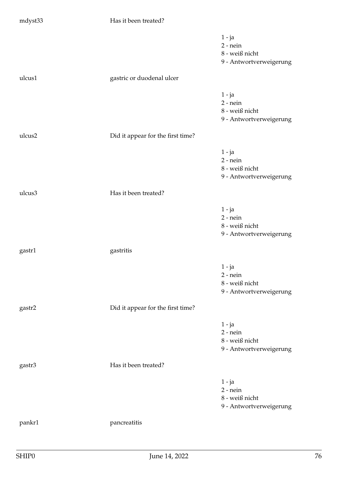| mdyst33 | Has it been treated?              |                                                                       |
|---------|-----------------------------------|-----------------------------------------------------------------------|
|         |                                   | $1 - ja$<br>$2$ - nein<br>8 - weiß nicht<br>9 - Antwortverweigerung   |
| ulcus1  | gastric or duodenal ulcer         |                                                                       |
|         |                                   | $1 - ja$<br>$2$ - nein<br>8 - weiß nicht<br>9 - Antwortverweigerung   |
| ulcus2  | Did it appear for the first time? |                                                                       |
|         |                                   | $1 - ja$<br>$2$ - nein<br>8 - weiß nicht<br>9 - Antwortverweigerung   |
| ulcus3  | Has it been treated?              |                                                                       |
|         |                                   | $1 - ja$<br>$2$ - nein<br>8 - weiß nicht<br>9 - Antwortverweigerung   |
| gastr1  | gastritis                         |                                                                       |
|         |                                   | $1 - ja$<br>$2$ - nein<br>$8$ - weiß nicht<br>9 - Antwortverweigerung |
| gastr2  | Did it appear for the first time? |                                                                       |
|         |                                   | $1 - ja$<br>$2$ - nein<br>8 - weiß nicht<br>9 - Antwortverweigerung   |
| gastr3  | Has it been treated?              |                                                                       |
|         |                                   | $1 - ja$<br>$2$ - nein<br>8 - weiß nicht<br>9 - Antwortverweigerung   |
| pankr1  | pancreatitis                      |                                                                       |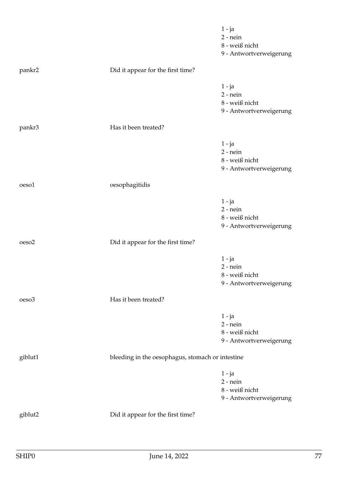|                   |                                                  | $1 - ja$<br>$2$ - nein<br>8 - weiß nicht<br>9 - Antwortverweigerung |
|-------------------|--------------------------------------------------|---------------------------------------------------------------------|
| pankr2            | Did it appear for the first time?                |                                                                     |
|                   |                                                  | $1 - ja$<br>$2$ - nein<br>8 - weiß nicht<br>9 - Antwortverweigerung |
| pankr3            | Has it been treated?                             |                                                                     |
|                   |                                                  | $1 - ja$<br>$2$ - nein<br>8 - weiß nicht<br>9 - Antwortverweigerung |
| oeso1             | oesophagitidis                                   |                                                                     |
|                   |                                                  | $1 - ja$<br>$2$ - nein<br>8 - weiß nicht<br>9 - Antwortverweigerung |
| oeso <sub>2</sub> | Did it appear for the first time?                |                                                                     |
|                   |                                                  | 1 - ja<br>$2$ - nein<br>8 - weiß nicht<br>9 - Antwortverweigerung   |
| oeso <sub>3</sub> | Has it been treated?                             |                                                                     |
|                   |                                                  | $1 - ja$<br>$2 - nein$<br>8 - weiß nicht<br>9 - Antwortverweigerung |
| giblut1           | bleeding in the oesophagus, stomach or intestine |                                                                     |
|                   |                                                  | $1 - ja$<br>$2$ - nein<br>8 - weiß nicht<br>9 - Antwortverweigerung |
| giblut2           | Did it appear for the first time?                |                                                                     |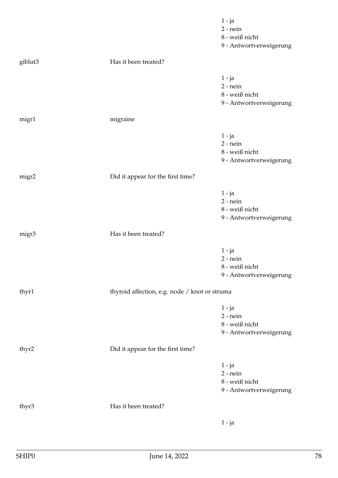|         |                                               | $1 - ja$<br>$2$ - nein<br>8 - weiß nicht<br>9 - Antwortverweigerung   |
|---------|-----------------------------------------------|-----------------------------------------------------------------------|
| giblut3 | Has it been treated?                          |                                                                       |
|         |                                               | 1 - ja<br>$2$ - nein<br>8 - weiß nicht<br>9 - Antwortverweigerung     |
| migr1   | migraine                                      |                                                                       |
|         |                                               | $1 - ja$<br>$2$ - nein<br>8 - weiß nicht<br>9 - Antwortverweigerung   |
| migr2   | Did it appear for the first time?             |                                                                       |
|         |                                               | $1 - ja$<br>$2$ - nein<br>8 - weiß nicht<br>9 - Antwortverweigerung   |
| migr3   | Has it been treated?                          |                                                                       |
|         |                                               | $1 - ja$<br>$2$ - nein<br>8 - weiß nicht<br>9 - Antwortverweigerung   |
| thyr1   | thyroid affection, e.g. node / knot or struma |                                                                       |
|         |                                               | $1 - ja$<br>$2$ - nein<br>8 - weiß nicht<br>9 - Antwortverweigerung   |
| thyr2   | Did it appear for the first time?             |                                                                       |
|         |                                               | $1 - ja$<br>$2$ - nein<br>$8$ - weiß nicht<br>9 - Antwortverweigerung |
| thyr3   | Has it been treated?                          |                                                                       |
|         |                                               | $1 - ja$                                                              |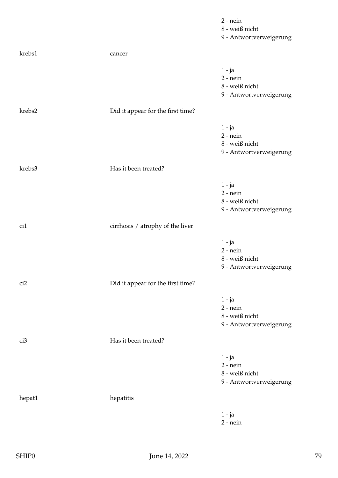|                 |                                   | $2$ - nein              |
|-----------------|-----------------------------------|-------------------------|
|                 |                                   | 8 - weiß nicht          |
|                 |                                   | 9 - Antwortverweigerung |
| krebs1          | cancer                            |                         |
|                 |                                   |                         |
|                 |                                   | $1 - ja$                |
|                 |                                   | $2 - nein$              |
|                 |                                   | 8 - weiß nicht          |
|                 |                                   | 9 - Antwortverweigerung |
|                 |                                   |                         |
| krebs2          | Did it appear for the first time? |                         |
|                 |                                   | $1 - ja$                |
|                 |                                   | $2$ - nein              |
|                 |                                   | 8 - weiß nicht          |
|                 |                                   | 9 - Antwortverweigerung |
|                 |                                   |                         |
| krebs3          | Has it been treated?              |                         |
|                 |                                   | 1 - ja                  |
|                 |                                   | $2$ - nein              |
|                 |                                   | 8 - weiß nicht          |
|                 |                                   | 9 - Antwortverweigerung |
|                 |                                   |                         |
| ci1             | cirrhosis / atrophy of the liver  |                         |
|                 |                                   |                         |
|                 |                                   | $1 - ja$<br>$2$ - nein  |
|                 |                                   | 8 - weiß nicht          |
|                 |                                   |                         |
|                 |                                   | 9 - Antwortverweigerung |
| ci2             | Did it appear for the first time? |                         |
|                 |                                   |                         |
|                 |                                   | $1 - ja$<br>$2$ - nein  |
|                 |                                   | 8 - weiß nicht          |
|                 |                                   | 9 - Antwortverweigerung |
|                 |                                   |                         |
| ci <sub>3</sub> | Has it been treated?              |                         |
|                 |                                   | $1 - ja$                |
|                 |                                   | $2$ - nein              |
|                 |                                   | 8 - weiß nicht          |
|                 |                                   | 9 - Antwortverweigerung |
|                 |                                   |                         |
| hepat1          | hepatitis                         |                         |
|                 |                                   |                         |
|                 |                                   | $1 - ja$                |
|                 |                                   | $2$ - nein              |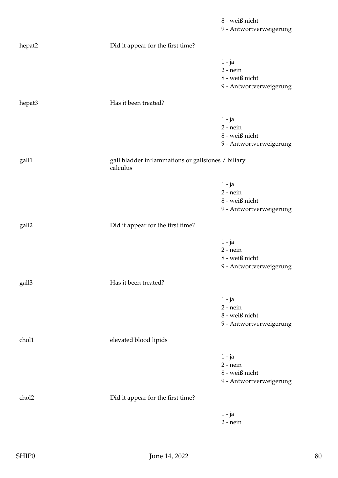|        |                                                                | 8 - weiß nicht<br>9 - Antwortverweigerung                           |
|--------|----------------------------------------------------------------|---------------------------------------------------------------------|
| hepat2 | Did it appear for the first time?                              |                                                                     |
|        |                                                                | $1 - ja$<br>$2$ - nein<br>8 - weiß nicht<br>9 - Antwortverweigerung |
| hepat3 | Has it been treated?                                           |                                                                     |
|        |                                                                | $1 - ja$<br>$2$ - nein<br>8 - weiß nicht<br>9 - Antwortverweigerung |
| gall1  | gall bladder inflammations or gallstones / biliary<br>calculus |                                                                     |
|        |                                                                | $1 - ja$<br>$2$ - nein<br>8 - weiß nicht<br>9 - Antwortverweigerung |
| gall2  | Did it appear for the first time?                              |                                                                     |
|        |                                                                | $1 - ja$<br>$2$ - nein<br>8 - weiß nicht<br>9 - Antwortverweigerung |
| gall3  | Has it been treated?                                           |                                                                     |
|        |                                                                | $1 - ja$<br>$2$ - nein<br>8 - weiß nicht<br>9 - Antwortverweigerung |
| chol1  | elevated blood lipids                                          |                                                                     |
|        |                                                                | $1 - ja$<br>$2$ - nein<br>8 - weiß nicht<br>9 - Antwortverweigerung |
| chol2  | Did it appear for the first time?                              |                                                                     |
|        |                                                                | $1 - ja$<br>$2$ - nein                                              |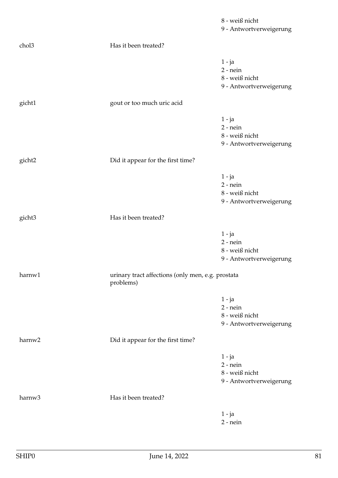|        |                                                                | 8 - weiß nicht<br>9 - Antwortverweigerung                           |
|--------|----------------------------------------------------------------|---------------------------------------------------------------------|
| chol3  | Has it been treated?                                           |                                                                     |
|        |                                                                | $1 - ja$<br>$2$ - nein<br>8 - weiß nicht<br>9 - Antwortverweigerung |
| gicht1 | gout or too much uric acid                                     |                                                                     |
|        |                                                                | $1 - ja$<br>$2$ - nein<br>8 - weiß nicht<br>9 - Antwortverweigerung |
| gicht2 | Did it appear for the first time?                              |                                                                     |
|        |                                                                | $1 - ja$<br>$2$ - nein<br>8 - weiß nicht<br>9 - Antwortverweigerung |
| gicht3 | Has it been treated?                                           |                                                                     |
|        |                                                                | $1 - ja$<br>$2$ - nein<br>8 - weiß nicht<br>9 - Antwortverweigerung |
| harnw1 | urinary tract affections (only men, e.g. prostata<br>problems) |                                                                     |
|        |                                                                | $1 - ja$<br>$2$ - nein<br>8 - weiß nicht<br>9 - Antwortverweigerung |
| harnw2 | Did it appear for the first time?                              |                                                                     |
|        |                                                                | $1 - ja$<br>$2$ - nein<br>8 - weiß nicht<br>9 - Antwortverweigerung |
| harnw3 | Has it been treated?                                           |                                                                     |
|        |                                                                | $1 - ja$<br>$2$ - nein                                              |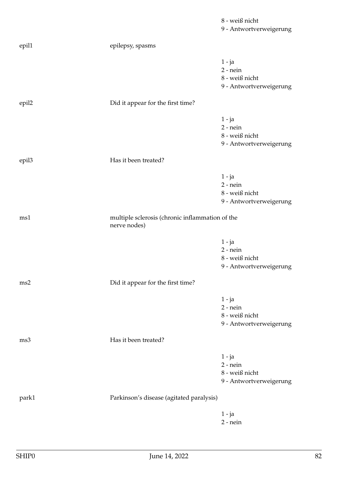|                   |                                                                 | 8 - weiß nicht<br>9 - Antwortverweigerung                             |
|-------------------|-----------------------------------------------------------------|-----------------------------------------------------------------------|
| epil1             | epilepsy, spasms                                                |                                                                       |
|                   |                                                                 | $1 - ja$<br>$2$ - nein<br>8 - weiß nicht<br>9 - Antwortverweigerung   |
| epil2             | Did it appear for the first time?                               |                                                                       |
|                   |                                                                 | $1 - ja$<br>$2$ - nein<br>8 - weiß nicht<br>9 - Antwortverweigerung   |
| epil <sub>3</sub> | Has it been treated?                                            |                                                                       |
|                   |                                                                 | $1 - ja$<br>$2$ - nein<br>8 - weiß nicht<br>9 - Antwortverweigerung   |
| ms1               | multiple sclerosis (chronic inflammation of the<br>nerve nodes) |                                                                       |
|                   |                                                                 | $1 - ja$<br>$2$ - nein<br>$8$ - weiß nicht<br>9 - Antwortverweigerung |
| ms2               | Did it appear for the first time?                               |                                                                       |
|                   |                                                                 | $1 - ja$<br>$2$ - nein<br>8 - weiß nicht<br>9 - Antwortverweigerung   |
| ms3               | Has it been treated?                                            |                                                                       |
|                   |                                                                 | $1 - ja$<br>$2$ - nein<br>8 - weiß nicht<br>9 - Antwortverweigerung   |
| park1             | Parkinson's disease (agitated paralysis)                        |                                                                       |
|                   |                                                                 | $1 - ja$<br>$2$ - nein                                                |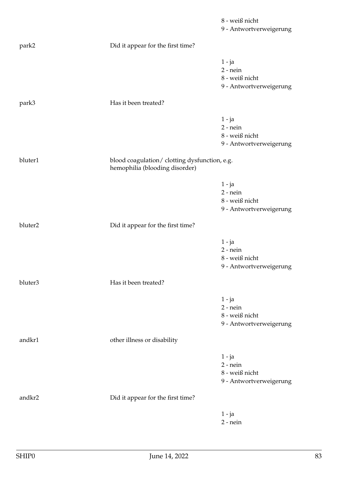|         |                                                                                 | 8 - weiß nicht<br>9 - Antwortverweigerung                           |
|---------|---------------------------------------------------------------------------------|---------------------------------------------------------------------|
| park2   | Did it appear for the first time?                                               |                                                                     |
|         |                                                                                 | $1 - ja$<br>$2$ - nein<br>8 - weiß nicht<br>9 - Antwortverweigerung |
| park3   | Has it been treated?                                                            |                                                                     |
|         |                                                                                 | $1 - ja$<br>$2$ - nein<br>8 - weiß nicht<br>9 - Antwortverweigerung |
| bluter1 | blood coagulation/ clotting dysfunction, e.g.<br>hemophilia (blooding disorder) |                                                                     |
|         |                                                                                 | $1 - ja$<br>$2$ - nein<br>8 - weiß nicht<br>9 - Antwortverweigerung |
| bluter2 | Did it appear for the first time?                                               |                                                                     |
|         |                                                                                 | $1 - ja$<br>$2$ - nein<br>8 - weiß nicht<br>9 - Antwortverweigerung |
| bluter3 | Has it been treated?                                                            |                                                                     |
|         |                                                                                 | $1 - ja$<br>$2 - nein$<br>8 - weiß nicht<br>9 - Antwortverweigerung |
| andkr1  | other illness or disability                                                     |                                                                     |
|         |                                                                                 | $1 - ja$<br>$2$ - nein<br>8 - weiß nicht<br>9 - Antwortverweigerung |
| andkr2  | Did it appear for the first time?                                               |                                                                     |
|         |                                                                                 | $1 - ja$<br>$2$ - nein                                              |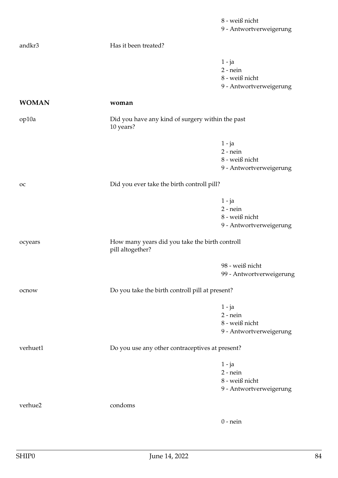|              |                                                                    | 8 - weiß nicht<br>9 - Antwortverweigerung                           |
|--------------|--------------------------------------------------------------------|---------------------------------------------------------------------|
| andkr3       | Has it been treated?                                               |                                                                     |
|              |                                                                    | $1 - ja$<br>$2$ - nein<br>8 - weiß nicht<br>9 - Antwortverweigerung |
| <b>WOMAN</b> | woman                                                              |                                                                     |
| op10a        | Did you have any kind of surgery within the past<br>10 years?      |                                                                     |
|              |                                                                    | $1 - ja$<br>$2$ - nein<br>8 - weiß nicht<br>9 - Antwortverweigerung |
| <b>OC</b>    | Did you ever take the birth controll pill?                         |                                                                     |
|              |                                                                    | $1 - ja$<br>$2$ - nein<br>8 - weiß nicht<br>9 - Antwortverweigerung |
| ocyears      | How many years did you take the birth controll<br>pill altogether? |                                                                     |
|              |                                                                    | 98 - weiß nicht<br>99 - Antwortverweigerung                         |
| ocnow        | Do you take the birth controll pill at present?                    |                                                                     |
|              |                                                                    | $1 - ja$<br>$2$ - nein<br>8 - weiß nicht<br>9 - Antwortverweigerung |
| verhuet1     | Do you use any other contraceptives at present?                    |                                                                     |
|              |                                                                    | $1 - ja$<br>$2$ - nein<br>8 - weiß nicht<br>9 - Antwortverweigerung |
| verhue2      | condoms                                                            |                                                                     |
|              |                                                                    | $0$ - nein                                                          |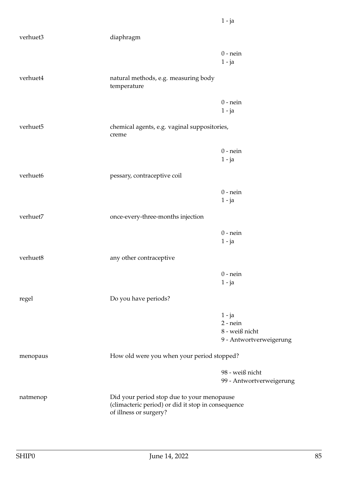| verhuet3 | diaphragm                                                                                                                  |                                                                     |
|----------|----------------------------------------------------------------------------------------------------------------------------|---------------------------------------------------------------------|
|          |                                                                                                                            | $0$ - nein<br>$1 - ja$                                              |
| verhuet4 | natural methods, e.g. measuring body<br>temperature                                                                        |                                                                     |
|          |                                                                                                                            | $0$ - nein<br>$1 - ja$                                              |
| verhuet5 | chemical agents, e.g. vaginal suppositories,<br>creme                                                                      |                                                                     |
|          |                                                                                                                            | $0$ - nein<br>$1 - ja$                                              |
| verhuet6 | pessary, contraceptive coil                                                                                                |                                                                     |
|          |                                                                                                                            | $0$ - nein<br>$1 - ja$                                              |
| verhuet7 | once-every-three-months injection                                                                                          |                                                                     |
|          |                                                                                                                            | $0$ - nein<br>$1 - ja$                                              |
| verhuet8 | any other contraceptive                                                                                                    |                                                                     |
|          |                                                                                                                            | $0$ - nein<br>$1 - ja$                                              |
| regel    | Do you have periods?                                                                                                       |                                                                     |
|          |                                                                                                                            | $1 - ja$<br>$2$ - nein<br>8 - weiß nicht<br>9 - Antwortverweigerung |
| menopaus | How old were you when your period stopped?                                                                                 |                                                                     |
|          |                                                                                                                            | 98 - weiß nicht<br>99 - Antwortverweigerung                         |
| natmenop | Did your period stop due to your menopause<br>(climacteric period) or did it stop in consequence<br>of illness or surgery? |                                                                     |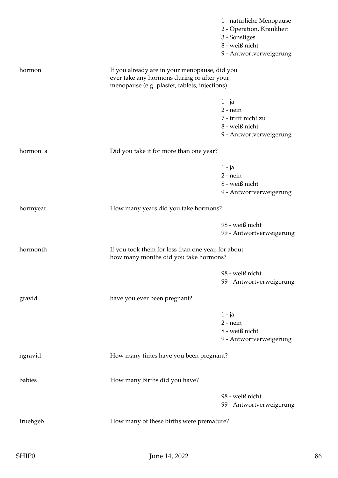|                                                  |                                                                                             | 1 - natürliche Menopause |
|--------------------------------------------------|---------------------------------------------------------------------------------------------|--------------------------|
|                                                  |                                                                                             | 2 - Operation, Krankheit |
|                                                  |                                                                                             | 3 - Sonstiges            |
|                                                  |                                                                                             | 8 - weiß nicht           |
|                                                  |                                                                                             | 9 - Antwortverweigerung  |
| hormon                                           | If you already are in your menopause, did you                                               |                          |
|                                                  | ever take any hormons during or after your<br>menopause (e.g. plaster, tablets, injections) |                          |
|                                                  |                                                                                             | $1 - ja$                 |
|                                                  |                                                                                             | $2$ - nein               |
|                                                  |                                                                                             | 7 - trifft nicht zu      |
|                                                  |                                                                                             | 8 - weiß nicht           |
|                                                  |                                                                                             | 9 - Antwortverweigerung  |
| hormon1a                                         | Did you take it for more than one year?                                                     |                          |
|                                                  |                                                                                             | $1 - ja$                 |
|                                                  |                                                                                             | $2$ - nein               |
|                                                  |                                                                                             | 8 - weiß nicht           |
|                                                  |                                                                                             | 9 - Antwortverweigerung  |
| hormyear<br>How many years did you take hormons? |                                                                                             |                          |
|                                                  |                                                                                             | 98 - weiß nicht          |
|                                                  |                                                                                             | 99 - Antwortverweigerung |
| hormonth                                         | If you took them for less than one year, for about<br>how many months did you take hormons? |                          |
|                                                  |                                                                                             | 98 - weiß nicht          |
|                                                  |                                                                                             | 99 - Antwortverweigerung |
| gravid                                           | have you ever been pregnant?                                                                |                          |
|                                                  |                                                                                             | $1 - ja$                 |
|                                                  |                                                                                             | $2 - nein$               |
|                                                  |                                                                                             | 8 - weiß nicht           |
|                                                  |                                                                                             | 9 - Antwortverweigerung  |
| ngravid                                          | How many times have you been pregnant?                                                      |                          |
| babies                                           | How many births did you have?                                                               |                          |
|                                                  |                                                                                             | 98 - weiß nicht          |
|                                                  |                                                                                             | 99 - Antwortverweigerung |
| fruehgeb                                         | How many of these births were premature?                                                    |                          |
|                                                  |                                                                                             |                          |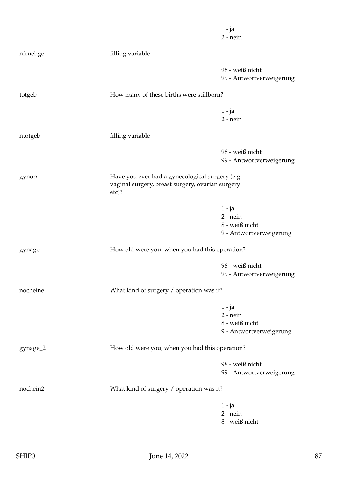|          |                                                                                                                | $1 - ja$<br>$2$ - nein                                              |
|----------|----------------------------------------------------------------------------------------------------------------|---------------------------------------------------------------------|
| nfruehge | filling variable                                                                                               |                                                                     |
|          |                                                                                                                | 98 - weiß nicht<br>99 - Antwortverweigerung                         |
| totgeb   | How many of these births were stillborn?                                                                       |                                                                     |
|          |                                                                                                                | $1 - ja$<br>$2$ - nein                                              |
| ntotgeb  | filling variable                                                                                               |                                                                     |
|          |                                                                                                                | 98 - weiß nicht<br>99 - Antwortverweigerung                         |
| gynop    | Have you ever had a gynecological surgery (e.g.<br>vaginal surgery, breast surgery, ovarian surgery<br>$etc$ ? |                                                                     |
|          |                                                                                                                | $1 - ja$<br>$2$ - nein<br>8 - weiß nicht<br>9 - Antwortverweigerung |
| gynage   | How old were you, when you had this operation?                                                                 |                                                                     |
|          |                                                                                                                | 98 - weiß nicht<br>99 - Antwortverweigerung                         |
| nocheine | What kind of surgery / operation was it?                                                                       |                                                                     |
|          |                                                                                                                | $1 - ja$<br>$2$ - nein<br>8 - weiß nicht<br>9 - Antwortverweigerung |
| gynage_2 | How old were you, when you had this operation?                                                                 |                                                                     |
|          |                                                                                                                | 98 - weiß nicht<br>99 - Antwortverweigerung                         |
| nochein2 | What kind of surgery / operation was it?                                                                       |                                                                     |
|          |                                                                                                                | $1 - ja$<br>$2$ - nein<br>8 - weiß nicht                            |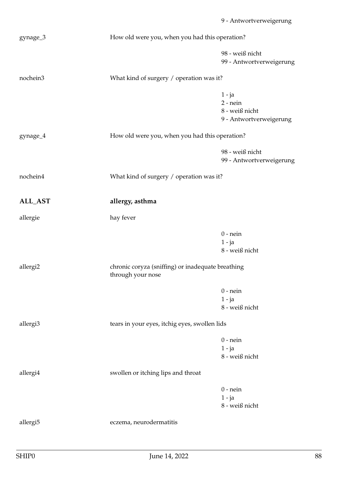|                      |                                                                        | 9 - Antwortverweigerung  |
|----------------------|------------------------------------------------------------------------|--------------------------|
| gynage_3             | How old were you, when you had this operation?                         |                          |
|                      |                                                                        | 98 - weiß nicht          |
|                      |                                                                        | 99 - Antwortverweigerung |
| nochein3             | What kind of surgery / operation was it?                               |                          |
|                      |                                                                        | 1 - ja                   |
|                      |                                                                        | $2$ - nein               |
|                      |                                                                        | 8 - weiß nicht           |
|                      |                                                                        | 9 - Antwortverweigerung  |
| gynage_4             | How old were you, when you had this operation?                         |                          |
|                      |                                                                        | 98 - weiß nicht          |
|                      |                                                                        | 99 - Antwortverweigerung |
| nochein4             | What kind of surgery / operation was it?                               |                          |
| ALL_AST              | allergy, asthma                                                        |                          |
| allergie             | hay fever                                                              |                          |
|                      |                                                                        | $0$ - nein               |
|                      |                                                                        | $1 - ja$                 |
|                      |                                                                        | 8 - weiß nicht           |
| allergi <sub>2</sub> | chronic coryza (sniffing) or inadequate breathing<br>through your nose |                          |
|                      |                                                                        | $0$ - nein               |
|                      |                                                                        | $1 - ja$                 |
|                      |                                                                        | 8 - weiß nicht           |
| allergi3             | tears in your eyes, itchig eyes, swollen lids                          |                          |
|                      |                                                                        | $0$ - nein               |
|                      |                                                                        | $1 - ja$                 |
|                      |                                                                        | 8 - weiß nicht           |

allergi4 swollen or itching lips and throat

0 - nein 1 - ja 8 - weiß nicht

allergi5 eczema, neurodermatitis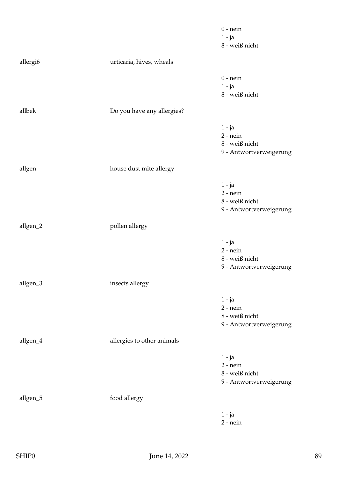|          |                            | $0$ - nein              |
|----------|----------------------------|-------------------------|
|          |                            | $1 - ja$                |
|          |                            | 8 - weiß nicht          |
| allergi6 | urticaria, hives, wheals   |                         |
|          |                            | $0$ - nein              |
|          |                            | $1 - ja$                |
|          |                            | 8 - weiß nicht          |
| allbek   | Do you have any allergies? |                         |
|          |                            | $1 - ja$                |
|          |                            | $2$ - nein              |
|          |                            | 8 - weiß nicht          |
|          |                            | 9 - Antwortverweigerung |
| allgen   | house dust mite allergy    |                         |
|          |                            | $1 - ja$                |
|          |                            | $2$ - nein              |
|          |                            | 8 - weiß nicht          |
|          |                            | 9 - Antwortverweigerung |
| allgen_2 | pollen allergy             |                         |
|          |                            | $1 - ja$                |
|          |                            | $2$ - nein              |
|          |                            | 8 - weiß nicht          |
|          |                            | 9 - Antwortverweigerung |
| allgen_3 | insects allergy            |                         |
|          |                            | $1 - ja$                |
|          |                            | $2$ - nein              |
|          |                            | 8 - weiß nicht          |
|          |                            | 9 - Antwortverweigerung |
| allgen_4 | allergies to other animals |                         |
|          |                            | $1 - ja$                |
|          |                            | $2$ - nein              |
|          |                            | 8 - weiß nicht          |
|          |                            | 9 - Antwortverweigerung |
| allgen_5 | food allergy               |                         |
|          |                            | $1 - ja$                |
|          |                            | $2$ - nein              |
|          |                            |                         |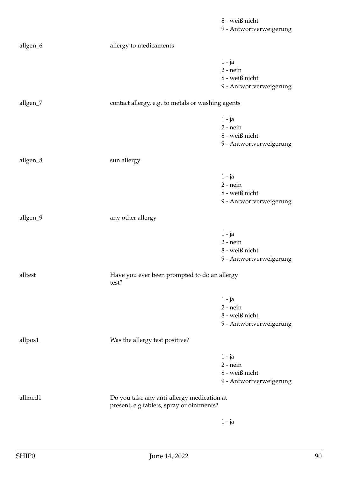|          |                                                                                         | 8 - weiß nicht<br>9 - Antwortverweigerung                           |
|----------|-----------------------------------------------------------------------------------------|---------------------------------------------------------------------|
| allgen_6 | allergy to medicaments                                                                  |                                                                     |
|          |                                                                                         | $1 - ja$<br>$2$ - nein<br>8 - weiß nicht<br>9 - Antwortverweigerung |
| allgen_7 | contact allergy, e.g. to metals or washing agents                                       |                                                                     |
|          |                                                                                         | $1 - ja$<br>$2$ - nein<br>8 - weiß nicht<br>9 - Antwortverweigerung |
| allgen_8 | sun allergy                                                                             |                                                                     |
|          |                                                                                         | $1 - ja$<br>$2$ - nein<br>8 - weiß nicht<br>9 - Antwortverweigerung |
| allgen_9 | any other allergy                                                                       |                                                                     |
|          |                                                                                         | $1 - ja$<br>$2$ - nein<br>8 - weiß nicht<br>9 - Antwortverweigerung |
| alltest  | Have you ever been prompted to do an allergy<br>test?                                   |                                                                     |
|          |                                                                                         | $1 - ja$<br>$2$ - nein<br>8 - weiß nicht<br>9 - Antwortverweigerung |
| allpos1  | Was the allergy test positive?                                                          |                                                                     |
|          |                                                                                         | $1 - ja$<br>$2$ - nein<br>8 - weiß nicht<br>9 - Antwortverweigerung |
| allmed1  | Do you take any anti-allergy medication at<br>present, e.g.tablets, spray or ointments? |                                                                     |
|          |                                                                                         | $1 - ja$                                                            |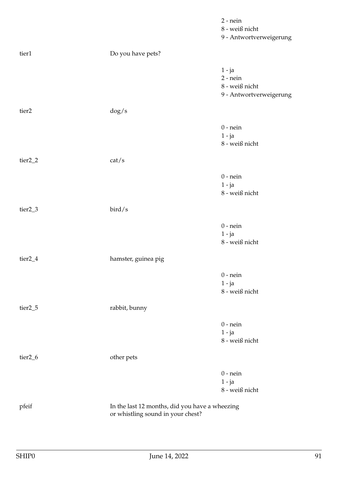|                     |                                                                                     | $2$ - nein<br>8 - weiß nicht<br>9 - Antwortverweigerung             |
|---------------------|-------------------------------------------------------------------------------------|---------------------------------------------------------------------|
| tier1               | Do you have pets?                                                                   |                                                                     |
|                     |                                                                                     | $1 - ja$<br>$2$ - nein<br>8 - weiß nicht<br>9 - Antwortverweigerung |
| tier <sub>2</sub>   | $\frac{dog}{s}$                                                                     |                                                                     |
|                     |                                                                                     | $0$ - nein<br>$1 - ja$<br>8 - weiß nicht                            |
| tier <sub>2_2</sub> | cat/s                                                                               |                                                                     |
|                     |                                                                                     | $0$ - nein<br>$1 - ja$<br>8 - weiß nicht                            |
| tier <sub>2_3</sub> | bird/s                                                                              |                                                                     |
|                     |                                                                                     | $0$ - nein<br>$1 - ja$<br>8 - weiß nicht                            |
| tier <sub>2_4</sub> | hamster, guinea pig                                                                 |                                                                     |
|                     |                                                                                     | $0$ - nein<br>$1 - ja$<br>8 - weiß nicht                            |
| tier <sub>2_5</sub> | rabbit, bunny                                                                       |                                                                     |
|                     |                                                                                     | $0$ - nein<br>$1 - ja$<br>8 - weiß nicht                            |
| tier <sub>2_6</sub> | other pets                                                                          |                                                                     |
|                     |                                                                                     | $0$ - nein<br>$1 - ja$<br>8 - weiß nicht                            |
| pfeif               | In the last 12 months, did you have a wheezing<br>or whistling sound in your chest? |                                                                     |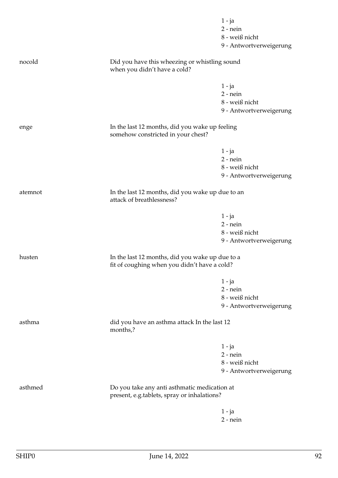|         |                                                                                                 | $1 - ja$<br>$2 - nein$  |
|---------|-------------------------------------------------------------------------------------------------|-------------------------|
|         |                                                                                                 | 8 - weiß nicht          |
|         |                                                                                                 | 9 - Antwortverweigerung |
| nocold  | Did you have this wheezing or whistling sound<br>when you didn't have a cold?                   |                         |
|         |                                                                                                 |                         |
|         |                                                                                                 | $1 - ja$<br>$2 - nein$  |
|         |                                                                                                 | 8 - weiß nicht          |
|         |                                                                                                 | 9 - Antwortverweigerung |
| enge    | In the last 12 months, did you wake up feeling<br>somehow constricted in your chest?            |                         |
|         |                                                                                                 | $1 - ja$                |
|         |                                                                                                 | $2$ - nein              |
|         |                                                                                                 | 8 - weiß nicht          |
|         |                                                                                                 | 9 - Antwortverweigerung |
| atemnot | In the last 12 months, did you wake up due to an<br>attack of breathlessness?                   |                         |
|         |                                                                                                 | $1 - ja$                |
|         |                                                                                                 | $2$ - nein              |
|         |                                                                                                 | 8 - weiß nicht          |
|         |                                                                                                 | 9 - Antwortverweigerung |
| husten  | In the last 12 months, did you wake up due to a<br>fit of coughing when you didn't have a cold? |                         |
|         |                                                                                                 | $1 - ja$                |
|         |                                                                                                 | $2$ - nein              |
|         |                                                                                                 | 8 - weiß nicht          |
|         |                                                                                                 | 9 - Antwortverweigerung |
| asthma  | did you have an asthma attack In the last 12<br>months,?                                        |                         |
|         |                                                                                                 | $1 - ja$                |
|         |                                                                                                 | $2$ - nein              |
|         |                                                                                                 | 8 - weiß nicht          |
|         |                                                                                                 | 9 - Antwortverweigerung |
| asthmed | Do you take any anti asthmatic medication at<br>present, e.g.tablets, spray or inhalations?     |                         |
|         |                                                                                                 | $1 - ja$                |
|         |                                                                                                 | $2$ - nein              |
|         |                                                                                                 |                         |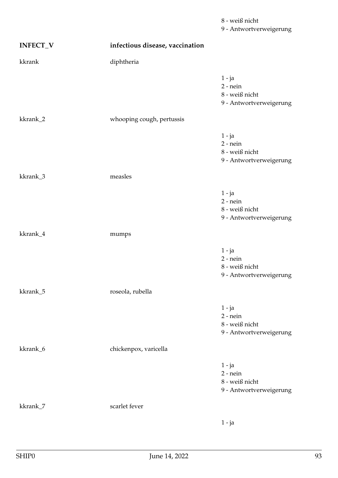| <b>INFECT_V</b> | infectious disease, vaccination |                                                                     |
|-----------------|---------------------------------|---------------------------------------------------------------------|
| kkrank          | diphtheria                      |                                                                     |
|                 |                                 | $1 - ja$<br>$2$ - nein<br>8 - weiß nicht<br>9 - Antwortverweigerung |
| kkrank_2        | whooping cough, pertussis       |                                                                     |
|                 |                                 | $1 - ja$<br>$2$ - nein<br>8 - weiß nicht<br>9 - Antwortverweigerung |
| kkrank_3        | measles                         |                                                                     |
|                 |                                 | $1 - ja$<br>$2$ - nein<br>8 - weiß nicht<br>9 - Antwortverweigerung |
| kkrank_4        | mumps                           |                                                                     |
|                 |                                 | $1 - ja$<br>$2$ - nein<br>8 - weiß nicht<br>9 - Antwortverweigerung |
| kkrank_5        | roseola, rubella                |                                                                     |
|                 |                                 | $1 - ja$<br>$2$ - nein<br>8 - weiß nicht<br>9 - Antwortverweigerung |
| kkrank_6        | chickenpox, varicella           |                                                                     |
|                 |                                 | $1 - ja$<br>$2$ - nein<br>8 - weiß nicht<br>9 - Antwortverweigerung |
| kkrank_7        | scarlet fever                   |                                                                     |
|                 |                                 | $1 - ja$                                                            |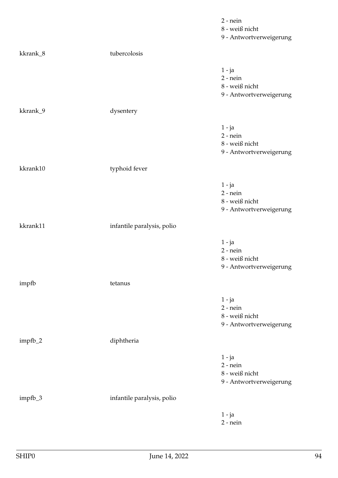|          |                            | $2$ - nein<br>8 - weiß nicht<br>9 - Antwortverweigerung             |
|----------|----------------------------|---------------------------------------------------------------------|
| kkrank_8 | tubercolosis               |                                                                     |
|          |                            | $1 - ja$<br>$2$ - nein<br>8 - weiß nicht<br>9 - Antwortverweigerung |
| kkrank_9 | dysentery                  |                                                                     |
|          |                            | 1 - ja<br>$2$ - nein<br>8 - weiß nicht<br>9 - Antwortverweigerung   |
| kkrank10 | typhoid fever              |                                                                     |
|          |                            | $1 - ja$<br>$2$ - nein<br>8 - weiß nicht<br>9 - Antwortverweigerung |
| kkrank11 | infantile paralysis, polio |                                                                     |
|          |                            | $1 - ja$<br>$2$ - nein<br>8 - weiß nicht<br>9 - Antwortverweigerung |
| impfb    | tetanus                    |                                                                     |
|          |                            | $1 - ja$<br>$2$ - nein<br>8 - weiß nicht<br>9 - Antwortverweigerung |
| impfb_2  | diphtheria                 |                                                                     |
|          |                            | $1 - ja$<br>$2$ - nein<br>8 - weiß nicht<br>9 - Antwortverweigerung |
| impfb_3  | infantile paralysis, polio |                                                                     |
|          |                            | $1 - ja$<br>$2$ - nein                                              |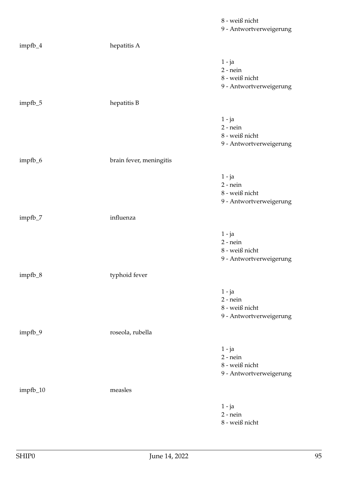|          |                         | 8 - weiß nicht<br>9 - Antwortverweigerung                           |
|----------|-------------------------|---------------------------------------------------------------------|
| impfb_4  | hepatitis A             |                                                                     |
|          |                         | 1 - ja<br>$2$ - nein<br>8 - weiß nicht<br>9 - Antwortverweigerung   |
| impfb_5  | hepatitis B             |                                                                     |
|          |                         | $1 - ja$<br>$2$ - nein<br>8 - weiß nicht<br>9 - Antwortverweigerung |
| impfb_6  | brain fever, meningitis |                                                                     |
|          |                         | $1 - ja$<br>$2$ - nein<br>8 - weiß nicht<br>9 - Antwortverweigerung |
| impfb_7  | influenza               |                                                                     |
|          |                         | $1 - ja$<br>$2$ - nein<br>8 - weiß nicht<br>9 - Antwortverweigerung |
| impfb_8  | typhoid fever           |                                                                     |
|          |                         | $1 - ja$<br>$2$ - nein<br>8 - weiß nicht<br>9 - Antwortverweigerung |
| impfb_9  | roseola, rubella        |                                                                     |
|          |                         | $1 - ja$<br>$2$ - nein<br>8 - weiß nicht<br>9 - Antwortverweigerung |
| impfb_10 | measles                 |                                                                     |
|          |                         | $1 - ja$<br>$2$ - nein<br>$8$ - weiß nicht                          |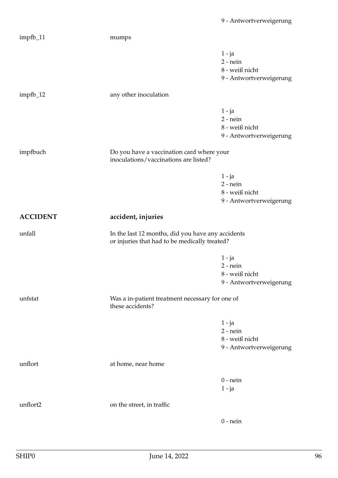| impfb_11        | mumps                                                                                              |                                                                     |
|-----------------|----------------------------------------------------------------------------------------------------|---------------------------------------------------------------------|
|                 |                                                                                                    | $1 - ja$<br>$2$ - nein<br>8 - weiß nicht<br>9 - Antwortverweigerung |
| impfb_12        | any other inoculation                                                                              |                                                                     |
|                 |                                                                                                    | $1 - ja$<br>$2$ - nein<br>8 - weiß nicht<br>9 - Antwortverweigerung |
| impfbuch        | Do you have a vaccination card where your<br>inoculations/vaccinations are listed?                 |                                                                     |
|                 |                                                                                                    | $1 - ja$<br>$2$ - nein<br>8 - weiß nicht<br>9 - Antwortverweigerung |
| <b>ACCIDENT</b> | accident, injuries                                                                                 |                                                                     |
|                 |                                                                                                    |                                                                     |
| unfall          | In the last 12 months, did you have any accidents<br>or injuries that had to be medically treated? |                                                                     |
|                 |                                                                                                    | 1 - ja<br>$2$ - nein<br>8 - weiß nicht<br>9 - Antwortverweigerung   |
| unfstat         | Was a in-patient treatment necessary for one of<br>these accidents?                                |                                                                     |
|                 |                                                                                                    | $1 - ja$<br>$2$ - nein<br>8 - weiß nicht<br>9 - Antwortverweigerung |
| unflort         | at home, near home                                                                                 |                                                                     |
|                 |                                                                                                    | $0$ - nein<br>$1 - ja$                                              |
| unflort2        | on the street, in traffic                                                                          |                                                                     |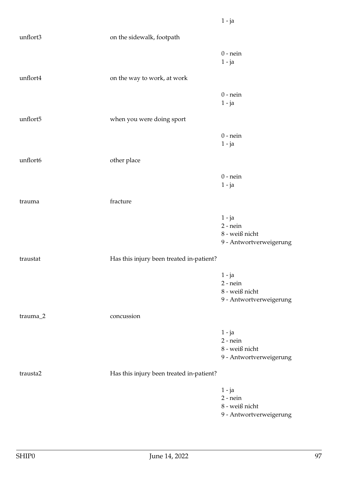| unflort3 | on the sidewalk, footpath                |                                                                     |
|----------|------------------------------------------|---------------------------------------------------------------------|
|          |                                          | $0$ - nein<br>1 - ja                                                |
| unflort4 | on the way to work, at work              |                                                                     |
|          |                                          | $0$ - nein<br>$1 - ja$                                              |
| unflort5 | when you were doing sport                |                                                                     |
|          |                                          | $0$ - nein<br>$1 - ja$                                              |
| unflort6 | other place                              |                                                                     |
|          |                                          | $0$ - nein<br>$1 - ja$                                              |
| trauma   | fracture                                 |                                                                     |
|          |                                          | $1 - ja$<br>$2$ - nein<br>8 - weiß nicht<br>9 - Antwortverweigerung |
| traustat | Has this injury been treated in-patient? |                                                                     |
|          |                                          | $1 - ja$<br>$2$ - nein<br>8 - weiß nicht<br>9 - Antwortverweigerung |
| trauma_2 | concussion                               |                                                                     |
|          |                                          | $1 - ja$<br>$2$ - nein<br>8 - weiß nicht<br>9 - Antwortverweigerung |
| trausta2 | Has this injury been treated in-patient? |                                                                     |
|          |                                          | $1 - ja$<br>$2$ - nein<br>8 - weiß nicht<br>9 - Antwortverweigerung |

1 - ja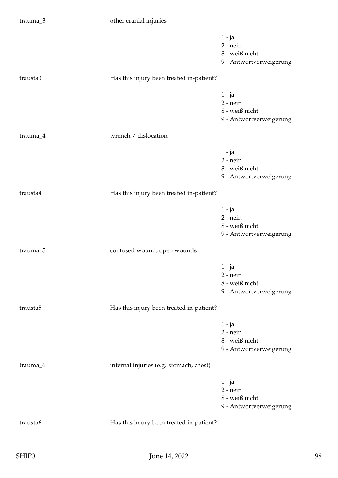| trauma_3             | other cranial injuries                   |                                                                     |
|----------------------|------------------------------------------|---------------------------------------------------------------------|
|                      |                                          | $1 - ja$<br>$2$ - nein<br>8 - weiß nicht<br>9 - Antwortverweigerung |
| trausta3             | Has this injury been treated in-patient? |                                                                     |
|                      |                                          | $1 - ja$<br>$2$ - nein<br>8 - weiß nicht<br>9 - Antwortverweigerung |
| trauma_4             | wrench / dislocation                     |                                                                     |
|                      |                                          | $1 - ja$<br>$2$ - nein<br>8 - weiß nicht<br>9 - Antwortverweigerung |
| trausta4             | Has this injury been treated in-patient? |                                                                     |
|                      |                                          | $1 - ja$<br>$2$ - nein<br>8 - weiß nicht<br>9 - Antwortverweigerung |
| trauma_5             | contused wound, open wounds              |                                                                     |
|                      |                                          | $1 - ja$<br>$2$ - nein<br>8 - weiß nicht<br>9 - Antwortverweigerung |
| trausta <sub>5</sub> | Has this injury been treated in-patient? |                                                                     |
|                      |                                          | $1 - ja$<br>$2$ - nein<br>8 - weiß nicht<br>9 - Antwortverweigerung |
| trauma_6             | internal injuries (e.g. stomach, chest)  |                                                                     |
|                      |                                          | $1 - ja$<br>$2$ - nein<br>8 - weiß nicht<br>9 - Antwortverweigerung |
| trausta6             | Has this injury been treated in-patient? |                                                                     |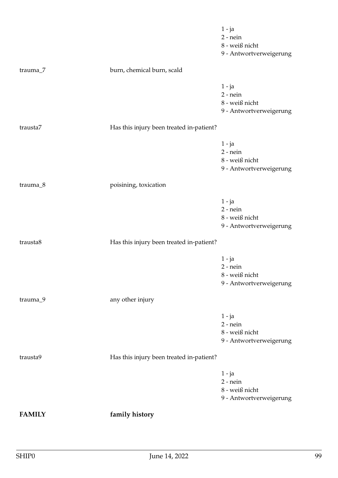|               |                                          | $1 - ja$<br>$2 - nein$                                              |
|---------------|------------------------------------------|---------------------------------------------------------------------|
|               |                                          | 8 - weiß nicht<br>9 - Antwortverweigerung                           |
| trauma_7      | burn, chemical burn, scald               |                                                                     |
|               |                                          | $1 - ja$<br>$2$ - nein                                              |
|               |                                          | 8 - weiß nicht<br>9 - Antwortverweigerung                           |
| trausta7      | Has this injury been treated in-patient? |                                                                     |
|               |                                          | $1 - ja$<br>$2$ - nein<br>8 - weiß nicht<br>9 - Antwortverweigerung |
| trauma_8      | poisining, toxication                    |                                                                     |
|               |                                          | $1 - ja$<br>$2$ - nein<br>8 - weiß nicht<br>9 - Antwortverweigerung |
| trausta8      | Has this injury been treated in-patient? |                                                                     |
|               |                                          | $1 - ja$<br>$2$ - nein<br>8 - weiß nicht<br>9 - Antwortverweigerung |
| trauma_9      | any other injury                         |                                                                     |
|               |                                          | $1 - ja$<br>$2$ - nein<br>8 - weiß nicht<br>9 - Antwortverweigerung |
| trausta9      | Has this injury been treated in-patient? |                                                                     |
|               |                                          | $1 - ja$<br>$2$ - nein<br>8 - weiß nicht<br>9 - Antwortverweigerung |
| <b>FAMILY</b> | family history                           |                                                                     |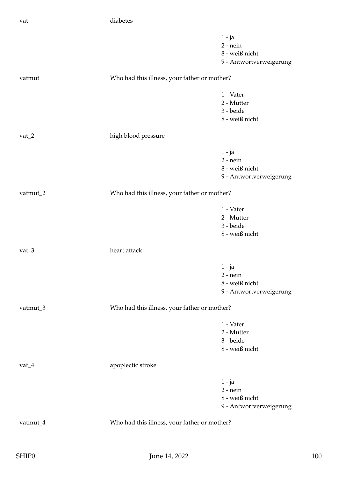|          |                                              | $1 - ja$<br>$2$ - nein<br>8 - weiß nicht<br>9 - Antwortverweigerung |
|----------|----------------------------------------------|---------------------------------------------------------------------|
| vatmut   | Who had this illness, your father or mother? |                                                                     |
|          |                                              | 1 - Vater<br>2 - Mutter<br>3 - beide<br>8 - weiß nicht              |
| $vat_2$  | high blood pressure                          |                                                                     |
|          |                                              | $1 - ja$<br>$2$ - nein<br>8 - weiß nicht<br>9 - Antwortverweigerung |
| vatmut_2 | Who had this illness, your father or mother? |                                                                     |
|          |                                              | 1 - Vater<br>2 - Mutter<br>3 - beide<br>8 - weiß nicht              |
| vat $_3$ | heart attack                                 |                                                                     |
|          |                                              | $1 - ja$<br>$2$ - nein<br>8 - weiß nicht<br>9 - Antwortverweigerung |
| vatmut_3 | Who had this illness, your father or mother? |                                                                     |
|          |                                              | 1 - Vater<br>2 - Mutter<br>3 - beide<br>8 - weiß nicht              |
| $vat_4$  | apoplectic stroke                            |                                                                     |
|          |                                              | $1 - ja$<br>$2$ - nein<br>8 - weiß nicht<br>9 - Antwortverweigerung |
| vatmut_4 | Who had this illness, your father or mother? |                                                                     |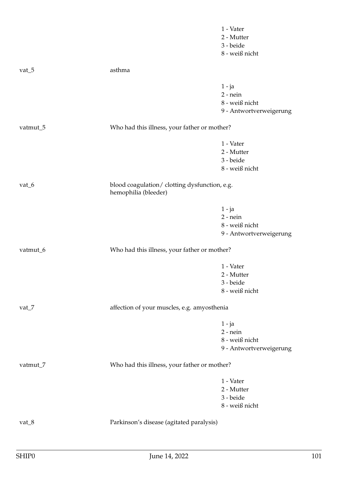|           |                                                                       | 1 - Vater<br>2 - Mutter<br>3 - beide |
|-----------|-----------------------------------------------------------------------|--------------------------------------|
|           |                                                                       | 8 - weiß nicht                       |
| vat $\_5$ | asthma                                                                |                                      |
|           |                                                                       | $1 - ja$                             |
|           |                                                                       | $2 - nein$                           |
|           |                                                                       | 8 - weiß nicht                       |
|           |                                                                       | 9 - Antwortverweigerung              |
| vatmut_5  | Who had this illness, your father or mother?                          |                                      |
|           |                                                                       | 1 - Vater                            |
|           |                                                                       | 2 - Mutter                           |
|           |                                                                       | 3 - beide                            |
|           |                                                                       | 8 - weiß nicht                       |
| vat $_6$  | blood coagulation/ clotting dysfunction, e.g.<br>hemophilia (bleeder) |                                      |
|           |                                                                       | $1 - ja$                             |
|           |                                                                       | $2$ - nein                           |
|           |                                                                       | 8 - weiß nicht                       |
|           |                                                                       | 9 - Antwortverweigerung              |
| vatmut_6  | Who had this illness, your father or mother?                          |                                      |
|           |                                                                       | 1 - Vater                            |
|           |                                                                       | 2 - Mutter                           |
|           |                                                                       | 3 - beide                            |
|           |                                                                       | 8 - weiß nicht                       |
| vat $_7$  | affection of your muscles, e.g. amyosthenia                           |                                      |
|           |                                                                       | $1 - ja$                             |
|           |                                                                       | $2$ - nein                           |
|           |                                                                       | 8 - weiß nicht                       |
|           |                                                                       | 9 - Antwortverweigerung              |
| vatmut_7  | Who had this illness, your father or mother?                          |                                      |
|           |                                                                       | 1 - Vater                            |
|           |                                                                       | 2 - Mutter                           |
|           |                                                                       | 3 - beide                            |
|           |                                                                       | 8 - weiß nicht                       |
| vat $_8$  | Parkinson's disease (agitated paralysis)                              |                                      |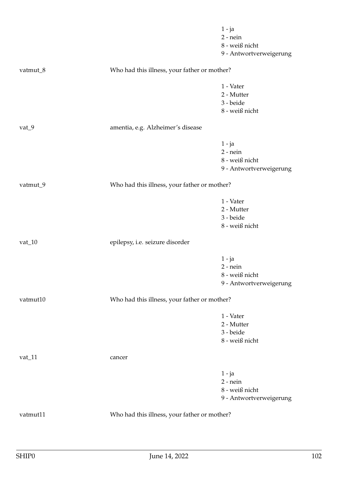|          |                                              | $1 - ja$<br>$2$ - nein<br>8 - weiß nicht<br>9 - Antwortverweigerung |
|----------|----------------------------------------------|---------------------------------------------------------------------|
| vatmut_8 | Who had this illness, your father or mother? |                                                                     |
|          |                                              | 1 - Vater<br>2 - Mutter<br>3 - beide<br>8 - weiß nicht              |
| $vat_9$  | amentia, e.g. Alzheimer's disease            |                                                                     |
|          |                                              | $1 - ja$<br>$2$ - nein<br>8 - weiß nicht<br>9 - Antwortverweigerung |
| vatmut_9 | Who had this illness, your father or mother? |                                                                     |
|          |                                              | 1 - Vater<br>2 - Mutter<br>3 - beide<br>8 - weiß nicht              |
| $vat_10$ | epilepsy, i.e. seizure disorder              |                                                                     |
|          |                                              | $1 - ja$<br>$2$ - nein<br>8 - weiß nicht<br>9 - Antwortverweigerung |
| vatmut10 | Who had this illness, your father or mother? |                                                                     |
|          |                                              | 1 - Vater<br>2 - Mutter<br>3 - beide<br>8 - weiß nicht              |
| $vat_11$ | cancer                                       |                                                                     |
|          |                                              | 1 - ja<br>$2$ - nein<br>8 - weiß nicht<br>9 - Antwortverweigerung   |
| vatmut11 | Who had this illness, your father or mother? |                                                                     |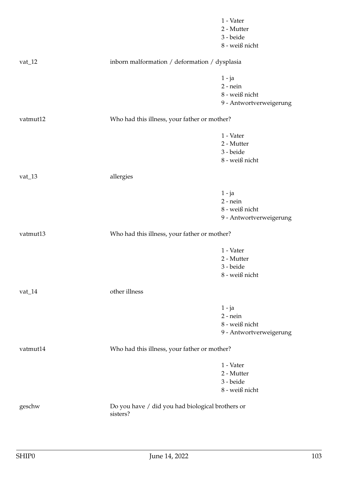|            |                                                              | 1 - Vater               |
|------------|--------------------------------------------------------------|-------------------------|
|            |                                                              | 2 - Mutter              |
|            |                                                              | 3 - beide               |
|            |                                                              | 8 - weiß nicht          |
| vat $\_12$ | inborn malformation / deformation / dysplasia                |                         |
|            |                                                              | $1 - ja$                |
|            |                                                              | $2$ - nein              |
|            |                                                              | 8 - weiß nicht          |
|            |                                                              | 9 - Antwortverweigerung |
| vatmut12   | Who had this illness, your father or mother?                 |                         |
|            |                                                              | 1 - Vater               |
|            |                                                              | 2 - Mutter              |
|            |                                                              | 3 - beide               |
|            |                                                              | 8 - weiß nicht          |
| $vat_13$   | allergies                                                    |                         |
|            |                                                              | $1 - ja$                |
|            |                                                              | $2$ - nein              |
|            |                                                              | 8 - weiß nicht          |
|            |                                                              | 9 - Antwortverweigerung |
| vatmut13   | Who had this illness, your father or mother?                 |                         |
|            |                                                              | 1 - Vater               |
|            |                                                              | 2 - Mutter              |
|            |                                                              | 3 - beide               |
|            |                                                              | 8 - weiß nicht          |
| $vat_14$   | other illness                                                |                         |
|            |                                                              | $1 - ja$                |
|            |                                                              | $2 - nein$              |
|            |                                                              | 8 - weiß nicht          |
|            |                                                              | 9 - Antwortverweigerung |
| vatmut14   | Who had this illness, your father or mother?                 |                         |
|            |                                                              | 1 - Vater               |
|            |                                                              | 2 - Mutter              |
|            |                                                              | 3 - beide               |
|            |                                                              | 8 - weiß nicht          |
| geschw     | Do you have / did you had biological brothers or<br>sisters? |                         |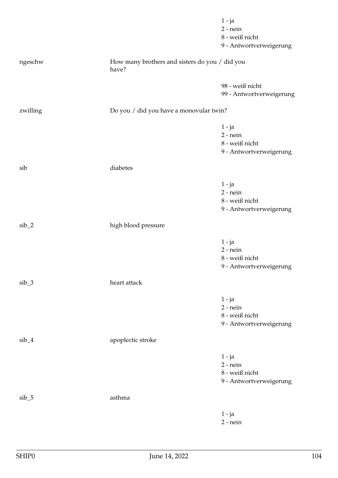|          |                                                         | $1 - ja$                 |
|----------|---------------------------------------------------------|--------------------------|
|          |                                                         | $2$ - nein               |
|          |                                                         | 8 - weiß nicht           |
|          |                                                         | 9 - Antwortverweigerung  |
| ngeschw  | How many brothers and sisters do you / did you<br>have? |                          |
|          |                                                         | 98 - weiß nicht          |
|          |                                                         | 99 - Antwortverweigerung |
|          |                                                         |                          |
| zwilling | Do you / did you have a monovular twin?                 |                          |
|          |                                                         | $1 - ja$                 |
|          |                                                         | $2$ - nein               |
|          |                                                         | 8 - weiß nicht           |
|          |                                                         | 9 - Antwortverweigerung  |
| sib      | diabetes                                                |                          |
|          |                                                         |                          |
|          |                                                         | $1 - ja$                 |
|          |                                                         | $2 - nein$               |
|          |                                                         | 8 - weiß nicht           |
|          |                                                         | 9 - Antwortverweigerung  |
| $sib_2$  | high blood pressure                                     |                          |
|          |                                                         | $1 - ja$                 |
|          |                                                         | $2$ - nein               |
|          |                                                         | 8 - weiß nicht           |
|          |                                                         | 9 - Antwortverweigerung  |
| $sib_3$  | heart attack                                            |                          |
|          |                                                         | $1 - ja$                 |
|          |                                                         | $2$ - nein               |
|          |                                                         | 8 - weiß nicht           |
|          |                                                         | 9 - Antwortverweigerung  |
| $sib_4$  | apoplectic stroke                                       |                          |
|          |                                                         | $1 - ja$                 |
|          |                                                         | $2$ - nein               |
|          |                                                         | 8 - weiß nicht           |
|          |                                                         | 9 - Antwortverweigerung  |
| $sib_5$  | asthma                                                  |                          |
|          |                                                         |                          |
|          |                                                         | $1 - ja$                 |
|          |                                                         | $2$ - nein               |
|          |                                                         |                          |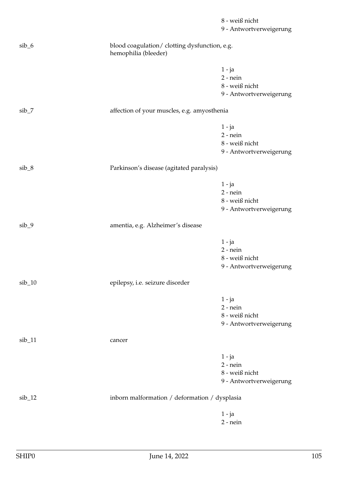|          |                                                                       | 8 - weiß nicht<br>9 - Antwortverweigerung                           |
|----------|-----------------------------------------------------------------------|---------------------------------------------------------------------|
| $sib_6$  | blood coagulation/ clotting dysfunction, e.g.<br>hemophilia (bleeder) |                                                                     |
|          |                                                                       | $1 - ja$<br>$2$ - nein<br>8 - weiß nicht<br>9 - Antwortverweigerung |
| $sib_7$  | affection of your muscles, e.g. amyosthenia                           |                                                                     |
|          |                                                                       | $1 - ja$<br>$2$ - nein<br>8 - weiß nicht<br>9 - Antwortverweigerung |
| sib_8    | Parkinson's disease (agitated paralysis)                              |                                                                     |
|          |                                                                       | $1 - ja$<br>$2$ - nein<br>8 - weiß nicht<br>9 - Antwortverweigerung |
| $sib_9$  | amentia, e.g. Alzheimer's disease                                     |                                                                     |
|          |                                                                       | $1 - ja$<br>$2$ - nein<br>8 - weiß nicht<br>9 - Antwortverweigerung |
| $sib_10$ | epilepsy, i.e. seizure disorder                                       |                                                                     |
|          |                                                                       | $1 - ja$<br>$2$ - nein<br>8 - weiß nicht<br>9 - Antwortverweigerung |
| $sib_11$ | cancer                                                                |                                                                     |
|          |                                                                       | $1 - ja$<br>$2$ - nein<br>8 - weiß nicht<br>9 - Antwortverweigerung |
| $sib_12$ | inborn malformation / deformation / dysplasia                         |                                                                     |
|          |                                                                       | $1 - ja$<br>$2$ - nein                                              |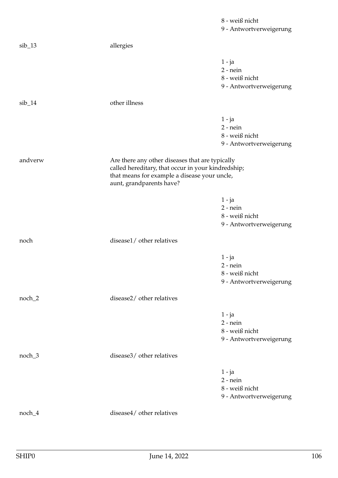|          |                                                                                                                                                                                   | 8 - weiß nicht          |
|----------|-----------------------------------------------------------------------------------------------------------------------------------------------------------------------------------|-------------------------|
|          |                                                                                                                                                                                   | 9 - Antwortverweigerung |
| $sib_13$ | allergies                                                                                                                                                                         |                         |
|          |                                                                                                                                                                                   | $1 - ja$                |
|          |                                                                                                                                                                                   | $2$ - nein              |
|          |                                                                                                                                                                                   | 8 - weiß nicht          |
|          |                                                                                                                                                                                   | 9 - Antwortverweigerung |
| $sib_14$ | other illness                                                                                                                                                                     |                         |
|          |                                                                                                                                                                                   | $1 - ja$                |
|          |                                                                                                                                                                                   | $2$ - nein              |
|          |                                                                                                                                                                                   | 8 - weiß nicht          |
|          |                                                                                                                                                                                   | 9 - Antwortverweigerung |
| andverw  | Are there any other diseases that are typically<br>called hereditary, that occur in your kindredship;<br>that means for example a disease your uncle,<br>aunt, grandparents have? |                         |
|          |                                                                                                                                                                                   | $1 - ja$                |
|          |                                                                                                                                                                                   | $2$ - nein              |
|          |                                                                                                                                                                                   | 8 - weiß nicht          |
|          |                                                                                                                                                                                   | 9 - Antwortverweigerung |
| noch     | disease1/ other relatives                                                                                                                                                         |                         |
|          |                                                                                                                                                                                   | $1 - ja$                |
|          |                                                                                                                                                                                   | $2$ - nein              |
|          |                                                                                                                                                                                   | 8 - weiß nicht          |
|          |                                                                                                                                                                                   | 9 - Antwortverweigerung |
| noch_2   | disease2/ other relatives                                                                                                                                                         |                         |
|          |                                                                                                                                                                                   | $1 - ja$                |
|          |                                                                                                                                                                                   | $2$ - nein              |
|          |                                                                                                                                                                                   | 8 - weiß nicht          |
|          |                                                                                                                                                                                   | 9 - Antwortverweigerung |
| noch_3   | disease3/ other relatives                                                                                                                                                         |                         |
|          |                                                                                                                                                                                   | $1 - ja$                |
|          |                                                                                                                                                                                   | $2$ - nein              |
|          |                                                                                                                                                                                   | 8 - weiß nicht          |
|          |                                                                                                                                                                                   | 9 - Antwortverweigerung |
| $noch_4$ | disease4/ other relatives                                                                                                                                                         |                         |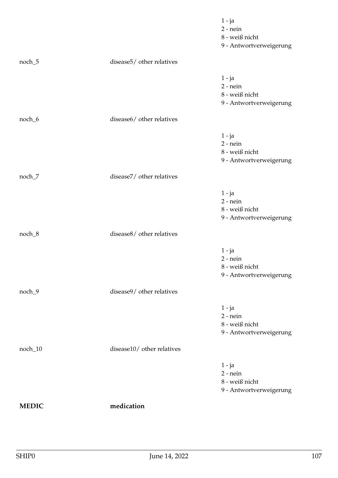|              |                            | $1 - ja$<br>$2$ - nein<br>8 - weiß nicht<br>9 - Antwortverweigerung |
|--------------|----------------------------|---------------------------------------------------------------------|
| noch_5       | disease5/ other relatives  |                                                                     |
|              |                            | $1 - ja$<br>$2$ - nein<br>8 - weiß nicht<br>9 - Antwortverweigerung |
| noch_6       | disease6/ other relatives  |                                                                     |
|              |                            | $1 - ja$<br>$2$ - nein<br>8 - weiß nicht<br>9 - Antwortverweigerung |
| noch_7       | disease7/ other relatives  |                                                                     |
|              |                            | $1 - ja$<br>$2$ - nein<br>8 - weiß nicht<br>9 - Antwortverweigerung |
| noch_8       | disease8/ other relatives  |                                                                     |
|              |                            | $1 - ja$<br>$2$ - nein<br>8 - weiß nicht<br>9 - Antwortverweigerung |
| noch_9       | disease9/ other relatives  |                                                                     |
|              |                            | $1 - ja$<br>$2$ - nein<br>8 - weiß nicht<br>9 - Antwortverweigerung |
| noch_10      | disease10/ other relatives |                                                                     |
|              |                            | $1 - ja$<br>$2$ - nein<br>8 - weiß nicht<br>9 - Antwortverweigerung |
| <b>MEDIC</b> | medication                 |                                                                     |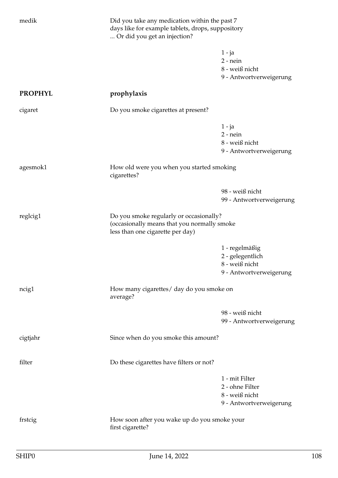| medik          | Or did you get an injection?                                                                                               | Did you take any medication within the past 7<br>days like for example tablets, drops, suppository |  |
|----------------|----------------------------------------------------------------------------------------------------------------------------|----------------------------------------------------------------------------------------------------|--|
|                |                                                                                                                            | 1 - ja<br>$2$ - nein<br>8 - weiß nicht<br>9 - Antwortverweigerung                                  |  |
| <b>PROPHYL</b> | prophylaxis                                                                                                                |                                                                                                    |  |
| cigaret        | Do you smoke cigarettes at present?                                                                                        |                                                                                                    |  |
|                |                                                                                                                            | $1 - ja$<br>$2$ - nein<br>8 - weiß nicht<br>9 - Antwortverweigerung                                |  |
| agesmok1       | cigarettes?                                                                                                                | How old were you when you started smoking                                                          |  |
|                |                                                                                                                            | 98 - weiß nicht<br>99 - Antwortverweigerung                                                        |  |
| reglcig1       | Do you smoke regularly or occasionally?<br>(occasionally means that you normally smoke<br>less than one cigarette per day) |                                                                                                    |  |
|                |                                                                                                                            | 1 - regelmäßig<br>2 - gelegentlich<br>8 - weiß nicht<br>9 - Antwortverweigerung                    |  |
| ncig1          | How many cigarettes/ day do you smoke on<br>average?                                                                       |                                                                                                    |  |
|                |                                                                                                                            | 98 - weiß nicht<br>99 - Antwortverweigerung                                                        |  |
| cigtjahr       | Since when do you smoke this amount?                                                                                       |                                                                                                    |  |
| filter         | Do these cigarettes have filters or not?                                                                                   |                                                                                                    |  |
|                |                                                                                                                            | 1 - mit Filter<br>2 - ohne Filter<br>8 - weiß nicht<br>9 - Antwortverweigerung                     |  |
| frstcig        | How soon after you wake up do you smoke your<br>first cigarette?                                                           |                                                                                                    |  |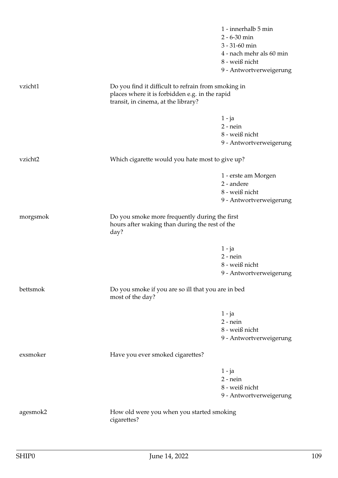|                                                                                                         | $2 - 6 - 30$ min                                    |
|---------------------------------------------------------------------------------------------------------|-----------------------------------------------------|
|                                                                                                         | 3 - 31-60 min                                       |
|                                                                                                         | 4 - nach mehr als 60 min                            |
|                                                                                                         | 8 - weiß nicht                                      |
|                                                                                                         | 9 - Antwortverweigerung                             |
|                                                                                                         |                                                     |
| places where it is forbidden e.g. in the rapid<br>transit, in cinema, at the library?                   |                                                     |
|                                                                                                         | $1 - ja$                                            |
|                                                                                                         | $2$ - nein                                          |
|                                                                                                         | 8 - weiß nicht                                      |
|                                                                                                         | 9 - Antwortverweigerung                             |
| Which cigarette would you hate most to give up?                                                         |                                                     |
|                                                                                                         | 1 - erste am Morgen                                 |
|                                                                                                         | 2 - andere                                          |
|                                                                                                         | 8 - weiß nicht                                      |
|                                                                                                         | 9 - Antwortverweigerung                             |
| Do you smoke more frequently during the first<br>hours after waking than during the rest of the<br>day? |                                                     |
|                                                                                                         | $1 - ja$                                            |
|                                                                                                         | $2$ - nein                                          |
|                                                                                                         | 8 - weiß nicht                                      |
|                                                                                                         | 9 - Antwortverweigerung                             |
| Do you smoke if you are so ill that you are in bed<br>most of the day?                                  |                                                     |
|                                                                                                         |                                                     |
|                                                                                                         | $1 - ja$<br>$2$ - nein                              |
|                                                                                                         | 8 - weiß nicht                                      |
|                                                                                                         |                                                     |
|                                                                                                         | 9 - Antwortverweigerung                             |
| Have you ever smoked cigarettes?                                                                        |                                                     |
|                                                                                                         | $1 - ja$                                            |
|                                                                                                         | $2$ - nein                                          |
|                                                                                                         | 8 - weiß nicht                                      |
|                                                                                                         | 9 - Antwortverweigerung                             |
| How old were you when you started smoking<br>cigarettes?                                                |                                                     |
|                                                                                                         | Do you find it difficult to refrain from smoking in |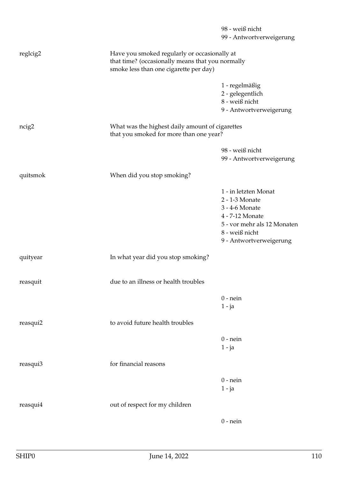|          |                                                                                                                                            | 98 - weiß nicht<br>99 - Antwortverweigerung                                                                                                             |
|----------|--------------------------------------------------------------------------------------------------------------------------------------------|---------------------------------------------------------------------------------------------------------------------------------------------------------|
| reglcig2 | Have you smoked regularly or occasionally at<br>that time? (occasionally means that you normally<br>smoke less than one cigarette per day) |                                                                                                                                                         |
|          |                                                                                                                                            | 1 - regelmäßig<br>2 - gelegentlich<br>8 - weiß nicht<br>9 - Antwortverweigerung                                                                         |
| ncig2    | What was the highest daily amount of cigarettes<br>that you smoked for more than one year?                                                 |                                                                                                                                                         |
|          |                                                                                                                                            | 98 - weiß nicht<br>99 - Antwortverweigerung                                                                                                             |
| quitsmok | When did you stop smoking?                                                                                                                 |                                                                                                                                                         |
|          |                                                                                                                                            | 1 - in letzten Monat<br>2 - 1-3 Monate<br>3 - 4-6 Monate<br>4 - 7-12 Monate<br>5 - vor mehr als 12 Monaten<br>8 - weiß nicht<br>9 - Antwortverweigerung |
| quityear | In what year did you stop smoking?                                                                                                         |                                                                                                                                                         |
| reasquit | due to an illness or health troubles                                                                                                       |                                                                                                                                                         |
|          |                                                                                                                                            | $0$ - nein<br>$1 - ja$                                                                                                                                  |
| reasqui2 | to avoid future health troubles                                                                                                            |                                                                                                                                                         |
|          |                                                                                                                                            | $0$ - nein<br>$1 - ja$                                                                                                                                  |
| reasqui3 | for financial reasons                                                                                                                      |                                                                                                                                                         |
|          |                                                                                                                                            | $0$ - nein<br>$1 - ja$                                                                                                                                  |
| reasqui4 | out of respect for my children                                                                                                             |                                                                                                                                                         |
|          |                                                                                                                                            | $0$ - nein                                                                                                                                              |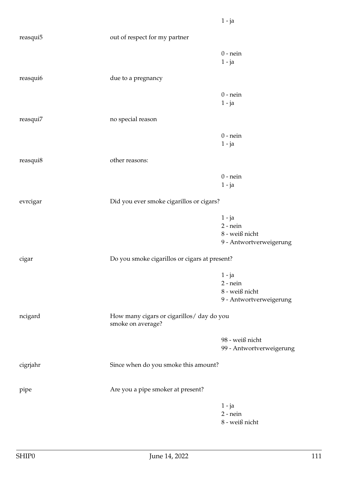| reasqui5 | out of respect for my partner                                  |                                                                       |
|----------|----------------------------------------------------------------|-----------------------------------------------------------------------|
|          |                                                                | $0$ - nein<br>$1 - ja$                                                |
| reasqui6 | due to a pregnancy                                             |                                                                       |
|          |                                                                | $0$ - nein<br>$1 - ja$                                                |
| reasqui7 | no special reason                                              |                                                                       |
|          |                                                                | $0$ - nein<br>$1 - ja$                                                |
| reasqui8 | other reasons:                                                 |                                                                       |
|          |                                                                | $0$ - nein<br>$1 - ja$                                                |
| evrcigar | Did you ever smoke cigarillos or cigars?                       |                                                                       |
|          |                                                                | $1 - ja$<br>$2$ - nein<br>$8$ - weiß nicht<br>9 - Antwortverweigerung |
| cigar    | Do you smoke cigarillos or cigars at present?                  |                                                                       |
|          |                                                                | $1 - ja$<br>$2 - nein$<br>8 - weiß nicht<br>9 - Antwortverweigerung   |
| ncigard  | How many cigars or cigarillos/ day do you<br>smoke on average? |                                                                       |
|          |                                                                | 98 - weiß nicht<br>99 - Antwortverweigerung                           |
| cigrjahr | Since when do you smoke this amount?                           |                                                                       |
| pipe     | Are you a pipe smoker at present?                              |                                                                       |
|          |                                                                | $1 - ja$<br>$2$ - nein<br>$8$ - weiß nicht                            |

1 - ja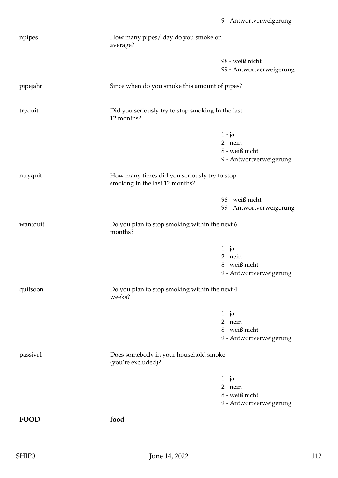| npipes   | How many pipes/ day do you smoke on<br>average?                                |                                                                     |
|----------|--------------------------------------------------------------------------------|---------------------------------------------------------------------|
|          |                                                                                | 98 - weiß nicht<br>99 - Antwortverweigerung                         |
| pipejahr | Since when do you smoke this amount of pipes?                                  |                                                                     |
| tryquit  | Did you seriously try to stop smoking In the last<br>12 months?                |                                                                     |
|          |                                                                                | $1 - ja$<br>$2$ - nein<br>8 - weiß nicht<br>9 - Antwortverweigerung |
| ntryquit | How many times did you seriously try to stop<br>smoking In the last 12 months? |                                                                     |
|          |                                                                                | 98 - weiß nicht<br>99 - Antwortverweigerung                         |
| wantquit | Do you plan to stop smoking within the next 6<br>months?                       |                                                                     |
|          |                                                                                | $1 - ja$<br>$2$ - nein<br>8 - weiß nicht<br>9 - Antwortverweigerung |
| quitsoon | Do you plan to stop smoking within the next 4<br>weeks?                        |                                                                     |
|          |                                                                                | $1 - ja$<br>$2$ - nein<br>8 - weiß nicht<br>9 - Antwortverweigerung |
| passivr1 | Does somebody in your household smoke<br>(you're excluded)?                    |                                                                     |
|          |                                                                                | $1 - ja$<br>$2$ - nein<br>8 - weiß nicht<br>9 - Antwortverweigerung |
| FOOD     | food                                                                           |                                                                     |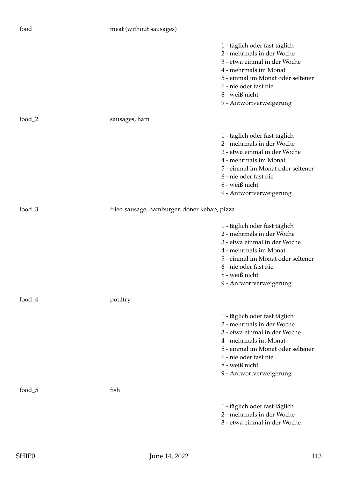| food      | meat (without sausages)                      |                                                                                                                                                                                                                                |
|-----------|----------------------------------------------|--------------------------------------------------------------------------------------------------------------------------------------------------------------------------------------------------------------------------------|
|           |                                              | 1 - täglich oder fast täglich<br>2 - mehrmals in der Woche<br>3 - etwa einmal in der Woche<br>4 - mehrmals im Monat<br>5 - einmal im Monat oder seltener<br>6 - nie oder fast nie<br>8 - weiß nicht<br>9 - Antwortverweigerung |
| food_ $2$ | sausages, ham                                |                                                                                                                                                                                                                                |
|           |                                              | 1 - täglich oder fast täglich<br>2 - mehrmals in der Woche<br>3 - etwa einmal in der Woche<br>4 - mehrmals im Monat<br>5 - einmal im Monat oder seltener<br>6 - nie oder fast nie<br>8 - weiß nicht<br>9 - Antwortverweigerung |
| food_ $3$ | fried sausage, hamburger, doner kebap, pizza |                                                                                                                                                                                                                                |
|           |                                              | 1 - täglich oder fast täglich<br>2 - mehrmals in der Woche<br>3 - etwa einmal in der Woche<br>4 - mehrmals im Monat<br>5 - einmal im Monat oder seltener<br>6 - nie oder fast nie<br>8 - weiß nicht<br>9 - Antwortverweigerung |
| food $_4$ | poultry                                      |                                                                                                                                                                                                                                |
|           |                                              | 1 - täglich oder fast täglich<br>2 - mehrmals in der Woche<br>3 - etwa einmal in der Woche<br>4 - mehrmals im Monat<br>5 - einmal im Monat oder seltener<br>6 - nie oder fast nie<br>8 - weiß nicht<br>9 - Antwortverweigerung |
| food_5    | fish                                         |                                                                                                                                                                                                                                |
|           |                                              | 1 - täglich oder fast täglich<br>2 - mehrmals in der Woche<br>3 - etwa einmal in der Woche                                                                                                                                     |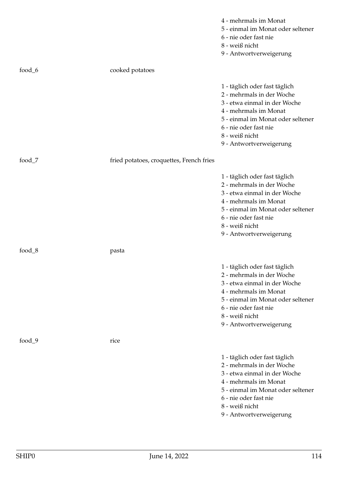|           |                                          | 4 - mehrmals im Monat<br>5 - einmal im Monat oder seltener<br>6 - nie oder fast nie<br>8 - weiß nicht<br>9 - Antwortverweigerung                                                                                               |
|-----------|------------------------------------------|--------------------------------------------------------------------------------------------------------------------------------------------------------------------------------------------------------------------------------|
| food_6    | cooked potatoes                          |                                                                                                                                                                                                                                |
|           |                                          | 1 - täglich oder fast täglich<br>2 - mehrmals in der Woche<br>3 - etwa einmal in der Woche<br>4 - mehrmals im Monat<br>5 - einmal im Monat oder seltener<br>6 - nie oder fast nie<br>8 - weiß nicht<br>9 - Antwortverweigerung |
| food $_7$ | fried potatoes, croquettes, French fries |                                                                                                                                                                                                                                |
|           |                                          | 1 - täglich oder fast täglich<br>2 - mehrmals in der Woche<br>3 - etwa einmal in der Woche<br>4 - mehrmals im Monat<br>5 - einmal im Monat oder seltener<br>6 - nie oder fast nie<br>8 - weiß nicht<br>9 - Antwortverweigerung |
| food_8    | pasta                                    |                                                                                                                                                                                                                                |
|           |                                          | 1 - täglich oder fast täglich<br>2 - mehrmals in der Woche<br>3 - etwa einmal in der Woche<br>4 - mehrmals im Monat<br>5 - einmal im Monat oder seltener<br>6 - nie oder fast nie<br>8 - weiß nicht<br>9 - Antwortverweigerung |
| food $_9$ | rice                                     |                                                                                                                                                                                                                                |
|           |                                          | 1 - täglich oder fast täglich<br>2 - mehrmals in der Woche<br>3 - etwa einmal in der Woche<br>4 - mehrmals im Monat<br>5 - einmal im Monat oder seltener<br>6 - nie oder fast nie<br>8 - weiß nicht<br>9 - Antwortverweigerung |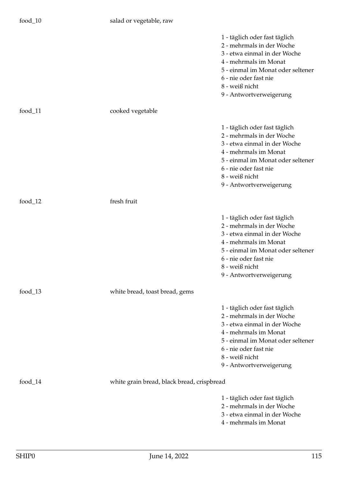|            |                                            | 1 - täglich oder fast täglich<br>2 - mehrmals in der Woche<br>3 - etwa einmal in der Woche<br>4 - mehrmals im Monat<br>5 - einmal im Monat oder seltener<br>6 - nie oder fast nie<br>8 - weiß nicht<br>9 - Antwortverweigerung |
|------------|--------------------------------------------|--------------------------------------------------------------------------------------------------------------------------------------------------------------------------------------------------------------------------------|
| $food_11$  | cooked vegetable                           |                                                                                                                                                                                                                                |
|            |                                            | 1 - täglich oder fast täglich<br>2 - mehrmals in der Woche<br>3 - etwa einmal in der Woche<br>4 - mehrmals im Monat<br>5 - einmal im Monat oder seltener<br>6 - nie oder fast nie<br>8 - weiß nicht<br>9 - Antwortverweigerung |
| food_ $12$ | fresh fruit                                |                                                                                                                                                                                                                                |
|            |                                            | 1 - täglich oder fast täglich<br>2 - mehrmals in der Woche<br>3 - etwa einmal in der Woche<br>4 - mehrmals im Monat<br>5 - einmal im Monat oder seltener<br>6 - nie oder fast nie<br>8 - weiß nicht<br>9 - Antwortverweigerung |
| food_ $13$ | white bread, toast bread, gems             |                                                                                                                                                                                                                                |
|            |                                            | 1 - täglich oder fast täglich<br>2 - mehrmals in der Woche<br>3 - etwa einmal in der Woche<br>4 - mehrmals im Monat<br>5 - einmal im Monat oder seltener<br>6 - nie oder fast nie<br>8 - weiß nicht<br>9 - Antwortverweigerung |
|            |                                            |                                                                                                                                                                                                                                |
| food_ $14$ | white grain bread, black bread, crispbread |                                                                                                                                                                                                                                |
|            |                                            | 1 - täglich oder fast täglich<br>2 - mehrmals in der Woche<br>3 - etwa einmal in der Woche<br>4 - mehrmals im Monat                                                                                                            |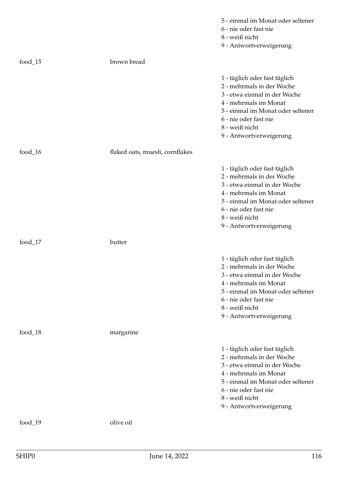|            |                                 | 5 - einmal im Monat oder seltener<br>6 - nie oder fast nie<br>8 - weiß nicht<br>9 - Antwortverweigerung                                                                                                                        |
|------------|---------------------------------|--------------------------------------------------------------------------------------------------------------------------------------------------------------------------------------------------------------------------------|
| food_15    | brown bread                     |                                                                                                                                                                                                                                |
|            |                                 | 1 - täglich oder fast täglich<br>2 - mehrmals in der Woche<br>3 - etwa einmal in der Woche<br>4 - mehrmals im Monat<br>5 - einmal im Monat oder seltener<br>6 - nie oder fast nie<br>8 - weiß nicht<br>9 - Antwortverweigerung |
| food_ $16$ | flaked oats, muesli, cornflakes |                                                                                                                                                                                                                                |
|            |                                 | 1 - täglich oder fast täglich<br>2 - mehrmals in der Woche<br>3 - etwa einmal in der Woche<br>4 - mehrmals im Monat<br>5 - einmal im Monat oder seltener<br>6 - nie oder fast nie<br>8 - weiß nicht<br>9 - Antwortverweigerung |
| food_17    | butter                          |                                                                                                                                                                                                                                |
|            |                                 | 1 - täglich oder fast täglich<br>2 - mehrmals in der Woche<br>3 - etwa einmal in der Woche<br>4 - mehrmals im Monat<br>5 - einmal im Monat oder seltener<br>6 - nie oder fast nie<br>8 - weiß nicht<br>9 - Antwortverweigerung |
| food_ $18$ | margarine                       |                                                                                                                                                                                                                                |
|            |                                 | 1 - täglich oder fast täglich<br>2 - mehrmals in der Woche<br>3 - etwa einmal in der Woche<br>4 - mehrmals im Monat<br>5 - einmal im Monat oder seltener<br>6 - nie oder fast nie<br>8 - weiß nicht<br>9 - Antwortverweigerung |
| $food_19$  | olive oil                       |                                                                                                                                                                                                                                |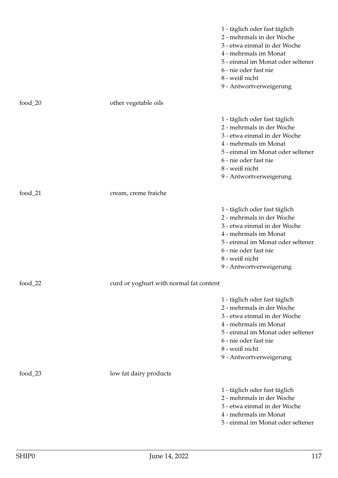|            |                                         | 1 - täglich oder fast täglich<br>2 - mehrmals in der Woche<br>3 - etwa einmal in der Woche<br>4 - mehrmals im Monat<br>5 - einmal im Monat oder seltener<br>6 - nie oder fast nie<br>8 - weiß nicht<br>9 - Antwortverweigerung |
|------------|-----------------------------------------|--------------------------------------------------------------------------------------------------------------------------------------------------------------------------------------------------------------------------------|
| food_ $20$ | other vegetable oils                    |                                                                                                                                                                                                                                |
|            |                                         | 1 - täglich oder fast täglich<br>2 - mehrmals in der Woche<br>3 - etwa einmal in der Woche<br>4 - mehrmals im Monat<br>5 - einmal im Monat oder seltener<br>6 - nie oder fast nie<br>8 - weiß nicht<br>9 - Antwortverweigerung |
| food_ $21$ | cream, creme fraiche                    |                                                                                                                                                                                                                                |
|            |                                         | 1 - täglich oder fast täglich<br>2 - mehrmals in der Woche<br>3 - etwa einmal in der Woche<br>4 - mehrmals im Monat<br>5 - einmal im Monat oder seltener<br>6 - nie oder fast nie<br>8 - weiß nicht<br>9 - Antwortverweigerung |
| food_ $22$ | curd or yoghurt with normal fat content |                                                                                                                                                                                                                                |
|            |                                         | 1 - täglich oder fast täglich<br>2 - mehrmals in der Woche<br>3 - etwa einmal in der Woche<br>4 - mehrmals im Monat<br>5 - einmal im Monat oder seltener<br>6 - nie oder fast nie<br>8 - weiß nicht<br>9 - Antwortverweigerung |
| food_ $23$ | low fat dairy products                  |                                                                                                                                                                                                                                |
|            |                                         | 1 - täglich oder fast täglich<br>2 - mehrmals in der Woche<br>3 - etwa einmal in der Woche<br>4 - mehrmals im Monat<br>5 - einmal im Monat oder seltener                                                                       |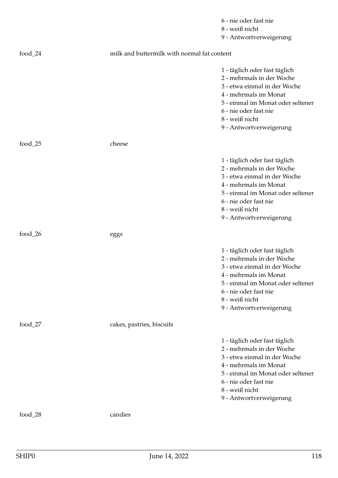|            |                                             | 6 - nie oder fast nie                                                                                                                                                                                                          |
|------------|---------------------------------------------|--------------------------------------------------------------------------------------------------------------------------------------------------------------------------------------------------------------------------------|
|            |                                             | 8 - weiß nicht                                                                                                                                                                                                                 |
|            |                                             | 9 - Antwortverweigerung                                                                                                                                                                                                        |
| $food_24$  | milk and buttermilk with normal fat content |                                                                                                                                                                                                                                |
|            |                                             | 1 - täglich oder fast täglich<br>2 - mehrmals in der Woche<br>3 - etwa einmal in der Woche<br>4 - mehrmals im Monat<br>5 - einmal im Monat oder seltener<br>6 - nie oder fast nie<br>8 - weiß nicht<br>9 - Antwortverweigerung |
| food_25    | cheese                                      |                                                                                                                                                                                                                                |
|            |                                             | 1 - täglich oder fast täglich<br>2 - mehrmals in der Woche<br>3 - etwa einmal in der Woche<br>4 - mehrmals im Monat<br>5 - einmal im Monat oder seltener<br>6 - nie oder fast nie<br>8 - weiß nicht<br>9 - Antwortverweigerung |
| food_ $26$ | eggs                                        |                                                                                                                                                                                                                                |
|            |                                             | 1 - täglich oder fast täglich<br>2 - mehrmals in der Woche<br>3 - etwa einmal in der Woche<br>4 - mehrmals im Monat<br>5 - einmal im Monat oder seltener<br>6 - nie oder fast nie<br>8 - weiß nicht<br>9 - Antwortverweigerung |
| food_ $27$ | cakes, pastries, biscuits                   |                                                                                                                                                                                                                                |
|            |                                             | 1 - täglich oder fast täglich<br>2 - mehrmals in der Woche<br>3 - etwa einmal in der Woche<br>4 - mehrmals im Monat<br>5 - einmal im Monat oder seltener<br>6 - nie oder fast nie<br>8 - weiß nicht<br>9 - Antwortverweigerung |
| food_ $28$ | candies                                     |                                                                                                                                                                                                                                |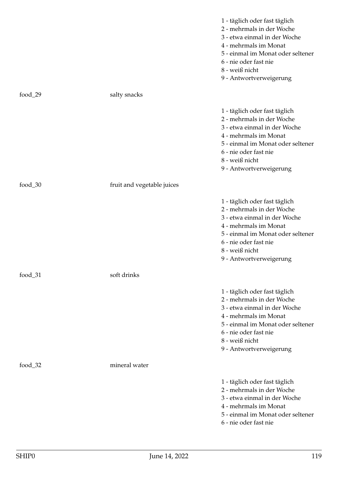|            |                            | 1 - täglich oder fast täglich<br>2 - mehrmals in der Woche<br>3 - etwa einmal in der Woche<br>4 - mehrmals im Monat<br>5 - einmal im Monat oder seltener<br>6 - nie oder fast nie<br>8 - weiß nicht<br>9 - Antwortverweigerung |
|------------|----------------------------|--------------------------------------------------------------------------------------------------------------------------------------------------------------------------------------------------------------------------------|
| food_29    | salty snacks               |                                                                                                                                                                                                                                |
|            |                            | 1 - täglich oder fast täglich<br>2 - mehrmals in der Woche<br>3 - etwa einmal in der Woche<br>4 - mehrmals im Monat<br>5 - einmal im Monat oder seltener<br>6 - nie oder fast nie<br>8 - weiß nicht<br>9 - Antwortverweigerung |
| food_ $30$ | fruit and vegetable juices |                                                                                                                                                                                                                                |
|            |                            | 1 - täglich oder fast täglich<br>2 - mehrmals in der Woche<br>3 - etwa einmal in der Woche<br>4 - mehrmals im Monat<br>5 - einmal im Monat oder seltener<br>6 - nie oder fast nie<br>8 - weiß nicht<br>9 - Antwortverweigerung |
| food_31    | soft drinks                |                                                                                                                                                                                                                                |
|            |                            | 1 - täglich oder fast täglich<br>2 - mehrmals in der Woche<br>3 - etwa einmal in der Woche<br>4 - mehrmals im Monat<br>5 - einmal im Monat oder seltener<br>6 - nie oder fast nie<br>8 - weiß nicht<br>9 - Antwortverweigerung |
| food_ $32$ | mineral water              |                                                                                                                                                                                                                                |
|            |                            | 1 - täglich oder fast täglich<br>2 - mehrmals in der Woche<br>3 - etwa einmal in der Woche<br>4 - mehrmals im Monat<br>5 - einmal im Monat oder seltener<br>6 - nie oder fast nie                                              |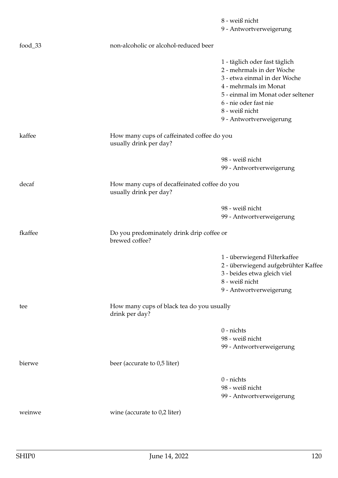|            |                                                                        | 8 - weiß nicht<br>9 - Antwortverweigerung |
|------------|------------------------------------------------------------------------|-------------------------------------------|
| food_ $33$ | non-alcoholic or alcohol-reduced beer                                  |                                           |
|            |                                                                        | 1 - täglich oder fast täglich             |
|            |                                                                        | 2 - mehrmals in der Woche                 |
|            |                                                                        | 3 - etwa einmal in der Woche              |
|            |                                                                        | 4 - mehrmals im Monat                     |
|            |                                                                        | 5 - einmal im Monat oder seltener         |
|            |                                                                        | 6 - nie oder fast nie                     |
|            |                                                                        | 8 - weiß nicht                            |
|            |                                                                        | 9 - Antwortverweigerung                   |
| kaffee     | How many cups of caffeinated coffee do you<br>usually drink per day?   |                                           |
|            |                                                                        | 98 - weiß nicht                           |
|            |                                                                        | 99 - Antwortverweigerung                  |
| decaf      | How many cups of decaffeinated coffee do you<br>usually drink per day? |                                           |
|            |                                                                        | 98 - weiß nicht                           |
|            |                                                                        | 99 - Antwortverweigerung                  |
| fkaffee    | Do you predominately drink drip coffee or<br>brewed coffee?            |                                           |
|            |                                                                        | 1 - überwiegend Filterkaffee              |
|            |                                                                        | 2 - überwiegend aufgebrühter Kaffee       |
|            |                                                                        | 3 - beides etwa gleich viel               |
|            |                                                                        | 8 - weiß nicht                            |
|            |                                                                        | 9 - Antwortverweigerung                   |
| tee        | How many cups of black tea do you usually<br>drink per day?            |                                           |
|            |                                                                        | $0$ - nichts                              |
|            |                                                                        | 98 - weiß nicht                           |
|            |                                                                        | 99 - Antwortverweigerung                  |
| bierwe     | beer (accurate to 0,5 liter)                                           |                                           |
|            |                                                                        | $0$ - nichts                              |
|            |                                                                        | 98 - weiß nicht                           |
|            |                                                                        | 99 - Antwortverweigerung                  |
| weinwe     | wine (accurate to 0,2 liter)                                           |                                           |
|            |                                                                        |                                           |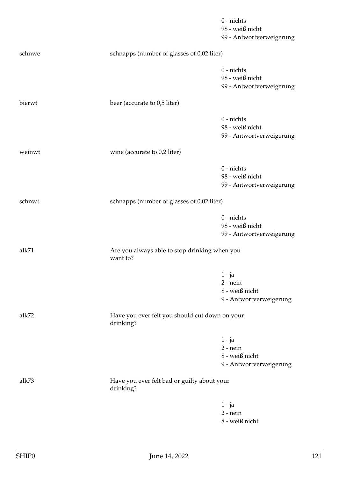|        |                                                             | $0$ - nichts<br>98 - weiß nicht<br>99 - Antwortverweigerung         |
|--------|-------------------------------------------------------------|---------------------------------------------------------------------|
| schnwe | schnapps (number of glasses of 0,02 liter)                  |                                                                     |
|        |                                                             | $0$ - nichts<br>98 - weiß nicht<br>99 - Antwortverweigerung         |
| bierwt | beer (accurate to 0,5 liter)                                |                                                                     |
|        |                                                             | $0$ - nichts<br>98 - weiß nicht<br>99 - Antwortverweigerung         |
| weinwt | wine (accurate to $0,2$ liter)                              |                                                                     |
|        |                                                             | $0$ - nichts<br>98 - weiß nicht<br>99 - Antwortverweigerung         |
| schnwt | schnapps (number of glasses of 0,02 liter)                  |                                                                     |
|        |                                                             | $0$ - nichts<br>98 - weiß nicht<br>99 - Antwortverweigerung         |
| alk71  | Are you always able to stop drinking when you<br>want to?   |                                                                     |
|        |                                                             | $1 - ja$<br>$2$ - nein<br>8 - weiß nicht<br>9 - Antwortverweigerung |
| alk72  | Have you ever felt you should cut down on your<br>drinking? |                                                                     |
|        |                                                             | $1 - ja$<br>$2$ - nein<br>8 - weiß nicht<br>9 - Antwortverweigerung |
| alk73  | Have you ever felt bad or guilty about your<br>drinking?    |                                                                     |
|        |                                                             | $1 - ja$<br>$2$ - nein<br>8 - weiß nicht                            |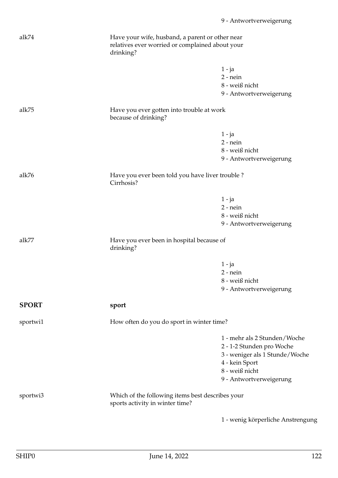| alk74        | Have your wife, husband, a parent or other near<br>relatives ever worried or complained about your<br>drinking? |                                          |  |
|--------------|-----------------------------------------------------------------------------------------------------------------|------------------------------------------|--|
|              |                                                                                                                 | $1 - ja$<br>$2$ - nein<br>8 - weiß nicht |  |
|              |                                                                                                                 | 9 - Antwortverweigerung                  |  |
| alk75        | Have you ever gotten into trouble at work<br>because of drinking?                                               |                                          |  |
|              |                                                                                                                 | $1 - ja$                                 |  |
|              |                                                                                                                 | $2$ - nein                               |  |
|              |                                                                                                                 | 8 - weiß nicht                           |  |
|              |                                                                                                                 | 9 - Antwortverweigerung                  |  |
| alk76        | Have you ever been told you have liver trouble ?<br>Cirrhosis?                                                  |                                          |  |
|              |                                                                                                                 | $1 - ja$                                 |  |
|              |                                                                                                                 | $2$ - nein                               |  |
|              |                                                                                                                 | 8 - weiß nicht                           |  |
|              |                                                                                                                 | 9 - Antwortverweigerung                  |  |
| alk77        | Have you ever been in hospital because of<br>drinking?                                                          |                                          |  |
|              |                                                                                                                 |                                          |  |
|              |                                                                                                                 | $1 - ja$<br>$2$ - nein                   |  |
|              |                                                                                                                 | 8 - weiß nicht                           |  |
|              |                                                                                                                 | 9 - Antwortverweigerung                  |  |
| <b>SPORT</b> | sport                                                                                                           |                                          |  |
| sportwi1     | How often do you do sport in winter time?                                                                       |                                          |  |
|              |                                                                                                                 | 1 - mehr als 2 Stunden/Woche             |  |
|              |                                                                                                                 | 2 - 1-2 Stunden pro Woche                |  |
|              |                                                                                                                 | 3 - weniger als 1 Stunde/Woche           |  |
|              |                                                                                                                 | 4 - kein Sport                           |  |
|              |                                                                                                                 | 8 - weiß nicht                           |  |
|              |                                                                                                                 | 9 - Antwortverweigerung                  |  |
| sportwi3     | Which of the following items best describes your<br>sports activity in winter time?                             |                                          |  |
|              |                                                                                                                 | 1 - wenig körperliche Anstrengung        |  |
|              |                                                                                                                 |                                          |  |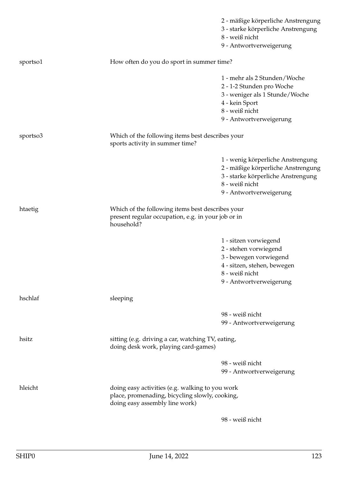|          |                                                                                                                                     | 2 - mäßige körperliche Anstrengung<br>3 - starke körperliche Anstrengung<br>8 - weiß nicht<br>9 - Antwortverweigerung                                      |
|----------|-------------------------------------------------------------------------------------------------------------------------------------|------------------------------------------------------------------------------------------------------------------------------------------------------------|
| sportso1 | How often do you do sport in summer time?                                                                                           |                                                                                                                                                            |
|          |                                                                                                                                     | 1 - mehr als 2 Stunden/Woche<br>2 - 1-2 Stunden pro Woche<br>3 - weniger als 1 Stunde/Woche<br>4 - kein Sport<br>8 - weiß nicht<br>9 - Antwortverweigerung |
| sportso3 | Which of the following items best describes your<br>sports activity in summer time?                                                 |                                                                                                                                                            |
|          |                                                                                                                                     | 1 - wenig körperliche Anstrengung<br>2 - mäßige körperliche Anstrengung<br>3 - starke körperliche Anstrengung<br>8 - weiß nicht<br>9 - Antwortverweigerung |
| htaetig  | Which of the following items best describes your<br>present regular occupation, e.g. in your job or in<br>household?                |                                                                                                                                                            |
|          |                                                                                                                                     | 1 - sitzen vorwiegend<br>2 - stehen vorwiegend<br>3 - bewegen vorwiegend<br>4 - sitzen, stehen, bewegen<br>8 - weiß nicht<br>9 - Antwortverweigerung       |
| hschlaf  | sleeping                                                                                                                            |                                                                                                                                                            |
|          |                                                                                                                                     | 98 - weiß nicht<br>99 - Antwortverweigerung                                                                                                                |
| hsitz    | sitting (e.g. driving a car, watching TV, eating,<br>doing desk work, playing card-games)                                           |                                                                                                                                                            |
|          |                                                                                                                                     | 98 - weiß nicht<br>99 - Antwortverweigerung                                                                                                                |
| hleicht  | doing easy activities (e.g. walking to you work<br>place, promenading, bicycling slowly, cooking,<br>doing easy assembly line work) |                                                                                                                                                            |
|          |                                                                                                                                     | 98 - weiß nicht                                                                                                                                            |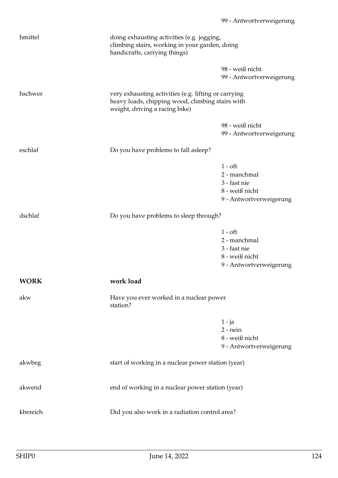| hmittel     | doing exhausting activities (e.g. jogging,<br>climbing stairs, working in your garden, doing<br>handicrafts, carrying things)              |                                                                                               |
|-------------|--------------------------------------------------------------------------------------------------------------------------------------------|-----------------------------------------------------------------------------------------------|
|             |                                                                                                                                            | 98 - weiß nicht<br>99 - Antwortverweigerung                                                   |
| hschwer     | very exhausting activities (e.g. lifting or carrying<br>heavy loads, chipping wood, climbing stairs with<br>weight, driving a racing bike) |                                                                                               |
|             |                                                                                                                                            | 98 - weiß nicht<br>99 - Antwortverweigerung                                                   |
| eschlaf     | Do you have problems to fall as leep?                                                                                                      |                                                                                               |
|             |                                                                                                                                            | $1 - \text{oft}$<br>2 - manchmal<br>3 - fast nie<br>8 - weiß nicht<br>9 - Antwortverweigerung |
| dschlaf     | Do you have problems to sleep through?                                                                                                     |                                                                                               |
|             |                                                                                                                                            | $1 - oft$<br>2 - manchmal<br>3 - fast nie<br>8 - weiß nicht<br>9 - Antwortverweigerung        |
| <b>WORK</b> | work load                                                                                                                                  |                                                                                               |
| akw         | Have you ever worked in a nuclear power<br>station?                                                                                        |                                                                                               |
|             |                                                                                                                                            | $1 - ja$<br>$2$ - nein<br>8 - weiß nicht<br>9 - Antwortverweigerung                           |
| akwbeg      | start of working in a nuclear power station (year)                                                                                         |                                                                                               |
| akwend      | end of working in a nuclear power station (year)                                                                                           |                                                                                               |
| kbereich    | Did you also work in a radiation control area?                                                                                             |                                                                                               |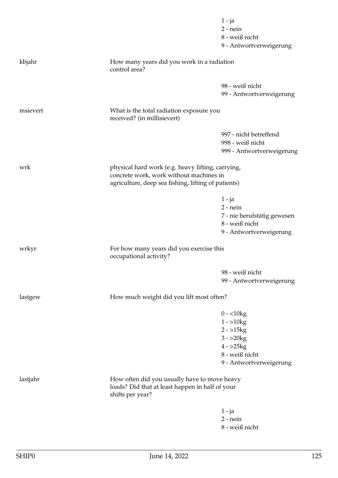|          |                                                                                                                     | $1 - ja$<br>$2$ - nein<br>8 - weiß nicht                                                                                                            |  |
|----------|---------------------------------------------------------------------------------------------------------------------|-----------------------------------------------------------------------------------------------------------------------------------------------------|--|
| kbjahr   | How many years did you work in a radiation<br>control area?                                                         | 9 - Antwortverweigerung                                                                                                                             |  |
|          |                                                                                                                     |                                                                                                                                                     |  |
|          |                                                                                                                     | 98 - weiß nicht<br>99 - Antwortverweigerung                                                                                                         |  |
| msievert | What is the total radiation exposure you<br>received? (in millisievert)                                             |                                                                                                                                                     |  |
|          |                                                                                                                     | 997 - nicht betreffend<br>998 - weiß nicht<br>999 - Antwortverweigerung                                                                             |  |
| wrk      |                                                                                                                     | physical hard work (e.g. heavy lifting, carrying,<br>concrete work, work without machines in<br>agriculture, deep sea fishing, lifting of patients) |  |
|          |                                                                                                                     | $1 - ja$<br>$2$ - nein<br>7 - nie berufstätig gewesen                                                                                               |  |
|          |                                                                                                                     | 8 - weiß nicht<br>9 - Antwortverweigerung                                                                                                           |  |
| wrkyr    | For how many years did you exercise this<br>occupational activity?                                                  |                                                                                                                                                     |  |
|          |                                                                                                                     | 98 - weiß nicht<br>99 - Antwortverweigerung                                                                                                         |  |
| lastgew  | How much weight did you lift most often?                                                                            |                                                                                                                                                     |  |
|          |                                                                                                                     | $0 - 10kg$<br>$1 - 510kg$<br>$2 - 15kg$<br>$3 - 20kg$<br>$4 - 25kg$<br>8 - weiß nicht<br>9 - Antwortverweigerung                                    |  |
| lastjahr | How often did you usually have to move heavy<br>loads? Did that at least happen in half of your<br>shifts per year? |                                                                                                                                                     |  |
|          |                                                                                                                     | $1 - ja$<br>$2$ - nein<br>8 - weiß nicht                                                                                                            |  |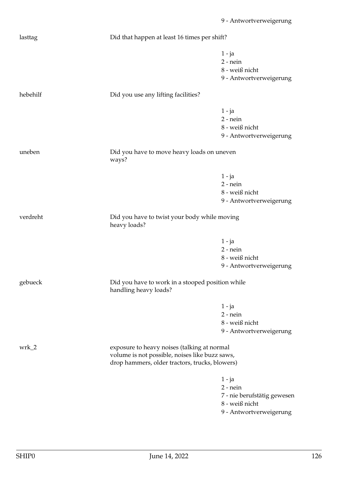| lasttag  |                                                                                                                                                 | Did that happen at least 16 times per shift?                                                       |  |
|----------|-------------------------------------------------------------------------------------------------------------------------------------------------|----------------------------------------------------------------------------------------------------|--|
|          |                                                                                                                                                 | $1 - ja$<br>$2$ - nein<br>8 - weiß nicht<br>9 - Antwortverweigerung                                |  |
| hebehilf | Did you use any lifting facilities?                                                                                                             |                                                                                                    |  |
|          |                                                                                                                                                 | $1 - ja$<br>$2$ - nein<br>8 - weiß nicht<br>9 - Antwortverweigerung                                |  |
| uneben   | ways?                                                                                                                                           | Did you have to move heavy loads on uneven                                                         |  |
|          |                                                                                                                                                 | $1 - ja$<br>$2$ - nein<br>8 - weiß nicht<br>9 - Antwortverweigerung                                |  |
| verdreht | Did you have to twist your body while moving<br>heavy loads?                                                                                    |                                                                                                    |  |
|          |                                                                                                                                                 | $1 - ja$<br>$2$ - nein<br>8 - weiß nicht<br>9 - Antwortverweigerung                                |  |
| gebueck  | handling heavy loads?                                                                                                                           | Did you have to work in a stooped position while                                                   |  |
|          |                                                                                                                                                 | $1 - ja$<br>$2 - nein$<br>8 - weiß nicht<br>9 - Antwortverweigerung                                |  |
| $wrk_2$  | exposure to heavy noises (talking at normal<br>volume is not possible, noises like buzz saws,<br>drop hammers, older tractors, trucks, blowers) |                                                                                                    |  |
|          |                                                                                                                                                 | $1 - ja$<br>$2$ - nein<br>7 - nie berufstätig gewesen<br>8 - weiß nicht<br>9 - Antwortverweigerung |  |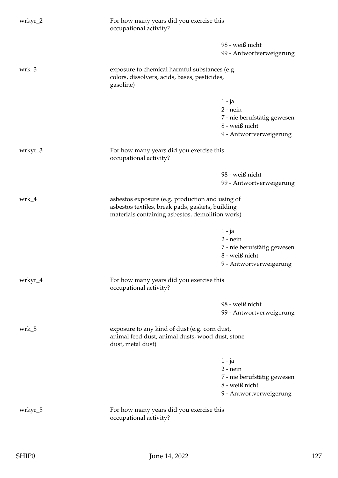| wrkyr_2 | For how many years did you exercise this<br>occupational activity?                                                                                     |                                                                                                    |
|---------|--------------------------------------------------------------------------------------------------------------------------------------------------------|----------------------------------------------------------------------------------------------------|
|         |                                                                                                                                                        | 98 - weiß nicht                                                                                    |
|         |                                                                                                                                                        | 99 - Antwortverweigerung                                                                           |
| wrk_3   | exposure to chemical harmful substances (e.g.<br>colors, dissolvers, acids, bases, pesticides,<br>gasoline)                                            |                                                                                                    |
|         |                                                                                                                                                        | $1 - ja$<br>$2$ - nein<br>7 - nie berufstätig gewesen<br>8 - weiß nicht<br>9 - Antwortverweigerung |
| wrkyr_3 | For how many years did you exercise this<br>occupational activity?                                                                                     |                                                                                                    |
|         |                                                                                                                                                        | 98 - weiß nicht<br>99 - Antwortverweigerung                                                        |
| wrk_4   | asbestos exposure (e.g. production and using of<br>asbestos textiles, break pads, gaskets, building<br>materials containing asbestos, demolition work) |                                                                                                    |
|         |                                                                                                                                                        | $1 - ja$                                                                                           |
|         |                                                                                                                                                        | $2$ - nein                                                                                         |
|         |                                                                                                                                                        | 7 - nie berufstätig gewesen<br>8 - weiß nicht                                                      |
|         |                                                                                                                                                        | 9 - Antwortverweigerung                                                                            |
| wrkyr_4 | For how many years did you exercise this<br>occupational activity?                                                                                     |                                                                                                    |
|         |                                                                                                                                                        | 98 - weiß nicht                                                                                    |
|         |                                                                                                                                                        | 99 - Antwortverweigerung                                                                           |
| wrk_5   | exposure to any kind of dust (e.g. corn dust,<br>animal feed dust, animal dusts, wood dust, stone<br>dust, metal dust)                                 |                                                                                                    |
|         |                                                                                                                                                        | $1 - ja$<br>$2$ - nein<br>7 - nie berufstätig gewesen<br>8 - weiß nicht<br>9 - Antwortverweigerung |
| wrkyr_5 | For how many years did you exercise this<br>occupational activity?                                                                                     |                                                                                                    |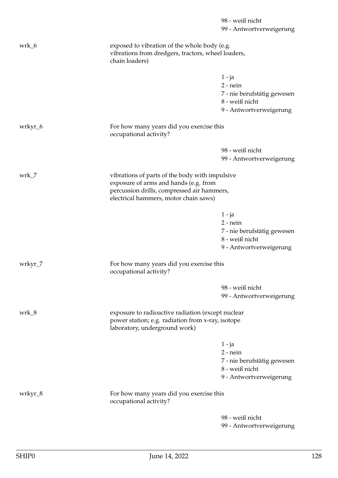|         |                                                                                                                                                                                | 98 - weiß nicht<br>99 - Antwortverweigerung                                                        |
|---------|--------------------------------------------------------------------------------------------------------------------------------------------------------------------------------|----------------------------------------------------------------------------------------------------|
| wrk_6   | exposed to vibration of the whole body (e.g.<br>vibrations from dredgers, tractors, wheel loaders,<br>chain loaders)                                                           |                                                                                                    |
|         |                                                                                                                                                                                | $1 - ja$<br>$2 - nein$<br>7 - nie berufstätig gewesen<br>8 - weiß nicht<br>9 - Antwortverweigerung |
| wrkyr_6 | For how many years did you exercise this<br>occupational activity?                                                                                                             |                                                                                                    |
|         |                                                                                                                                                                                | 98 - weiß nicht<br>99 - Antwortverweigerung                                                        |
| wrk_7   | vibrations of parts of the body with impulsive<br>exposure of arms and hands (e.g. from<br>percussion drills, compressed air hammers,<br>electrical hammers, motor chain saws) |                                                                                                    |
|         |                                                                                                                                                                                | $1 - ja$<br>$2$ - nein<br>7 - nie berufstätig gewesen<br>8 - weiß nicht<br>9 - Antwortverweigerung |
| wrkyr_7 | For how many years did you exercise this<br>occupational activity?                                                                                                             |                                                                                                    |
|         |                                                                                                                                                                                | 98 - weiß nicht<br>99 - Antwortverweigerung                                                        |
| wrk_8   | exposure to radioactive radiation (except nuclear<br>power station; e.g. radiation from x-ray, isotope<br>laboratory, underground work)                                        |                                                                                                    |
|         |                                                                                                                                                                                | $1 - ja$<br>$2$ - nein<br>7 - nie berufstätig gewesen<br>8 - weiß nicht<br>9 - Antwortverweigerung |
| wrkyr_8 | For how many years did you exercise this<br>occupational activity?                                                                                                             |                                                                                                    |
|         |                                                                                                                                                                                | 98 - weiß nicht<br>99 - Antwortverweigerung                                                        |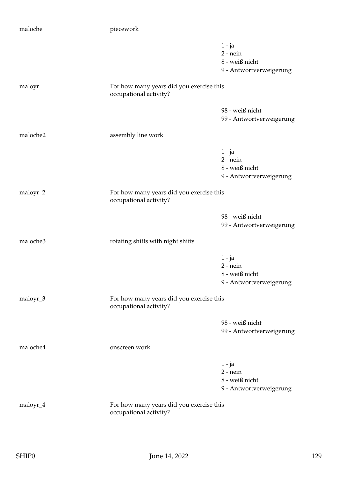| maloche  | piecework                                                          |                                                                     |
|----------|--------------------------------------------------------------------|---------------------------------------------------------------------|
|          |                                                                    | $1 - ja$<br>$2$ - nein<br>8 - weiß nicht<br>9 - Antwortverweigerung |
| maloyr   | For how many years did you exercise this<br>occupational activity? |                                                                     |
|          |                                                                    | 98 - weiß nicht<br>99 - Antwortverweigerung                         |
| maloche2 | assembly line work                                                 |                                                                     |
|          |                                                                    | $1 - ja$<br>$2$ - nein<br>8 - weiß nicht<br>9 - Antwortverweigerung |
| maloyr_2 | For how many years did you exercise this<br>occupational activity? |                                                                     |
|          |                                                                    | 98 - weiß nicht<br>99 - Antwortverweigerung                         |
| maloche3 | rotating shifts with night shifts                                  |                                                                     |
|          |                                                                    | $1 - ja$<br>$2$ - nein<br>8 - weiß nicht<br>9 - Antwortverweigerung |
| maloyr_3 | For how many years did you exercise this<br>occupational activity? |                                                                     |
|          |                                                                    | 98 - weiß nicht<br>99 - Antwortverweigerung                         |
| maloche4 | onscreen work                                                      |                                                                     |
|          |                                                                    | $1 - ja$<br>$2$ - nein<br>8 - weiß nicht<br>9 - Antwortverweigerung |
| maloyr_4 | For how many years did you exercise this<br>occupational activity? |                                                                     |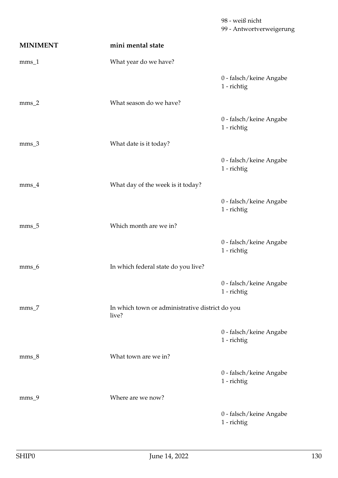99 - Antwortverweigerung **MINIMENT mini mental state** mms\_1 What year do we have? 0 - falsch/keine Angabe 1 - richtig mms 2 What season do we have? 0 - falsch/keine Angabe 1 - richtig mms\_3 What date is it today? 0 - falsch/keine Angabe 1 - richtig mms\_4 What day of the week is it today? 0 - falsch/keine Angabe 1 - richtig mms 5 Which month are we in? 0 - falsch/keine Angabe 1 - richtig mms\_6 In which federal state do you live? 0 - falsch/keine Angabe 1 - richtig mms\_7 In which town or administrative district do you live? 0 - falsch/keine Angabe 1 - richtig mms\_8 What town are we in? 0 - falsch/keine Angabe 1 - richtig mms\_9 Where are we now? 0 - falsch/keine Angabe 1 - richtig

98 - weiß nicht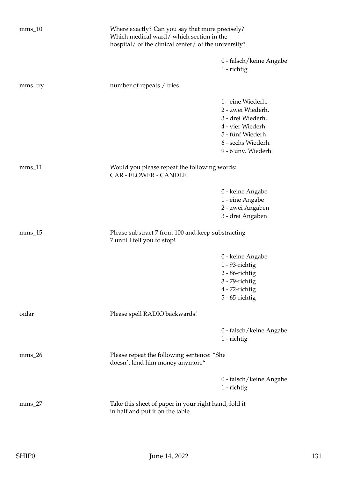| $mms_10$ | Where exactly? Can you say that more precisely?<br>Which medical ward/which section in the<br>hospital/ of the clinical center/ of the university? |                                                                                                                                                    |
|----------|----------------------------------------------------------------------------------------------------------------------------------------------------|----------------------------------------------------------------------------------------------------------------------------------------------------|
|          |                                                                                                                                                    | 0 - falsch/keine Angabe<br>1 - richtig                                                                                                             |
| mms_try  | number of repeats / tries                                                                                                                          |                                                                                                                                                    |
|          |                                                                                                                                                    | 1 - eine Wiederh.<br>2 - zwei Wiederh.<br>3 - drei Wiederh.<br>4 - vier Wiederh.<br>5 - fünf Wiederh.<br>6 - sechs Wiederh.<br>9 - 6 unv. Wiederh. |
| $mms_11$ | Would you please repeat the following words:<br><b>CAR - FLOWER - CANDLE</b>                                                                       |                                                                                                                                                    |
|          |                                                                                                                                                    | 0 - keine Angabe<br>1 - eine Angabe<br>2 - zwei Angaben<br>3 - drei Angaben                                                                        |
| $mms_15$ | Please substract 7 from 100 and keep substracting<br>7 until I tell you to stop!                                                                   |                                                                                                                                                    |
|          |                                                                                                                                                    | 0 - keine Angabe<br>$1 - 93$ -richtig<br>2 - 86-richtig<br>3 - 79-richtig<br>4 - 72-richtig<br>5 - 65-richtig                                      |
| oidar    | Please spell RADIO backwards!                                                                                                                      |                                                                                                                                                    |
|          |                                                                                                                                                    | 0 - falsch/keine Angabe<br>1 - richtig                                                                                                             |
| $mms_26$ | Please repeat the following sentence: "She<br>doesn't lend him money anymore"                                                                      |                                                                                                                                                    |
|          |                                                                                                                                                    | 0 - falsch/keine Angabe<br>1 - richtig                                                                                                             |
| $mms_2$  | Take this sheet of paper in your right hand, fold it<br>in half and put it on the table.                                                           |                                                                                                                                                    |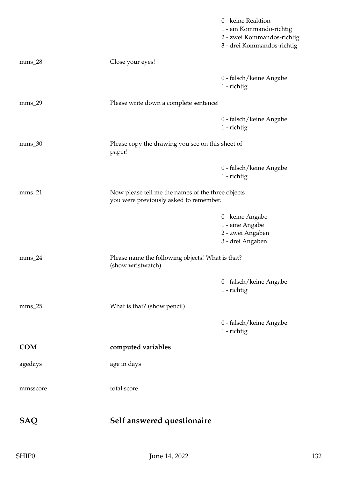|            |                                                                       | 0 - keine Reaktion<br>1 - ein Kommando-richtig<br>2 - zwei Kommandos-richtig<br>3 - drei Kommandos-richtig |  |
|------------|-----------------------------------------------------------------------|------------------------------------------------------------------------------------------------------------|--|
| $mms_28$   | Close your eyes!                                                      |                                                                                                            |  |
|            |                                                                       | 0 - falsch/keine Angabe<br>1 - richtig                                                                     |  |
| $mms_29$   | Please write down a complete sentence!                                |                                                                                                            |  |
|            |                                                                       | 0 - falsch/keine Angabe<br>1 - richtig                                                                     |  |
| $mms_30$   | Please copy the drawing you see on this sheet of<br>paper!            |                                                                                                            |  |
|            |                                                                       | 0 - falsch/keine Angabe<br>1 - richtig                                                                     |  |
| $mms_21$   |                                                                       | Now please tell me the names of the three objects<br>you were previously asked to remember.                |  |
|            |                                                                       | 0 - keine Angabe<br>1 - eine Angabe<br>2 - zwei Angaben<br>3 - drei Angaben                                |  |
| $mms_24$   | Please name the following objects! What is that?<br>(show wristwatch) |                                                                                                            |  |
|            |                                                                       | 0 - falsch/keine Angabe<br>1 - richtig                                                                     |  |
| $mms_25$   | What is that? (show pencil)                                           |                                                                                                            |  |
|            |                                                                       | 0 - falsch/keine Angabe<br>1 - richtig                                                                     |  |
| <b>COM</b> | computed variables                                                    |                                                                                                            |  |
| agedays    | age in days                                                           |                                                                                                            |  |
| mmsscore   | total score                                                           |                                                                                                            |  |
| SAQ        | Self answered questionaire                                            |                                                                                                            |  |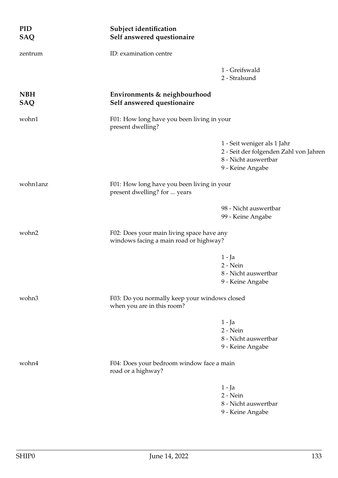| <b>PID</b><br><b>SAQ</b> | Subject identification<br>Self answered questionaire                                |                                                                                                                   |
|--------------------------|-------------------------------------------------------------------------------------|-------------------------------------------------------------------------------------------------------------------|
| zentrum                  | ID: examination centre                                                              |                                                                                                                   |
|                          |                                                                                     | 1 - Greifswald<br>2 - Stralsund                                                                                   |
| <b>NBH</b><br><b>SAQ</b> | Environments & neighbourhood<br>Self answered questionaire                          |                                                                                                                   |
| wohn1                    | F01: How long have you been living in your<br>present dwelling?                     |                                                                                                                   |
|                          |                                                                                     | 1 - Seit weniger als 1 Jahr<br>2 - Seit der folgenden Zahl von Jahren<br>8 - Nicht auswertbar<br>9 - Keine Angabe |
| wohn1anz                 | F01: How long have you been living in your<br>present dwelling? for  years          |                                                                                                                   |
|                          |                                                                                     | 98 - Nicht auswertbar<br>99 - Keine Angabe                                                                        |
| wohn2                    | F02: Does your main living space have any<br>windows facing a main road or highway? |                                                                                                                   |
|                          |                                                                                     | $1 - Ja$<br>2 - Nein<br>8 - Nicht auswertbar<br>9 - Keine Angabe                                                  |
| wohn3                    | F03: Do you normally keep your windows closed<br>when you are in this room?         |                                                                                                                   |
|                          |                                                                                     | $1 - Ja$<br>2 - Nein<br>8 - Nicht auswertbar<br>9 - Keine Angabe                                                  |
| wohn4                    | F04: Does your bedroom window face a main<br>road or a highway?                     |                                                                                                                   |
|                          |                                                                                     | $1 - Ja$<br>$2 - Nein$<br>8 - Nicht auswertbar<br>9 - Keine Angabe                                                |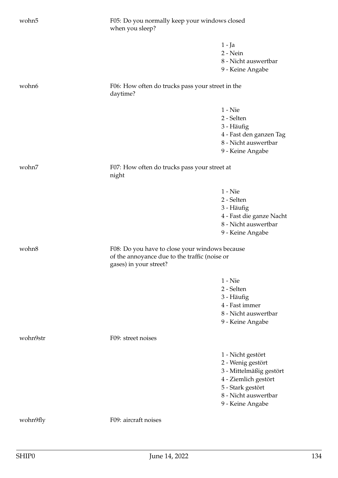| wohn5    | F05: Do you normally keep your windows closed<br>when you sleep?                                                          |                                                                                                                                                            |
|----------|---------------------------------------------------------------------------------------------------------------------------|------------------------------------------------------------------------------------------------------------------------------------------------------------|
|          |                                                                                                                           | 1 - Ja<br>2 - Nein<br>8 - Nicht auswertbar<br>9 - Keine Angabe                                                                                             |
| wohn6    | F06: How often do trucks pass your street in the<br>daytime?                                                              |                                                                                                                                                            |
|          |                                                                                                                           | 1 - Nie<br>2 - Selten<br>3 - Häufig<br>4 - Fast den ganzen Tag<br>8 - Nicht auswertbar<br>9 - Keine Angabe                                                 |
| wohn7    | F07: How often do trucks pass your street at<br>night                                                                     |                                                                                                                                                            |
|          |                                                                                                                           | $1 -$ Nie<br>2 - Selten<br>3 - Häufig<br>4 - Fast die ganze Nacht<br>8 - Nicht auswertbar<br>9 - Keine Angabe                                              |
| wohn8    | F08: Do you have to close your windows because<br>of the annoyance due to the traffic (noise or<br>gases) in your street? |                                                                                                                                                            |
|          |                                                                                                                           | $1 -$ Nie<br>2 - Selten<br>3 - Häufig<br>4 - Fast immer<br>8 - Nicht auswertbar<br>9 - Keine Angabe                                                        |
| wohn9str | F09: street noises                                                                                                        |                                                                                                                                                            |
|          |                                                                                                                           | 1 - Nicht gestört<br>2 - Wenig gestört<br>3 - Mittelmäßig gestört<br>4 - Ziemlich gestört<br>5 - Stark gestört<br>8 - Nicht auswertbar<br>9 - Keine Angabe |
| wohn9fly | F09: aircraft noises                                                                                                      |                                                                                                                                                            |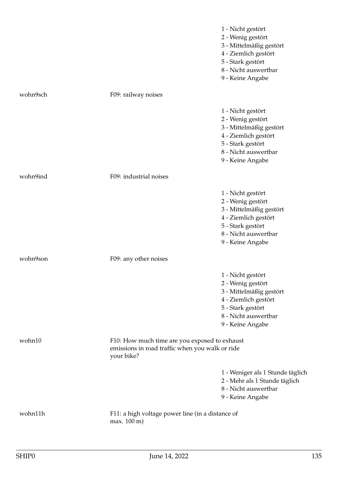|          |                                                                                                                | 1 - Nicht gestört<br>2 - Wenig gestört<br>3 - Mittelmäßig gestört<br>4 - Ziemlich gestört<br>5 - Stark gestört<br>8 - Nicht auswertbar<br>9 - Keine Angabe |
|----------|----------------------------------------------------------------------------------------------------------------|------------------------------------------------------------------------------------------------------------------------------------------------------------|
| wohn9sch | F09: railway noises                                                                                            |                                                                                                                                                            |
|          |                                                                                                                | 1 - Nicht gestört<br>2 - Wenig gestört<br>3 - Mittelmäßig gestört<br>4 - Ziemlich gestört<br>5 - Stark gestört<br>8 - Nicht auswertbar<br>9 - Keine Angabe |
| wohn9ind | F09: industrial noises                                                                                         |                                                                                                                                                            |
|          |                                                                                                                | 1 - Nicht gestört<br>2 - Wenig gestört<br>3 - Mittelmäßig gestört<br>4 - Ziemlich gestört<br>5 - Stark gestört<br>8 - Nicht auswertbar<br>9 - Keine Angabe |
| wohn9son | F09: any other noises                                                                                          |                                                                                                                                                            |
|          |                                                                                                                | 1 - Nicht gestört<br>2 - Wenig gestört<br>3 - Mittelmäßig gestört<br>4 - Ziemlich gestört<br>5 - Stark gestört<br>8 - Nicht auswertbar<br>9 - Keine Angabe |
| wohn10   | F10: How much time are you exposed to exhaust<br>emissions in road traffic when you walk or ride<br>your bike? |                                                                                                                                                            |
|          |                                                                                                                | 1 - Weniger als 1 Stunde täglich<br>2 - Mehr als 1 Stunde täglich<br>8 - Nicht auswertbar<br>9 - Keine Angabe                                              |
| wohn11h  | F11: a high voltage power line (in a distance of<br>max. 100 m)                                                |                                                                                                                                                            |
|          |                                                                                                                |                                                                                                                                                            |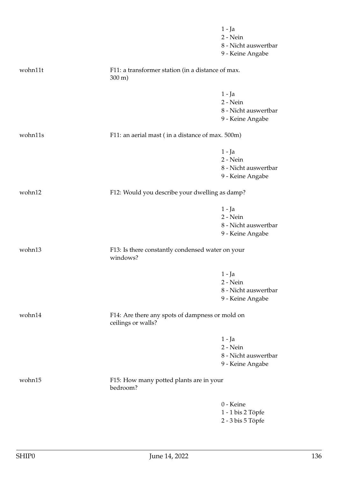|         |                                                                        | $1 - Ja$<br>$2 - Nein$           |
|---------|------------------------------------------------------------------------|----------------------------------|
|         |                                                                        | 8 - Nicht auswertbar             |
|         |                                                                        | 9 - Keine Angabe                 |
|         |                                                                        |                                  |
| wohn11t | F11: a transformer station (in a distance of max.<br>$300 \text{ m}$ ) |                                  |
|         |                                                                        |                                  |
|         |                                                                        | $1 - Ja$<br>2 - Nein             |
|         |                                                                        | 8 - Nicht auswertbar             |
|         |                                                                        | 9 - Keine Angabe                 |
| wohn11s | F11: an aerial mast (in a distance of max. 500m)                       |                                  |
|         |                                                                        | $1 - Ja$                         |
|         |                                                                        | 2 - Nein                         |
|         |                                                                        | 8 - Nicht auswertbar             |
|         |                                                                        | 9 - Keine Angabe                 |
| wohn12  | F12: Would you describe your dwelling as damp?                         |                                  |
|         |                                                                        |                                  |
|         |                                                                        | $1 - Ja$                         |
|         |                                                                        | 2 - Nein                         |
|         |                                                                        | 8 - Nicht auswertbar             |
|         |                                                                        | 9 - Keine Angabe                 |
| wohn13  | F13: Is there constantly condensed water on your<br>windows?           |                                  |
|         |                                                                        |                                  |
|         |                                                                        | 1 - Ja                           |
|         |                                                                        | 2 - Nein<br>8 - Nicht auswertbar |
|         |                                                                        | 9 - Keine Angabe                 |
| wohn14  | F14: Are there any spots of dampness or mold on                        |                                  |
|         | ceilings or walls?                                                     |                                  |
|         |                                                                        | 1 - Ja                           |
|         |                                                                        | 2 - Nein                         |
|         |                                                                        | 8 - Nicht auswertbar             |
|         |                                                                        | 9 - Keine Angabe                 |
| wohn15  | F15: How many potted plants are in your<br>bedroom?                    |                                  |
|         |                                                                        | 0 - Keine                        |
|         |                                                                        | 1 - 1 bis 2 Töpfe                |
|         |                                                                        | 2 - 3 bis 5 Töpfe                |
|         |                                                                        |                                  |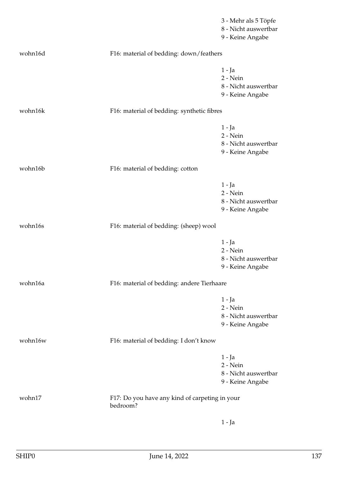|         |                                                            | 3 - Mehr als 5 Töpfe<br>8 - Nicht auswertbar<br>9 - Keine Angabe   |
|---------|------------------------------------------------------------|--------------------------------------------------------------------|
| wohn16d | F16: material of bedding: down/feathers                    |                                                                    |
|         |                                                            | $1 - Ja$<br>2 - Nein<br>8 - Nicht auswertbar<br>9 - Keine Angabe   |
| wohn16k | F16: material of bedding: synthetic fibres                 |                                                                    |
|         |                                                            | $1 - Ja$<br>$2 - Nein$<br>8 - Nicht auswertbar<br>9 - Keine Angabe |
| wohn16b | F16: material of bedding: cotton                           |                                                                    |
|         |                                                            | $1 - Ja$<br>2 - Nein<br>8 - Nicht auswertbar<br>9 - Keine Angabe   |
| wohn16s | F16: material of bedding: (sheep) wool                     |                                                                    |
|         |                                                            | $1 - Ja$<br>2 - Nein<br>8 - Nicht auswertbar<br>9 - Keine Angabe   |
| wohn16a | F16: material of bedding: andere Tierhaare                 |                                                                    |
|         |                                                            | $1 - Ja$<br>2 - Nein<br>8 - Nicht auswertbar<br>9 - Keine Angabe   |
| wohn16w | F16: material of bedding: I don't know                     |                                                                    |
|         |                                                            | 1 - Ja<br>2 - Nein<br>8 - Nicht auswertbar<br>9 - Keine Angabe     |
| wohn17  | F17: Do you have any kind of carpeting in your<br>bedroom? |                                                                    |
|         |                                                            | 1 - Ja                                                             |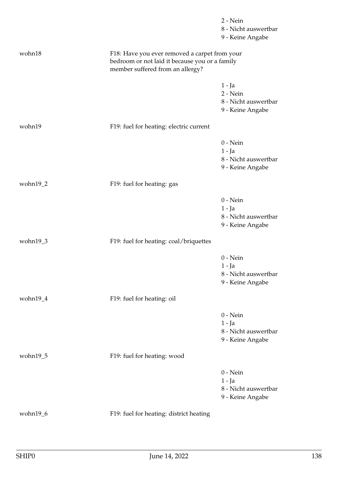|              |                                                                                                                                     | $2 - Nein$                       |
|--------------|-------------------------------------------------------------------------------------------------------------------------------------|----------------------------------|
|              |                                                                                                                                     | 8 - Nicht auswertbar             |
|              |                                                                                                                                     | 9 - Keine Angabe                 |
| wohn18       | F18: Have you ever removed a carpet from your<br>bedroom or not laid it because you or a family<br>member suffered from an allergy? |                                  |
|              |                                                                                                                                     |                                  |
|              |                                                                                                                                     | $1 - Ja$                         |
|              |                                                                                                                                     | 2 - Nein<br>8 - Nicht auswertbar |
|              |                                                                                                                                     | 9 - Keine Angabe                 |
|              |                                                                                                                                     |                                  |
| wohn19       | F19: fuel for heating: electric current                                                                                             |                                  |
|              |                                                                                                                                     | $0$ - Nein                       |
|              |                                                                                                                                     | $1 - Ja$                         |
|              |                                                                                                                                     | 8 - Nicht auswertbar             |
|              |                                                                                                                                     | 9 - Keine Angabe                 |
| wohn19_2     | F19: fuel for heating: gas                                                                                                          |                                  |
|              |                                                                                                                                     | $0$ - Nein                       |
|              |                                                                                                                                     | $1 - Ja$                         |
|              |                                                                                                                                     | 8 - Nicht auswertbar             |
|              |                                                                                                                                     | 9 - Keine Angabe                 |
| wohn19_3     | F19: fuel for heating: coal/briquettes                                                                                              |                                  |
|              |                                                                                                                                     |                                  |
|              |                                                                                                                                     | $0$ - Nein                       |
|              |                                                                                                                                     | $1 - Ja$<br>8 - Nicht auswertbar |
|              |                                                                                                                                     | 9 - Keine Angabe                 |
| wohn $19_4$  | F19: fuel for heating: oil                                                                                                          |                                  |
|              |                                                                                                                                     |                                  |
|              |                                                                                                                                     | $0$ - Nein                       |
|              |                                                                                                                                     | 1 - Ja                           |
|              |                                                                                                                                     | 8 - Nicht auswertbar             |
|              |                                                                                                                                     | 9 - Keine Angabe                 |
| wohn $19\_5$ | F19: fuel for heating: wood                                                                                                         |                                  |
|              |                                                                                                                                     | $0$ - Nein                       |
|              |                                                                                                                                     | $1 - Ja$                         |
|              |                                                                                                                                     | 8 - Nicht auswertbar             |
|              |                                                                                                                                     | 9 - Keine Angabe                 |
| wohn19_6     | F19: fuel for heating: district heating                                                                                             |                                  |
|              |                                                                                                                                     |                                  |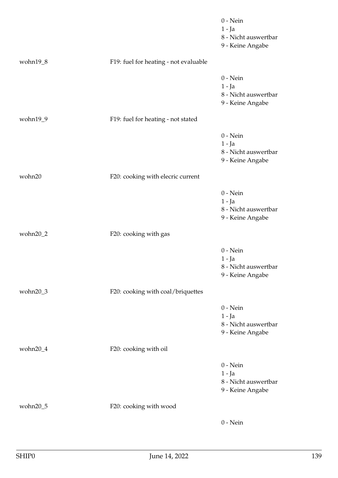|             |                                       | $0$ - Nein<br>$1 - Ja$<br>8 - Nicht auswertbar<br>9 - Keine Angabe |
|-------------|---------------------------------------|--------------------------------------------------------------------|
| wohn $19_8$ | F19: fuel for heating - not evaluable |                                                                    |
|             |                                       | $0$ - Nein<br>$1 - Ja$<br>8 - Nicht auswertbar<br>9 - Keine Angabe |
| wohn19_9    | F19: fuel for heating - not stated    |                                                                    |
|             |                                       | $0$ - Nein<br>$1 - Ja$<br>8 - Nicht auswertbar<br>9 - Keine Angabe |
| wohn20      | F20: cooking with elecric current     |                                                                    |
|             |                                       | $0$ - Nein<br>$1 - Ja$<br>8 - Nicht auswertbar<br>9 - Keine Angabe |
| wohn20_2    | F20: cooking with gas                 |                                                                    |
|             |                                       | $0$ - Nein<br>$1 - Ja$<br>8 - Nicht auswertbar<br>9 - Keine Angabe |
| wohn20_3    | F20: cooking with coal/briquettes     |                                                                    |
|             |                                       | $0$ - Nein<br>$1 - Ja$<br>8 - Nicht auswertbar<br>9 - Keine Angabe |
| wohn20_4    | F20: cooking with oil                 |                                                                    |
|             |                                       | $0$ - Nein<br>$1 - Ja$<br>8 - Nicht auswertbar<br>9 - Keine Angabe |
| wohn20_5    | F20: cooking with wood                |                                                                    |
|             |                                       | $0$ - Nein                                                         |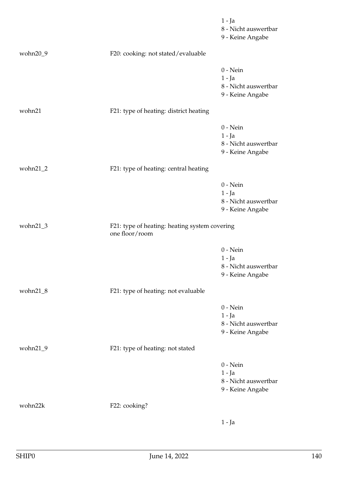|          |                                                                 | $1 - Ja$<br>8 - Nicht auswertbar<br>9 - Keine Angabe               |
|----------|-----------------------------------------------------------------|--------------------------------------------------------------------|
| wohn20_9 | F20: cooking: not stated/evaluable                              |                                                                    |
|          |                                                                 | $0$ - Nein<br>$1 - Ja$<br>8 - Nicht auswertbar<br>9 - Keine Angabe |
| wohn21   | F21: type of heating: district heating                          |                                                                    |
|          |                                                                 | $0$ - Nein<br>$1 - Ja$<br>8 - Nicht auswertbar<br>9 - Keine Angabe |
| wohn21_2 | F21: type of heating: central heating                           |                                                                    |
|          |                                                                 | $0$ - Nein<br>$1 - Ja$<br>8 - Nicht auswertbar<br>9 - Keine Angabe |
| wohn21_3 | F21: type of heating: heating system covering<br>one floor/room |                                                                    |
|          |                                                                 | $0$ - Nein<br>$1 - Ja$<br>8 - Nicht auswertbar<br>9 - Keine Angabe |
| wohn21_8 | F21: type of heating: not evaluable                             |                                                                    |
|          |                                                                 | $0$ - Nein<br>$1 - Ja$<br>8 - Nicht auswertbar<br>9 - Keine Angabe |
| wohn21_9 | F21: type of heating: not stated                                |                                                                    |
|          |                                                                 | $0$ - Nein<br>$1 - Ja$<br>8 - Nicht auswertbar<br>9 - Keine Angabe |
| wohn22k  | F22: cooking?                                                   |                                                                    |
|          |                                                                 | $1 - Ja$                                                           |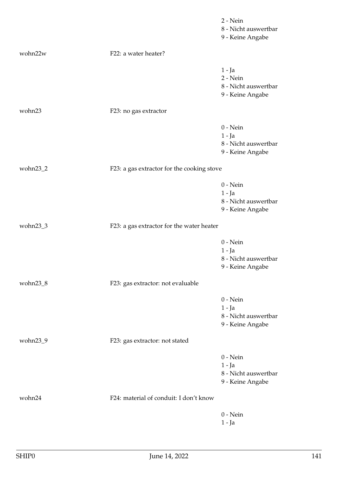|             |                                            | 2 - Nein<br>8 - Nicht auswertbar                                   |
|-------------|--------------------------------------------|--------------------------------------------------------------------|
|             |                                            | 9 - Keine Angabe                                                   |
| wohn22w     | F22: a water heater?                       |                                                                    |
|             |                                            | $1 - Ja$<br>$2 - Nein$<br>8 - Nicht auswertbar<br>9 - Keine Angabe |
| wohn23      | F23: no gas extractor                      |                                                                    |
|             |                                            | $0$ - Nein<br>1 - Ja<br>8 - Nicht auswertbar<br>9 - Keine Angabe   |
| wohn23_2    | F23: a gas extractor for the cooking stove |                                                                    |
|             |                                            | $0$ - Nein<br>$1 - Ja$<br>8 - Nicht auswertbar<br>9 - Keine Angabe |
| wohn23_3    | F23: a gas extractor for the water heater  |                                                                    |
|             |                                            | $0$ - Nein<br>1 - Ja<br>8 - Nicht auswertbar<br>9 - Keine Angabe   |
| wohn $23_8$ | F23: gas extractor: not evaluable          |                                                                    |
|             |                                            | $0$ - Nein<br>$1 - Ja$<br>8 - Nicht auswertbar<br>9 - Keine Angabe |
| wohn23_9    | F23: gas extractor: not stated             |                                                                    |
|             |                                            | $0$ - Nein<br>$1 - Ja$<br>8 - Nicht auswertbar<br>9 - Keine Angabe |
| wohn24      | F24: material of conduit: I don't know     |                                                                    |
|             |                                            | $0$ - Nein<br>$1 - Ja$                                             |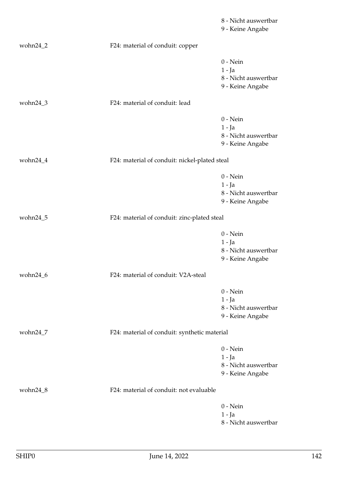|             |                                               | 8 - Nicht auswertbar<br>9 - Keine Angabe                           |
|-------------|-----------------------------------------------|--------------------------------------------------------------------|
| wohn $24_2$ | F24: material of conduit: copper              |                                                                    |
|             |                                               | $0$ - Nein<br>$1 - Ja$<br>8 - Nicht auswertbar<br>9 - Keine Angabe |
| wohn24_3    | F24: material of conduit: lead                |                                                                    |
|             |                                               | $0$ - Nein<br>$1 - Ja$<br>8 - Nicht auswertbar<br>9 - Keine Angabe |
| wohn24_4    | F24: material of conduit: nickel-plated steal |                                                                    |
|             |                                               | $0$ - Nein<br>$1 - Ja$<br>8 - Nicht auswertbar<br>9 - Keine Angabe |
| wohn24_5    | F24: material of conduit: zinc-plated steal   |                                                                    |
|             |                                               | $0$ - Nein<br>$1 - Ja$<br>8 - Nicht auswertbar<br>9 - Keine Angabe |
| wohn24_6    | F24: material of conduit: V2A-steal           |                                                                    |
|             |                                               | $0$ - Nein<br>$1 - Ja$<br>8 - Nicht auswertbar<br>9 - Keine Angabe |
| wohn24_7    | F24: material of conduit: synthetic material  |                                                                    |
|             |                                               | $0$ - Nein<br>$1 - Ja$<br>8 - Nicht auswertbar<br>9 - Keine Angabe |
| wohn24_8    | F24: material of conduit: not evaluable       |                                                                    |
|             |                                               | $0$ - Nein<br>$1 - Ja$<br>8 - Nicht auswertbar                     |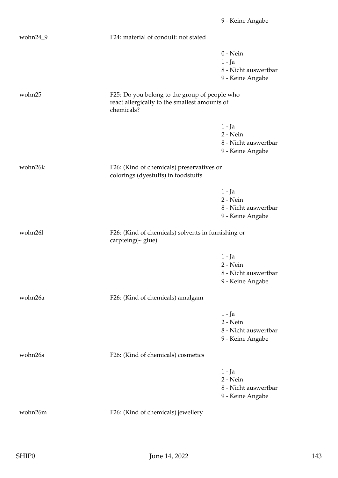|          |                                                                                                              | 9 - Keine Angabe                                                   |
|----------|--------------------------------------------------------------------------------------------------------------|--------------------------------------------------------------------|
| wohn24_9 | F24: material of conduit: not stated                                                                         |                                                                    |
|          |                                                                                                              | $0$ - Nein<br>$1 - Ja$<br>8 - Nicht auswertbar<br>9 - Keine Angabe |
| wohn25   | F25: Do you belong to the group of people who<br>react allergically to the smallest amounts of<br>chemicals? |                                                                    |
|          |                                                                                                              | 1 - Ja<br>2 - Nein<br>8 - Nicht auswertbar<br>9 - Keine Angabe     |
| wohn26k  | F26: (Kind of chemicals) preservatives or<br>colorings (dyestuffs) in foodstuffs                             |                                                                    |
|          |                                                                                                              | $1 - Ja$<br>2 - Nein<br>8 - Nicht auswertbar<br>9 - Keine Angabe   |
| wohn26l  | F26: (Kind of chemicals) solvents in furnishing or<br>carpteing(~ glue)                                      |                                                                    |
|          |                                                                                                              | $1 - Ja$<br>2 - Nein<br>8 - Nicht auswertbar<br>9 - Keine Angabe   |
| wohn26a  | F26: (Kind of chemicals) amalgam                                                                             |                                                                    |
|          |                                                                                                              | $1 - Ja$<br>2 - Nein<br>8 - Nicht auswertbar<br>9 - Keine Angabe   |
| wohn26s  | F26: (Kind of chemicals) cosmetics                                                                           |                                                                    |
|          |                                                                                                              | $1 - Ja$<br>2 - Nein<br>8 - Nicht auswertbar<br>9 - Keine Angabe   |
| wohn26m  | F26: (Kind of chemicals) jewellery                                                                           |                                                                    |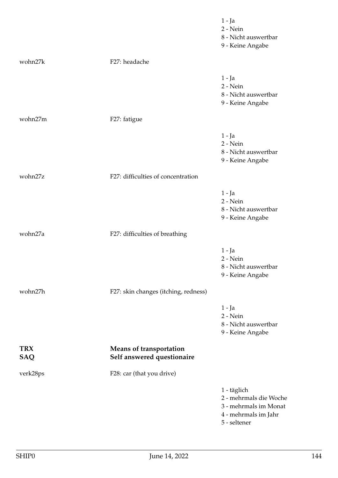|                          |                                                              | $1 - Ja$<br>2 - Nein<br>8 - Nicht auswertbar<br>9 - Keine Angabe                                       |
|--------------------------|--------------------------------------------------------------|--------------------------------------------------------------------------------------------------------|
| wohn27k                  | F27: headache                                                |                                                                                                        |
|                          |                                                              | $1 - Ja$<br>$2 - Nein$<br>8 - Nicht auswertbar<br>9 - Keine Angabe                                     |
| wohn27m                  | F27: fatigue                                                 |                                                                                                        |
|                          |                                                              | 1 - Ja<br>2 - Nein<br>8 - Nicht auswertbar<br>9 - Keine Angabe                                         |
| wohn27z                  | F27: difficulties of concentration                           |                                                                                                        |
|                          |                                                              | $1 - Ja$<br>2 - Nein<br>8 - Nicht auswertbar<br>9 - Keine Angabe                                       |
| wohn27a                  | F27: difficulties of breathing                               |                                                                                                        |
|                          |                                                              | 1 - Ja<br>$2 - Nein$<br>8 - Nicht auswertbar<br>9 - Keine Angabe                                       |
| wohn27h                  | F27: skin changes (itching, redness)                         |                                                                                                        |
|                          |                                                              | $1 - Ja$<br>2 - Nein<br>8 - Nicht auswertbar<br>9 - Keine Angabe                                       |
| <b>TRX</b><br><b>SAQ</b> | <b>Means of transportation</b><br>Self answered questionaire |                                                                                                        |
| verk28ps                 | F28: car (that you drive)                                    |                                                                                                        |
|                          |                                                              | 1 - täglich<br>2 - mehrmals die Woche<br>3 - mehrmals im Monat<br>4 - mehrmals im Jahr<br>5 - seltener |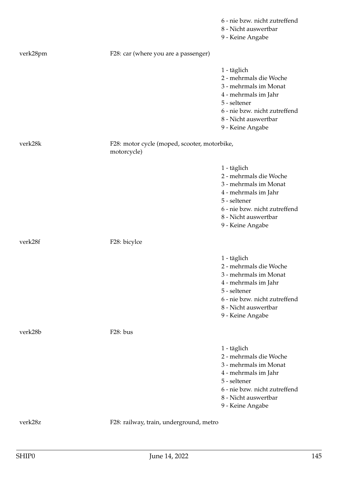|          |                                                             | 6 - nie bzw. nicht zutreffend<br>8 - Nicht auswertbar<br>9 - Keine Angabe                                                                                                           |
|----------|-------------------------------------------------------------|-------------------------------------------------------------------------------------------------------------------------------------------------------------------------------------|
| verk28pm | F28: car (where you are a passenger)                        |                                                                                                                                                                                     |
|          |                                                             | 1 - täglich<br>2 - mehrmals die Woche<br>3 - mehrmals im Monat<br>4 - mehrmals im Jahr<br>5 - seltener<br>6 - nie bzw. nicht zutreffend<br>8 - Nicht auswertbar<br>9 - Keine Angabe |
| verk28k  | F28: motor cycle (moped, scooter, motorbike,<br>motorcycle) |                                                                                                                                                                                     |
|          |                                                             | 1 - täglich<br>2 - mehrmals die Woche<br>3 - mehrmals im Monat<br>4 - mehrmals im Jahr<br>5 - seltener<br>6 - nie bzw. nicht zutreffend<br>8 - Nicht auswertbar<br>9 - Keine Angabe |
| verk28f  | F28: bicylce                                                |                                                                                                                                                                                     |
|          |                                                             | 1 - täglich<br>2 - mehrmals die Woche<br>3 - mehrmals im Monat<br>4 - mehrmals im Jahr<br>5 - seltener<br>6 - nie bzw. nicht zutreffend<br>8 - Nicht auswertbar<br>9 - Keine Angabe |
| verk28b  | F28: bus                                                    |                                                                                                                                                                                     |
|          |                                                             | 1 - täglich<br>2 - mehrmals die Woche<br>3 - mehrmals im Monat<br>4 - mehrmals im Jahr<br>5 - seltener<br>6 - nie bzw. nicht zutreffend<br>8 - Nicht auswertbar<br>9 - Keine Angabe |
| verk28z  | F28: railway, train, underground, metro                     |                                                                                                                                                                                     |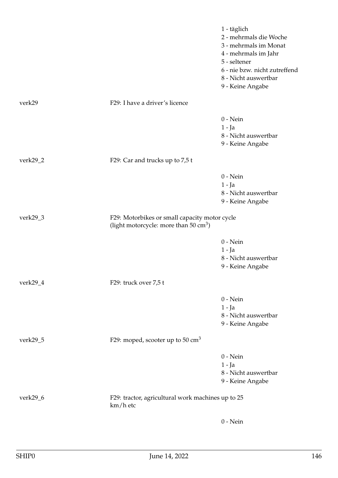|             |                                                                                                   | 1 - täglich<br>2 - mehrmals die Woche<br>3 - mehrmals im Monat<br>4 - mehrmals im Jahr<br>5 - seltener<br>6 - nie bzw. nicht zutreffend<br>8 - Nicht auswertbar<br>9 - Keine Angabe |
|-------------|---------------------------------------------------------------------------------------------------|-------------------------------------------------------------------------------------------------------------------------------------------------------------------------------------|
| verk29      | F29: I have a driver's licence                                                                    |                                                                                                                                                                                     |
|             |                                                                                                   | $0$ - Nein<br>$1 - Ja$<br>8 - Nicht auswertbar<br>9 - Keine Angabe                                                                                                                  |
| verk29_2    | F29: Car and trucks up to 7,5 t                                                                   |                                                                                                                                                                                     |
|             |                                                                                                   | $0$ - Nein<br>$1 - Ja$<br>8 - Nicht auswertbar<br>9 - Keine Angabe                                                                                                                  |
| verk $29_3$ | F29: Motorbikes or small capacity motor cycle<br>(light motorcycle: more than $50 \text{ cm}^3$ ) |                                                                                                                                                                                     |
|             |                                                                                                   | $0$ - Nein<br>1 - Ja<br>8 - Nicht auswertbar<br>9 - Keine Angabe                                                                                                                    |
| verk29_4    | F29: truck over 7,5 t                                                                             |                                                                                                                                                                                     |
|             |                                                                                                   | $0$ - Nein<br>$1 - Ja$<br>8 - Nicht auswertbar<br>9 - Keine Angabe                                                                                                                  |
| verk29_5    | F29: moped, scooter up to 50 $\text{cm}^3$                                                        |                                                                                                                                                                                     |
|             |                                                                                                   | $0$ - Nein<br>$1 - Ja$<br>8 - Nicht auswertbar<br>9 - Keine Angabe                                                                                                                  |
| verk29_6    | F29: tractor, agricultural work machines up to 25<br>km/h etc                                     |                                                                                                                                                                                     |
|             |                                                                                                   | $0$ - Nein                                                                                                                                                                          |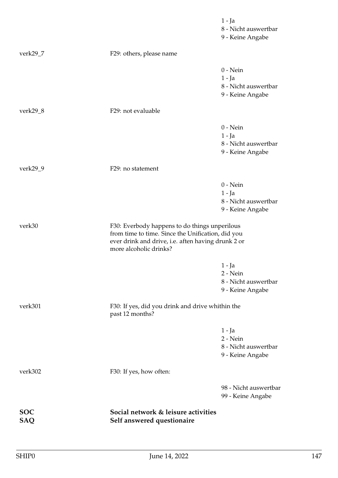|                          |                                                                                                                                                                                    | $1 - Ja$<br>8 - Nicht auswertbar<br>9 - Keine Angabe               |
|--------------------------|------------------------------------------------------------------------------------------------------------------------------------------------------------------------------------|--------------------------------------------------------------------|
| verk $29_7$              | F29: others, please name                                                                                                                                                           |                                                                    |
|                          |                                                                                                                                                                                    | $0$ - Nein<br>$1 - Ja$<br>8 - Nicht auswertbar<br>9 - Keine Angabe |
| verk29_8                 | F29: not evaluable                                                                                                                                                                 |                                                                    |
|                          |                                                                                                                                                                                    | $0$ - Nein<br>$1 - Ja$<br>8 - Nicht auswertbar<br>9 - Keine Angabe |
| verk29_9                 | F29: no statement                                                                                                                                                                  |                                                                    |
|                          |                                                                                                                                                                                    | $0$ - Nein<br>$1 - Ja$<br>8 - Nicht auswertbar<br>9 - Keine Angabe |
| verk30                   | F30: Everbody happens to do things unperilous<br>from time to time. Since the Unification, did you<br>ever drink and drive, i.e. aften having drunk 2 or<br>more alcoholic drinks? |                                                                    |
|                          |                                                                                                                                                                                    | 1 - Ja<br>2 - Nein<br>8 - Nicht auswertbar<br>9 - Keine Angabe     |
| verk301                  | F30: If yes, did you drink and drive whithin the<br>past 12 months?                                                                                                                |                                                                    |
|                          |                                                                                                                                                                                    | $1 - Ja$<br>2 - Nein<br>8 - Nicht auswertbar<br>9 - Keine Angabe   |
| verk302                  | F30: If yes, how often:                                                                                                                                                            |                                                                    |
|                          |                                                                                                                                                                                    | 98 - Nicht auswertbar<br>99 - Keine Angabe                         |
| <b>SOC</b><br><b>SAQ</b> | Social network & leisure activities<br>Self answered questionaire                                                                                                                  |                                                                    |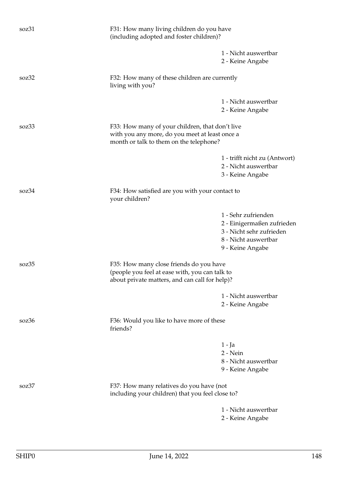| soz31                    | F31: How many living children do you have<br>(including adopted and foster children)?                                                       |                                                                                                                           |  |
|--------------------------|---------------------------------------------------------------------------------------------------------------------------------------------|---------------------------------------------------------------------------------------------------------------------------|--|
|                          |                                                                                                                                             | 1 - Nicht auswertbar<br>2 - Keine Angabe                                                                                  |  |
| soz32                    | F32: How many of these children are currently<br>living with you?                                                                           |                                                                                                                           |  |
|                          |                                                                                                                                             | 1 - Nicht auswertbar<br>2 - Keine Angabe                                                                                  |  |
| soz33                    | month or talk to them on the telephone?                                                                                                     | F33: How many of your children, that don't live<br>with you any more, do you meet at least once a                         |  |
|                          |                                                                                                                                             | 1 - trifft nicht zu (Antwort)<br>2 - Nicht auswertbar<br>3 - Keine Angabe                                                 |  |
| soz34                    | F34: How satisfied are you with your contact to<br>your children?                                                                           |                                                                                                                           |  |
|                          |                                                                                                                                             | 1 - Sehr zufrienden<br>2 - Einigermaßen zufrieden<br>3 - Nicht sehr zufrieden<br>8 - Nicht auswertbar<br>9 - Keine Angabe |  |
| soz35                    | F35: How many close friends do you have<br>(people you feel at ease with, you can talk to<br>about private matters, and can call for help)? |                                                                                                                           |  |
|                          |                                                                                                                                             | 1 - Nicht auswertbar<br>2 - Keine Angabe                                                                                  |  |
| $\sqrt{\text{SOZ}}_{36}$ | F36: Would you like to have more of these<br>friends?                                                                                       |                                                                                                                           |  |
|                          |                                                                                                                                             | $1 - Ja$<br>2 - Nein<br>8 - Nicht auswertbar<br>9 - Keine Angabe                                                          |  |
| soz37                    | F37: How many relatives do you have (not<br>including your children) that you feel close to?                                                |                                                                                                                           |  |
|                          |                                                                                                                                             | 1 - Nicht auswertbar<br>2 - Keine Angabe                                                                                  |  |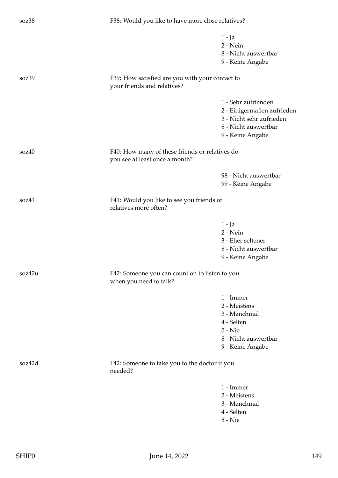| soz38  |                                                                                  | F38: Would you like to have more close relatives?                                                                         |  |
|--------|----------------------------------------------------------------------------------|---------------------------------------------------------------------------------------------------------------------------|--|
|        |                                                                                  | 1 - Ja<br>2 - Nein<br>8 - Nicht auswertbar<br>9 - Keine Angabe                                                            |  |
| soz39  | F39: How satisfied are you with your contact to<br>your friends and relatives?   |                                                                                                                           |  |
|        |                                                                                  | 1 - Sehr zufrienden<br>2 - Einigermaßen zufrieden<br>3 - Nicht sehr zufrieden<br>8 - Nicht auswertbar<br>9 - Keine Angabe |  |
| soz40  | F40: How many of these friends or relatives do<br>you see at least once a month? |                                                                                                                           |  |
|        |                                                                                  | 98 - Nicht auswertbar<br>99 - Keine Angabe                                                                                |  |
| soz41  | relatives more often?                                                            | F41: Would you like to see you friends or                                                                                 |  |
|        |                                                                                  | 1 - Ja<br>2 - Nein<br>3 - Eher seltener<br>8 - Nicht auswertbar<br>9 - Keine Angabe                                       |  |
| soz42u | F42: Someone you can count on to listen to you<br>when you need to talk?         |                                                                                                                           |  |
|        |                                                                                  | 1 - Immer<br>2 - Meistens<br>3 - Manchmal<br>4 - Selten<br>5 - Nie<br>8 - Nicht auswertbar<br>9 - Keine Angabe            |  |
| soz42d | F42: Someone to take you to the doctor if you<br>needed?                         |                                                                                                                           |  |
|        |                                                                                  | 1 - Immer<br>2 - Meistens<br>3 - Manchmal<br>4 - Selten<br>$5 -$ Nie                                                      |  |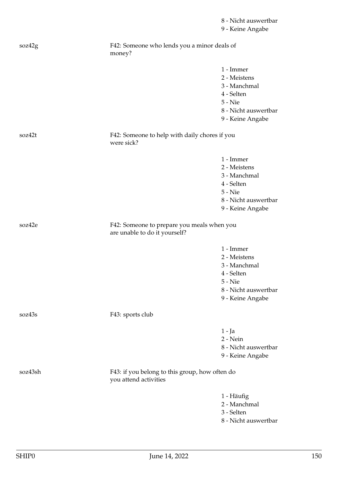| soz42g  | F42: Someone who lends you a minor deals of<br>money?                       |                      |
|---------|-----------------------------------------------------------------------------|----------------------|
|         |                                                                             | 1 - Immer            |
|         |                                                                             | 2 - Meistens         |
|         |                                                                             | 3 - Manchmal         |
|         |                                                                             | 4 - Selten           |
|         |                                                                             |                      |
|         |                                                                             | 5 - Nie              |
|         |                                                                             | 8 - Nicht auswertbar |
|         |                                                                             | 9 - Keine Angabe     |
| soz42t  | F42: Someone to help with daily chores if you<br>were sick?                 |                      |
|         |                                                                             | 1 - Immer            |
|         |                                                                             | 2 - Meistens         |
|         |                                                                             | 3 - Manchmal         |
|         |                                                                             | 4 - Selten           |
|         |                                                                             | 5 - Nie              |
|         |                                                                             | 8 - Nicht auswertbar |
|         |                                                                             | 9 - Keine Angabe     |
|         |                                                                             |                      |
| soz42e  | F42: Someone to prepare you meals when you<br>are unable to do it yourself? |                      |
|         |                                                                             | 1 - Immer            |
|         |                                                                             | 2 - Meistens         |
|         |                                                                             | 3 - Manchmal         |
|         |                                                                             | 4 - Selten           |
|         |                                                                             | 5 - Nie              |
|         |                                                                             | 8 - Nicht auswertbar |
|         |                                                                             | 9 - Keine Angabe     |
| soz43s  | F43: sports club                                                            |                      |
|         |                                                                             | $1 - Ja$             |
|         |                                                                             | $2 - Nein$           |
|         |                                                                             | 8 - Nicht auswertbar |
|         |                                                                             | 9 - Keine Angabe     |
|         |                                                                             |                      |
| soz43sh | F43: if you belong to this group, how often do<br>you attend activities     |                      |
|         |                                                                             | 1 - Häufig           |
|         |                                                                             | 2 - Manchmal         |
|         |                                                                             | 3 - Selten           |
|         |                                                                             | 8 - Nicht auswertbar |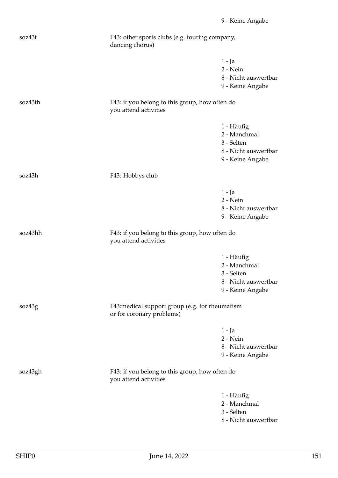| soz43t  | F43: other sports clubs (e.g. touring company,<br>dancing chorus)            |                                                                                      |
|---------|------------------------------------------------------------------------------|--------------------------------------------------------------------------------------|
|         |                                                                              | $1 - Ja$<br>2 - Nein<br>8 - Nicht auswertbar<br>9 - Keine Angabe                     |
| soz43th | F43: if you belong to this group, how often do<br>you attend activities      |                                                                                      |
|         |                                                                              | 1 - Häufig<br>2 - Manchmal<br>3 - Selten<br>8 - Nicht auswertbar<br>9 - Keine Angabe |
| soz43h  | F43: Hobbys club                                                             |                                                                                      |
|         |                                                                              | $1 - Ja$<br>2 - Nein<br>8 - Nicht auswertbar<br>9 - Keine Angabe                     |
| soz43hh | F43: if you belong to this group, how often do<br>you attend activities      |                                                                                      |
|         |                                                                              | 1 - Häufig<br>2 - Manchmal<br>3 - Selten<br>8 - Nicht auswertbar<br>9 - Keine Angabe |
| soz43g  | F43: medical support group (e.g. for rheumatism<br>or for coronary problems) |                                                                                      |
|         |                                                                              | $1 - Ja$<br>2 - Nein<br>8 - Nicht auswertbar<br>9 - Keine Angabe                     |
| soz43gh | F43: if you belong to this group, how often do<br>you attend activities      |                                                                                      |
|         |                                                                              | 1 - Häufig<br>2 - Manchmal<br>3 - Selten<br>8 - Nicht auswertbar                     |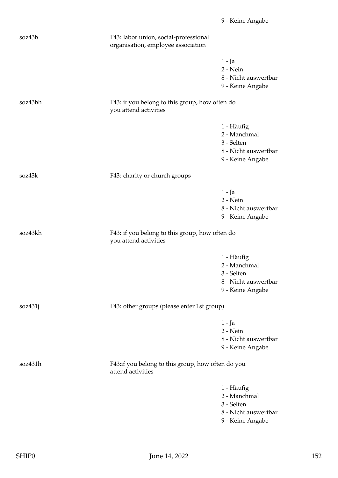- 8 Nicht auswertbar 9 - Keine Angabe
	-

|         |                                                                         | 9 - Neme Angabe                                                                      |
|---------|-------------------------------------------------------------------------|--------------------------------------------------------------------------------------|
| soz43bh | F43: if you belong to this group, how often do<br>you attend activities |                                                                                      |
|         |                                                                         | 1 - Häufig<br>2 - Manchmal<br>3 - Selten<br>8 - Nicht auswertbar<br>9 - Keine Angabe |
| soz43k  | F43: charity or church groups                                           |                                                                                      |
|         |                                                                         | $1 - Ja$<br>2 - Nein<br>8 - Nicht auswertbar<br>9 - Keine Angabe                     |
| soz43kh | F43: if you belong to this group, how often do<br>you attend activities |                                                                                      |
|         |                                                                         | 1 - Häufig<br>2 - Manchmal<br>3 - Selten<br>8 - Nicht auswertbar<br>9 - Keine Angabe |
| soz431j | F43: other groups (please enter 1st group)                              |                                                                                      |
|         |                                                                         | 1 - Ja<br>2 - Nein<br>8 - Nicht auswertbar<br>9 - Keine Angabe                       |
| soz431h | F43:if you belong to this group, how often do you<br>attend activities  |                                                                                      |
|         |                                                                         | 1 - Häufig<br>2 - Manchmal<br>3 - Selten                                             |

- 8 Nicht auswertbar
- 9 Keine Angabe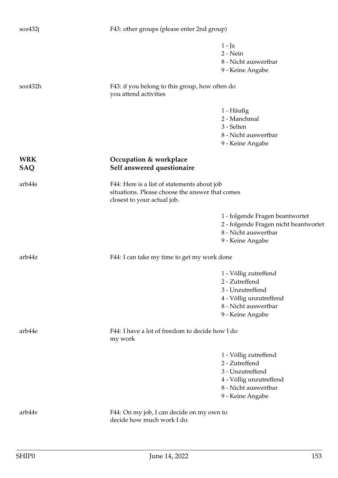| soz432j           | F43: other groups (please enter 2nd group)                                                                                    |                                                                                                                                    |
|-------------------|-------------------------------------------------------------------------------------------------------------------------------|------------------------------------------------------------------------------------------------------------------------------------|
|                   |                                                                                                                               | 1 - Ja<br>2 - Nein<br>8 - Nicht auswertbar<br>9 - Keine Angabe                                                                     |
| soz432h           | F43: if you belong to this group, how often do<br>you attend activities                                                       |                                                                                                                                    |
|                   |                                                                                                                               | 1 - Häufig<br>2 - Manchmal<br>3 - Selten<br>8 - Nicht auswertbar<br>9 - Keine Angabe                                               |
| <b>WRK</b><br>SAQ | Occupation & workplace<br>Self answered questionaire                                                                          |                                                                                                                                    |
| arb44s            | F44: Here is a list of statements about job<br>situations. Please choose the answer that comes<br>closest to your actual job. |                                                                                                                                    |
|                   |                                                                                                                               | 1 - folgende Fragen beantwortet<br>2 - folgende Fragen nicht beantwortet<br>8 - Nicht auswertbar<br>9 - Keine Angabe               |
| arb44z            | F44: I can take my time to get my work done                                                                                   |                                                                                                                                    |
|                   |                                                                                                                               | 1 - Völlig zutreffend<br>2 - Zutreffend<br>3 - Unzutreffend<br>4 - Völlig unzutreffend<br>8 - Nicht auswertbar<br>9 - Keine Angabe |
| arb44e            | F44: I have a lot of freedom to decide how I do<br>my work                                                                    |                                                                                                                                    |
|                   |                                                                                                                               | 1 - Völlig zutreffend<br>2 - Zutreffend<br>3 - Unzutreffend<br>4 - Völlig unzutreffend<br>8 - Nicht auswertbar<br>9 - Keine Angabe |
| arb44v            | F44: On my job, I can decide on my own to<br>decide how much work I do.                                                       |                                                                                                                                    |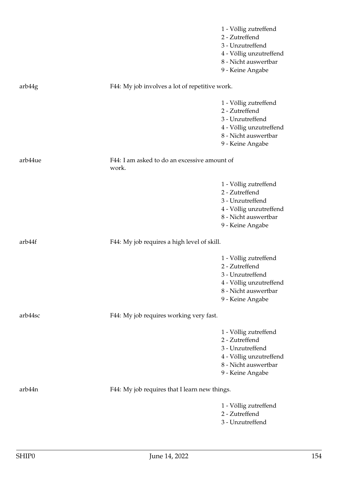|         |                                                       | 1 - Völlig zutreffend<br>2 - Zutreffend<br>3 - Unzutreffend<br>4 - Völlig unzutreffend<br>8 - Nicht auswertbar<br>9 - Keine Angabe |
|---------|-------------------------------------------------------|------------------------------------------------------------------------------------------------------------------------------------|
| arb44g  | F44: My job involves a lot of repetitive work.        |                                                                                                                                    |
|         |                                                       | 1 - Völlig zutreffend<br>2 - Zutreffend<br>3 - Unzutreffend<br>4 - Völlig unzutreffend<br>8 - Nicht auswertbar<br>9 - Keine Angabe |
| arb44ue | F44: I am asked to do an excessive amount of<br>work. |                                                                                                                                    |
|         |                                                       | 1 - Völlig zutreffend<br>2 - Zutreffend<br>3 - Unzutreffend<br>4 - Völlig unzutreffend<br>8 - Nicht auswertbar<br>9 - Keine Angabe |
| arb44f  | F44: My job requires a high level of skill.           |                                                                                                                                    |
|         |                                                       | 1 - Völlig zutreffend<br>2 - Zutreffend<br>3 - Unzutreffend<br>4 - Völlig unzutreffend<br>8 - Nicht auswertbar<br>9 - Keine Angabe |
| arb44sc | F44: My job requires working very fast.               |                                                                                                                                    |
|         |                                                       | 1 - Völlig zutreffend<br>2 - Zutreffend<br>3 - Unzutreffend<br>4 - Völlig unzutreffend<br>8 - Nicht auswertbar<br>9 - Keine Angabe |
| arb44n  | F44: My job requires that I learn new things.         |                                                                                                                                    |
|         |                                                       | 1 - Völlig zutreffend<br>2 - Zutreffend<br>3 - Unzutreffend                                                                        |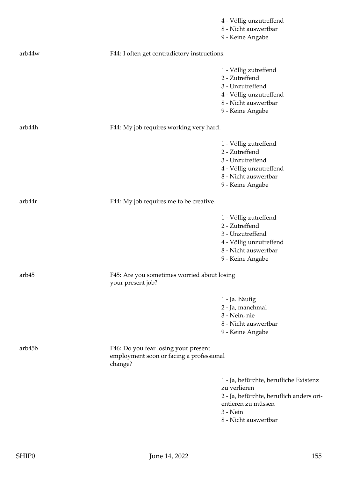|        |                                                                                             | 4 - Völlig unzutreffend<br>8 - Nicht auswertbar<br>9 - Keine Angabe                                                                                          |
|--------|---------------------------------------------------------------------------------------------|--------------------------------------------------------------------------------------------------------------------------------------------------------------|
| arb44w | F44: I often get contradictory instructions.                                                |                                                                                                                                                              |
|        |                                                                                             | 1 - Völlig zutreffend<br>2 - Zutreffend<br>3 - Unzutreffend<br>4 - Völlig unzutreffend                                                                       |
|        |                                                                                             | 8 - Nicht auswertbar<br>9 - Keine Angabe                                                                                                                     |
| arb44h | F44: My job requires working very hard.                                                     |                                                                                                                                                              |
|        |                                                                                             | 1 - Völlig zutreffend<br>2 - Zutreffend<br>3 - Unzutreffend<br>4 - Völlig unzutreffend<br>8 - Nicht auswertbar<br>9 - Keine Angabe                           |
| arb44r | F44: My job requires me to be creative.                                                     |                                                                                                                                                              |
|        |                                                                                             | 1 - Völlig zutreffend<br>2 - Zutreffend<br>3 - Unzutreffend<br>4 - Völlig unzutreffend<br>8 - Nicht auswertbar<br>9 - Keine Angabe                           |
| arb45  | F45: Are you sometimes worried about losing<br>your present job?                            |                                                                                                                                                              |
|        |                                                                                             | 1 - Ja. häufig<br>2 - Ja, manchmal<br>3 - Nein, nie<br>8 - Nicht auswertbar<br>9 - Keine Angabe                                                              |
| arb45b | F46: Do you fear losing your present<br>employment soon or facing a professional<br>change? |                                                                                                                                                              |
|        |                                                                                             | 1 - Ja, befürchte, berufliche Existenz<br>zu verlieren<br>2 - Ja, befürchte, beruflich anders ori-<br>entieren zu müssen<br>3 - Nein<br>8 - Nicht auswertbar |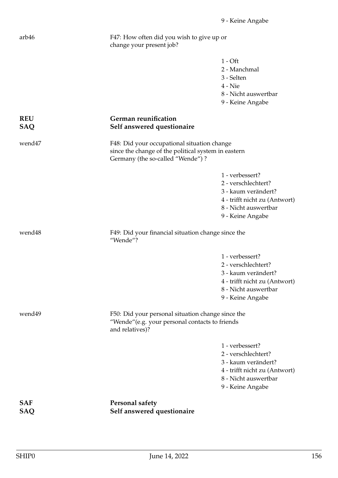| arb46                    | F47: How often did you wish to give up or<br>change your present job?                                                                  |                                                                                                                                            |
|--------------------------|----------------------------------------------------------------------------------------------------------------------------------------|--------------------------------------------------------------------------------------------------------------------------------------------|
|                          |                                                                                                                                        | $1 - Off$<br>2 - Manchmal<br>3 - Selten<br>$4 -$ Nie<br>8 - Nicht auswertbar<br>9 - Keine Angabe                                           |
| <b>REU</b><br><b>SAQ</b> | German reunification<br>Self answered questionaire                                                                                     |                                                                                                                                            |
| wend47                   | F48: Did your occupational situation change<br>since the change of the political system in eastern<br>Germany (the so-called "Wende")? |                                                                                                                                            |
|                          |                                                                                                                                        | 1 - verbessert?<br>2 - verschlechtert?<br>3 - kaum verändert?<br>4 - trifft nicht zu (Antwort)<br>8 - Nicht auswertbar<br>9 - Keine Angabe |
| wend48                   | F49: Did your financial situation change since the<br>"Wende"?                                                                         |                                                                                                                                            |
|                          |                                                                                                                                        | 1 - verbessert?<br>2 - verschlechtert?<br>3 - kaum verändert?<br>4 - trifft nicht zu (Antwort)<br>8 - Nicht auswertbar<br>9 - Keine Angabe |
| wend49                   | F50: Did your personal situation change since the<br>"Wende" (e.g. your personal contacts to friends<br>and relatives)?                |                                                                                                                                            |
|                          |                                                                                                                                        | 1 - verbessert?<br>2 - verschlechtert?<br>3 - kaum verändert?<br>4 - trifft nicht zu (Antwort)<br>8 - Nicht auswertbar<br>9 - Keine Angabe |
| <b>SAF</b><br>SAQ        | <b>Personal safety</b><br>Self answered questionaire                                                                                   |                                                                                                                                            |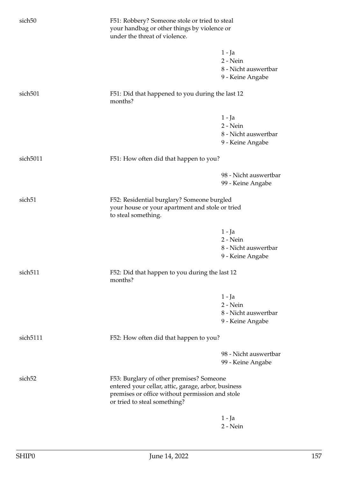| sich <sub>50</sub>   | F51: Robbery? Someone stole or tried to steal<br>your handbag or other things by violence or<br>under the threat of violence.                                                      |                                                                  |
|----------------------|------------------------------------------------------------------------------------------------------------------------------------------------------------------------------------|------------------------------------------------------------------|
|                      |                                                                                                                                                                                    | $1 - Ja$<br>2 - Nein<br>8 - Nicht auswertbar<br>9 - Keine Angabe |
| sich <sub>501</sub>  | F51: Did that happened to you during the last 12<br>months?                                                                                                                        |                                                                  |
|                      |                                                                                                                                                                                    | 1 - Ja<br>$2 - Nein$<br>8 - Nicht auswertbar<br>9 - Keine Angabe |
| sich5011             | F51: How often did that happen to you?                                                                                                                                             |                                                                  |
|                      |                                                                                                                                                                                    | 98 - Nicht auswertbar<br>99 - Keine Angabe                       |
| sich <sub>51</sub>   | F52: Residential burglary? Someone burgled<br>your house or your apartment and stole or tried<br>to steal something.                                                               |                                                                  |
|                      |                                                                                                                                                                                    | $1 - Ja$<br>2 - Nein<br>8 - Nicht auswertbar<br>9 - Keine Angabe |
| sich <sub>511</sub>  | F52: Did that happen to you during the last 12<br>months?                                                                                                                          |                                                                  |
|                      |                                                                                                                                                                                    | $1 - Ja$<br>2 - Nein<br>8 - Nicht auswertbar<br>9 - Keine Angabe |
| sich <sub>5111</sub> | F52: How often did that happen to you?                                                                                                                                             |                                                                  |
|                      |                                                                                                                                                                                    | 98 - Nicht auswertbar<br>99 - Keine Angabe                       |
| sich <sub>52</sub>   | F53: Burglary of other premises? Someone<br>entered your cellar, attic, garage, arbor, business<br>premises or office without permission and stole<br>or tried to steal something? |                                                                  |
|                      |                                                                                                                                                                                    | $1 - Ja$<br>$2 - Nein$                                           |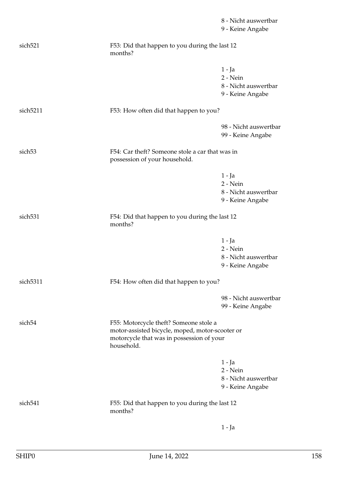|                      |                                                                                                                                                      | 8 - Nicht auswertbar<br>9 - Keine Angabe                         |
|----------------------|------------------------------------------------------------------------------------------------------------------------------------------------------|------------------------------------------------------------------|
| sich <sub>521</sub>  | F53: Did that happen to you during the last 12<br>months?                                                                                            |                                                                  |
|                      |                                                                                                                                                      | 1 - Ja<br>2 - Nein<br>8 - Nicht auswertbar<br>9 - Keine Angabe   |
| sich <sub>5211</sub> | F53: How often did that happen to you?                                                                                                               |                                                                  |
|                      |                                                                                                                                                      | 98 - Nicht auswertbar<br>99 - Keine Angabe                       |
| sich <sub>53</sub>   | F54: Car theft? Someone stole a car that was in<br>possession of your household.                                                                     |                                                                  |
|                      |                                                                                                                                                      | $1 - Ja$<br>2 - Nein<br>8 - Nicht auswertbar<br>9 - Keine Angabe |
| sich <sub>531</sub>  | F54: Did that happen to you during the last 12<br>months?                                                                                            |                                                                  |
|                      |                                                                                                                                                      | $1 - Ja$<br>2 - Nein<br>8 - Nicht auswertbar<br>9 - Keine Angabe |
| sich5311             | F54: How often did that happen to you?                                                                                                               |                                                                  |
|                      |                                                                                                                                                      | 98 - Nicht auswertbar<br>99 - Keine Angabe                       |
| sich <sub>54</sub>   | F55: Motorcycle theft? Someone stole a<br>motor-assisted bicycle, moped, motor-scooter or<br>motorcycle that was in possession of your<br>household. |                                                                  |
|                      |                                                                                                                                                      | $1 - Ja$<br>2 - Nein<br>8 - Nicht auswertbar<br>9 - Keine Angabe |
| sich <sub>541</sub>  | F55: Did that happen to you during the last 12<br>months?                                                                                            |                                                                  |
|                      |                                                                                                                                                      | $1 - Ja$                                                         |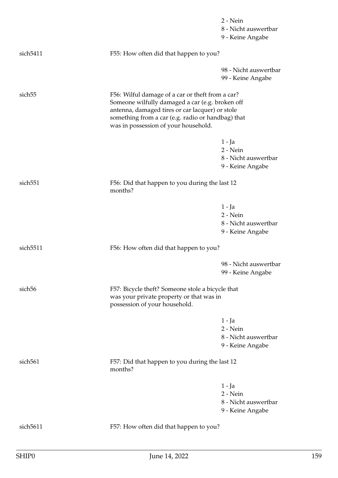|                     |                                                                                                                                                                                                                                                     | 2 - Nein              |
|---------------------|-----------------------------------------------------------------------------------------------------------------------------------------------------------------------------------------------------------------------------------------------------|-----------------------|
|                     |                                                                                                                                                                                                                                                     | 8 - Nicht auswertbar  |
|                     |                                                                                                                                                                                                                                                     | 9 - Keine Angabe      |
| sich5411            | F55: How often did that happen to you?                                                                                                                                                                                                              |                       |
|                     |                                                                                                                                                                                                                                                     | 98 - Nicht auswertbar |
|                     |                                                                                                                                                                                                                                                     | 99 - Keine Angabe     |
| sich <sub>55</sub>  | F56: Wilful damage of a car or theft from a car?<br>Someone wilfully damaged a car (e.g. broken off<br>antenna, damaged tires or car lacquer) or stole<br>something from a car (e.g. radio or handbag) that<br>was in possession of your household. |                       |
|                     |                                                                                                                                                                                                                                                     | $1 - Ja$              |
|                     |                                                                                                                                                                                                                                                     | 2 - Nein              |
|                     |                                                                                                                                                                                                                                                     | 8 - Nicht auswertbar  |
|                     |                                                                                                                                                                                                                                                     | 9 - Keine Angabe      |
| sich <sub>551</sub> | F56: Did that happen to you during the last 12<br>months?                                                                                                                                                                                           |                       |
|                     |                                                                                                                                                                                                                                                     | $1 - Ja$              |
|                     |                                                                                                                                                                                                                                                     | 2 - Nein              |
|                     |                                                                                                                                                                                                                                                     | 8 - Nicht auswertbar  |
|                     |                                                                                                                                                                                                                                                     | 9 - Keine Angabe      |
| sich5511            | F56: How often did that happen to you?                                                                                                                                                                                                              |                       |
|                     |                                                                                                                                                                                                                                                     | 98 - Nicht auswertbar |
|                     |                                                                                                                                                                                                                                                     | 99 - Keine Angabe     |
| sich <sub>56</sub>  | F57: Bicycle theft? Someone stole a bicycle that<br>was your private property or that was in<br>possession of your household.                                                                                                                       |                       |
|                     |                                                                                                                                                                                                                                                     | $1 - Ja$              |
|                     |                                                                                                                                                                                                                                                     | 2 - Nein              |
|                     |                                                                                                                                                                                                                                                     | 8 - Nicht auswertbar  |
|                     |                                                                                                                                                                                                                                                     | 9 - Keine Angabe      |
| sich <sub>561</sub> | F57: Did that happen to you during the last 12<br>months?                                                                                                                                                                                           |                       |
|                     |                                                                                                                                                                                                                                                     | 1 - Ja                |
|                     |                                                                                                                                                                                                                                                     | 2 - Nein              |
|                     |                                                                                                                                                                                                                                                     | 8 - Nicht auswertbar  |
|                     |                                                                                                                                                                                                                                                     | 9 - Keine Angabe      |
| sich5611            | F57: How often did that happen to you?                                                                                                                                                                                                              |                       |
|                     |                                                                                                                                                                                                                                                     |                       |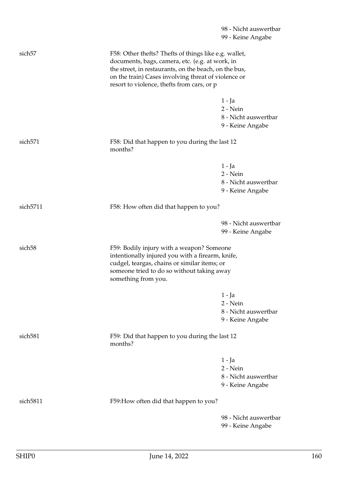|                     |                                                                                                                                                                                                                                                                        | 98 - Nicht auswertbar                                              |
|---------------------|------------------------------------------------------------------------------------------------------------------------------------------------------------------------------------------------------------------------------------------------------------------------|--------------------------------------------------------------------|
|                     |                                                                                                                                                                                                                                                                        | 99 - Keine Angabe                                                  |
| sich <sub>57</sub>  | F58: Other thefts? Thefts of things like e.g. wallet,<br>documents, bags, camera, etc. (e.g. at work, in<br>the street, in restaurants, on the beach, on the bus,<br>on the train) Cases involving threat of violence or<br>resort to violence, thefts from cars, or p |                                                                    |
|                     |                                                                                                                                                                                                                                                                        |                                                                    |
|                     |                                                                                                                                                                                                                                                                        | 1 - Ja<br>$2 - Nein$<br>8 - Nicht auswertbar<br>9 - Keine Angabe   |
| sich <sub>571</sub> | F58: Did that happen to you during the last 12<br>months?                                                                                                                                                                                                              |                                                                    |
|                     |                                                                                                                                                                                                                                                                        | 1 - Ja<br>$2 - Nein$<br>8 - Nicht auswertbar<br>9 - Keine Angabe   |
| sich5711            | F58: How often did that happen to you?                                                                                                                                                                                                                                 |                                                                    |
|                     |                                                                                                                                                                                                                                                                        | 98 - Nicht auswertbar<br>99 - Keine Angabe                         |
| sich <sub>58</sub>  | F59: Bodily injury with a weapon? Someone<br>intentionally injured you with a firearm, knife,<br>cudgel, teargas, chains or similar items; or<br>someone tried to do so without taking away<br>something from you.                                                     |                                                                    |
|                     |                                                                                                                                                                                                                                                                        | $1 - Ja$                                                           |
|                     |                                                                                                                                                                                                                                                                        | $2 - Nein$<br>8 - Nicht auswertbar<br>9 - Keine Angabe             |
| sich <sub>581</sub> | F59: Did that happen to you during the last 12<br>months?                                                                                                                                                                                                              |                                                                    |
|                     |                                                                                                                                                                                                                                                                        | $1 - Ja$<br>$2 - Nein$<br>8 - Nicht auswertbar<br>9 - Keine Angabe |
| sich5811            | F59: How often did that happen to you?                                                                                                                                                                                                                                 |                                                                    |
|                     |                                                                                                                                                                                                                                                                        | 98 - Nicht auswertbar<br>99 - Keine Angabe                         |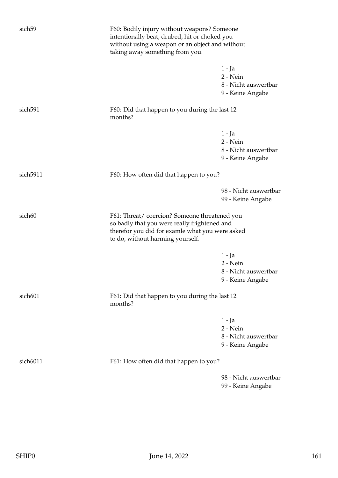| sich <sub>59</sub>  | F60: Bodily injury without weapons? Someone<br>intentionally beat, drubed, hit or choked you<br>without using a weapon or an object and without<br>taking away something from you.  |                                                                  |
|---------------------|-------------------------------------------------------------------------------------------------------------------------------------------------------------------------------------|------------------------------------------------------------------|
|                     |                                                                                                                                                                                     | $1 - Ja$<br>2 - Nein<br>8 - Nicht auswertbar<br>9 - Keine Angabe |
| sich <sub>591</sub> | F60: Did that happen to you during the last 12<br>months?                                                                                                                           |                                                                  |
|                     |                                                                                                                                                                                     | 1 - Ja<br>2 - Nein<br>8 - Nicht auswertbar<br>9 - Keine Angabe   |
| sich5911            | F60: How often did that happen to you?                                                                                                                                              |                                                                  |
|                     |                                                                                                                                                                                     | 98 - Nicht auswertbar<br>99 - Keine Angabe                       |
| sich60              | F61: Threat/coercion? Someone threatened you<br>so badly that you were really frightened and<br>therefor you did for examle what you were asked<br>to do, without harming yourself. |                                                                  |
|                     |                                                                                                                                                                                     | $1 - Ja$<br>2 - Nein<br>8 - Nicht auswertbar<br>9 - Keine Angabe |
| sich601             | F61: Did that happen to you during the last 12<br>months?                                                                                                                           |                                                                  |
|                     |                                                                                                                                                                                     | $1 - Ja$<br>2 - Nein<br>8 - Nicht auswertbar<br>9 - Keine Angabe |
| sich6011            | F61: How often did that happen to you?                                                                                                                                              |                                                                  |
|                     |                                                                                                                                                                                     | 98 - Nicht auswertbar<br>99 - Keine Angabe                       |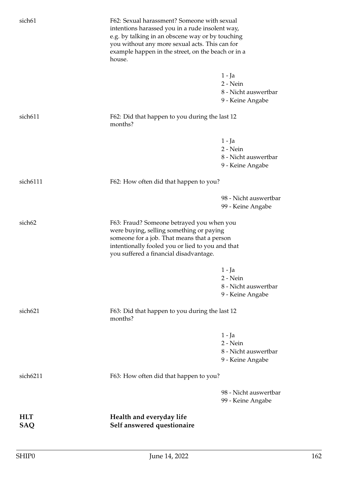| sich61              | F62: Sexual harassment? Someone with sexual<br>intentions harassed you in a rude insolent way,<br>e.g. by talking in an obscene way or by touching<br>you without any more sexual acts. This can for<br>example happen in the street, on the beach or in a<br>house. |                                                                  |
|---------------------|----------------------------------------------------------------------------------------------------------------------------------------------------------------------------------------------------------------------------------------------------------------------|------------------------------------------------------------------|
|                     |                                                                                                                                                                                                                                                                      | 1 - Ja<br>2 - Nein<br>8 - Nicht auswertbar<br>9 - Keine Angabe   |
| sich611             | F62: Did that happen to you during the last 12<br>months?                                                                                                                                                                                                            |                                                                  |
|                     |                                                                                                                                                                                                                                                                      | $1 - Ja$<br>2 - Nein<br>8 - Nicht auswertbar<br>9 - Keine Angabe |
| sich6111            | F62: How often did that happen to you?                                                                                                                                                                                                                               |                                                                  |
|                     |                                                                                                                                                                                                                                                                      | 98 - Nicht auswertbar<br>99 - Keine Angabe                       |
| sich <sub>62</sub>  | F63: Fraud? Someone betrayed you when you<br>were buying, selling something or paying<br>someone for a job. That means that a person<br>intentionally fooled you or lied to you and that<br>you suffered a financial disadvantage.                                   |                                                                  |
|                     |                                                                                                                                                                                                                                                                      | $1 - Ja$<br>2 - Nein<br>8 - Nicht auswertbar<br>9 - Keine Angabe |
| sich <sub>621</sub> | F63: Did that happen to you during the last 12<br>months?                                                                                                                                                                                                            |                                                                  |
|                     |                                                                                                                                                                                                                                                                      | 1 - Ja<br>$2 - Nein$<br>8 - Nicht auswertbar<br>9 - Keine Angabe |
| sich6211            | F63: How often did that happen to you?                                                                                                                                                                                                                               |                                                                  |
|                     |                                                                                                                                                                                                                                                                      | 98 - Nicht auswertbar<br>99 - Keine Angabe                       |
| <b>HLT</b><br>SAQ   | Health and everyday life<br>Self answered questionaire                                                                                                                                                                                                               |                                                                  |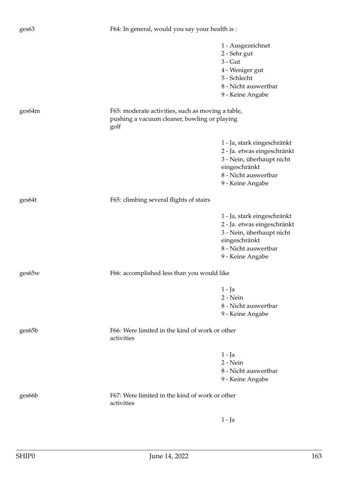|        |                                                                                                           | 1 - Ausgezeichnet           |
|--------|-----------------------------------------------------------------------------------------------------------|-----------------------------|
|        |                                                                                                           | 2 - Sehr gut                |
|        |                                                                                                           | $3 - G$ ut                  |
|        |                                                                                                           | 4 - Weniger gut             |
|        |                                                                                                           | 5 - Schlecht                |
|        |                                                                                                           | 8 - Nicht auswertbar        |
|        |                                                                                                           | 9 - Keine Angabe            |
|        |                                                                                                           |                             |
| ges64m | F65: moderate activities, such as moving a table,<br>pushing a vacuum cleaner, bowling or playing<br>golf |                             |
|        |                                                                                                           | 1 - Ja, stark eingeschränkt |
|        |                                                                                                           | 2 - Ja. etwas eingeschränkt |
|        |                                                                                                           | 3 - Nein, überhaupt nicht   |
|        |                                                                                                           | eingeschränkt               |
|        |                                                                                                           | 8 - Nicht auswertbar        |
|        |                                                                                                           | 9 - Keine Angabe            |
|        |                                                                                                           |                             |
| ges64t | F65: climbing several flights of stairs                                                                   |                             |
|        |                                                                                                           | 1 - Ja, stark eingeschränkt |
|        |                                                                                                           | 2 - Ja. etwas eingeschränkt |
|        |                                                                                                           | 3 - Nein, überhaupt nicht   |
|        |                                                                                                           | eingeschränkt               |
|        |                                                                                                           | 8 - Nicht auswertbar        |
|        |                                                                                                           | 9 - Keine Angabe            |
|        |                                                                                                           |                             |
| ges65w | F66: accomplished less than you would like                                                                |                             |
|        |                                                                                                           | $1 - Ja$                    |
|        |                                                                                                           | 2 - Nein                    |
|        |                                                                                                           | 8 - Nicht auswertbar        |
|        |                                                                                                           | 9 - Keine Angabe            |
|        |                                                                                                           |                             |
| ges65b | F66: Were limited in the kind of work or other<br>activities                                              |                             |
|        |                                                                                                           |                             |
|        |                                                                                                           | 1 - Ja                      |
|        |                                                                                                           | 2 - Nein                    |
|        |                                                                                                           | 8 - Nicht auswertbar        |
|        |                                                                                                           | 9 - Keine Angabe            |
| ges66b | F67: Were limited in the kind of work or other<br>activities                                              |                             |
|        |                                                                                                           |                             |
|        |                                                                                                           | $1 - Ja$                    |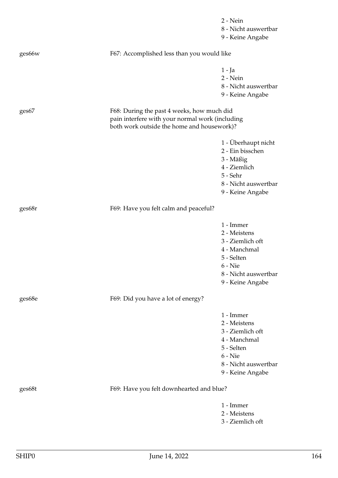|        |                                                 | $2 - Nein$           |
|--------|-------------------------------------------------|----------------------|
|        |                                                 | 8 - Nicht auswertbar |
|        |                                                 | 9 - Keine Angabe     |
| ges66w | F67: Accomplished less than you would like      |                      |
|        |                                                 | 1 - Ja               |
|        |                                                 | 2 - Nein             |
|        |                                                 | 8 - Nicht auswertbar |
|        |                                                 | 9 - Keine Angabe     |
| ges67  | F68: During the past 4 weeks, how much did      |                      |
|        | pain interfere with your normal work (including |                      |
|        | both work outside the home and housework)?      |                      |
|        |                                                 | 1 - Überhaupt nicht  |
|        |                                                 | 2 - Ein bisschen     |
|        |                                                 | 3 - Mäßig            |
|        |                                                 | 4 - Ziemlich         |
|        |                                                 | 5 - Sehr             |
|        |                                                 | 8 - Nicht auswertbar |
|        |                                                 | 9 - Keine Angabe     |
| ges68r | F69: Have you felt calm and peaceful?           |                      |
|        |                                                 | 1 - Immer            |
|        |                                                 | 2 - Meistens         |
|        |                                                 | 3 - Ziemlich oft     |
|        |                                                 | 4 - Manchmal         |
|        |                                                 | 5 - Selten           |
|        |                                                 | $6 -$ Nie            |
|        |                                                 | 8 - Nicht auswertbar |
|        |                                                 | 9 - Keine Angabe     |
| ges68e | F69: Did you have a lot of energy?              |                      |
|        |                                                 | 1 - Immer            |
|        |                                                 | 2 - Meistens         |
|        |                                                 | 3 - Ziemlich oft     |
|        |                                                 | 4 - Manchmal         |
|        |                                                 | 5 - Selten           |
|        |                                                 | $6 -$ Nie            |
|        |                                                 | 8 - Nicht auswertbar |
|        |                                                 | 9 - Keine Angabe     |
| ges68t | F69: Have you felt downhearted and blue?        |                      |
|        |                                                 | 1 - Immer            |
|        |                                                 | 2 - Meistens         |
|        |                                                 | 3 - Ziemlich oft     |
|        |                                                 |                      |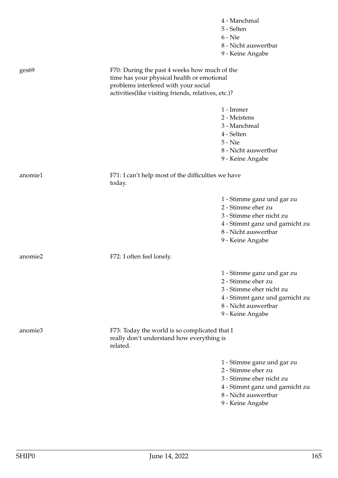|         |                                                                                                                                    | 4 - Manchmal                    |
|---------|------------------------------------------------------------------------------------------------------------------------------------|---------------------------------|
|         |                                                                                                                                    | 5 - Selten<br>$6 -$ Nie         |
|         |                                                                                                                                    | 8 - Nicht auswertbar            |
|         |                                                                                                                                    |                                 |
|         |                                                                                                                                    | 9 - Keine Angabe                |
| ges69   | F70: During the past 4 weeks how much of the<br>time has your physical health or emotional<br>problems interfered with your social |                                 |
|         | activities(like visiting friends, relatives, etc.)?                                                                                |                                 |
|         |                                                                                                                                    | 1 - Immer                       |
|         |                                                                                                                                    | 2 - Meistens                    |
|         |                                                                                                                                    | 3 - Manchmal                    |
|         |                                                                                                                                    | 4 - Selten                      |
|         |                                                                                                                                    | 5 - Nie                         |
|         |                                                                                                                                    | 8 - Nicht auswertbar            |
|         |                                                                                                                                    | 9 - Keine Angabe                |
| anomie1 | F71: I can't help most of the difficulties we have<br>today.                                                                       |                                 |
|         |                                                                                                                                    | 1 - Stimme ganz und gar zu      |
|         |                                                                                                                                    | 2 - Stimme eher zu              |
|         |                                                                                                                                    | 3 - Stimme eher nicht zu        |
|         |                                                                                                                                    | 4 - Stimmt ganz und garnicht zu |
|         |                                                                                                                                    | 8 - Nicht auswertbar            |
|         |                                                                                                                                    | 9 - Keine Angabe                |
| anomie2 | F72: I often feel lonely.                                                                                                          |                                 |
|         |                                                                                                                                    | 1 - Stimme ganz und gar zu      |
|         |                                                                                                                                    | 2 - Stimme eher zu              |
|         |                                                                                                                                    | 3 - Stimme eher nicht zu        |
|         |                                                                                                                                    | 4 - Stimmt ganz und garnicht zu |
|         |                                                                                                                                    | 8 - Nicht auswertbar            |
|         |                                                                                                                                    | 9 - Keine Angabe                |
|         |                                                                                                                                    |                                 |
| anomie3 | F73: Today the world is so complicated that I<br>really don't understand how everything is                                         |                                 |
|         | related.                                                                                                                           |                                 |
|         |                                                                                                                                    | 1 - Stimme ganz und gar zu      |
|         |                                                                                                                                    | 2 - Stimme eher zu              |
|         |                                                                                                                                    | 3 - Stimme eher nicht zu        |
|         |                                                                                                                                    | 4 - Stimmt ganz und garnicht zu |
|         |                                                                                                                                    | 8 - Nicht auswertbar            |
|         |                                                                                                                                    | 9 - Keine Angabe                |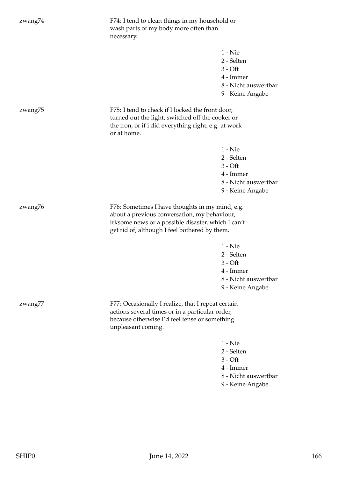| zwang74 | F74: I tend to clean things in my household or<br>wash parts of my body more often than<br>necessary.                                                                                                  |                                                                                               |
|---------|--------------------------------------------------------------------------------------------------------------------------------------------------------------------------------------------------------|-----------------------------------------------------------------------------------------------|
|         |                                                                                                                                                                                                        | $1 -$ Nie<br>2 - Selten<br>$3 - Off$<br>4 - Immer<br>8 - Nicht auswertbar<br>9 - Keine Angabe |
| zwang75 | F75: I tend to check if I locked the front door,<br>turned out the light, switched off the cooker or<br>the iron, or if i did everything right, e.g. at work<br>or at home.                            |                                                                                               |
|         |                                                                                                                                                                                                        | $1 -$ Nie<br>2 - Selten<br>$3 - Off$<br>4 - Immer<br>8 - Nicht auswertbar<br>9 - Keine Angabe |
| zwang76 | F76: Sometimes I have thoughts in my mind, e.g.<br>about a previous conversation, my behaviour,<br>irksome news or a possible disaster, which I can't<br>get rid of, although I feel bothered by them. |                                                                                               |
|         |                                                                                                                                                                                                        | $1 -$ Nie<br>2 - Selten<br>$3 - Off$<br>4 - Immer<br>8 - Nicht auswertbar<br>9 - Keine Angabe |
| zwang77 | F77: Occasionally I realize, that I repeat certain<br>actions several times or in a particular order,<br>because otherwise I'd feel tense or something<br>unpleasant coming.                           |                                                                                               |
|         |                                                                                                                                                                                                        | $1 -$ Nie<br>2 - Selten<br>$3 - Off$<br>4 - Immer<br>8 - Nicht auswertbar<br>9 - Keine Angabe |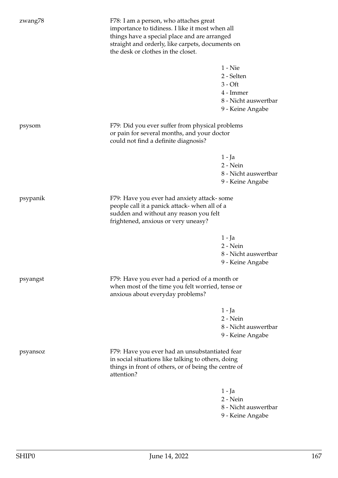| zwang78  | F78: I am a person, who attaches great<br>importance to tidiness. I like it most when all<br>things have a special place and are arranged<br>straight and orderly, like carpets, documents on<br>the desk or clothes in the closet. |                                                                                               |
|----------|-------------------------------------------------------------------------------------------------------------------------------------------------------------------------------------------------------------------------------------|-----------------------------------------------------------------------------------------------|
|          |                                                                                                                                                                                                                                     | $1 -$ Nie<br>2 - Selten<br>$3 - Off$<br>4 - Immer<br>8 - Nicht auswertbar<br>9 - Keine Angabe |
| psysom   | F79: Did you ever suffer from physical problems<br>or pain for several months, and your doctor<br>could not find a definite diagnosis?                                                                                              |                                                                                               |
|          |                                                                                                                                                                                                                                     | 1 - Ja<br>2 - Nein<br>8 - Nicht auswertbar<br>9 - Keine Angabe                                |
| psypanik | F79: Have you ever had anxiety attack-some<br>people call it a panick attack- when all of a<br>sudden and without any reason you felt<br>frightened, anxious or very uneasy?                                                        |                                                                                               |
|          |                                                                                                                                                                                                                                     | $1 - Ja$<br>2 - Nein<br>8 - Nicht auswertbar<br>9 - Keine Angabe                              |
| psyangst | F79: Have you ever had a period of a month or<br>when most of the time you felt worried, tense or<br>anxious about everyday problems?                                                                                               |                                                                                               |
|          |                                                                                                                                                                                                                                     | $1 - Ja$<br>2 - Nein<br>8 - Nicht auswertbar<br>9 - Keine Angabe                              |
| psyansoz | F79: Have you ever had an unsubstantiated fear<br>in social situations like talking to others, doing<br>things in front of others, or of being the centre of<br>attention?                                                          |                                                                                               |
|          |                                                                                                                                                                                                                                     | $1 - Ja$<br>2 - Nein<br>8 - Nicht auswertbar<br>9 - Keine Angabe                              |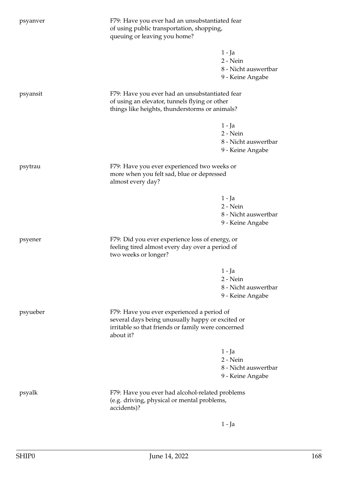| psyanver                                                   | F79: Have you ever had an unsubstantiated fear<br>of using public transportation, shopping,<br>queuing or leaving you home?                                       |                      |
|------------------------------------------------------------|-------------------------------------------------------------------------------------------------------------------------------------------------------------------|----------------------|
|                                                            |                                                                                                                                                                   | 1 - Ja               |
|                                                            |                                                                                                                                                                   | 2 - Nein             |
|                                                            |                                                                                                                                                                   | 8 - Nicht auswertbar |
|                                                            |                                                                                                                                                                   | 9 - Keine Angabe     |
| psyansit                                                   | F79: Have you ever had an unsubstantiated fear<br>of using an elevator, tunnels flying or other                                                                   |                      |
|                                                            | things like heights, thunderstorms or animals?                                                                                                                    |                      |
|                                                            |                                                                                                                                                                   | $1 - Ja$             |
|                                                            |                                                                                                                                                                   | 2 - Nein             |
|                                                            |                                                                                                                                                                   | 8 - Nicht auswertbar |
|                                                            |                                                                                                                                                                   | 9 - Keine Angabe     |
| psytrau                                                    | F79: Have you ever experienced two weeks or                                                                                                                       |                      |
|                                                            | more when you felt sad, blue or depressed<br>almost every day?                                                                                                    |                      |
|                                                            |                                                                                                                                                                   | $1 - Ja$             |
|                                                            |                                                                                                                                                                   | 2 - Nein             |
|                                                            |                                                                                                                                                                   | 8 - Nicht auswertbar |
|                                                            |                                                                                                                                                                   | 9 - Keine Angabe     |
| psyener                                                    | F79: Did you ever experience loss of energy, or<br>feeling tired almost every day over a period of<br>two weeks or longer?                                        |                      |
|                                                            |                                                                                                                                                                   | $1 - Ja$             |
|                                                            |                                                                                                                                                                   | 2 - Nein             |
|                                                            |                                                                                                                                                                   | 8 - Nicht auswertbar |
|                                                            |                                                                                                                                                                   | 9 - Keine Angabe     |
| psyueber                                                   | F79: Have you ever experienced a period of<br>several days being unusually happy or excited or<br>irritable so that friends or family were concerned<br>about it? |                      |
|                                                            |                                                                                                                                                                   | 1 - Ja               |
|                                                            |                                                                                                                                                                   | 2 - Nein             |
|                                                            |                                                                                                                                                                   | 8 - Nicht auswertbar |
|                                                            |                                                                                                                                                                   | 9 - Keine Angabe     |
| psyalk                                                     | F79: Have you ever had alcohol-related problems                                                                                                                   |                      |
| (e.g. driving, physical or mental problems,<br>accidents)? |                                                                                                                                                                   |                      |
|                                                            |                                                                                                                                                                   | 1 - Ja               |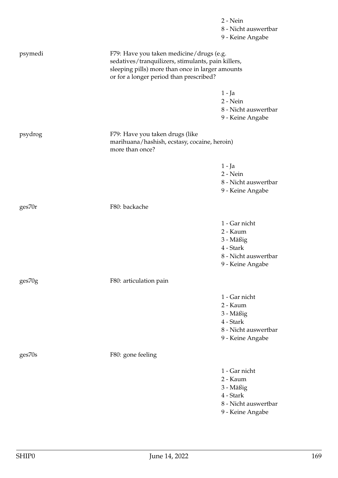|         |                                                                                                                                                                                               | 2 - Nein<br>8 - Nicht auswertbar<br>9 - Keine Angabe |
|---------|-----------------------------------------------------------------------------------------------------------------------------------------------------------------------------------------------|------------------------------------------------------|
| psymedi | F79: Have you taken medicine/drugs (e.g.<br>sedatives/tranquilizers, stimulants, pain killers,<br>sleeping pills) more than once in larger amounts<br>or for a longer period than prescribed? |                                                      |
|         |                                                                                                                                                                                               | 1 - Ja<br>2 - Nein                                   |
|         |                                                                                                                                                                                               | 8 - Nicht auswertbar<br>9 - Keine Angabe             |
| psydrog | F79: Have you taken drugs (like<br>marihuana/hashish, ecstasy, cocaine, heroin)<br>more than once?                                                                                            |                                                      |
|         |                                                                                                                                                                                               | $1 - Ja$                                             |
|         |                                                                                                                                                                                               | $2 - Nein$<br>8 - Nicht auswertbar                   |
|         |                                                                                                                                                                                               | 9 - Keine Angabe                                     |
| ges70r  | F80: backache                                                                                                                                                                                 |                                                      |
|         |                                                                                                                                                                                               | 1 - Gar nicht                                        |
|         |                                                                                                                                                                                               | 2 - Kaum                                             |
|         |                                                                                                                                                                                               | 3 - Mäßig<br>4 - Stark                               |
|         |                                                                                                                                                                                               | 8 - Nicht auswertbar                                 |
|         |                                                                                                                                                                                               | 9 - Keine Angabe                                     |
| ges70g  | F80: articulation pain                                                                                                                                                                        |                                                      |
|         |                                                                                                                                                                                               | 1 - Gar nicht                                        |
|         |                                                                                                                                                                                               | 2 - Kaum                                             |
|         |                                                                                                                                                                                               | 3 - Mäßig                                            |
|         |                                                                                                                                                                                               | 4 - Stark<br>8 - Nicht auswertbar                    |
|         |                                                                                                                                                                                               | 9 - Keine Angabe                                     |
| ges70s  | F80: gone feeling                                                                                                                                                                             |                                                      |
|         |                                                                                                                                                                                               | 1 - Gar nicht                                        |
|         |                                                                                                                                                                                               | 2 - Kaum                                             |
|         |                                                                                                                                                                                               | 3 - Mäßig                                            |
|         |                                                                                                                                                                                               | 4 - Stark<br>8 - Nicht auswertbar                    |
|         |                                                                                                                                                                                               | 9 - Keine Angabe                                     |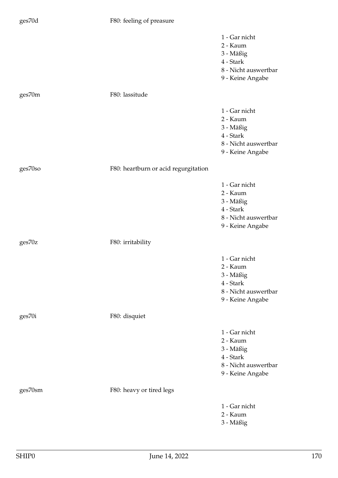## ges70d F80: feeling of preasure

- 1 Gar nicht
- 2 Kaum
- 3 Mäßig
- 4 Stark
- 8 Nicht auswertbar
- 9 Keine Angabe

ges70m F80: lassitude 1 - Gar nicht 2 - Kaum 3 - Mäßig 4 - Stark 8 - Nicht auswertbar 9 - Keine Angabe ges70so F80: heartburn or acid regurgitation 1 - Gar nicht 2 - Kaum 3 - Mäßig 4 - Stark 8 - Nicht auswertbar 9 - Keine Angabe ges70z F80: irritability 1 - Gar nicht 2 - Kaum 3 - Mäßig 4 - Stark 8 - Nicht auswertbar 9 - Keine Angabe ges70i F80: disquiet 1 - Gar nicht 2 - Kaum 3 - Mäßig 4 - Stark 8 - Nicht auswertbar 9 - Keine Angabe ges70sm F80: heavy or tired legs 1 - Gar nicht 2 - Kaum

3 - Mäßig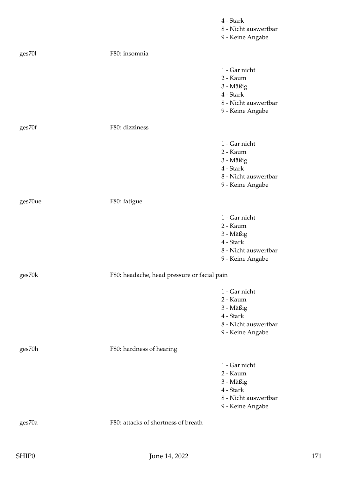|         |                                             | 4 - Stark<br>8 - Nicht auswertbar<br>9 - Keine Angabe                                           |
|---------|---------------------------------------------|-------------------------------------------------------------------------------------------------|
| ges701  | F80: insomnia                               |                                                                                                 |
|         |                                             | 1 - Gar nicht<br>2 - Kaum<br>3 - Mäßig<br>4 - Stark<br>8 - Nicht auswertbar<br>9 - Keine Angabe |
| ges70f  | F80: dizziness                              |                                                                                                 |
|         |                                             | 1 - Gar nicht<br>2 - Kaum<br>3 - Mäßig<br>4 - Stark<br>8 - Nicht auswertbar<br>9 - Keine Angabe |
| ges70ue | F80: fatigue                                |                                                                                                 |
|         |                                             | 1 - Gar nicht<br>2 - Kaum<br>3 - Mäßig<br>4 - Stark<br>8 - Nicht auswertbar<br>9 - Keine Angabe |
| ges70k  | F80: headache, head pressure or facial pain |                                                                                                 |
|         |                                             | 1 - Gar nicht<br>2 - Kaum<br>3 - Mäßig<br>4 - Stark<br>8 - Nicht auswertbar<br>9 - Keine Angabe |
| ges70h  | F80: hardness of hearing                    |                                                                                                 |
|         |                                             | 1 - Gar nicht<br>2 - Kaum<br>3 - Mäßig<br>4 - Stark<br>8 - Nicht auswertbar<br>9 - Keine Angabe |
| ges70a  | F80: attacks of shortness of breath         |                                                                                                 |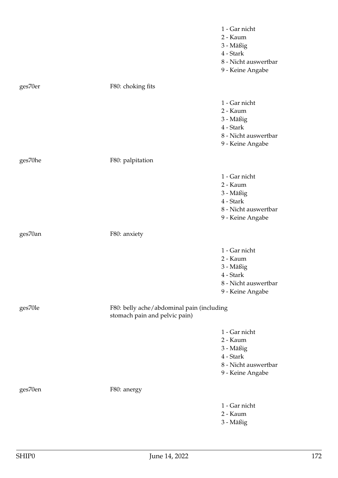|         |                                                                            | 1 - Gar nicht        |
|---------|----------------------------------------------------------------------------|----------------------|
|         |                                                                            | 2 - Kaum             |
|         |                                                                            | 3 - Mäßig            |
|         |                                                                            | 4 - Stark            |
|         |                                                                            | 8 - Nicht auswertbar |
|         |                                                                            | 9 - Keine Angabe     |
| ges70er | F80: choking fits                                                          |                      |
|         |                                                                            | 1 - Gar nicht        |
|         |                                                                            | 2 - Kaum             |
|         |                                                                            | 3 - Mäßig            |
|         |                                                                            | 4 - Stark            |
|         |                                                                            | 8 - Nicht auswertbar |
|         |                                                                            | 9 - Keine Angabe     |
| ges70he | F80: palpitation                                                           |                      |
|         |                                                                            | 1 - Gar nicht        |
|         |                                                                            | 2 - Kaum             |
|         |                                                                            | 3 - Mäßig            |
|         |                                                                            | 4 - Stark            |
|         |                                                                            | 8 - Nicht auswertbar |
|         |                                                                            | 9 - Keine Angabe     |
| ges70an | F80: anxiety                                                               |                      |
|         |                                                                            | 1 - Gar nicht        |
|         |                                                                            | 2 - Kaum             |
|         |                                                                            | 3 - Mäßig            |
|         |                                                                            | 4 - Stark            |
|         |                                                                            | 8 - Nicht auswertbar |
|         |                                                                            | 9 - Keine Angabe     |
| ges70le | F80: belly ache/abdominal pain (including<br>stomach pain and pelvic pain) |                      |
|         |                                                                            | 1 - Gar nicht        |
|         |                                                                            | 2 - Kaum             |
|         |                                                                            | 3 - Mäßig            |
|         |                                                                            | 4 - Stark            |
|         |                                                                            | 8 - Nicht auswertbar |
|         |                                                                            | 9 - Keine Angabe     |
| ges70en | F80: anergy                                                                |                      |
|         |                                                                            | 1 - Gar nicht        |
|         |                                                                            | 2 - Kaum             |
|         |                                                                            | 3 - Mäßig            |
|         |                                                                            |                      |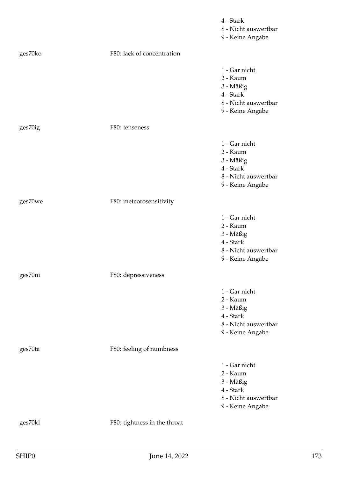|         |                              | 4 - Stark<br>8 - Nicht auswertbar<br>9 - Keine Angabe                                           |
|---------|------------------------------|-------------------------------------------------------------------------------------------------|
| ges70ko | F80: lack of concentration   |                                                                                                 |
|         |                              | 1 - Gar nicht<br>2 - Kaum<br>3 - Mäßig<br>4 - Stark<br>8 - Nicht auswertbar<br>9 - Keine Angabe |
| ges70ig | F80: tenseness               |                                                                                                 |
|         |                              | 1 - Gar nicht<br>2 - Kaum<br>3 - Mäßig<br>4 - Stark<br>8 - Nicht auswertbar<br>9 - Keine Angabe |
| ges70we | F80: meteorosensitivity      |                                                                                                 |
|         |                              | 1 - Gar nicht<br>2 - Kaum<br>3 - Mäßig<br>4 - Stark<br>8 - Nicht auswertbar<br>9 - Keine Angabe |
| ges70ni | F80: depressiveness          |                                                                                                 |
|         |                              | 1 - Gar nicht<br>2 - Kaum<br>3 - Mäßig<br>4 - Stark<br>8 - Nicht auswertbar<br>9 - Keine Angabe |
| ges70ta | F80: feeling of numbness     |                                                                                                 |
|         |                              | 1 - Gar nicht<br>2 - Kaum<br>3 - Mäßig<br>4 - Stark<br>8 - Nicht auswertbar<br>9 - Keine Angabe |
| ges70kl | F80: tightness in the throat |                                                                                                 |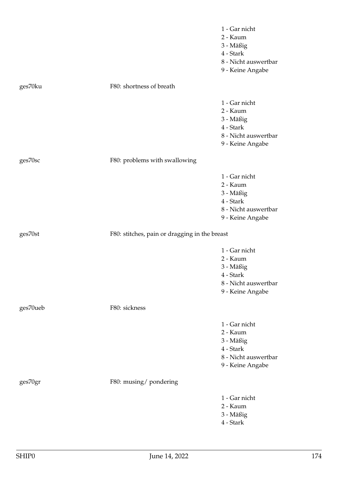|          |                                               | 1 - Gar nicht             |
|----------|-----------------------------------------------|---------------------------|
|          |                                               | 2 - Kaum                  |
|          |                                               | 3 - Mäßig                 |
|          |                                               | 4 - Stark                 |
|          |                                               | 8 - Nicht auswertbar      |
|          |                                               | 9 - Keine Angabe          |
| ges70ku  | F80: shortness of breath                      |                           |
|          |                                               | 1 - Gar nicht             |
|          |                                               | 2 - Kaum                  |
|          |                                               | 3 - Mäßig                 |
|          |                                               | 4 - Stark                 |
|          |                                               | 8 - Nicht auswertbar      |
|          |                                               | 9 - Keine Angabe          |
| ges70sc  | F80: problems with swallowing                 |                           |
|          |                                               | 1 - Gar nicht             |
|          |                                               | 2 - Kaum                  |
|          |                                               | 3 - Mäßig                 |
|          |                                               | 4 - Stark                 |
|          |                                               | 8 - Nicht auswertbar      |
|          |                                               | 9 - Keine Angabe          |
| ges70st  | F80: stitches, pain or dragging in the breast |                           |
|          |                                               | 1 - Gar nicht             |
|          |                                               | 2 - Kaum                  |
|          |                                               | 3 - Mäßig                 |
|          |                                               | 4 - Stark                 |
|          |                                               | 8 - Nicht auswertbar      |
|          |                                               | 9 - Keine Angabe          |
| ges70ueb | F80: sickness                                 |                           |
|          |                                               | 1 - Gar nicht             |
|          |                                               | 2 - Kaum                  |
|          |                                               | 3 - Mäßig                 |
|          |                                               | 4 - Stark                 |
|          |                                               | 8 - Nicht auswertbar      |
|          |                                               | 9 - Keine Angabe          |
|          |                                               |                           |
| ges70gr  | F80: musing/pondering                         |                           |
|          |                                               |                           |
|          |                                               | 1 - Gar nicht<br>2 - Kaum |
|          |                                               |                           |
|          |                                               | 3 - Mäßig<br>4 - Stark    |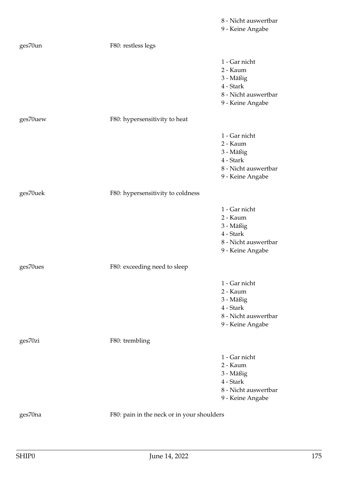|          |                                            | 8 - Nicht auswertbar<br>9 - Keine Angabe                                                        |
|----------|--------------------------------------------|-------------------------------------------------------------------------------------------------|
| ges70un  | F80: restless legs                         |                                                                                                 |
|          |                                            | 1 - Gar nicht<br>2 - Kaum<br>3 - Mäßig<br>4 - Stark<br>8 - Nicht auswertbar<br>9 - Keine Angabe |
| ges70uew | F80: hypersensitivity to heat              |                                                                                                 |
|          |                                            | 1 - Gar nicht<br>2 - Kaum<br>3 - Mäßig<br>4 - Stark<br>8 - Nicht auswertbar<br>9 - Keine Angabe |
| ges70uek | F80: hypersensitivity to coldness          |                                                                                                 |
|          |                                            | 1 - Gar nicht<br>2 - Kaum<br>3 - Mäßig<br>4 - Stark<br>8 - Nicht auswertbar<br>9 - Keine Angabe |
| ges70ues | F80: exceeding need to sleep               |                                                                                                 |
|          |                                            | 1 - Gar nicht<br>2 - Kaum<br>3 - Mäßig<br>4 - Stark<br>8 - Nicht auswertbar<br>9 - Keine Angabe |
| ges70zi  | F80: trembling                             |                                                                                                 |
|          |                                            | 1 - Gar nicht<br>2 - Kaum<br>3 - Mäßig<br>4 - Stark<br>8 - Nicht auswertbar<br>9 - Keine Angabe |
| ges70na  | F80: pain in the neck or in your shoulders |                                                                                                 |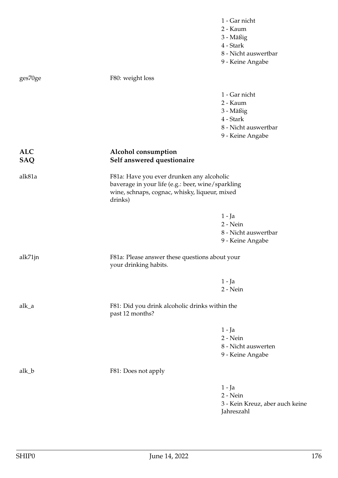|                          |                                                                                                                                                            | 1 - Gar nicht<br>2 - Kaum<br>3 - Mäßig<br>4 - Stark<br>8 - Nicht auswertbar<br>9 - Keine Angabe |
|--------------------------|------------------------------------------------------------------------------------------------------------------------------------------------------------|-------------------------------------------------------------------------------------------------|
| ges70ge                  | F80: weight loss                                                                                                                                           |                                                                                                 |
|                          |                                                                                                                                                            | 1 - Gar nicht<br>2 - Kaum<br>3 - Mäßig<br>4 - Stark<br>8 - Nicht auswertbar<br>9 - Keine Angabe |
| <b>ALC</b><br><b>SAQ</b> | Alcohol consumption<br>Self answered questionaire                                                                                                          |                                                                                                 |
| alk81a                   | F81a: Have you ever drunken any alcoholic<br>baverage in your life (e.g.: beer, wine/sparkling<br>wine, schnaps, cognac, whisky, liqueur, mixed<br>drinks) |                                                                                                 |
|                          |                                                                                                                                                            | $1 - Ja$<br>2 - Nein<br>8 - Nicht auswertbar<br>9 - Keine Angabe                                |
| alk71jn                  | F81a: Please answer these questions about your<br>your drinking habits.                                                                                    |                                                                                                 |
|                          |                                                                                                                                                            | $1 - Ja$<br>2 - Nein                                                                            |
| alk_a                    | F81: Did you drink alcoholic drinks within the<br>past 12 months?                                                                                          |                                                                                                 |
|                          |                                                                                                                                                            | $1 - Ja$<br>$2 - Nein$<br>8 - Nicht auswerten<br>9 - Keine Angabe                               |
| alk_b                    | F81: Does not apply                                                                                                                                        |                                                                                                 |
|                          |                                                                                                                                                            | $1 - Ja$<br>$2 - Nein$<br>3 - Kein Kreuz, aber auch keine<br>Jahreszahl                         |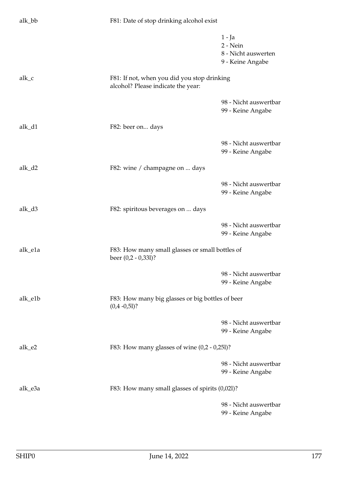| alk_bb  | F81: Date of stop drinking alcohol exist                                          |                                                                 |
|---------|-----------------------------------------------------------------------------------|-----------------------------------------------------------------|
|         |                                                                                   | $1 - Ja$<br>2 - Nein<br>8 - Nicht auswerten<br>9 - Keine Angabe |
| alk_c   | F81: If not, when you did you stop drinking<br>alcohol? Please indicate the year: |                                                                 |
|         |                                                                                   | 98 - Nicht auswertbar<br>99 - Keine Angabe                      |
| alk_d1  | F82: beer on days                                                                 |                                                                 |
|         |                                                                                   | 98 - Nicht auswertbar<br>99 - Keine Angabe                      |
| alk_d2  | F82: wine / champagne on  days                                                    |                                                                 |
|         |                                                                                   | 98 - Nicht auswertbar<br>99 - Keine Angabe                      |
| alk_d3  | F82: spiritous beverages on  days                                                 |                                                                 |
|         |                                                                                   | 98 - Nicht auswertbar<br>99 - Keine Angabe                      |
| alk_e1a | F83: How many small glasses or small bottles of<br>beer $(0,2 - 0,331)$ ?         |                                                                 |
|         |                                                                                   | 98 - Nicht auswertbar<br>99 - Keine Angabe                      |
| alk_e1b | F83: How many big glasses or big bottles of beer<br>$(0,4 -0,51)$ ?               |                                                                 |
|         |                                                                                   | 98 - Nicht auswertbar<br>99 - Keine Angabe                      |
| alk_e2  | F83: How many glasses of wine $(0,2 - 0,251)$ ?                                   |                                                                 |
|         |                                                                                   | 98 - Nicht auswertbar<br>99 - Keine Angabe                      |
| alk_e3a | F83: How many small glasses of spirits (0,021)?                                   |                                                                 |
|         |                                                                                   | 98 - Nicht auswertbar<br>99 - Keine Angabe                      |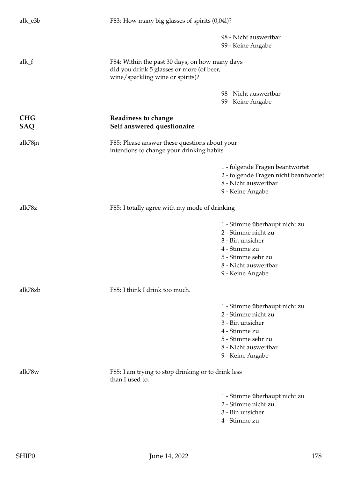| alk_e3b           | F83: How many big glasses of spirits (0,041)?                                                                                   |                                                                                                                                                             |
|-------------------|---------------------------------------------------------------------------------------------------------------------------------|-------------------------------------------------------------------------------------------------------------------------------------------------------------|
|                   |                                                                                                                                 | 98 - Nicht auswertbar<br>99 - Keine Angabe                                                                                                                  |
| alk_f             | F84: Within the past 30 days, on how many days<br>did you drink 5 glasses or more (of beer,<br>wine/sparkling wine or spirits)? |                                                                                                                                                             |
|                   |                                                                                                                                 | 98 - Nicht auswertbar<br>99 - Keine Angabe                                                                                                                  |
| <b>CHG</b><br>SAQ | Readiness to change<br>Self answered questionaire                                                                               |                                                                                                                                                             |
| alk78jn           | F85: Please answer these questions about your<br>intentions to change your drinking habits.                                     |                                                                                                                                                             |
|                   |                                                                                                                                 | 1 - folgende Fragen beantwortet<br>2 - folgende Fragen nicht beantwortet<br>8 - Nicht auswertbar<br>9 - Keine Angabe                                        |
| alk78z            | F85: I totally agree with my mode of drinking                                                                                   |                                                                                                                                                             |
|                   |                                                                                                                                 | 1 - Stimme überhaupt nicht zu<br>2 - Stimme nicht zu<br>3 - Bin unsicher<br>4 - Stimme zu<br>5 - Stimme sehr zu<br>8 - Nicht auswertbar<br>9 - Keine Angabe |
| alk78zb           | F85: I think I drink too much.                                                                                                  |                                                                                                                                                             |
|                   |                                                                                                                                 | 1 - Stimme überhaupt nicht zu<br>2 - Stimme nicht zu<br>3 - Bin unsicher<br>4 - Stimme zu<br>5 - Stimme sehr zu<br>8 - Nicht auswertbar<br>9 - Keine Angabe |
| alk78w            | F85: I am trying to stop drinking or to drink less<br>than I used to.                                                           |                                                                                                                                                             |
|                   |                                                                                                                                 | 1 - Stimme überhaupt nicht zu<br>2 - Stimme nicht zu<br>3 - Bin unsicher<br>4 - Stimme zu                                                                   |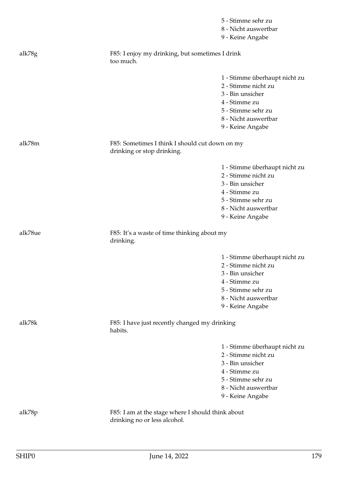|         |                                                                                   | 5 - Stimme sehr zu<br>8 - Nicht auswertbar<br>9 - Keine Angabe                                                                                              |
|---------|-----------------------------------------------------------------------------------|-------------------------------------------------------------------------------------------------------------------------------------------------------------|
| alk78g  | F85: I enjoy my drinking, but sometimes I drink<br>too much.                      |                                                                                                                                                             |
|         |                                                                                   | 1 - Stimme überhaupt nicht zu<br>2 - Stimme nicht zu<br>3 - Bin unsicher<br>4 - Stimme zu<br>5 - Stimme sehr zu<br>8 - Nicht auswertbar<br>9 - Keine Angabe |
| alk78m  | F85: Sometimes I think I should cut down on my<br>drinking or stop drinking.      |                                                                                                                                                             |
|         |                                                                                   | 1 - Stimme überhaupt nicht zu<br>2 - Stimme nicht zu<br>3 - Bin unsicher<br>4 - Stimme zu<br>5 - Stimme sehr zu<br>8 - Nicht auswertbar<br>9 - Keine Angabe |
| alk78ue | F85: It's a waste of time thinking about my<br>drinking.                          |                                                                                                                                                             |
|         |                                                                                   | 1 - Stimme überhaupt nicht zu<br>2 - Stimme nicht zu<br>3 - Bin unsicher<br>4 - Stimme zu<br>5 - Stimme sehr zu<br>8 - Nicht auswertbar<br>9 - Keine Angabe |
| alk78k  | F85: I have just recently changed my drinking<br>habits.                          |                                                                                                                                                             |
|         |                                                                                   | 1 - Stimme überhaupt nicht zu<br>2 - Stimme nicht zu<br>3 - Bin unsicher<br>4 - Stimme zu<br>5 - Stimme sehr zu<br>8 - Nicht auswertbar<br>9 - Keine Angabe |
| alk78p  | F85: I am at the stage where I should think about<br>drinking no or less alcohol. |                                                                                                                                                             |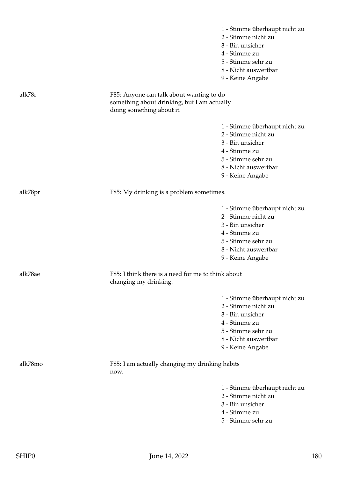|         |                                                                                                                      | 1 - Stimme überhaupt nicht zu<br>2 - Stimme nicht zu<br>3 - Bin unsicher<br>4 - Stimme zu<br>5 - Stimme sehr zu<br>8 - Nicht auswertbar<br>9 - Keine Angabe |
|---------|----------------------------------------------------------------------------------------------------------------------|-------------------------------------------------------------------------------------------------------------------------------------------------------------|
| alk78r  | F85: Anyone can talk about wanting to do<br>something about drinking, but I am actually<br>doing something about it. |                                                                                                                                                             |
|         |                                                                                                                      | 1 - Stimme überhaupt nicht zu<br>2 - Stimme nicht zu<br>3 - Bin unsicher<br>4 - Stimme zu<br>5 - Stimme sehr zu<br>8 - Nicht auswertbar<br>9 - Keine Angabe |
| alk78pr | F85: My drinking is a problem sometimes.                                                                             |                                                                                                                                                             |
|         |                                                                                                                      | 1 - Stimme überhaupt nicht zu<br>2 - Stimme nicht zu<br>3 - Bin unsicher<br>4 - Stimme zu<br>5 - Stimme sehr zu<br>8 - Nicht auswertbar<br>9 - Keine Angabe |
| alk78ae | F85: I think there is a need for me to think about<br>changing my drinking.                                          |                                                                                                                                                             |
|         |                                                                                                                      | 1 - Stimme überhaupt nicht zu<br>2 - Stimme nicht zu<br>3 - Bin unsicher<br>4 - Stimme zu<br>5 - Stimme sehr zu<br>8 - Nicht auswertbar<br>9 - Keine Angabe |
| alk78mo | F85: I am actually changing my drinking habits<br>now.                                                               |                                                                                                                                                             |
|         |                                                                                                                      | 1 - Stimme überhaupt nicht zu<br>2 - Stimme nicht zu<br>3 - Bin unsicher<br>4 - Stimme zu<br>5 - Stimme sehr zu                                             |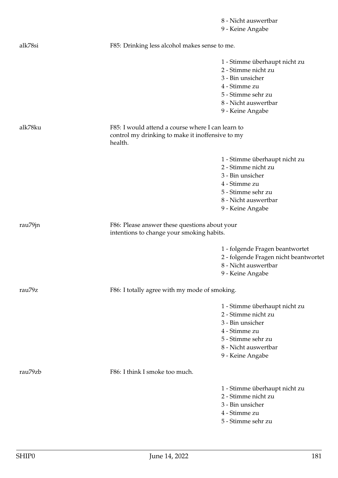8 - Nicht auswertbar 9 - Keine Angabe alk78si F85: Drinking less alcohol makes sense to me. 1 - Stimme überhaupt nicht zu 2 - Stimme nicht zu 3 - Bin unsicher 4 - Stimme zu 5 - Stimme sehr zu 8 - Nicht auswertbar 9 - Keine Angabe alk78ku F85: I would attend a course where I can learn to control my drinking to make it inoffensive to my health. 1 - Stimme überhaupt nicht zu 2 - Stimme nicht zu 3 - Bin unsicher 4 - Stimme zu 5 - Stimme sehr zu 8 - Nicht auswertbar 9 - Keine Angabe rau79jn F86: Please answer these questions about your intentions to change your smoking habits. 1 - folgende Fragen beantwortet 2 - folgende Fragen nicht beantwortet 8 - Nicht auswertbar 9 - Keine Angabe rau79z F86: I totally agree with my mode of smoking. 1 - Stimme überhaupt nicht zu 2 - Stimme nicht zu 3 - Bin unsicher 4 - Stimme zu 5 - Stimme sehr zu 8 - Nicht auswertbar 9 - Keine Angabe rau<sup>79</sup>zb F86: I think I smoke too much. 1 - Stimme überhaupt nicht zu 2 - Stimme nicht zu 3 - Bin unsicher 4 - Stimme zu 5 - Stimme sehr zu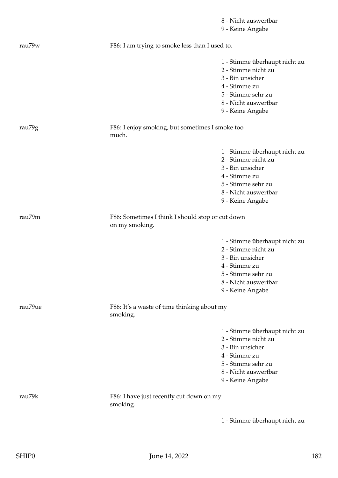8 - Nicht auswertbar 9 - Keine Angabe rau79w F86: I am trying to smoke less than I used to. 1 - Stimme überhaupt nicht zu 2 - Stimme nicht zu 3 - Bin unsicher 4 - Stimme zu 5 - Stimme sehr zu 8 - Nicht auswertbar 9 - Keine Angabe rau79g F86: I enjoy smoking, but sometimes I smoke too much. 1 - Stimme überhaupt nicht zu 2 - Stimme nicht zu 3 - Bin unsicher 4 - Stimme zu 5 - Stimme sehr zu 8 - Nicht auswertbar 9 - Keine Angabe rau79m F86: Sometimes I think I should stop or cut down on my smoking. 1 - Stimme überhaupt nicht zu 2 - Stimme nicht zu 3 - Bin unsicher 4 - Stimme zu 5 - Stimme sehr zu 8 - Nicht auswertbar 9 - Keine Angabe rau79ue F86: It's a waste of time thinking about my smoking. 1 - Stimme überhaupt nicht zu 2 - Stimme nicht zu 3 - Bin unsicher 4 - Stimme zu 5 - Stimme sehr zu 8 - Nicht auswertbar 9 - Keine Angabe rau79k F86: I have just recently cut down on my smoking. 1 - Stimme überhaupt nicht zu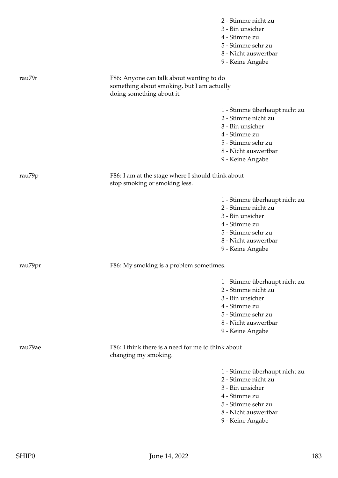|                    |                                                                                                                     | 2 - Stimme nicht zu<br>3 - Bin unsicher<br>4 - Stimme zu<br>5 - Stimme sehr zu<br>8 - Nicht auswertbar<br>9 - Keine Angabe                                  |
|--------------------|---------------------------------------------------------------------------------------------------------------------|-------------------------------------------------------------------------------------------------------------------------------------------------------------|
| rau <sub>79r</sub> | F86: Anyone can talk about wanting to do<br>something about smoking, but I am actually<br>doing something about it. |                                                                                                                                                             |
|                    |                                                                                                                     | 1 - Stimme überhaupt nicht zu<br>2 - Stimme nicht zu<br>3 - Bin unsicher<br>4 - Stimme zu<br>5 - Stimme sehr zu<br>8 - Nicht auswertbar<br>9 - Keine Angabe |
| rau79p             | F86: I am at the stage where I should think about<br>stop smoking or smoking less.                                  |                                                                                                                                                             |
|                    |                                                                                                                     | 1 - Stimme überhaupt nicht zu<br>2 - Stimme nicht zu<br>3 - Bin unsicher<br>4 - Stimme zu<br>5 - Stimme sehr zu<br>8 - Nicht auswertbar<br>9 - Keine Angabe |
| rau79pr            | F86: My smoking is a problem sometimes.                                                                             |                                                                                                                                                             |
|                    |                                                                                                                     | 1 - Stimme überhaupt nicht zu<br>2 - Stimme nicht zu<br>3 - Bin unsicher<br>4 - Stimme zu<br>5 - Stimme sehr zu<br>8 - Nicht auswertbar<br>9 - Keine Angabe |
| rau79ae            | F86: I think there is a need for me to think about<br>changing my smoking.                                          |                                                                                                                                                             |
|                    |                                                                                                                     | 1 - Stimme überhaupt nicht zu<br>2 - Stimme nicht zu<br>3 - Bin unsicher<br>4 - Stimme zu<br>5 - Stimme sehr zu<br>8 - Nicht auswertbar<br>9 - Keine Angabe |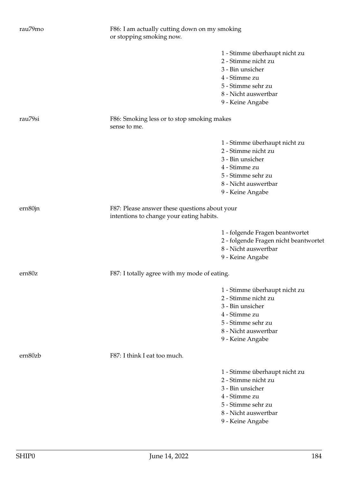| rau79mo | F86: I am actually cutting down on my smoking<br>or stopping smoking now.                 |                                       |
|---------|-------------------------------------------------------------------------------------------|---------------------------------------|
|         |                                                                                           | 1 - Stimme überhaupt nicht zu         |
|         |                                                                                           | 2 - Stimme nicht zu                   |
|         |                                                                                           | 3 - Bin unsicher                      |
|         |                                                                                           | 4 - Stimme zu                         |
|         |                                                                                           | 5 - Stimme sehr zu                    |
|         |                                                                                           | 8 - Nicht auswertbar                  |
|         |                                                                                           | 9 - Keine Angabe                      |
| rau79si | F86: Smoking less or to stop smoking makes<br>sense to me.                                |                                       |
|         |                                                                                           | 1 - Stimme überhaupt nicht zu         |
|         |                                                                                           | 2 - Stimme nicht zu                   |
|         |                                                                                           | 3 - Bin unsicher                      |
|         |                                                                                           | 4 - Stimme zu                         |
|         |                                                                                           | 5 - Stimme sehr zu                    |
|         |                                                                                           | 8 - Nicht auswertbar                  |
|         |                                                                                           | 9 - Keine Angabe                      |
| ern80jn | F87: Please answer these questions about your<br>intentions to change your eating habits. |                                       |
|         |                                                                                           | 1 - folgende Fragen beantwortet       |
|         |                                                                                           | 2 - folgende Fragen nicht beantwortet |
|         |                                                                                           | 8 - Nicht auswertbar                  |
|         |                                                                                           | 9 - Keine Angabe                      |
| ern80z  | F87: I totally agree with my mode of eating.                                              |                                       |
|         |                                                                                           | 1 - Stimme überhaupt nicht zu         |
|         |                                                                                           | 2 - Stimme nicht zu                   |
|         |                                                                                           | 3 - Bin unsicher                      |
|         |                                                                                           | 4 - Stimme zu                         |
|         |                                                                                           | 5 - Stimme sehr zu                    |
|         |                                                                                           | 8 - Nicht auswertbar                  |
|         |                                                                                           | 9 - Keine Angabe                      |
| ern80zb | F87: I think I eat too much.                                                              |                                       |
|         |                                                                                           | 1 - Stimme überhaupt nicht zu         |
|         |                                                                                           | 2 - Stimme nicht zu                   |
|         |                                                                                           | 3 - Bin unsicher                      |
|         |                                                                                           | 4 - Stimme zu                         |
|         |                                                                                           | 5 - Stimme sehr zu                    |
|         |                                                                                           | 8 - Nicht auswertbar                  |
|         |                                                                                           | 9 - Keine Angabe                      |
|         |                                                                                           |                                       |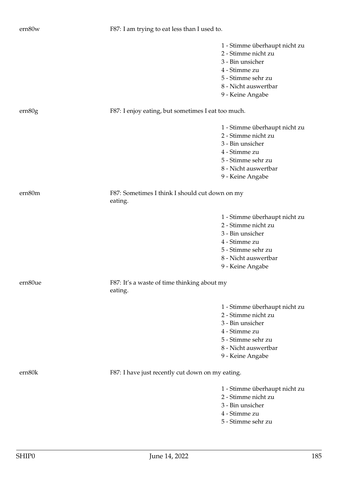|         |                                                           | 4 - Stimme zu                 |
|---------|-----------------------------------------------------------|-------------------------------|
|         |                                                           | 3 - Bin unsicher              |
|         |                                                           |                               |
|         |                                                           | 5 - Stimme sehr zu            |
|         |                                                           | 8 - Nicht auswertbar          |
|         |                                                           | 9 - Keine Angabe              |
| ern80m  | F87: Sometimes I think I should cut down on my<br>eating. |                               |
|         |                                                           | 1 - Stimme überhaupt nicht zu |
|         |                                                           | 2 - Stimme nicht zu           |
|         |                                                           | 3 - Bin unsicher              |
|         |                                                           | 4 - Stimme zu                 |
|         |                                                           | 5 - Stimme sehr zu            |
|         |                                                           | 8 - Nicht auswertbar          |
|         |                                                           | 9 - Keine Angabe              |
| ern80ue | F87: It's a waste of time thinking about my<br>eating.    |                               |
|         |                                                           | 1 - Stimme überhaupt nicht zu |
|         |                                                           | 2 - Stimme nicht zu           |
|         |                                                           | 3 - Bin unsicher              |
|         |                                                           | 4 - Stimme zu                 |
|         |                                                           | 5 - Stimme sehr zu            |
|         |                                                           | 8 - Nicht auswertbar          |
|         |                                                           | 9 - Keine Angabe              |
| ern80k  | F87: I have just recently cut down on my eating.          |                               |
|         |                                                           | 1 - Stimme überhaupt nicht zu |
|         |                                                           | 2 - Stimme nicht zu           |
|         |                                                           | 3 - Bin unsicher              |
|         |                                                           | 4 - Stimme zu                 |
|         |                                                           | 5 - Stimme sehr zu            |
|         |                                                           |                               |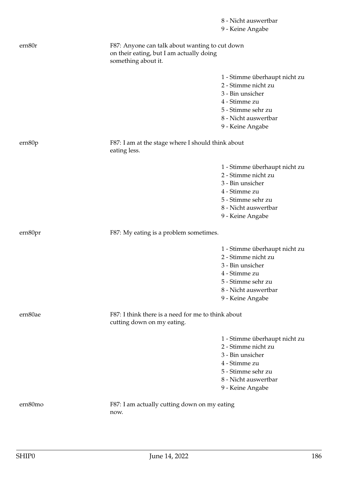|         |                                                                                                                   | 8 - Nicht auswertbar                                                                                                                                        |
|---------|-------------------------------------------------------------------------------------------------------------------|-------------------------------------------------------------------------------------------------------------------------------------------------------------|
|         |                                                                                                                   | 9 - Keine Angabe                                                                                                                                            |
| ern80r  | F87: Anyone can talk about wanting to cut down<br>on their eating, but I am actually doing<br>something about it. |                                                                                                                                                             |
|         |                                                                                                                   | 1 - Stimme überhaupt nicht zu<br>2 - Stimme nicht zu<br>3 - Bin unsicher<br>4 - Stimme zu<br>5 - Stimme sehr zu<br>8 - Nicht auswertbar<br>9 - Keine Angabe |
| ern80p  | F87: I am at the stage where I should think about<br>eating less.                                                 |                                                                                                                                                             |
|         |                                                                                                                   | 1 - Stimme überhaupt nicht zu<br>2 - Stimme nicht zu<br>3 - Bin unsicher<br>4 - Stimme zu<br>5 - Stimme sehr zu<br>8 - Nicht auswertbar<br>9 - Keine Angabe |
| ern80pr | F87: My eating is a problem sometimes.                                                                            |                                                                                                                                                             |
|         |                                                                                                                   | 1 - Stimme überhaupt nicht zu<br>2 - Stimme nicht zu<br>3 - Bin unsicher<br>4 - Stimme zu<br>5 - Stimme sehr zu<br>8 - Nicht auswertbar<br>9 - Keine Angabe |
| ern80ae | F87: I think there is a need for me to think about<br>cutting down on my eating.                                  |                                                                                                                                                             |
|         |                                                                                                                   | 1 - Stimme überhaupt nicht zu<br>2 - Stimme nicht zu<br>3 - Bin unsicher<br>4 - Stimme zu<br>5 - Stimme sehr zu<br>8 - Nicht auswertbar<br>9 - Keine Angabe |
| ern80mo | F87: I am actually cutting down on my eating<br>now.                                                              |                                                                                                                                                             |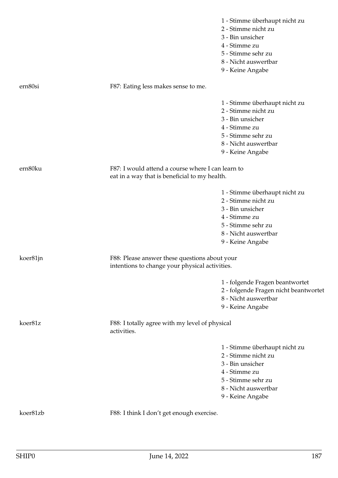|          |                                                                                                    | 1 - Stimme überhaupt nicht zu<br>2 - Stimme nicht zu<br>3 - Bin unsicher<br>4 - Stimme zu<br>5 - Stimme sehr zu<br>8 - Nicht auswertbar<br>9 - Keine Angabe |
|----------|----------------------------------------------------------------------------------------------------|-------------------------------------------------------------------------------------------------------------------------------------------------------------|
| ern80si  | F87: Eating less makes sense to me.                                                                |                                                                                                                                                             |
|          |                                                                                                    | 1 - Stimme überhaupt nicht zu<br>2 - Stimme nicht zu<br>3 - Bin unsicher<br>4 - Stimme zu<br>5 - Stimme sehr zu<br>8 - Nicht auswertbar<br>9 - Keine Angabe |
| ern80ku  | F87: I would attend a course where I can learn to<br>eat in a way that is beneficial to my health. |                                                                                                                                                             |
|          |                                                                                                    | 1 - Stimme überhaupt nicht zu<br>2 - Stimme nicht zu<br>3 - Bin unsicher<br>4 - Stimme zu<br>5 - Stimme sehr zu<br>8 - Nicht auswertbar<br>9 - Keine Angabe |
| koer81jn | F88: Please answer these questions about your<br>intentions to change your physical activities.    |                                                                                                                                                             |
|          |                                                                                                    | 1 - folgende Fragen beantwortet<br>2 - folgende Fragen nicht beantwortet<br>8 - Nicht auswertbar<br>9 - Keine Angabe                                        |
| koer81z  | F88: I totally agree with my level of physical<br>activities.                                      |                                                                                                                                                             |
|          |                                                                                                    | 1 - Stimme überhaupt nicht zu<br>2 - Stimme nicht zu<br>3 - Bin unsicher<br>4 - Stimme zu<br>5 - Stimme sehr zu<br>8 - Nicht auswertbar<br>9 - Keine Angabe |
| koer81zb | F88: I think I don't get enough exercise.                                                          |                                                                                                                                                             |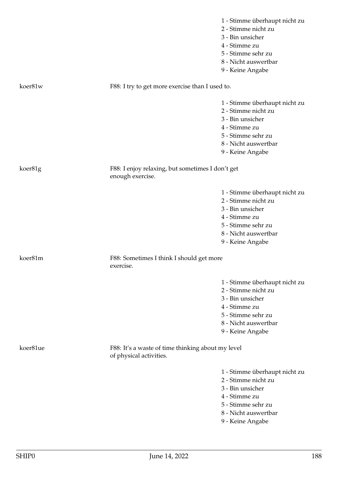|          |                                                                              | 1 - Stimme überhaupt nicht zu<br>2 - Stimme nicht zu<br>3 - Bin unsicher |
|----------|------------------------------------------------------------------------------|--------------------------------------------------------------------------|
|          |                                                                              | 4 - Stimme zu                                                            |
|          |                                                                              | 5 - Stimme sehr zu                                                       |
|          |                                                                              | 8 - Nicht auswertbar                                                     |
|          |                                                                              | 9 - Keine Angabe                                                         |
| koer81w  | F88: I try to get more exercise than I used to.                              |                                                                          |
|          |                                                                              | 1 - Stimme überhaupt nicht zu<br>2 - Stimme nicht zu                     |
|          |                                                                              | 3 - Bin unsicher                                                         |
|          |                                                                              | 4 - Stimme zu                                                            |
|          |                                                                              | 5 - Stimme sehr zu                                                       |
|          |                                                                              | 8 - Nicht auswertbar                                                     |
|          |                                                                              | 9 - Keine Angabe                                                         |
| koer81g  | F88: I enjoy relaxing, but sometimes I don't get<br>enough exercise.         |                                                                          |
|          |                                                                              | 1 - Stimme überhaupt nicht zu                                            |
|          |                                                                              | 2 - Stimme nicht zu                                                      |
|          |                                                                              | 3 - Bin unsicher                                                         |
|          |                                                                              | 4 - Stimme zu                                                            |
|          |                                                                              | 5 - Stimme sehr zu                                                       |
|          |                                                                              | 8 - Nicht auswertbar                                                     |
|          |                                                                              | 9 - Keine Angabe                                                         |
| koer81m  | F88: Sometimes I think I should get more<br>exercise.                        |                                                                          |
|          |                                                                              |                                                                          |
|          |                                                                              | 1 - Stimme überhaupt nicht zu<br>2 - Stimme nicht zu                     |
|          |                                                                              | 3 - Bin unsicher                                                         |
|          |                                                                              | 4 - Stimme zu                                                            |
|          |                                                                              | 5 - Stimme sehr zu                                                       |
|          |                                                                              | 8 - Nicht auswertbar                                                     |
|          |                                                                              | 9 - Keine Angabe                                                         |
| koer81ue | F88: It's a waste of time thinking about my level<br>of physical activities. |                                                                          |
|          |                                                                              |                                                                          |
|          |                                                                              | 1 - Stimme überhaupt nicht zu                                            |
|          |                                                                              | 2 - Stimme nicht zu<br>3 - Bin unsicher                                  |
|          |                                                                              | 4 - Stimme zu                                                            |
|          |                                                                              | 5 - Stimme sehr zu                                                       |
|          |                                                                              | 8 - Nicht auswertbar                                                     |
|          |                                                                              | 9 - Keine Angabe                                                         |
|          |                                                                              |                                                                          |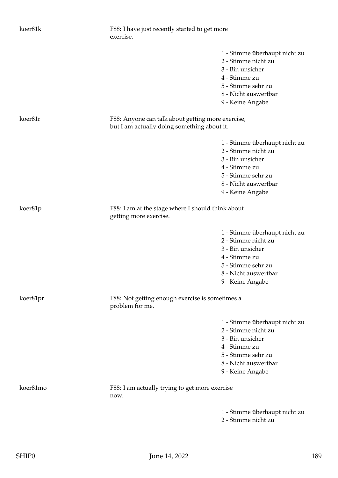| koer81k  | F88: I have just recently started to get more<br>exercise.                                       |                                                                                                                                                             |
|----------|--------------------------------------------------------------------------------------------------|-------------------------------------------------------------------------------------------------------------------------------------------------------------|
|          |                                                                                                  | 1 - Stimme überhaupt nicht zu<br>2 - Stimme nicht zu<br>3 - Bin unsicher<br>4 - Stimme zu<br>5 - Stimme sehr zu<br>8 - Nicht auswertbar                     |
| koer81r  | F88: Anyone can talk about getting more exercise,<br>but I am actually doing something about it. | 9 - Keine Angabe                                                                                                                                            |
|          |                                                                                                  | 1 - Stimme überhaupt nicht zu<br>2 - Stimme nicht zu<br>3 - Bin unsicher<br>4 - Stimme zu<br>5 - Stimme sehr zu<br>8 - Nicht auswertbar<br>9 - Keine Angabe |
| koer81p  | F88: I am at the stage where I should think about<br>getting more exercise.                      |                                                                                                                                                             |
|          |                                                                                                  | 1 - Stimme überhaupt nicht zu<br>2 - Stimme nicht zu<br>3 - Bin unsicher<br>4 - Stimme zu<br>5 - Stimme sehr zu<br>8 - Nicht auswertbar<br>9 - Keine Angabe |
| koer81pr | F88: Not getting enough exercise is sometimes a<br>problem for me.                               |                                                                                                                                                             |
|          |                                                                                                  | 1 - Stimme überhaupt nicht zu<br>2 - Stimme nicht zu<br>3 - Bin unsicher<br>4 - Stimme zu<br>5 - Stimme sehr zu<br>8 - Nicht auswertbar<br>9 - Keine Angabe |
| koer81mo | F88: I am actually trying to get more exercise<br>now.                                           |                                                                                                                                                             |
|          |                                                                                                  | 1 - Stimme überhaupt nicht zu<br>2 - Stimme nicht zu                                                                                                        |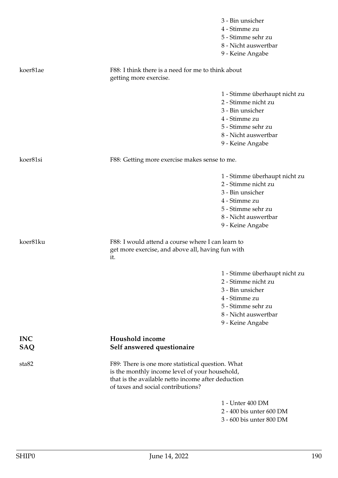|            |                                                                                                     | 3 - Bin unsicher                                     |
|------------|-----------------------------------------------------------------------------------------------------|------------------------------------------------------|
|            |                                                                                                     | 4 - Stimme zu                                        |
|            |                                                                                                     | 5 - Stimme sehr zu                                   |
|            |                                                                                                     | 8 - Nicht auswertbar                                 |
|            |                                                                                                     | 9 - Keine Angabe                                     |
| koer81ae   | F88: I think there is a need for me to think about<br>getting more exercise.                        |                                                      |
|            |                                                                                                     |                                                      |
|            |                                                                                                     | 1 - Stimme überhaupt nicht zu<br>2 - Stimme nicht zu |
|            |                                                                                                     | 3 - Bin unsicher                                     |
|            |                                                                                                     | 4 - Stimme zu                                        |
|            |                                                                                                     | 5 - Stimme sehr zu                                   |
|            |                                                                                                     | 8 - Nicht auswertbar                                 |
|            |                                                                                                     | 9 - Keine Angabe                                     |
| koer81si   | F88: Getting more exercise makes sense to me.                                                       |                                                      |
|            |                                                                                                     | 1 - Stimme überhaupt nicht zu                        |
|            |                                                                                                     | 2 - Stimme nicht zu                                  |
|            |                                                                                                     | 3 - Bin unsicher                                     |
|            |                                                                                                     | 4 - Stimme zu                                        |
|            |                                                                                                     | 5 - Stimme sehr zu                                   |
|            |                                                                                                     | 8 - Nicht auswertbar                                 |
|            |                                                                                                     | 9 - Keine Angabe                                     |
| koer81ku   | F88: I would attend a course where I can learn to                                                   |                                                      |
|            | get more exercise, and above all, having fun with<br>it.                                            |                                                      |
|            |                                                                                                     |                                                      |
|            |                                                                                                     | 1 - Stimme überhaupt nicht zu                        |
|            |                                                                                                     | 2 - Stimme nicht zu                                  |
|            |                                                                                                     | 3 - Bin unsicher                                     |
|            |                                                                                                     | 4 - Stimme zu                                        |
|            |                                                                                                     | 5 - Stimme sehr zu                                   |
|            |                                                                                                     | 8 - Nicht auswertbar                                 |
|            |                                                                                                     | 9 - Keine Angabe                                     |
| <b>INC</b> | Houshold income                                                                                     |                                                      |
| SAQ        | Self answered questionaire                                                                          |                                                      |
| sta82      | F89: There is one more statistical question. What<br>is the monthly income level of your household, |                                                      |
|            | that is the available netto income after deduction<br>of taxes and social contributions?            |                                                      |
|            |                                                                                                     | 1 - Unter 400 DM                                     |
|            |                                                                                                     | 2 - 400 bis unter 600 DM                             |
|            |                                                                                                     | 3 - 600 bis unter 800 DM                             |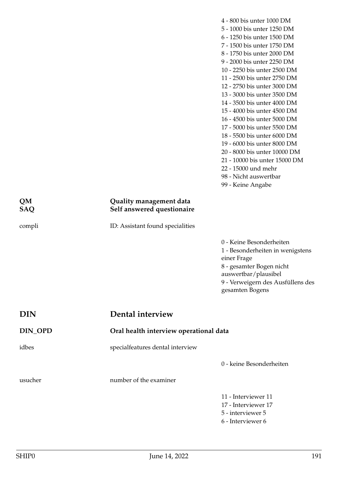- 4 800 bis unter 1000 DM 5 - 1000 bis unter 1250 DM 6 - 1250 bis unter 1500 DM 7 - 1500 bis unter 1750 DM 8 - 1750 bis unter 2000 DM 9 - 2000 bis unter 2250 DM 10 - 2250 bis unter 2500 DM 11 - 2500 bis unter 2750 DM 12 - 2750 bis unter 3000 DM 13 - 3000 bis unter 3500 DM 14 - 3500 bis unter 4000 DM 15 - 4000 bis unter 4500 DM 16 - 4500 bis unter 5000 DM 17 - 5000 bis unter 5500 DM 18 - 5500 bis unter 6000 DM 19 - 6000 bis unter 8000 DM 20 - 8000 bis unter 10000 DM
- 21 10000 bis unter 15000 DM
- 22 15000 und mehr
- 98 Nicht auswertbar
- 99 Keine Angabe

## **QM Quality management data SAQ Self answered questionaire**

compli ID: Assistant found specialities

0 - Keine Besonderheiten 1 - Besonderheiten in wenigstens einer Frage 8 - gesamter Bogen nicht auswertbar/plausibel 9 - Verweigern des Ausfüllens des gesamten Bogens

| <b>DIN</b> | Dental interview                 |                                        |  |
|------------|----------------------------------|----------------------------------------|--|
| DIN_OPD    |                                  | Oral health interview operational data |  |
| idbes      | specialfeatures dental interview |                                        |  |
|            |                                  | 0 - keine Besonderheiten               |  |
| usucher    | number of the examiner           |                                        |  |
|            |                                  | 11 - Interviewer 11                    |  |
|            |                                  | 17 - Interviewer 17                    |  |
|            |                                  | 5 - interviewer 5                      |  |
|            |                                  | 6 - Interviewer 6                      |  |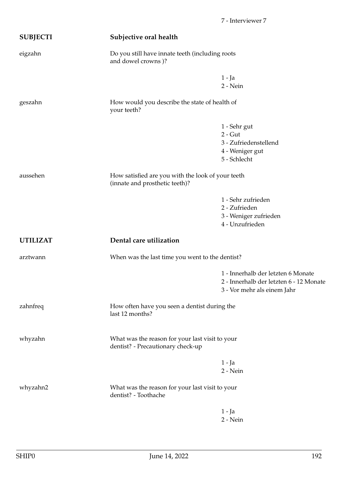| <b>SUBJECTI</b> | Subjective oral health                                                               |                                                                                                              |  |
|-----------------|--------------------------------------------------------------------------------------|--------------------------------------------------------------------------------------------------------------|--|
| eigzahn         | Do you still have innate teeth (including roots<br>and dowel crowns)?                |                                                                                                              |  |
|                 |                                                                                      | $1 - Ja$<br>2 - Nein                                                                                         |  |
| geszahn         | How would you describe the state of health of<br>your teeth?                         |                                                                                                              |  |
|                 |                                                                                      | 1 - Sehr gut<br>$2 - Gut$<br>3 - Zufriedenstellend<br>4 - Weniger gut<br>5 - Schlecht                        |  |
| aussehen        | How satisfied are you with the look of your teeth<br>(innate and prosthetic teeth)?  |                                                                                                              |  |
|                 |                                                                                      | 1 - Sehr zufrieden<br>2 - Zufrieden<br>3 - Weniger zufrieden<br>4 - Unzufrieden                              |  |
| <b>UTILIZAT</b> | Dental care utilization                                                              |                                                                                                              |  |
| arztwann        | When was the last time you went to the dentist?                                      |                                                                                                              |  |
|                 |                                                                                      | 1 - Innerhalb der letzten 6 Monate<br>2 - Innerhalb der letzten 6 - 12 Monate<br>3 - Vor mehr als einem Jahr |  |
| zahnfreq        | How often have you seen a dentist during the<br>last 12 months?                      |                                                                                                              |  |
| whyzahn         | What was the reason for your last visit to your<br>dentist? - Precautionary check-up |                                                                                                              |  |
|                 |                                                                                      | $1 - Ja$<br>$2 - Nein$                                                                                       |  |
| whyzahn2        | What was the reason for your last visit to your<br>dentist? - Toothache              |                                                                                                              |  |
|                 |                                                                                      | $1 - Ja$<br>$2 - Nein$                                                                                       |  |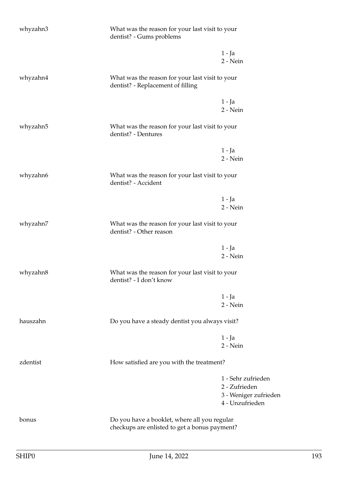| whyzahn3 | What was the reason for your last visit to your<br>dentist? - Gums problems                   |                                                                                 |
|----------|-----------------------------------------------------------------------------------------------|---------------------------------------------------------------------------------|
|          |                                                                                               | $1 - Ja$<br>2 - Nein                                                            |
| whyzahn4 | What was the reason for your last visit to your<br>dentist? - Replacement of filling          |                                                                                 |
|          |                                                                                               | $1 - Ja$<br>2 - Nein                                                            |
| whyzahn5 | What was the reason for your last visit to your<br>dentist? - Dentures                        |                                                                                 |
|          |                                                                                               | $1 - Ja$<br>2 - Nein                                                            |
| whyzahn6 | What was the reason for your last visit to your<br>dentist? - Accident                        |                                                                                 |
|          |                                                                                               | $1 - Ja$<br>2 - Nein                                                            |
| whyzahn7 | What was the reason for your last visit to your<br>dentist? - Other reason                    |                                                                                 |
|          |                                                                                               | $1 - Ja$<br>2 - Nein                                                            |
| whyzahn8 | What was the reason for your last visit to your<br>dentist? - I don't know                    |                                                                                 |
|          |                                                                                               | $1 - Ja$<br>2 - Nein                                                            |
| hauszahn | Do you have a steady dentist you always visit?                                                |                                                                                 |
|          |                                                                                               | $1 - Ja$<br>2 - Nein                                                            |
| zdentist | How satisfied are you with the treatment?                                                     |                                                                                 |
|          |                                                                                               | 1 - Sehr zufrieden<br>2 - Zufrieden<br>3 - Weniger zufrieden<br>4 - Unzufrieden |
| bonus    | Do you have a booklet, where all you regular<br>checkups are enlisted to get a bonus payment? |                                                                                 |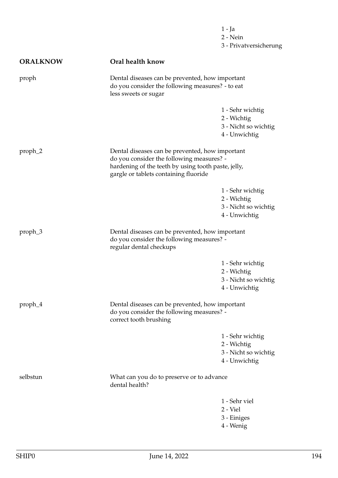1 - Ja 2 - Nein 3 - Privatversicherung

| <b>ORALKNOW</b> | Oral health know                                                                                                                                                                             |                                                                          |
|-----------------|----------------------------------------------------------------------------------------------------------------------------------------------------------------------------------------------|--------------------------------------------------------------------------|
| proph           | Dental diseases can be prevented, how important<br>do you consider the following measures? - to eat<br>less sweets or sugar                                                                  |                                                                          |
|                 |                                                                                                                                                                                              | 1 - Sehr wichtig<br>2 - Wichtig<br>3 - Nicht so wichtig<br>4 - Unwichtig |
| proph_2         | Dental diseases can be prevented, how important<br>do you consider the following measures? -<br>hardening of the teeth by using tooth paste, jelly,<br>gargle or tablets containing fluoride |                                                                          |
|                 |                                                                                                                                                                                              | 1 - Sehr wichtig<br>2 - Wichtig<br>3 - Nicht so wichtig<br>4 - Unwichtig |
| proph_3         | Dental diseases can be prevented, how important<br>do you consider the following measures? -<br>regular dental checkups                                                                      |                                                                          |
|                 |                                                                                                                                                                                              | 1 - Sehr wichtig<br>2 - Wichtig<br>3 - Nicht so wichtig<br>4 - Unwichtig |
| proph_4         | Dental diseases can be prevented, how important<br>do you consider the following measures? -<br>correct tooth brushing                                                                       |                                                                          |
|                 |                                                                                                                                                                                              | 1 - Sehr wichtig<br>2 - Wichtig<br>3 - Nicht so wichtig<br>4 - Unwichtig |
| selbstun        | What can you do to preserve or to advance<br>dental health?                                                                                                                                  |                                                                          |
|                 |                                                                                                                                                                                              | 1 - Sehr viel<br>2 - Viel<br>3 - Einiges<br>4 - Wenig                    |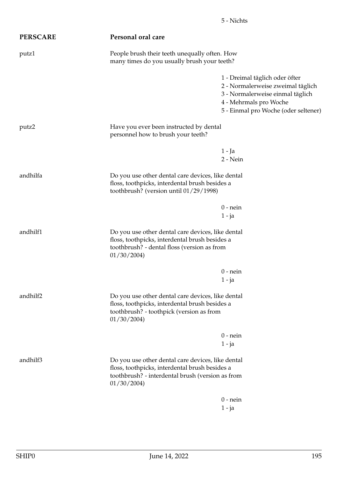| <b>PERSCARE</b>                                                                                       | Personal oral care                                                                                                                                                    |                                                                                                                                                                           |
|-------------------------------------------------------------------------------------------------------|-----------------------------------------------------------------------------------------------------------------------------------------------------------------------|---------------------------------------------------------------------------------------------------------------------------------------------------------------------------|
| People brush their teeth unequally often. How<br>putz1<br>many times do you usually brush your teeth? |                                                                                                                                                                       |                                                                                                                                                                           |
|                                                                                                       |                                                                                                                                                                       | 1 - Dreimal täglich oder öfter<br>2 - Normalerweise zweimal täglich<br>3 - Normalerweise einmal täglich<br>4 - Mehrmals pro Woche<br>5 - Einmal pro Woche (oder seltener) |
| putz2                                                                                                 | Have you ever been instructed by dental<br>personnel how to brush your teeth?                                                                                         |                                                                                                                                                                           |
|                                                                                                       |                                                                                                                                                                       | $1 - Ja$<br>2 - Nein                                                                                                                                                      |
| andhilfa                                                                                              | Do you use other dental care devices, like dental<br>floss, toothpicks, interdental brush besides a<br>toothbrush? (version until 01/29/1998)                         |                                                                                                                                                                           |
|                                                                                                       |                                                                                                                                                                       | $0$ - nein<br>$1 - ja$                                                                                                                                                    |
| andhilf1                                                                                              | Do you use other dental care devices, like dental<br>floss, toothpicks, interdental brush besides a<br>toothbrush? - dental floss (version as from<br>01/30/2004      |                                                                                                                                                                           |
|                                                                                                       |                                                                                                                                                                       | $0$ - nein<br>$1 - ja$                                                                                                                                                    |
| andhilf2                                                                                              | Do you use other dental care devices, like dental<br>floss, toothpicks, interdental brush besides a<br>toothbrush? - toothpick (version as from<br>01/30/2004         |                                                                                                                                                                           |
|                                                                                                       |                                                                                                                                                                       | $0$ - nein<br>$1 - ja$                                                                                                                                                    |
| andhilf3                                                                                              | Do you use other dental care devices, like dental<br>floss, toothpicks, interdental brush besides a<br>toothbrush? - interdental brush (version as from<br>01/30/2004 |                                                                                                                                                                           |
|                                                                                                       |                                                                                                                                                                       | $0$ - nein<br>$1 - ja$                                                                                                                                                    |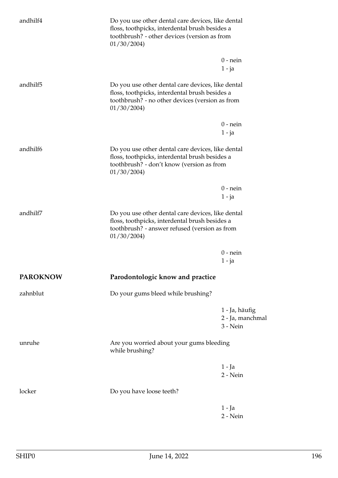| andhilf4             | Do you use other dental care devices, like dental<br>floss, toothpicks, interdental brush besides a<br>toothbrush? - other devices (version as from<br>01/30/2004    |                                                |
|----------------------|----------------------------------------------------------------------------------------------------------------------------------------------------------------------|------------------------------------------------|
|                      |                                                                                                                                                                      | $0$ - nein<br>$1 - ja$                         |
| andhilf <sub>5</sub> | Do you use other dental care devices, like dental<br>floss, toothpicks, interdental brush besides a<br>toothbrush? - no other devices (version as from<br>01/30/2004 |                                                |
|                      |                                                                                                                                                                      | $0$ - nein                                     |
|                      |                                                                                                                                                                      | 1 - ja                                         |
| andhilf6             | Do you use other dental care devices, like dental<br>floss, toothpicks, interdental brush besides a<br>toothbrush? - don't know (version as from<br>01/30/2004       |                                                |
|                      |                                                                                                                                                                      | $0$ - nein<br>$1 - ja$                         |
| andhilf7             | Do you use other dental care devices, like dental<br>floss, toothpicks, interdental brush besides a<br>toothbrush? - answer refused (version as from<br>01/30/2004   |                                                |
|                      |                                                                                                                                                                      | $0$ - nein<br>1 - ja                           |
| <b>PAROKNOW</b>      | Parodontologic know and practice                                                                                                                                     |                                                |
| zahnblut             | Do your gums bleed while brushing?                                                                                                                                   |                                                |
|                      |                                                                                                                                                                      | 1 - Ja, häufig<br>2 - Ja, manchmal<br>3 - Nein |
| unruhe               | Are you worried about your gums bleeding<br>while brushing?                                                                                                          |                                                |
|                      |                                                                                                                                                                      | $1 - Ja$<br>2 - Nein                           |
| locker               | Do you have loose teeth?                                                                                                                                             |                                                |
|                      |                                                                                                                                                                      | $1 - Ja$<br>2 - Nein                           |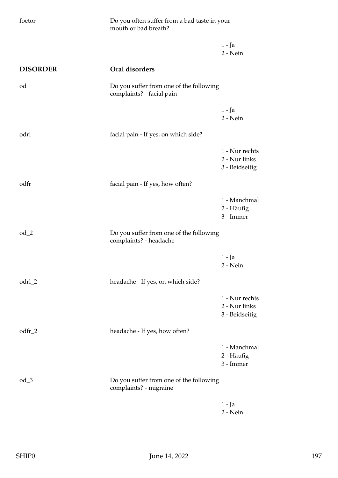| foetor          | Do you often suffer from a bad taste in your<br>mouth or bad breath? |                                                   |
|-----------------|----------------------------------------------------------------------|---------------------------------------------------|
|                 |                                                                      | $1 - Ja$<br>2 - Nein                              |
| <b>DISORDER</b> | Oral disorders                                                       |                                                   |
| od              | Do you suffer from one of the following<br>complaints? - facial pain |                                                   |
|                 |                                                                      | $1 - Ja$<br>2 - Nein                              |
| odrl            | facial pain - If yes, on which side?                                 |                                                   |
|                 |                                                                      | 1 - Nur rechts<br>2 - Nur links<br>3 - Beidseitig |
| odfr            | facial pain - If yes, how often?                                     |                                                   |
|                 |                                                                      | 1 - Manchmal<br>2 - Häufig<br>3 - Immer           |
| $od_2$          | Do you suffer from one of the following<br>complaints? - headache    |                                                   |
|                 |                                                                      | $1 - Ja$<br>2 - Nein                              |
| odrl_2          | headache - If yes, on which side?                                    |                                                   |
|                 |                                                                      | 1 - Nur rechts<br>2 - Nur links<br>3 - Beidseitig |
| $odfr_2$        | headache - If yes, how often?                                        |                                                   |
|                 |                                                                      | 1 - Manchmal<br>2 - Häufig<br>3 - Immer           |
| $od_3$          | Do you suffer from one of the following<br>complaints? - migraine    |                                                   |
|                 |                                                                      | $1 - Ja$<br>2 - Nein                              |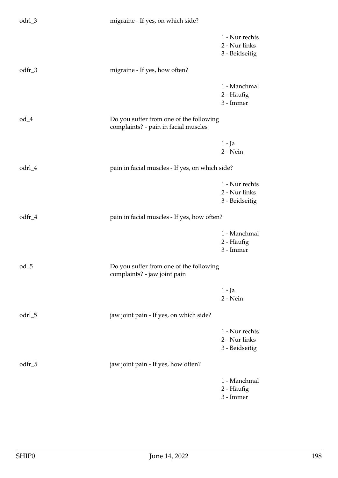| odrl_3   | migraine - If yes, on which side?                                               |                                                   |
|----------|---------------------------------------------------------------------------------|---------------------------------------------------|
|          |                                                                                 | 1 - Nur rechts<br>2 - Nur links<br>3 - Beidseitig |
| $odfr_3$ | migraine - If yes, how often?                                                   |                                                   |
|          |                                                                                 | 1 - Manchmal<br>2 - Häufig<br>3 - Immer           |
| $od_4$   | Do you suffer from one of the following<br>complaints? - pain in facial muscles |                                                   |
|          |                                                                                 | $1 - Ja$<br>2 - Nein                              |
| odrl_4   | pain in facial muscles - If yes, on which side?                                 |                                                   |
|          |                                                                                 | 1 - Nur rechts<br>2 - Nur links<br>3 - Beidseitig |
| odfr_4   | pain in facial muscles - If yes, how often?                                     |                                                   |
|          |                                                                                 | 1 - Manchmal<br>2 - Häufig<br>3 - Immer           |
| $od_5$   | Do you suffer from one of the following<br>◡<br>complaints? - jaw joint pain    |                                                   |
|          |                                                                                 | $1 - Ja$<br>2 - Nein                              |
| odrl_5   | jaw joint pain - If yes, on which side?                                         |                                                   |
|          |                                                                                 | 1 - Nur rechts<br>2 - Nur links<br>3 - Beidseitig |
| odfr_5   | jaw joint pain - If yes, how often?                                             |                                                   |
|          |                                                                                 | 1 - Manchmal<br>2 - Häufig<br>3 - Immer           |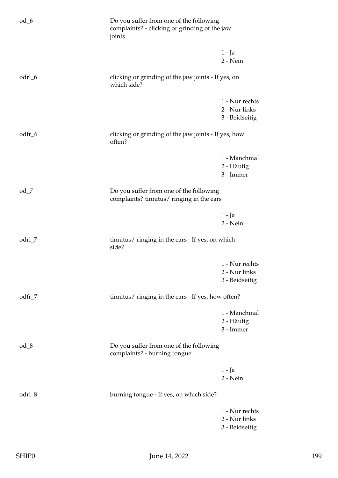| $od_6$ | Do you suffer from one of the following<br>complaints? - clicking or grinding of the jaw<br>joints |                                                   |
|--------|----------------------------------------------------------------------------------------------------|---------------------------------------------------|
|        |                                                                                                    | 1 - Ja<br>2 - Nein                                |
| odrl_6 | clicking or grinding of the jaw joints - If yes, on<br>which side?                                 |                                                   |
|        |                                                                                                    | 1 - Nur rechts<br>2 - Nur links<br>3 - Beidseitig |
| odfr_6 | clicking or grinding of the jaw joints - If yes, how<br>often?                                     |                                                   |
|        |                                                                                                    | 1 - Manchmal<br>2 - Häufig<br>3 - Immer           |
| $od_7$ | Do you suffer from one of the following<br>complaints? tinnitus/ ringing in the ears               |                                                   |
|        |                                                                                                    | $1 - Ja$<br>2 - Nein                              |
| odrl_7 | tinnitus/ ringing in the ears - If yes, on which<br>side?                                          |                                                   |
|        |                                                                                                    | 1 - Nur rechts<br>2 - Nur links<br>3 - Beidseitig |
| odfr_7 | tinnitus/ ringing in the ears - If yes, how often?                                                 |                                                   |
|        |                                                                                                    | 1 - Manchmal<br>2 - Häufig<br>3 - Immer           |
| $od_8$ | Do you suffer from one of the following<br>complaints? - burning tongue                            |                                                   |
|        |                                                                                                    | $1 - Ja$<br>2 - Nein                              |
| odrl_8 | burning tongue - If yes, on which side?                                                            |                                                   |
|        |                                                                                                    | 1 - Nur rechts<br>2 - Nur links<br>3 - Beidseitig |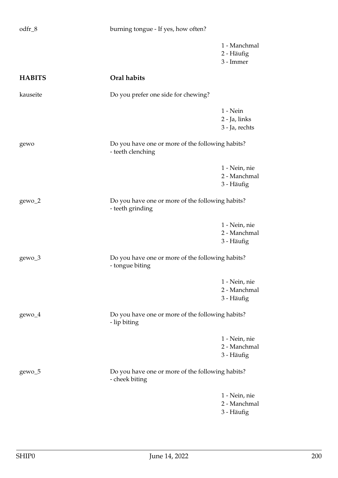| odfr_8        | burning tongue - If yes, how often?                                   |                                               |
|---------------|-----------------------------------------------------------------------|-----------------------------------------------|
|               |                                                                       | 1 - Manchmal<br>2 - Häufig<br>3 - Immer       |
| <b>HABITS</b> | Oral habits                                                           |                                               |
| kauseite      | Do you prefer one side for chewing?                                   |                                               |
|               |                                                                       | $1 - Nein$<br>2 - Ja, links<br>3 - Ja, rechts |
| gewo          | Do you have one or more of the following habits?<br>- teeth clenching |                                               |
|               |                                                                       | 1 - Nein, nie<br>2 - Manchmal<br>3 - Häufig   |
| gewo_2        | Do you have one or more of the following habits?<br>- teeth grinding  |                                               |
|               |                                                                       | 1 - Nein, nie<br>2 - Manchmal<br>3 - Häufig   |
| gewo_3        | Do you have one or more of the following habits?<br>- tongue biting   |                                               |
|               |                                                                       | 1 - Nein, nie<br>2 - Manchmal<br>3 - Häufig   |
| $gewo_4$      | Do you have one or more of the following habits?<br>- lip biting      |                                               |
|               |                                                                       | 1 - Nein, nie<br>2 - Manchmal<br>3 - Häufig   |
| gewo_5        | Do you have one or more of the following habits?<br>- cheek biting    |                                               |
|               |                                                                       | 1 - Nein, nie<br>2 - Manchmal<br>3 - Häufig   |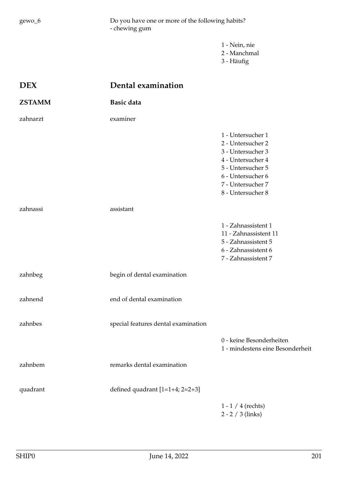gewo\_6 Do you have one or more of the following habits? - chewing gum

> 1 - Nein, nie 2 - Manchmal 3 - Häufig

| <b>DEX</b>    | Dental examination                  |                                                                                                                                                                      |
|---------------|-------------------------------------|----------------------------------------------------------------------------------------------------------------------------------------------------------------------|
| <b>ZSTAMM</b> | Basic data                          |                                                                                                                                                                      |
| zahnarzt      | examiner                            |                                                                                                                                                                      |
|               |                                     | 1 - Untersucher 1<br>2 - Untersucher 2<br>3 - Untersucher 3<br>4 - Untersucher 4<br>5 - Untersucher 5<br>6 - Untersucher 6<br>7 - Untersucher 7<br>8 - Untersucher 8 |
| zahnassi      | assistant                           |                                                                                                                                                                      |
|               |                                     | 1 - Zahnassistent 1<br>11 - Zahnassistent 11<br>5 - Zahnassistent 5<br>6 - Zahnassistent 6<br>7 - Zahnassistent 7                                                    |
| zahnbeg       | begin of dental examination         |                                                                                                                                                                      |
| zahnend       | end of dental examination           |                                                                                                                                                                      |
| zahnbes       | special features dental examination |                                                                                                                                                                      |
|               |                                     | 0 - keine Besonderheiten<br>1 - mindestens eine Besonderheit                                                                                                         |
| zahnbem       | remarks dental examination          |                                                                                                                                                                      |
| quadrant      | defined quadrant $[1=1+4; 2=2+3]$   |                                                                                                                                                                      |
|               |                                     | $1 - 1 / 4$ (rechts)<br>$2 - 2 / 3$ (links)                                                                                                                          |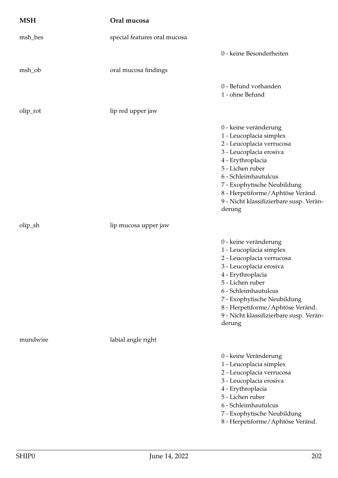| <b>MSH</b> | Oral mucosa                  |                                                                                                                                                                                                                                                                                                   |
|------------|------------------------------|---------------------------------------------------------------------------------------------------------------------------------------------------------------------------------------------------------------------------------------------------------------------------------------------------|
| msh_bes    | special features oral mucosa |                                                                                                                                                                                                                                                                                                   |
|            |                              | 0 - keine Besonderheiten                                                                                                                                                                                                                                                                          |
| msh_ob     | oral mucosa findings         |                                                                                                                                                                                                                                                                                                   |
|            |                              | 0 - Befund vorhanden<br>1 - ohne Befund                                                                                                                                                                                                                                                           |
| olip_rot   | lip red upper jaw            |                                                                                                                                                                                                                                                                                                   |
|            |                              | 0 - keine veränderung<br>1 - Leucoplacia simplex<br>2 - Leucoplacia verrucosa<br>3 - Leucoplacia erosiva<br>4 - Erythroplacia<br>5 - Lichen ruber<br>6 - Schleimhautulcus<br>7 - Exophytische Neubildung<br>8 - Herpetiforme/Aphtöse Veränd.<br>9 - Nicht klassifizierbare susp. Verän-<br>derung |
| olip_sh    | lip mucosa upper jaw         |                                                                                                                                                                                                                                                                                                   |
|            |                              | 0 - keine veränderung<br>1 - Leucoplacia simplex<br>2 - Leucoplacia verrucosa<br>3 - Leucoplacia erosiva<br>4 - Erythroplacia<br>5 - Lichen ruber<br>6 - Schleimhautulcus<br>7 - Exophytische Neubildung<br>8 - Herpetiforme/Aphtöse Veränd.<br>9 - Nicht klassifizierbare susp. Verän-<br>derung |
| mundwire   | labial angle right           |                                                                                                                                                                                                                                                                                                   |
|            |                              | 0 - keine Veränderung<br>1 - Leucoplacia simplex<br>2 - Leucoplacia verrucosa<br>3 - Leucoplacia erosiva<br>4 - Erythroplacia<br>5 - Lichen ruber<br>6 - Schleimhautulcus<br>7 - Exophytische Neubildung<br>8 - Herpetiforme/Aphtöse Veränd.                                                      |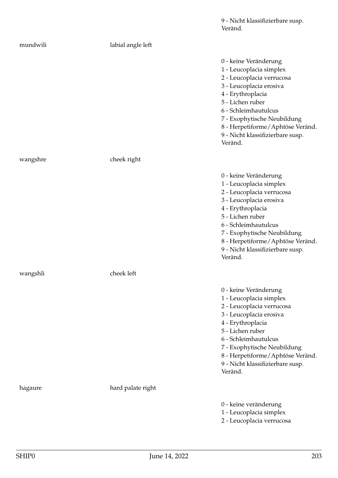|          |                   | Veränd.                                                                                                                                                                                                                                                                                     |
|----------|-------------------|---------------------------------------------------------------------------------------------------------------------------------------------------------------------------------------------------------------------------------------------------------------------------------------------|
| mundwili | labial angle left |                                                                                                                                                                                                                                                                                             |
|          |                   | 0 - keine Veränderung<br>1 - Leucoplacia simplex<br>2 - Leucoplacia verrucosa<br>3 - Leucoplacia erosiva<br>4 - Erythroplacia<br>5 - Lichen ruber<br>6 - Schleimhautulcus<br>7 - Exophytische Neubildung<br>8 - Herpetiforme/Aphtöse Veränd.<br>9 - Nicht klassifizierbare susp.<br>Veränd. |
| wangshre | cheek right       |                                                                                                                                                                                                                                                                                             |
|          |                   | 0 - keine Veränderung<br>1 - Leucoplacia simplex<br>2 - Leucoplacia verrucosa<br>3 - Leucoplacia erosiva<br>4 - Erythroplacia<br>5 - Lichen ruber<br>6 - Schleimhautulcus<br>7 - Exophytische Neubildung<br>8 - Herpetiforme/Aphtöse Veränd.<br>9 - Nicht klassifizierbare susp.<br>Veränd. |
| wangshli | cheek left        |                                                                                                                                                                                                                                                                                             |
|          |                   | 0 - keine Veränderung<br>1 - Leucoplacia simplex<br>2 - Leucoplacia verrucosa<br>3 - Leucoplacia erosiva<br>4 - Erythroplacia<br>5 - Lichen ruber<br>6 - Schleimhautulcus<br>7 - Exophytische Neubildung<br>8 - Herpetiforme/Aphtöse Veränd.<br>9 - Nicht klassifizierbare susp.<br>Veränd. |
| hagaure  | hard palate right |                                                                                                                                                                                                                                                                                             |
|          |                   | 0 - keine veränderung<br>1 - Leucoplacia simplex<br>2 - Leucoplacia verrucosa                                                                                                                                                                                                               |

9 - Nicht klassifizierbare susp.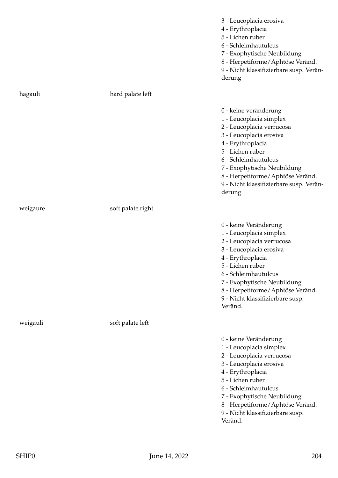|          |                   | 3 - Leucoplacia erosiva<br>4 - Erythroplacia<br>5 - Lichen ruber<br>6 - Schleimhautulcus<br>7 - Exophytische Neubildung<br>8 - Herpetiforme/Aphtöse Veränd.<br>9 - Nicht klassifizierbare susp. Verän-<br>derung                                                                                  |
|----------|-------------------|---------------------------------------------------------------------------------------------------------------------------------------------------------------------------------------------------------------------------------------------------------------------------------------------------|
| hagauli  | hard palate left  |                                                                                                                                                                                                                                                                                                   |
|          |                   | 0 - keine veränderung<br>1 - Leucoplacia simplex<br>2 - Leucoplacia verrucosa<br>3 - Leucoplacia erosiva<br>4 - Erythroplacia<br>5 - Lichen ruber<br>6 - Schleimhautulcus<br>7 - Exophytische Neubildung<br>8 - Herpetiforme/Aphtöse Veränd.<br>9 - Nicht klassifizierbare susp. Verän-<br>derung |
| weigaure | soft palate right |                                                                                                                                                                                                                                                                                                   |
|          |                   | 0 - keine Veränderung<br>1 - Leucoplacia simplex<br>2 - Leucoplacia verrucosa<br>3 - Leucoplacia erosiva<br>4 - Erythroplacia<br>5 - Lichen ruber<br>6 - Schleimhautulcus<br>7 - Exophytische Neubildung<br>8 - Herpetiforme/Aphtöse Veränd.<br>9 - Nicht klassifizierbare susp.<br>Veränd.       |
| weigauli | soft palate left  |                                                                                                                                                                                                                                                                                                   |
|          |                   | 0 - keine Veränderung<br>1 - Leucoplacia simplex<br>2 - Leucoplacia verrucosa<br>3 - Leucoplacia erosiva<br>4 - Erythroplacia<br>5 - Lichen ruber<br>6 - Schleimhautulcus<br>7 - Exophytische Neubildung<br>8 - Herpetiforme/Aphtöse Veränd.<br>9 - Nicht klassifizierbare susp.<br>Veränd.       |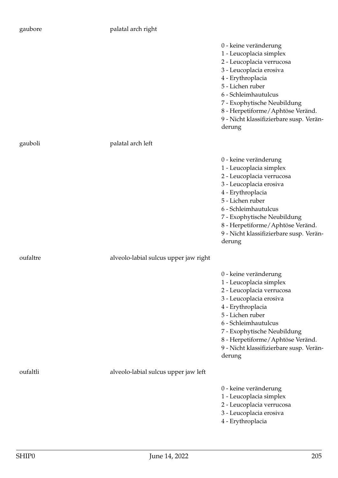## palatal arch right

|          |                                       | 0 - keine veränderung<br>1 - Leucoplacia simplex<br>2 - Leucoplacia verrucosa<br>3 - Leucoplacia erosiva<br>4 - Erythroplacia<br>5 - Lichen ruber<br>6 - Schleimhautulcus<br>7 - Exophytische Neubildung<br>8 - Herpetiforme/Aphtöse Veränd.<br>9 - Nicht klassifizierbare susp. Verän-<br>derung |
|----------|---------------------------------------|---------------------------------------------------------------------------------------------------------------------------------------------------------------------------------------------------------------------------------------------------------------------------------------------------|
| gauboli  | palatal arch left                     |                                                                                                                                                                                                                                                                                                   |
|          |                                       | 0 - keine veränderung<br>1 - Leucoplacia simplex<br>2 - Leucoplacia verrucosa<br>3 - Leucoplacia erosiva<br>4 - Erythroplacia<br>5 - Lichen ruber<br>6 - Schleimhautulcus<br>7 - Exophytische Neubildung<br>8 - Herpetiforme/Aphtöse Veränd.<br>9 - Nicht klassifizierbare susp. Verän-<br>derung |
| oufaltre | alveolo-labial sulcus upper jaw right |                                                                                                                                                                                                                                                                                                   |
|          |                                       | 0 - keine veränderung<br>1 - Leucoplacia simplex<br>2 - Leucoplacia verrucosa<br>3 - Leucoplacia erosiva<br>4 - Erythroplacia<br>5 - Lichen ruber<br>6 - Schleimhautulcus<br>7 - Exophytische Neubildung<br>8 - Herpetiforme/Aphtöse Veränd.<br>9 - Nicht klassifizierbare susp. Verän-<br>derung |
| oufaltli | alveolo-labial sulcus upper jaw left  |                                                                                                                                                                                                                                                                                                   |
|          |                                       | 0 - keine veränderung<br>1 - Leucoplacia simplex<br>2 - Leucoplacia verrucosa<br>3 - Leucoplacia erosiva<br>4 - Erythroplacia                                                                                                                                                                     |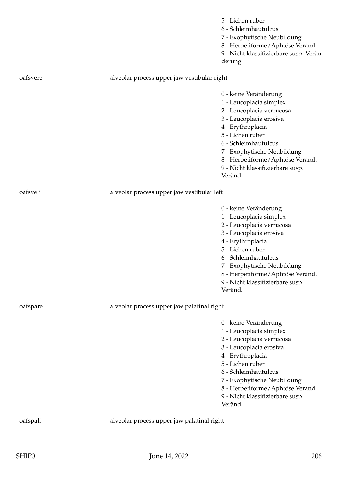|          |                                             | 5 - Lichen ruber<br>6 - Schleimhautulcus<br>7 - Exophytische Neubildung<br>8 - Herpetiforme / Aphtöse Veränd.<br>9 - Nicht klassifizierbare susp. Verän-<br>derung                                                                                                                            |
|----------|---------------------------------------------|-----------------------------------------------------------------------------------------------------------------------------------------------------------------------------------------------------------------------------------------------------------------------------------------------|
| oafsvere | alveolar process upper jaw vestibular right |                                                                                                                                                                                                                                                                                               |
|          |                                             | 0 - keine Veränderung<br>1 - Leucoplacia simplex<br>2 - Leucoplacia verrucosa<br>3 - Leucoplacia erosiva<br>4 - Erythroplacia<br>5 - Lichen ruber<br>6 - Schleimhautulcus<br>7 - Exophytische Neubildung<br>8 - Herpetiforme / Aphtöse Veränd.<br>9 - Nicht klassifizierbare susp.<br>Veränd. |
| oafsveli | alveolar process upper jaw vestibular left  |                                                                                                                                                                                                                                                                                               |
|          |                                             | 0 - keine Veränderung<br>1 - Leucoplacia simplex<br>2 - Leucoplacia verrucosa<br>3 - Leucoplacia erosiva<br>4 - Erythroplacia<br>5 - Lichen ruber<br>6 - Schleimhautulcus<br>7 - Exophytische Neubildung<br>8 - Herpetiforme/Aphtöse Veränd.<br>9 - Nicht klassifizierbare susp.<br>Veränd.   |
| oafspare | alveolar process upper jaw palatinal right  |                                                                                                                                                                                                                                                                                               |
|          |                                             | 0 - keine Veränderung<br>1 - Leucoplacia simplex<br>2 - Leucoplacia verrucosa<br>3 - Leucoplacia erosiva<br>4 - Erythroplacia<br>5 - Lichen ruber<br>6 - Schleimhautulcus<br>7 - Exophytische Neubildung<br>8 - Herpetiforme/Aphtöse Veränd.<br>9 - Nicht klassifizierbare susp.<br>Veränd.   |
| oafspali | alveolar process upper jaw palatinal right  |                                                                                                                                                                                                                                                                                               |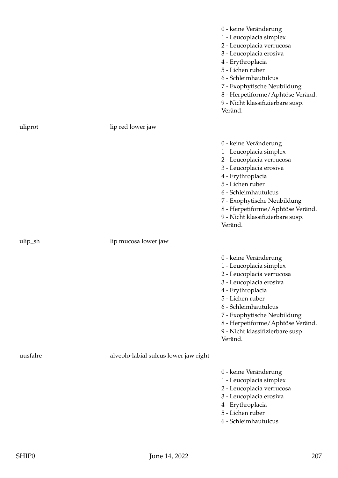|            |                                       | 0 - keine Veränderung<br>1 - Leucoplacia simplex<br>2 - Leucoplacia verrucosa<br>3 - Leucoplacia erosiva<br>4 - Erythroplacia<br>5 - Lichen ruber<br>6 - Schleimhautulcus<br>7 - Exophytische Neubildung<br>8 - Herpetiforme/Aphtöse Veränd.<br>9 - Nicht klassifizierbare susp.<br>Veränd. |
|------------|---------------------------------------|---------------------------------------------------------------------------------------------------------------------------------------------------------------------------------------------------------------------------------------------------------------------------------------------|
| uliprot    | lip red lower jaw                     |                                                                                                                                                                                                                                                                                             |
|            |                                       | 0 - keine Veränderung<br>1 - Leucoplacia simplex<br>2 - Leucoplacia verrucosa<br>3 - Leucoplacia erosiva<br>4 - Erythroplacia<br>5 - Lichen ruber<br>6 - Schleimhautulcus<br>7 - Exophytische Neubildung<br>8 - Herpetiforme/Aphtöse Veränd.<br>9 - Nicht klassifizierbare susp.<br>Veränd. |
| $ulip_s$ h | lip mucosa lower jaw                  |                                                                                                                                                                                                                                                                                             |
|            |                                       | 0 - keine Veränderung<br>1 - Leucoplacia simplex<br>2 - Leucoplacia verrucosa<br>3 - Leucoplacia erosiva<br>4 - Erythroplacia<br>5 - Lichen ruber<br>6 - Schleimhautulcus<br>7 - Exophytische Neubildung<br>8 - Herpetiforme/Aphtöse Veränd.<br>9 - Nicht klassifizierbare susp.<br>Veränd. |
| uusfalre   | alveolo-labial sulcus lower jaw right |                                                                                                                                                                                                                                                                                             |
|            |                                       | 0 - keine Veränderung<br>1 - Leucoplacia simplex<br>2 - Leucoplacia verrucosa<br>3 - Leucoplacia erosiva<br>4 - Erythroplacia<br>5 - Lichen ruber<br>6 - Schleimhautulcus                                                                                                                   |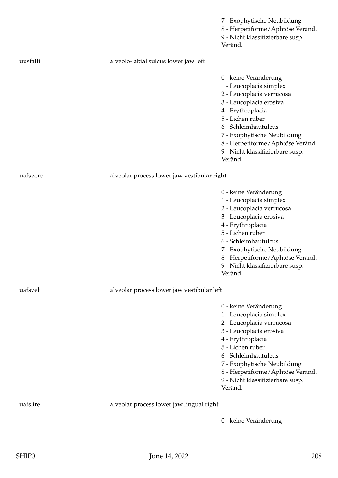|          |                                             | 7 - Exophytische Neubildung<br>8 - Herpetiforme/Aphtöse Veränd.<br>9 - Nicht klassifizierbare susp.<br>Veränd.                                                                                                                                                                              |
|----------|---------------------------------------------|---------------------------------------------------------------------------------------------------------------------------------------------------------------------------------------------------------------------------------------------------------------------------------------------|
| uusfalli | alveolo-labial sulcus lower jaw left        |                                                                                                                                                                                                                                                                                             |
|          |                                             | 0 - keine Veränderung<br>1 - Leucoplacia simplex<br>2 - Leucoplacia verrucosa<br>3 - Leucoplacia erosiva<br>4 - Erythroplacia<br>5 - Lichen ruber<br>6 - Schleimhautulcus<br>7 - Exophytische Neubildung<br>8 - Herpetiforme/Aphtöse Veränd.<br>9 - Nicht klassifizierbare susp.<br>Veränd. |
| uafsvere | alveolar process lower jaw vestibular right |                                                                                                                                                                                                                                                                                             |
|          |                                             | 0 - keine Veränderung<br>1 - Leucoplacia simplex<br>2 - Leucoplacia verrucosa<br>3 - Leucoplacia erosiva<br>4 - Erythroplacia<br>5 - Lichen ruber<br>6 - Schleimhautulcus<br>7 - Exophytische Neubildung<br>8 - Herpetiforme/Aphtöse Veränd.<br>9 - Nicht klassifizierbare susp.<br>Veränd. |
| uafsveli | alveolar process lower jaw vestibular left  |                                                                                                                                                                                                                                                                                             |
|          |                                             | 0 - keine Veränderung<br>1 - Leucoplacia simplex<br>2 - Leucoplacia verrucosa<br>3 - Leucoplacia erosiva<br>4 - Erythroplacia<br>5 - Lichen ruber<br>6 - Schleimhautulcus<br>7 - Exophytische Neubildung<br>8 - Herpetiforme/Aphtöse Veränd.<br>9 - Nicht klassifizierbare susp.<br>Veränd. |
| uafslire | alveolar process lower jaw lingual right    |                                                                                                                                                                                                                                                                                             |
|          |                                             | 0 - keine Veränderung                                                                                                                                                                                                                                                                       |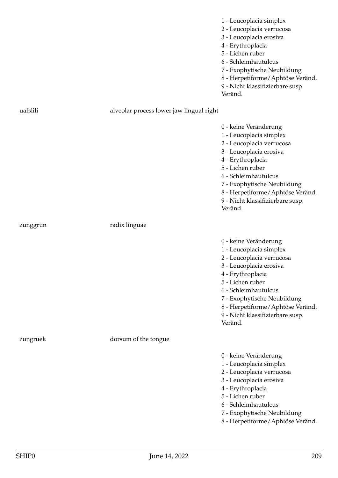1 - Leucoplacia simplex

- 2 Leucoplacia verrucosa
- 3 Leucoplacia erosiva
- 4 Erythroplacia
- 5 Lichen ruber
- 6 Schleimhautulcus
- 7 Exophytische Neubildung
- 8 Herpetiforme/Aphtöse Veränd.
- 9 Nicht klassifizierbare susp.
- Veränd.

| uafslili | alveolar process lower jaw lingual right |                                                                                                                                                                                                                                                                                             |
|----------|------------------------------------------|---------------------------------------------------------------------------------------------------------------------------------------------------------------------------------------------------------------------------------------------------------------------------------------------|
|          |                                          | 0 - keine Veränderung<br>1 - Leucoplacia simplex<br>2 - Leucoplacia verrucosa<br>3 - Leucoplacia erosiva<br>4 - Erythroplacia<br>5 - Lichen ruber<br>6 - Schleimhautulcus<br>7 - Exophytische Neubildung<br>8 - Herpetiforme/Aphtöse Veränd.<br>9 - Nicht klassifizierbare susp.<br>Veränd. |
| zunggrun | radix linguae                            |                                                                                                                                                                                                                                                                                             |
|          |                                          | 0 - keine Veränderung<br>1 - Leucoplacia simplex<br>2 - Leucoplacia verrucosa<br>3 - Leucoplacia erosiva<br>4 - Erythroplacia<br>5 - Lichen ruber<br>6 - Schleimhautulcus<br>7 - Exophytische Neubildung<br>8 - Herpetiforme/Aphtöse Veränd.<br>9 - Nicht klassifizierbare susp.<br>Veränd. |
| zungruek | dorsum of the tongue                     |                                                                                                                                                                                                                                                                                             |
|          |                                          | 0 - keine Veränderung<br>1 - Leucoplacia simplex<br>2 - Leucoplacia verrucosa<br>3 - Leucoplacia erosiva<br>4 - Erythroplacia<br>5 - Lichen ruber<br>6 - Schleimhautulcus<br>7 - Exophytische Neubildung<br>8 - Herpetiforme/Aphtöse Veränd.                                                |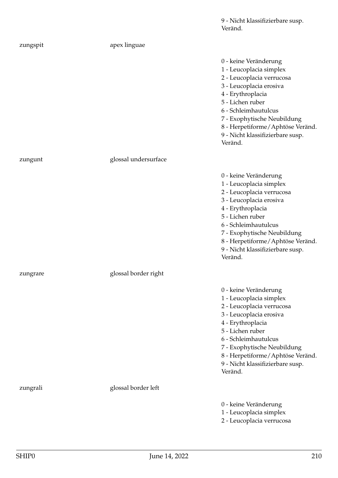9 - Nicht klassifizierbare susp. Veränd.

| zungspit | apex linguae         |                                                                                                                                                                                                                                                                                             |
|----------|----------------------|---------------------------------------------------------------------------------------------------------------------------------------------------------------------------------------------------------------------------------------------------------------------------------------------|
|          |                      | 0 - keine Veränderung<br>1 - Leucoplacia simplex<br>2 - Leucoplacia verrucosa<br>3 - Leucoplacia erosiva<br>4 - Erythroplacia<br>5 - Lichen ruber<br>6 - Schleimhautulcus<br>7 - Exophytische Neubildung<br>8 - Herpetiforme/Aphtöse Veränd.<br>9 - Nicht klassifizierbare susp.<br>Veränd. |
| zungunt  | glossal undersurface |                                                                                                                                                                                                                                                                                             |
|          |                      | 0 - keine Veränderung<br>1 - Leucoplacia simplex<br>2 - Leucoplacia verrucosa<br>3 - Leucoplacia erosiva<br>4 - Erythroplacia<br>5 - Lichen ruber<br>6 - Schleimhautulcus<br>7 - Exophytische Neubildung<br>8 - Herpetiforme/Aphtöse Veränd.<br>9 - Nicht klassifizierbare susp.<br>Veränd. |
| zungrare | glossal border right |                                                                                                                                                                                                                                                                                             |
|          |                      | 0 - keine Veränderung<br>1 - Leucoplacia simplex<br>2 - Leucoplacia verrucosa<br>3 - Leucoplacia erosiva<br>4 - Erythroplacia<br>5 - Lichen ruber<br>6 - Schleimhautulcus<br>7 - Exophytische Neubildung<br>8 - Herpetiforme/Aphtöse Veränd.<br>9 - Nicht klassifizierbare susp.<br>Veränd. |
| zungrali | glossal border left  |                                                                                                                                                                                                                                                                                             |
|          |                      | 0 - keine Veränderung<br>1 - Leucoplacia simplex<br>2 - Leucoplacia verrucosa                                                                                                                                                                                                               |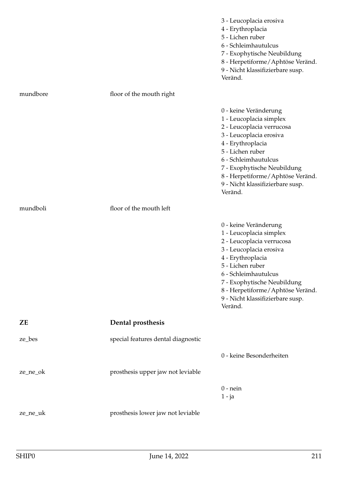|          |                                    | 3 - Leucoplacia erosiva<br>4 - Erythroplacia<br>5 - Lichen ruber<br>6 - Schleimhautulcus<br>7 - Exophytische Neubildung<br>8 - Herpetiforme/Aphtöse Veränd.<br>9 - Nicht klassifizierbare susp.<br>Veränd.                                                                                  |
|----------|------------------------------------|---------------------------------------------------------------------------------------------------------------------------------------------------------------------------------------------------------------------------------------------------------------------------------------------|
| mundbore | floor of the mouth right           |                                                                                                                                                                                                                                                                                             |
|          |                                    | 0 - keine Veränderung<br>1 - Leucoplacia simplex<br>2 - Leucoplacia verrucosa<br>3 - Leucoplacia erosiva<br>4 - Erythroplacia<br>5 - Lichen ruber<br>6 - Schleimhautulcus<br>7 - Exophytische Neubildung<br>8 - Herpetiforme/Aphtöse Veränd.<br>9 - Nicht klassifizierbare susp.<br>Veränd. |
| mundboli | floor of the mouth left            |                                                                                                                                                                                                                                                                                             |
|          |                                    | 0 - keine Veränderung<br>1 - Leucoplacia simplex<br>2 - Leucoplacia verrucosa<br>3 - Leucoplacia erosiva<br>4 - Erythroplacia<br>5 - Lichen ruber<br>6 - Schleimhautulcus<br>7 - Exophytische Neubildung<br>8 - Herpetiforme/Aphtöse Veränd.<br>9 - Nicht klassifizierbare susp.<br>Veränd. |
| ZΕ       | Dental prosthesis                  |                                                                                                                                                                                                                                                                                             |
| ze_bes   | special features dental diagnostic |                                                                                                                                                                                                                                                                                             |
|          |                                    | 0 - keine Besonderheiten                                                                                                                                                                                                                                                                    |
| ze_ne_ok | prosthesis upper jaw not leviable  |                                                                                                                                                                                                                                                                                             |
|          |                                    | $0$ - nein<br>$1 - ja$                                                                                                                                                                                                                                                                      |
| ze_ne_uk | prosthesis lower jaw not leviable  |                                                                                                                                                                                                                                                                                             |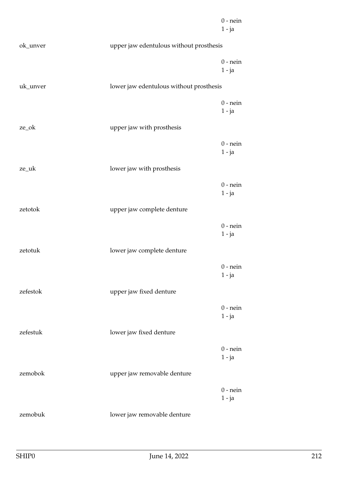|          |                                         | $0$ - nein<br>$1 - ja$ |
|----------|-----------------------------------------|------------------------|
| ok_unver | upper jaw edentulous without prosthesis |                        |
|          |                                         | $0$ - nein<br>$1 - ja$ |
| uk_unver | lower jaw edentulous without prosthesis |                        |
|          |                                         | $0$ - nein<br>$1 - ja$ |
| ze_ok    | upper jaw with prosthesis               |                        |
|          |                                         | $0$ - nein<br>$1 - ja$ |
| ze_uk    | lower jaw with prosthesis               |                        |
|          |                                         | $0$ - nein<br>$1 - ja$ |
| zetotok  | upper jaw complete denture              |                        |
|          |                                         | $0$ - nein<br>$1 - ja$ |
| zetotuk  | lower jaw complete denture              |                        |
|          |                                         | $0$ - nein<br>$1 - ja$ |
| zefestok | upper jaw fixed denture                 |                        |
|          |                                         | $0$ - nein<br>$1 - ja$ |
| zefestuk | lower jaw fixed denture                 |                        |
|          |                                         | $0$ - nein<br>$1 - ja$ |
| zemobok  | upper jaw removable denture             |                        |
|          |                                         | $0$ - nein<br>$1 - ja$ |
| zemobuk  | lower jaw removable denture             |                        |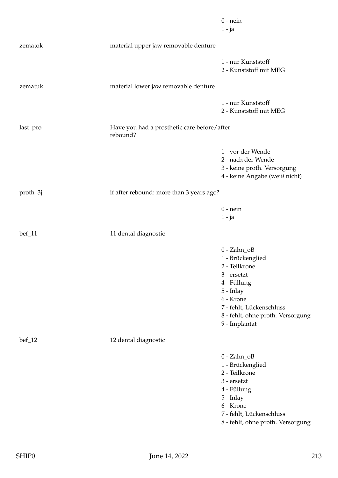|          |                                                         | $0$ - nein<br>$1 - ja$                                                                                                                                                                       |
|----------|---------------------------------------------------------|----------------------------------------------------------------------------------------------------------------------------------------------------------------------------------------------|
| zematok  | material upper jaw removable denture                    |                                                                                                                                                                                              |
|          |                                                         | 1 - nur Kunststoff<br>2 - Kunststoff mit MEG                                                                                                                                                 |
| zematuk  | material lower jaw removable denture                    |                                                                                                                                                                                              |
|          |                                                         | 1 - nur Kunststoff<br>2 - Kunststoff mit MEG                                                                                                                                                 |
| last_pro | Have you had a prosthetic care before/after<br>rebound? |                                                                                                                                                                                              |
|          |                                                         | 1 - vor der Wende<br>2 - nach der Wende<br>3 - keine proth. Versorgung<br>4 - keine Angabe (weiß nicht)                                                                                      |
| proth_3j | if after rebound: more than 3 years ago?                |                                                                                                                                                                                              |
|          |                                                         | $0$ - nein<br>$1 - ja$                                                                                                                                                                       |
| $bef_11$ | 11 dental diagnostic                                    |                                                                                                                                                                                              |
|          |                                                         | $0 - Zahn_0B$<br>1 - Brückenglied<br>2 - Teilkrone<br>3 - ersetzt<br>4 - Füllung<br>5 - Inlay<br>6 - Krone<br>7 - fehlt, Lückenschluss<br>8 - fehlt, ohne proth. Versorgung<br>9 - Implantat |
| $bef_12$ | 12 dental diagnostic                                    |                                                                                                                                                                                              |
|          |                                                         | $0 - Zahn_0B$<br>1 - Brückenglied<br>2 - Teilkrone<br>3 - ersetzt<br>4 - Füllung<br>5 - Inlay<br>6 - Krone<br>7 - fehlt, Lückenschluss<br>8 - fehlt, ohne proth. Versorgung                  |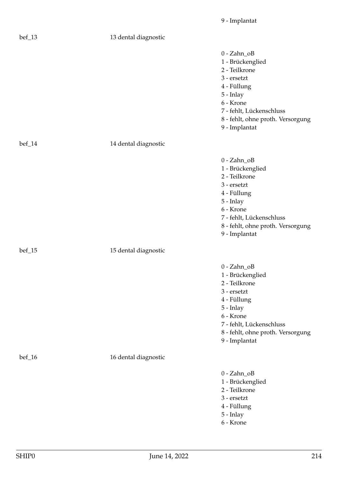| $bef_13$ | 13 dental diagnostic |                                                                                                                                                                                                |
|----------|----------------------|------------------------------------------------------------------------------------------------------------------------------------------------------------------------------------------------|
|          |                      | $0 - Zahn_OB$<br>1 - Brückenglied<br>2 - Teilkrone<br>3 - ersetzt<br>4 - Füllung<br>$5$ - Inlay<br>6 - Krone<br>7 - fehlt, Lückenschluss<br>8 - fehlt, ohne proth. Versorgung<br>9 - Implantat |
| bef_14   | 14 dental diagnostic |                                                                                                                                                                                                |
|          |                      | $0 - Zahn_OB$<br>1 - Brückenglied<br>2 - Teilkrone<br>3 - ersetzt<br>4 - Füllung<br>5 - Inlay<br>6 - Krone<br>7 - fehlt, Lückenschluss<br>8 - fehlt, ohne proth. Versorgung<br>9 - Implantat   |
| $bef_15$ | 15 dental diagnostic |                                                                                                                                                                                                |
|          |                      | $0 - Zahn_OB$<br>1 - Brückenglied<br>2 - Teilkrone<br>3 - ersetzt<br>4 - Füllung<br>5 - Inlay<br>6 - Krone<br>7 - fehlt, Lückenschluss<br>8 - fehlt, ohne proth. Versorgung<br>9 - Implantat   |
| $bef_16$ | 16 dental diagnostic |                                                                                                                                                                                                |
|          |                      | $0 - Zahn_OB$<br>1 - Brückenglied<br>2 - Teilkrone<br>3 - ersetzt<br>4 - Füllung<br>5 - Inlay<br>6 - Krone                                                                                     |

9 - Implantat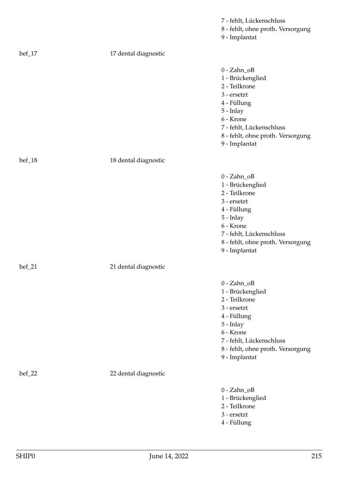|          |                      | 7 - fehlt, Lückenschluss<br>8 - fehlt, ohne proth. Versorgung<br>9 - Implantat                                                                                                               |
|----------|----------------------|----------------------------------------------------------------------------------------------------------------------------------------------------------------------------------------------|
| $bef_17$ | 17 dental diagnostic |                                                                                                                                                                                              |
|          |                      | $0 - Zahn_OB$<br>1 - Brückenglied<br>2 - Teilkrone<br>3 - ersetzt<br>4 - Füllung<br>5 - Inlay<br>6 - Krone<br>7 - fehlt, Lückenschluss<br>8 - fehlt, ohne proth. Versorgung<br>9 - Implantat |
| $bef_18$ | 18 dental diagnostic |                                                                                                                                                                                              |
|          |                      | $0 - Zahn_OB$<br>1 - Brückenglied<br>2 - Teilkrone<br>3 - ersetzt<br>4 - Füllung<br>5 - Inlay<br>6 - Krone<br>7 - fehlt, Lückenschluss<br>8 - fehlt, ohne proth. Versorgung<br>9 - Implantat |
| $bef_21$ | 21 dental diagnostic |                                                                                                                                                                                              |
|          |                      | $0 - Zahn_OB$<br>1 - Brückenglied<br>2 - Teilkrone<br>3 - ersetzt<br>4 - Füllung<br>5 - Inlay<br>6 - Krone<br>7 - fehlt, Lückenschluss<br>8 - fehlt, ohne proth. Versorgung<br>9 - Implantat |
| $bef_22$ | 22 dental diagnostic |                                                                                                                                                                                              |
|          |                      | $0 - Zahn_OB$<br>1 - Brückenglied<br>2 - Teilkrone<br>3 - ersetzt<br>4 - Füllung                                                                                                             |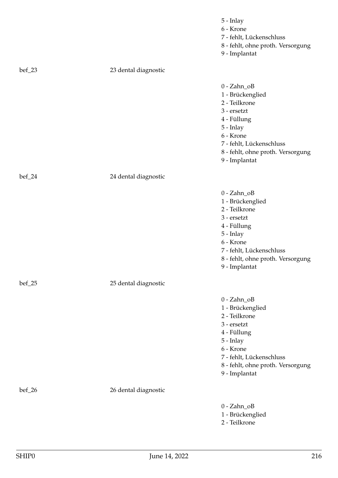|                  |                      | 5 - Inlay<br>6 - Krone<br>7 - fehlt, Lückenschluss<br>8 - fehlt, ohne proth. Versorgung<br>9 - Implantat                                                                                       |
|------------------|----------------------|------------------------------------------------------------------------------------------------------------------------------------------------------------------------------------------------|
| $\text{bef}_23$  | 23 dental diagnostic |                                                                                                                                                                                                |
|                  |                      | $0 - Zahn_OB$<br>1 - Brückenglied<br>2 - Teilkrone<br>3 - ersetzt<br>4 - Füllung<br>5 - Inlay<br>6 - Krone<br>7 - fehlt, Lückenschluss<br>8 - fehlt, ohne proth. Versorgung<br>9 - Implantat   |
| $\text{bef}\_24$ | 24 dental diagnostic |                                                                                                                                                                                                |
|                  |                      | $0 - Zahn_OB$<br>1 - Brückenglied<br>2 - Teilkrone<br>3 - ersetzt<br>4 - Füllung<br>$5$ - Inlay<br>6 - Krone<br>7 - fehlt, Lückenschluss<br>8 - fehlt, ohne proth. Versorgung<br>9 - Implantat |
| $\text{bef}\_25$ | 25 dental diagnostic |                                                                                                                                                                                                |
|                  |                      | $0 - Zahn_OB$<br>1 - Brückenglied<br>2 - Teilkrone<br>3 - ersetzt<br>4 - Füllung<br>5 - Inlay<br>6 - Krone<br>7 - fehlt, Lückenschluss<br>8 - fehlt, ohne proth. Versorgung<br>9 - Implantat   |
| $bef_26$         | 26 dental diagnostic |                                                                                                                                                                                                |
|                  |                      | $0 - Zahn_OB$<br>1 - Brückenglied<br>2 - Teilkrone                                                                                                                                             |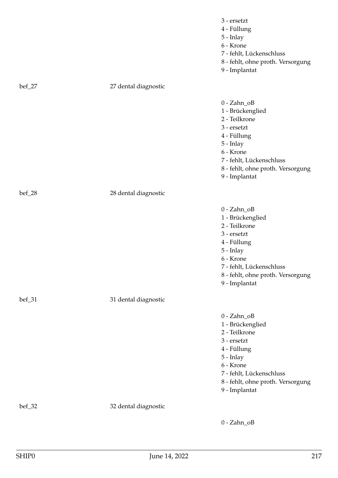|          |                      | 3 - ersetzt<br>4 - Füllung<br>5 - Inlay<br>6 - Krone<br>7 - fehlt, Lückenschluss<br>8 - fehlt, ohne proth. Versorgung<br>9 - Implantat                                                         |
|----------|----------------------|------------------------------------------------------------------------------------------------------------------------------------------------------------------------------------------------|
| $bef_27$ | 27 dental diagnostic |                                                                                                                                                                                                |
|          |                      | $0 - Zahn_0B$<br>1 - Brückenglied<br>2 - Teilkrone<br>3 - ersetzt<br>4 - Füllung<br>5 - Inlay<br>6 - Krone<br>7 - fehlt, Lückenschluss<br>8 - fehlt, ohne proth. Versorgung<br>9 - Implantat   |
| $bef_28$ | 28 dental diagnostic |                                                                                                                                                                                                |
|          |                      | $0 - Zahn_OB$<br>1 - Brückenglied<br>2 - Teilkrone<br>3 - ersetzt<br>4 - Füllung<br>$5$ - Inlay<br>6 - Krone<br>7 - fehlt, Lückenschluss<br>8 - fehlt, ohne proth. Versorgung<br>9 - Implantat |
| $bef_31$ | 31 dental diagnostic |                                                                                                                                                                                                |
|          |                      | $0 - Zahn_0B$<br>1 - Brückenglied<br>2 - Teilkrone<br>3 - ersetzt<br>4 - Füllung<br>5 - Inlay<br>6 - Krone<br>7 - fehlt, Lückenschluss<br>8 - fehlt, ohne proth. Versorgung<br>9 - Implantat   |
| $bef_32$ | 32 dental diagnostic |                                                                                                                                                                                                |
|          |                      | $0 - Zahn_0B$                                                                                                                                                                                  |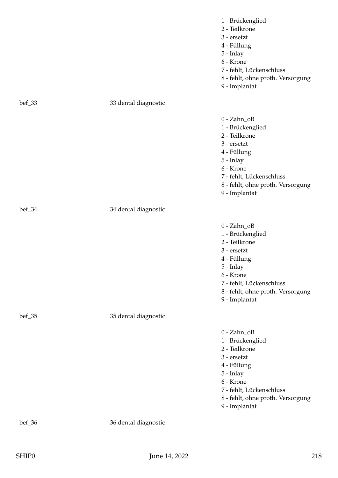|                  |                      | 1 - Brückenglied<br>2 - Teilkrone<br>3 - ersetzt<br>4 - Füllung<br>5 - Inlay<br>6 - Krone<br>7 - fehlt, Lückenschluss<br>8 - fehlt, ohne proth. Versorgung<br>9 - Implantat                  |
|------------------|----------------------|----------------------------------------------------------------------------------------------------------------------------------------------------------------------------------------------|
| $\text{bef}\_33$ | 33 dental diagnostic |                                                                                                                                                                                              |
|                  |                      | $0 - Zahn_0B$<br>1 - Brückenglied<br>2 - Teilkrone<br>3 - ersetzt<br>4 - Füllung<br>5 - Inlay<br>6 - Krone<br>7 - fehlt, Lückenschluss<br>8 - fehlt, ohne proth. Versorgung<br>9 - Implantat |
| bef_34           | 34 dental diagnostic |                                                                                                                                                                                              |
|                  |                      | $0 - Zahn_OB$<br>1 - Brückenglied<br>2 - Teilkrone<br>3 - ersetzt<br>4 - Füllung<br>5 - Inlay<br>6 - Krone<br>7 - fehlt, Lückenschluss<br>8 - fehlt, ohne proth. Versorgung<br>9 - Implantat |
| $bef_35$         | 35 dental diagnostic |                                                                                                                                                                                              |
|                  |                      | $0 - Zahn_OB$<br>1 - Brückenglied<br>2 - Teilkrone<br>3 - ersetzt<br>4 - Füllung<br>5 - Inlay<br>6 - Krone<br>7 - fehlt, Lückenschluss<br>8 - fehlt, ohne proth. Versorgung<br>9 - Implantat |
| bef_36           | 36 dental diagnostic |                                                                                                                                                                                              |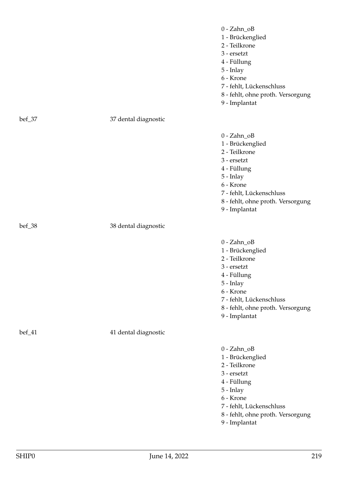|        |                      | 3 - ersetzt<br>4 - Füllung<br>5 - Inlay<br>6 - Krone<br>7 - fehlt, Lückenschluss<br>8 - fehlt, ohne proth. Versorgung<br>9 - Implantat                                                          |
|--------|----------------------|-------------------------------------------------------------------------------------------------------------------------------------------------------------------------------------------------|
| bef_37 | 37 dental diagnostic |                                                                                                                                                                                                 |
|        |                      | $0 - Zahn_OB$<br>1 - Brückenglied<br>2 - Teilkrone<br>3 - ersetzt<br>4 - Füllung<br>5 - Inlay<br>6 - Krone<br>7 - fehlt, Lückenschluss<br>8 - fehlt, ohne proth. Versorgung<br>9 - Implantat    |
| bef_38 | 38 dental diagnostic |                                                                                                                                                                                                 |
|        |                      | $0 - Zahn_OB$<br>1 - Brückenglied<br>2 - Teilkrone<br>3 - ersetzt<br>4 - Füllung<br>5 - Inlay<br>6 - Krone<br>7 - fehlt, Lückenschluss<br>8 - fehlt, ohne proth. Versorgung<br>9 - Implantat    |
| bef_41 | 41 dental diagnostic |                                                                                                                                                                                                 |
|        |                      | $0 - Zahn_0B$<br>1 - Brückenglied<br>2 - Teilkrone<br>$3 - $ ersetzt<br>4 - Füllung<br>5 - Inlay<br>6 - Krone<br>7 - fehlt, Lückenschluss<br>8 - fehlt, ohne proth. Versorgung<br>9 - Implantat |

0 - Zahn\_oB 1 - Brückenglied 2 - Teilkrone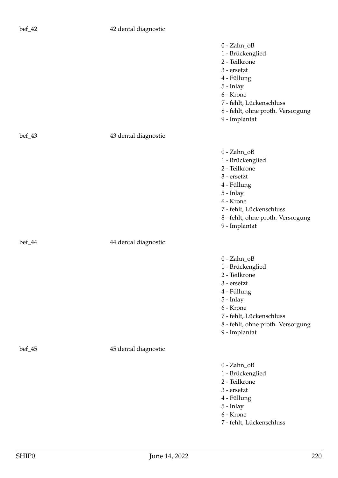## bef\_42 42 dental diagnostic

|          |                      | $0 - Zahn_OB$<br>1 - Brückenglied<br>2 - Teilkrone<br>3 - ersetzt<br>4 - Füllung<br>5 - Inlay<br>6 - Krone<br>7 - fehlt, Lückenschluss<br>8 - fehlt, ohne proth. Versorgung<br>9 - Implantat |
|----------|----------------------|----------------------------------------------------------------------------------------------------------------------------------------------------------------------------------------------|
| $bef_43$ | 43 dental diagnostic |                                                                                                                                                                                              |
|          |                      | $0 - Zahn_OB$<br>1 - Brückenglied<br>2 - Teilkrone<br>3 - ersetzt<br>4 - Füllung<br>5 - Inlay<br>6 - Krone<br>7 - fehlt, Lückenschluss<br>8 - fehlt, ohne proth. Versorgung<br>9 - Implantat |
| bef_44   | 44 dental diagnostic |                                                                                                                                                                                              |
|          |                      | $0 - Zahn_OB$<br>1 - Brückenglied<br>2 - Teilkrone<br>3 - ersetzt<br>4 - Füllung<br>5 - Inlay<br>6 - Krone<br>7 - fehlt, Lückenschluss<br>8 - fehlt, ohne proth. Versorgung<br>9 - Implantat |
| bef_45   | 45 dental diagnostic |                                                                                                                                                                                              |
|          |                      | $0 - Zahn_OB$<br>1 - Brückenglied<br>2 - Teilkrone<br>3 - ersetzt<br>4 - Füllung<br>5 - Inlay<br>6 - Krone<br>7 - fehlt, Lückenschluss                                                       |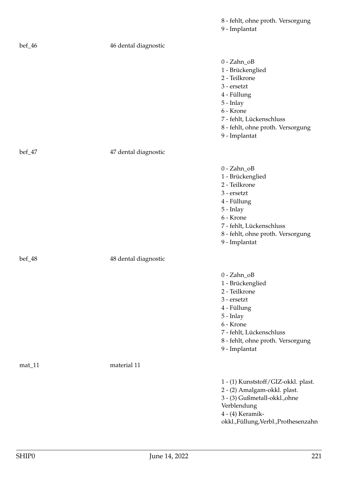|          |                      | 9 - Implantat                                                                                                                                                                                  |
|----------|----------------------|------------------------------------------------------------------------------------------------------------------------------------------------------------------------------------------------|
| bef_46   | 46 dental diagnostic |                                                                                                                                                                                                |
|          |                      | $0 - Zahn_0B$<br>1 - Brückenglied<br>2 - Teilkrone<br>3 - ersetzt<br>4 - Füllung<br>5 - Inlay<br>6 - Krone<br>7 - fehlt, Lückenschluss<br>8 - fehlt, ohne proth. Versorgung<br>9 - Implantat   |
| $bef_47$ | 47 dental diagnostic |                                                                                                                                                                                                |
|          |                      | $0 - Zahn_0B$<br>1 - Brückenglied<br>2 - Teilkrone<br>3 - ersetzt<br>4 - Füllung<br>5 - Inlay<br>6 - Krone<br>7 - fehlt, Lückenschluss<br>8 - fehlt, ohne proth. Versorgung<br>9 - Implantat   |
| bef_48   | 48 dental diagnostic |                                                                                                                                                                                                |
|          |                      | $0 - Zahn_OB$<br>1 - Brückenglied<br>2 - Teilkrone<br>3 - ersetzt<br>4 - Füllung<br>$5$ - Inlay<br>6 - Krone<br>7 - fehlt, Lückenschluss<br>8 - fehlt, ohne proth. Versorgung<br>9 - Implantat |
| $mat_11$ | material 11          |                                                                                                                                                                                                |
|          |                      | 1 - (1) Kunststoff/GIZ-okkl. plast.<br>2 - (2) Amalgam-okkl. plast.<br>3 - (3) Gußmetall-okkl., ohne<br>Verblendung<br>4 - (4) Keramik-<br>okkl.,Füllung,Verbl.,Prothesenzahn                  |

8 - fehlt, ohne proth. Versorgung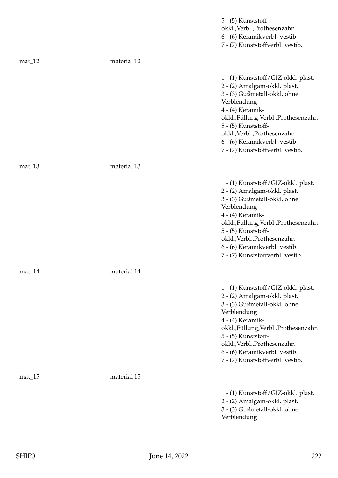|          |             | 5 - (5) Kunststoff-<br>okkl., Verbl., Prothesenzahn<br>6 - (6) Keramikverbl. vestib.<br>7 - (7) Kunststoffverbl. vestib.                                                                                                                                                                                  |
|----------|-------------|-----------------------------------------------------------------------------------------------------------------------------------------------------------------------------------------------------------------------------------------------------------------------------------------------------------|
| $mat_12$ | material 12 |                                                                                                                                                                                                                                                                                                           |
|          |             | 1 - (1) Kunststoff/GIZ-okkl. plast.<br>2 - (2) Amalgam-okkl. plast.<br>3 - (3) Gußmetall-okkl., ohne<br>Verblendung<br>4 - (4) Keramik-<br>okkl.,Füllung,Verbl.,Prothesenzahn<br>5 - (5) Kunststoff-<br>okkl., Verbl., Prothesenzahn<br>6 - (6) Keramikverbl. vestib.<br>7 - (7) Kunststoffverbl. vestib. |
| $mat_13$ | material 13 |                                                                                                                                                                                                                                                                                                           |
|          |             | 1 - (1) Kunststoff/GIZ-okkl. plast.<br>2 - (2) Amalgam-okkl. plast.<br>3 - (3) Gußmetall-okkl., ohne<br>Verblendung<br>4 - (4) Keramik-<br>okkl.,Füllung,Verbl.,Prothesenzahn<br>5 - (5) Kunststoff-<br>okkl., Verbl., Prothesenzahn<br>6 - (6) Keramikverbl. vestib.<br>7 - (7) Kunststoffverbl. vestib. |
| $mat_14$ | material 14 |                                                                                                                                                                                                                                                                                                           |
|          |             | 1 - (1) Kunststoff/GIZ-okkl. plast.<br>2 - (2) Amalgam-okkl. plast.<br>3 - (3) Gußmetall-okkl., ohne<br>Verblendung<br>4 - (4) Keramik-<br>okkl.,Füllung,Verbl.,Prothesenzahn<br>5 - (5) Kunststoff-<br>okkl., Verbl., Prothesenzahn<br>6 - (6) Keramikverbl. vestib.<br>7 - (7) Kunststoffverbl. vestib. |
| $mat_15$ | material 15 |                                                                                                                                                                                                                                                                                                           |
|          |             | 1 - (1) Kunststoff/GIZ-okkl. plast.<br>2 - (2) Amalgam-okkl. plast.<br>3 - (3) Gußmetall-okkl., ohne<br>Verblendung                                                                                                                                                                                       |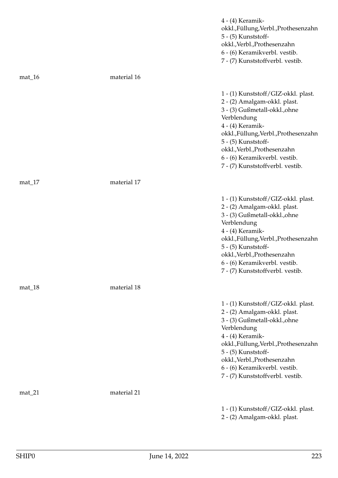|          |             | 4 - (4) Keramik-<br>okkl.,Füllung,Verbl.,Prothesenzahn<br>5 - (5) Kunststoff-<br>okkl., Verbl., Prothesenzahn<br>6 - (6) Keramikverbl. vestib.<br>7 - (7) Kunststoffverbl. vestib.                                                                                                                        |
|----------|-------------|-----------------------------------------------------------------------------------------------------------------------------------------------------------------------------------------------------------------------------------------------------------------------------------------------------------|
| $mat_16$ | material 16 |                                                                                                                                                                                                                                                                                                           |
|          |             | 1 - (1) Kunststoff/GIZ-okkl. plast.<br>2 - (2) Amalgam-okkl. plast.<br>3 - (3) Gußmetall-okkl., ohne<br>Verblendung<br>4 - (4) Keramik-<br>okkl.,Füllung,Verbl.,Prothesenzahn<br>5 - (5) Kunststoff-<br>okkl., Verbl., Prothesenzahn<br>6 - (6) Keramikverbl. vestib.<br>7 - (7) Kunststoffverbl. vestib. |
| $mat_17$ | material 17 |                                                                                                                                                                                                                                                                                                           |
|          |             | 1 - (1) Kunststoff/GIZ-okkl. plast.<br>2 - (2) Amalgam-okkl. plast.<br>3 - (3) Gußmetall-okkl., ohne<br>Verblendung<br>4 - (4) Keramik-<br>okkl.,Füllung,Verbl.,Prothesenzahn<br>5 - (5) Kunststoff-<br>okkl., Verbl., Prothesenzahn<br>6 - (6) Keramikverbl. vestib.<br>7 - (7) Kunststoffverbl. vestib. |
| $mat_18$ | material 18 |                                                                                                                                                                                                                                                                                                           |
|          |             | 1 - (1) Kunststoff/GIZ-okkl. plast.<br>2 - (2) Amalgam-okkl. plast.<br>3 - (3) Gußmetall-okkl., ohne<br>Verblendung<br>4 - (4) Keramik-<br>okkl.,Füllung,Verbl.,Prothesenzahn<br>5 - (5) Kunststoff-<br>okkl., Verbl., Prothesenzahn<br>6 - (6) Keramikverbl. vestib.<br>7 - (7) Kunststoffverbl. vestib. |
| $mat_21$ | material 21 |                                                                                                                                                                                                                                                                                                           |
|          |             | 1 - (1) Kunststoff/GIZ-okkl. plast.<br>2 - (2) Amalgam-okkl. plast.                                                                                                                                                                                                                                       |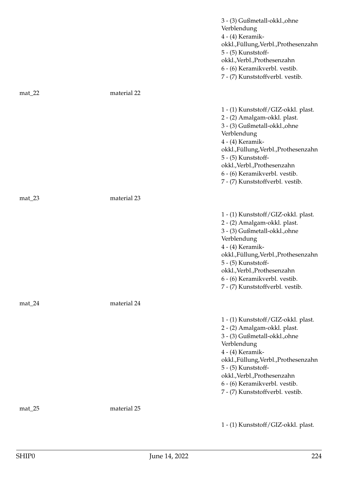|           |             | 3 - (3) Gußmetall-okkl., ohne<br>Verblendung<br>4 - (4) Keramik-<br>okkl.,Füllung,Verbl.,Prothesenzahn<br>5 - (5) Kunststoff-<br>okkl., Verbl., Prothesenzahn<br>6 - (6) Keramikverbl. vestib.<br>7 - (7) Kunststoffverbl. vestib.                                                                        |
|-----------|-------------|-----------------------------------------------------------------------------------------------------------------------------------------------------------------------------------------------------------------------------------------------------------------------------------------------------------|
| $mat_22$  | material 22 |                                                                                                                                                                                                                                                                                                           |
|           |             | 1 - (1) Kunststoff/GIZ-okkl. plast.<br>2 - (2) Amalgam-okkl. plast.<br>3 - (3) Gußmetall-okkl., ohne<br>Verblendung<br>4 - (4) Keramik-<br>okkl.,Füllung,Verbl.,Prothesenzahn<br>5 - (5) Kunststoff-<br>okkl., Verbl., Prothesenzahn<br>6 - (6) Keramikverbl. vestib.<br>7 - (7) Kunststoffverbl. vestib. |
| $mat_2$ 3 | material 23 |                                                                                                                                                                                                                                                                                                           |
|           |             | 1 - (1) Kunststoff/GIZ-okkl. plast.<br>2 - (2) Amalgam-okkl. plast.<br>3 - (3) Gußmetall-okkl., ohne<br>Verblendung<br>4 - (4) Keramik-<br>okkl.,Füllung,Verbl.,Prothesenzahn<br>5 - (5) Kunststoff-<br>okkl., Verbl., Prothesenzahn<br>6 - (6) Keramikverbl. vestib.<br>7 - (7) Kunststoffverbl. vestib. |
| $mat_24$  | material 24 |                                                                                                                                                                                                                                                                                                           |
|           |             | 1 - (1) Kunststoff/GIZ-okkl. plast.<br>2 - (2) Amalgam-okkl. plast.<br>3 - (3) Gußmetall-okkl., ohne<br>Verblendung<br>4 - (4) Keramik-<br>okkl.,Füllung,Verbl.,Prothesenzahn<br>5 - (5) Kunststoff-<br>okkl., Verbl., Prothesenzahn<br>6 - (6) Keramikverbl. vestib.<br>7 - (7) Kunststoffverbl. vestib. |
| $mat_25$  | material 25 |                                                                                                                                                                                                                                                                                                           |
|           |             | 1 - (1) Kunststoff/GIZ-okkl. plast.                                                                                                                                                                                                                                                                       |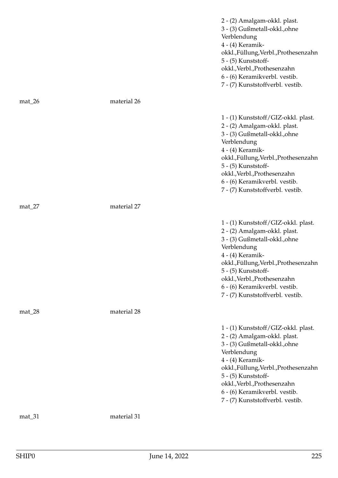|           |             | 2 - (2) Amalgam-okkl. plast.<br>3 - (3) Gußmetall-okkl., ohne<br>Verblendung<br>4 - (4) Keramik-<br>okkl.,Füllung,Verbl.,Prothesenzahn<br>5 - (5) Kunststoff-<br>okkl., Verbl., Prothesenzahn<br>6 - (6) Keramikverbl. vestib.<br>7 - (7) Kunststoffverbl. vestib.                                        |
|-----------|-------------|-----------------------------------------------------------------------------------------------------------------------------------------------------------------------------------------------------------------------------------------------------------------------------------------------------------|
| $mat_2$ 6 | material 26 |                                                                                                                                                                                                                                                                                                           |
|           |             | 1 - (1) Kunststoff/GIZ-okkl. plast.<br>2 - (2) Amalgam-okkl. plast.<br>3 - (3) Gußmetall-okkl., ohne<br>Verblendung<br>4 - (4) Keramik-<br>okkl.,Füllung,Verbl.,Prothesenzahn<br>5 - (5) Kunststoff-<br>okkl., Verbl., Prothesenzahn<br>6 - (6) Keramikverbl. vestib.<br>7 - (7) Kunststoffverbl. vestib. |
| $mat_2$   | material 27 |                                                                                                                                                                                                                                                                                                           |
|           |             | 1 - (1) Kunststoff/GIZ-okkl. plast.<br>2 - (2) Amalgam-okkl. plast.<br>3 - (3) Gußmetall-okkl., ohne<br>Verblendung<br>4 - (4) Keramik-<br>okkl.,Füllung,Verbl.,Prothesenzahn<br>5 - (5) Kunststoff-<br>okkl., Verbl., Prothesenzahn<br>6 - (6) Keramikverbl. vestib.<br>7 - (7) Kunststoffverbl. vestib. |
| $mat_28$  | material 28 |                                                                                                                                                                                                                                                                                                           |
|           |             | 1 - (1) Kunststoff/GIZ-okkl. plast.<br>2 - (2) Amalgam-okkl. plast.<br>3 - (3) Gußmetall-okkl., ohne<br>Verblendung<br>4 - (4) Keramik-<br>okkl.,Füllung,Verbl.,Prothesenzahn<br>5 - (5) Kunststoff-<br>okkl., Verbl., Prothesenzahn<br>6 - (6) Keramikverbl. vestib.<br>7 - (7) Kunststoffverbl. vestib. |
| mat_31    | material 31 |                                                                                                                                                                                                                                                                                                           |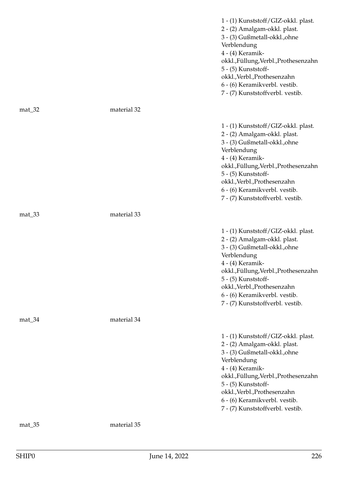|          |             | 1 - (1) Kunststoff/GIZ-okkl. plast.<br>2 - (2) Amalgam-okkl. plast.<br>3 - (3) Gußmetall-okkl., ohne<br>Verblendung<br>4 - (4) Keramik-<br>okkl.,Füllung,Verbl.,Prothesenzahn<br>5 - (5) Kunststoff-<br>okkl., Verbl., Prothesenzahn<br>6 - (6) Keramikverbl. vestib.<br>7 - (7) Kunststoffverbl. vestib. |
|----------|-------------|-----------------------------------------------------------------------------------------------------------------------------------------------------------------------------------------------------------------------------------------------------------------------------------------------------------|
| $mat_32$ | material 32 |                                                                                                                                                                                                                                                                                                           |
|          |             | 1 - (1) Kunststoff/GIZ-okkl. plast.<br>2 - (2) Amalgam-okkl. plast.<br>3 - (3) Gußmetall-okkl., ohne<br>Verblendung<br>4 - (4) Keramik-<br>okkl.,Füllung,Verbl.,Prothesenzahn<br>5 - (5) Kunststoff-<br>okkl., Verbl., Prothesenzahn<br>6 - (6) Keramikverbl. vestib.<br>7 - (7) Kunststoffverbl. vestib. |
| $mat_33$ | material 33 |                                                                                                                                                                                                                                                                                                           |
|          |             | 1 - (1) Kunststoff/GIZ-okkl. plast.<br>2 - (2) Amalgam-okkl. plast.<br>3 - (3) Gußmetall-okkl., ohne<br>Verblendung<br>4 - (4) Keramik-<br>okkl.,Füllung,Verbl.,Prothesenzahn<br>5 - (5) Kunststoff-<br>okkl., Verbl., Prothesenzahn<br>6 - (6) Keramikverbl. vestib.<br>7 - (7) Kunststoffverbl. vestib. |
| $mat_34$ | material 34 |                                                                                                                                                                                                                                                                                                           |
|          |             | 1 - (1) Kunststoff/GIZ-okkl. plast.<br>2 - (2) Amalgam-okkl. plast.<br>3 - (3) Gußmetall-okkl., ohne<br>Verblendung<br>4 - (4) Keramik-<br>okkl.,Füllung,Verbl.,Prothesenzahn<br>5 - (5) Kunststoff-<br>okkl., Verbl., Prothesenzahn<br>6 - (6) Keramikverbl. vestib.<br>7 - (7) Kunststoffverbl. vestib. |
| mat_35   | material 35 |                                                                                                                                                                                                                                                                                                           |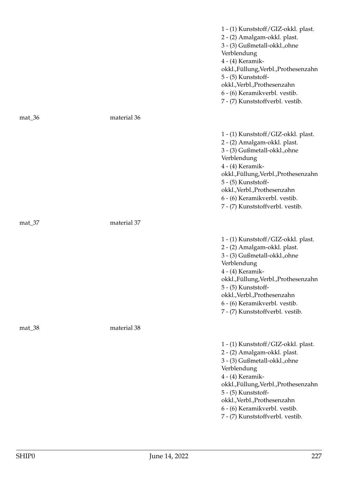|          |             | 1 - (1) Kunststoff/GIZ-okkl. plast.<br>2 - (2) Amalgam-okkl. plast.<br>3 - (3) Gußmetall-okkl., ohne<br>Verblendung<br>4 - (4) Keramik-<br>okkl.,Füllung,Verbl.,Prothesenzahn<br>5 - (5) Kunststoff-<br>okkl., Verbl., Prothesenzahn<br>6 - (6) Keramikverbl. vestib.<br>7 - (7) Kunststoffverbl. vestib. |
|----------|-------------|-----------------------------------------------------------------------------------------------------------------------------------------------------------------------------------------------------------------------------------------------------------------------------------------------------------|
| $mat_36$ | material 36 |                                                                                                                                                                                                                                                                                                           |
|          |             | 1 - (1) Kunststoff/GIZ-okkl. plast.<br>2 - (2) Amalgam-okkl. plast.<br>3 - (3) Gußmetall-okkl., ohne<br>Verblendung<br>4 - (4) Keramik-<br>okkl.,Füllung,Verbl.,Prothesenzahn<br>5 - (5) Kunststoff-<br>okkl., Verbl., Prothesenzahn<br>6 - (6) Keramikverbl. vestib.<br>7 - (7) Kunststoffverbl. vestib. |
| mat_37   | material 37 |                                                                                                                                                                                                                                                                                                           |
|          |             | 1 - (1) Kunststoff/GIZ-okkl. plast.<br>2 - (2) Amalgam-okkl. plast.<br>3 - (3) Gußmetall-okkl., ohne<br>Verblendung<br>4 - (4) Keramik-<br>okkl.,Füllung,Verbl.,Prothesenzahn<br>5 - (5) Kunststoff-<br>okkl., Verbl., Prothesenzahn<br>6 - (6) Keramikverbl. vestib.<br>7 - (7) Kunststoffverbl. vestib. |
| mat_38   | material 38 |                                                                                                                                                                                                                                                                                                           |
|          |             | 1 - (1) Kunststoff/GIZ-okkl. plast.<br>2 - (2) Amalgam-okkl. plast.<br>3 - (3) Gußmetall-okkl., ohne<br>Verblendung<br>4 - (4) Keramik-<br>okkl.,Füllung,Verbl.,Prothesenzahn<br>5 - (5) Kunststoff-<br>okkl., Verbl., Prothesenzahn<br>6 - (6) Keramikverbl. vestib.<br>7 - (7) Kunststoffverbl. vestib. |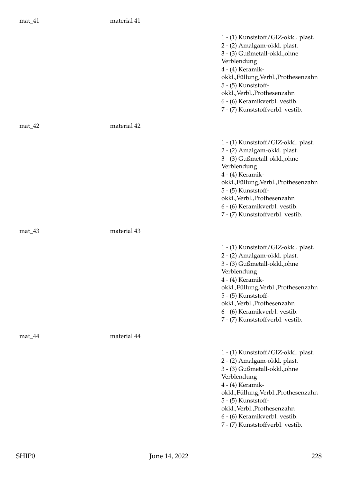## mat\_41 material 41

|          |             | 1 - (1) Kunststoff/GIZ-okkl. plast.<br>2 - (2) Amalgam-okkl. plast.<br>3 - (3) Gußmetall-okkl., ohne<br>Verblendung<br>4 - (4) Keramik-<br>okkl.,Füllung,Verbl.,Prothesenzahn<br>5 - (5) Kunststoff-<br>okkl., Verbl., Prothesenzahn<br>6 - (6) Keramikverbl. vestib.<br>7 - (7) Kunststoffverbl. vestib. |
|----------|-------------|-----------------------------------------------------------------------------------------------------------------------------------------------------------------------------------------------------------------------------------------------------------------------------------------------------------|
| $mat_42$ | material 42 |                                                                                                                                                                                                                                                                                                           |
|          |             | 1 - (1) Kunststoff/GIZ-okkl. plast.<br>2 - (2) Amalgam-okkl. plast.<br>3 - (3) Gußmetall-okkl., ohne<br>Verblendung<br>4 - (4) Keramik-<br>okkl.,Füllung,Verbl.,Prothesenzahn<br>5 - (5) Kunststoff-<br>okkl., Verbl., Prothesenzahn<br>6 - (6) Keramikverbl. vestib.<br>7 - (7) Kunststoffverbl. vestib. |
| $mat_43$ | material 43 |                                                                                                                                                                                                                                                                                                           |
|          |             | 1 - (1) Kunststoff/GIZ-okkl. plast.<br>2 - (2) Amalgam-okkl. plast.<br>3 - (3) Gußmetall-okkl., ohne<br>Verblendung<br>4 - (4) Keramik-<br>okkl.,Füllung,Verbl.,Prothesenzahn<br>5 - (5) Kunststoff-<br>okkl., Verbl., Prothesenzahn<br>6 - (6) Keramikverbl. vestib.<br>7 - (7) Kunststoffverbl. vestib. |
| $mat_44$ | material 44 |                                                                                                                                                                                                                                                                                                           |
|          |             | 1 - (1) Kunststoff/GIZ-okkl. plast.<br>2 - (2) Amalgam-okkl. plast.<br>3 - (3) Gußmetall-okkl., ohne<br>Verblendung<br>4 - (4) Keramik-<br>okkl.,Füllung,Verbl.,Prothesenzahn<br>5 - (5) Kunststoff-<br>okkl., Verbl., Prothesenzahn<br>6 - (6) Keramikverbl. vestib.<br>7 - (7) Kunststoffverbl. vestib. |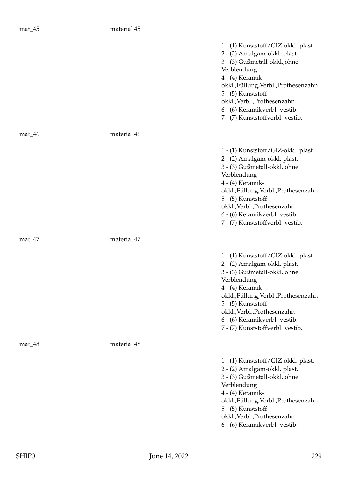|          |             | 1 - (1) Kunststoff/GIZ-okkl. plast.<br>2 - (2) Amalgam-okkl. plast.<br>3 - (3) Gußmetall-okkl., ohne<br>Verblendung<br>4 - (4) Keramik-<br>okkl.,Füllung,Verbl.,Prothesenzahn<br>5 - (5) Kunststoff-<br>okkl., Verbl., Prothesenzahn<br>6 - (6) Keramikverbl. vestib.<br>7 - (7) Kunststoffverbl. vestib. |
|----------|-------------|-----------------------------------------------------------------------------------------------------------------------------------------------------------------------------------------------------------------------------------------------------------------------------------------------------------|
| $mat_46$ | material 46 |                                                                                                                                                                                                                                                                                                           |
|          |             | 1 - (1) Kunststoff/GIZ-okkl. plast.<br>2 - (2) Amalgam-okkl. plast.<br>3 - (3) Gußmetall-okkl., ohne<br>Verblendung<br>4 - (4) Keramik-<br>okkl.,Füllung,Verbl.,Prothesenzahn<br>5 - (5) Kunststoff-<br>okkl., Verbl., Prothesenzahn<br>6 - (6) Keramikverbl. vestib.<br>7 - (7) Kunststoffverbl. vestib. |
| $mat_47$ | material 47 |                                                                                                                                                                                                                                                                                                           |
|          |             | 1 - (1) Kunststoff/GIZ-okkl. plast.<br>2 - (2) Amalgam-okkl. plast.<br>3 - (3) Gußmetall-okkl., ohne<br>Verblendung<br>4 - (4) Keramik-<br>okkl.,Füllung,Verbl.,Prothesenzahn<br>5 - (5) Kunststoff-<br>okkl., Verbl., Prothesenzahn<br>6 - (6) Keramikverbl. vestib.<br>7 - (7) Kunststoffverbl. vestib. |
| mat_48   | material 48 |                                                                                                                                                                                                                                                                                                           |
|          |             | 1 - (1) Kunststoff/GIZ-okkl. plast.<br>2 - (2) Amalgam-okkl. plast.<br>3 - (3) Gußmetall-okkl., ohne<br>Verblendung<br>4 - (4) Keramik-<br>okkl.,Füllung,Verbl.,Prothesenzahn<br>5 - (5) Kunststoff-<br>okkl., Verbl., Prothesenzahn<br>6 - (6) Keramikverbl. vestib.                                     |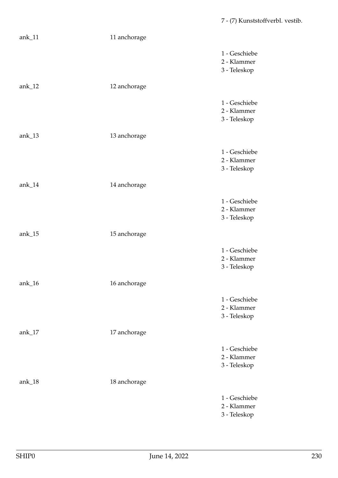| $ank_11$   | 11 anchorage |                                              |
|------------|--------------|----------------------------------------------|
|            |              | 1 - Geschiebe<br>2 - Klammer<br>3 - Teleskop |
| ank $_1$ 2 | 12 anchorage |                                              |
|            |              | 1 - Geschiebe<br>2 - Klammer<br>3 - Teleskop |
| ank $_1$ 3 | 13 anchorage |                                              |
|            |              | 1 - Geschiebe<br>2 - Klammer<br>3 - Teleskop |
| $ank_14$   | 14 anchorage |                                              |
|            |              | 1 - Geschiebe<br>2 - Klammer<br>3 - Teleskop |
| ank $_15$  | 15 anchorage |                                              |
|            |              | 1 - Geschiebe<br>2 - Klammer<br>3 - Teleskop |
| ank $_1$ 6 | 16 anchorage |                                              |
|            |              | 1 - Geschiebe<br>2 - Klammer<br>3 - Teleskop |
| ank $_1$ 7 | 17 anchorage |                                              |
|            |              | 1 - Geschiebe<br>2 - Klammer<br>3 - Teleskop |
| ank $_18$  | 18 anchorage |                                              |
|            |              | 1 - Geschiebe<br>2 - Klammer<br>3 - Teleskop |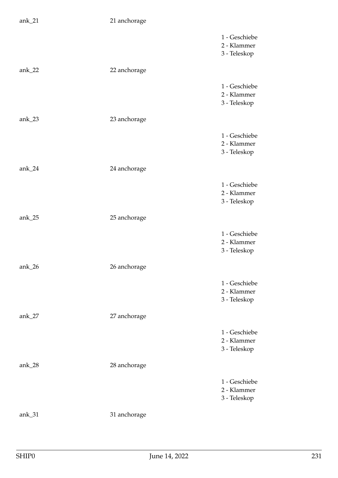| $ank_21$    | 21 anchorage |                                              |
|-------------|--------------|----------------------------------------------|
|             |              | 1 - Geschiebe<br>2 - Klammer<br>3 - Teleskop |
| ank $_2$ 22 | 22 anchorage |                                              |
|             |              | 1 - Geschiebe<br>2 - Klammer<br>3 - Teleskop |
| ank $_2$ 23 | 23 anchorage |                                              |
|             |              | 1 - Geschiebe<br>2 - Klammer<br>3 - Teleskop |
| $ank_24$    | 24 anchorage |                                              |
|             |              | 1 - Geschiebe<br>2 - Klammer<br>3 - Teleskop |
| ank $_2$ 5  | 25 anchorage |                                              |
|             |              | 1 - Geschiebe<br>2 - Klammer<br>3 - Teleskop |
| ank $_2$ 6  | 26 anchorage |                                              |
|             |              | 1 - Geschiebe<br>2 - Klammer<br>3 - Teleskop |
| ank $27$    | 27 anchorage |                                              |
|             |              | 1 - Geschiebe<br>2 - Klammer<br>3 - Teleskop |
| ank $28$    | 28 anchorage |                                              |
|             |              | 1 - Geschiebe<br>2 - Klammer<br>3 - Teleskop |
| ank $_31$   | 31 anchorage |                                              |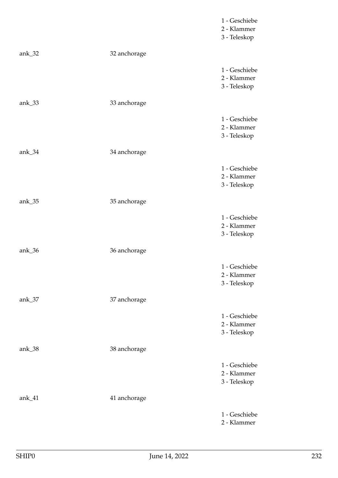|                      |              | 1 - Geschiebe<br>2 - Klammer<br>3 - Teleskop |
|----------------------|--------------|----------------------------------------------|
| ank $_32$            | 32 anchorage |                                              |
|                      |              | 1 - Geschiebe<br>2 - Klammer<br>3 - Teleskop |
| ank $_3$ 33          | 33 anchorage |                                              |
|                      |              | 1 - Geschiebe<br>2 - Klammer<br>3 - Teleskop |
| ank $_34$            | 34 anchorage |                                              |
|                      |              | 1 - Geschiebe<br>2 - Klammer<br>3 - Teleskop |
| ank $\_\frac{35}{3}$ | 35 anchorage |                                              |
|                      |              | 1 - Geschiebe<br>2 - Klammer<br>3 - Teleskop |
| ank $_3$ 6           | 36 anchorage |                                              |
|                      |              | 1 - Geschiebe<br>2 - Klammer<br>3 - Teleskop |
| ank $_37$            | 37 anchorage |                                              |
|                      |              | 1 - Geschiebe<br>2 - Klammer<br>3 - Teleskop |
| ank $_38$            | 38 anchorage |                                              |
|                      |              | 1 - Geschiebe<br>2 - Klammer<br>3 - Teleskop |
| ank $_41$            | 41 anchorage |                                              |
|                      |              | 1 - Geschiebe<br>2 - Klammer                 |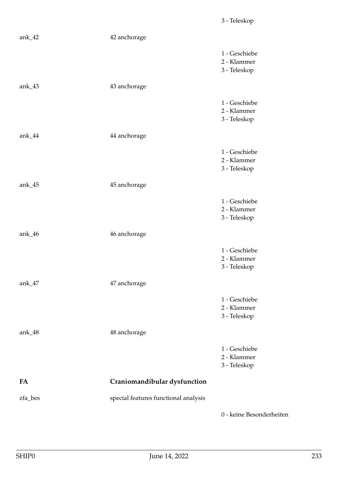| ank $_4$ 2           | 42 anchorage                         |                                              |
|----------------------|--------------------------------------|----------------------------------------------|
|                      |                                      | 1 - Geschiebe<br>2 - Klammer<br>3 - Teleskop |
| ank $\_\$ 43         | 43 anchorage                         |                                              |
|                      |                                      | 1 - Geschiebe<br>2 - Klammer<br>3 - Teleskop |
| ank $_4$ 44          | 44 anchorage                         |                                              |
|                      |                                      | 1 - Geschiebe<br>2 - Klammer<br>3 - Teleskop |
| ank $\_45$           | 45 anchorage                         |                                              |
|                      |                                      | 1 - Geschiebe<br>2 - Klammer<br>3 - Teleskop |
| ank_46               | 46 anchorage                         |                                              |
|                      |                                      | 1 - Geschiebe<br>2 - Klammer<br>3 - Teleskop |
| ank $\_\frac{47}{ }$ | 47 anchorage                         |                                              |
|                      |                                      | 1 - Geschiebe<br>2 - Klammer<br>3 - Teleskop |
| ank_48               | 48 anchorage                         |                                              |
|                      |                                      | 1 - Geschiebe<br>2 - Klammer<br>3 - Teleskop |
| FA                   | Craniomandibular dysfunction         |                                              |
| zfa_bes              | special features functional analysis |                                              |
|                      |                                      | 0 - keine Besonderheiten                     |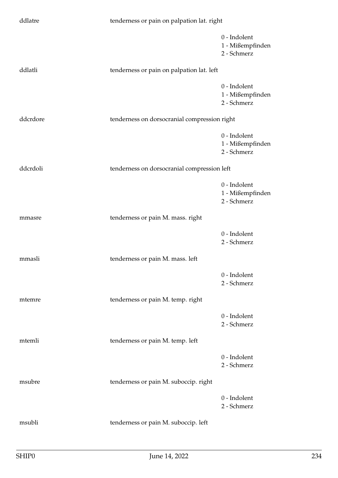| ddlatre  | tenderness or pain on palpation lat. right   |                                                 |
|----------|----------------------------------------------|-------------------------------------------------|
|          |                                              | 0 - Indolent<br>1 - Mißempfinden<br>2 - Schmerz |
| ddlatli  | tenderness or pain on palpation lat. left    |                                                 |
|          |                                              | 0 - Indolent<br>1 - Mißempfinden<br>2 - Schmerz |
| ddcrdore | tenderness on dorsocranial compression right |                                                 |
|          |                                              | 0 - Indolent<br>1 - Mißempfinden<br>2 - Schmerz |
| ddcrdoli | tenderness on dorsocranial compression left  |                                                 |
|          |                                              | 0 - Indolent<br>1 - Mißempfinden<br>2 - Schmerz |
| mmasre   | tenderness or pain M. mass. right            |                                                 |
|          |                                              | 0 - Indolent<br>2 - Schmerz                     |
| mmasli   | tenderness or pain M. mass. left             |                                                 |
|          |                                              | 0 - Indolent<br>2 - Schmerz                     |
| mtemre   | tenderness or pain M. temp. right            |                                                 |
|          |                                              | 0 - Indolent<br>2 - Schmerz                     |
| mtemli   | tenderness or pain M. temp. left             |                                                 |
|          |                                              | 0 - Indolent<br>2 - Schmerz                     |
| msubre   | tenderness or pain M. suboccip. right        |                                                 |
|          |                                              | 0 - Indolent<br>2 - Schmerz                     |
| msubli   | tenderness or pain M. suboccip. left         |                                                 |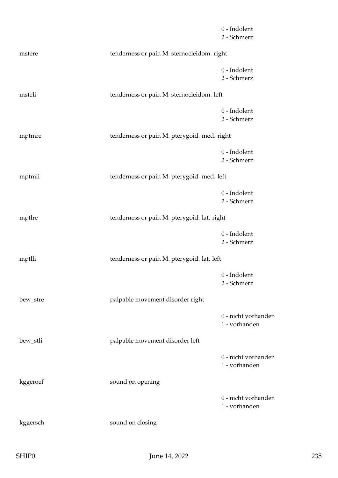|          |                                             | 0 - Indolent<br>2 - Schmerz          |
|----------|---------------------------------------------|--------------------------------------|
| mstere   | tenderness or pain M. sternocleidom. right  |                                      |
|          |                                             | 0 - Indolent<br>2 - Schmerz          |
| msteli   | tenderness or pain M. sternocleidom. left   |                                      |
|          |                                             | 0 - Indolent<br>2 - Schmerz          |
| mptmre   | tenderness or pain M. pterygoid. med. right |                                      |
|          |                                             | 0 - Indolent<br>2 - Schmerz          |
| mptmli   | tenderness or pain M. pterygoid. med. left  |                                      |
|          |                                             | $0$ - Indolent<br>2 - Schmerz        |
| mptlre   | tenderness or pain M. pterygoid. lat. right |                                      |
|          |                                             | 0 - Indolent<br>2 - Schmerz          |
| mptlli   | tenderness or pain M. pterygoid. lat. left  |                                      |
|          |                                             | 0 - Indolent<br>2 - Schmerz          |
| bew_stre | palpable movement disorder right            |                                      |
|          |                                             | 0 - nicht vorhanden<br>1 - vorhanden |
| bew_stli | palpable movement disorder left             |                                      |
|          |                                             | 0 - nicht vorhanden<br>1 - vorhanden |
| kggeroef | sound on opening                            |                                      |
|          |                                             | 0 - nicht vorhanden<br>1 - vorhanden |
| kggersch | sound on closing                            |                                      |
|          |                                             |                                      |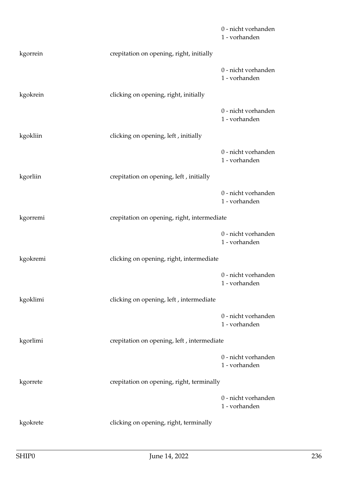|          |                                             | 0 - nicht vorhanden<br>1 - vorhanden |
|----------|---------------------------------------------|--------------------------------------|
| kgorrein | crepitation on opening, right, initially    |                                      |
|          |                                             | 0 - nicht vorhanden<br>1 - vorhanden |
| kgokrein | clicking on opening, right, initially       |                                      |
|          |                                             | 0 - nicht vorhanden<br>1 - vorhanden |
| kgokliin | clicking on opening, left, initially        |                                      |
|          |                                             | 0 - nicht vorhanden<br>1 - vorhanden |
| kgorliin | crepitation on opening, left, initially     |                                      |
|          |                                             | 0 - nicht vorhanden<br>1 - vorhanden |
| kgorremi | crepitation on opening, right, intermediate |                                      |
|          |                                             | 0 - nicht vorhanden<br>1 - vorhanden |
| kgokremi | clicking on opening, right, intermediate    |                                      |
|          |                                             | 0 - nicht vorhanden<br>1 - vorhanden |
| kgoklimi | clicking on opening, left, intermediate     |                                      |
|          |                                             | 0 - nicht vorhanden<br>1 - vorhanden |
| kgorlimi | crepitation on opening, left, intermediate  |                                      |
|          |                                             | 0 - nicht vorhanden<br>1 - vorhanden |
| kgorrete | crepitation on opening, right, terminally   |                                      |
|          |                                             | 0 - nicht vorhanden<br>1 - vorhanden |
| kgokrete | clicking on opening, right, terminally      |                                      |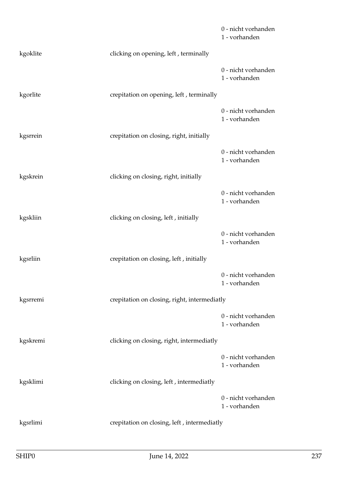|          |                                              | 0 - nicht vorhanden<br>1 - vorhanden |
|----------|----------------------------------------------|--------------------------------------|
| kgoklite | clicking on opening, left, terminally        |                                      |
|          |                                              | 0 - nicht vorhanden<br>1 - vorhanden |
| kgorlite | crepitation on opening, left, terminally     |                                      |
|          |                                              | 0 - nicht vorhanden<br>1 - vorhanden |
| kgsrrein | crepitation on closing, right, initially     |                                      |
|          |                                              | 0 - nicht vorhanden<br>1 - vorhanden |
| kgskrein | clicking on closing, right, initially        |                                      |
|          |                                              | 0 - nicht vorhanden<br>1 - vorhanden |
| kgskliin | clicking on closing, left, initially         |                                      |
|          |                                              | 0 - nicht vorhanden<br>1 - vorhanden |
| kgsrliin | crepitation on closing, left, initially      |                                      |
|          |                                              | 0 - nicht vorhanden<br>1 - vorhanden |
| kgsrremi | crepitation on closing, right, intermediatly |                                      |
|          |                                              | 0 - nicht vorhanden<br>1 - vorhanden |
| kgskremi | clicking on closing, right, intermediatly    |                                      |
|          |                                              | 0 - nicht vorhanden<br>1 - vorhanden |
| kgsklimi | clicking on closing, left, intermediatly     |                                      |
|          |                                              | 0 - nicht vorhanden<br>1 - vorhanden |
| kgsrlimi | crepitation on closing, left, intermediatly  |                                      |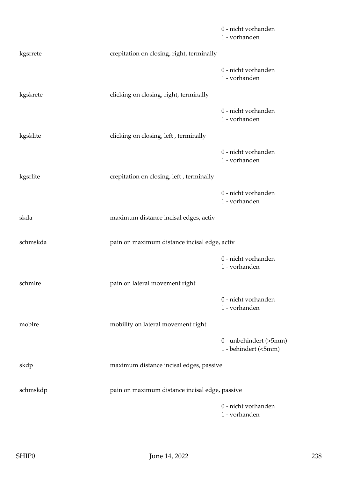|          |                                                | 0 - nicht vorhanden<br>1 - vorhanden           |
|----------|------------------------------------------------|------------------------------------------------|
| kgsrrete | crepitation on closing, right, terminally      |                                                |
|          |                                                | 0 - nicht vorhanden<br>1 - vorhanden           |
| kgskrete | clicking on closing, right, terminally         |                                                |
|          |                                                | 0 - nicht vorhanden<br>1 - vorhanden           |
| kgsklite | clicking on closing, left, terminally          |                                                |
|          |                                                | 0 - nicht vorhanden<br>1 - vorhanden           |
| kgsrlite | crepitation on closing, left, terminally       |                                                |
|          |                                                | 0 - nicht vorhanden<br>1 - vorhanden           |
| skda     | maximum distance incisal edges, activ          |                                                |
| schmskda | pain on maximum distance incisal edge, activ   |                                                |
|          |                                                | 0 - nicht vorhanden<br>1 - vorhanden           |
| schmlre  | pain on lateral movement right                 |                                                |
|          |                                                | 0 - nicht vorhanden<br>1 - vorhanden           |
| moblre   | mobility on lateral movement right             |                                                |
|          |                                                | 0 - unbehindert (>5mm)<br>1 - behindert (<5mm) |
| skdp     | maximum distance incisal edges, passive        |                                                |
| schmskdp | pain on maximum distance incisal edge, passive |                                                |
|          |                                                | 0 - nicht vorhanden<br>1 - vorhanden           |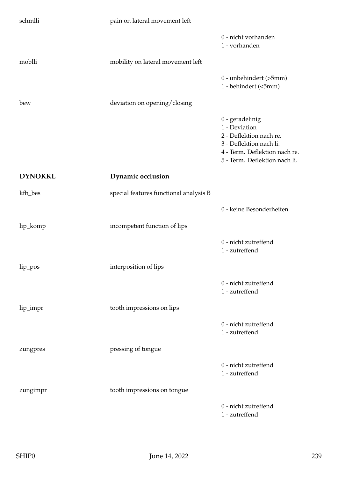| schmlli        | pain on lateral movement left          |                                                                                                                                                            |
|----------------|----------------------------------------|------------------------------------------------------------------------------------------------------------------------------------------------------------|
|                |                                        | 0 - nicht vorhanden<br>1 - vorhanden                                                                                                                       |
| moblli         | mobility on lateral movement left      |                                                                                                                                                            |
|                |                                        | 0 - unbehindert (>5mm)<br>1 - behindert (<5mm)                                                                                                             |
| bew            | deviation on opening/closing           |                                                                                                                                                            |
|                |                                        | $0$ - geradelinig<br>1 - Deviation<br>2 - Deflektion nach re.<br>3 - Deflektion nach li.<br>4 - Term. Deflektion nach re.<br>5 - Term. Deflektion nach li. |
| <b>DYNOKKL</b> | Dynamic occlusion                      |                                                                                                                                                            |
| kfb_bes        | special features functional analysis B |                                                                                                                                                            |
|                |                                        | 0 - keine Besonderheiten                                                                                                                                   |
| lip_komp       | incompetent function of lips           |                                                                                                                                                            |
|                |                                        | 0 - nicht zutreffend<br>1 - zutreffend                                                                                                                     |
| lip_pos        | interposition of lips                  |                                                                                                                                                            |
|                |                                        | 0 - nicht zutreffend<br>1 - zutreffend                                                                                                                     |
| lip_impr       | tooth impressions on lips              |                                                                                                                                                            |
|                |                                        | 0 - nicht zutreffend<br>1 - zutreffend                                                                                                                     |
| zungpres       | pressing of tongue                     |                                                                                                                                                            |
|                |                                        | 0 - nicht zutreffend<br>1 - zutreffend                                                                                                                     |
| zungimpr       | tooth impressions on tongue            |                                                                                                                                                            |
|                |                                        | 0 - nicht zutreffend<br>1 - zutreffend                                                                                                                     |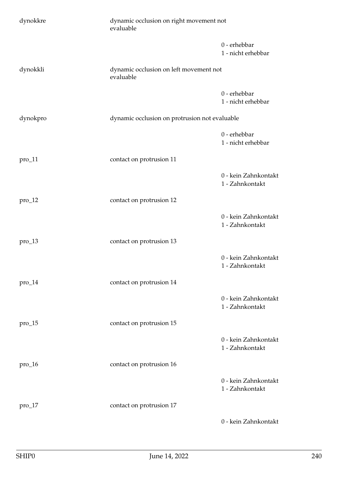| dynokkre   | dynamic occlusion on right movement not<br>evaluable |                                         |
|------------|------------------------------------------------------|-----------------------------------------|
|            |                                                      | $0$ - erhebbar<br>1 - nicht erhebbar    |
| dynokkli   | dynamic occlusion on left movement not<br>evaluable  |                                         |
|            |                                                      | 0 - erhebbar<br>1 - nicht erhebbar      |
| dynokpro   | dynamic occlusion on protrusion not evaluable        |                                         |
|            |                                                      | $0$ - erhebbar<br>1 - nicht erhebbar    |
| $pro\_11$  | contact on protrusion 11                             |                                         |
|            |                                                      | 0 - kein Zahnkontakt<br>1 - Zahnkontakt |
| $pro_12$   | contact on protrusion 12                             |                                         |
|            |                                                      | 0 - kein Zahnkontakt<br>1 - Zahnkontakt |
| $pro_13$   | contact on protrusion 13                             |                                         |
|            |                                                      | 0 - kein Zahnkontakt<br>1 - Zahnkontakt |
| $pro\_14$  | contact on protrusion 14                             |                                         |
|            |                                                      | 0 - kein Zahnkontakt<br>1 - Zahnkontakt |
| $pro\_15$  | contact on protrusion 15                             |                                         |
|            |                                                      | 0 - kein Zahnkontakt<br>1 - Zahnkontakt |
| $pro_1 16$ | contact on protrusion 16                             |                                         |
|            |                                                      | 0 - kein Zahnkontakt<br>1 - Zahnkontakt |
| $pro_17$   | contact on protrusion 17                             |                                         |
|            |                                                      | 0 - kein Zahnkontakt                    |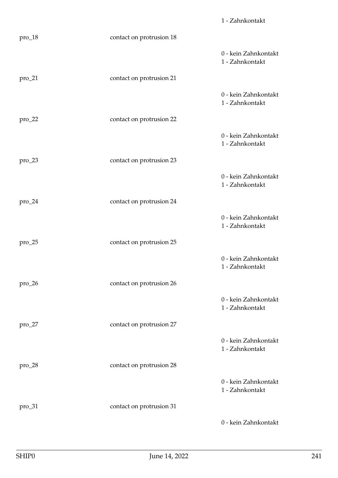|           |                          | 1 - Zahnkontakt                         |
|-----------|--------------------------|-----------------------------------------|
| pro_18    | contact on protrusion 18 |                                         |
|           |                          | 0 - kein Zahnkontakt<br>1 - Zahnkontakt |
| pro_21    | contact on protrusion 21 |                                         |
|           |                          | 0 - kein Zahnkontakt<br>1 - Zahnkontakt |
| $pro_222$ | contact on protrusion 22 |                                         |
|           |                          | 0 - kein Zahnkontakt<br>1 - Zahnkontakt |
| $pro\_23$ | contact on protrusion 23 |                                         |
|           |                          | 0 - kein Zahnkontakt<br>1 - Zahnkontakt |
| pro_24    | contact on protrusion 24 |                                         |
|           |                          | 0 - kein Zahnkontakt<br>1 - Zahnkontakt |
| $pro\_25$ | contact on protrusion 25 |                                         |
|           |                          | 0 - kein Zahnkontakt<br>1 - Zahnkontakt |
| $pro\_26$ | contact on protrusion 26 |                                         |
|           |                          | 0 - kein Zahnkontakt<br>1 - Zahnkontakt |
| $pro_227$ | contact on protrusion 27 |                                         |
|           |                          | 0 - kein Zahnkontakt<br>1 - Zahnkontakt |
| $pro_228$ | contact on protrusion 28 |                                         |
|           |                          | 0 - kein Zahnkontakt<br>1 - Zahnkontakt |
| $pro\_31$ | contact on protrusion 31 |                                         |
|           |                          | 0 - kein Zahnkontakt                    |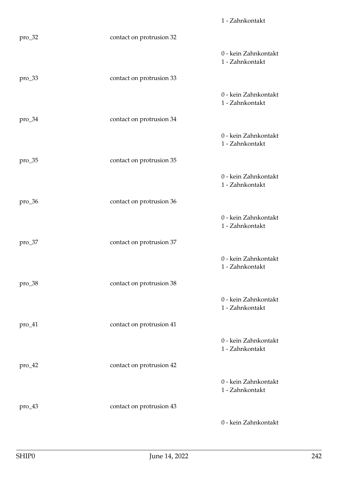|           |                          | 1 - Zahnkontakt                         |
|-----------|--------------------------|-----------------------------------------|
| pro_32    | contact on protrusion 32 |                                         |
|           |                          | 0 - kein Zahnkontakt<br>1 - Zahnkontakt |
| pro_33    | contact on protrusion 33 |                                         |
|           |                          | 0 - kein Zahnkontakt<br>1 - Zahnkontakt |
| $pro\_34$ | contact on protrusion 34 |                                         |
|           |                          | 0 - kein Zahnkontakt<br>1 - Zahnkontakt |
| $pro\_35$ | contact on protrusion 35 |                                         |
|           |                          | 0 - kein Zahnkontakt<br>1 - Zahnkontakt |
| $pro\_36$ | contact on protrusion 36 |                                         |
|           |                          | 0 - kein Zahnkontakt<br>1 - Zahnkontakt |
| pro_37    | contact on protrusion 37 |                                         |
|           |                          | 0 - kein Zahnkontakt<br>1 - Zahnkontakt |
| $pro\_38$ | contact on protrusion 38 |                                         |
|           |                          | 0 - kein Zahnkontakt<br>1 - Zahnkontakt |
| $pro\_41$ | contact on protrusion 41 |                                         |
|           |                          | 0 - kein Zahnkontakt<br>1 - Zahnkontakt |
| $pro\_42$ | contact on protrusion 42 |                                         |
|           |                          | 0 - kein Zahnkontakt<br>1 - Zahnkontakt |
| $pro\_43$ | contact on protrusion 43 |                                         |
|           |                          | 0 - kein Zahnkontakt                    |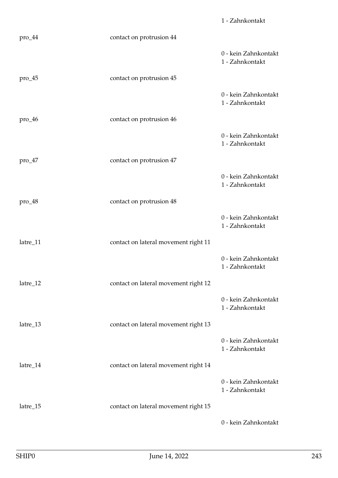|           |                                      | 1 - Zahnkontakt                         |
|-----------|--------------------------------------|-----------------------------------------|
| $pro\_44$ | contact on protrusion 44             |                                         |
|           |                                      | 0 - kein Zahnkontakt<br>1 - Zahnkontakt |
| $pro\_45$ | contact on protrusion 45             |                                         |
|           |                                      | 0 - kein Zahnkontakt<br>1 - Zahnkontakt |
| $pro\_46$ | contact on protrusion 46             |                                         |
|           |                                      | 0 - kein Zahnkontakt<br>1 - Zahnkontakt |
| $pro\_47$ | contact on protrusion 47             |                                         |
|           |                                      | 0 - kein Zahnkontakt<br>1 - Zahnkontakt |
| $pro_48$  | contact on protrusion 48             |                                         |
|           |                                      | 0 - kein Zahnkontakt<br>1 - Zahnkontakt |
| latre_11  | contact on lateral movement right 11 |                                         |
|           |                                      | 0 - kein Zahnkontakt<br>1 - Zahnkontakt |
| latre_12  | contact on lateral movement right 12 |                                         |
|           |                                      | 0 - kein Zahnkontakt<br>1 - Zahnkontakt |
| latre_13  | contact on lateral movement right 13 |                                         |
|           |                                      | 0 - kein Zahnkontakt<br>1 - Zahnkontakt |
| latre_14  | contact on lateral movement right 14 |                                         |
|           |                                      | 0 - kein Zahnkontakt<br>1 - Zahnkontakt |
| latre_15  | contact on lateral movement right 15 |                                         |
|           |                                      | 0 - kein Zahnkontakt                    |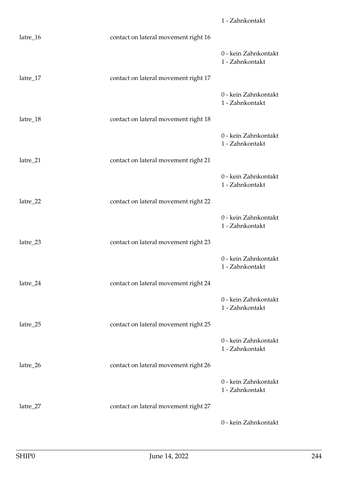|            |                                      | 1 - Zahnkontakt                         |
|------------|--------------------------------------|-----------------------------------------|
| latre_16   | contact on lateral movement right 16 |                                         |
|            |                                      | 0 - kein Zahnkontakt<br>1 - Zahnkontakt |
| $latre_17$ | contact on lateral movement right 17 |                                         |
|            |                                      | 0 - kein Zahnkontakt<br>1 - Zahnkontakt |
| latre_18   | contact on lateral movement right 18 |                                         |
|            |                                      | 0 - kein Zahnkontakt<br>1 - Zahnkontakt |
| latre_21   | contact on lateral movement right 21 |                                         |
|            |                                      | 0 - kein Zahnkontakt<br>1 - Zahnkontakt |
| latre_22   | contact on lateral movement right 22 |                                         |
|            |                                      | 0 - kein Zahnkontakt<br>1 - Zahnkontakt |
| latre_23   | contact on lateral movement right 23 |                                         |
|            |                                      | 0 - kein Zahnkontakt<br>1 - Zahnkontakt |
| latre_24   | contact on lateral movement right 24 |                                         |
|            |                                      | 0 - kein Zahnkontakt<br>1 - Zahnkontakt |
| latre_25   | contact on lateral movement right 25 |                                         |
|            |                                      | 0 - kein Zahnkontakt<br>1 - Zahnkontakt |
| latre_26   | contact on lateral movement right 26 |                                         |
|            |                                      | 0 - kein Zahnkontakt<br>1 - Zahnkontakt |
| latre_27   | contact on lateral movement right 27 |                                         |
|            |                                      | 0 - kein Zahnkontakt                    |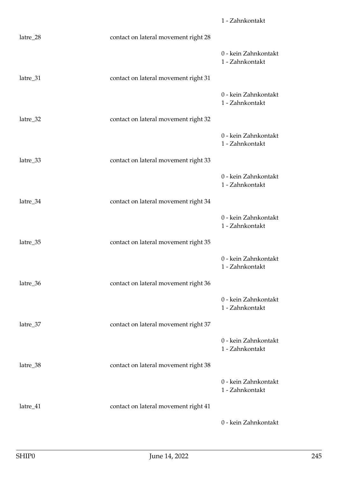|          |                                      | 1 - Zahnkontakt                         |
|----------|--------------------------------------|-----------------------------------------|
| latre_28 | contact on lateral movement right 28 |                                         |
|          |                                      | 0 - kein Zahnkontakt<br>1 - Zahnkontakt |
| latre_31 | contact on lateral movement right 31 |                                         |
|          |                                      | 0 - kein Zahnkontakt<br>1 - Zahnkontakt |
| latre_32 | contact on lateral movement right 32 |                                         |
|          |                                      | 0 - kein Zahnkontakt<br>1 - Zahnkontakt |
| latre_33 | contact on lateral movement right 33 |                                         |
|          |                                      | 0 - kein Zahnkontakt<br>1 - Zahnkontakt |
| latre_34 | contact on lateral movement right 34 |                                         |
|          |                                      | 0 - kein Zahnkontakt<br>1 - Zahnkontakt |
| latre_35 | contact on lateral movement right 35 |                                         |
|          |                                      | 0 - kein Zahnkontakt<br>1 - Zahnkontakt |
| latre_36 | contact on lateral movement right 36 |                                         |
|          |                                      | 0 - kein Zahnkontakt<br>1 - Zahnkontakt |
| latre_37 | contact on lateral movement right 37 |                                         |
|          |                                      | 0 - kein Zahnkontakt<br>1 - Zahnkontakt |
| latre_38 | contact on lateral movement right 38 |                                         |
|          |                                      | 0 - kein Zahnkontakt<br>1 - Zahnkontakt |
| latre_41 | contact on lateral movement right 41 |                                         |
|          |                                      | 0 - kein Zahnkontakt                    |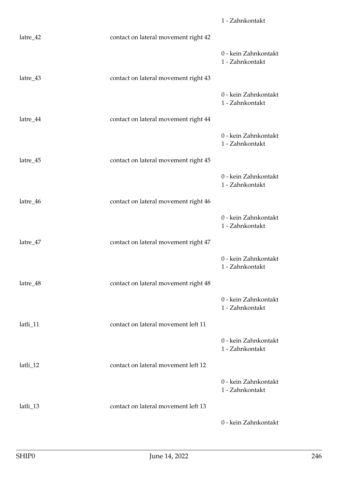|          |                                      | 1 - Zahnkontakt                         |
|----------|--------------------------------------|-----------------------------------------|
| latre_42 | contact on lateral movement right 42 |                                         |
|          |                                      | 0 - kein Zahnkontakt<br>1 - Zahnkontakt |
| latre_43 | contact on lateral movement right 43 |                                         |
|          |                                      | 0 - kein Zahnkontakt<br>1 - Zahnkontakt |
| latre_44 | contact on lateral movement right 44 |                                         |
|          |                                      | 0 - kein Zahnkontakt<br>1 - Zahnkontakt |
| latre_45 | contact on lateral movement right 45 |                                         |
|          |                                      | 0 - kein Zahnkontakt<br>1 - Zahnkontakt |
| latre_46 | contact on lateral movement right 46 |                                         |
|          |                                      | 0 - kein Zahnkontakt<br>1 - Zahnkontakt |
| latre_47 | contact on lateral movement right 47 |                                         |
|          |                                      | 0 - kein Zahnkontakt<br>1 - Zahnkontakt |
| latre_48 | contact on lateral movement right 48 |                                         |
|          |                                      | 0 - kein Zahnkontakt<br>1 - Zahnkontakt |
| latli_11 | contact on lateral movement left 11  |                                         |
|          |                                      | 0 - kein Zahnkontakt<br>1 - Zahnkontakt |
| latli_12 | contact on lateral movement left 12  |                                         |
|          |                                      | 0 - kein Zahnkontakt<br>1 - Zahnkontakt |
| latli_13 | contact on lateral movement left 13  |                                         |
|          |                                      | 0 - kein Zahnkontakt                    |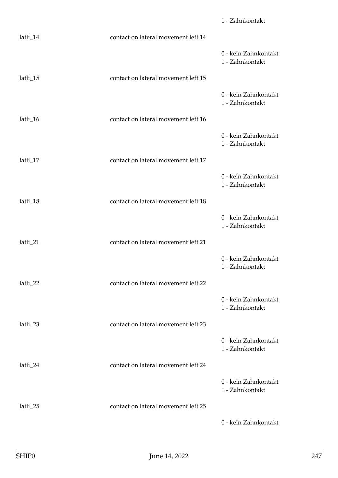|          |                                     | 1 - Zahnkontakt                         |
|----------|-------------------------------------|-----------------------------------------|
| latli_14 | contact on lateral movement left 14 |                                         |
|          |                                     | 0 - kein Zahnkontakt<br>1 - Zahnkontakt |
| latli_15 | contact on lateral movement left 15 |                                         |
|          |                                     | 0 - kein Zahnkontakt<br>1 - Zahnkontakt |
| latli_16 | contact on lateral movement left 16 |                                         |
|          |                                     | 0 - kein Zahnkontakt<br>1 - Zahnkontakt |
| latli_17 | contact on lateral movement left 17 |                                         |
|          |                                     | 0 - kein Zahnkontakt<br>1 - Zahnkontakt |
| latli_18 | contact on lateral movement left 18 |                                         |
|          |                                     | 0 - kein Zahnkontakt<br>1 - Zahnkontakt |
| latli_21 | contact on lateral movement left 21 |                                         |
|          |                                     | 0 - kein Zahnkontakt<br>1 - Zahnkontakt |
| latli_22 | contact on lateral movement left 22 |                                         |
|          |                                     | 0 - kein Zahnkontakt<br>1 - Zahnkontakt |
| latli_23 | contact on lateral movement left 23 |                                         |
|          |                                     | 0 - kein Zahnkontakt<br>1 - Zahnkontakt |
| latli_24 | contact on lateral movement left 24 |                                         |
|          |                                     | 0 - kein Zahnkontakt<br>1 - Zahnkontakt |
| latli_25 | contact on lateral movement left 25 |                                         |
|          |                                     | 0 - kein Zahnkontakt                    |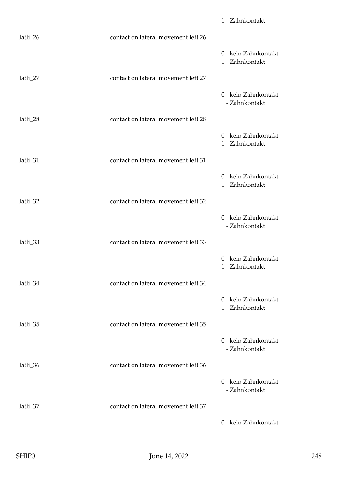|          |                                     | 1 - Zahnkontakt                         |
|----------|-------------------------------------|-----------------------------------------|
| latli_26 | contact on lateral movement left 26 |                                         |
|          |                                     | 0 - kein Zahnkontakt<br>1 - Zahnkontakt |
| latli_27 | contact on lateral movement left 27 |                                         |
|          |                                     | 0 - kein Zahnkontakt<br>1 - Zahnkontakt |
| latli_28 | contact on lateral movement left 28 |                                         |
|          |                                     | 0 - kein Zahnkontakt<br>1 - Zahnkontakt |
| latli_31 | contact on lateral movement left 31 |                                         |
|          |                                     | 0 - kein Zahnkontakt<br>1 - Zahnkontakt |
| latli_32 | contact on lateral movement left 32 |                                         |
|          |                                     | 0 - kein Zahnkontakt<br>1 - Zahnkontakt |
| latli_33 | contact on lateral movement left 33 |                                         |
|          |                                     | 0 - kein Zahnkontakt<br>1 - Zahnkontakt |
| latli_34 | contact on lateral movement left 34 |                                         |
|          |                                     | 0 - kein Zahnkontakt<br>1 - Zahnkontakt |
| latli_35 | contact on lateral movement left 35 |                                         |
|          |                                     | 0 - kein Zahnkontakt<br>1 - Zahnkontakt |
| latli_36 | contact on lateral movement left 36 |                                         |
|          |                                     | 0 - kein Zahnkontakt<br>1 - Zahnkontakt |
| latli_37 | contact on lateral movement left 37 |                                         |
|          |                                     | 0 - kein Zahnkontakt                    |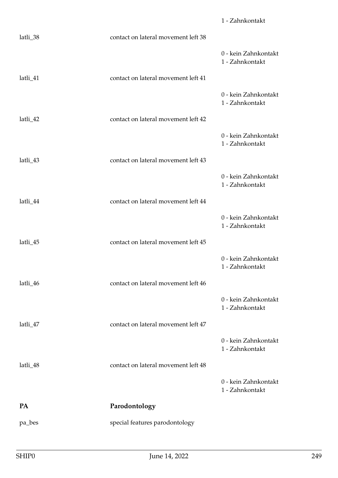|          |                                     | 1 - Zahnkontakt                         |
|----------|-------------------------------------|-----------------------------------------|
| latli_38 | contact on lateral movement left 38 |                                         |
|          |                                     | 0 - kein Zahnkontakt<br>1 - Zahnkontakt |
| latli_41 | contact on lateral movement left 41 |                                         |
|          |                                     | 0 - kein Zahnkontakt<br>1 - Zahnkontakt |
| latli_42 | contact on lateral movement left 42 |                                         |
|          |                                     | 0 - kein Zahnkontakt<br>1 - Zahnkontakt |
| latli_43 | contact on lateral movement left 43 |                                         |
|          |                                     | 0 - kein Zahnkontakt<br>1 - Zahnkontakt |
| latli_44 | contact on lateral movement left 44 |                                         |
|          |                                     | 0 - kein Zahnkontakt<br>1 - Zahnkontakt |
| latli_45 | contact on lateral movement left 45 |                                         |
|          |                                     | 0 - kein Zahnkontakt<br>1 - Zahnkontakt |
| latli_46 | contact on lateral movement left 46 |                                         |
|          |                                     | 0 - kein Zahnkontakt<br>1 - Zahnkontakt |
| latli_47 | contact on lateral movement left 47 |                                         |
|          |                                     | 0 - kein Zahnkontakt<br>1 - Zahnkontakt |
| latli_48 | contact on lateral movement left 48 |                                         |
|          |                                     | 0 - kein Zahnkontakt<br>1 - Zahnkontakt |
| PA       | Parodontology                       |                                         |
| pa_bes   | special features parodontology      |                                         |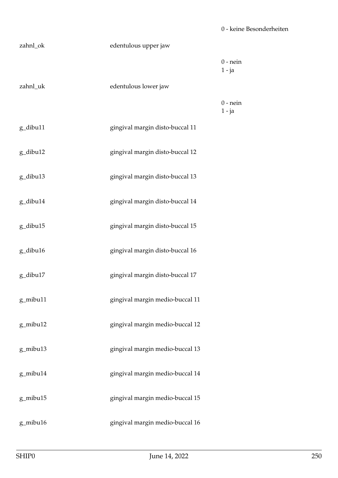| zahnl_ok | edentulous upper jaw            |                        |
|----------|---------------------------------|------------------------|
|          |                                 | $0$ - nein<br>$1 - ja$ |
| zahnl_uk | edentulous lower jaw            |                        |
|          |                                 | $0$ - nein<br>$1 - ja$ |
| g_dibu11 | gingival margin disto-buccal 11 |                        |
| g_dibu12 | gingival margin disto-buccal 12 |                        |
| g_dibu13 | gingival margin disto-buccal 13 |                        |
| g_dibu14 | gingival margin disto-buccal 14 |                        |
| g_dibu15 | gingival margin disto-buccal 15 |                        |
| g_dibu16 | gingival margin disto-buccal 16 |                        |
| g_dibu17 | gingival margin disto-buccal 17 |                        |
| g_mibu11 | gingival margin medio-buccal 11 |                        |
| g_mibu12 | gingival margin medio-buccal 12 |                        |
| g_mibu13 | gingival margin medio-buccal 13 |                        |
| g_mibu14 | gingival margin medio-buccal 14 |                        |
| g_mibu15 | gingival margin medio-buccal 15 |                        |
| g_mibu16 | gingival margin medio-buccal 16 |                        |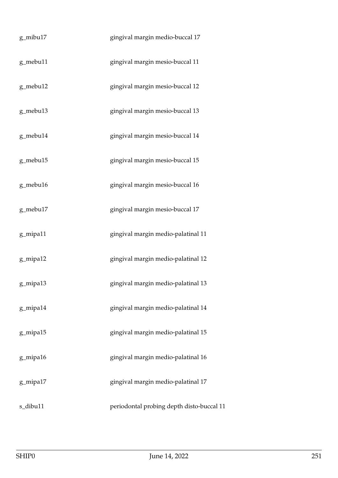| g_mibu17 | gingival margin medio-buccal 17           |
|----------|-------------------------------------------|
| g_mebu11 | gingival margin mesio-buccal 11           |
| g_mebu12 | gingival margin mesio-buccal 12           |
| g_mebu13 | gingival margin mesio-buccal 13           |
| g_mebu14 | gingival margin mesio-buccal 14           |
| g_mebu15 | gingival margin mesio-buccal 15           |
| g_mebu16 | gingival margin mesio-buccal 16           |
| g_mebu17 | gingival margin mesio-buccal 17           |
| g_mipa11 | gingival margin medio-palatinal 11        |
| g_mipa12 | gingival margin medio-palatinal 12        |
| g_mipa13 | gingival margin medio-palatinal 13        |
| g_mipa14 | gingival margin medio-palatinal 14        |
| g_mipa15 | gingival margin medio-palatinal 15        |
| g_mipa16 | gingival margin medio-palatinal 16        |
| g_mipa17 | gingival margin medio-palatinal 17        |
| s_dibu11 | periodontal probing depth disto-buccal 11 |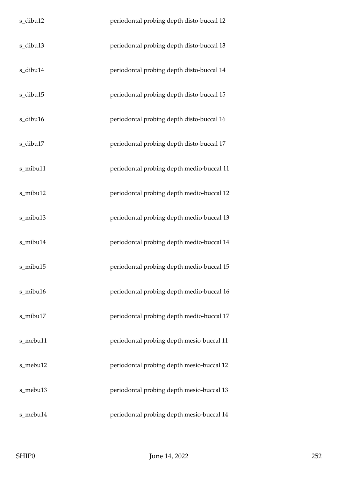| s_dibu12 | periodontal probing depth disto-buccal 12 |
|----------|-------------------------------------------|
| s_dibu13 | periodontal probing depth disto-buccal 13 |
| s_dibu14 | periodontal probing depth disto-buccal 14 |
| s_dibu15 | periodontal probing depth disto-buccal 15 |
| s_dibu16 | periodontal probing depth disto-buccal 16 |
| s_dibu17 | periodontal probing depth disto-buccal 17 |
| s_mibu11 | periodontal probing depth medio-buccal 11 |
| s_mibu12 | periodontal probing depth medio-buccal 12 |
| s_mibu13 | periodontal probing depth medio-buccal 13 |
| s_mibu14 | periodontal probing depth medio-buccal 14 |
| s_mibu15 | periodontal probing depth medio-buccal 15 |
| s_mibu16 | periodontal probing depth medio-buccal 16 |
| s_mibu17 | periodontal probing depth medio-buccal 17 |
| s_mebu11 | periodontal probing depth mesio-buccal 11 |
| s_mebu12 | periodontal probing depth mesio-buccal 12 |
| s_mebu13 | periodontal probing depth mesio-buccal 13 |
| s_mebu14 | periodontal probing depth mesio-buccal 14 |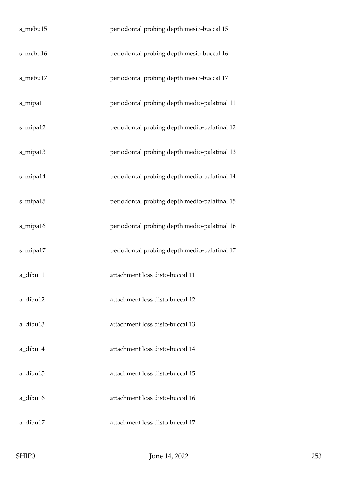| s_mebu15 | periodontal probing depth mesio-buccal 15    |
|----------|----------------------------------------------|
| s_mebu16 | periodontal probing depth mesio-buccal 16    |
| s_mebu17 | periodontal probing depth mesio-buccal 17    |
| s_mipa11 | periodontal probing depth medio-palatinal 11 |
| s_mipa12 | periodontal probing depth medio-palatinal 12 |
| s_mipa13 | periodontal probing depth medio-palatinal 13 |
| s_mipa14 | periodontal probing depth medio-palatinal 14 |
| s_mipa15 | periodontal probing depth medio-palatinal 15 |
| s_mipa16 | periodontal probing depth medio-palatinal 16 |
| s_mipa17 | periodontal probing depth medio-palatinal 17 |
| a_dibu11 | attachment loss disto-buccal 11              |
| a dibu12 | attachment loss disto-buccal 12              |
| a_dibu13 | attachment loss disto-buccal 13              |
| a_dibu14 | attachment loss disto-buccal 14              |
| a_dibu15 | attachment loss disto-buccal 15              |
| a_dibu16 | attachment loss disto-buccal 16              |
| a_dibu17 | attachment loss disto-buccal 17              |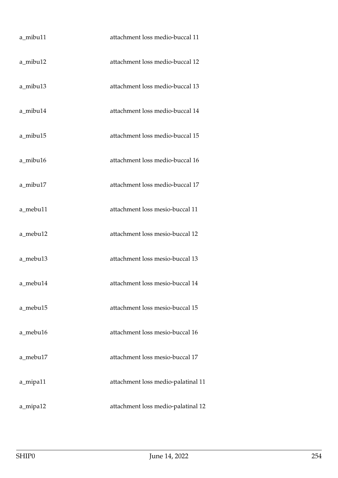| a_mibu11 | attachment loss medio-buccal 11    |
|----------|------------------------------------|
| a_mibu12 | attachment loss medio-buccal 12    |
| a_mibu13 | attachment loss medio-buccal 13    |
| a_mibu14 | attachment loss medio-buccal 14    |
| a_mibu15 | attachment loss medio-buccal 15    |
| a_mibu16 | attachment loss medio-buccal 16    |
| a_mibu17 | attachment loss medio-buccal 17    |
| a_mebu11 | attachment loss mesio-buccal 11    |
| a_mebu12 | attachment loss mesio-buccal 12    |
| a_mebu13 | attachment loss mesio-buccal 13    |
| a_mebu14 | attachment loss mesio-buccal 14    |
| a_mebu15 | attachment loss mesio-buccal 15    |
| a_mebu16 | attachment loss mesio-buccal 16    |
| a_mebu17 | attachment loss mesio-buccal 17    |
| a_mipa11 | attachment loss medio-palatinal 11 |
| a_mipa12 | attachment loss medio-palatinal 12 |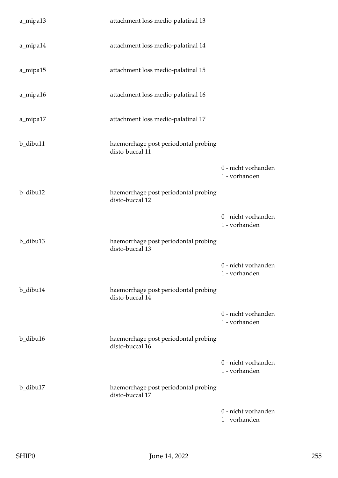| a_mipa13 | attachment loss medio-palatinal 13                      |                                      |
|----------|---------------------------------------------------------|--------------------------------------|
| a_mipa14 | attachment loss medio-palatinal 14                      |                                      |
| a_mipa15 | attachment loss medio-palatinal 15                      |                                      |
| a_mipa16 | attachment loss medio-palatinal 16                      |                                      |
| a_mipa17 | attachment loss medio-palatinal 17                      |                                      |
| b_dibu11 | haemorrhage post periodontal probing<br>disto-buccal 11 |                                      |
|          |                                                         | 0 - nicht vorhanden<br>1 - vorhanden |
| b_dibu12 | haemorrhage post periodontal probing<br>disto-buccal 12 |                                      |
|          |                                                         | 0 - nicht vorhanden<br>1 - vorhanden |
| b_dibu13 | haemorrhage post periodontal probing<br>disto-buccal 13 |                                      |
|          |                                                         | 0 - nicht vorhanden<br>1 - vorhanden |
| b_dibu14 | haemorrhage post periodontal probing<br>disto-buccal 14 |                                      |
|          |                                                         | 0 - nicht vorhanden<br>1 - vorhanden |
| b_dibu16 | haemorrhage post periodontal probing<br>disto-buccal 16 |                                      |
|          |                                                         | 0 - nicht vorhanden<br>1 - vorhanden |
| b_dibu17 | haemorrhage post periodontal probing<br>disto-buccal 17 |                                      |
|          |                                                         | 0 - nicht vorhanden<br>1 - vorhanden |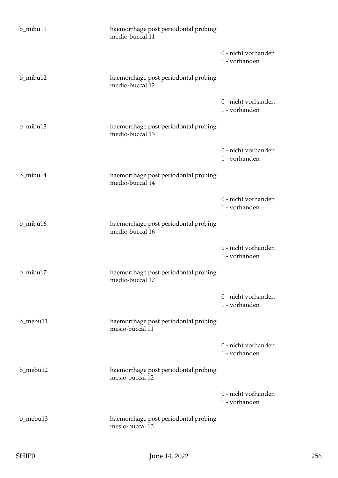| b_mibu11 | haemorrhage post periodontal probing<br>medio-buccal 11 |                                      |
|----------|---------------------------------------------------------|--------------------------------------|
|          |                                                         | 0 - nicht vorhanden<br>1 - vorhanden |
| b_mibu12 | haemorrhage post periodontal probing<br>medio-buccal 12 |                                      |
|          |                                                         | 0 - nicht vorhanden<br>1 - vorhanden |
| b_mibu13 | haemorrhage post periodontal probing<br>medio-buccal 13 |                                      |
|          |                                                         | 0 - nicht vorhanden<br>1 - vorhanden |
| b_mibu14 | haemorrhage post periodontal probing<br>medio-buccal 14 |                                      |
|          |                                                         | 0 - nicht vorhanden<br>1 - vorhanden |
| b_mibu16 | haemorrhage post periodontal probing<br>medio-buccal 16 |                                      |
|          |                                                         | 0 - nicht vorhanden<br>1 - vorhanden |
| b_mibu17 | haemorrhage post periodontal probing<br>medio-buccal 17 |                                      |
|          |                                                         | 0 - nicht vorhanden<br>1 - vorhanden |
| b mebu11 | haemorrhage post periodontal probing<br>mesio-buccal 11 |                                      |
|          |                                                         | 0 - nicht vorhanden<br>1 - vorhanden |
| b_mebu12 | haemorrhage post periodontal probing<br>mesio-buccal 12 |                                      |
|          |                                                         | 0 - nicht vorhanden<br>1 - vorhanden |
| b_mebu13 | haemorrhage post periodontal probing<br>mesio-buccal 13 |                                      |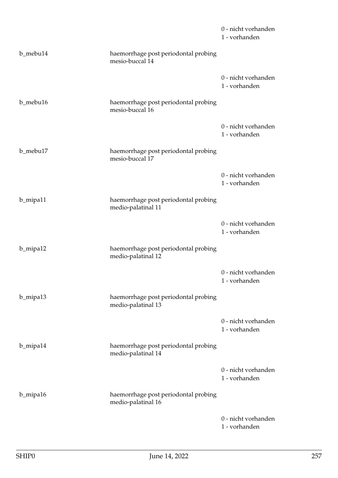|          |                                                            | 0 - nicht vorhanden<br>1 - vorhanden |
|----------|------------------------------------------------------------|--------------------------------------|
| b_mebu14 | haemorrhage post periodontal probing<br>mesio-buccal 14    |                                      |
|          |                                                            | 0 - nicht vorhanden<br>1 - vorhanden |
| b_mebu16 | haemorrhage post periodontal probing<br>mesio-buccal 16    |                                      |
|          |                                                            | 0 - nicht vorhanden<br>1 - vorhanden |
| b_mebu17 | haemorrhage post periodontal probing<br>mesio-buccal 17    |                                      |
|          |                                                            | 0 - nicht vorhanden<br>1 - vorhanden |
| b_mipa11 | haemorrhage post periodontal probing<br>medio-palatinal 11 |                                      |
|          |                                                            | 0 - nicht vorhanden<br>1 - vorhanden |
| b_mipa12 | haemorrhage post periodontal probing<br>medio-palatinal 12 |                                      |
|          |                                                            | 0 - nicht vorhanden<br>1 - vorhanden |
| b_mipa13 | haemorrhage post periodontal probing<br>medio-palatinal 13 |                                      |
|          |                                                            | 0 - nicht vorhanden<br>1 - vorhanden |
| b_mipa14 | haemorrhage post periodontal probing<br>medio-palatinal 14 |                                      |
|          |                                                            | 0 - nicht vorhanden<br>1 - vorhanden |
| b_mipa16 | haemorrhage post periodontal probing<br>medio-palatinal 16 |                                      |
|          |                                                            | 0 - nicht vorhanden<br>1 - vorhanden |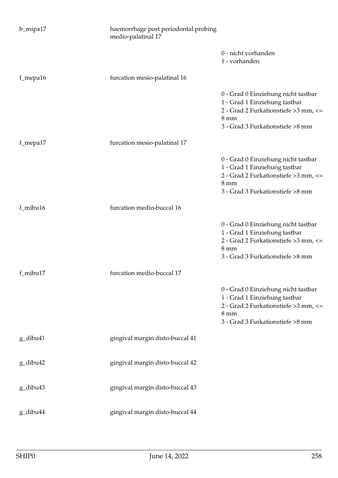| b_mipa17 | haemorrhage post periodontal probing<br>medio-palatinal 17 |                                                                                                                                                                     |
|----------|------------------------------------------------------------|---------------------------------------------------------------------------------------------------------------------------------------------------------------------|
|          |                                                            | 0 - nicht vorhanden<br>1 - vorhanden                                                                                                                                |
| f_mepa16 | furcation mesio-palatinal 16                               |                                                                                                                                                                     |
|          |                                                            | 0 - Grad 0 Einziehung nicht tastbar<br>1 - Grad 1 Einziehung tastbar<br>2 - Grad 2 Furkationstiefe > 3 mm, <=<br>$8 \text{ mm}$<br>3 - Grad 3 Furkationstiefe >8 mm |
| f_mepa17 | furcation mesio-palatinal 17                               |                                                                                                                                                                     |
|          |                                                            | 0 - Grad 0 Einziehung nicht tastbar<br>1 - Grad 1 Einziehung tastbar<br>2 - Grad 2 Furkationstiefe > 3 mm, <=<br>$8 \text{ mm}$<br>3 - Grad 3 Furkationstiefe >8 mm |
| f_mibu16 | furcation medio-buccal 16                                  |                                                                                                                                                                     |
|          |                                                            | 0 - Grad 0 Einziehung nicht tastbar<br>1 - Grad 1 Einziehung tastbar<br>2 - Grad 2 Furkationstiefe > 3 mm, <=<br>8 mm<br>3 - Grad 3 Furkationstiefe >8 mm           |
| f_mibu17 | furcation medio-buccal 17                                  |                                                                                                                                                                     |
|          |                                                            | 0 - Grad 0 Einziehung nicht tastbar<br>1 - Grad 1 Einziehung tastbar<br>2 - Grad 2 Furkationstiefe > 3 mm, <=<br>$8 \text{ mm}$<br>3 - Grad 3 Furkationstiefe >8 mm |
| g_dibu41 | gingival margin disto-buccal 41                            |                                                                                                                                                                     |
| g_dibu42 | gingival margin disto-buccal 42                            |                                                                                                                                                                     |
| g_dibu43 | gingival margin disto-buccal 43                            |                                                                                                                                                                     |
| g_dibu44 | gingival margin disto-buccal 44                            |                                                                                                                                                                     |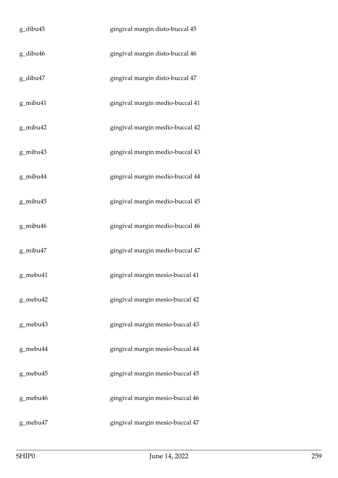| g_dibu45 | gingival margin disto-buccal 45 |
|----------|---------------------------------|
| g_dibu46 | gingival margin disto-buccal 46 |
| g_dibu47 | gingival margin disto-buccal 47 |
| g_mibu41 | gingival margin medio-buccal 41 |
| g_mibu42 | gingival margin medio-buccal 42 |
| g_mibu43 | gingival margin medio-buccal 43 |
| g_mibu44 | gingival margin medio-buccal 44 |
| g_mibu45 | gingival margin medio-buccal 45 |
| g_mibu46 | gingival margin medio-buccal 46 |
| g_mibu47 | gingival margin medio-buccal 47 |
| g_mebu41 | gingival margin mesio-buccal 41 |
| g_mebu42 | gingival margin mesio-buccal 42 |
| g_mebu43 | gingival margin mesio-buccal 43 |
| g_mebu44 | gingival margin mesio-buccal 44 |
| g_mebu45 | gingival margin mesio-buccal 45 |
| g_mebu46 | gingival margin mesio-buccal 46 |
| g_mebu47 | gingival margin mesio-buccal 47 |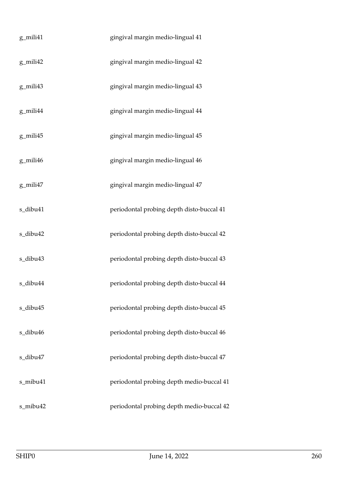| g_mili41 | gingival margin medio-lingual 41          |
|----------|-------------------------------------------|
| g_mili42 | gingival margin medio-lingual 42          |
| g_mili43 | gingival margin medio-lingual 43          |
| g_mili44 | gingival margin medio-lingual 44          |
| g_mili45 | gingival margin medio-lingual 45          |
| g_mili46 | gingival margin medio-lingual 46          |
| g_mili47 | gingival margin medio-lingual 47          |
| s_dibu41 | periodontal probing depth disto-buccal 41 |
| s_dibu42 | periodontal probing depth disto-buccal 42 |
| s_dibu43 | periodontal probing depth disto-buccal 43 |
| s_dibu44 | periodontal probing depth disto-buccal 44 |
| s_dibu45 | periodontal probing depth disto-buccal 45 |
| s_dibu46 | periodontal probing depth disto-buccal 46 |
| s_dibu47 | periodontal probing depth disto-buccal 47 |
| s_mibu41 | periodontal probing depth medio-buccal 41 |
| s_mibu42 | periodontal probing depth medio-buccal 42 |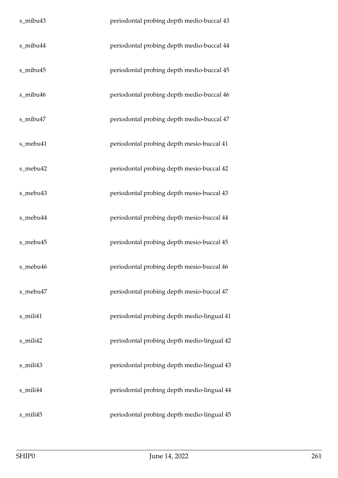| s_mibu43 | periodontal probing depth medio-buccal 43  |
|----------|--------------------------------------------|
| s_mibu44 | periodontal probing depth medio-buccal 44  |
| s_mibu45 | periodontal probing depth medio-buccal 45  |
| s_mibu46 | periodontal probing depth medio-buccal 46  |
| s_mibu47 | periodontal probing depth medio-buccal 47  |
| s_mebu41 | periodontal probing depth mesio-buccal 41  |
| s_mebu42 | periodontal probing depth mesio-buccal 42  |
| s_mebu43 | periodontal probing depth mesio-buccal 43  |
| s_mebu44 | periodontal probing depth mesio-buccal 44  |
| s_mebu45 | periodontal probing depth mesio-buccal 45  |
| s_mebu46 | periodontal probing depth mesio-buccal 46  |
| s_mebu47 | periodontal probing depth mesio-buccal 47  |
| s_mili41 | periodontal probing depth medio-lingual 41 |
| s_mili42 | periodontal probing depth medio-lingual 42 |
| s_mili43 | periodontal probing depth medio-lingual 43 |
| s_mili44 | periodontal probing depth medio-lingual 44 |
| s_mili45 | periodontal probing depth medio-lingual 45 |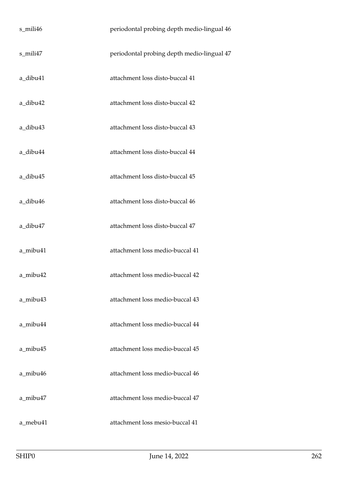| s_mili46 | periodontal probing depth medio-lingual 46 |
|----------|--------------------------------------------|
| s_mili47 | periodontal probing depth medio-lingual 47 |
| a_dibu41 | attachment loss disto-buccal 41            |
| a_dibu42 | attachment loss disto-buccal 42            |
| a_dibu43 | attachment loss disto-buccal 43            |
| a_dibu44 | attachment loss disto-buccal 44            |
| a_dibu45 | attachment loss disto-buccal 45            |
| a_dibu46 | attachment loss disto-buccal 46            |
| a_dibu47 | attachment loss disto-buccal 47            |
| a_mibu41 | attachment loss medio-buccal 41            |
| a_mibu42 | attachment loss medio-buccal 42            |
| a mibu43 | attachment loss medio-buccal 43            |
| a mibu44 | attachment loss medio-buccal 44            |
| a_mibu45 | attachment loss medio-buccal 45            |
| a mibu46 | attachment loss medio-buccal 46            |
| a mibu47 | attachment loss medio-buccal 47            |
| a mebu41 | attachment loss mesio-buccal 41            |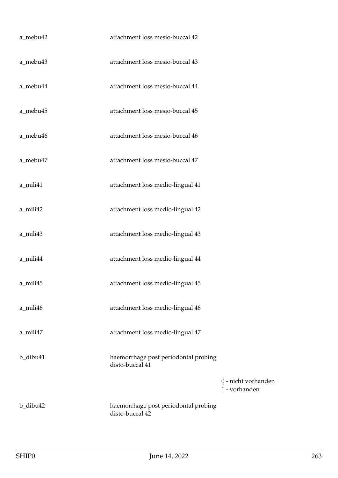| a_mebu42 | attachment loss mesio-buccal 42                         |                                      |
|----------|---------------------------------------------------------|--------------------------------------|
| a_mebu43 | attachment loss mesio-buccal 43                         |                                      |
| a_mebu44 | attachment loss mesio-buccal 44                         |                                      |
| a_mebu45 | attachment loss mesio-buccal 45                         |                                      |
| a_mebu46 | attachment loss mesio-buccal 46                         |                                      |
| a_mebu47 | attachment loss mesio-buccal 47                         |                                      |
| a_mili41 | attachment loss medio-lingual 41                        |                                      |
| a_mili42 | attachment loss medio-lingual 42                        |                                      |
| a_mili43 | attachment loss medio-lingual 43                        |                                      |
| a_mili44 | attachment loss medio-lingual 44                        |                                      |
| a_mili45 | attachment loss medio-lingual 45                        |                                      |
| a_mili46 | attachment loss medio-lingual 46                        |                                      |
| a_mili47 | attachment loss medio-lingual 47                        |                                      |
| b_dibu41 | haemorrhage post periodontal probing<br>disto-buccal 41 |                                      |
|          |                                                         | 0 - nicht vorhanden<br>1 - vorhanden |
| b_dibu42 | haemorrhage post periodontal probing<br>disto-buccal 42 |                                      |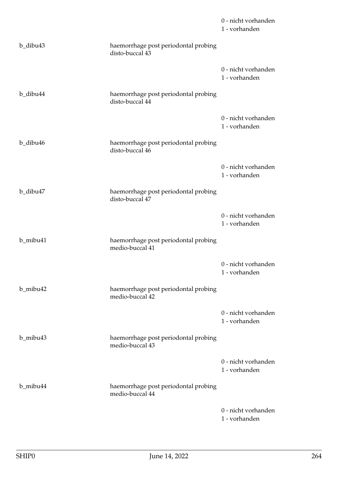|          |                                                         | 0 - nicht vorhanden<br>1 - vorhanden |
|----------|---------------------------------------------------------|--------------------------------------|
| b_dibu43 | haemorrhage post periodontal probing<br>disto-buccal 43 |                                      |
|          |                                                         | 0 - nicht vorhanden<br>1 - vorhanden |
| b_dibu44 | haemorrhage post periodontal probing<br>disto-buccal 44 |                                      |
|          |                                                         | 0 - nicht vorhanden<br>1 - vorhanden |
| b_dibu46 | haemorrhage post periodontal probing<br>disto-buccal 46 |                                      |
|          |                                                         | 0 - nicht vorhanden<br>1 - vorhanden |
| b_dibu47 | haemorrhage post periodontal probing<br>disto-buccal 47 |                                      |
|          |                                                         | 0 - nicht vorhanden<br>1 - vorhanden |
| b_mibu41 | haemorrhage post periodontal probing<br>medio-buccal 41 |                                      |
|          |                                                         | 0 - nicht vorhanden<br>1 - vorhanden |
| b_mibu42 | haemorrhage post periodontal probing<br>medio-buccal 42 |                                      |
|          |                                                         | 0 - nicht vorhanden<br>1 - vorhanden |
| b_mibu43 | haemorrhage post periodontal probing<br>medio-buccal 43 |                                      |
|          |                                                         | 0 - nicht vorhanden<br>1 - vorhanden |
| b_mibu44 | haemorrhage post periodontal probing<br>medio-buccal 44 |                                      |
|          |                                                         | 0 - nicht vorhanden<br>1 - vorhanden |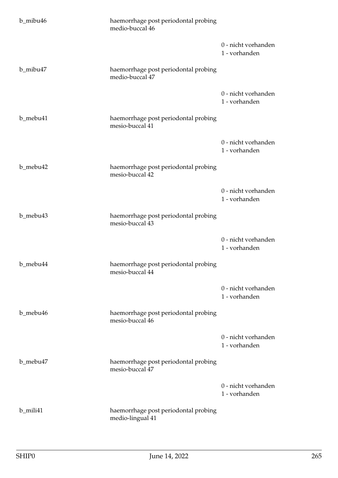| b_mibu46 | haemorrhage post periodontal probing<br>medio-buccal 46  |                                      |
|----------|----------------------------------------------------------|--------------------------------------|
|          |                                                          | 0 - nicht vorhanden<br>1 - vorhanden |
| b_mibu47 | haemorrhage post periodontal probing<br>medio-buccal 47  |                                      |
|          |                                                          | 0 - nicht vorhanden<br>1 - vorhanden |
| b_mebu41 | haemorrhage post periodontal probing<br>mesio-buccal 41  |                                      |
|          |                                                          | 0 - nicht vorhanden<br>1 - vorhanden |
| b_mebu42 | haemorrhage post periodontal probing<br>mesio-buccal 42  |                                      |
|          |                                                          | 0 - nicht vorhanden<br>1 - vorhanden |
| b_mebu43 | haemorrhage post periodontal probing<br>mesio-buccal 43  |                                      |
|          |                                                          | 0 - nicht vorhanden<br>1 - vorhanden |
| b_mebu44 | haemorrhage post periodontal probing<br>mesio-buccal 44  |                                      |
|          |                                                          | 0 - nicht vorhanden<br>1 - vorhanden |
| b_mebu46 | haemorrhage post periodontal probing<br>mesio-buccal 46  |                                      |
|          |                                                          | 0 - nicht vorhanden<br>1 - vorhanden |
| b_mebu47 | haemorrhage post periodontal probing<br>mesio-buccal 47  |                                      |
|          |                                                          | 0 - nicht vorhanden<br>1 - vorhanden |
| b_mili41 | haemorrhage post periodontal probing<br>medio-lingual 41 |                                      |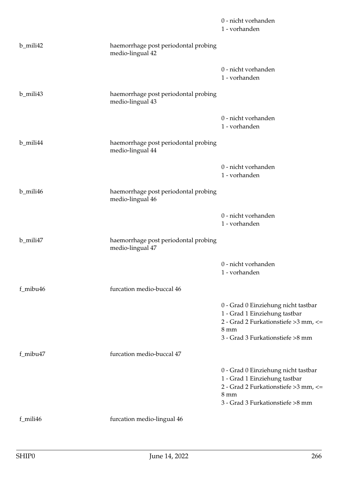|          |                                                          | 0 - nicht vorhanden<br>1 - vorhanden                                                                                                                                |
|----------|----------------------------------------------------------|---------------------------------------------------------------------------------------------------------------------------------------------------------------------|
| b_mili42 | haemorrhage post periodontal probing<br>medio-lingual 42 |                                                                                                                                                                     |
|          |                                                          | 0 - nicht vorhanden<br>1 - vorhanden                                                                                                                                |
| b_mili43 | haemorrhage post periodontal probing<br>medio-lingual 43 |                                                                                                                                                                     |
|          |                                                          | 0 - nicht vorhanden<br>1 - vorhanden                                                                                                                                |
| b_mili44 | haemorrhage post periodontal probing<br>medio-lingual 44 |                                                                                                                                                                     |
|          |                                                          | 0 - nicht vorhanden<br>1 - vorhanden                                                                                                                                |
| b_mili46 | haemorrhage post periodontal probing<br>medio-lingual 46 |                                                                                                                                                                     |
|          |                                                          | 0 - nicht vorhanden<br>1 - vorhanden                                                                                                                                |
| b_mili47 | haemorrhage post periodontal probing<br>medio-lingual 47 |                                                                                                                                                                     |
|          |                                                          | 0 - nicht vorhanden<br>1 - vorhanden                                                                                                                                |
| f_mibu46 | furcation medio-buccal 46                                |                                                                                                                                                                     |
|          |                                                          | 0 - Grad 0 Einziehung nicht tastbar<br>1 - Grad 1 Einziehung tastbar<br>2 - Grad 2 Furkationstiefe > 3 mm, <=<br>$8 \text{ mm}$<br>3 - Grad 3 Furkationstiefe >8 mm |
| f_mibu47 | furcation medio-buccal 47                                |                                                                                                                                                                     |
|          |                                                          | 0 - Grad 0 Einziehung nicht tastbar<br>1 - Grad 1 Einziehung tastbar<br>2 - Grad 2 Furkationstiefe > 3 mm, <=<br>$8 \text{ mm}$<br>3 - Grad 3 Furkationstiefe >8 mm |
| f_mili46 | furcation medio-lingual 46                               |                                                                                                                                                                     |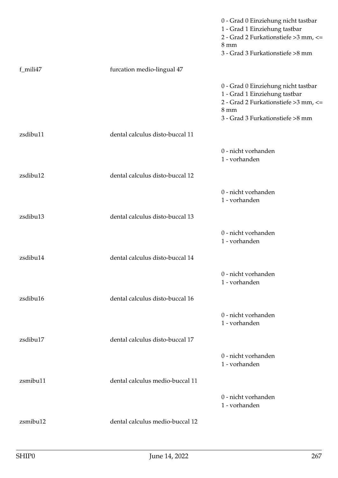|          |                                 | 0 - Grad 0 Einziehung nicht tastbar<br>1 - Grad 1 Einziehung tastbar<br>2 - Grad 2 Furkationstiefe > 3 mm, <=<br>$8 \text{ mm}$<br>3 - Grad 3 Furkationstiefe >8 mm |
|----------|---------------------------------|---------------------------------------------------------------------------------------------------------------------------------------------------------------------|
| f_mili47 | furcation medio-lingual 47      |                                                                                                                                                                     |
|          |                                 | 0 - Grad 0 Einziehung nicht tastbar<br>1 - Grad 1 Einziehung tastbar<br>2 - Grad 2 Furkationstiefe > 3 mm, <=<br>$8 \text{ mm}$<br>3 - Grad 3 Furkationstiefe >8 mm |
| zsdibu11 | dental calculus disto-buccal 11 |                                                                                                                                                                     |
|          |                                 | 0 - nicht vorhanden<br>1 - vorhanden                                                                                                                                |
| zsdibu12 | dental calculus disto-buccal 12 |                                                                                                                                                                     |
|          |                                 | 0 - nicht vorhanden<br>1 - vorhanden                                                                                                                                |
| zsdibu13 | dental calculus disto-buccal 13 |                                                                                                                                                                     |
|          |                                 | 0 - nicht vorhanden<br>1 - vorhanden                                                                                                                                |
| zsdibu14 | dental calculus disto-buccal 14 |                                                                                                                                                                     |
|          |                                 | 0 - nicht vorhanden<br>1 - vorhanden                                                                                                                                |
| zsdibu16 | dental calculus disto-buccal 16 |                                                                                                                                                                     |
|          |                                 | 0 - nicht vorhanden<br>1 - vorhanden                                                                                                                                |
| zsdibu17 | dental calculus disto-buccal 17 |                                                                                                                                                                     |
|          |                                 | 0 - nicht vorhanden<br>1 - vorhanden                                                                                                                                |
| zsmibu11 | dental calculus medio-buccal 11 |                                                                                                                                                                     |
|          |                                 | 0 - nicht vorhanden<br>1 - vorhanden                                                                                                                                |
| zsmibu12 | dental calculus medio-buccal 12 |                                                                                                                                                                     |
|          |                                 |                                                                                                                                                                     |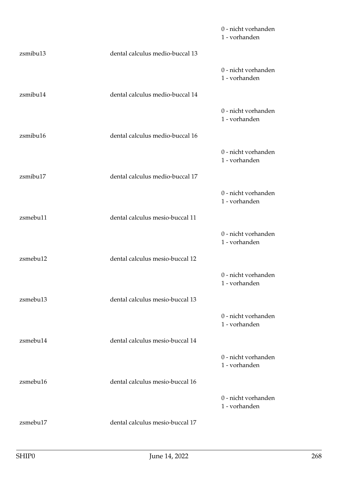|          |                                 | 0 - nicht vorhanden<br>1 - vorhanden |
|----------|---------------------------------|--------------------------------------|
| zsmibu13 | dental calculus medio-buccal 13 |                                      |
|          |                                 | 0 - nicht vorhanden<br>1 - vorhanden |
| zsmibu14 | dental calculus medio-buccal 14 |                                      |
|          |                                 | 0 - nicht vorhanden<br>1 - vorhanden |
| zsmibu16 | dental calculus medio-buccal 16 |                                      |
|          |                                 | 0 - nicht vorhanden<br>1 - vorhanden |
| zsmibu17 | dental calculus medio-buccal 17 |                                      |
|          |                                 | 0 - nicht vorhanden<br>1 - vorhanden |
| zsmebu11 | dental calculus mesio-buccal 11 |                                      |
|          |                                 | 0 - nicht vorhanden<br>1 - vorhanden |
| zsmebu12 | dental calculus mesio-buccal 12 |                                      |
|          |                                 | 0 - nicht vorhanden<br>1 - vorhanden |
| zsmebu13 | dental calculus mesio-buccal 13 |                                      |
|          |                                 | 0 - nicht vorhanden<br>1 - vorhanden |
| zsmebu14 | dental calculus mesio-buccal 14 |                                      |
|          |                                 | 0 - nicht vorhanden<br>1 - vorhanden |
| zsmebu16 | dental calculus mesio-buccal 16 |                                      |
|          |                                 | 0 - nicht vorhanden<br>1 - vorhanden |
| zsmebu17 | dental calculus mesio-buccal 17 |                                      |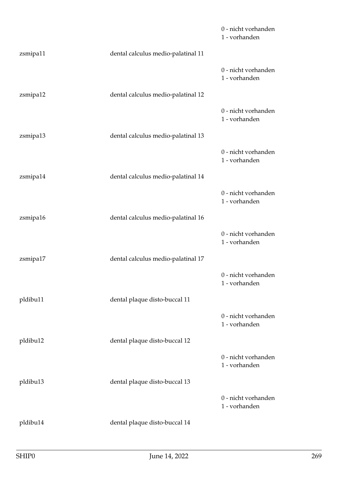|          |                                    | 0 - nicht vorhanden<br>1 - vorhanden |
|----------|------------------------------------|--------------------------------------|
| zsmipa11 | dental calculus medio-palatinal 11 |                                      |
|          |                                    | 0 - nicht vorhanden<br>1 - vorhanden |
| zsmipa12 | dental calculus medio-palatinal 12 |                                      |
|          |                                    | 0 - nicht vorhanden<br>1 - vorhanden |
| zsmipa13 | dental calculus medio-palatinal 13 |                                      |
|          |                                    | 0 - nicht vorhanden<br>1 - vorhanden |
| zsmipa14 | dental calculus medio-palatinal 14 |                                      |
|          |                                    | 0 - nicht vorhanden<br>1 - vorhanden |
| zsmipa16 | dental calculus medio-palatinal 16 |                                      |
|          |                                    | 0 - nicht vorhanden<br>1 - vorhanden |
| zsmipa17 | dental calculus medio-palatinal 17 |                                      |
|          |                                    | 0 - nicht vorhanden<br>1 - vorhanden |
| pldibu11 | dental plaque disto-buccal 11      |                                      |
|          |                                    | 0 - nicht vorhanden<br>1 - vorhanden |
| pldibu12 | dental plaque disto-buccal 12      |                                      |
|          |                                    | 0 - nicht vorhanden<br>1 - vorhanden |
| pldibu13 | dental plaque disto-buccal 13      |                                      |
|          |                                    | 0 - nicht vorhanden<br>1 - vorhanden |
| pldibu14 | dental plaque disto-buccal 14      |                                      |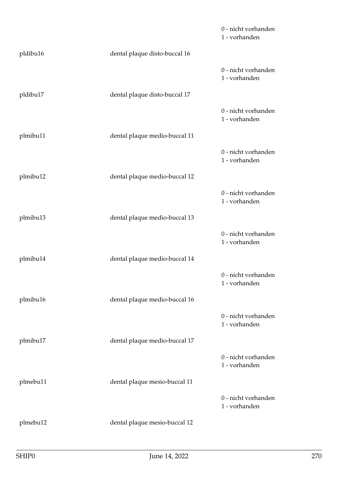|          |                               | 0 - nicht vorhanden<br>1 - vorhanden |
|----------|-------------------------------|--------------------------------------|
| pldibu16 | dental plaque disto-buccal 16 |                                      |
|          |                               | 0 - nicht vorhanden<br>1 - vorhanden |
| pldibu17 | dental plaque disto-buccal 17 |                                      |
|          |                               | 0 - nicht vorhanden<br>1 - vorhanden |
| plmibu11 | dental plaque medio-buccal 11 |                                      |
|          |                               | 0 - nicht vorhanden<br>1 - vorhanden |
| plmibu12 | dental plaque medio-buccal 12 |                                      |
|          |                               | 0 - nicht vorhanden<br>1 - vorhanden |
| plmibu13 | dental plaque medio-buccal 13 |                                      |
|          |                               | 0 - nicht vorhanden<br>1 - vorhanden |
| plmibu14 | dental plaque medio-buccal 14 |                                      |
|          |                               | 0 - nicht vorhanden<br>1 - vorhanden |
| plmibu16 | dental plaque medio-buccal 16 |                                      |
|          |                               | 0 - nicht vorhanden<br>1 - vorhanden |
| plmibu17 | dental plaque medio-buccal 17 |                                      |
|          |                               | 0 - nicht vorhanden<br>1 - vorhanden |
| plmebu11 | dental plaque mesio-buccal 11 |                                      |
|          |                               | 0 - nicht vorhanden<br>1 - vorhanden |
| plmebu12 | dental plaque mesio-buccal 12 |                                      |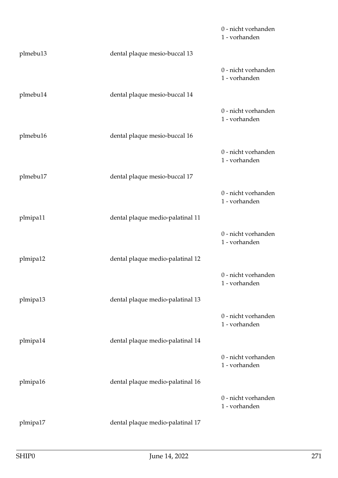|          |                                  | 0 - nicht vorhanden<br>1 - vorhanden |
|----------|----------------------------------|--------------------------------------|
| plmebu13 | dental plaque mesio-buccal 13    |                                      |
|          |                                  | 0 - nicht vorhanden<br>1 - vorhanden |
| plmebu14 | dental plaque mesio-buccal 14    |                                      |
|          |                                  | 0 - nicht vorhanden<br>1 - vorhanden |
| plmebu16 | dental plaque mesio-buccal 16    |                                      |
|          |                                  | 0 - nicht vorhanden<br>1 - vorhanden |
| plmebu17 | dental plaque mesio-buccal 17    |                                      |
|          |                                  | 0 - nicht vorhanden<br>1 - vorhanden |
| plmipa11 | dental plaque medio-palatinal 11 |                                      |
|          |                                  | 0 - nicht vorhanden<br>1 - vorhanden |
| plmipa12 | dental plaque medio-palatinal 12 |                                      |
|          |                                  | 0 - nicht vorhanden<br>1 - vorhanden |
| plmipa13 | dental plaque medio-palatinal 13 |                                      |
|          |                                  | 0 - nicht vorhanden<br>1 - vorhanden |
| plmipa14 | dental plaque medio-palatinal 14 |                                      |
|          |                                  | 0 - nicht vorhanden<br>1 - vorhanden |
| plmipa16 | dental plaque medio-palatinal 16 |                                      |
|          |                                  | 0 - nicht vorhanden<br>1 - vorhanden |
| plmipa17 | dental plaque medio-palatinal 17 |                                      |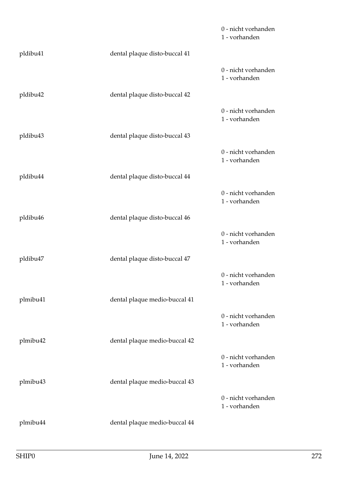|          |                               | 0 - nicht vorhanden<br>1 - vorhanden |
|----------|-------------------------------|--------------------------------------|
| pldibu41 | dental plaque disto-buccal 41 |                                      |
|          |                               | 0 - nicht vorhanden<br>1 - vorhanden |
| pldibu42 | dental plaque disto-buccal 42 |                                      |
|          |                               | 0 - nicht vorhanden<br>1 - vorhanden |
| pldibu43 | dental plaque disto-buccal 43 |                                      |
|          |                               | 0 - nicht vorhanden<br>1 - vorhanden |
| pldibu44 | dental plaque disto-buccal 44 |                                      |
|          |                               | 0 - nicht vorhanden<br>1 - vorhanden |
| pldibu46 | dental plaque disto-buccal 46 |                                      |
|          |                               | 0 - nicht vorhanden<br>1 - vorhanden |
| pldibu47 | dental plaque disto-buccal 47 |                                      |
|          |                               | 0 - nicht vorhanden<br>1 - vorhanden |
| plmibu41 | dental plaque medio-buccal 41 |                                      |
|          |                               | 0 - nicht vorhanden<br>1 - vorhanden |
| plmibu42 | dental plaque medio-buccal 42 |                                      |
|          |                               | 0 - nicht vorhanden<br>1 - vorhanden |
| plmibu43 | dental plaque medio-buccal 43 |                                      |
|          |                               | 0 - nicht vorhanden<br>1 - vorhanden |
| plmibu44 | dental plaque medio-buccal 44 |                                      |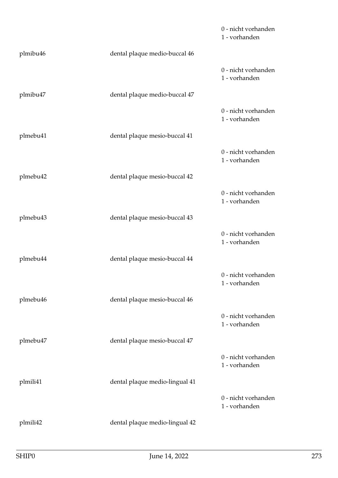|          |                                | 0 - nicht vorhanden<br>1 - vorhanden |
|----------|--------------------------------|--------------------------------------|
| plmibu46 | dental plaque medio-buccal 46  |                                      |
|          |                                | 0 - nicht vorhanden<br>1 - vorhanden |
| plmibu47 | dental plaque medio-buccal 47  |                                      |
|          |                                | 0 - nicht vorhanden<br>1 - vorhanden |
| plmebu41 | dental plaque mesio-buccal 41  |                                      |
|          |                                | 0 - nicht vorhanden<br>1 - vorhanden |
| plmebu42 | dental plaque mesio-buccal 42  |                                      |
|          |                                | 0 - nicht vorhanden<br>1 - vorhanden |
| plmebu43 | dental plaque mesio-buccal 43  |                                      |
|          |                                | 0 - nicht vorhanden<br>1 - vorhanden |
| plmebu44 | dental plaque mesio-buccal 44  |                                      |
|          |                                | 0 - nicht vorhanden<br>1 - vorhanden |
| plmebu46 | dental plaque mesio-buccal 46  |                                      |
|          |                                | 0 - nicht vorhanden<br>1 - vorhanden |
| plmebu47 | dental plaque mesio-buccal 47  |                                      |
|          |                                | 0 - nicht vorhanden<br>1 - vorhanden |
| plmili41 | dental plaque medio-lingual 41 |                                      |
|          |                                | 0 - nicht vorhanden<br>1 - vorhanden |
| plmili42 | dental plaque medio-lingual 42 |                                      |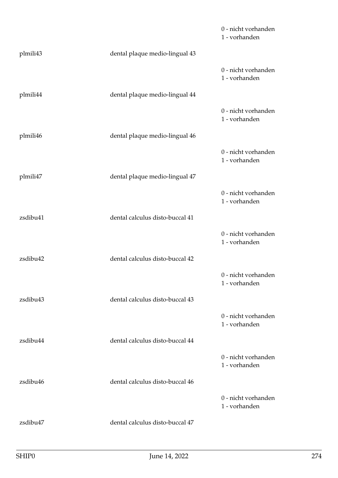|          |                                 | 0 - nicht vorhanden<br>1 - vorhanden |
|----------|---------------------------------|--------------------------------------|
| plmili43 | dental plaque medio-lingual 43  |                                      |
|          |                                 | 0 - nicht vorhanden<br>1 - vorhanden |
| plmili44 | dental plaque medio-lingual 44  |                                      |
|          |                                 | 0 - nicht vorhanden<br>1 - vorhanden |
| plmili46 | dental plaque medio-lingual 46  |                                      |
|          |                                 | 0 - nicht vorhanden<br>1 - vorhanden |
| plmili47 | dental plaque medio-lingual 47  |                                      |
|          |                                 | 0 - nicht vorhanden<br>1 - vorhanden |
| zsdibu41 | dental calculus disto-buccal 41 |                                      |
|          |                                 | 0 - nicht vorhanden<br>1 - vorhanden |
| zsdibu42 | dental calculus disto-buccal 42 |                                      |
|          |                                 | 0 - nicht vorhanden<br>1 - vorhanden |
| zsdibu43 | dental calculus disto-buccal 43 |                                      |
|          |                                 | 0 - nicht vorhanden<br>1 - vorhanden |
| zsdibu44 | dental calculus disto-buccal 44 |                                      |
|          |                                 | 0 - nicht vorhanden<br>1 - vorhanden |
| zsdibu46 | dental calculus disto-buccal 46 |                                      |
|          |                                 | 0 - nicht vorhanden<br>1 - vorhanden |
| zsdibu47 | dental calculus disto-buccal 47 |                                      |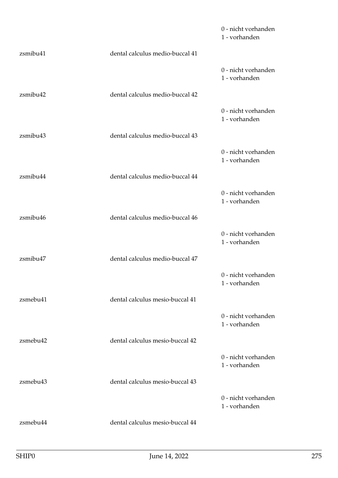|          |                                 | 0 - nicht vorhanden<br>1 - vorhanden |
|----------|---------------------------------|--------------------------------------|
| zsmibu41 | dental calculus medio-buccal 41 |                                      |
|          |                                 | 0 - nicht vorhanden<br>1 - vorhanden |
| zsmibu42 | dental calculus medio-buccal 42 |                                      |
|          |                                 | 0 - nicht vorhanden<br>1 - vorhanden |
| zsmibu43 | dental calculus medio-buccal 43 |                                      |
|          |                                 | 0 - nicht vorhanden<br>1 - vorhanden |
| zsmibu44 | dental calculus medio-buccal 44 |                                      |
|          |                                 | 0 - nicht vorhanden<br>1 - vorhanden |
| zsmibu46 | dental calculus medio-buccal 46 |                                      |
|          |                                 | 0 - nicht vorhanden<br>1 - vorhanden |
| zsmibu47 | dental calculus medio-buccal 47 |                                      |
|          |                                 | 0 - nicht vorhanden<br>1 - vorhanden |
| zsmebu41 | dental calculus mesio-buccal 41 |                                      |
|          |                                 | 0 - nicht vorhanden<br>1 - vorhanden |
| zsmebu42 | dental calculus mesio-buccal 42 |                                      |
|          |                                 | 0 - nicht vorhanden<br>1 - vorhanden |
| zsmebu43 | dental calculus mesio-buccal 43 |                                      |
|          |                                 | 0 - nicht vorhanden<br>1 - vorhanden |
| zsmebu44 | dental calculus mesio-buccal 44 |                                      |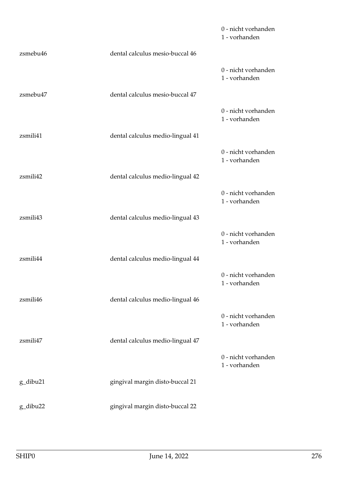|          |                                  | 0 - nicht vorhanden<br>1 - vorhanden |
|----------|----------------------------------|--------------------------------------|
| zsmebu46 | dental calculus mesio-buccal 46  |                                      |
|          |                                  | 0 - nicht vorhanden<br>1 - vorhanden |
| zsmebu47 | dental calculus mesio-buccal 47  |                                      |
|          |                                  | 0 - nicht vorhanden<br>1 - vorhanden |
| zsmili41 | dental calculus medio-lingual 41 |                                      |
|          |                                  | 0 - nicht vorhanden<br>1 - vorhanden |
| zsmili42 | dental calculus medio-lingual 42 |                                      |
|          |                                  | 0 - nicht vorhanden<br>1 - vorhanden |
| zsmili43 | dental calculus medio-lingual 43 |                                      |
|          |                                  | 0 - nicht vorhanden<br>1 - vorhanden |
| zsmili44 | dental calculus medio-lingual 44 |                                      |
|          |                                  | 0 - nicht vorhanden<br>1 - vorhanden |
| zsmili46 | dental calculus medio-lingual 46 |                                      |
|          |                                  | 0 - nicht vorhanden<br>1 - vorhanden |
| zsmili47 | dental calculus medio-lingual 47 |                                      |
|          |                                  | 0 - nicht vorhanden<br>1 - vorhanden |
| g_dibu21 | gingival margin disto-buccal 21  |                                      |
| g_dibu22 | gingival margin disto-buccal 22  |                                      |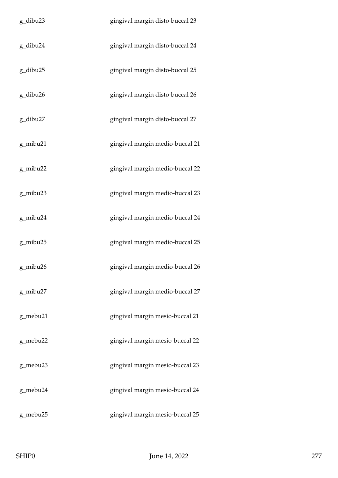| g_dibu23 | gingival margin disto-buccal 23 |
|----------|---------------------------------|
| g_dibu24 | gingival margin disto-buccal 24 |
| g_dibu25 | gingival margin disto-buccal 25 |
| g_dibu26 | gingival margin disto-buccal 26 |
| g_dibu27 | gingival margin disto-buccal 27 |
| g_mibu21 | gingival margin medio-buccal 21 |
| g_mibu22 | gingival margin medio-buccal 22 |
| g_mibu23 | gingival margin medio-buccal 23 |
| g_mibu24 | gingival margin medio-buccal 24 |
| g_mibu25 | gingival margin medio-buccal 25 |
| g_mibu26 | gingival margin medio-buccal 26 |
| g_mibu27 | gingival margin medio-buccal 27 |
| g_mebu21 | gingival margin mesio-buccal 21 |
| g_mebu22 | gingival margin mesio-buccal 22 |
| g_mebu23 | gingival margin mesio-buccal 23 |
| g_mebu24 | gingival margin mesio-buccal 24 |
| g_mebu25 | gingival margin mesio-buccal 25 |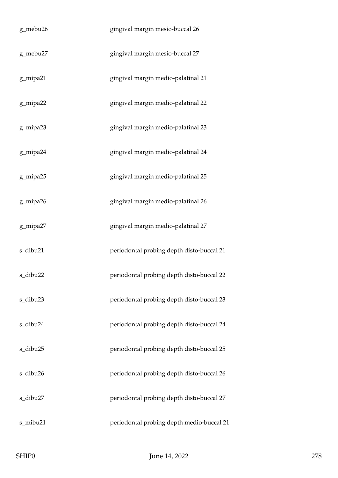| g_mebu26 | gingival margin mesio-buccal 26           |
|----------|-------------------------------------------|
| g_mebu27 | gingival margin mesio-buccal 27           |
| g_mipa21 | gingival margin medio-palatinal 21        |
| g_mipa22 | gingival margin medio-palatinal 22        |
| g_mipa23 | gingival margin medio-palatinal 23        |
| g_mipa24 | gingival margin medio-palatinal 24        |
| g_mipa25 | gingival margin medio-palatinal 25        |
| g_mipa26 | gingival margin medio-palatinal 26        |
| g_mipa27 | gingival margin medio-palatinal 27        |
| s_dibu21 | periodontal probing depth disto-buccal 21 |
| s_dibu22 | periodontal probing depth disto-buccal 22 |
| s_dibu23 | periodontal probing depth disto-buccal 23 |
| s_dibu24 | periodontal probing depth disto-buccal 24 |
| s_dibu25 | periodontal probing depth disto-buccal 25 |
| s_dibu26 | periodontal probing depth disto-buccal 26 |
| s_dibu27 | periodontal probing depth disto-buccal 27 |
| s_mibu21 | periodontal probing depth medio-buccal 21 |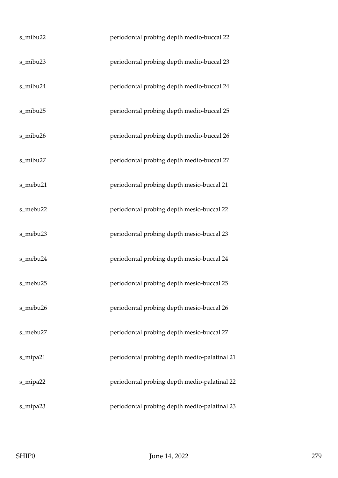| s_mibu22 | periodontal probing depth medio-buccal 22    |
|----------|----------------------------------------------|
| s_mibu23 | periodontal probing depth medio-buccal 23    |
| s_mibu24 | periodontal probing depth medio-buccal 24    |
| s_mibu25 | periodontal probing depth medio-buccal 25    |
| s_mibu26 | periodontal probing depth medio-buccal 26    |
| s_mibu27 | periodontal probing depth medio-buccal 27    |
| s_mebu21 | periodontal probing depth mesio-buccal 21    |
| s_mebu22 | periodontal probing depth mesio-buccal 22    |
| s_mebu23 | periodontal probing depth mesio-buccal 23    |
| s_mebu24 | periodontal probing depth mesio-buccal 24    |
| s_mebu25 | periodontal probing depth mesio-buccal 25    |
| s_mebu26 | periodontal probing depth mesio-buccal 26    |
| s_mebu27 | periodontal probing depth mesio-buccal 27    |
| s_mipa21 | periodontal probing depth medio-palatinal 21 |
| s_mipa22 | periodontal probing depth medio-palatinal 22 |
| s_mipa23 | periodontal probing depth medio-palatinal 23 |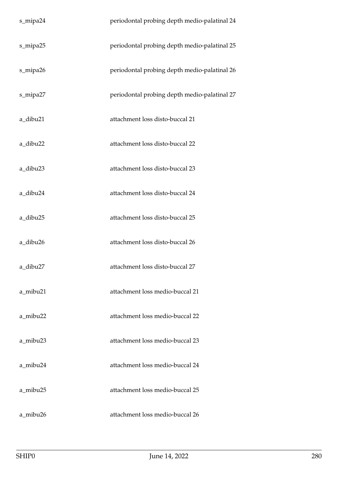| s_mipa24 | periodontal probing depth medio-palatinal 24 |
|----------|----------------------------------------------|
| s_mipa25 | periodontal probing depth medio-palatinal 25 |
| s_mipa26 | periodontal probing depth medio-palatinal 26 |
| s_mipa27 | periodontal probing depth medio-palatinal 27 |
| a_dibu21 | attachment loss disto-buccal 21              |
| a_dibu22 | attachment loss disto-buccal 22              |
| a_dibu23 | attachment loss disto-buccal 23              |
| a_dibu24 | attachment loss disto-buccal 24              |
| a_dibu25 | attachment loss disto-buccal 25              |
| a_dibu26 | attachment loss disto-buccal 26              |
| a_dibu27 | attachment loss disto-buccal 27              |
| a_mibu21 | attachment loss medio-buccal 21              |
| a_mibu22 | attachment loss medio-buccal 22              |
| a_mibu23 | attachment loss medio-buccal 23              |
| a_mibu24 | attachment loss medio-buccal 24              |
| a_mibu25 | attachment loss medio-buccal 25              |
| a_mibu26 | attachment loss medio-buccal 26              |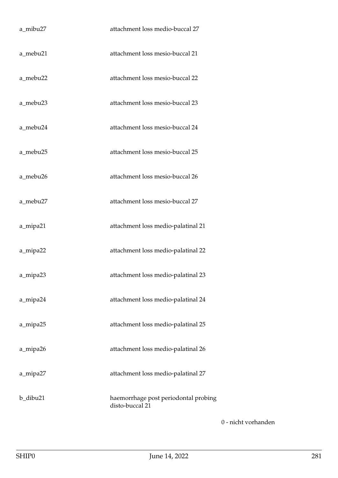| a_mibu27 | attachment loss medio-buccal 27                         |
|----------|---------------------------------------------------------|
| a_mebu21 | attachment loss mesio-buccal 21                         |
| a_mebu22 | attachment loss mesio-buccal 22                         |
| a_mebu23 | attachment loss mesio-buccal 23                         |
| a_mebu24 | attachment loss mesio-buccal 24                         |
| a_mebu25 | attachment loss mesio-buccal 25                         |
| a_mebu26 | attachment loss mesio-buccal 26                         |
| a_mebu27 | attachment loss mesio-buccal 27                         |
| a_mipa21 | attachment loss medio-palatinal 21                      |
| a_mipa22 | attachment loss medio-palatinal 22                      |
| a_mipa23 | attachment loss medio-palatinal 23                      |
| a_mipa24 | attachment loss medio-palatinal 24                      |
| a_mipa25 | attachment loss medio-palatinal 25                      |
| a_mipa26 | attachment loss medio-palatinal 26                      |
| a_mipa27 | attachment loss medio-palatinal 27                      |
| b_dibu21 | haemorrhage post periodontal probing<br>disto-buccal 21 |

0 - nicht vorhanden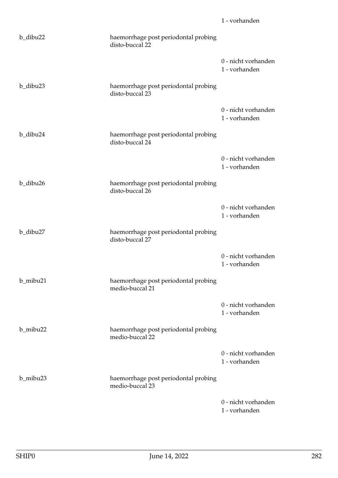| b_dibu22 | haemorrhage post periodontal probing<br>disto-buccal 22 |                                      |
|----------|---------------------------------------------------------|--------------------------------------|
|          |                                                         | 0 - nicht vorhanden<br>1 - vorhanden |
| b_dibu23 | haemorrhage post periodontal probing<br>disto-buccal 23 |                                      |
|          |                                                         | 0 - nicht vorhanden<br>1 - vorhanden |
| b_dibu24 | haemorrhage post periodontal probing<br>disto-buccal 24 |                                      |
|          |                                                         | 0 - nicht vorhanden<br>1 - vorhanden |
| b_dibu26 | haemorrhage post periodontal probing<br>disto-buccal 26 |                                      |
|          |                                                         | 0 - nicht vorhanden<br>1 - vorhanden |
| b_dibu27 | haemorrhage post periodontal probing<br>disto-buccal 27 |                                      |
|          |                                                         | 0 - nicht vorhanden<br>1 - vorhanden |
| b_mibu21 | haemorrhage post periodontal probing<br>medio-buccal 21 |                                      |
|          |                                                         | 0 - nicht vorhanden<br>1 - vorhanden |
| b_mibu22 | haemorrhage post periodontal probing<br>medio-buccal 22 |                                      |
|          |                                                         | 0 - nicht vorhanden<br>1 - vorhanden |
| b_mibu23 | haemorrhage post periodontal probing<br>medio-buccal 23 |                                      |
|          |                                                         | 0 - nicht vorhanden<br>1 - vorhanden |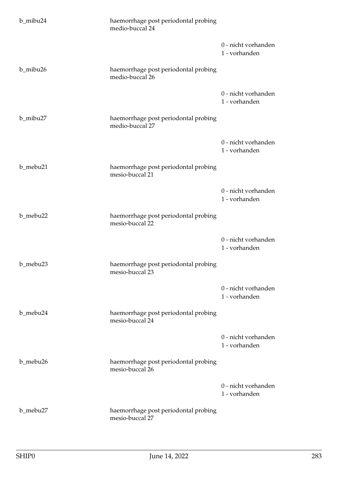| b_mibu24 | haemorrhage post periodontal probing<br>medio-buccal 24 |                                      |
|----------|---------------------------------------------------------|--------------------------------------|
|          |                                                         | 0 - nicht vorhanden<br>1 - vorhanden |
| b_mibu26 | haemorrhage post periodontal probing<br>medio-buccal 26 |                                      |
|          |                                                         | 0 - nicht vorhanden<br>1 - vorhanden |
| b_mibu27 | haemorrhage post periodontal probing<br>medio-buccal 27 |                                      |
|          |                                                         | 0 - nicht vorhanden<br>1 - vorhanden |
| b_mebu21 | haemorrhage post periodontal probing<br>mesio-buccal 21 |                                      |
|          |                                                         | 0 - nicht vorhanden<br>1 - vorhanden |
| b_mebu22 | haemorrhage post periodontal probing<br>mesio-buccal 22 |                                      |
|          |                                                         | 0 - nicht vorhanden<br>1 - vorhanden |
| b_mebu23 | haemorrhage post periodontal probing<br>mesio-buccal 23 |                                      |
|          |                                                         | 0 - nicht vorhanden<br>1 - vorhanden |
| b_mebu24 | haemorrhage post periodontal probing<br>mesio-buccal 24 |                                      |
|          |                                                         | 0 - nicht vorhanden<br>1 - vorhanden |
| b_mebu26 | haemorrhage post periodontal probing<br>mesio-buccal 26 |                                      |
|          |                                                         | 0 - nicht vorhanden<br>1 - vorhanden |
| b_mebu27 | haemorrhage post periodontal probing<br>mesio-buccal 27 |                                      |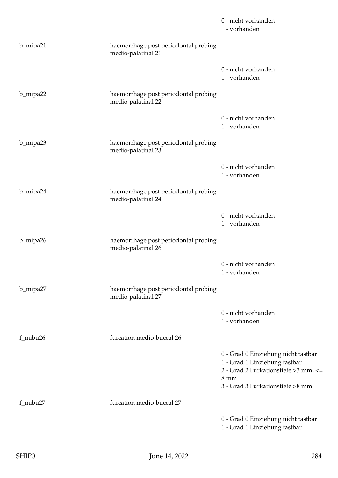|          |                                                            | 0 - nicht vorhanden<br>1 - vorhanden                                                                                                                                |
|----------|------------------------------------------------------------|---------------------------------------------------------------------------------------------------------------------------------------------------------------------|
| b_mipa21 | haemorrhage post periodontal probing<br>medio-palatinal 21 |                                                                                                                                                                     |
|          |                                                            | 0 - nicht vorhanden<br>1 - vorhanden                                                                                                                                |
| b_mipa22 | haemorrhage post periodontal probing<br>medio-palatinal 22 |                                                                                                                                                                     |
|          |                                                            | 0 - nicht vorhanden<br>1 - vorhanden                                                                                                                                |
| b_mipa23 | haemorrhage post periodontal probing<br>medio-palatinal 23 |                                                                                                                                                                     |
|          |                                                            | 0 - nicht vorhanden<br>1 - vorhanden                                                                                                                                |
| b_mipa24 | haemorrhage post periodontal probing<br>medio-palatinal 24 |                                                                                                                                                                     |
|          |                                                            | 0 - nicht vorhanden<br>1 - vorhanden                                                                                                                                |
| b_mipa26 | haemorrhage post periodontal probing<br>medio-palatinal 26 |                                                                                                                                                                     |
|          |                                                            | 0 - nicht vorhanden<br>1 - vorhanden                                                                                                                                |
| b_mipa27 | haemorrhage post periodontal probing<br>medio-palatinal 27 |                                                                                                                                                                     |
|          |                                                            | 0 - nicht vorhanden<br>1 - vorhanden                                                                                                                                |
| f_mibu26 | furcation medio-buccal 26                                  |                                                                                                                                                                     |
|          |                                                            | 0 - Grad 0 Einziehung nicht tastbar<br>1 - Grad 1 Einziehung tastbar<br>2 - Grad 2 Furkationstiefe > 3 mm, <=<br>$8 \text{ mm}$<br>3 - Grad 3 Furkationstiefe >8 mm |
| f_mibu27 | furcation medio-buccal 27                                  |                                                                                                                                                                     |
|          |                                                            | 0 - Grad 0 Einziehung nicht tastbar<br>1 - Grad 1 Einziehung tastbar                                                                                                |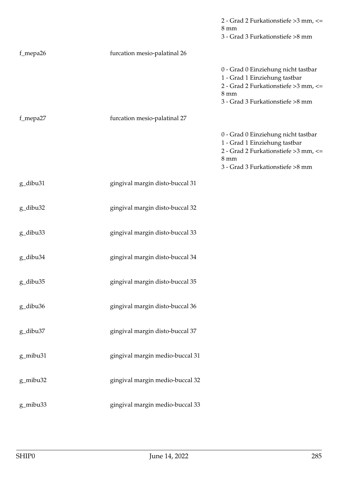|          |                                 | 2 - Grad 2 Furkationstiefe >3 mm, <=<br>$8 \text{ mm}$<br>3 - Grad 3 Furkationstiefe >8 mm                                                                          |
|----------|---------------------------------|---------------------------------------------------------------------------------------------------------------------------------------------------------------------|
| f_mepa26 | furcation mesio-palatinal 26    |                                                                                                                                                                     |
|          |                                 | 0 - Grad 0 Einziehung nicht tastbar<br>1 - Grad 1 Einziehung tastbar<br>2 - Grad 2 Furkationstiefe > 3 mm, <=<br>$8 \text{ mm}$<br>3 - Grad 3 Furkationstiefe >8 mm |
| f_mepa27 | furcation mesio-palatinal 27    |                                                                                                                                                                     |
|          |                                 | 0 - Grad 0 Einziehung nicht tastbar<br>1 - Grad 1 Einziehung tastbar<br>2 - Grad 2 Furkationstiefe > 3 mm, <=<br>8 mm<br>3 - Grad 3 Furkationstiefe >8 mm           |
| g_dibu31 | gingival margin disto-buccal 31 |                                                                                                                                                                     |
| g_dibu32 | gingival margin disto-buccal 32 |                                                                                                                                                                     |
| g_dibu33 | gingival margin disto-buccal 33 |                                                                                                                                                                     |
| g_dibu34 | gingival margin disto-buccal 34 |                                                                                                                                                                     |
| g_dibu35 | gingival margin disto-buccal 35 |                                                                                                                                                                     |
| g_dibu36 | gingival margin disto-buccal 36 |                                                                                                                                                                     |
| g_dibu37 | gingival margin disto-buccal 37 |                                                                                                                                                                     |
| g_mibu31 | gingival margin medio-buccal 31 |                                                                                                                                                                     |
| g_mibu32 | gingival margin medio-buccal 32 |                                                                                                                                                                     |
| g_mibu33 | gingival margin medio-buccal 33 |                                                                                                                                                                     |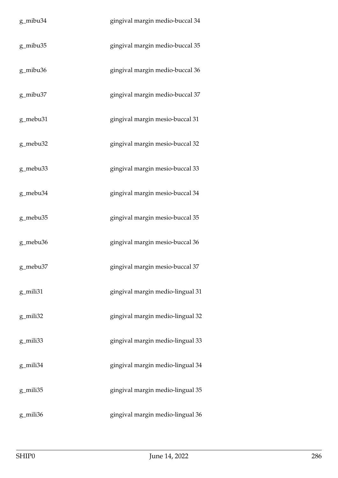| g_mibu34 | gingival margin medio-buccal 34  |
|----------|----------------------------------|
| g_mibu35 | gingival margin medio-buccal 35  |
| g_mibu36 | gingival margin medio-buccal 36  |
| g_mibu37 | gingival margin medio-buccal 37  |
| g_mebu31 | gingival margin mesio-buccal 31  |
| g_mebu32 | gingival margin mesio-buccal 32  |
| g_mebu33 | gingival margin mesio-buccal 33  |
| g_mebu34 | gingival margin mesio-buccal 34  |
| g_mebu35 | gingival margin mesio-buccal 35  |
| g_mebu36 | gingival margin mesio-buccal 36  |
| g_mebu37 | gingival margin mesio-buccal 37  |
| g_mili31 | gingival margin medio-lingual 31 |
| g_mili32 | gingival margin medio-lingual 32 |
| g_mili33 | gingival margin medio-lingual 33 |
| g_mili34 | gingival margin medio-lingual 34 |
| g_mili35 | gingival margin medio-lingual 35 |
| g_mili36 | gingival margin medio-lingual 36 |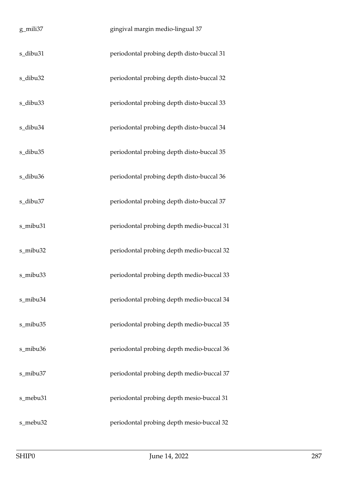| g_mili37 | gingival margin medio-lingual 37          |
|----------|-------------------------------------------|
| s_dibu31 | periodontal probing depth disto-buccal 31 |
| s_dibu32 | periodontal probing depth disto-buccal 32 |
| s_dibu33 | periodontal probing depth disto-buccal 33 |
| s_dibu34 | periodontal probing depth disto-buccal 34 |
| s_dibu35 | periodontal probing depth disto-buccal 35 |
| s_dibu36 | periodontal probing depth disto-buccal 36 |
| s_dibu37 | periodontal probing depth disto-buccal 37 |
| s_mibu31 | periodontal probing depth medio-buccal 31 |
| s_mibu32 | periodontal probing depth medio-buccal 32 |
| s_mibu33 | periodontal probing depth medio-buccal 33 |
| s_mibu34 | periodontal probing depth medio-buccal 34 |
| s_mibu35 | periodontal probing depth medio-buccal 35 |
| s_mibu36 | periodontal probing depth medio-buccal 36 |
| s_mibu37 | periodontal probing depth medio-buccal 37 |
| s_mebu31 | periodontal probing depth mesio-buccal 31 |
| s_mebu32 | periodontal probing depth mesio-buccal 32 |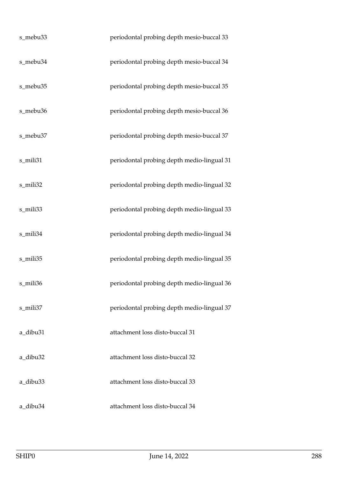| s_mebu33 | periodontal probing depth mesio-buccal 33  |
|----------|--------------------------------------------|
| s_mebu34 | periodontal probing depth mesio-buccal 34  |
| s_mebu35 | periodontal probing depth mesio-buccal 35  |
| s_mebu36 | periodontal probing depth mesio-buccal 36  |
| s_mebu37 | periodontal probing depth mesio-buccal 37  |
| s_mili31 | periodontal probing depth medio-lingual 31 |
| s_mili32 | periodontal probing depth medio-lingual 32 |
| s_mili33 | periodontal probing depth medio-lingual 33 |
| s_mili34 | periodontal probing depth medio-lingual 34 |
| s_mili35 | periodontal probing depth medio-lingual 35 |
| s_mili36 | periodontal probing depth medio-lingual 36 |
| s mili37 | periodontal probing depth medio-lingual 37 |
| a_dibu31 | attachment loss disto-buccal 31            |
| a_dibu32 | attachment loss disto-buccal 32            |
| a_dibu33 | attachment loss disto-buccal 33            |
| a_dibu34 | attachment loss disto-buccal 34            |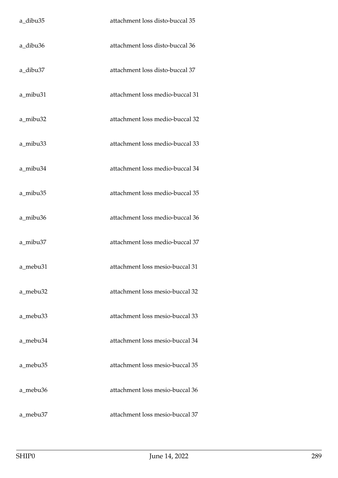| a_dibu35 | attachment loss disto-buccal 35 |
|----------|---------------------------------|
| a_dibu36 | attachment loss disto-buccal 36 |
| a_dibu37 | attachment loss disto-buccal 37 |
| a_mibu31 | attachment loss medio-buccal 31 |
| a_mibu32 | attachment loss medio-buccal 32 |
| a mibu33 | attachment loss medio-buccal 33 |
| a_mibu34 | attachment loss medio-buccal 34 |
| a_mibu35 | attachment loss medio-buccal 35 |
| a_mibu36 | attachment loss medio-buccal 36 |
| a_mibu37 | attachment loss medio-buccal 37 |
| a_mebu31 | attachment loss mesio-buccal 31 |
| a_mebu32 | attachment loss mesio-buccal 32 |
| a_mebu33 | attachment loss mesio-buccal 33 |
| a_mebu34 | attachment loss mesio-buccal 34 |
| a_mebu35 | attachment loss mesio-buccal 35 |
| a_mebu36 | attachment loss mesio-buccal 36 |
| a mebu37 | attachment loss mesio-buccal 37 |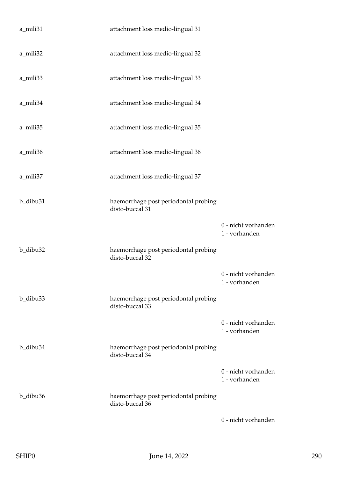| a_mili31             | attachment loss medio-lingual 31                        |                                      |
|----------------------|---------------------------------------------------------|--------------------------------------|
| a_mili32             | attachment loss medio-lingual 32                        |                                      |
| a_mili33             | attachment loss medio-lingual 33                        |                                      |
| a_mili34             | attachment loss medio-lingual 34                        |                                      |
| a_mili35             | attachment loss medio-lingual 35                        |                                      |
| a_mili36             | attachment loss medio-lingual 36                        |                                      |
| a_mili37             | attachment loss medio-lingual 37                        |                                      |
| b_dibu31             | haemorrhage post periodontal probing<br>disto-buccal 31 |                                      |
|                      |                                                         | 0 - nicht vorhanden<br>1 - vorhanden |
| b_dibu32             | haemorrhage post periodontal probing<br>disto-buccal 32 |                                      |
|                      |                                                         | 0 - nicht vorhanden<br>1 - vorhanden |
| b_dibu <sub>33</sub> | haemorrhage post periodontal probing<br>disto-buccal 33 |                                      |
|                      |                                                         | 0 - nicht vorhanden<br>1 - vorhanden |
| b_dibu34             | haemorrhage post periodontal probing<br>disto-buccal 34 |                                      |
|                      |                                                         | 0 - nicht vorhanden<br>1 - vorhanden |
| b_dibu36             | haemorrhage post periodontal probing<br>disto-buccal 36 |                                      |
|                      |                                                         | 0 - nicht vorhanden                  |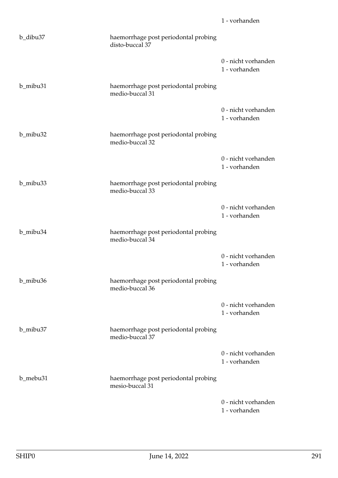| b_dibu37 | haemorrhage post periodontal probing<br>disto-buccal 37 |                                      |
|----------|---------------------------------------------------------|--------------------------------------|
|          |                                                         | 0 - nicht vorhanden<br>1 - vorhanden |
| b_mibu31 | haemorrhage post periodontal probing<br>medio-buccal 31 |                                      |
|          |                                                         | 0 - nicht vorhanden<br>1 - vorhanden |
| b_mibu32 | haemorrhage post periodontal probing<br>medio-buccal 32 |                                      |
|          |                                                         | 0 - nicht vorhanden<br>1 - vorhanden |
| b_mibu33 | haemorrhage post periodontal probing<br>medio-buccal 33 |                                      |
|          |                                                         | 0 - nicht vorhanden<br>1 - vorhanden |
| b_mibu34 | haemorrhage post periodontal probing<br>medio-buccal 34 |                                      |
|          |                                                         | 0 - nicht vorhanden<br>1 - vorhanden |
| b_mibu36 | haemorrhage post periodontal probing<br>medio-buccal 36 |                                      |
|          |                                                         | 0 - nicht vorhanden<br>1 - vorhanden |
| b_mibu37 | haemorrhage post periodontal probing<br>medio-buccal 37 |                                      |
|          |                                                         | 0 - nicht vorhanden<br>1 - vorhanden |
| b_mebu31 | haemorrhage post periodontal probing<br>mesio-buccal 31 |                                      |
|          |                                                         | 0 - nicht vorhanden<br>1 - vorhanden |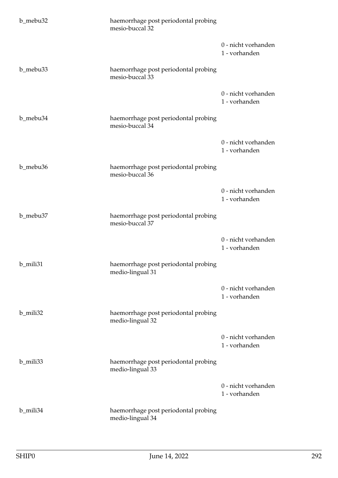| b_mebu32 | haemorrhage post periodontal probing<br>mesio-buccal 32  |                                      |
|----------|----------------------------------------------------------|--------------------------------------|
|          |                                                          | 0 - nicht vorhanden<br>1 - vorhanden |
| b_mebu33 | haemorrhage post periodontal probing<br>mesio-buccal 33  |                                      |
|          |                                                          | 0 - nicht vorhanden<br>1 - vorhanden |
| b_mebu34 | haemorrhage post periodontal probing<br>mesio-buccal 34  |                                      |
|          |                                                          | 0 - nicht vorhanden<br>1 - vorhanden |
| b_mebu36 | haemorrhage post periodontal probing<br>mesio-buccal 36  |                                      |
|          |                                                          | 0 - nicht vorhanden<br>1 - vorhanden |
| b_mebu37 | haemorrhage post periodontal probing<br>mesio-buccal 37  |                                      |
|          |                                                          | 0 - nicht vorhanden<br>1 - vorhanden |
| b_mili31 | haemorrhage post periodontal probing<br>medio-lingual 31 |                                      |
|          |                                                          | 0 - nicht vorhanden<br>1 - vorhanden |
| b_mili32 | haemorrhage post periodontal probing<br>medio-lingual 32 |                                      |
|          |                                                          | 0 - nicht vorhanden<br>1 - vorhanden |
| b_mili33 | haemorrhage post periodontal probing<br>medio-lingual 33 |                                      |
|          |                                                          | 0 - nicht vorhanden<br>1 - vorhanden |
| b_mili34 | haemorrhage post periodontal probing<br>medio-lingual 34 |                                      |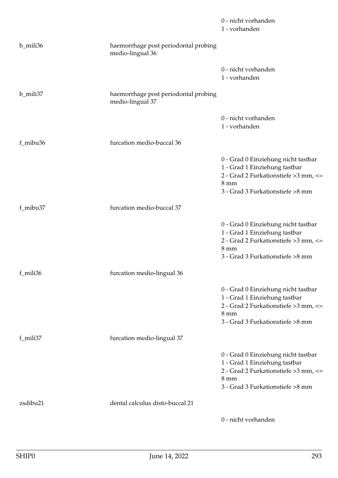|          |                                                          | 0 - nicht vorhanden<br>1 - vorhanden                                                                                                                                |
|----------|----------------------------------------------------------|---------------------------------------------------------------------------------------------------------------------------------------------------------------------|
| b_mili36 | haemorrhage post periodontal probing<br>medio-lingual 36 |                                                                                                                                                                     |
|          |                                                          | 0 - nicht vorhanden<br>1 - vorhanden                                                                                                                                |
| b_mili37 | haemorrhage post periodontal probing<br>medio-lingual 37 |                                                                                                                                                                     |
|          |                                                          | 0 - nicht vorhanden<br>1 - vorhanden                                                                                                                                |
| f_mibu36 | furcation medio-buccal 36                                |                                                                                                                                                                     |
|          |                                                          | 0 - Grad 0 Einziehung nicht tastbar<br>1 - Grad 1 Einziehung tastbar<br>2 - Grad 2 Furkationstiefe > 3 mm, <=<br>$8 \text{ mm}$<br>3 - Grad 3 Furkationstiefe >8 mm |
| f_mibu37 | furcation medio-buccal 37                                |                                                                                                                                                                     |
|          |                                                          | 0 - Grad 0 Einziehung nicht tastbar<br>1 - Grad 1 Einziehung tastbar<br>2 - Grad 2 Furkationstiefe >3 mm, <=<br>$8 \text{ mm}$<br>3 - Grad 3 Furkationstiefe >8 mm  |
| f_mili36 | furcation medio-lingual 36                               |                                                                                                                                                                     |
|          |                                                          | 0 - Grad 0 Einziehung nicht tastbar<br>1 - Grad 1 Einziehung tastbar<br>2 - Grad 2 Furkationstiefe > 3 mm, <=<br>$8 \text{ mm}$<br>3 - Grad 3 Furkationstiefe >8 mm |
| f_mili37 | furcation medio-lingual 37                               |                                                                                                                                                                     |
|          |                                                          | 0 - Grad 0 Einziehung nicht tastbar<br>1 - Grad 1 Einziehung tastbar<br>2 - Grad 2 Furkationstiefe > 3 mm, <=<br>$8 \text{ mm}$<br>3 - Grad 3 Furkationstiefe >8 mm |
| zsdibu21 | dental calculus disto-buccal 21                          |                                                                                                                                                                     |
|          |                                                          | 0 - nicht vorhanden                                                                                                                                                 |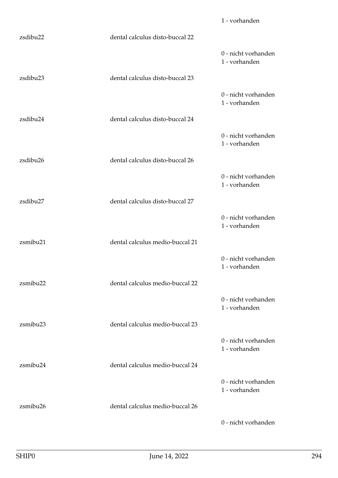|          |                                 | 1 - vorhanden                        |
|----------|---------------------------------|--------------------------------------|
| zsdibu22 | dental calculus disto-buccal 22 |                                      |
|          |                                 | 0 - nicht vorhanden<br>1 - vorhanden |
| zsdibu23 | dental calculus disto-buccal 23 |                                      |
|          |                                 | 0 - nicht vorhanden<br>1 - vorhanden |
| zsdibu24 | dental calculus disto-buccal 24 |                                      |
|          |                                 | 0 - nicht vorhanden<br>1 - vorhanden |
| zsdibu26 | dental calculus disto-buccal 26 |                                      |
|          |                                 | 0 - nicht vorhanden<br>1 - vorhanden |
| zsdibu27 | dental calculus disto-buccal 27 |                                      |
|          |                                 | 0 - nicht vorhanden<br>1 - vorhanden |
| zsmibu21 | dental calculus medio-buccal 21 |                                      |
|          |                                 | 0 - nicht vorhanden<br>1 - vorhanden |
| zsmibu22 | dental calculus medio-buccal 22 |                                      |
|          |                                 | 0 - nicht vorhanden<br>1 - vorhanden |
| zsmibu23 | dental calculus medio-buccal 23 |                                      |
|          |                                 | 0 - nicht vorhanden<br>1 - vorhanden |
| zsmibu24 | dental calculus medio-buccal 24 |                                      |
|          |                                 | 0 - nicht vorhanden<br>1 - vorhanden |
| zsmibu26 | dental calculus medio-buccal 26 |                                      |
|          |                                 | 0 - nicht vorhanden                  |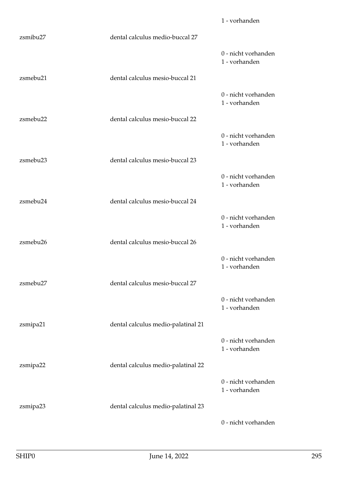|                      |                                    | 1 - vorhanden                        |
|----------------------|------------------------------------|--------------------------------------|
| zsmibu27             | dental calculus medio-buccal 27    |                                      |
|                      |                                    | 0 - nicht vorhanden<br>1 - vorhanden |
| zsmebu21             | dental calculus mesio-buccal 21    |                                      |
|                      |                                    | 0 - nicht vorhanden<br>1 - vorhanden |
| zsmebu22             | dental calculus mesio-buccal 22    |                                      |
|                      |                                    | 0 - nicht vorhanden<br>1 - vorhanden |
| zsmebu <sub>23</sub> | dental calculus mesio-buccal 23    |                                      |
|                      |                                    | 0 - nicht vorhanden<br>1 - vorhanden |
| zsmebu24             | dental calculus mesio-buccal 24    |                                      |
|                      |                                    | 0 - nicht vorhanden<br>1 - vorhanden |
| zsmebu26             | dental calculus mesio-buccal 26    |                                      |
|                      |                                    | 0 - nicht vorhanden<br>1 - vorhanden |
| zsmebu27             | dental calculus mesio-buccal 27    |                                      |
|                      |                                    | 0 - nicht vorhanden<br>1 - vorhanden |
| zsmipa21             | dental calculus medio-palatinal 21 |                                      |
|                      |                                    | 0 - nicht vorhanden<br>1 - vorhanden |
| zsmipa22             | dental calculus medio-palatinal 22 |                                      |
|                      |                                    | 0 - nicht vorhanden<br>1 - vorhanden |
| zsmipa23             | dental calculus medio-palatinal 23 |                                      |
|                      |                                    | 0 - nicht vorhanden                  |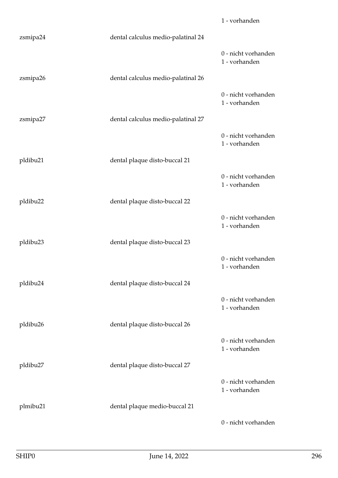|          |                                    | 1 - vorhanden                        |
|----------|------------------------------------|--------------------------------------|
| zsmipa24 | dental calculus medio-palatinal 24 |                                      |
|          |                                    | 0 - nicht vorhanden<br>1 - vorhanden |
| zsmipa26 | dental calculus medio-palatinal 26 |                                      |
|          |                                    | 0 - nicht vorhanden<br>1 - vorhanden |
| zsmipa27 | dental calculus medio-palatinal 27 |                                      |
|          |                                    | 0 - nicht vorhanden<br>1 - vorhanden |
| pldibu21 | dental plaque disto-buccal 21      |                                      |
|          |                                    | 0 - nicht vorhanden<br>1 - vorhanden |
| pldibu22 | dental plaque disto-buccal 22      |                                      |
|          |                                    | 0 - nicht vorhanden<br>1 - vorhanden |
| pldibu23 | dental plaque disto-buccal 23      |                                      |
|          |                                    | 0 - nicht vorhanden<br>1 - vorhanden |
| pldibu24 | dental plaque disto-buccal 24      |                                      |
|          |                                    | 0 - nicht vorhanden<br>1 - vorhanden |
| pldibu26 | dental plaque disto-buccal 26      |                                      |
|          |                                    | 0 - nicht vorhanden<br>1 - vorhanden |
| pldibu27 | dental plaque disto-buccal 27      |                                      |
|          |                                    | 0 - nicht vorhanden<br>1 - vorhanden |
| plmibu21 | dental plaque medio-buccal 21      |                                      |
|          |                                    | 0 - nicht vorhanden                  |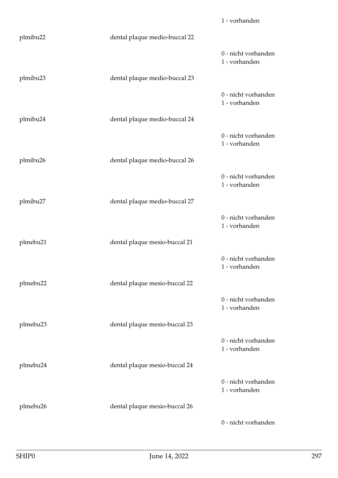|                      |                               | 1 - vorhanden                        |
|----------------------|-------------------------------|--------------------------------------|
| plmibu22             | dental plaque medio-buccal 22 |                                      |
|                      |                               | 0 - nicht vorhanden<br>1 - vorhanden |
| plmibu23             | dental plaque medio-buccal 23 |                                      |
|                      |                               | 0 - nicht vorhanden<br>1 - vorhanden |
| plmibu24             | dental plaque medio-buccal 24 |                                      |
|                      |                               | 0 - nicht vorhanden<br>1 - vorhanden |
| plmibu26             | dental plaque medio-buccal 26 |                                      |
|                      |                               | 0 - nicht vorhanden<br>1 - vorhanden |
| plmibu27             | dental plaque medio-buccal 27 |                                      |
|                      |                               | 0 - nicht vorhanden<br>1 - vorhanden |
| plmebu21             | dental plaque mesio-buccal 21 |                                      |
|                      |                               | 0 - nicht vorhanden<br>1 - vorhanden |
| plmebu22             | dental plaque mesio-buccal 22 |                                      |
|                      |                               | 0 - nicht vorhanden<br>1 - vorhanden |
| plmebu <sub>23</sub> | dental plaque mesio-buccal 23 |                                      |
|                      |                               | 0 - nicht vorhanden<br>1 - vorhanden |
| plmebu24             | dental plaque mesio-buccal 24 |                                      |
|                      |                               | 0 - nicht vorhanden<br>1 - vorhanden |
| plmebu26             | dental plaque mesio-buccal 26 |                                      |
|                      |                               | 0 - nicht vorhanden                  |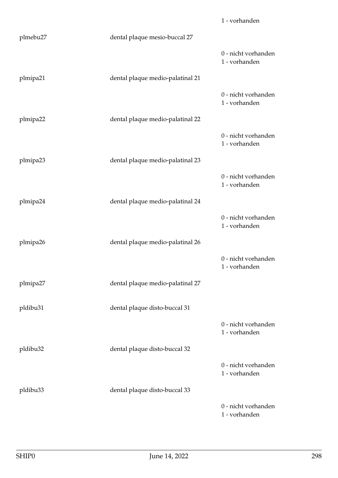|          |                                  | 1 - vorhanden                        |
|----------|----------------------------------|--------------------------------------|
| plmebu27 | dental plaque mesio-buccal 27    |                                      |
|          |                                  | 0 - nicht vorhanden<br>1 - vorhanden |
| plmipa21 | dental plaque medio-palatinal 21 |                                      |
|          |                                  | 0 - nicht vorhanden<br>1 - vorhanden |
| plmipa22 | dental plaque medio-palatinal 22 |                                      |
|          |                                  | 0 - nicht vorhanden<br>1 - vorhanden |
| plmipa23 | dental plaque medio-palatinal 23 |                                      |
|          |                                  | 0 - nicht vorhanden<br>1 - vorhanden |
| plmipa24 | dental plaque medio-palatinal 24 |                                      |
|          |                                  | 0 - nicht vorhanden<br>1 - vorhanden |
| plmipa26 | dental plaque medio-palatinal 26 |                                      |
|          |                                  | 0 - nicht vorhanden<br>1 - vorhanden |
| plmipa27 | dental plaque medio-palatinal 27 |                                      |
| pldibu31 | dental plaque disto-buccal 31    |                                      |
|          |                                  | 0 - nicht vorhanden<br>1 - vorhanden |
| pldibu32 | dental plaque disto-buccal 32    |                                      |
|          |                                  | 0 - nicht vorhanden<br>1 - vorhanden |
| pldibu33 | dental plaque disto-buccal 33    |                                      |
|          |                                  | 0 - nicht vorhanden<br>1 - vorhanden |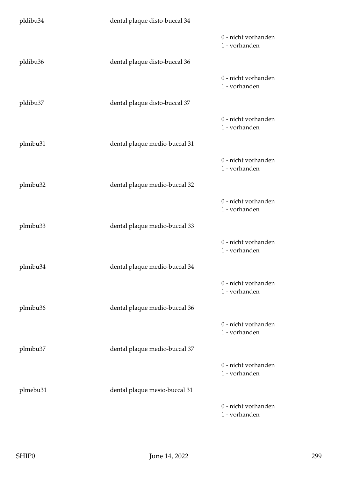| pldibu34 | dental plaque disto-buccal 34 |                                      |
|----------|-------------------------------|--------------------------------------|
|          |                               | 0 - nicht vorhanden<br>1 - vorhanden |
| pldibu36 | dental plaque disto-buccal 36 |                                      |
|          |                               | 0 - nicht vorhanden<br>1 - vorhanden |
| pldibu37 | dental plaque disto-buccal 37 |                                      |
|          |                               | 0 - nicht vorhanden<br>1 - vorhanden |
| plmibu31 | dental plaque medio-buccal 31 |                                      |
|          |                               | 0 - nicht vorhanden<br>1 - vorhanden |
| plmibu32 | dental plaque medio-buccal 32 |                                      |
|          |                               | 0 - nicht vorhanden<br>1 - vorhanden |
| plmibu33 | dental plaque medio-buccal 33 |                                      |
|          |                               | 0 - nicht vorhanden<br>1 - vorhanden |
| plmibu34 | dental plaque medio-buccal 34 |                                      |
|          |                               | 0 - nicht vorhanden<br>1 - vorhanden |
| plmibu36 | dental plaque medio-buccal 36 |                                      |
|          |                               | 0 - nicht vorhanden<br>1 - vorhanden |
| plmibu37 | dental plaque medio-buccal 37 |                                      |
|          |                               | 0 - nicht vorhanden<br>1 - vorhanden |
| plmebu31 | dental plaque mesio-buccal 31 |                                      |
|          |                               | 0 - nicht vorhanden<br>1 - vorhanden |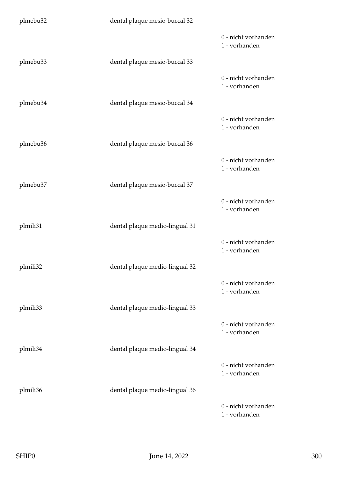| plmebu32 | dental plaque mesio-buccal 32  |                                      |
|----------|--------------------------------|--------------------------------------|
|          |                                | 0 - nicht vorhanden<br>1 - vorhanden |
| plmebu33 | dental plaque mesio-buccal 33  |                                      |
|          |                                | 0 - nicht vorhanden<br>1 - vorhanden |
| plmebu34 | dental plaque mesio-buccal 34  |                                      |
|          |                                | 0 - nicht vorhanden<br>1 - vorhanden |
| plmebu36 | dental plaque mesio-buccal 36  |                                      |
|          |                                | 0 - nicht vorhanden<br>1 - vorhanden |
| plmebu37 | dental plaque mesio-buccal 37  |                                      |
|          |                                | 0 - nicht vorhanden<br>1 - vorhanden |
| plmili31 | dental plaque medio-lingual 31 |                                      |
|          |                                | 0 - nicht vorhanden<br>1 - vorhanden |
| plmili32 | dental plaque medio-lingual 32 |                                      |
|          |                                | 0 - nicht vorhanden<br>1 - vorhanden |
| plmili33 | dental plaque medio-lingual 33 |                                      |
|          |                                | 0 - nicht vorhanden<br>1 - vorhanden |
| plmili34 | dental plaque medio-lingual 34 |                                      |
|          |                                | 0 - nicht vorhanden<br>1 - vorhanden |
| plmili36 | dental plaque medio-lingual 36 |                                      |
|          |                                | 0 - nicht vorhanden<br>1 - vorhanden |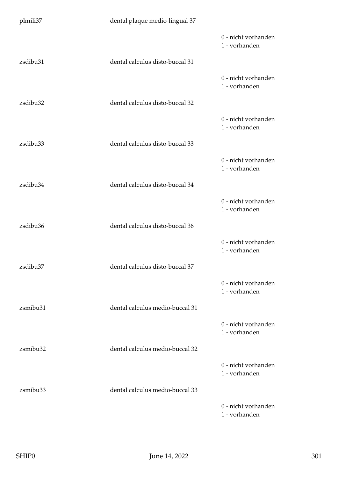| plmili37 | dental plaque medio-lingual 37  |                                      |
|----------|---------------------------------|--------------------------------------|
|          |                                 | 0 - nicht vorhanden<br>1 - vorhanden |
| zsdibu31 | dental calculus disto-buccal 31 |                                      |
|          |                                 | 0 - nicht vorhanden<br>1 - vorhanden |
| zsdibu32 | dental calculus disto-buccal 32 |                                      |
|          |                                 | 0 - nicht vorhanden<br>1 - vorhanden |
| zsdibu33 | dental calculus disto-buccal 33 |                                      |
|          |                                 | 0 - nicht vorhanden<br>1 - vorhanden |
| zsdibu34 | dental calculus disto-buccal 34 |                                      |
|          |                                 | 0 - nicht vorhanden<br>1 - vorhanden |
| zsdibu36 | dental calculus disto-buccal 36 |                                      |
|          |                                 | 0 - nicht vorhanden<br>1 - vorhanden |
| zsdibu37 | dental calculus disto-buccal 37 |                                      |
|          |                                 | 0 - nicht vorhanden<br>1 - vorhanden |
| zsmibu31 | dental calculus medio-buccal 31 |                                      |
|          |                                 | 0 - nicht vorhanden<br>1 - vorhanden |
| zsmibu32 | dental calculus medio-buccal 32 |                                      |
|          |                                 | 0 - nicht vorhanden<br>1 - vorhanden |
| zsmibu33 | dental calculus medio-buccal 33 |                                      |
|          |                                 | 0 - nicht vorhanden<br>1 - vorhanden |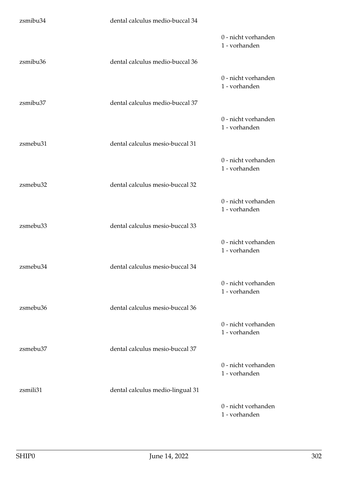| zsmibu34 | dental calculus medio-buccal 34  |                                      |
|----------|----------------------------------|--------------------------------------|
|          |                                  | 0 - nicht vorhanden<br>1 - vorhanden |
| zsmibu36 | dental calculus medio-buccal 36  |                                      |
|          |                                  | 0 - nicht vorhanden<br>1 - vorhanden |
| zsmibu37 | dental calculus medio-buccal 37  |                                      |
|          |                                  | 0 - nicht vorhanden<br>1 - vorhanden |
| zsmebu31 | dental calculus mesio-buccal 31  |                                      |
|          |                                  | 0 - nicht vorhanden<br>1 - vorhanden |
| zsmebu32 | dental calculus mesio-buccal 32  |                                      |
|          |                                  | 0 - nicht vorhanden<br>1 - vorhanden |
| zsmebu33 | dental calculus mesio-buccal 33  |                                      |
|          |                                  | 0 - nicht vorhanden<br>1 - vorhanden |
| zsmebu34 | dental calculus mesio-buccal 34  |                                      |
|          |                                  | 0 - nicht vorhanden<br>1 - vorhanden |
| zsmebu36 | dental calculus mesio-buccal 36  |                                      |
|          |                                  | 0 - nicht vorhanden<br>1 - vorhanden |
| zsmebu37 | dental calculus mesio-buccal 37  |                                      |
|          |                                  | 0 - nicht vorhanden<br>1 - vorhanden |
| zsmili31 | dental calculus medio-lingual 31 |                                      |
|          |                                  | 0 - nicht vorhanden<br>1 - vorhanden |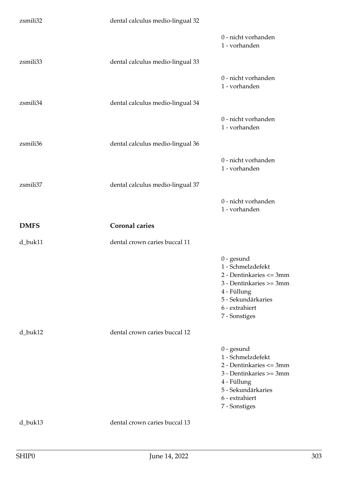| zsmili32    | dental calculus medio-lingual 32 |                                                                                                                                                                 |
|-------------|----------------------------------|-----------------------------------------------------------------------------------------------------------------------------------------------------------------|
|             |                                  | 0 - nicht vorhanden<br>1 - vorhanden                                                                                                                            |
| zsmili33    | dental calculus medio-lingual 33 |                                                                                                                                                                 |
|             |                                  | 0 - nicht vorhanden<br>1 - vorhanden                                                                                                                            |
| zsmili34    | dental calculus medio-lingual 34 |                                                                                                                                                                 |
|             |                                  | 0 - nicht vorhanden<br>1 - vorhanden                                                                                                                            |
| zsmili36    | dental calculus medio-lingual 36 |                                                                                                                                                                 |
|             |                                  | 0 - nicht vorhanden<br>1 - vorhanden                                                                                                                            |
| zsmili37    | dental calculus medio-lingual 37 |                                                                                                                                                                 |
|             |                                  | 0 - nicht vorhanden<br>1 - vorhanden                                                                                                                            |
|             |                                  |                                                                                                                                                                 |
| <b>DMFS</b> | <b>Coronal caries</b>            |                                                                                                                                                                 |
| d_buk11     | dental crown caries buccal 11    |                                                                                                                                                                 |
|             |                                  | $0$ - gesund<br>1 - Schmelzdefekt<br>2 - Dentinkaries <= 3mm<br>3 - Dentinkaries >= 3mm<br>4 - Füllung<br>5 - Sekundärkaries<br>6 - extrahiert<br>7 - Sonstiges |
| d_buk12     | dental crown caries buccal 12    |                                                                                                                                                                 |
|             |                                  | $0$ - gesund<br>1 - Schmelzdefekt<br>2 - Dentinkaries <= 3mm<br>3 - Dentinkaries >= 3mm<br>4 - Füllung<br>5 - Sekundärkaries<br>6 - extrahiert<br>7 - Sonstiges |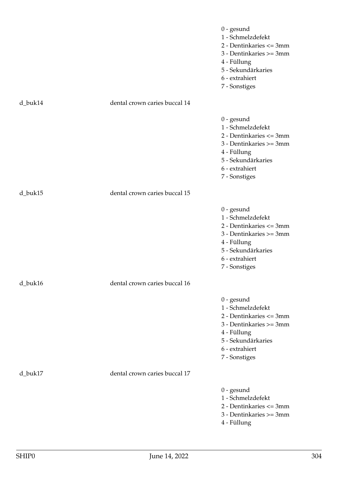|         |                               | $0$ - gesund<br>1 - Schmelzdefekt<br>2 - Dentinkaries <= 3mm<br>3 - Dentinkaries >= 3mm<br>4 - Füllung<br>5 - Sekundärkaries<br>6 - extrahiert<br>7 - Sonstiges |
|---------|-------------------------------|-----------------------------------------------------------------------------------------------------------------------------------------------------------------|
| d_buk14 | dental crown caries buccal 14 |                                                                                                                                                                 |
|         |                               | $0$ - gesund<br>1 - Schmelzdefekt<br>2 - Dentinkaries <= 3mm<br>3 - Dentinkaries >= 3mm<br>4 - Füllung<br>5 - Sekundärkaries<br>6 - extrahiert<br>7 - Sonstiges |
| d_buk15 | dental crown caries buccal 15 |                                                                                                                                                                 |
|         |                               | $0$ - gesund<br>1 - Schmelzdefekt<br>2 - Dentinkaries <= 3mm<br>3 - Dentinkaries >= 3mm<br>4 - Füllung<br>5 - Sekundärkaries<br>6 - extrahiert<br>7 - Sonstiges |
| d_buk16 | dental crown caries buccal 16 |                                                                                                                                                                 |
|         |                               | $0$ - gesund<br>1 - Schmelzdefekt<br>2 - Dentinkaries <= 3mm<br>3 - Dentinkaries >= 3mm<br>4 - Füllung<br>5 - Sekundärkaries<br>6 - extrahiert<br>7 - Sonstiges |
| d_buk17 | dental crown caries buccal 17 |                                                                                                                                                                 |
|         |                               | $0$ - gesund<br>1 - Schmelzdefekt<br>2 - Dentinkaries <= 3mm<br>3 - Dentinkaries >= 3mm<br>4 - Füllung                                                          |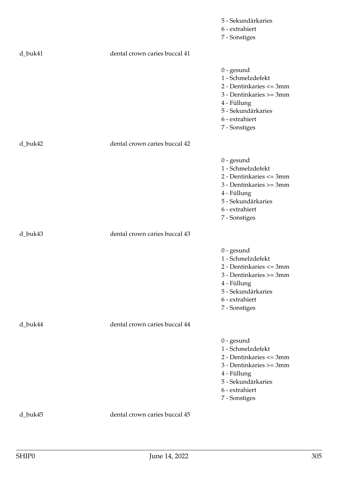|         |                               | 5 - Sekundärkaries                                                                                                                                              |
|---------|-------------------------------|-----------------------------------------------------------------------------------------------------------------------------------------------------------------|
|         |                               | 6 - extrahiert                                                                                                                                                  |
|         |                               | 7 - Sonstiges                                                                                                                                                   |
| d_buk41 | dental crown caries buccal 41 |                                                                                                                                                                 |
|         |                               | $0$ - gesund<br>1 - Schmelzdefekt<br>2 - Dentinkaries <= 3mm<br>3 - Dentinkaries >= 3mm<br>4 - Füllung<br>5 - Sekundärkaries<br>6 - extrahiert<br>7 - Sonstiges |
| d_buk42 | dental crown caries buccal 42 |                                                                                                                                                                 |
|         |                               | $0$ - gesund<br>1 - Schmelzdefekt<br>2 - Dentinkaries <= 3mm<br>3 - Dentinkaries >= 3mm<br>4 - Füllung<br>5 - Sekundärkaries<br>6 - extrahiert<br>7 - Sonstiges |
| d_buk43 | dental crown caries buccal 43 |                                                                                                                                                                 |
|         |                               | $0$ - gesund<br>1 - Schmelzdefekt<br>2 - Dentinkaries <= 3mm<br>3 - Dentinkaries >= 3mm<br>4 - Füllung<br>5 - Sekundärkaries<br>6 - extrahiert<br>7 - Sonstiges |
| d_buk44 | dental crown caries buccal 44 |                                                                                                                                                                 |
|         |                               | $0$ - gesund<br>1 - Schmelzdefekt<br>2 - Dentinkaries <= 3mm<br>3 - Dentinkaries >= 3mm<br>4 - Füllung<br>5 - Sekundärkaries<br>6 - extrahiert<br>7 - Sonstiges |
| d_buk45 | dental crown caries buccal 45 |                                                                                                                                                                 |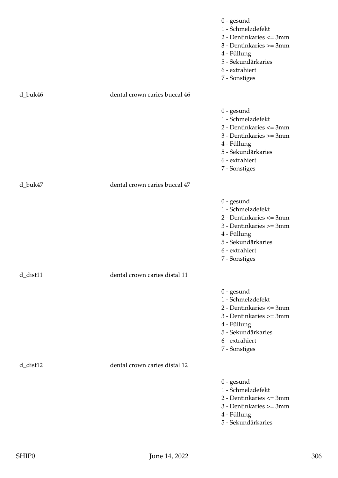|                |                               | $0$ - gesund<br>1 - Schmelzdefekt<br>2 - Dentinkaries <= 3mm<br>3 - Dentinkaries >= 3mm<br>4 - Füllung<br>5 - Sekundärkaries<br>6 - extrahiert<br>7 - Sonstiges |
|----------------|-------------------------------|-----------------------------------------------------------------------------------------------------------------------------------------------------------------|
| d_buk46        | dental crown caries buccal 46 |                                                                                                                                                                 |
|                |                               | $0$ - gesund<br>1 - Schmelzdefekt<br>2 - Dentinkaries <= 3mm<br>3 - Dentinkaries >= 3mm<br>4 - Füllung<br>5 - Sekundärkaries<br>6 - extrahiert<br>7 - Sonstiges |
| d_buk47        | dental crown caries buccal 47 |                                                                                                                                                                 |
|                |                               | $0$ - gesund<br>1 - Schmelzdefekt<br>2 - Dentinkaries <= 3mm<br>3 - Dentinkaries >= 3mm<br>4 - Füllung<br>5 - Sekundärkaries<br>6 - extrahiert<br>7 - Sonstiges |
| $d$ _dist $11$ | dental crown caries distal 11 |                                                                                                                                                                 |
|                |                               | $0$ - gesund<br>1 - Schmelzdefekt<br>2 - Dentinkaries <= 3mm<br>3 - Dentinkaries >= 3mm<br>4 - Füllung<br>5 - Sekundärkaries<br>6 - extrahiert<br>7 - Sonstiges |
| $d$ _dist $12$ | dental crown caries distal 12 |                                                                                                                                                                 |
|                |                               | $0$ - gesund<br>1 - Schmelzdefekt<br>2 - Dentinkaries <= 3mm<br>3 - Dentinkaries >= 3mm<br>4 - Füllung<br>5 - Sekundärkaries                                    |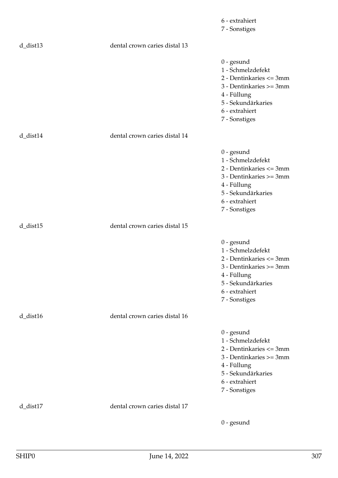|                |                               | 6 - extrahiert<br>7 - Sonstiges                                                                                                                                 |
|----------------|-------------------------------|-----------------------------------------------------------------------------------------------------------------------------------------------------------------|
| $d$ _dist $13$ | dental crown caries distal 13 |                                                                                                                                                                 |
|                |                               | $0$ - gesund<br>1 - Schmelzdefekt<br>2 - Dentinkaries <= 3mm<br>3 - Dentinkaries >= 3mm<br>4 - Füllung<br>5 - Sekundärkaries<br>6 - extrahiert<br>7 - Sonstiges |
| $d\_dist14$    | dental crown caries distal 14 |                                                                                                                                                                 |
|                |                               | $0$ - gesund<br>1 - Schmelzdefekt<br>2 - Dentinkaries <= 3mm<br>3 - Dentinkaries >= 3mm<br>4 - Füllung<br>5 - Sekundärkaries<br>6 - extrahiert<br>7 - Sonstiges |
| $d$ _dist $15$ | dental crown caries distal 15 |                                                                                                                                                                 |
|                |                               | $0$ - gesund<br>1 - Schmelzdefekt<br>2 - Dentinkaries <= 3mm<br>3 - Dentinkaries >= 3mm<br>4 - Füllung<br>5 - Sekundärkaries<br>6 - extrahiert<br>7 - Sonstiges |
| $d$ _dist $16$ | dental crown caries distal 16 |                                                                                                                                                                 |
|                |                               | $0$ - gesund<br>1 - Schmelzdefekt<br>2 - Dentinkaries <= 3mm<br>3 - Dentinkaries >= 3mm<br>4 - Füllung<br>5 - Sekundärkaries<br>6 - extrahiert<br>7 - Sonstiges |
| d_dist17       | dental crown caries distal 17 |                                                                                                                                                                 |
|                |                               | $0$ - gesund                                                                                                                                                    |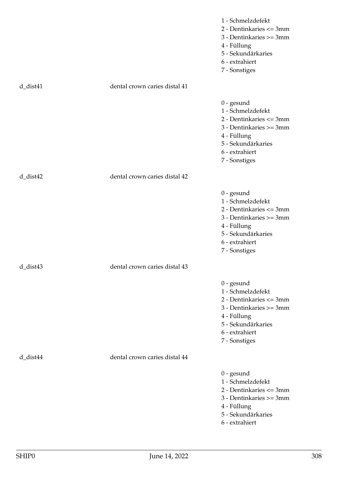|             |                               | 1 - Schmelzdefekt<br>2 - Dentinkaries <= 3mm<br>3 - Dentinkaries >= 3mm<br>4 - Füllung<br>5 - Sekundärkaries<br>6 - extrahiert<br>7 - Sonstiges                 |
|-------------|-------------------------------|-----------------------------------------------------------------------------------------------------------------------------------------------------------------|
| $d$ _dist41 | dental crown caries distal 41 |                                                                                                                                                                 |
|             |                               | $0$ - gesund<br>1 - Schmelzdefekt<br>2 - Dentinkaries <= 3mm<br>3 - Dentinkaries >= 3mm<br>4 - Füllung<br>5 - Sekundärkaries<br>6 - extrahiert<br>7 - Sonstiges |
| $d$ _dist42 | dental crown caries distal 42 |                                                                                                                                                                 |
|             |                               | $0$ - gesund<br>1 - Schmelzdefekt<br>2 - Dentinkaries <= 3mm<br>3 - Dentinkaries >= 3mm<br>4 - Füllung<br>5 - Sekundärkaries<br>6 - extrahiert<br>7 - Sonstiges |
| d dist43    | dental crown caries distal 43 |                                                                                                                                                                 |
|             |                               | $0$ - gesund<br>1 - Schmelzdefekt<br>2 - Dentinkaries <= 3mm<br>3 - Dentinkaries >= 3mm<br>4 - Füllung<br>5 - Sekundärkaries<br>6 - extrahiert<br>7 - Sonstiges |
| d_dist44    | dental crown caries distal 44 |                                                                                                                                                                 |
|             |                               | $0$ - gesund<br>1 - Schmelzdefekt<br>2 - Dentinkaries <= 3mm<br>3 - Dentinkaries >= 3mm<br>4 - Füllung<br>5 - Sekundärkaries<br>6 - extrahiert                  |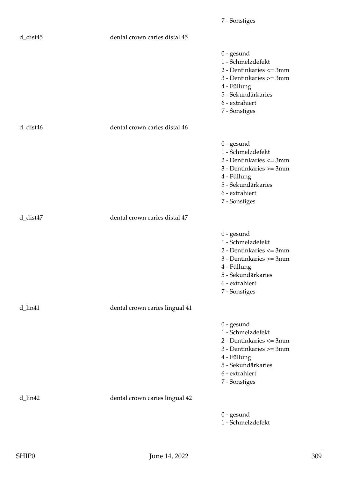| $d_{dist45}$         | dental crown caries distal 45  |                                                                                                                                                                 |
|----------------------|--------------------------------|-----------------------------------------------------------------------------------------------------------------------------------------------------------------|
|                      |                                | $0$ - gesund<br>1 - Schmelzdefekt<br>2 - Dentinkaries <= 3mm<br>3 - Dentinkaries >= 3mm<br>4 - Füllung<br>5 - Sekundärkaries<br>6 - extrahiert<br>7 - Sonstiges |
| $d$ _dist46          | dental crown caries distal 46  |                                                                                                                                                                 |
|                      |                                | $0$ - gesund<br>1 - Schmelzdefekt<br>2 - Dentinkaries <= 3mm<br>3 - Dentinkaries >= 3mm<br>4 - Füllung<br>5 - Sekundärkaries<br>6 - extrahiert<br>7 - Sonstiges |
| d_dist47             | dental crown caries distal 47  |                                                                                                                                                                 |
|                      |                                | $0$ - gesund<br>1 - Schmelzdefekt<br>2 - Dentinkaries <= 3mm<br>3 - Dentinkaries >= 3mm<br>4 - Füllung<br>5 - Sekundärkaries<br>6 - extrahiert<br>7 - Sonstiges |
| $d$ _lin41           | dental crown caries lingual 41 |                                                                                                                                                                 |
|                      |                                | $0$ - gesund<br>1 - Schmelzdefekt<br>2 - Dentinkaries <= 3mm<br>3 - Dentinkaries >= 3mm<br>4 - Füllung<br>5 - Sekundärkaries<br>6 - extrahiert<br>7 - Sonstiges |
| $d$ <sub>lin42</sub> | dental crown caries lingual 42 |                                                                                                                                                                 |
|                      |                                | $0$ - gesund<br>1 - Schmelzdefekt                                                                                                                               |

7 - Sonstiges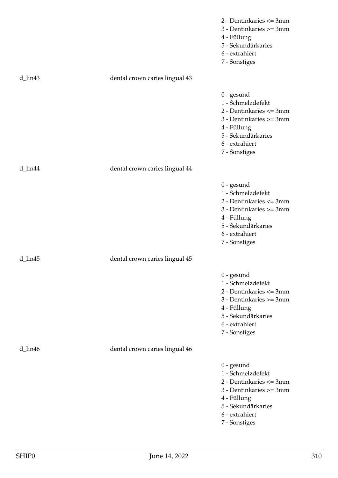|         |                                | 2 - Dentinkaries <= 3mm<br>3 - Dentinkaries >= 3mm<br>4 - Füllung<br>5 - Sekundärkaries<br>6 - extrahiert<br>7 - Sonstiges                                      |
|---------|--------------------------------|-----------------------------------------------------------------------------------------------------------------------------------------------------------------|
| d_lin43 | dental crown caries lingual 43 |                                                                                                                                                                 |
|         |                                | $0$ - gesund<br>1 - Schmelzdefekt<br>2 - Dentinkaries <= 3mm<br>3 - Dentinkaries >= 3mm<br>4 - Füllung<br>5 - Sekundärkaries<br>6 - extrahiert<br>7 - Sonstiges |
| d_lin44 | dental crown caries lingual 44 |                                                                                                                                                                 |
|         |                                | $0$ - gesund<br>1 - Schmelzdefekt<br>2 - Dentinkaries <= 3mm<br>3 - Dentinkaries >= 3mm<br>4 - Füllung<br>5 - Sekundärkaries<br>6 - extrahiert<br>7 - Sonstiges |
| d_lin45 | dental crown caries lingual 45 |                                                                                                                                                                 |
|         |                                | $0$ - gesund<br>1 - Schmelzdefekt<br>2 - Dentinkaries <= 3mm<br>3 - Dentinkaries >= 3mm<br>4 - Füllung<br>5 - Sekundärkaries<br>6 - extrahiert<br>7 - Sonstiges |
| d_lin46 | dental crown caries lingual 46 |                                                                                                                                                                 |
|         |                                | $0$ - gesund<br>1 - Schmelzdefekt<br>2 - Dentinkaries <= 3mm<br>3 - Dentinkaries >= 3mm<br>4 - Füllung<br>5 - Sekundärkaries<br>6 - extrahiert<br>7 - Sonstiges |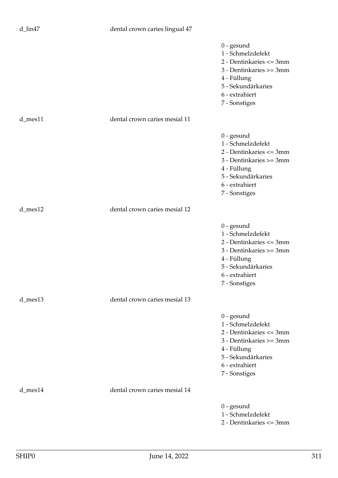## d\_lin47 dental crown caries lingual 47

|               |                               | $0$ - gesund<br>1 - Schmelzdefekt<br>2 - Dentinkaries <= 3mm<br>3 - Dentinkaries >= 3mm<br>4 - Füllung<br>5 - Sekundärkaries<br>6 - extrahiert<br>7 - Sonstiges |
|---------------|-------------------------------|-----------------------------------------------------------------------------------------------------------------------------------------------------------------|
| d_mes11       | dental crown caries mesial 11 |                                                                                                                                                                 |
|               |                               | $0$ - gesund<br>1 - Schmelzdefekt<br>2 - Dentinkaries <= 3mm<br>3 - Dentinkaries >= 3mm<br>4 - Füllung<br>5 - Sekundärkaries<br>6 - extrahiert<br>7 - Sonstiges |
| $d$ _mes12    | dental crown caries mesial 12 |                                                                                                                                                                 |
|               |                               | $0$ - gesund<br>1 - Schmelzdefekt<br>2 - Dentinkaries <= 3mm<br>3 - Dentinkaries >= 3mm<br>4 - Füllung<br>5 - Sekundärkaries<br>6 - extrahiert<br>7 - Sonstiges |
| $d$ _mes $13$ | dental crown caries mesial 13 |                                                                                                                                                                 |
|               |                               | $0$ - gesund<br>1 - Schmelzdefekt<br>2 - Dentinkaries <= 3mm<br>3 - Dentinkaries >= 3mm<br>4 - Füllung<br>5 - Sekundärkaries<br>6 - extrahiert<br>7 - Sonstiges |
| d_mes14       | dental crown caries mesial 14 |                                                                                                                                                                 |
|               |                               | $0$ - gesund<br>1 - Schmelzdefekt<br>2 - Dentinkaries <= 3mm                                                                                                    |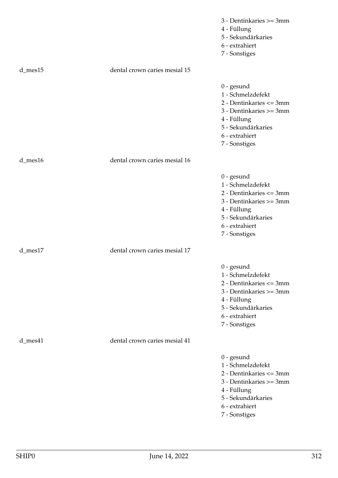|               |                               | 3 - Dentinkaries >= 3mm<br>4 - Füllung<br>5 - Sekundärkaries<br>6 - extrahiert<br>7 - Sonstiges                                                                 |
|---------------|-------------------------------|-----------------------------------------------------------------------------------------------------------------------------------------------------------------|
| $d$ _mes $15$ | dental crown caries mesial 15 |                                                                                                                                                                 |
|               |                               | $0$ - gesund<br>1 - Schmelzdefekt<br>2 - Dentinkaries <= 3mm<br>3 - Dentinkaries >= 3mm<br>4 - Füllung<br>5 - Sekundärkaries<br>6 - extrahiert<br>7 - Sonstiges |
| d_mes16       | dental crown caries mesial 16 |                                                                                                                                                                 |
|               |                               | $0$ - gesund<br>1 - Schmelzdefekt<br>2 - Dentinkaries <= 3mm<br>3 - Dentinkaries >= 3mm<br>4 - Füllung<br>5 - Sekundärkaries<br>6 - extrahiert<br>7 - Sonstiges |
| d_mes17       | dental crown caries mesial 17 |                                                                                                                                                                 |
|               |                               | $0$ - gesund<br>1 - Schmelzdefekt<br>2 - Dentinkaries <= 3mm<br>3 - Dentinkaries >= 3mm<br>4 - Füllung<br>5 - Sekundärkaries<br>6 - extrahiert<br>7 - Sonstiges |
| d_mes41       | dental crown caries mesial 41 |                                                                                                                                                                 |
|               |                               | $0$ - gesund<br>1 - Schmelzdefekt<br>2 - Dentinkaries <= 3mm<br>3 - Dentinkaries >= 3mm<br>4 - Füllung<br>5 - Sekundärkaries<br>6 - extrahiert<br>7 - Sonstiges |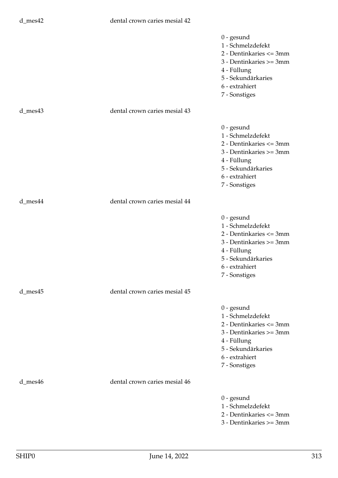|               |                               | $0$ - gesund<br>1 - Schmelzdefekt<br>2 - Dentinkaries <= 3mm<br>3 - Dentinkaries >= 3mm<br>4 - Füllung<br>5 - Sekundärkaries<br>6 - extrahiert<br>7 - Sonstiges |
|---------------|-------------------------------|-----------------------------------------------------------------------------------------------------------------------------------------------------------------|
| d_mes43       | dental crown caries mesial 43 |                                                                                                                                                                 |
|               |                               | $0$ - gesund<br>1 - Schmelzdefekt<br>2 - Dentinkaries <= 3mm<br>3 - Dentinkaries >= 3mm<br>4 - Füllung<br>5 - Sekundärkaries<br>6 - extrahiert<br>7 - Sonstiges |
| d_mes44       | dental crown caries mesial 44 |                                                                                                                                                                 |
|               |                               | $0$ - gesund<br>1 - Schmelzdefekt<br>2 - Dentinkaries <= 3mm<br>3 - Dentinkaries >= 3mm<br>4 - Füllung<br>5 - Sekundärkaries<br>6 - extrahiert<br>7 - Sonstiges |
| $d$ _mes $45$ | dental crown caries mesial 45 |                                                                                                                                                                 |
|               |                               | $0$ - gesund<br>1 - Schmelzdefekt<br>2 - Dentinkaries <= 3mm<br>3 - Dentinkaries >= 3mm<br>4 - Füllung<br>5 - Sekundärkaries<br>6 - extrahiert<br>7 - Sonstiges |
| d_mes46       | dental crown caries mesial 46 |                                                                                                                                                                 |
|               |                               | $0$ - gesund<br>1 - Schmelzdefekt<br>2 - Dentinkaries <= 3mm<br>3 - Dentinkaries >= 3mm                                                                         |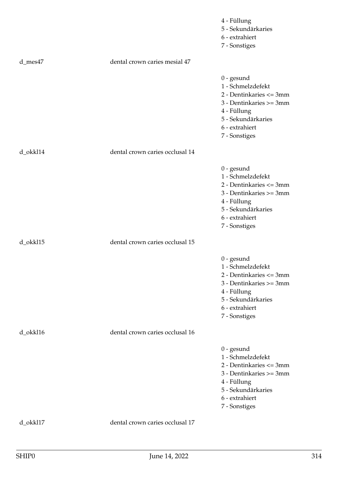|          |                                 | 4 - Füllung<br>5 - Sekundärkaries<br>6 - extrahiert<br>7 - Sonstiges                                                                                            |
|----------|---------------------------------|-----------------------------------------------------------------------------------------------------------------------------------------------------------------|
| d_mes47  | dental crown caries mesial 47   |                                                                                                                                                                 |
|          |                                 | $0$ - gesund<br>1 - Schmelzdefekt<br>2 - Dentinkaries <= 3mm<br>3 - Dentinkaries >= 3mm<br>4 - Füllung<br>5 - Sekundärkaries<br>6 - extrahiert<br>7 - Sonstiges |
| d_okkl14 | dental crown caries occlusal 14 |                                                                                                                                                                 |
|          |                                 | $0$ - gesund<br>1 - Schmelzdefekt<br>2 - Dentinkaries <= 3mm<br>3 - Dentinkaries >= 3mm<br>4 - Füllung<br>5 - Sekundärkaries<br>6 - extrahiert<br>7 - Sonstiges |
| d_okkl15 | dental crown caries occlusal 15 |                                                                                                                                                                 |
|          |                                 | $0$ - gesund<br>1 - Schmelzdefekt<br>2 - Dentinkaries <= 3mm<br>3 - Dentinkaries >= 3mm<br>4 - Füllung<br>5 - Sekundärkaries<br>6 - extrahiert<br>7 - Sonstiges |
| d_okkl16 | dental crown caries occlusal 16 |                                                                                                                                                                 |
|          |                                 | $0$ - gesund<br>1 - Schmelzdefekt<br>2 - Dentinkaries <= 3mm<br>3 - Dentinkaries >= 3mm<br>4 - Füllung<br>5 - Sekundärkaries<br>6 - extrahiert<br>7 - Sonstiges |
| d_okkl17 | dental crown caries occlusal 17 |                                                                                                                                                                 |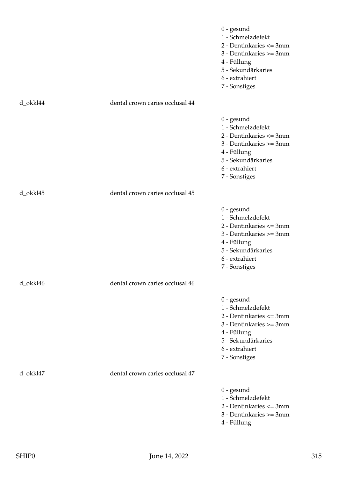|          |                                 | $0$ - gesund<br>1 - Schmelzdefekt<br>2 - Dentinkaries <= 3mm<br>3 - Dentinkaries >= 3mm<br>4 - Füllung<br>5 - Sekundärkaries<br>6 - extrahiert<br>7 - Sonstiges |
|----------|---------------------------------|-----------------------------------------------------------------------------------------------------------------------------------------------------------------|
| d_okkl44 | dental crown caries occlusal 44 |                                                                                                                                                                 |
|          |                                 | $0$ - gesund<br>1 - Schmelzdefekt<br>2 - Dentinkaries <= 3mm<br>3 - Dentinkaries >= 3mm<br>4 - Füllung<br>5 - Sekundärkaries<br>6 - extrahiert<br>7 - Sonstiges |
| d_okkl45 | dental crown caries occlusal 45 |                                                                                                                                                                 |
|          |                                 | $0$ - gesund<br>1 - Schmelzdefekt<br>2 - Dentinkaries <= 3mm<br>3 - Dentinkaries >= 3mm<br>4 - Füllung<br>5 - Sekundärkaries<br>6 - extrahiert<br>7 - Sonstiges |
| d_okkl46 | dental crown caries occlusal 46 |                                                                                                                                                                 |
|          |                                 | $0$ - gesund<br>1 - Schmelzdefekt<br>2 - Dentinkaries <= 3mm<br>3 - Dentinkaries >= 3mm<br>4 - Füllung<br>5 - Sekundärkaries<br>6 - extrahiert<br>7 - Sonstiges |
| d_okkl47 | dental crown caries occlusal 47 |                                                                                                                                                                 |
|          |                                 | $0$ - gesund<br>1 - Schmelzdefekt<br>2 - Dentinkaries <= 3mm<br>3 - Dentinkaries >= 3mm<br>4 - Füllung                                                          |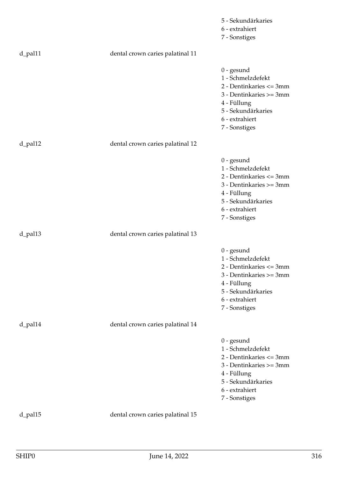|         |                                  | 5 - Sekundärkaries                                                                                                                                              |
|---------|----------------------------------|-----------------------------------------------------------------------------------------------------------------------------------------------------------------|
|         |                                  | 6 - extrahiert                                                                                                                                                  |
|         |                                  | 7 - Sonstiges                                                                                                                                                   |
| d_pal11 | dental crown caries palatinal 11 |                                                                                                                                                                 |
|         |                                  | $0$ - gesund<br>1 - Schmelzdefekt<br>2 - Dentinkaries <= 3mm<br>3 - Dentinkaries >= 3mm<br>4 - Füllung<br>5 - Sekundärkaries<br>6 - extrahiert<br>7 - Sonstiges |
| d_pal12 | dental crown caries palatinal 12 |                                                                                                                                                                 |
|         |                                  | $0$ - gesund<br>1 - Schmelzdefekt<br>2 - Dentinkaries <= 3mm<br>3 - Dentinkaries >= 3mm<br>4 - Füllung<br>5 - Sekundärkaries<br>6 - extrahiert<br>7 - Sonstiges |
| d_pal13 | dental crown caries palatinal 13 |                                                                                                                                                                 |
|         |                                  | $0$ - gesund<br>1 - Schmelzdefekt<br>2 - Dentinkaries <= 3mm<br>3 - Dentinkaries >= 3mm<br>4 - Füllung<br>5 - Sekundärkaries<br>6 - extrahiert<br>7 - Sonstiges |
| d_pal14 | dental crown caries palatinal 14 |                                                                                                                                                                 |
|         |                                  | $0$ - gesund<br>1 - Schmelzdefekt<br>2 - Dentinkaries <= 3mm<br>3 - Dentinkaries >= 3mm<br>4 - Füllung<br>5 - Sekundärkaries<br>6 - extrahiert<br>7 - Sonstiges |
| d_pal15 | dental crown caries palatinal 15 |                                                                                                                                                                 |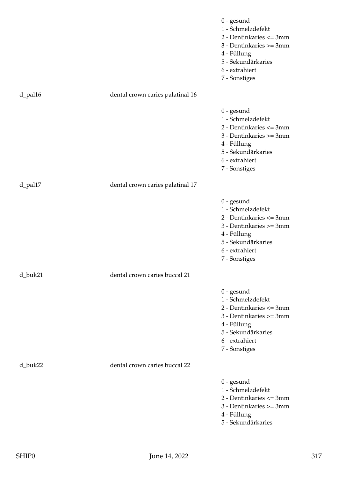|         |                                  | $0$ - gesund<br>1 - Schmelzdefekt<br>2 - Dentinkaries <= 3mm<br>3 - Dentinkaries >= 3mm<br>4 - Füllung<br>5 - Sekundärkaries<br>6 - extrahiert<br>7 - Sonstiges |
|---------|----------------------------------|-----------------------------------------------------------------------------------------------------------------------------------------------------------------|
| d_pal16 | dental crown caries palatinal 16 |                                                                                                                                                                 |
|         |                                  | $0$ - gesund<br>1 - Schmelzdefekt<br>2 - Dentinkaries <= 3mm<br>3 - Dentinkaries >= 3mm<br>4 - Füllung<br>5 - Sekundärkaries<br>6 - extrahiert<br>7 - Sonstiges |
| d_pal17 | dental crown caries palatinal 17 |                                                                                                                                                                 |
|         |                                  | $0$ - gesund<br>1 - Schmelzdefekt<br>2 - Dentinkaries <= 3mm<br>3 - Dentinkaries >= 3mm<br>4 - Füllung<br>5 - Sekundärkaries<br>6 - extrahiert<br>7 - Sonstiges |
| d_buk21 | dental crown caries buccal 21    |                                                                                                                                                                 |
|         |                                  | $0$ - gesund<br>1 - Schmelzdefekt<br>2 - Dentinkaries <= 3mm<br>3 - Dentinkaries >= 3mm<br>4 - Füllung<br>5 - Sekundärkaries<br>6 - extrahiert<br>7 - Sonstiges |
| d_buk22 | dental crown caries buccal 22    |                                                                                                                                                                 |
|         |                                  | $0$ - gesund<br>1 - Schmelzdefekt<br>2 - Dentinkaries <= 3mm<br>3 - Dentinkaries >= 3mm<br>4 - Füllung<br>5 - Sekundärkaries                                    |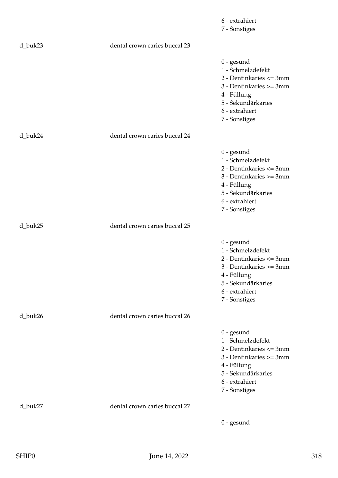|         |                               | 6 - extrahiert<br>7 - Sonstiges                                                                                                                                 |
|---------|-------------------------------|-----------------------------------------------------------------------------------------------------------------------------------------------------------------|
| d_buk23 | dental crown caries buccal 23 |                                                                                                                                                                 |
|         |                               | $0$ - gesund<br>1 - Schmelzdefekt<br>2 - Dentinkaries <= 3mm<br>3 - Dentinkaries >= 3mm<br>4 - Füllung<br>5 - Sekundärkaries<br>6 - extrahiert<br>7 - Sonstiges |
| d_buk24 | dental crown caries buccal 24 |                                                                                                                                                                 |
|         |                               | $0$ - gesund<br>1 - Schmelzdefekt<br>2 - Dentinkaries <= 3mm<br>3 - Dentinkaries >= 3mm<br>4 - Füllung<br>5 - Sekundärkaries<br>6 - extrahiert<br>7 - Sonstiges |
| d_buk25 | dental crown caries buccal 25 |                                                                                                                                                                 |
|         |                               | $0$ - gesund<br>1 - Schmelzdefekt<br>2 - Dentinkaries <= 3mm<br>3 - Dentinkaries >= 3mm<br>4 - Füllung<br>5 - Sekundärkaries<br>6 - extrahiert<br>7 - Sonstiges |
| d_buk26 | dental crown caries buccal 26 |                                                                                                                                                                 |
|         |                               | $0$ - gesund<br>1 - Schmelzdefekt<br>2 - Dentinkaries <= 3mm<br>3 - Dentinkaries >= 3mm<br>4 - Füllung<br>5 - Sekundärkaries<br>6 - extrahiert<br>7 - Sonstiges |
| d_buk27 | dental crown caries buccal 27 |                                                                                                                                                                 |
|         |                               | $0$ - gesund                                                                                                                                                    |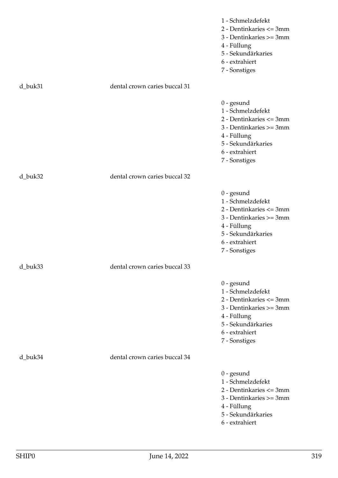|         |                               | 1 - Schmelzdefekt<br>2 - Dentinkaries <= 3mm<br>3 - Dentinkaries >= 3mm<br>4 - Füllung<br>5 - Sekundärkaries<br>6 - extrahiert<br>7 - Sonstiges                 |
|---------|-------------------------------|-----------------------------------------------------------------------------------------------------------------------------------------------------------------|
| d_buk31 | dental crown caries buccal 31 |                                                                                                                                                                 |
|         |                               | $0$ - gesund<br>1 - Schmelzdefekt<br>2 - Dentinkaries <= 3mm<br>3 - Dentinkaries >= 3mm<br>4 - Füllung<br>5 - Sekundärkaries<br>6 - extrahiert<br>7 - Sonstiges |
| d_buk32 | dental crown caries buccal 32 |                                                                                                                                                                 |
|         |                               | $0$ - gesund<br>1 - Schmelzdefekt<br>2 - Dentinkaries <= 3mm<br>3 - Dentinkaries >= 3mm<br>4 - Füllung<br>5 - Sekundärkaries<br>6 - extrahiert<br>7 - Sonstiges |
| d buk33 | dental crown caries buccal 33 |                                                                                                                                                                 |
|         |                               | $0$ - gesund<br>1 - Schmelzdefekt<br>2 - Dentinkaries <= 3mm<br>3 - Dentinkaries >= 3mm<br>4 - Füllung<br>5 - Sekundärkaries<br>6 - extrahiert<br>7 - Sonstiges |
| d_buk34 | dental crown caries buccal 34 |                                                                                                                                                                 |
|         |                               | $0$ - gesund<br>1 - Schmelzdefekt<br>2 - Dentinkaries <= 3mm<br>3 - Dentinkaries >= 3mm<br>4 - Füllung<br>5 - Sekundärkaries<br>6 - extrahiert                  |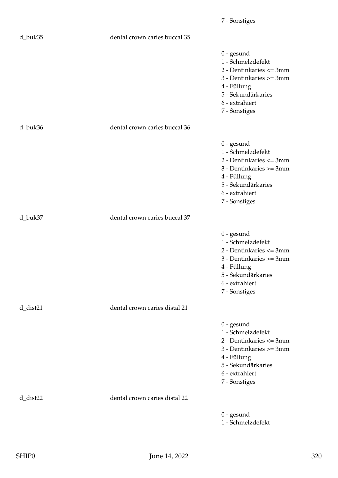| d_buk35     | dental crown caries buccal 35 |                                                                                                                                                                 |
|-------------|-------------------------------|-----------------------------------------------------------------------------------------------------------------------------------------------------------------|
|             |                               | $0$ - gesund<br>1 - Schmelzdefekt<br>2 - Dentinkaries <= 3mm<br>3 - Dentinkaries >= 3mm<br>4 - Füllung<br>5 - Sekundärkaries<br>6 - extrahiert<br>7 - Sonstiges |
| d_buk36     | dental crown caries buccal 36 |                                                                                                                                                                 |
|             |                               | $0$ - gesund<br>1 - Schmelzdefekt<br>2 - Dentinkaries <= 3mm<br>3 - Dentinkaries >= 3mm<br>4 - Füllung<br>5 - Sekundärkaries<br>6 - extrahiert<br>7 - Sonstiges |
| d_buk37     | dental crown caries buccal 37 |                                                                                                                                                                 |
|             |                               | $0$ - gesund<br>1 - Schmelzdefekt<br>2 - Dentinkaries <= 3mm<br>3 - Dentinkaries >= 3mm<br>4 - Füllung<br>5 - Sekundärkaries<br>6 - extrahiert<br>7 - Sonstiges |
| d_dist21    | dental crown caries distal 21 |                                                                                                                                                                 |
|             |                               | $0$ - gesund<br>1 - Schmelzdefekt<br>2 - Dentinkaries <= 3mm<br>3 - Dentinkaries >= 3mm<br>4 - Füllung<br>5 - Sekundärkaries<br>6 - extrahiert<br>7 - Sonstiges |
| $d$ _dist22 | dental crown caries distal 22 |                                                                                                                                                                 |
|             |                               | $0$ - gesund<br>1 - Schmelzdefekt                                                                                                                               |

7 - Sonstiges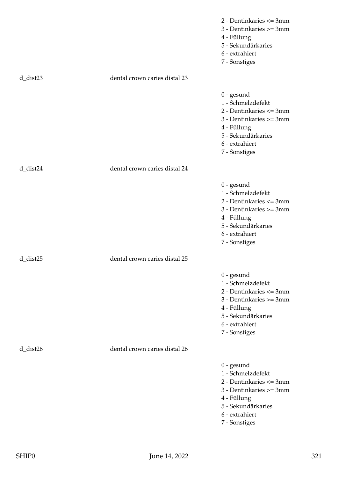|                |                               | 2 - Dentinkaries <= 3mm<br>3 - Dentinkaries >= 3mm<br>4 - Füllung<br>5 - Sekundärkaries<br>6 - extrahiert<br>7 - Sonstiges                                      |
|----------------|-------------------------------|-----------------------------------------------------------------------------------------------------------------------------------------------------------------|
| $d$ _dist23    | dental crown caries distal 23 |                                                                                                                                                                 |
|                |                               | $0$ - gesund<br>1 - Schmelzdefekt<br>2 - Dentinkaries <= 3mm<br>3 - Dentinkaries >= 3mm<br>4 - Füllung<br>5 - Sekundärkaries<br>6 - extrahiert<br>7 - Sonstiges |
| d_dist24       | dental crown caries distal 24 |                                                                                                                                                                 |
|                |                               | $0$ - gesund<br>1 - Schmelzdefekt<br>2 - Dentinkaries <= 3mm<br>3 - Dentinkaries >= 3mm<br>4 - Füllung<br>5 - Sekundärkaries<br>6 - extrahiert<br>7 - Sonstiges |
| $d$ _dist $25$ | dental crown caries distal 25 |                                                                                                                                                                 |
|                |                               | $0$ - gesund<br>1 - Schmelzdefekt<br>2 - Dentinkaries <= 3mm<br>3 - Dentinkaries >= 3mm<br>4 - Füllung<br>5 - Sekundärkaries<br>6 - extrahiert<br>7 - Sonstiges |
| $d$ _dist26    | dental crown caries distal 26 |                                                                                                                                                                 |
|                |                               | $0$ - gesund<br>1 - Schmelzdefekt<br>2 - Dentinkaries <= 3mm<br>3 - Dentinkaries >= 3mm<br>4 - Füllung<br>5 - Sekundärkaries<br>6 - extrahiert<br>7 - Sonstiges |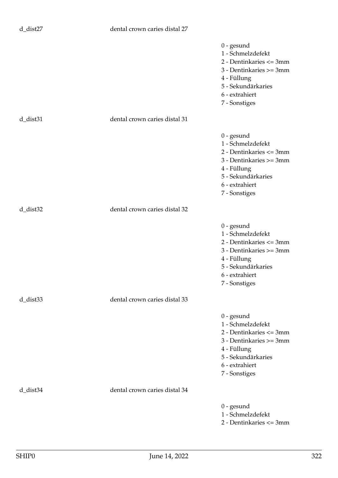## d\_dist27 dental crown caries distal 27

|                |                               | $0$ - gesund<br>1 - Schmelzdefekt<br>2 - Dentinkaries <= 3mm<br>3 - Dentinkaries >= 3mm<br>4 - Füllung<br>5 - Sekundärkaries<br>6 - extrahiert<br>7 - Sonstiges |
|----------------|-------------------------------|-----------------------------------------------------------------------------------------------------------------------------------------------------------------|
| $d$ _dist $31$ | dental crown caries distal 31 |                                                                                                                                                                 |
|                |                               | $0$ - gesund<br>1 - Schmelzdefekt<br>2 - Dentinkaries <= 3mm<br>3 - Dentinkaries >= 3mm<br>4 - Füllung<br>5 - Sekundärkaries<br>6 - extrahiert<br>7 - Sonstiges |
| $d$ _dist $32$ | dental crown caries distal 32 |                                                                                                                                                                 |
|                |                               | $0$ - gesund<br>1 - Schmelzdefekt<br>2 - Dentinkaries <= 3mm<br>3 - Dentinkaries >= 3mm<br>4 - Füllung<br>5 - Sekundärkaries<br>6 - extrahiert<br>7 - Sonstiges |
| $d$ _dist $33$ | dental crown caries distal 33 |                                                                                                                                                                 |
|                |                               | $0$ - gesund<br>1 - Schmelzdefekt<br>2 - Dentinkaries <= 3mm<br>3 - Dentinkaries >= 3mm<br>4 - Füllung<br>5 - Sekundärkaries<br>6 - extrahiert<br>7 - Sonstiges |
| d_dist34       | dental crown caries distal 34 |                                                                                                                                                                 |
|                |                               | $0$ - gesund<br>1 - Schmelzdefekt<br>2 - Dentinkaries <= 3mm                                                                                                    |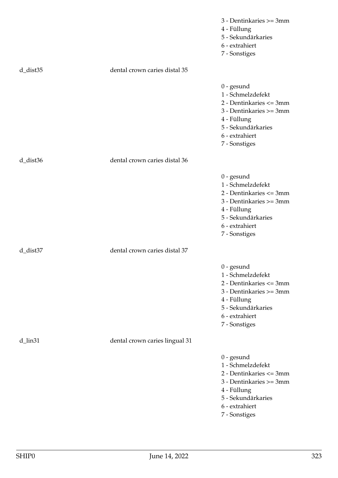|                |                                | 3 - Dentinkaries >= 3mm<br>4 - Füllung<br>5 - Sekundärkaries<br>6 - extrahiert<br>7 - Sonstiges                                                                 |
|----------------|--------------------------------|-----------------------------------------------------------------------------------------------------------------------------------------------------------------|
| $d$ _dist $35$ | dental crown caries distal 35  |                                                                                                                                                                 |
|                |                                | $0$ - gesund<br>1 - Schmelzdefekt<br>2 - Dentinkaries <= 3mm<br>3 - Dentinkaries >= 3mm<br>4 - Füllung<br>5 - Sekundärkaries<br>6 - extrahiert<br>7 - Sonstiges |
| $d$ _dist $36$ | dental crown caries distal 36  |                                                                                                                                                                 |
|                |                                | $0$ - gesund<br>1 - Schmelzdefekt<br>2 - Dentinkaries <= 3mm<br>3 - Dentinkaries >= 3mm<br>4 - Füllung<br>5 - Sekundärkaries<br>6 - extrahiert<br>7 - Sonstiges |
| d_dist37       | dental crown caries distal 37  |                                                                                                                                                                 |
|                |                                | $0$ - gesund<br>1 - Schmelzdefekt<br>2 - Dentinkaries <= 3mm<br>3 - Dentinkaries >= 3mm<br>4 - Füllung<br>5 - Sekundärkaries<br>6 - extrahiert<br>7 - Sonstiges |
| d_lin31        | dental crown caries lingual 31 |                                                                                                                                                                 |
|                |                                | $0$ - gesund<br>1 - Schmelzdefekt<br>2 - Dentinkaries <= 3mm<br>3 - Dentinkaries >= 3mm<br>4 - Füllung<br>5 - Sekundärkaries<br>6 - extrahiert<br>7 - Sonstiges |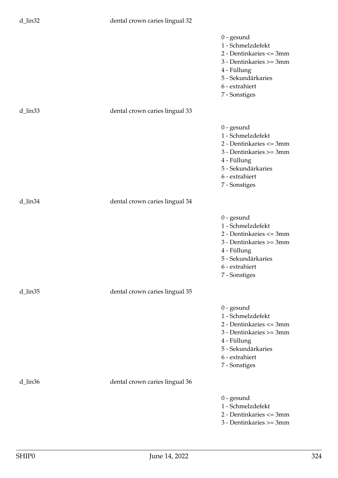|                     |                                | $0$ - gesund<br>1 - Schmelzdefekt<br>2 - Dentinkaries <= 3mm<br>3 - Dentinkaries >= 3mm<br>4 - Füllung<br>5 - Sekundärkaries<br>6 - extrahiert<br>7 - Sonstiges |
|---------------------|--------------------------------|-----------------------------------------------------------------------------------------------------------------------------------------------------------------|
| d_lin <sub>33</sub> | dental crown caries lingual 33 |                                                                                                                                                                 |
|                     |                                | $0$ - gesund<br>1 - Schmelzdefekt<br>2 - Dentinkaries <= 3mm<br>3 - Dentinkaries >= 3mm<br>4 - Füllung<br>5 - Sekundärkaries<br>6 - extrahiert<br>7 - Sonstiges |
| d_lin34             | dental crown caries lingual 34 |                                                                                                                                                                 |
|                     |                                | $0$ - gesund<br>1 - Schmelzdefekt<br>2 - Dentinkaries <= 3mm<br>3 - Dentinkaries >= 3mm<br>4 - Füllung<br>5 - Sekundärkaries<br>6 - extrahiert<br>7 - Sonstiges |
| d_lin35             | dental crown caries lingual 35 |                                                                                                                                                                 |
|                     |                                | $0$ - gesund<br>1 - Schmelzdefekt<br>2 - Dentinkaries <= 3mm<br>3 - Dentinkaries >= 3mm<br>4 - Füllung<br>5 - Sekundärkaries<br>6 - extrahiert<br>7 - Sonstiges |
| d_lin36             | dental crown caries lingual 36 |                                                                                                                                                                 |
|                     |                                | $0$ - gesund<br>1 - Schmelzdefekt<br>2 - Dentinkaries <= 3mm<br>3 - Dentinkaries >= 3mm                                                                         |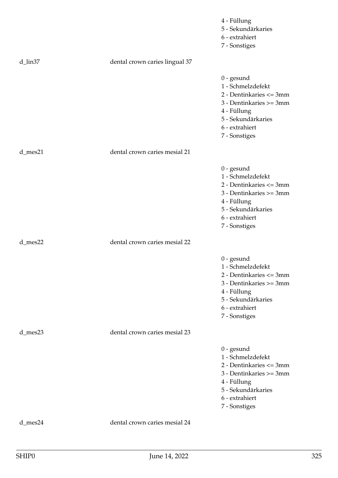|            |                                | 4 - Füllung<br>5 - Sekundärkaries<br>6 - extrahiert<br>7 - Sonstiges                                                                                            |
|------------|--------------------------------|-----------------------------------------------------------------------------------------------------------------------------------------------------------------|
| d_lin37    | dental crown caries lingual 37 |                                                                                                                                                                 |
|            |                                | $0$ - gesund<br>1 - Schmelzdefekt<br>2 - Dentinkaries <= 3mm<br>3 - Dentinkaries >= 3mm<br>4 - Füllung<br>5 - Sekundärkaries<br>6 - extrahiert<br>7 - Sonstiges |
| $d$ _mes21 | dental crown caries mesial 21  |                                                                                                                                                                 |
|            |                                | $0$ - gesund<br>1 - Schmelzdefekt<br>2 - Dentinkaries <= 3mm<br>3 - Dentinkaries >= 3mm<br>4 - Füllung<br>5 - Sekundärkaries<br>6 - extrahiert<br>7 - Sonstiges |
| d_mes22    | dental crown caries mesial 22  |                                                                                                                                                                 |
|            |                                | $0$ - gesund<br>1 - Schmelzdefekt<br>2 - Dentinkaries <= 3mm<br>3 - Dentinkaries >= 3mm<br>4 - Füllung<br>5 - Sekundärkaries<br>6 - extrahiert<br>7 - Sonstiges |
| d_mes23    | dental crown caries mesial 23  |                                                                                                                                                                 |
|            |                                | $0$ - gesund<br>1 - Schmelzdefekt<br>2 - Dentinkaries <= 3mm<br>3 - Dentinkaries >= 3mm<br>4 - Füllung<br>5 - Sekundärkaries<br>6 - extrahiert<br>7 - Sonstiges |
| d_mes24    | dental crown caries mesial 24  |                                                                                                                                                                 |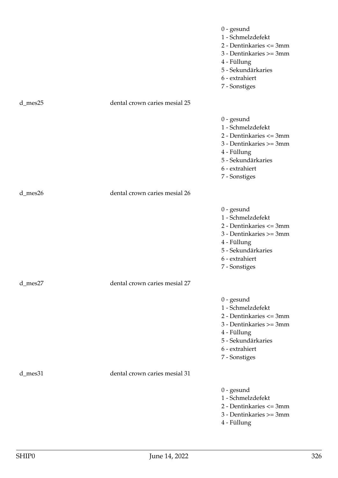|         |                               | $0$ - gesund<br>1 - Schmelzdefekt<br>2 - Dentinkaries <= 3mm<br>3 - Dentinkaries >= 3mm<br>4 - Füllung<br>5 - Sekundärkaries<br>6 - extrahiert<br>7 - Sonstiges |
|---------|-------------------------------|-----------------------------------------------------------------------------------------------------------------------------------------------------------------|
| d_mes25 | dental crown caries mesial 25 |                                                                                                                                                                 |
|         |                               | $0$ - gesund<br>1 - Schmelzdefekt<br>2 - Dentinkaries <= 3mm<br>3 - Dentinkaries >= 3mm<br>4 - Füllung<br>5 - Sekundärkaries<br>6 - extrahiert<br>7 - Sonstiges |
| d_mes26 | dental crown caries mesial 26 |                                                                                                                                                                 |
|         |                               | $0$ - gesund<br>1 - Schmelzdefekt<br>2 - Dentinkaries <= 3mm<br>3 - Dentinkaries >= 3mm<br>4 - Füllung<br>5 - Sekundärkaries<br>6 - extrahiert<br>7 - Sonstiges |
| d_mes27 | dental crown caries mesial 27 |                                                                                                                                                                 |
|         |                               | $0$ - gesund<br>1 - Schmelzdefekt<br>2 - Dentinkaries <= 3mm<br>3 - Dentinkaries >= 3mm<br>4 - Füllung<br>5 - Sekundärkaries<br>6 - extrahiert<br>7 - Sonstiges |
| d_mes31 | dental crown caries mesial 31 |                                                                                                                                                                 |
|         |                               | $0$ - gesund<br>1 - Schmelzdefekt<br>2 - Dentinkaries <= 3mm<br>3 - Dentinkaries >= 3mm<br>4 - Füllung                                                          |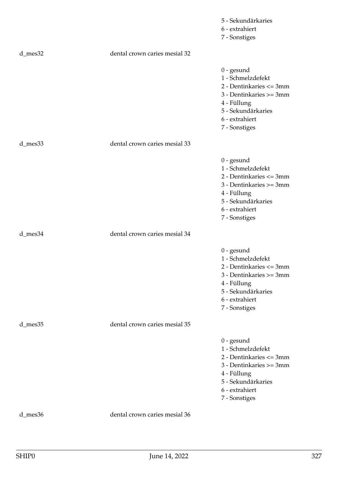|         |                               | 5 - Sekundärkaries                                                                                                                                                |
|---------|-------------------------------|-------------------------------------------------------------------------------------------------------------------------------------------------------------------|
|         |                               | 6 - extrahiert                                                                                                                                                    |
|         |                               | 7 - Sonstiges                                                                                                                                                     |
| d_mes32 | dental crown caries mesial 32 |                                                                                                                                                                   |
|         |                               | $0$ - gesund<br>1 - Schmelzdefekt<br>2 - Dentinkaries <= 3mm<br>3 - Dentinkaries >= 3mm<br>4 - Füllung<br>5 - Sekundärkaries<br>6 - extrahiert<br>7 - Sonstiges   |
| d_mes33 | dental crown caries mesial 33 |                                                                                                                                                                   |
|         |                               | $0$ - $gesund$<br>1 - Schmelzdefekt<br>2 - Dentinkaries <= 3mm<br>3 - Dentinkaries >= 3mm<br>4 - Füllung<br>5 - Sekundärkaries<br>6 - extrahiert<br>7 - Sonstiges |
| d_mes34 | dental crown caries mesial 34 |                                                                                                                                                                   |
|         |                               | $0$ - gesund<br>1 - Schmelzdefekt<br>2 - Dentinkaries <= 3mm<br>3 - Dentinkaries >= 3mm<br>4 - Füllung<br>5 - Sekundärkaries<br>6 - extrahiert<br>7 - Sonstiges   |
| d_mes35 | dental crown caries mesial 35 |                                                                                                                                                                   |
|         |                               | $0$ - gesund<br>1 - Schmelzdefekt<br>2 - Dentinkaries <= 3mm<br>3 - Dentinkaries >= 3mm<br>4 - Füllung<br>5 - Sekundärkaries<br>6 - extrahiert<br>7 - Sonstiges   |
| d_mes36 | dental crown caries mesial 36 |                                                                                                                                                                   |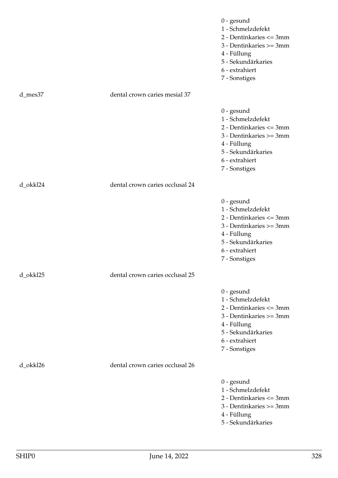|          |                                 | $0$ - gesund<br>1 - Schmelzdefekt<br>2 - Dentinkaries <= 3mm<br>3 - Dentinkaries >= 3mm<br>4 - Füllung<br>5 - Sekundärkaries<br>6 - extrahiert<br>7 - Sonstiges |
|----------|---------------------------------|-----------------------------------------------------------------------------------------------------------------------------------------------------------------|
| d_mes37  | dental crown caries mesial 37   |                                                                                                                                                                 |
|          |                                 | $0$ - gesund<br>1 - Schmelzdefekt<br>2 - Dentinkaries <= 3mm<br>3 - Dentinkaries >= 3mm<br>4 - Füllung<br>5 - Sekundärkaries<br>6 - extrahiert<br>7 - Sonstiges |
| d_okkl24 | dental crown caries occlusal 24 |                                                                                                                                                                 |
|          |                                 | $0$ - gesund<br>1 - Schmelzdefekt<br>2 - Dentinkaries <= 3mm<br>3 - Dentinkaries >= 3mm<br>4 - Füllung<br>5 - Sekundärkaries<br>6 - extrahiert<br>7 - Sonstiges |
| d_okkl25 | dental crown caries occlusal 25 |                                                                                                                                                                 |
|          |                                 | $0$ - gesund<br>1 - Schmelzdefekt<br>2 - Dentinkaries <= 3mm<br>3 - Dentinkaries >= 3mm<br>4 - Füllung<br>5 - Sekundärkaries<br>6 - extrahiert<br>7 - Sonstiges |
| d_okkl26 | dental crown caries occlusal 26 |                                                                                                                                                                 |
|          |                                 | $0$ - gesund<br>1 - Schmelzdefekt<br>2 - Dentinkaries <= 3mm<br>3 - Dentinkaries >= 3mm<br>4 - Füllung<br>5 - Sekundärkaries                                    |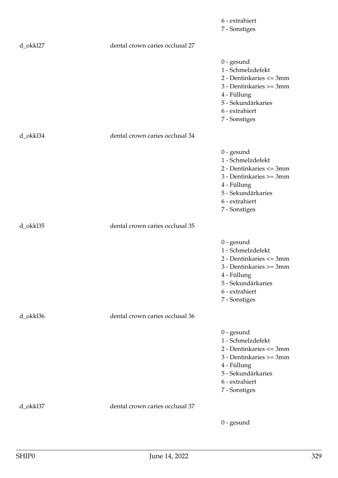|          |                                 | 6 - extrahiert<br>7 - Sonstiges                                                                                                                                 |
|----------|---------------------------------|-----------------------------------------------------------------------------------------------------------------------------------------------------------------|
| d_okkl27 | dental crown caries occlusal 27 |                                                                                                                                                                 |
|          |                                 | $0$ - gesund<br>1 - Schmelzdefekt<br>2 - Dentinkaries <= 3mm<br>3 - Dentinkaries >= 3mm<br>4 - Füllung<br>5 - Sekundärkaries<br>6 - extrahiert<br>7 - Sonstiges |
| d_okkl34 | dental crown caries occlusal 34 |                                                                                                                                                                 |
|          |                                 | $0$ - gesund<br>1 - Schmelzdefekt<br>2 - Dentinkaries <= 3mm<br>3 - Dentinkaries >= 3mm<br>4 - Füllung<br>5 - Sekundärkaries<br>6 - extrahiert<br>7 - Sonstiges |
| d_okkl35 | dental crown caries occlusal 35 |                                                                                                                                                                 |
|          |                                 | $0$ - gesund<br>1 - Schmelzdefekt<br>2 - Dentinkaries <= 3mm<br>3 - Dentinkaries >= 3mm<br>4 - Füllung<br>5 - Sekundärkaries<br>6 - extrahiert<br>7 - Sonstiges |
| d_okkl36 | dental crown caries occlusal 36 |                                                                                                                                                                 |
|          |                                 | $0$ - gesund<br>1 - Schmelzdefekt<br>2 - Dentinkaries <= 3mm<br>3 - Dentinkaries >= 3mm<br>4 - Füllung<br>5 - Sekundärkaries<br>6 - extrahiert<br>7 - Sonstiges |
| d_okkl37 | dental crown caries occlusal 37 |                                                                                                                                                                 |
|          |                                 | $0$ - gesund                                                                                                                                                    |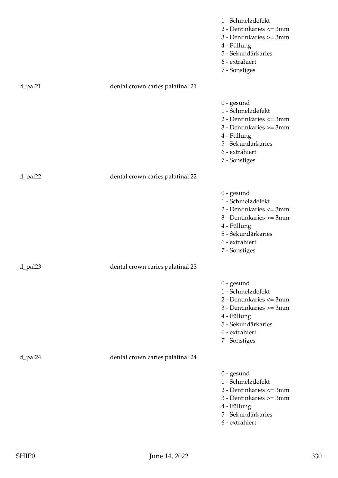|         |                                  | 1 - Schmelzdefekt<br>2 - Dentinkaries <= 3mm<br>3 - Dentinkaries >= 3mm<br>4 - Füllung<br>5 - Sekundärkaries<br>6 - extrahiert<br>7 - Sonstiges                   |
|---------|----------------------------------|-------------------------------------------------------------------------------------------------------------------------------------------------------------------|
| d_pal21 | dental crown caries palatinal 21 |                                                                                                                                                                   |
|         |                                  | $0$ - $gesund$<br>1 - Schmelzdefekt<br>2 - Dentinkaries <= 3mm<br>3 - Dentinkaries >= 3mm<br>4 - Füllung<br>5 - Sekundärkaries<br>6 - extrahiert<br>7 - Sonstiges |
| d_pal22 | dental crown caries palatinal 22 |                                                                                                                                                                   |
|         |                                  | $0$ - gesund<br>1 - Schmelzdefekt<br>2 - Dentinkaries <= 3mm<br>3 - Dentinkaries >= 3mm<br>4 - Füllung<br>5 - Sekundärkaries<br>6 - extrahiert<br>7 - Sonstiges   |
| d_pal23 | dental crown caries palatinal 23 |                                                                                                                                                                   |
|         |                                  | $0$ - gesund<br>1 - Schmelzdefekt<br>2 - Dentinkaries <= 3mm<br>3 - Dentinkaries >= 3mm<br>4 - Füllung<br>5 - Sekundärkaries<br>6 - extrahiert<br>7 - Sonstiges   |
| d_pal24 | dental crown caries palatinal 24 |                                                                                                                                                                   |
|         |                                  | $0$ - gesund<br>1 - Schmelzdefekt<br>2 - Dentinkaries <= 3mm<br>3 - Dentinkaries >= 3mm<br>4 - Füllung<br>5 - Sekundärkaries<br>6 - extrahiert                    |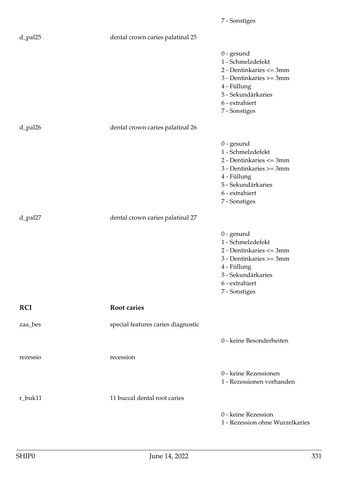|            |                                    | 7 - Sonstiges                                                                                                                                                   |
|------------|------------------------------------|-----------------------------------------------------------------------------------------------------------------------------------------------------------------|
| d_pal25    | dental crown caries palatinal 25   |                                                                                                                                                                 |
|            |                                    | $0$ - gesund<br>1 - Schmelzdefekt<br>2 - Dentinkaries <= 3mm<br>3 - Dentinkaries >= 3mm<br>4 - Füllung<br>5 - Sekundärkaries<br>6 - extrahiert<br>7 - Sonstiges |
| d_pal26    | dental crown caries palatinal 26   |                                                                                                                                                                 |
|            |                                    | $0$ - gesund<br>1 - Schmelzdefekt<br>2 - Dentinkaries <= 3mm<br>3 - Dentinkaries >= 3mm<br>4 - Füllung<br>5 - Sekundärkaries<br>6 - extrahiert<br>7 - Sonstiges |
| d_pal27    | dental crown caries palatinal 27   |                                                                                                                                                                 |
|            |                                    | $0$ - gesund<br>1 - Schmelzdefekt<br>2 - Dentinkaries <= 3mm<br>3 - Dentinkaries >= 3mm<br>4 - Füllung<br>5 - Sekundärkaries<br>6 - extrahiert<br>7 - Sonstiges |
| <b>RCI</b> | <b>Root caries</b>                 |                                                                                                                                                                 |
| zaa_bes    | special features caries diagnostic |                                                                                                                                                                 |
|            |                                    | 0 - keine Besonderheiten                                                                                                                                        |
| rezessio   | recession                          |                                                                                                                                                                 |
|            |                                    | 0 - keine Rezessionen<br>1 - Rezessionen vorhanden                                                                                                              |
| r_buk11    | 11 buccal dental root caries       |                                                                                                                                                                 |
|            |                                    | 0 - keine Rezession<br>1 - Rezession ohne Wurzelkaries                                                                                                          |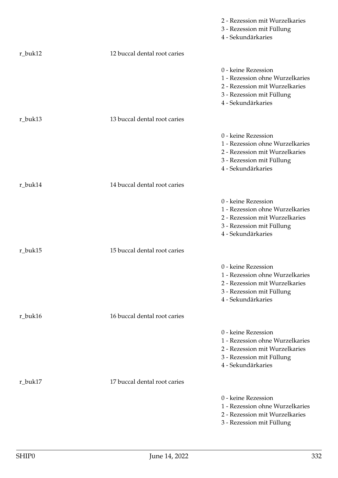|         |                              | 2 - Rezession mit Wurzelkaries<br>3 - Rezession mit Füllung<br>4 - Sekundärkaries                                                           |
|---------|------------------------------|---------------------------------------------------------------------------------------------------------------------------------------------|
| r_buk12 | 12 buccal dental root caries |                                                                                                                                             |
|         |                              | 0 - keine Rezession<br>1 - Rezession ohne Wurzelkaries<br>2 - Rezession mit Wurzelkaries<br>3 - Rezession mit Füllung<br>4 - Sekundärkaries |
| r_buk13 | 13 buccal dental root caries |                                                                                                                                             |
|         |                              | 0 - keine Rezession<br>1 - Rezession ohne Wurzelkaries<br>2 - Rezession mit Wurzelkaries<br>3 - Rezession mit Füllung<br>4 - Sekundärkaries |
| r_buk14 | 14 buccal dental root caries |                                                                                                                                             |
|         |                              | 0 - keine Rezession<br>1 - Rezession ohne Wurzelkaries<br>2 - Rezession mit Wurzelkaries<br>3 - Rezession mit Füllung<br>4 - Sekundärkaries |
| r_buk15 | 15 buccal dental root caries |                                                                                                                                             |
|         |                              | 0 - keine Rezession<br>1 - Rezession ohne Wurzelkaries<br>2 - Rezession mit Wurzelkaries<br>3 - Rezession mit Füllung<br>4 - Sekundärkaries |
| r_buk16 | 16 buccal dental root caries |                                                                                                                                             |
|         |                              | 0 - keine Rezession<br>1 - Rezession ohne Wurzelkaries<br>2 - Rezession mit Wurzelkaries<br>3 - Rezession mit Füllung<br>4 - Sekundärkaries |
| r_buk17 | 17 buccal dental root caries |                                                                                                                                             |
|         |                              | 0 - keine Rezession<br>1 - Rezession ohne Wurzelkaries<br>2 - Rezession mit Wurzelkaries<br>3 - Rezession mit Füllung                       |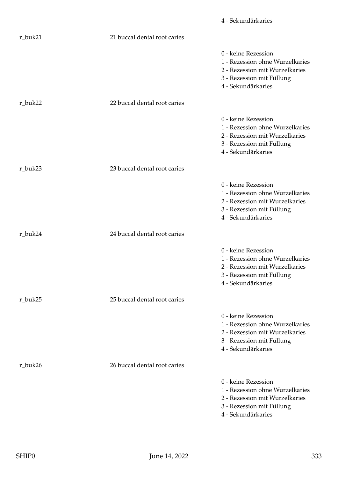|         |                              | 4 - Sekundärkaries                                                                                                                          |
|---------|------------------------------|---------------------------------------------------------------------------------------------------------------------------------------------|
| r_buk21 | 21 buccal dental root caries |                                                                                                                                             |
|         |                              | 0 - keine Rezession<br>1 - Rezession ohne Wurzelkaries<br>2 - Rezession mit Wurzelkaries<br>3 - Rezession mit Füllung<br>4 - Sekundärkaries |
| r_buk22 | 22 buccal dental root caries |                                                                                                                                             |
|         |                              | 0 - keine Rezession<br>1 - Rezession ohne Wurzelkaries<br>2 - Rezession mit Wurzelkaries<br>3 - Rezession mit Füllung<br>4 - Sekundärkaries |
| r_buk23 | 23 buccal dental root caries |                                                                                                                                             |
|         |                              | 0 - keine Rezession<br>1 - Rezession ohne Wurzelkaries<br>2 - Rezession mit Wurzelkaries<br>3 - Rezession mit Füllung<br>4 - Sekundärkaries |
| r_buk24 | 24 buccal dental root caries |                                                                                                                                             |
|         |                              | 0 - keine Rezession<br>1 - Rezession ohne Wurzelkaries<br>2 - Rezession mit Wurzelkaries<br>3 - Rezession mit Füllung<br>4 - Sekundärkaries |
| r_buk25 | 25 buccal dental root caries |                                                                                                                                             |
|         |                              | 0 - keine Rezession<br>1 - Rezession ohne Wurzelkaries<br>2 - Rezession mit Wurzelkaries<br>3 - Rezession mit Füllung<br>4 - Sekundärkaries |
| r_buk26 | 26 buccal dental root caries |                                                                                                                                             |
|         |                              | 0 - keine Rezession<br>1 - Rezession ohne Wurzelkaries<br>2 - Rezession mit Wurzelkaries<br>3 - Rezession mit Füllung<br>4 - Sekundärkaries |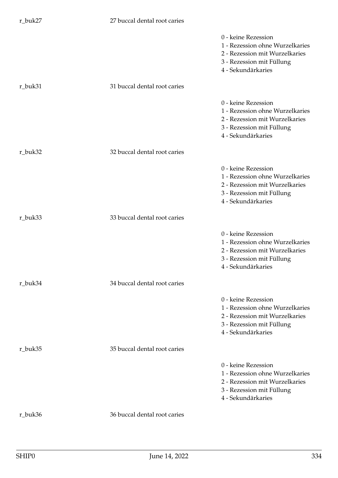## r\_buk27 27 buccal dental root caries

|         |                              | 0 - keine Rezession<br>1 - Rezession ohne Wurzelkaries<br>2 - Rezession mit Wurzelkaries<br>3 - Rezession mit Füllung<br>4 - Sekundärkaries |
|---------|------------------------------|---------------------------------------------------------------------------------------------------------------------------------------------|
| r_buk31 | 31 buccal dental root caries |                                                                                                                                             |
|         |                              | 0 - keine Rezession<br>1 - Rezession ohne Wurzelkaries<br>2 - Rezession mit Wurzelkaries<br>3 - Rezession mit Füllung<br>4 - Sekundärkaries |
| r_buk32 | 32 buccal dental root caries |                                                                                                                                             |
|         |                              | 0 - keine Rezession<br>1 - Rezession ohne Wurzelkaries<br>2 - Rezession mit Wurzelkaries<br>3 - Rezession mit Füllung<br>4 - Sekundärkaries |
| r_buk33 | 33 buccal dental root caries |                                                                                                                                             |
|         |                              | 0 - keine Rezession<br>1 - Rezession ohne Wurzelkaries<br>2 - Rezession mit Wurzelkaries<br>3 - Rezession mit Füllung<br>4 - Sekundärkaries |
| r_buk34 | 34 buccal dental root caries |                                                                                                                                             |
|         |                              | 0 - keine Rezession<br>1 - Rezession ohne Wurzelkaries<br>2 - Rezession mit Wurzelkaries<br>3 - Rezession mit Füllung<br>4 - Sekundärkaries |
| r_buk35 | 35 buccal dental root caries |                                                                                                                                             |
|         |                              | 0 - keine Rezession<br>1 - Rezession ohne Wurzelkaries<br>2 - Rezession mit Wurzelkaries<br>3 - Rezession mit Füllung<br>4 - Sekundärkaries |
| r_buk36 | 36 buccal dental root caries |                                                                                                                                             |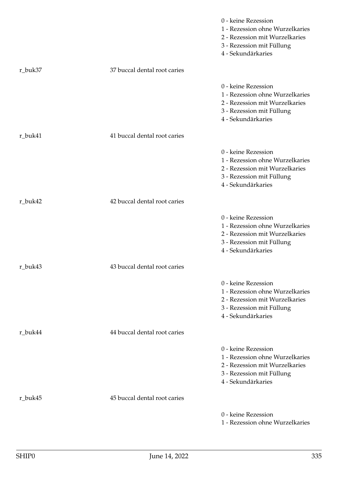|         |                              | 0 - keine Rezession<br>1 - Rezession ohne Wurzelkaries<br>2 - Rezession mit Wurzelkaries<br>3 - Rezession mit Füllung<br>4 - Sekundärkaries |
|---------|------------------------------|---------------------------------------------------------------------------------------------------------------------------------------------|
| r_buk37 | 37 buccal dental root caries |                                                                                                                                             |
|         |                              | 0 - keine Rezession<br>1 - Rezession ohne Wurzelkaries<br>2 - Rezession mit Wurzelkaries<br>3 - Rezession mit Füllung<br>4 - Sekundärkaries |
| r_buk41 | 41 buccal dental root caries |                                                                                                                                             |
|         |                              | 0 - keine Rezession<br>1 - Rezession ohne Wurzelkaries<br>2 - Rezession mit Wurzelkaries<br>3 - Rezession mit Füllung<br>4 - Sekundärkaries |
| r_buk42 | 42 buccal dental root caries |                                                                                                                                             |
|         |                              | 0 - keine Rezession<br>1 - Rezession ohne Wurzelkaries<br>2 - Rezession mit Wurzelkaries<br>3 - Rezession mit Füllung<br>4 - Sekundärkaries |
| r_buk43 | 43 buccal dental root caries |                                                                                                                                             |
|         |                              | 0 - keine Rezession<br>1 - Rezession ohne Wurzelkaries<br>2 - Rezession mit Wurzelkaries<br>3 - Rezession mit Füllung<br>4 - Sekundärkaries |
| r_buk44 | 44 buccal dental root caries |                                                                                                                                             |
|         |                              | 0 - keine Rezession<br>1 - Rezession ohne Wurzelkaries<br>2 - Rezession mit Wurzelkaries<br>3 - Rezession mit Füllung<br>4 - Sekundärkaries |
| r_buk45 | 45 buccal dental root caries |                                                                                                                                             |
|         |                              | 0 - keine Rezession<br>1 - Rezession ohne Wurzelkaries                                                                                      |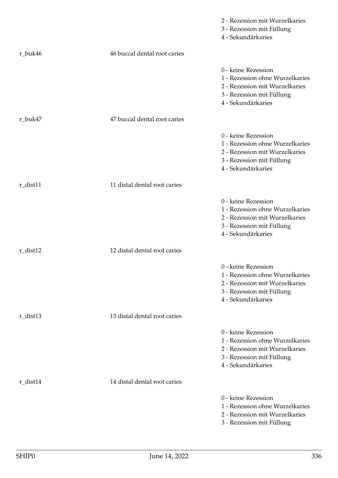|              |                              | 2 - Rezession mit Wurzelkaries<br>3 - Rezession mit Füllung<br>4 - Sekundärkaries                                                           |
|--------------|------------------------------|---------------------------------------------------------------------------------------------------------------------------------------------|
| r_buk46      | 46 buccal dental root caries |                                                                                                                                             |
|              |                              | 0 - keine Rezession<br>1 - Rezession ohne Wurzelkaries<br>2 - Rezession mit Wurzelkaries<br>3 - Rezession mit Füllung<br>4 - Sekundärkaries |
| r_buk47      | 47 buccal dental root caries |                                                                                                                                             |
|              |                              | 0 - keine Rezession<br>1 - Rezession ohne Wurzelkaries<br>2 - Rezession mit Wurzelkaries<br>3 - Rezession mit Füllung<br>4 - Sekundärkaries |
| r_dist11     | 11 distal dental root caries |                                                                                                                                             |
|              |                              | 0 - keine Rezession<br>1 - Rezession ohne Wurzelkaries<br>2 - Rezession mit Wurzelkaries<br>3 - Rezession mit Füllung<br>4 - Sekundärkaries |
| $r_{dist12}$ | 12 distal dental root caries |                                                                                                                                             |
|              |                              | 0 - keine Rezession<br>1 - Rezession ohne Wurzelkaries<br>2 - Rezession mit Wurzelkaries<br>3 - Rezession mit Füllung<br>4 - Sekundärkaries |
| $r\_dist13$  | 13 distal dental root caries |                                                                                                                                             |
|              |                              | 0 - keine Rezession<br>1 - Rezession ohne Wurzelkaries<br>2 - Rezession mit Wurzelkaries<br>3 - Rezession mit Füllung<br>4 - Sekundärkaries |
| r_dist14     | 14 distal dental root caries |                                                                                                                                             |
|              |                              | 0 - keine Rezession<br>1 - Rezession ohne Wurzelkaries<br>2 - Rezession mit Wurzelkaries<br>3 - Rezession mit Füllung                       |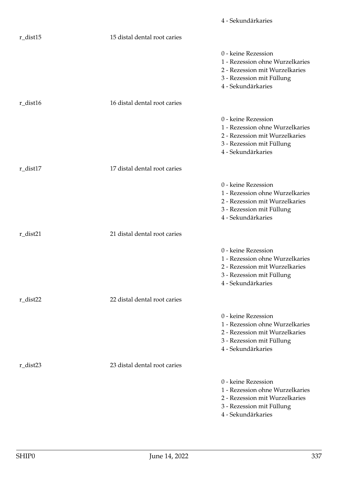|              |                              | 4 - Sekundärkaries                                                                                                                          |
|--------------|------------------------------|---------------------------------------------------------------------------------------------------------------------------------------------|
| $r_{dist15}$ | 15 distal dental root caries |                                                                                                                                             |
|              |                              | 0 - keine Rezession<br>1 - Rezession ohne Wurzelkaries<br>2 - Rezession mit Wurzelkaries<br>3 - Rezession mit Füllung<br>4 - Sekundärkaries |
| $r_{dist16}$ | 16 distal dental root caries |                                                                                                                                             |
|              |                              | 0 - keine Rezession<br>1 - Rezession ohne Wurzelkaries<br>2 - Rezession mit Wurzelkaries<br>3 - Rezession mit Füllung<br>4 - Sekundärkaries |
| $r_{dist17}$ | 17 distal dental root caries |                                                                                                                                             |
|              |                              | 0 - keine Rezession<br>1 - Rezession ohne Wurzelkaries<br>2 - Rezession mit Wurzelkaries<br>3 - Rezession mit Füllung<br>4 - Sekundärkaries |
| $r\_dist21$  | 21 distal dental root caries |                                                                                                                                             |
|              |                              | 0 - keine Rezession<br>1 - Rezession ohne Wurzelkaries<br>2 - Rezession mit Wurzelkaries<br>3 - Rezession mit Füllung<br>4 - Sekundärkaries |
| r_dist22     | 22 distal dental root caries |                                                                                                                                             |
|              |                              | 0 - keine Rezession<br>1 - Rezession ohne Wurzelkaries<br>2 - Rezession mit Wurzelkaries<br>3 - Rezession mit Füllung<br>4 - Sekundärkaries |
| r_dist23     | 23 distal dental root caries |                                                                                                                                             |
|              |                              | 0 - keine Rezession<br>1 - Rezession ohne Wurzelkaries<br>2 - Rezession mit Wurzelkaries<br>3 - Rezession mit Füllung<br>4 - Sekundärkaries |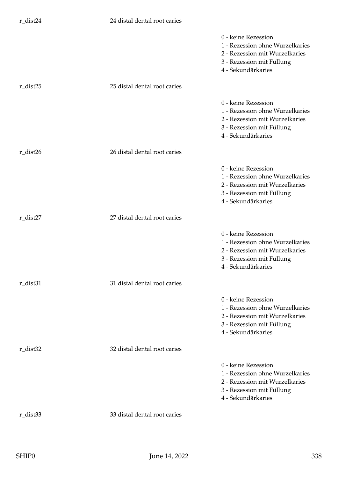|                              | 0 - keine Rezession<br>1 - Rezession ohne Wurzelkaries<br>2 - Rezession mit Wurzelkaries<br>3 - Rezession mit Füllung<br>4 - Sekundärkaries |
|------------------------------|---------------------------------------------------------------------------------------------------------------------------------------------|
| 25 distal dental root caries |                                                                                                                                             |
|                              | 0 - keine Rezession<br>1 - Rezession ohne Wurzelkaries<br>2 - Rezession mit Wurzelkaries<br>3 - Rezession mit Füllung<br>4 - Sekundärkaries |
| 26 distal dental root caries |                                                                                                                                             |
|                              | 0 - keine Rezession<br>1 - Rezession ohne Wurzelkaries<br>2 - Rezession mit Wurzelkaries<br>3 - Rezession mit Füllung<br>4 - Sekundärkaries |
| 27 distal dental root caries |                                                                                                                                             |
|                              | 0 - keine Rezession<br>1 - Rezession ohne Wurzelkaries<br>2 - Rezession mit Wurzelkaries<br>3 - Rezession mit Füllung<br>4 - Sekundärkaries |
| 31 distal dental root caries |                                                                                                                                             |
|                              | 0 - keine Rezession<br>1 - Rezession ohne Wurzelkaries<br>2 - Rezession mit Wurzelkaries<br>3 - Rezession mit Füllung<br>4 - Sekundärkaries |
| 32 distal dental root caries |                                                                                                                                             |
|                              | 0 - keine Rezession<br>1 - Rezession ohne Wurzelkaries<br>2 - Rezession mit Wurzelkaries<br>3 - Rezession mit Füllung<br>4 - Sekundärkaries |
| 33 distal dental root caries |                                                                                                                                             |
|                              |                                                                                                                                             |

r\_dist24 24 distal dental root caries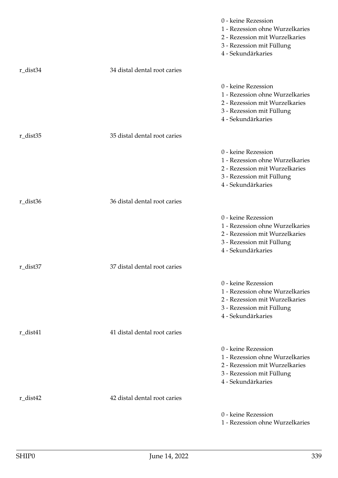|          |                              | 0 - keine Rezession<br>1 - Rezession ohne Wurzelkaries<br>2 - Rezession mit Wurzelkaries<br>3 - Rezession mit Füllung<br>4 - Sekundärkaries |
|----------|------------------------------|---------------------------------------------------------------------------------------------------------------------------------------------|
| r_dist34 | 34 distal dental root caries |                                                                                                                                             |
|          |                              | 0 - keine Rezession<br>1 - Rezession ohne Wurzelkaries<br>2 - Rezession mit Wurzelkaries<br>3 - Rezession mit Füllung<br>4 - Sekundärkaries |
| r_dist35 | 35 distal dental root caries |                                                                                                                                             |
|          |                              | 0 - keine Rezession<br>1 - Rezession ohne Wurzelkaries<br>2 - Rezession mit Wurzelkaries<br>3 - Rezession mit Füllung<br>4 - Sekundärkaries |
| r_dist36 | 36 distal dental root caries |                                                                                                                                             |
|          |                              | 0 - keine Rezession<br>1 - Rezession ohne Wurzelkaries<br>2 - Rezession mit Wurzelkaries<br>3 - Rezession mit Füllung<br>4 - Sekundärkaries |
| r_dist37 | 37 distal dental root caries |                                                                                                                                             |
|          |                              | 0 - keine Rezession<br>1 - Rezession ohne Wurzelkaries<br>2 - Rezession mit Wurzelkaries<br>3 - Rezession mit Füllung<br>4 - Sekundärkaries |
| r_dist41 | 41 distal dental root caries |                                                                                                                                             |
|          |                              | 0 - keine Rezession<br>1 - Rezession ohne Wurzelkaries<br>2 - Rezession mit Wurzelkaries<br>3 - Rezession mit Füllung<br>4 - Sekundärkaries |
| r_dist42 | 42 distal dental root caries |                                                                                                                                             |
|          |                              | 0 - keine Rezession<br>1 - Rezession ohne Wurzelkaries                                                                                      |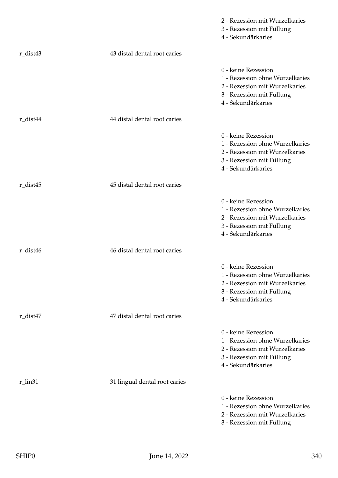|          |                               | 2 - Rezession mit Wurzelkaries<br>3 - Rezession mit Füllung<br>4 - Sekundärkaries                                                           |
|----------|-------------------------------|---------------------------------------------------------------------------------------------------------------------------------------------|
| r_dist43 | 43 distal dental root caries  |                                                                                                                                             |
|          |                               | 0 - keine Rezession<br>1 - Rezession ohne Wurzelkaries<br>2 - Rezession mit Wurzelkaries<br>3 - Rezession mit Füllung<br>4 - Sekundärkaries |
| r_dist44 | 44 distal dental root caries  |                                                                                                                                             |
|          |                               | 0 - keine Rezession<br>1 - Rezession ohne Wurzelkaries<br>2 - Rezession mit Wurzelkaries<br>3 - Rezession mit Füllung<br>4 - Sekundärkaries |
| r_dist45 | 45 distal dental root caries  |                                                                                                                                             |
|          |                               | 0 - keine Rezession<br>1 - Rezession ohne Wurzelkaries<br>2 - Rezession mit Wurzelkaries<br>3 - Rezession mit Füllung<br>4 - Sekundärkaries |
| r_dist46 | 46 distal dental root caries  |                                                                                                                                             |
|          |                               | 0 - keine Rezession<br>1 - Rezession ohne Wurzelkaries<br>2 - Rezession mit Wurzelkaries<br>3 - Rezession mit Füllung<br>4 - Sekundärkaries |
| r_dist47 | 47 distal dental root caries  |                                                                                                                                             |
|          |                               | 0 - keine Rezession<br>1 - Rezession ohne Wurzelkaries<br>2 - Rezession mit Wurzelkaries<br>3 - Rezession mit Füllung<br>4 - Sekundärkaries |
| r_lin31  | 31 lingual dental root caries |                                                                                                                                             |
|          |                               | 0 - keine Rezession<br>1 - Rezession ohne Wurzelkaries<br>2 - Rezession mit Wurzelkaries<br>3 - Rezession mit Füllung                       |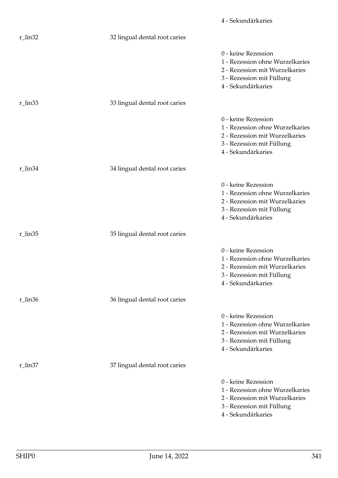|         |                               | 4 - Sekundärkaries                                                                                                                          |
|---------|-------------------------------|---------------------------------------------------------------------------------------------------------------------------------------------|
| r_lin32 | 32 lingual dental root caries |                                                                                                                                             |
|         |                               | 0 - keine Rezession<br>1 - Rezession ohne Wurzelkaries<br>2 - Rezession mit Wurzelkaries<br>3 - Rezession mit Füllung<br>4 - Sekundärkaries |
| r_lin33 | 33 lingual dental root caries |                                                                                                                                             |
|         |                               | 0 - keine Rezession<br>1 - Rezession ohne Wurzelkaries<br>2 - Rezession mit Wurzelkaries<br>3 - Rezession mit Füllung<br>4 - Sekundärkaries |
| r_lin34 | 34 lingual dental root caries |                                                                                                                                             |
|         |                               | 0 - keine Rezession<br>1 - Rezession ohne Wurzelkaries<br>2 - Rezession mit Wurzelkaries<br>3 - Rezession mit Füllung<br>4 - Sekundärkaries |
| r_lin35 | 35 lingual dental root caries |                                                                                                                                             |
|         |                               | 0 - keine Rezession<br>1 - Rezession ohne Wurzelkaries<br>2 - Rezession mit Wurzelkaries<br>3 - Rezession mit Füllung<br>4 - Sekundärkaries |
| r_lin36 | 36 lingual dental root caries |                                                                                                                                             |
|         |                               | 0 - keine Rezession<br>1 - Rezession ohne Wurzelkaries<br>2 - Rezession mit Wurzelkaries<br>3 - Rezession mit Füllung<br>4 - Sekundärkaries |
| r_lin37 | 37 lingual dental root caries |                                                                                                                                             |
|         |                               | 0 - keine Rezession<br>1 - Rezession ohne Wurzelkaries<br>2 - Rezession mit Wurzelkaries<br>3 - Rezession mit Füllung<br>4 - Sekundärkaries |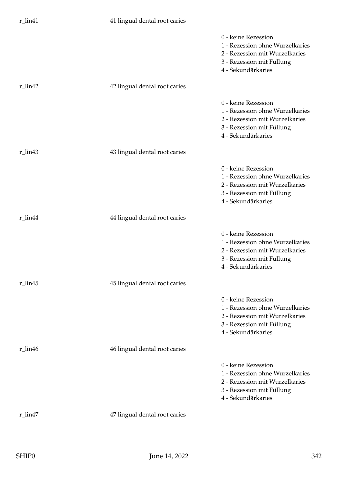| $r$ _lin41      | 41 lingual dental root caries |                                                                                                                                             |
|-----------------|-------------------------------|---------------------------------------------------------------------------------------------------------------------------------------------|
|                 |                               | 0 - keine Rezession<br>1 - Rezession ohne Wurzelkaries<br>2 - Rezession mit Wurzelkaries<br>3 - Rezession mit Füllung<br>4 - Sekundärkaries |
| $r$ _lin42      | 42 lingual dental root caries |                                                                                                                                             |
|                 |                               | 0 - keine Rezession<br>1 - Rezession ohne Wurzelkaries<br>2 - Rezession mit Wurzelkaries<br>3 - Rezession mit Füllung<br>4 - Sekundärkaries |
| $r$ _lin43      | 43 lingual dental root caries |                                                                                                                                             |
|                 |                               | 0 - keine Rezession<br>1 - Rezession ohne Wurzelkaries<br>2 - Rezession mit Wurzelkaries<br>3 - Rezession mit Füllung<br>4 - Sekundärkaries |
| r_lin44         | 44 lingual dental root caries |                                                                                                                                             |
|                 |                               | 0 - keine Rezession<br>1 - Rezession ohne Wurzelkaries<br>2 - Rezession mit Wurzelkaries<br>3 - Rezession mit Füllung<br>4 - Sekundärkaries |
| $r \;$ lin $45$ | 45 lingual dental root caries |                                                                                                                                             |
|                 |                               | 0 - keine Rezession<br>1 - Rezession ohne Wurzelkaries<br>2 - Rezession mit Wurzelkaries<br>3 - Rezession mit Füllung<br>4 - Sekundärkaries |
| r_lin46         | 46 lingual dental root caries |                                                                                                                                             |
|                 |                               | 0 - keine Rezession<br>1 - Rezession ohne Wurzelkaries<br>2 - Rezession mit Wurzelkaries<br>3 - Rezession mit Füllung<br>4 - Sekundärkaries |
| r_lin47         | 47 lingual dental root caries |                                                                                                                                             |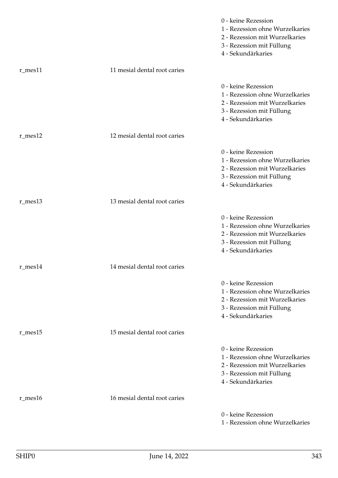|               |                              | 0 - keine Rezession<br>1 - Rezession ohne Wurzelkaries<br>2 - Rezession mit Wurzelkaries<br>3 - Rezession mit Füllung<br>4 - Sekundärkaries |
|---------------|------------------------------|---------------------------------------------------------------------------------------------------------------------------------------------|
| $r$ _mes $11$ | 11 mesial dental root caries |                                                                                                                                             |
|               |                              | 0 - keine Rezession<br>1 - Rezession ohne Wurzelkaries<br>2 - Rezession mit Wurzelkaries<br>3 - Rezession mit Füllung<br>4 - Sekundärkaries |
| $r$ _mes $12$ | 12 mesial dental root caries |                                                                                                                                             |
|               |                              | 0 - keine Rezession<br>1 - Rezession ohne Wurzelkaries<br>2 - Rezession mit Wurzelkaries<br>3 - Rezession mit Füllung<br>4 - Sekundärkaries |
| $r$ _mes $13$ | 13 mesial dental root caries |                                                                                                                                             |
|               |                              | 0 - keine Rezession<br>1 - Rezession ohne Wurzelkaries<br>2 - Rezession mit Wurzelkaries<br>3 - Rezession mit Füllung<br>4 - Sekundärkaries |
| $r$ _mes $14$ | 14 mesial dental root caries |                                                                                                                                             |
|               |                              | 0 - keine Rezession<br>1 - Rezession ohne Wurzelkaries<br>2 - Rezession mit Wurzelkaries<br>3 - Rezession mit Füllung<br>4 - Sekundärkaries |
| $r$ _mes $15$ | 15 mesial dental root caries |                                                                                                                                             |
|               |                              | 0 - keine Rezession<br>1 - Rezession ohne Wurzelkaries<br>2 - Rezession mit Wurzelkaries<br>3 - Rezession mit Füllung<br>4 - Sekundärkaries |
| $r$ _mes $16$ | 16 mesial dental root caries |                                                                                                                                             |
|               |                              | 0 - keine Rezession<br>1 - Rezession ohne Wurzelkaries                                                                                      |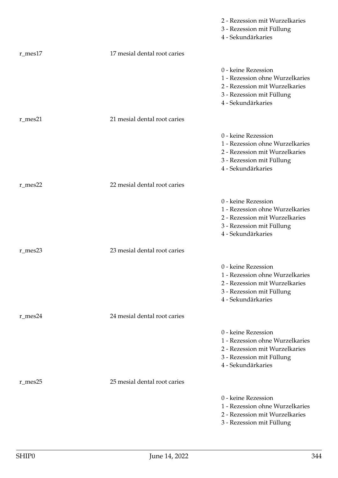|               |                              | 2 - Rezession mit Wurzelkaries<br>3 - Rezession mit Füllung<br>4 - Sekundärkaries                                                           |
|---------------|------------------------------|---------------------------------------------------------------------------------------------------------------------------------------------|
| $r$ _mes $17$ | 17 mesial dental root caries |                                                                                                                                             |
|               |                              | 0 - keine Rezession<br>1 - Rezession ohne Wurzelkaries<br>2 - Rezession mit Wurzelkaries<br>3 - Rezession mit Füllung<br>4 - Sekundärkaries |
| $r$ _mes21    | 21 mesial dental root caries |                                                                                                                                             |
|               |                              | 0 - keine Rezession<br>1 - Rezession ohne Wurzelkaries<br>2 - Rezession mit Wurzelkaries<br>3 - Rezession mit Füllung<br>4 - Sekundärkaries |
| $r$ _mes22    | 22 mesial dental root caries |                                                                                                                                             |
|               |                              | 0 - keine Rezession<br>1 - Rezession ohne Wurzelkaries<br>2 - Rezession mit Wurzelkaries<br>3 - Rezession mit Füllung<br>4 - Sekundärkaries |
| $r$ _mes23    | 23 mesial dental root caries |                                                                                                                                             |
|               |                              | 0 - keine Rezession<br>1 - Rezession ohne Wurzelkaries<br>2 - Rezession mit Wurzelkaries<br>3 - Rezession mit Füllung<br>4 - Sekundärkaries |
| r_mes24       | 24 mesial dental root caries |                                                                                                                                             |
|               |                              | 0 - keine Rezession<br>1 - Rezession ohne Wurzelkaries<br>2 - Rezession mit Wurzelkaries<br>3 - Rezession mit Füllung<br>4 - Sekundärkaries |
| r_mes25       | 25 mesial dental root caries |                                                                                                                                             |
|               |                              | 0 - keine Rezession<br>1 - Rezession ohne Wurzelkaries<br>2 - Rezession mit Wurzelkaries<br>3 - Rezession mit Füllung                       |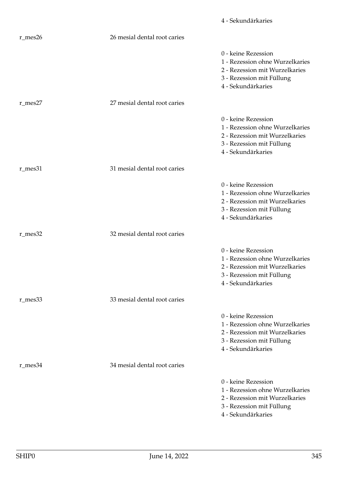|               |                              | 4 - Sekundärkaries                                                                                                                          |
|---------------|------------------------------|---------------------------------------------------------------------------------------------------------------------------------------------|
| $r$ _mes26    | 26 mesial dental root caries |                                                                                                                                             |
|               |                              | 0 - keine Rezession<br>1 - Rezession ohne Wurzelkaries<br>2 - Rezession mit Wurzelkaries<br>3 - Rezession mit Füllung<br>4 - Sekundärkaries |
| $r$ _mes27    | 27 mesial dental root caries |                                                                                                                                             |
|               |                              | 0 - keine Rezession<br>1 - Rezession ohne Wurzelkaries<br>2 - Rezession mit Wurzelkaries<br>3 - Rezession mit Füllung<br>4 - Sekundärkaries |
| r_mes31       | 31 mesial dental root caries |                                                                                                                                             |
|               |                              | 0 - keine Rezession<br>1 - Rezession ohne Wurzelkaries<br>2 - Rezession mit Wurzelkaries<br>3 - Rezession mit Füllung<br>4 - Sekundärkaries |
| r_mes32       | 32 mesial dental root caries |                                                                                                                                             |
|               |                              | 0 - keine Rezession<br>1 - Rezession ohne Wurzelkaries<br>2 - Rezession mit Wurzelkaries<br>3 - Rezession mit Füllung<br>4 - Sekundärkaries |
| r_mes33       | 33 mesial dental root caries |                                                                                                                                             |
|               |                              | 0 - keine Rezession<br>1 - Rezession ohne Wurzelkaries<br>2 - Rezession mit Wurzelkaries<br>3 - Rezession mit Füllung<br>4 - Sekundärkaries |
| $r$ _mes $34$ | 34 mesial dental root caries |                                                                                                                                             |
|               |                              | 0 - keine Rezession<br>1 - Rezession ohne Wurzelkaries<br>2 - Rezession mit Wurzelkaries<br>3 - Rezession mit Füllung<br>4 - Sekundärkaries |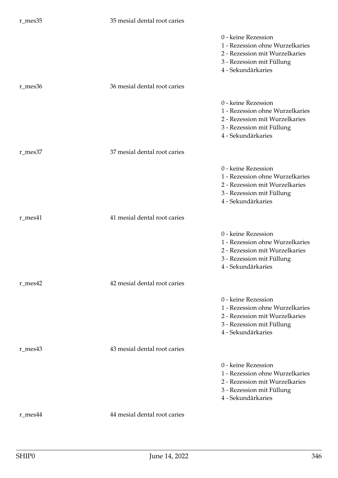## r\_mes35 35 mesial dental root caries

|               |                              | 0 - keine Rezession<br>1 - Rezession ohne Wurzelkaries<br>2 - Rezession mit Wurzelkaries<br>3 - Rezession mit Füllung<br>4 - Sekundärkaries |
|---------------|------------------------------|---------------------------------------------------------------------------------------------------------------------------------------------|
| r_mes36       | 36 mesial dental root caries |                                                                                                                                             |
|               |                              | 0 - keine Rezession<br>1 - Rezession ohne Wurzelkaries<br>2 - Rezession mit Wurzelkaries<br>3 - Rezession mit Füllung<br>4 - Sekundärkaries |
| r_mes37       | 37 mesial dental root caries |                                                                                                                                             |
|               |                              | 0 - keine Rezession<br>1 - Rezession ohne Wurzelkaries<br>2 - Rezession mit Wurzelkaries<br>3 - Rezession mit Füllung<br>4 - Sekundärkaries |
| $r$ _mes $41$ | 41 mesial dental root caries |                                                                                                                                             |
|               |                              | 0 - keine Rezession<br>1 - Rezession ohne Wurzelkaries<br>2 - Rezession mit Wurzelkaries<br>3 - Rezession mit Füllung<br>4 - Sekundärkaries |
| $r$ mes $42$  | 42 mesial dental root caries |                                                                                                                                             |
|               |                              | 0 - keine Rezession<br>1 - Rezession ohne Wurzelkaries<br>2 - Rezession mit Wurzelkaries<br>3 - Rezession mit Füllung<br>4 - Sekundärkaries |
| $r$ _mes43    | 43 mesial dental root caries |                                                                                                                                             |
|               |                              | 0 - keine Rezession<br>1 - Rezession ohne Wurzelkaries<br>2 - Rezession mit Wurzelkaries<br>3 - Rezession mit Füllung<br>4 - Sekundärkaries |
| r_mes44       | 44 mesial dental root caries |                                                                                                                                             |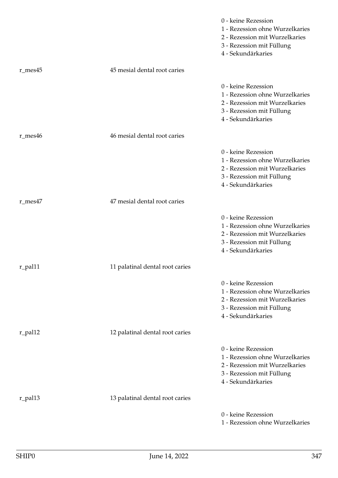|               |                                 | 0 - keine Rezession<br>1 - Rezession ohne Wurzelkaries<br>2 - Rezession mit Wurzelkaries<br>3 - Rezession mit Füllung<br>4 - Sekundärkaries |
|---------------|---------------------------------|---------------------------------------------------------------------------------------------------------------------------------------------|
| $r$ _mes $45$ | 45 mesial dental root caries    |                                                                                                                                             |
|               |                                 | 0 - keine Rezession<br>1 - Rezession ohne Wurzelkaries<br>2 - Rezession mit Wurzelkaries<br>3 - Rezession mit Füllung<br>4 - Sekundärkaries |
| r_mes46       | 46 mesial dental root caries    |                                                                                                                                             |
|               |                                 | 0 - keine Rezession<br>1 - Rezession ohne Wurzelkaries<br>2 - Rezession mit Wurzelkaries<br>3 - Rezession mit Füllung<br>4 - Sekundärkaries |
| r_mes47       | 47 mesial dental root caries    |                                                                                                                                             |
|               |                                 | 0 - keine Rezession<br>1 - Rezession ohne Wurzelkaries<br>2 - Rezession mit Wurzelkaries<br>3 - Rezession mit Füllung<br>4 - Sekundärkaries |
| r_pal11       | 11 palatinal dental root caries |                                                                                                                                             |
|               |                                 | 0 - keine Rezession<br>1 - Rezession ohne Wurzelkaries<br>2 - Rezession mit Wurzelkaries<br>3 - Rezession mit Füllung<br>4 - Sekundärkaries |
| r_pal12       | 12 palatinal dental root caries |                                                                                                                                             |
|               |                                 | 0 - keine Rezession<br>1 - Rezession ohne Wurzelkaries<br>2 - Rezession mit Wurzelkaries<br>3 - Rezession mit Füllung<br>4 - Sekundärkaries |
| r_pal13       | 13 palatinal dental root caries |                                                                                                                                             |
|               |                                 | 0 - keine Rezession<br>1 - Rezession ohne Wurzelkaries                                                                                      |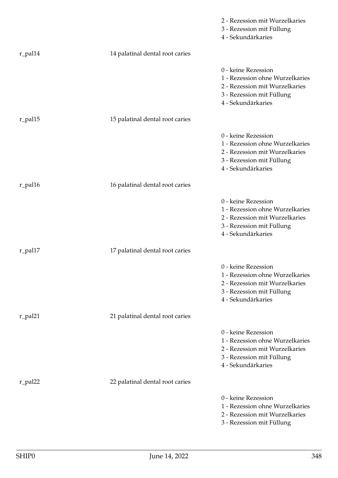|                       |                                 | 2 - Rezession mit Wurzelkaries<br>3 - Rezession mit Füllung<br>4 - Sekundärkaries                                                           |
|-----------------------|---------------------------------|---------------------------------------------------------------------------------------------------------------------------------------------|
| r_pal14               | 14 palatinal dental root caries |                                                                                                                                             |
|                       |                                 | 0 - keine Rezession<br>1 - Rezession ohne Wurzelkaries<br>2 - Rezession mit Wurzelkaries<br>3 - Rezession mit Füllung<br>4 - Sekundärkaries |
| $r$ <sub>-pal15</sub> | 15 palatinal dental root caries |                                                                                                                                             |
|                       |                                 | 0 - keine Rezession<br>1 - Rezession ohne Wurzelkaries<br>2 - Rezession mit Wurzelkaries<br>3 - Rezession mit Füllung<br>4 - Sekundärkaries |
| r_pal16               | 16 palatinal dental root caries |                                                                                                                                             |
|                       |                                 | 0 - keine Rezession<br>1 - Rezession ohne Wurzelkaries<br>2 - Rezession mit Wurzelkaries<br>3 - Rezession mit Füllung<br>4 - Sekundärkaries |
| r_pal17               | 17 palatinal dental root caries |                                                                                                                                             |
|                       |                                 | 0 - keine Rezession<br>1 - Rezession ohne Wurzelkaries<br>2 - Rezession mit Wurzelkaries<br>3 - Rezession mit Füllung<br>4 - Sekundärkaries |
| r_pal21               | 21 palatinal dental root caries |                                                                                                                                             |
|                       |                                 | 0 - keine Rezession<br>1 - Rezession ohne Wurzelkaries<br>2 - Rezession mit Wurzelkaries<br>3 - Rezession mit Füllung<br>4 - Sekundärkaries |
| r_pal22               | 22 palatinal dental root caries |                                                                                                                                             |
|                       |                                 | 0 - keine Rezession<br>1 - Rezession ohne Wurzelkaries<br>2 - Rezession mit Wurzelkaries<br>3 - Rezession mit Füllung                       |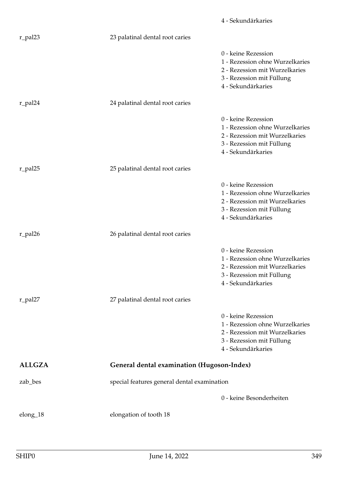|               |                                                   | 4 - Sekundärkaries                                                                                                                          |
|---------------|---------------------------------------------------|---------------------------------------------------------------------------------------------------------------------------------------------|
| r_pal23       | 23 palatinal dental root caries                   |                                                                                                                                             |
|               |                                                   | 0 - keine Rezession<br>1 - Rezession ohne Wurzelkaries<br>2 - Rezession mit Wurzelkaries<br>3 - Rezession mit Füllung<br>4 - Sekundärkaries |
| r_pal24       | 24 palatinal dental root caries                   |                                                                                                                                             |
|               |                                                   | 0 - keine Rezession<br>1 - Rezession ohne Wurzelkaries<br>2 - Rezession mit Wurzelkaries<br>3 - Rezession mit Füllung<br>4 - Sekundärkaries |
| r_pal25       | 25 palatinal dental root caries                   |                                                                                                                                             |
|               |                                                   | 0 - keine Rezession<br>1 - Rezession ohne Wurzelkaries<br>2 - Rezession mit Wurzelkaries<br>3 - Rezession mit Füllung<br>4 - Sekundärkaries |
| r_pal26       | 26 palatinal dental root caries                   |                                                                                                                                             |
|               |                                                   | 0 - keine Rezession<br>1 - Rezession ohne Wurzelkaries<br>2 - Rezession mit Wurzelkaries<br>3 - Rezession mit Füllung<br>4 - Sekundärkaries |
| r_pal27       | 27 palatinal dental root caries                   |                                                                                                                                             |
|               |                                                   | 0 - keine Rezession<br>1 - Rezession ohne Wurzelkaries<br>2 - Rezession mit Wurzelkaries<br>3 - Rezession mit Füllung<br>4 - Sekundärkaries |
| <b>ALLGZA</b> | <b>General dental examination (Hugoson-Index)</b> |                                                                                                                                             |
| zab_bes       | special features general dental examination       |                                                                                                                                             |
|               |                                                   | 0 - keine Besonderheiten                                                                                                                    |
| $elong_18$    | elongation of tooth 18                            |                                                                                                                                             |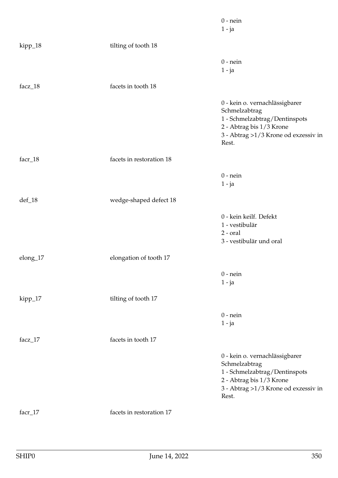|            |                          | $0$ - nein<br>$1 - ja$                                                                                                                                         |
|------------|--------------------------|----------------------------------------------------------------------------------------------------------------------------------------------------------------|
| kipp_18    | tilting of tooth 18      |                                                                                                                                                                |
|            |                          | $0$ - nein<br>$1 - ja$                                                                                                                                         |
| facz_18    | facets in tooth 18       |                                                                                                                                                                |
|            |                          | 0 - kein o. vernachlässigbarer<br>Schmelzabtrag<br>1 - Schmelzabtrag/Dentinspots<br>2 - Abtrag bis 1/3 Krone<br>3 - Abtrag >1/3 Krone od exzessiv in<br>Rest.  |
| facr_18    | facets in restoration 18 |                                                                                                                                                                |
|            |                          | $0$ - nein<br>$1 - ja$                                                                                                                                         |
| $def_18$   | wedge-shaped defect 18   |                                                                                                                                                                |
|            |                          | 0 - kein keilf. Defekt<br>1 - vestibulär<br>$2$ - $oral$<br>3 - vestibulär und oral                                                                            |
| elong_17   | elongation of tooth 17   |                                                                                                                                                                |
|            |                          | $0$ - nein<br>$1 - ja$                                                                                                                                         |
| kipp_17    | tilting of tooth 17      |                                                                                                                                                                |
|            |                          | $0$ - nein<br>$1 - ja$                                                                                                                                         |
| facz_ $17$ | facets in tooth 17       |                                                                                                                                                                |
|            |                          | 0 - kein o. vernachlässigbarer<br>Schmelzabtrag<br>1 - Schmelzabtrag/Dentinspots<br>2 - Abtrag bis 1/3 Krone<br>3 - Abtrag > 1/3 Krone od exzessiv in<br>Rest. |
| facr_17    | facets in restoration 17 |                                                                                                                                                                |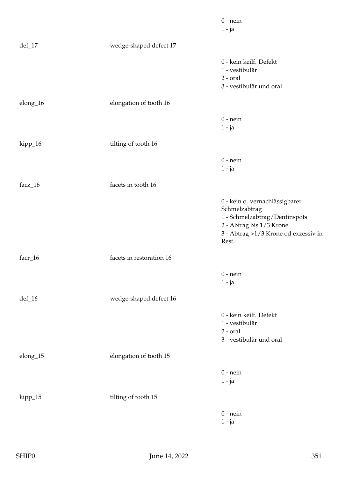|             |                          | $0$ - nein<br>$1 - ja$                                                                                                                                        |
|-------------|--------------------------|---------------------------------------------------------------------------------------------------------------------------------------------------------------|
| $def_17$    | wedge-shaped defect 17   |                                                                                                                                                               |
|             |                          | 0 - kein keilf. Defekt<br>1 - vestibulär<br>$2$ - $oral$<br>3 - vestibulär und oral                                                                           |
| elong_16    | elongation of tooth 16   |                                                                                                                                                               |
|             |                          | $0$ - nein<br>$1 - ja$                                                                                                                                        |
| kipp_16     | tilting of tooth 16      |                                                                                                                                                               |
|             |                          | $0$ - nein<br>$1 - ja$                                                                                                                                        |
| facz_16     | facets in tooth 16       |                                                                                                                                                               |
|             |                          | 0 - kein o. vernachlässigbarer<br>Schmelzabtrag<br>1 - Schmelzabtrag/Dentinspots<br>2 - Abtrag bis 1/3 Krone<br>3 - Abtrag >1/3 Krone od exzessiv in<br>Rest. |
| facr_16     | facets in restoration 16 |                                                                                                                                                               |
|             |                          | $0$ - nein<br>$1 - ja$                                                                                                                                        |
| $def_16$    | wedge-shaped defect 16   |                                                                                                                                                               |
|             |                          | 0 - kein keilf. Defekt<br>1 - vestibulär<br>$2$ - $oral$<br>3 - vestibulär und oral                                                                           |
| $elong\_15$ | elongation of tooth 15   |                                                                                                                                                               |
|             |                          | $0$ - nein<br>$1 - ja$                                                                                                                                        |
| kipp_15     | tilting of tooth 15      |                                                                                                                                                               |
|             |                          | $0$ - nein<br>$1 - ja$                                                                                                                                        |
|             |                          |                                                                                                                                                               |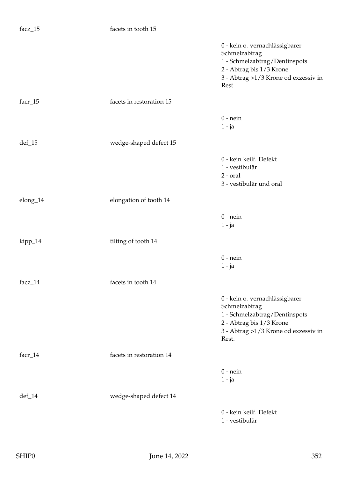| facz_15   | facets in tooth 15       |                                                                                                                                                               |
|-----------|--------------------------|---------------------------------------------------------------------------------------------------------------------------------------------------------------|
|           |                          | 0 - kein o. vernachlässigbarer<br>Schmelzabtrag<br>1 - Schmelzabtrag/Dentinspots<br>2 - Abtrag bis 1/3 Krone<br>3 - Abtrag >1/3 Krone od exzessiv in<br>Rest. |
| facr_15   | facets in restoration 15 |                                                                                                                                                               |
|           |                          | $0$ - nein<br>$1 - ja$                                                                                                                                        |
| $def_15$  | wedge-shaped defect 15   |                                                                                                                                                               |
|           |                          | 0 - kein keilf. Defekt<br>1 - vestibulär<br>$2$ - $oral$<br>3 - vestibulär und oral                                                                           |
| elong_14  | elongation of tooth 14   |                                                                                                                                                               |
|           |                          | $0$ - nein<br>$1 - ja$                                                                                                                                        |
| kipp_14   | tilting of tooth 14      |                                                                                                                                                               |
|           |                          | $0$ - nein<br>$1 - ja$                                                                                                                                        |
| facz_14   | facets in tooth 14       |                                                                                                                                                               |
|           |                          | 0 - kein o. vernachlässigbarer<br>Schmelzabtrag<br>1 - Schmelzabtrag/Dentinspots<br>2 - Abtrag bis 1/3 Krone<br>3 - Abtrag >1/3 Krone od exzessiv in<br>Rest. |
| $facr_14$ | facets in restoration 14 |                                                                                                                                                               |
|           |                          | $0$ - nein<br>$1 - ja$                                                                                                                                        |
| $def_14$  | wedge-shaped defect 14   |                                                                                                                                                               |
|           |                          | 0 - kein keilf. Defekt<br>1 - vestibulär                                                                                                                      |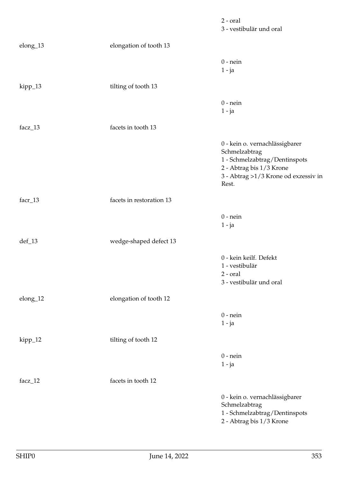|           |                          | $2$ - $oral$<br>3 - vestibulär und oral                                                                                                                       |
|-----------|--------------------------|---------------------------------------------------------------------------------------------------------------------------------------------------------------|
| elong_13  | elongation of tooth 13   |                                                                                                                                                               |
|           |                          | $0$ - nein<br>$1 - ja$                                                                                                                                        |
| kipp_13   | tilting of tooth 13      |                                                                                                                                                               |
|           |                          | $0$ - nein<br>$1 - ja$                                                                                                                                        |
| facz_13   | facets in tooth 13       |                                                                                                                                                               |
|           |                          | 0 - kein o. vernachlässigbarer<br>Schmelzabtrag<br>1 - Schmelzabtrag/Dentinspots<br>2 - Abtrag bis 1/3 Krone<br>3 - Abtrag >1/3 Krone od exzessiv in<br>Rest. |
| $facr_13$ | facets in restoration 13 |                                                                                                                                                               |
|           |                          | $0$ - nein<br>$1 - ja$                                                                                                                                        |
| $def_13$  | wedge-shaped defect 13   |                                                                                                                                                               |
|           |                          | 0 - kein keilf. Defekt<br>1 - vestibulär<br>$2$ - $oral$<br>3 - vestibulär und oral                                                                           |
| elong_12  | elongation of tooth 12   |                                                                                                                                                               |
|           |                          | $0$ - nein<br>$1 - ja$                                                                                                                                        |
| kipp_12   | tilting of tooth 12      |                                                                                                                                                               |
|           |                          | $0$ - nein<br>$1 - ja$                                                                                                                                        |
| facz_12   | facets in tooth 12       |                                                                                                                                                               |
|           |                          | 0 - kein o. vernachlässigbarer<br>Schmelzabtrag<br>1 - Schmelzabtrag/Dentinspots<br>2 - Abtrag bis 1/3 Krone                                                  |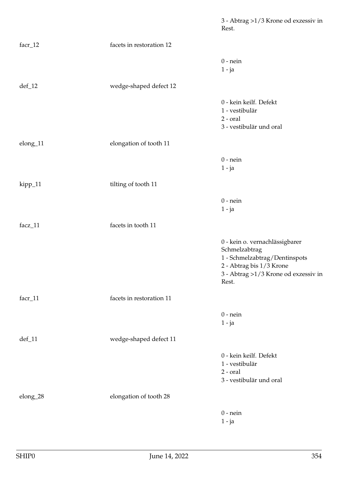3 - Abtrag >1/3 Krone od exzessiv in Rest. facr\_12 facets in restoration 12 0 - nein 1 - ja def\_12 wedge-shaped defect 12 0 - kein keilf. Defekt 1 - vestibulär 2 - oral 3 - vestibulär und oral elong\_11 elongation of tooth 11  $0$  - nein 1 - ja kipp\_11 tilting of tooth 11 0 - nein 1 - ja facz\_11 facets in tooth 11 0 - kein o. vernachlässigbarer Schmelzabtrag 1 - Schmelzabtrag/Dentinspots 2 - Abtrag bis 1/3 Krone 3 - Abtrag >1/3 Krone od exzessiv in Rest. facr\_11 facets in restoration 11 0 - nein 1 - ja def\_11 wedge-shaped defect 11 0 - kein keilf. Defekt 1 - vestibulär 2 - oral 3 - vestibulär und oral elong\_28 elongation of tooth 28 0 - nein 1 - ja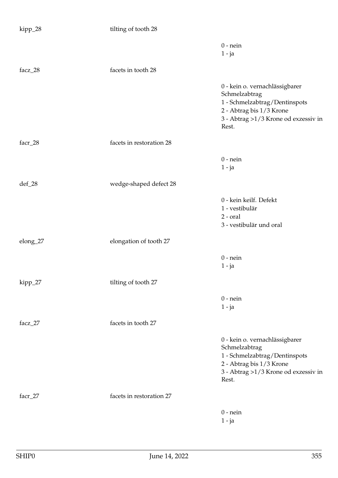| kipp_28  | tilting of tooth 28      |                                                                                                                                                               |
|----------|--------------------------|---------------------------------------------------------------------------------------------------------------------------------------------------------------|
|          |                          | $0$ - nein<br>$1 - ja$                                                                                                                                        |
| facz_28  | facets in tooth 28       |                                                                                                                                                               |
|          |                          | 0 - kein o. vernachlässigbarer<br>Schmelzabtrag<br>1 - Schmelzabtrag/Dentinspots<br>2 - Abtrag bis 1/3 Krone<br>3 - Abtrag >1/3 Krone od exzessiv in<br>Rest. |
| facr_28  | facets in restoration 28 |                                                                                                                                                               |
|          |                          | $0$ - nein<br>$1 - ja$                                                                                                                                        |
| $def_28$ | wedge-shaped defect 28   |                                                                                                                                                               |
|          |                          | 0 - kein keilf. Defekt<br>1 - vestibulär<br>$2$ - $oral$<br>3 - vestibulär und oral                                                                           |
| elong_27 | elongation of tooth 27   |                                                                                                                                                               |
|          |                          | $0$ - nein<br>$1 - ja$                                                                                                                                        |
| kipp_27  | tilting of tooth 27      |                                                                                                                                                               |
|          |                          | $0$ - nein<br>$1 - ja$                                                                                                                                        |
| facz_27  | facets in tooth 27       |                                                                                                                                                               |
|          |                          | 0 - kein o. vernachlässigbarer<br>Schmelzabtrag<br>1 - Schmelzabtrag/Dentinspots<br>2 - Abtrag bis 1/3 Krone<br>3 - Abtrag >1/3 Krone od exzessiv in<br>Rest. |
| facr_27  | facets in restoration 27 |                                                                                                                                                               |
|          |                          | $0$ - nein<br>$1 - ja$                                                                                                                                        |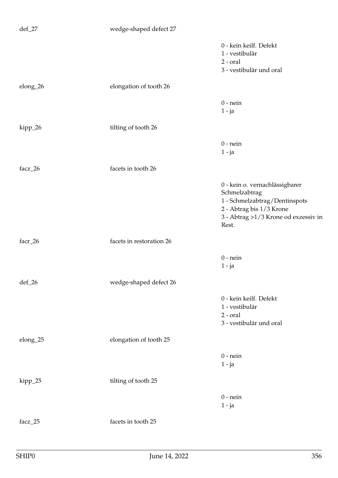| $def_27$ | wedge-shaped defect 27   |                                                                                                                                                               |
|----------|--------------------------|---------------------------------------------------------------------------------------------------------------------------------------------------------------|
|          |                          | 0 - kein keilf. Defekt<br>1 - vestibulär<br>$2$ - $oral$<br>3 - vestibulär und oral                                                                           |
| elong_26 | elongation of tooth 26   |                                                                                                                                                               |
|          |                          | $0$ - nein<br>$1 - ja$                                                                                                                                        |
| kipp_26  | tilting of tooth 26      |                                                                                                                                                               |
|          |                          | $0$ - nein<br>$1 - ja$                                                                                                                                        |
| facz_26  | facets in tooth 26       |                                                                                                                                                               |
|          |                          | 0 - kein o. vernachlässigbarer<br>Schmelzabtrag<br>1 - Schmelzabtrag/Dentinspots<br>2 - Abtrag bis 1/3 Krone<br>3 - Abtrag >1/3 Krone od exzessiv in<br>Rest. |
| facr_26  | facets in restoration 26 |                                                                                                                                                               |
|          |                          | $0$ - nein<br>$1 - ja$                                                                                                                                        |
| $def_26$ | wedge-shaped defect 26   |                                                                                                                                                               |
|          |                          | 0 - kein keilf. Defekt<br>1 - vestibulär<br>$2$ - $oral$<br>3 - vestibulär und oral                                                                           |
| elong_25 | elongation of tooth 25   |                                                                                                                                                               |
|          |                          | $0$ - nein<br>$1 - ja$                                                                                                                                        |
| kipp_25  | tilting of tooth 25      |                                                                                                                                                               |
|          |                          | $0$ - nein<br>$1 - ja$                                                                                                                                        |
| facz_25  | facets in tooth 25       |                                                                                                                                                               |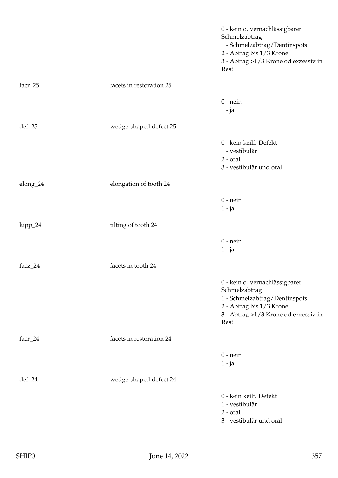|                    |                          | 0 - kein o. vernachlässigbarer<br>Schmelzabtrag<br>1 - Schmelzabtrag/Dentinspots<br>2 - Abtrag bis 1/3 Krone<br>3 - Abtrag >1/3 Krone od exzessiv in<br>Rest. |
|--------------------|--------------------------|---------------------------------------------------------------------------------------------------------------------------------------------------------------|
| facr_25            | facets in restoration 25 |                                                                                                                                                               |
|                    |                          | $0$ - nein<br>$1 - ja$                                                                                                                                        |
| $def_25$           | wedge-shaped defect 25   |                                                                                                                                                               |
|                    |                          | 0 - kein keilf. Defekt<br>1 - vestibulär<br>$2$ - $oral$<br>3 - vestibulär und oral                                                                           |
| elong_24           | elongation of tooth 24   |                                                                                                                                                               |
|                    |                          | $0$ - nein<br>$1 - ja$                                                                                                                                        |
| kipp_24            | tilting of tooth 24      |                                                                                                                                                               |
|                    |                          | $0$ - nein<br>$1 - ja$                                                                                                                                        |
| facz_24            | facets in tooth 24       |                                                                                                                                                               |
|                    |                          | 0 - kein o. vernachlässigbarer<br>Schmelzabtrag<br>1 - Schmelzabtrag/Dentinspots<br>2 - Abtrag bis 1/3 Krone<br>3 - Abtrag >1/3 Krone od exzessiv in<br>Rest. |
| facr_24            | facets in restoration 24 |                                                                                                                                                               |
|                    |                          | $0$ - nein<br>$1 - ja$                                                                                                                                        |
| $\mathrm{def}\_24$ | wedge-shaped defect 24   |                                                                                                                                                               |
|                    |                          | 0 - kein keilf. Defekt<br>1 - vestibulär<br>$2$ - $oral$<br>3 - vestibulär und oral                                                                           |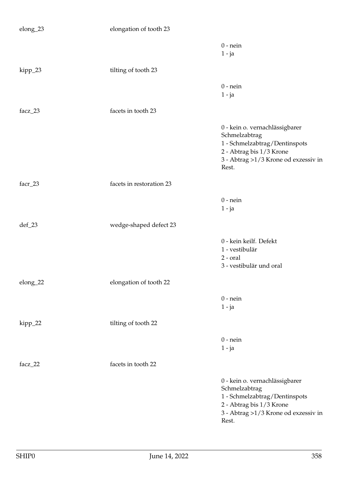| elong_23 | elongation of tooth 23   |                                                                                                                                                                 |
|----------|--------------------------|-----------------------------------------------------------------------------------------------------------------------------------------------------------------|
|          |                          | $0$ - nein<br>$1 - ja$                                                                                                                                          |
| kipp_23  | tilting of tooth 23      |                                                                                                                                                                 |
|          |                          | $0$ - nein<br>$1 - ja$                                                                                                                                          |
| facz_23  | facets in tooth 23       |                                                                                                                                                                 |
|          |                          | 0 - kein o. vernachlässigbarer<br>Schmelzabtrag<br>1 - Schmelzabtrag/Dentinspots<br>2 - Abtrag bis 1/3 Krone<br>3 - Abtrag $>1/3$ Krone od exzessiv in<br>Rest. |
| facr_23  | facets in restoration 23 |                                                                                                                                                                 |
|          |                          | $0$ - nein<br>$1 - ja$                                                                                                                                          |
| $def_23$ | wedge-shaped defect 23   |                                                                                                                                                                 |
|          |                          | 0 - kein keilf. Defekt<br>1 - vestibulär<br>$2$ - $oral$<br>3 - vestibulär und oral                                                                             |
| elong_22 | elongation of tooth 22   |                                                                                                                                                                 |
|          |                          | $0$ - nein<br>$1 - ja$                                                                                                                                          |
| kipp_22  | tilting of tooth 22      |                                                                                                                                                                 |
|          |                          | $0$ - nein<br>$1 - ja$                                                                                                                                          |
| facz_22  | facets in tooth 22       |                                                                                                                                                                 |
|          |                          | 0 - kein o. vernachlässigbarer<br>Schmelzabtrag<br>1 - Schmelzabtrag/Dentinspots<br>2 - Abtrag bis 1/3 Krone<br>3 - Abtrag >1/3 Krone od exzessiv in<br>Rest.   |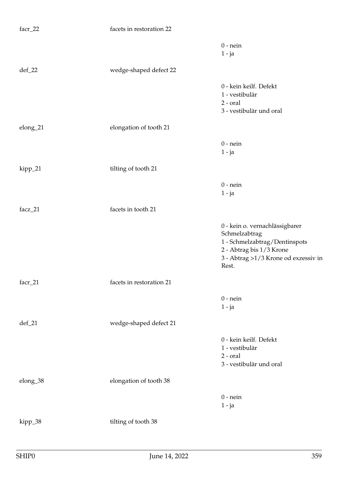| facr_22  | facets in restoration 22 |                                                                                                                                                               |
|----------|--------------------------|---------------------------------------------------------------------------------------------------------------------------------------------------------------|
|          |                          | $0$ - nein<br>$1 - ja$                                                                                                                                        |
| $def_22$ | wedge-shaped defect 22   |                                                                                                                                                               |
|          |                          | 0 - kein keilf. Defekt<br>1 - vestibulär<br>$2$ - $oral$<br>3 - vestibulär und oral                                                                           |
| elong_21 | elongation of tooth 21   |                                                                                                                                                               |
|          |                          | $0$ - nein<br>$1 - ja$                                                                                                                                        |
| kipp_21  | tilting of tooth 21      |                                                                                                                                                               |
|          |                          | $0$ - nein<br>$1 - ja$                                                                                                                                        |
| facz_21  | facets in tooth 21       |                                                                                                                                                               |
|          |                          | 0 - kein o. vernachlässigbarer<br>Schmelzabtrag<br>1 - Schmelzabtrag/Dentinspots<br>2 - Abtrag bis 1/3 Krone<br>3 - Abtrag >1/3 Krone od exzessiv in<br>Rest. |
| facr_21  | facets in restoration 21 |                                                                                                                                                               |
|          |                          | $0$ - nein<br>$1 - ja$                                                                                                                                        |
| $def_21$ | wedge-shaped defect 21   |                                                                                                                                                               |
|          |                          | 0 - kein keilf. Defekt<br>1 - vestibulär<br>$2$ - $oral$<br>3 - vestibulär und oral                                                                           |
| elong_38 | elongation of tooth 38   |                                                                                                                                                               |
|          |                          | $0$ - nein<br>$1 - ja$                                                                                                                                        |
| kipp_38  | tilting of tooth 38      |                                                                                                                                                               |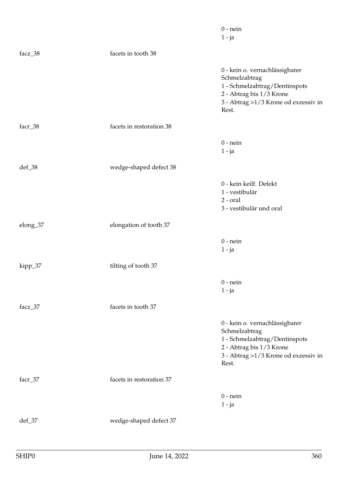|          |                          | $0$ - nein<br>$1 - ja$                                                                                                                                        |
|----------|--------------------------|---------------------------------------------------------------------------------------------------------------------------------------------------------------|
| facz_38  | facets in tooth 38       |                                                                                                                                                               |
|          |                          | 0 - kein o. vernachlässigbarer<br>Schmelzabtrag<br>1 - Schmelzabtrag/Dentinspots<br>2 - Abtrag bis 1/3 Krone<br>3 - Abtrag >1/3 Krone od exzessiv in<br>Rest. |
| facr_38  | facets in restoration 38 |                                                                                                                                                               |
|          |                          | $0$ - nein<br>$1 - ja$                                                                                                                                        |
| def_38   | wedge-shaped defect 38   |                                                                                                                                                               |
|          |                          | 0 - kein keilf. Defekt<br>1 - vestibulär<br>$2$ - $oral$<br>3 - vestibulär und oral                                                                           |
| elong_37 | elongation of tooth 37   |                                                                                                                                                               |
|          |                          | $0$ - nein<br>$1 - ja$                                                                                                                                        |
| kipp_37  | tilting of tooth 37      |                                                                                                                                                               |
|          |                          | $0$ - nein<br>$1 - ja$                                                                                                                                        |
| facz_37  | facets in tooth 37       |                                                                                                                                                               |
|          |                          | 0 - kein o. vernachlässigbarer<br>Schmelzabtrag<br>1 - Schmelzabtrag/Dentinspots<br>2 - Abtrag bis 1/3 Krone<br>3 - Abtrag >1/3 Krone od exzessiv in<br>Rest. |
| facr_37  | facets in restoration 37 |                                                                                                                                                               |
|          |                          | $0$ - nein<br>$1 - ja$                                                                                                                                        |
| $def_37$ | wedge-shaped defect 37   |                                                                                                                                                               |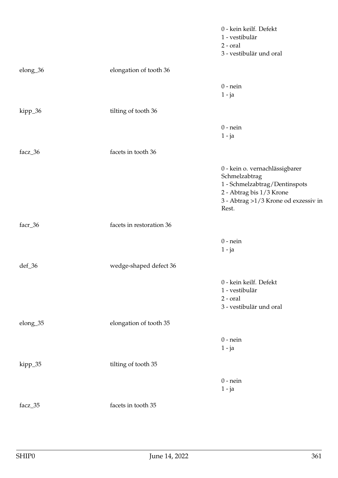|          |                          | 0 - kein keilf. Defekt<br>1 - vestibulär<br>$2$ - $oral$<br>3 - vestibulär und oral                                                                             |
|----------|--------------------------|-----------------------------------------------------------------------------------------------------------------------------------------------------------------|
| elong_36 | elongation of tooth 36   |                                                                                                                                                                 |
|          |                          | $0$ - nein<br>$1 - ja$                                                                                                                                          |
| kipp_36  | tilting of tooth 36      |                                                                                                                                                                 |
|          |                          | $0$ - nein<br>$1 - ja$                                                                                                                                          |
| facz_36  | facets in tooth 36       |                                                                                                                                                                 |
|          |                          | $0$ - kein o. vernachlässigbarer<br>Schmelzabtrag<br>1 - Schmelzabtrag/Dentinspots<br>2 - Abtrag bis 1/3 Krone<br>3 - Abtrag >1/3 Krone od exzessiv in<br>Rest. |
| facr_36  | facets in restoration 36 |                                                                                                                                                                 |
|          |                          | $0$ - nein<br>$1 - ja$                                                                                                                                          |
| def_36   | wedge-shaped defect 36   |                                                                                                                                                                 |
|          |                          | 0 - kein keilf. Defekt<br>1 - vestibulär<br>$2$ - $oral$<br>3 - vestibulär und oral                                                                             |
| elong_35 | elongation of tooth 35   |                                                                                                                                                                 |
|          |                          | $0$ - nein<br>$1 - ja$                                                                                                                                          |
| kipp_35  | tilting of tooth 35      |                                                                                                                                                                 |
|          |                          | $0$ - nein<br>$1 - ja$                                                                                                                                          |
| facz_35  | facets in tooth 35       |                                                                                                                                                                 |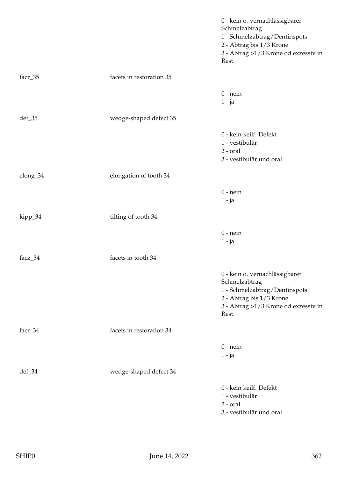|          |                          | 0 - kein o. vernachlässigbarer<br>Schmelzabtrag<br>1 - Schmelzabtrag/Dentinspots<br>2 - Abtrag bis 1/3 Krone<br>3 - Abtrag $>1/3$ Krone od exzessiv in<br>Rest. |
|----------|--------------------------|-----------------------------------------------------------------------------------------------------------------------------------------------------------------|
| facr_35  | facets in restoration 35 |                                                                                                                                                                 |
|          |                          | $0$ - nein<br>$1 - ja$                                                                                                                                          |
| def_35   | wedge-shaped defect 35   |                                                                                                                                                                 |
|          |                          | 0 - kein keilf. Defekt<br>1 - vestibulär<br>$2$ - $oral$<br>3 - vestibulär und oral                                                                             |
| elong_34 | elongation of tooth 34   |                                                                                                                                                                 |
|          |                          | $0$ - nein<br>$1 - ja$                                                                                                                                          |
| kipp_34  | tilting of tooth 34      |                                                                                                                                                                 |
|          |                          | $0$ - nein<br>$1 - ja$                                                                                                                                          |
| facz_34  | facets in tooth 34       |                                                                                                                                                                 |
|          |                          | 0 - kein o. vernachlässigbarer<br>Schmelzabtrag<br>1 - Schmelzabtrag/Dentinspots<br>2 - Abtrag bis 1/3 Krone<br>3 - Abtrag >1/3 Krone od exzessiv in<br>Rest.   |
| facr_34  | facets in restoration 34 |                                                                                                                                                                 |
|          |                          | $0$ - nein<br>$1 - ja$                                                                                                                                          |
| def_34   | wedge-shaped defect 34   |                                                                                                                                                                 |
|          |                          | 0 - kein keilf. Defekt<br>1 - vestibulär<br>$2$ - $oral$<br>3 - vestibulär und oral                                                                             |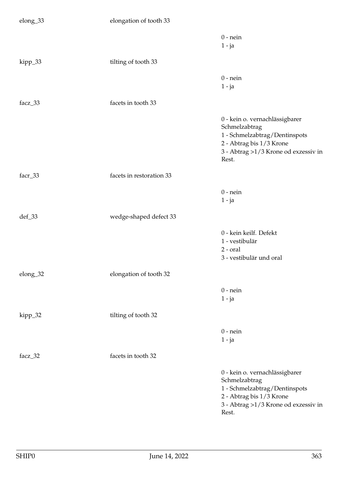| elong_33 | elongation of tooth 33   |                                                                                                                                                               |
|----------|--------------------------|---------------------------------------------------------------------------------------------------------------------------------------------------------------|
|          |                          | $0$ - nein<br>$1 - ja$                                                                                                                                        |
| kipp_33  | tilting of tooth 33      |                                                                                                                                                               |
|          |                          | $0$ - nein<br>$1 - ja$                                                                                                                                        |
| facz_33  | facets in tooth 33       |                                                                                                                                                               |
|          |                          | 0 - kein o. vernachlässigbarer<br>Schmelzabtrag<br>1 - Schmelzabtrag/Dentinspots<br>2 - Abtrag bis 1/3 Krone<br>3 - Abtrag >1/3 Krone od exzessiv in<br>Rest. |
| facr_33  | facets in restoration 33 |                                                                                                                                                               |
|          |                          | $0$ - nein<br>$1 - ja$                                                                                                                                        |
| def_33   | wedge-shaped defect 33   |                                                                                                                                                               |
|          |                          | 0 - kein keilf. Defekt<br>1 - vestibulär<br>$2$ - $oral$<br>3 - vestibulär und oral                                                                           |
| elong_32 | elongation of tooth 32   |                                                                                                                                                               |
|          |                          | $0$ - nein<br>$1 - ja$                                                                                                                                        |
| kipp_32  | tilting of tooth 32      |                                                                                                                                                               |
|          |                          | $0$ - nein<br>$1 - ja$                                                                                                                                        |
| facz_32  | facets in tooth 32       |                                                                                                                                                               |
|          |                          | 0 - kein o. vernachlässigbarer<br>Schmelzabtrag<br>1 - Schmelzabtrag/Dentinspots<br>2 - Abtrag bis 1/3 Krone<br>3 - Abtrag >1/3 Krone od exzessiv in<br>Rest. |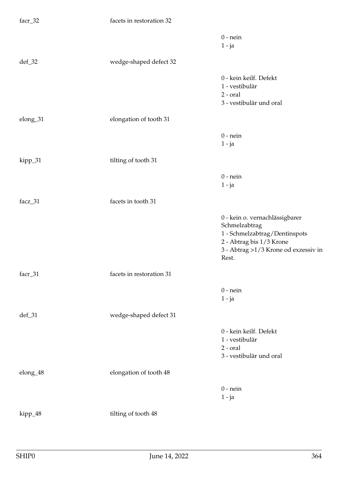| facr_32  | facets in restoration 32 |                                                                                                                                                               |
|----------|--------------------------|---------------------------------------------------------------------------------------------------------------------------------------------------------------|
|          |                          | $0$ - nein<br>$1 - ja$                                                                                                                                        |
| $def_32$ | wedge-shaped defect 32   |                                                                                                                                                               |
|          |                          | 0 - kein keilf. Defekt<br>1 - vestibulär<br>$2$ - $oral$<br>3 - vestibulär und oral                                                                           |
| elong_31 | elongation of tooth 31   |                                                                                                                                                               |
|          |                          | $0$ - nein<br>$1 - ja$                                                                                                                                        |
| kipp_31  | tilting of tooth 31      |                                                                                                                                                               |
|          |                          | $0$ - nein<br>$1 - ja$                                                                                                                                        |
| facz_31  | facets in tooth 31       |                                                                                                                                                               |
|          |                          | 0 - kein o. vernachlässigbarer<br>Schmelzabtrag<br>1 - Schmelzabtrag/Dentinspots<br>2 - Abtrag bis 1/3 Krone<br>3 - Abtrag >1/3 Krone od exzessiv in<br>Rest. |
| facr_31  | facets in restoration 31 |                                                                                                                                                               |
|          |                          | $0$ - nein<br>$1 - ja$                                                                                                                                        |
| $def_31$ | wedge-shaped defect 31   |                                                                                                                                                               |
|          |                          | 0 - kein keilf. Defekt<br>1 - vestibulär<br>$2$ - $oral$<br>3 - vestibulär und oral                                                                           |
| elong_48 | elongation of tooth 48   |                                                                                                                                                               |
|          |                          | $0$ - nein<br>$1 - ja$                                                                                                                                        |
| kipp_48  | tilting of tooth 48      |                                                                                                                                                               |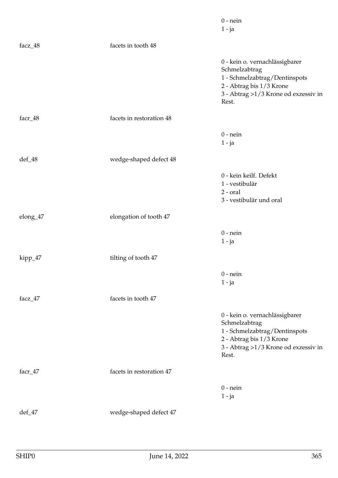|          |                          | $0$ - nein<br>$1 - ja$                                                                                                                                          |
|----------|--------------------------|-----------------------------------------------------------------------------------------------------------------------------------------------------------------|
| facz_48  | facets in tooth 48       |                                                                                                                                                                 |
|          |                          | 0 - kein o. vernachlässigbarer<br>Schmelzabtrag<br>1 - Schmelzabtrag/Dentinspots<br>2 - Abtrag bis 1/3 Krone<br>3 - Abtrag $>1/3$ Krone od exzessiv in<br>Rest. |
| facr_48  | facets in restoration 48 |                                                                                                                                                                 |
|          |                          | $0$ - nein<br>$1 - ja$                                                                                                                                          |
| def_48   | wedge-shaped defect 48   |                                                                                                                                                                 |
|          |                          | 0 - kein keilf. Defekt<br>1 - vestibulär<br>$2$ - $oral$<br>3 - vestibulär und oral                                                                             |
| elong_47 | elongation of tooth 47   |                                                                                                                                                                 |
|          |                          | $0$ - nein<br>$1 - ja$                                                                                                                                          |
| kipp_47  | tilting of tooth 47      |                                                                                                                                                                 |
|          |                          | $0$ - nein<br>$1 - ja$                                                                                                                                          |
| facz_47  | facets in tooth 47       |                                                                                                                                                                 |
|          |                          | 0 - kein o. vernachlässigbarer<br>Schmelzabtrag<br>1 - Schmelzabtrag/Dentinspots<br>2 - Abtrag bis 1/3 Krone<br>3 - Abtrag >1/3 Krone od exzessiv in<br>Rest.   |
| facr_47  | facets in restoration 47 |                                                                                                                                                                 |
|          |                          | $0$ - nein<br>$1 - ja$                                                                                                                                          |
| def_47   | wedge-shaped defect 47   |                                                                                                                                                                 |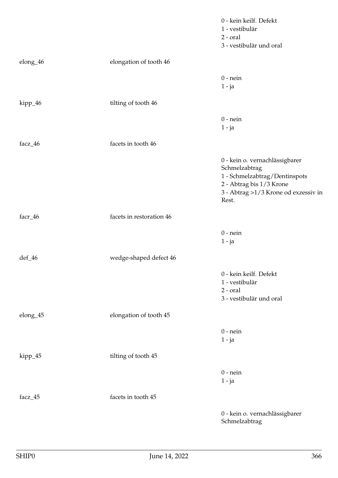|          |                          | 0 - kein keilf. Defekt<br>1 - vestibulär<br>$2$ - $oral$<br>3 - vestibulär und oral                                                                           |
|----------|--------------------------|---------------------------------------------------------------------------------------------------------------------------------------------------------------|
| elong_46 | elongation of tooth 46   |                                                                                                                                                               |
|          |                          | $0$ - nein<br>$1 - ja$                                                                                                                                        |
| kipp_46  | tilting of tooth 46      |                                                                                                                                                               |
|          |                          | $0$ - nein<br>$1 - ja$                                                                                                                                        |
| facz_46  | facets in tooth 46       |                                                                                                                                                               |
|          |                          | 0 - kein o. vernachlässigbarer<br>Schmelzabtrag<br>1 - Schmelzabtrag/Dentinspots<br>2 - Abtrag bis 1/3 Krone<br>3 - Abtrag >1/3 Krone od exzessiv in<br>Rest. |
| facr_46  | facets in restoration 46 |                                                                                                                                                               |
|          |                          | $0$ - nein<br>$1 - ja$                                                                                                                                        |
| def_46   | wedge-shaped defect 46   |                                                                                                                                                               |
|          |                          | 0 - kein keilf. Defekt<br>1 - vestibulär<br>$2$ - $oral$<br>3 - vestibulär und oral                                                                           |
| elong_45 | elongation of tooth 45   |                                                                                                                                                               |
|          |                          | $0$ - nein<br>$1 - ja$                                                                                                                                        |
| kipp_45  | tilting of tooth 45      |                                                                                                                                                               |
|          |                          | $0$ - nein<br>$1 - ja$                                                                                                                                        |
| facz_45  | facets in tooth 45       |                                                                                                                                                               |
|          |                          | 0 - kein o. vernachlässigbarer<br>Schmelzabtrag                                                                                                               |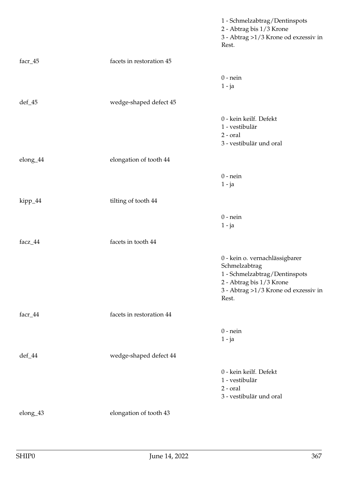|          |                          | 1 - Schmelzabtrag/Dentinspots<br>2 - Abtrag bis 1/3 Krone<br>3 - Abtrag >1/3 Krone od exzessiv in<br>Rest.                                                    |
|----------|--------------------------|---------------------------------------------------------------------------------------------------------------------------------------------------------------|
| facr_45  | facets in restoration 45 |                                                                                                                                                               |
|          |                          | $0$ - nein<br>$1 - ja$                                                                                                                                        |
| $def_45$ | wedge-shaped defect 45   |                                                                                                                                                               |
|          |                          | 0 - kein keilf. Defekt<br>1 - vestibulär<br>$2$ - $oral$<br>3 - vestibulär und oral                                                                           |
| elong_44 | elongation of tooth 44   |                                                                                                                                                               |
|          |                          | $0$ - nein<br>$1 - ja$                                                                                                                                        |
| kipp_44  | tilting of tooth 44      |                                                                                                                                                               |
|          |                          | $0$ - nein<br>$1 - ja$                                                                                                                                        |
| facz_44  | facets in tooth 44       |                                                                                                                                                               |
|          |                          | 0 - kein o. vernachlässigbarer<br>Schmelzabtrag<br>1 - Schmelzabtrag/Dentinspots<br>2 - Abtrag bis 1/3 Krone<br>3 - Abtrag >1/3 Krone od exzessiv in<br>Rest. |
| facr_44  | facets in restoration 44 |                                                                                                                                                               |
|          |                          | $0$ - nein<br>$1 - ja$                                                                                                                                        |
| def_44   | wedge-shaped defect 44   |                                                                                                                                                               |
|          |                          | 0 - kein keilf. Defekt<br>1 - vestibulär<br>2 - oral<br>3 - vestibulär und oral                                                                               |
| elong_43 | elongation of tooth 43   |                                                                                                                                                               |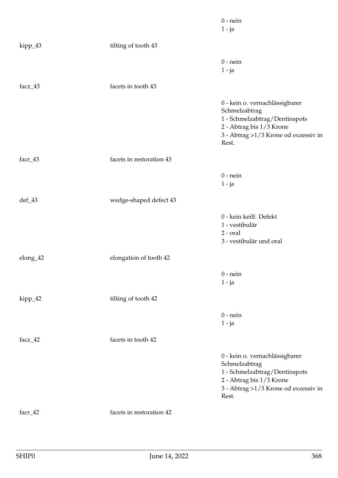|          |                          | $0$ - nein<br>$1 - ja$                                                                                                                                        |
|----------|--------------------------|---------------------------------------------------------------------------------------------------------------------------------------------------------------|
| kipp_43  | tilting of tooth 43      |                                                                                                                                                               |
|          |                          | $0$ - nein<br>$1 - ja$                                                                                                                                        |
| facz_43  | facets in tooth 43       |                                                                                                                                                               |
|          |                          | 0 - kein o. vernachlässigbarer<br>Schmelzabtrag<br>1 - Schmelzabtrag/Dentinspots<br>2 - Abtrag bis 1/3 Krone<br>3 - Abtrag >1/3 Krone od exzessiv in<br>Rest. |
| facr_43  | facets in restoration 43 |                                                                                                                                                               |
|          |                          | $0$ - nein<br>$1 - ja$                                                                                                                                        |
| def_43   | wedge-shaped defect 43   |                                                                                                                                                               |
|          |                          | 0 - kein keilf. Defekt<br>1 - vestibulär<br>$2$ - $oral$<br>3 - vestibulär und oral                                                                           |
| elong_42 | elongation of tooth 42   |                                                                                                                                                               |
|          |                          | $0$ - nein<br>$1 - ja$                                                                                                                                        |
| kipp_42  | tilting of tooth 42      |                                                                                                                                                               |
|          |                          | $0$ - nein<br>$1 - ja$                                                                                                                                        |
| facz_42  | facets in tooth 42       |                                                                                                                                                               |
|          |                          | 0 - kein o. vernachlässigbarer<br>Schmelzabtrag<br>1 - Schmelzabtrag/Dentinspots<br>2 - Abtrag bis 1/3 Krone<br>3 - Abtrag >1/3 Krone od exzessiv in<br>Rest. |
| facr_42  | facets in restoration 42 |                                                                                                                                                               |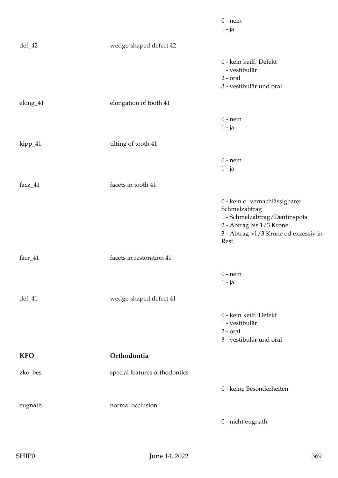|            |                               | $0$ - nein<br>$1 - ja$                                                                                                                                        |
|------------|-------------------------------|---------------------------------------------------------------------------------------------------------------------------------------------------------------|
| $def_42$   | wedge-shaped defect 42        |                                                                                                                                                               |
|            |                               | 0 - kein keilf. Defekt<br>1 - vestibulär<br>$2$ - $oral$<br>3 - vestibulär und oral                                                                           |
| elong_41   | elongation of tooth 41        |                                                                                                                                                               |
|            |                               | $0$ - nein<br>$1 - ja$                                                                                                                                        |
| kipp_41    | tilting of tooth 41           |                                                                                                                                                               |
|            |                               | $0$ - nein<br>$1 - ja$                                                                                                                                        |
| facz_41    | facets in tooth 41            |                                                                                                                                                               |
|            |                               | 0 - kein o. vernachlässigbarer<br>Schmelzabtrag<br>1 - Schmelzabtrag/Dentinspots<br>2 - Abtrag bis 1/3 Krone<br>3 - Abtrag >1/3 Krone od exzessiv in<br>Rest. |
| facr_41    | facets in restoration 41      |                                                                                                                                                               |
|            |                               | $0$ - nein<br>$1 - ja$                                                                                                                                        |
| $def_41$   | wedge-shaped defect 41        |                                                                                                                                                               |
|            |                               | 0 - kein keilf. Defekt<br>1 - vestibulär<br>$2$ - $oral$<br>3 - vestibulär und oral                                                                           |
| <b>KFO</b> | Orthodontia                   |                                                                                                                                                               |
| zko_bes    | special features orthodontics |                                                                                                                                                               |
|            |                               | 0 - keine Besonderheiten                                                                                                                                      |
| eugnath    | normal occlusion              |                                                                                                                                                               |
|            |                               | 0 - nicht eugnath                                                                                                                                             |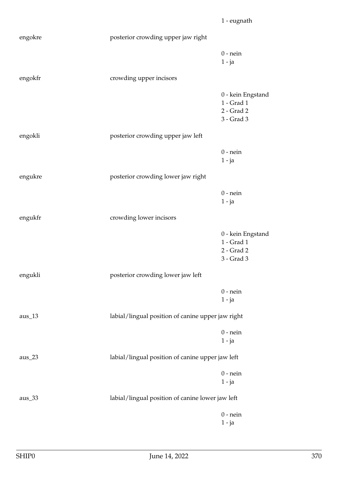|          |                                                   | 1 - eugnath                                                 |
|----------|---------------------------------------------------|-------------------------------------------------------------|
| engokre  | posterior crowding upper jaw right                |                                                             |
|          |                                                   | $0$ - nein<br>$1 - ja$                                      |
| engokfr  | crowding upper incisors                           |                                                             |
|          |                                                   | 0 - kein Engstand<br>1 - Grad 1<br>2 - Grad 2<br>3 - Grad 3 |
| engokli  | posterior crowding upper jaw left                 |                                                             |
|          |                                                   | $0$ - nein<br>$1 - ja$                                      |
| engukre  | posterior crowding lower jaw right                |                                                             |
|          |                                                   | $0$ - nein<br>$1 - ja$                                      |
| engukfr  | crowding lower incisors                           |                                                             |
|          |                                                   | 0 - kein Engstand<br>1 - Grad 1<br>2 - Grad 2<br>3 - Grad 3 |
| engukli  | posterior crowding lower jaw left                 |                                                             |
|          |                                                   | $0$ - nein<br>$1 - ja$                                      |
| $aus_13$ | labial/lingual position of canine upper jaw right |                                                             |
|          |                                                   | $0$ - nein<br>$1 - ja$                                      |
| $aus_23$ | labial/lingual position of canine upper jaw left  |                                                             |
|          |                                                   | $0$ - nein<br>$1 - ja$                                      |
| $aus_33$ | labial/lingual position of canine lower jaw left  |                                                             |
|          |                                                   | $0$ - nein<br>$1 - ja$                                      |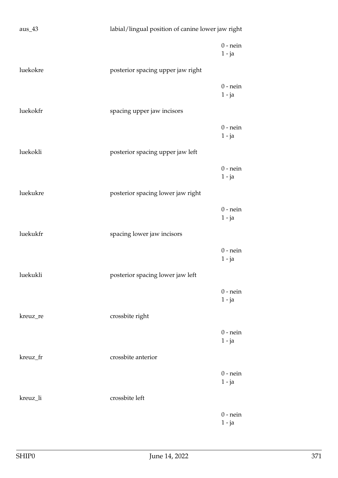| $aus_43$ | labial/lingual position of canine lower jaw right |                        |
|----------|---------------------------------------------------|------------------------|
|          |                                                   | $0$ - nein<br>$1 - ja$ |
| luekokre | posterior spacing upper jaw right                 |                        |
|          |                                                   | $0$ - nein<br>$1 - ja$ |
| luekokfr | spacing upper jaw incisors                        |                        |
|          |                                                   | $0$ - nein<br>$1 - ja$ |
| luekokli | posterior spacing upper jaw left                  |                        |
|          |                                                   | $0$ - nein<br>$1 - ja$ |
| luekukre | posterior spacing lower jaw right                 |                        |
|          |                                                   | $0$ - nein<br>$1 - ja$ |
| luekukfr | spacing lower jaw incisors                        |                        |
|          |                                                   | $0$ - nein<br>$1 - ja$ |
| luekukli | posterior spacing lower jaw left                  |                        |
|          |                                                   | $0$ - nein<br>$1 - ja$ |
| kreuz_re | crossbite right                                   |                        |
|          |                                                   | $0$ - nein<br>$1 - ja$ |
| kreuz_fr | crossbite anterior                                |                        |
|          |                                                   | $0$ - nein<br>$1 - ja$ |
| kreuz_li | crossbite left                                    |                        |
|          |                                                   | $0$ - nein<br>$1 - ja$ |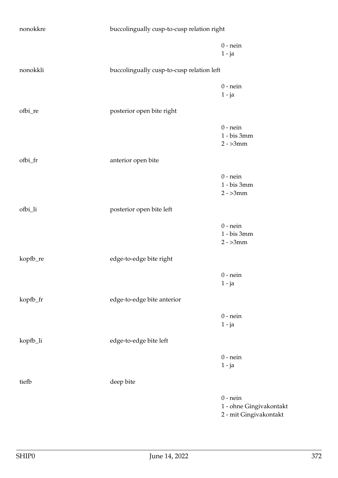| nonokkre | buccolingually cusp-to-cusp relation right |                                                                 |
|----------|--------------------------------------------|-----------------------------------------------------------------|
|          |                                            | $0$ - nein<br>$1 - ja$                                          |
| nonokkli | buccolingually cusp-to-cusp relation left  |                                                                 |
|          |                                            | $0$ - nein<br>$1 - ja$                                          |
| ofbi_re  | posterior open bite right                  |                                                                 |
|          |                                            | $0$ - nein<br>1 - bis 3mm<br>$2 - 3mm$                          |
| ofbi_fr  | anterior open bite                         |                                                                 |
|          |                                            | $0$ - nein<br>1 - bis 3mm<br>$2 - 3mm$                          |
| ofbi_li  | posterior open bite left                   |                                                                 |
|          |                                            | $0$ - nein<br>1 - bis 3mm<br>$2 - 3mm$                          |
| kopfb_re | edge-to-edge bite right                    |                                                                 |
|          |                                            | $0$ - nein<br>$1 - ja$                                          |
| kopfb_fr | edge-to-edge bite anterior                 |                                                                 |
|          |                                            | $0$ - nein<br>$1 - ja$                                          |
| kopfb_li | edge-to-edge bite left                     |                                                                 |
|          |                                            | $0$ - nein<br>$1 - ja$                                          |
| tiefb    | deep bite                                  |                                                                 |
|          |                                            | $0$ - nein<br>1 - ohne Gingivakontakt<br>2 - mit Gingivakontakt |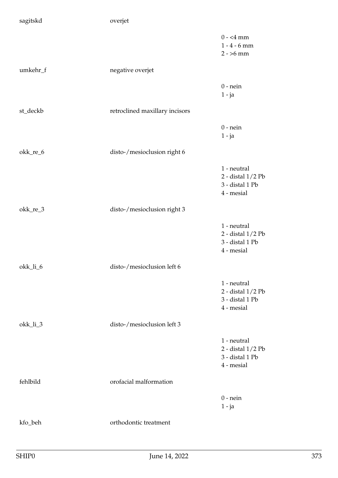| sagitskd | overjet                        |                                                                   |
|----------|--------------------------------|-------------------------------------------------------------------|
|          |                                | $0 - 4$ mm<br>$1 - 4 - 6$ mm<br>$2 - 56$ mm                       |
| umkehr_f | negative overjet               |                                                                   |
|          |                                | $0$ - nein<br>$1 - ja$                                            |
| st_deckb | retroclined maxillary incisors |                                                                   |
|          |                                | $0$ - nein<br>$1 - ja$                                            |
| okk_re_6 | disto-/mesioclusion right 6    |                                                                   |
|          |                                | 1 - neutral<br>2 - distal 1/2 Pb<br>3 - distal 1 Pb<br>4 - mesial |
| okk_re_3 | disto-/mesioclusion right 3    |                                                                   |
|          |                                | 1 - neutral<br>2 - distal 1/2 Pb<br>3 - distal 1 Pb<br>4 - mesial |
| okk_li_6 | disto-/mesioclusion left 6     |                                                                   |
|          |                                | 1 - neutral<br>2 - distal 1/2 Pb<br>3 - distal 1 Pb<br>4 - mesial |
| okk_li_3 | disto-/mesioclusion left 3     |                                                                   |
|          |                                | 1 - neutral<br>2 - distal 1/2 Pb<br>3 - distal 1 Pb<br>4 - mesial |
| fehlbild | orofacial malformation         |                                                                   |
|          |                                | $0$ - nein<br>$1 - ja$                                            |
| kfo_beh  | orthodontic treatment          |                                                                   |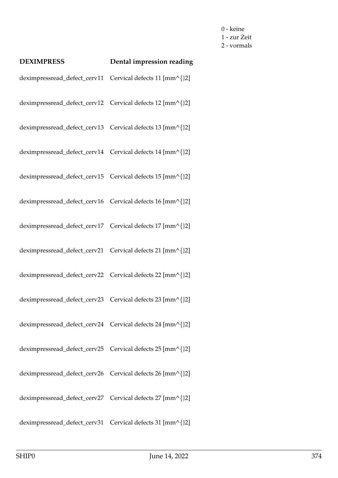0 - keine 1 - zur Zeit 2 - vormals

| <b>DEXIMPRESS</b>                                         | Dental impression reading |
|-----------------------------------------------------------|---------------------------|
| deximpressread_defect_cerv11 Cervical defects 11 [mm^{}2] |                           |
| deximpressread_defect_cerv12 Cervical defects 12 [mm^{}2] |                           |
| deximpressread_defect_cerv13 Cervical defects 13 [mm^{}2] |                           |
| deximpressread_defect_cerv14 Cervical defects 14 [mm^{}2] |                           |
| deximpressread_defect_cerv15 Cervical defects 15 [mm^{}2] |                           |
| deximpressread_defect_cerv16 Cervical defects 16 [mm^{}2] |                           |
| deximpressread_defect_cerv17 Cervical defects 17 [mm^{}2] |                           |
| deximpressread_defect_cerv21 Cervical defects 21 [mm^{}2] |                           |
| deximpressread_defect_cerv22 Cervical defects 22 [mm^{}2] |                           |
| deximpressread_defect_cerv23 Cervical defects 23 [mm^{}2] |                           |
| deximpressread_defect_cerv24 Cervical defects 24 [mm^{}2] |                           |
| deximpressread_defect_cerv25 Cervical defects 25 [mm^{}2] |                           |
| deximpressread_defect_cerv26 Cervical defects 26 [mm^{}2] |                           |
| deximpressread_defect_cerv27 Cervical defects 27 [mm^{}2] |                           |
| deximpressread_defect_cerv31 Cervical defects 31 [mm^{}2] |                           |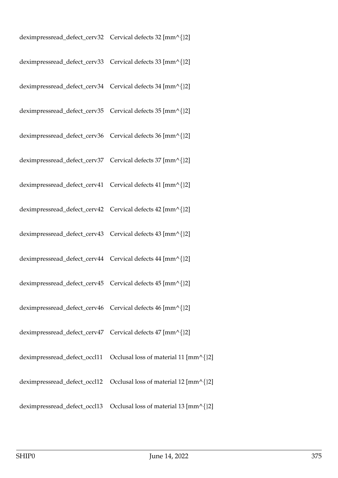| deximpressread_defect_cerv32 Cervical defects 32 [mm^{}2] |  |
|-----------------------------------------------------------|--|
| deximpressread_defect_cerv33 Cervical defects 33 [mm^{}2] |  |
| deximpressread_defect_cerv34 Cervical defects 34 [mm^{}2] |  |
| deximpressread_defect_cerv35 Cervical defects 35 [mm^{}2] |  |
| deximpressread_defect_cerv36 Cervical defects 36 [mm^{}2] |  |
| deximpressread_defect_cerv37 Cervical defects 37 [mm^{}2] |  |
| deximpressread_defect_cerv41 Cervical defects 41 [mm^{}2] |  |
| deximpressread_defect_cerv42 Cervical defects 42 [mm^{}2] |  |
| deximpressread_defect_cerv43 Cervical defects 43 [mm^{}2] |  |
| deximpressread_defect_cerv44 Cervical defects 44 [mm^{}2] |  |
| deximpressread_defect_cerv45 Cervical defects 45 [mm^{}2] |  |
| deximpressread_defect_cerv46 Cervical defects 46 [mm^{}2] |  |
| deximpressread_defect_cerv47 Cervical defects 47 [mm^{}2] |  |
|                                                           |  |
|                                                           |  |
|                                                           |  |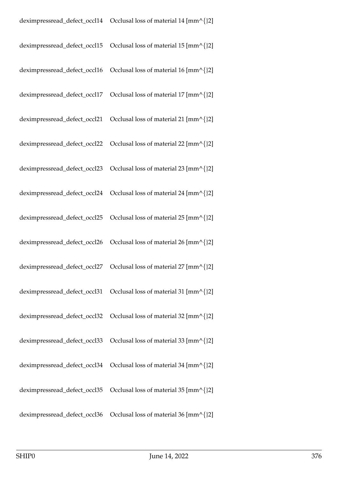| deximpressread_defect_occl15 | Occlusal loss of material 15 $\text{[mm\textdegree]}\{2\}$ |
|------------------------------|------------------------------------------------------------|
| deximpressread_defect_occl16 | Occlusal loss of material 16 [mm^{}2]                      |
| deximpressread_defect_occl17 | Occlusal loss of material 17 [mm^{}2]                      |
| deximpressread_defect_occl21 | Occlusal loss of material 21 [mm^{}2]                      |
| deximpressread_defect_occl22 | Occlusal loss of material 22 [mm^{}2]                      |
| deximpressread_defect_occl23 | Occlusal loss of material 23 [mm^{}2]                      |
|                              |                                                            |
|                              |                                                            |
|                              |                                                            |
| deximpressread_defect_occl27 | Occlusal loss of material 27 [mm^{}2]                      |
|                              |                                                            |
|                              |                                                            |
|                              |                                                            |
|                              |                                                            |
| deximpressread_defect_occl35 | Occlusal loss of material 35 [mm^{}2]                      |
| deximpressread_defect_occl36 | Occlusal loss of material 36 [mm^{}2]                      |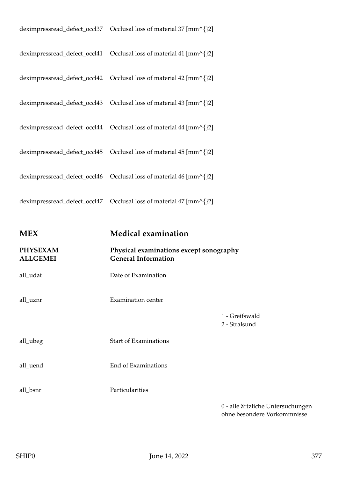| <b>MEX</b> | <b>Medical examination</b> |
|------------|----------------------------|
|            |                            |
|            |                            |
|            |                            |
|            |                            |
|            |                            |
|            |                            |
|            |                            |
|            |                            |

| <b>PHYSEXAM</b><br><b>ALLGEMEI</b> | Physical examinations except sonography<br><b>General Information</b> |                                 |
|------------------------------------|-----------------------------------------------------------------------|---------------------------------|
| all_udat                           | Date of Examination                                                   |                                 |
| all_uznr                           | <b>Examination center</b>                                             |                                 |
|                                    |                                                                       | 1 - Greifswald<br>2 - Stralsund |
| all_ubeg                           | <b>Start of Examinations</b>                                          |                                 |
| all_uend                           | End of Examinations                                                   |                                 |
| all_bsnr                           | Particularities                                                       |                                 |
|                                    |                                                                       | 0 - alle ärtzlich               |

0 - alle ärtzliche Untersuchungen ohne besondere Vorkommnisse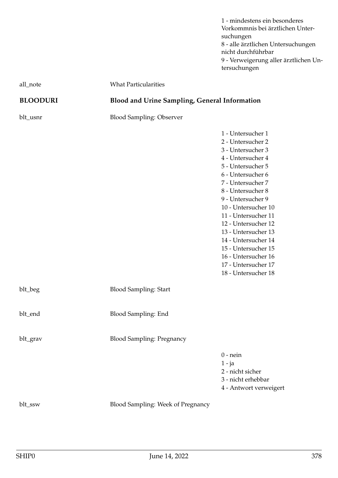1 - mindestens ein besonderes Vorkommnis bei ärztlichen Untersuchungen 8 - alle ärztlichen Untersuchungen nicht durchführbar 9 - Verweigerung aller ärztlichen Untersuchungen

| all_note        | <b>What Particularities</b>                          |                                                                                                                                                                                                                                                                                                                                                                                                          |
|-----------------|------------------------------------------------------|----------------------------------------------------------------------------------------------------------------------------------------------------------------------------------------------------------------------------------------------------------------------------------------------------------------------------------------------------------------------------------------------------------|
| <b>BLOODURI</b> | <b>Blood and Urine Sampling, General Information</b> |                                                                                                                                                                                                                                                                                                                                                                                                          |
| blt_usnr        | <b>Blood Sampling: Observer</b>                      |                                                                                                                                                                                                                                                                                                                                                                                                          |
|                 |                                                      | 1 - Untersucher 1<br>2 - Untersucher 2<br>3 - Untersucher 3<br>4 - Untersucher 4<br>5 - Untersucher 5<br>6 - Untersucher 6<br>7 - Untersucher 7<br>8 - Untersucher 8<br>9 - Untersucher 9<br>10 - Untersucher 10<br>11 - Untersucher 11<br>12 - Untersucher 12<br>13 - Untersucher 13<br>14 - Untersucher 14<br>15 - Untersucher 15<br>16 - Untersucher 16<br>17 - Untersucher 17<br>18 - Untersucher 18 |
| blt_beg         | <b>Blood Sampling: Start</b>                         |                                                                                                                                                                                                                                                                                                                                                                                                          |
| blt_end         | Blood Sampling: End                                  |                                                                                                                                                                                                                                                                                                                                                                                                          |
| blt_grav        | <b>Blood Sampling: Pregnancy</b>                     |                                                                                                                                                                                                                                                                                                                                                                                                          |
|                 |                                                      | $0$ - nein<br>$1 - ja$<br>2 - nicht sicher<br>3 - nicht erhebbar<br>4 - Antwort verweigert                                                                                                                                                                                                                                                                                                               |
| blt_ssw         | Blood Sampling: Week of Pregnancy                    |                                                                                                                                                                                                                                                                                                                                                                                                          |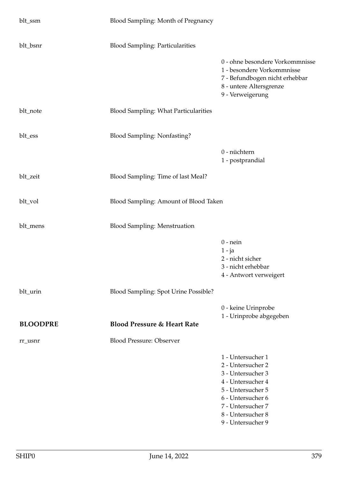| blt_ssm         | Blood Sampling: Month of Pregnancy          |                                                                                                                                                                                           |
|-----------------|---------------------------------------------|-------------------------------------------------------------------------------------------------------------------------------------------------------------------------------------------|
| blt_bsnr        | <b>Blood Sampling: Particularities</b>      |                                                                                                                                                                                           |
|                 |                                             | 0 - ohne besondere Vorkommnisse<br>1 - besondere Vorkommnisse<br>7 - Befundbogen nicht erhebbar<br>8 - untere Altersgrenze<br>9 - Verweigerung                                            |
| blt_note        | <b>Blood Sampling: What Particularities</b> |                                                                                                                                                                                           |
| blt_ess         | <b>Blood Sampling: Nonfasting?</b>          |                                                                                                                                                                                           |
|                 |                                             | 0 - nüchtern<br>1 - postprandial                                                                                                                                                          |
| blt_zeit        | Blood Sampling: Time of last Meal?          |                                                                                                                                                                                           |
| blt_vol         | Blood Sampling: Amount of Blood Taken       |                                                                                                                                                                                           |
| blt_mens        | <b>Blood Sampling: Menstruation</b>         |                                                                                                                                                                                           |
|                 |                                             | $0$ - nein<br>$1 - ja$<br>2 - nicht sicher<br>3 - nicht erhebbar<br>4 - Antwort verweigert                                                                                                |
| blt_urin        | Blood Sampling: Spot Urine Possible?        |                                                                                                                                                                                           |
| <b>BLOODPRE</b> | <b>Blood Pressure &amp; Heart Rate</b>      | 0 - keine Urinprobe<br>1 - Urinprobe abgegeben                                                                                                                                            |
| rr_usnr         | <b>Blood Pressure: Observer</b>             |                                                                                                                                                                                           |
|                 |                                             | 1 - Untersucher 1<br>2 - Untersucher 2<br>3 - Untersucher 3<br>4 - Untersucher 4<br>5 - Untersucher 5<br>6 - Untersucher 6<br>7 - Untersucher 7<br>8 - Untersucher 8<br>9 - Untersucher 9 |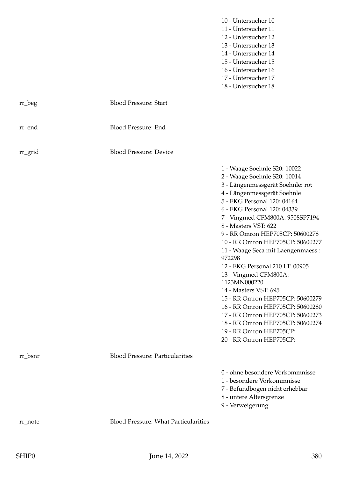|         |                                             | 10 - Untersucher 10<br>11 - Untersucher 11<br>12 - Untersucher 12<br>13 - Untersucher 13<br>14 - Untersucher 14<br>15 - Untersucher 15<br>16 - Untersucher 16<br>17 - Untersucher 17<br>18 - Untersucher 18                                                                                                                                                                                                                                                                                                                                                                                                                                                                                |
|---------|---------------------------------------------|--------------------------------------------------------------------------------------------------------------------------------------------------------------------------------------------------------------------------------------------------------------------------------------------------------------------------------------------------------------------------------------------------------------------------------------------------------------------------------------------------------------------------------------------------------------------------------------------------------------------------------------------------------------------------------------------|
| rr_beg  | <b>Blood Pressure: Start</b>                |                                                                                                                                                                                                                                                                                                                                                                                                                                                                                                                                                                                                                                                                                            |
| rr_end  | <b>Blood Pressure: End</b>                  |                                                                                                                                                                                                                                                                                                                                                                                                                                                                                                                                                                                                                                                                                            |
| rr_grid | <b>Blood Pressure: Device</b>               |                                                                                                                                                                                                                                                                                                                                                                                                                                                                                                                                                                                                                                                                                            |
|         |                                             | 1 - Waage Soehnle S20: 10022<br>2 - Waage Soehnle S20: 10014<br>3 - Längenmessgerät Soehnle: rot<br>4 - Längenmessgerät Soehnle<br>5 - EKG Personal 120: 04164<br>6 - EKG Personal 120: 04339<br>7 - Vingmed CFM800A: 9508SP7194<br>8 - Masters VST: 622<br>9 - RR Omron HEP705CP: 50600278<br>10 - RR Omron HEP705CP: 50600277<br>11 - Waage Seca mit Laengenmaess.:<br>972298<br>12 - EKG Personal 210 LT: 00905<br>13 - Vingmed CFM800A:<br>1123MN000220<br>14 - Masters VST: 695<br>15 - RR Omron HEP705CP: 50600279<br>16 - RR Omron HEP705CP: 50600280<br>17 - RR Omron HEP705CP: 50600273<br>18 - RR Omron HEP705CP: 50600274<br>19 - RR Omron HEP705CP:<br>20 - RR Omron HEP705CP: |
| rr_bsnr | <b>Blood Pressure: Particularities</b>      |                                                                                                                                                                                                                                                                                                                                                                                                                                                                                                                                                                                                                                                                                            |
|         |                                             | 0 - ohne besondere Vorkommnisse<br>1 - besondere Vorkommnisse<br>7 - Befundbogen nicht erhebbar<br>8 - untere Altersgrenze<br>9 - Verweigerung                                                                                                                                                                                                                                                                                                                                                                                                                                                                                                                                             |
| rr_note | <b>Blood Pressure: What Particularities</b> |                                                                                                                                                                                                                                                                                                                                                                                                                                                                                                                                                                                                                                                                                            |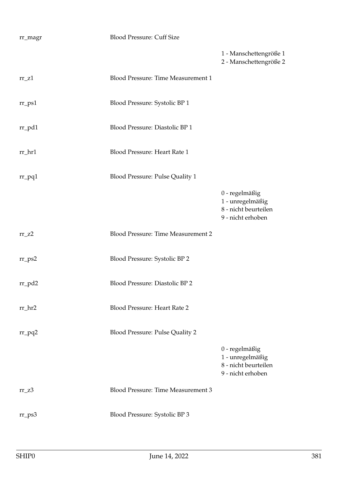| rr_magr              | <b>Blood Pressure: Cuff Size</b>          |                                                                                 |
|----------------------|-------------------------------------------|---------------------------------------------------------------------------------|
|                      |                                           | 1 - Manschettengröße 1<br>2 - Manschettengröße 2                                |
| $rr_$ Z1             | Blood Pressure: Time Measurement 1        |                                                                                 |
| $rr$ <sub>-ps1</sub> | Blood Pressure: Systolic BP 1             |                                                                                 |
| $rr\_pd1$            | Blood Pressure: Diastolic BP 1            |                                                                                 |
| rr_hr1               | Blood Pressure: Heart Rate 1              |                                                                                 |
| $rr_pq1$             | Blood Pressure: Pulse Quality 1           |                                                                                 |
|                      |                                           | 0 - regelmäßig<br>1 - unregelmäßig<br>8 - nicht beurteilen<br>9 - nicht erhoben |
| $rr_zz$              | <b>Blood Pressure: Time Measurement 2</b> |                                                                                 |
| $rr_{PS2}$           | Blood Pressure: Systolic BP 2             |                                                                                 |
| $rr_p d2$            | Blood Pressure: Diastolic BP 2            |                                                                                 |
| $rr_hr2$             | <b>Blood Pressure: Heart Rate 2</b>       |                                                                                 |
| $rr_pq2$             | <b>Blood Pressure: Pulse Quality 2</b>    |                                                                                 |
|                      |                                           | 0 - regelmäßig<br>1 - unregelmäßig<br>8 - nicht beurteilen<br>9 - nicht erhoben |
| $rr_zz3$             | <b>Blood Pressure: Time Measurement 3</b> |                                                                                 |
| $rr_{PS}3$           | Blood Pressure: Systolic BP 3             |                                                                                 |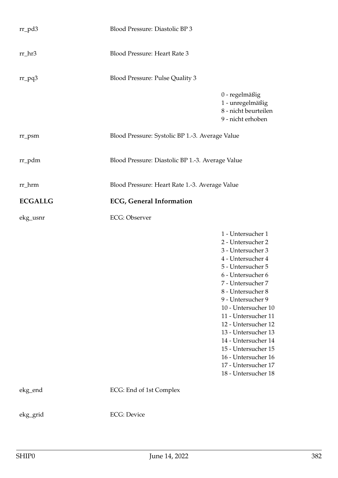| $rr_p d3$      | Blood Pressure: Diastolic BP 3                   |                                                                                                                                                                                                                                                                                                                                                                                                          |
|----------------|--------------------------------------------------|----------------------------------------------------------------------------------------------------------------------------------------------------------------------------------------------------------------------------------------------------------------------------------------------------------------------------------------------------------------------------------------------------------|
| $rr_hr3$       | Blood Pressure: Heart Rate 3                     |                                                                                                                                                                                                                                                                                                                                                                                                          |
| $rr_pq3$       | Blood Pressure: Pulse Quality 3                  |                                                                                                                                                                                                                                                                                                                                                                                                          |
|                |                                                  | 0 - regelmäßig<br>1 - unregelmäßig<br>8 - nicht beurteilen<br>9 - nicht erhoben                                                                                                                                                                                                                                                                                                                          |
| $rr_{psm}$     | Blood Pressure: Systolic BP 1.-3. Average Value  |                                                                                                                                                                                                                                                                                                                                                                                                          |
| rr_pdm         | Blood Pressure: Diastolic BP 1.-3. Average Value |                                                                                                                                                                                                                                                                                                                                                                                                          |
| rr_hrm         | Blood Pressure: Heart Rate 1.-3. Average Value   |                                                                                                                                                                                                                                                                                                                                                                                                          |
| <b>ECGALLG</b> | <b>ECG, General Information</b>                  |                                                                                                                                                                                                                                                                                                                                                                                                          |
| ekg_usnr       | <b>ECG</b> : Observer                            |                                                                                                                                                                                                                                                                                                                                                                                                          |
|                |                                                  | 1 - Untersucher 1<br>2 - Untersucher 2<br>3 - Untersucher 3<br>4 - Untersucher 4<br>5 - Untersucher 5<br>6 - Untersucher 6<br>7 - Untersucher 7<br>8 - Untersucher 8<br>9 - Untersucher 9<br>10 - Untersucher 10<br>11 - Untersucher 11<br>12 - Untersucher 12<br>13 - Untersucher 13<br>14 - Untersucher 14<br>15 - Untersucher 15<br>16 - Untersucher 16<br>17 - Untersucher 17<br>18 - Untersucher 18 |
| ekg_end        | ECG: End of 1st Complex                          |                                                                                                                                                                                                                                                                                                                                                                                                          |
| ekg_grid       | <b>ECG</b> : Device                              |                                                                                                                                                                                                                                                                                                                                                                                                          |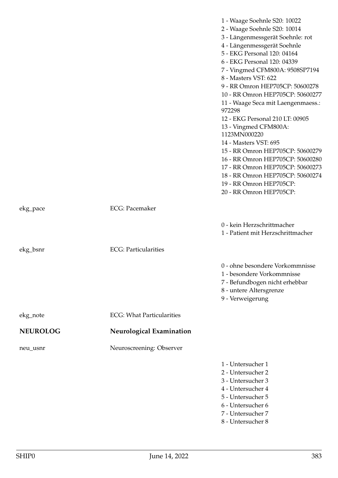|                 |                                  | 1 - Waage Soehnle S20: 10022<br>2 - Waage Soehnle S20: 10014<br>3 - Längenmessgerät Soehnle: rot<br>4 - Längenmessgerät Soehnle<br>5 - EKG Personal 120: 04164<br>6 - EKG Personal 120: 04339<br>7 - Vingmed CFM800A: 9508SP7194<br>8 - Masters VST: 622<br>9 - RR Omron HEP705CP: 50600278<br>10 - RR Omron HEP705CP: 50600277<br>11 - Waage Seca mit Laengenmaess.:<br>972298<br>12 - EKG Personal 210 LT: 00905<br>13 - Vingmed CFM800A:<br>1123MN000220<br>14 - Masters VST: 695<br>15 - RR Omron HEP705CP: 50600279<br>16 - RR Omron HEP705CP: 50600280<br>17 - RR Omron HEP705CP: 50600273<br>18 - RR Omron HEP705CP: 50600274<br>19 - RR Omron HEP705CP:<br>20 - RR Omron HEP705CP: |
|-----------------|----------------------------------|--------------------------------------------------------------------------------------------------------------------------------------------------------------------------------------------------------------------------------------------------------------------------------------------------------------------------------------------------------------------------------------------------------------------------------------------------------------------------------------------------------------------------------------------------------------------------------------------------------------------------------------------------------------------------------------------|
| ekg_pace        | <b>ECG</b> : Pacemaker           |                                                                                                                                                                                                                                                                                                                                                                                                                                                                                                                                                                                                                                                                                            |
|                 |                                  | 0 - kein Herzschrittmacher<br>1 - Patient mit Herzschrittmacher                                                                                                                                                                                                                                                                                                                                                                                                                                                                                                                                                                                                                            |
| ekg_bsnr        | <b>ECG</b> : Particularities     |                                                                                                                                                                                                                                                                                                                                                                                                                                                                                                                                                                                                                                                                                            |
|                 |                                  | 0 - ohne besondere Vorkommnisse<br>1 - besondere Vorkommnisse<br>7 - Befundbogen nicht erhebbar<br>8 - untere Altersgrenze<br>9 - Verweigerung                                                                                                                                                                                                                                                                                                                                                                                                                                                                                                                                             |
| ekg_note        | <b>ECG: What Particularities</b> |                                                                                                                                                                                                                                                                                                                                                                                                                                                                                                                                                                                                                                                                                            |
| <b>NEUROLOG</b> | <b>Neurological Examination</b>  |                                                                                                                                                                                                                                                                                                                                                                                                                                                                                                                                                                                                                                                                                            |
| neu_usnr        | Neuroscreening: Observer         |                                                                                                                                                                                                                                                                                                                                                                                                                                                                                                                                                                                                                                                                                            |
|                 |                                  | 1 - Untersucher 1<br>2 - Untersucher 2<br>3 - Untersucher 3<br>4 - Untersucher 4<br>5 - Untersucher 5<br>6 - Untersucher 6<br>7 - Untersucher 7<br>8 - Untersucher 8                                                                                                                                                                                                                                                                                                                                                                                                                                                                                                                       |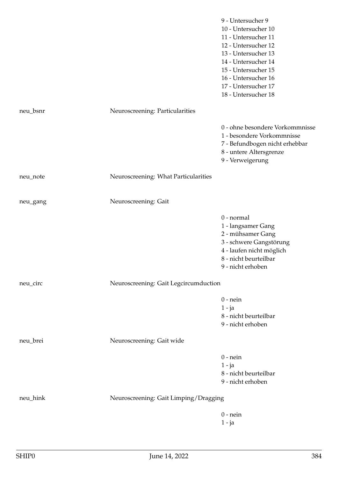|          |                                       | 9 - Untersucher 9<br>10 - Untersucher 10<br>11 - Untersucher 11<br>12 - Untersucher 12<br>13 - Untersucher 13<br>14 - Untersucher 14<br>15 - Untersucher 15<br>16 - Untersucher 16<br>17 - Untersucher 17<br>18 - Untersucher 18 |
|----------|---------------------------------------|----------------------------------------------------------------------------------------------------------------------------------------------------------------------------------------------------------------------------------|
| neu_bsnr | Neuroscreening: Particularities       |                                                                                                                                                                                                                                  |
|          |                                       | 0 - ohne besondere Vorkommnisse<br>1 - besondere Vorkommnisse<br>7 - Befundbogen nicht erhebbar<br>8 - untere Altersgrenze<br>9 - Verweigerung                                                                                   |
| neu_note | Neuroscreening: What Particularities  |                                                                                                                                                                                                                                  |
| neu_gang | Neuroscreening: Gait                  |                                                                                                                                                                                                                                  |
|          |                                       | 0 - normal<br>1 - langsamer Gang<br>2 - mühsamer Gang<br>3 - schwere Gangstörung<br>4 - laufen nicht möglich<br>8 - nicht beurteilbar<br>9 - nicht erhoben                                                                       |
| neu_circ | Neuroscreening: Gait Legcircumduction |                                                                                                                                                                                                                                  |
|          |                                       | $0$ - nein<br>$1 - ja$<br>8 - nicht beurteilbar<br>9 - nicht erhoben                                                                                                                                                             |
| neu_brei | Neuroscreening: Gait wide             |                                                                                                                                                                                                                                  |
|          |                                       | $0$ - nein<br>$1 - ja$<br>8 - nicht beurteilbar<br>9 - nicht erhoben                                                                                                                                                             |
| neu_hink | Neuroscreening: Gait Limping/Dragging |                                                                                                                                                                                                                                  |
|          |                                       | $0$ - nein<br>$1 - ja$                                                                                                                                                                                                           |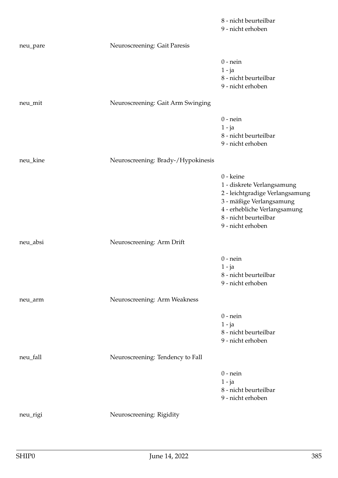|          |                                    | 8 - nicht beurteilbar<br>9 - nicht erhoben                                                                                                                                           |
|----------|------------------------------------|--------------------------------------------------------------------------------------------------------------------------------------------------------------------------------------|
| neu_pare | Neuroscreening: Gait Paresis       |                                                                                                                                                                                      |
|          |                                    | $0$ - nein<br>$1 - ja$<br>8 - nicht beurteilbar<br>9 - nicht erhoben                                                                                                                 |
| neu_mit  | Neuroscreening: Gait Arm Swinging  |                                                                                                                                                                                      |
|          |                                    | $0$ - nein<br>$1 - ja$<br>8 - nicht beurteilbar<br>9 - nicht erhoben                                                                                                                 |
| neu_kine | Neuroscreening: Brady-/Hypokinesis |                                                                                                                                                                                      |
|          |                                    | 0 - keine<br>1 - diskrete Verlangsamung<br>2 - leichtgradige Verlangsamung<br>3 - mäßige Verlangsamung<br>4 - erhebliche Verlangsamung<br>8 - nicht beurteilbar<br>9 - nicht erhoben |
| neu_absi | Neuroscreening: Arm Drift          |                                                                                                                                                                                      |
|          |                                    | $0$ - nein<br>$1 - ja$<br>8 - nicht beurteilbar<br>9 - nicht erhoben                                                                                                                 |
| neu_arm  | Neuroscreening: Arm Weakness       |                                                                                                                                                                                      |
|          |                                    | $0$ - nein<br>$1 - ja$<br>8 - nicht beurteilbar<br>9 - nicht erhoben                                                                                                                 |
| neu_fall | Neuroscreening: Tendency to Fall   |                                                                                                                                                                                      |
|          |                                    | $0$ - nein<br>$1 - ja$<br>8 - nicht beurteilbar<br>9 - nicht erhoben                                                                                                                 |
| neu_rigi | Neuroscreening: Rigidity           |                                                                                                                                                                                      |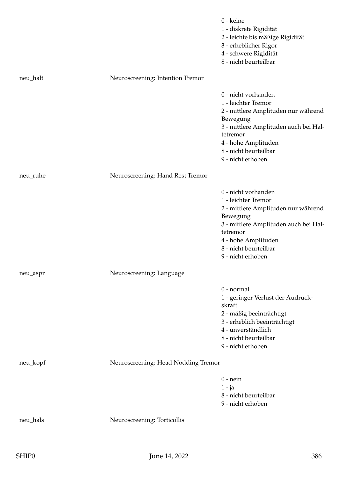|          |                                     | 0 - keine<br>1 - diskrete Rigidität<br>2 - leichte bis mäßige Rigidität<br>3 - erheblicher Rigor<br>4 - schwere Rigidität<br>8 - nicht beurteilbar                                                                      |
|----------|-------------------------------------|-------------------------------------------------------------------------------------------------------------------------------------------------------------------------------------------------------------------------|
| neu_halt | Neuroscreening: Intention Tremor    |                                                                                                                                                                                                                         |
|          |                                     | 0 - nicht vorhanden<br>1 - leichter Tremor<br>2 - mittlere Amplituden nur während<br>Bewegung<br>3 - mittlere Amplituden auch bei Hal-<br>tetremor<br>4 - hohe Amplituden<br>8 - nicht beurteilbar<br>9 - nicht erhoben |
| neu_ruhe | Neuroscreening: Hand Rest Tremor    |                                                                                                                                                                                                                         |
|          |                                     | 0 - nicht vorhanden<br>1 - leichter Tremor<br>2 - mittlere Amplituden nur während<br>Bewegung<br>3 - mittlere Amplituden auch bei Hal-<br>tetremor<br>4 - hohe Amplituden<br>8 - nicht beurteilbar<br>9 - nicht erhoben |
| neu_aspr | Neuroscreening: Language            |                                                                                                                                                                                                                         |
|          |                                     | 0 - normal<br>1 - geringer Verlust der Audruck-<br>skraft<br>2 - mäßig beeinträchtigt<br>3 - erheblich beeinträchtigt<br>4 - unverständlich<br>8 - nicht beurteilbar<br>9 - nicht erhoben                               |
| neu_kopf | Neuroscreening: Head Nodding Tremor |                                                                                                                                                                                                                         |
|          |                                     | $0$ - nein<br>$1 - ja$<br>8 - nicht beurteilbar<br>9 - nicht erhoben                                                                                                                                                    |
| neu_hals | Neuroscreening: Torticollis         |                                                                                                                                                                                                                         |
|          |                                     |                                                                                                                                                                                                                         |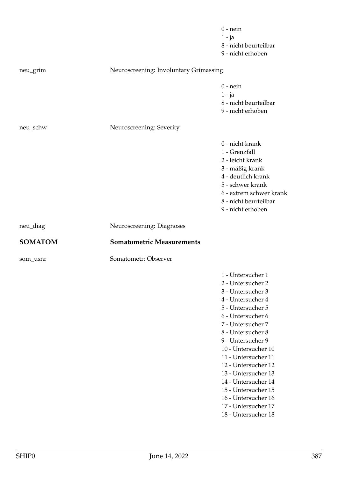|                |                                        | $0$ - nein<br>$1 - ja$<br>8 - nicht beurteilbar<br>9 - nicht erhoben                                                                                                                                                                                                                                                                                                                                     |
|----------------|----------------------------------------|----------------------------------------------------------------------------------------------------------------------------------------------------------------------------------------------------------------------------------------------------------------------------------------------------------------------------------------------------------------------------------------------------------|
| neu_grim       | Neuroscreening: Involuntary Grimassing |                                                                                                                                                                                                                                                                                                                                                                                                          |
|                |                                        | $0$ - nein<br>$1 - ja$<br>8 - nicht beurteilbar<br>9 - nicht erhoben                                                                                                                                                                                                                                                                                                                                     |
| neu_schw       | Neuroscreening: Severity               |                                                                                                                                                                                                                                                                                                                                                                                                          |
|                |                                        | 0 - nicht krank<br>1 - Grenzfall<br>2 - leicht krank<br>3 - mäßig krank<br>4 - deutlich krank<br>5 - schwer krank<br>6 - extrem schwer krank<br>8 - nicht beurteilbar<br>9 - nicht erhoben                                                                                                                                                                                                               |
| neu_diag       | Neuroscreening: Diagnoses              |                                                                                                                                                                                                                                                                                                                                                                                                          |
| <b>SOMATOM</b> | <b>Somatometric Measurements</b>       |                                                                                                                                                                                                                                                                                                                                                                                                          |
| som_usnr       | Somatometr: Observer                   |                                                                                                                                                                                                                                                                                                                                                                                                          |
|                |                                        | 1 - Untersucher 1<br>2 - Untersucher 2<br>3 - Untersucher 3<br>4 - Untersucher 4<br>5 - Untersucher 5<br>6 - Untersucher 6<br>7 - Untersucher 7<br>8 - Untersucher 8<br>9 - Untersucher 9<br>10 - Untersucher 10<br>11 - Untersucher 11<br>12 - Untersucher 12<br>13 - Untersucher 13<br>14 - Untersucher 14<br>15 - Untersucher 15<br>16 - Untersucher 16<br>17 - Untersucher 17<br>18 - Untersucher 18 |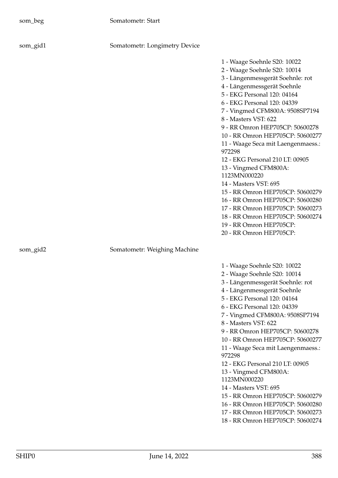| som_gid1 | Somatometr: Longimetry Device |                                                                                                                                                                                                                                                                                                                                                                                                                                                                                                                                                                                                                                                                                            |
|----------|-------------------------------|--------------------------------------------------------------------------------------------------------------------------------------------------------------------------------------------------------------------------------------------------------------------------------------------------------------------------------------------------------------------------------------------------------------------------------------------------------------------------------------------------------------------------------------------------------------------------------------------------------------------------------------------------------------------------------------------|
|          |                               | 1 - Waage Soehnle S20: 10022<br>2 - Waage Soehnle S20: 10014<br>3 - Längenmessgerät Soehnle: rot<br>4 - Längenmessgerät Soehnle<br>5 - EKG Personal 120: 04164<br>6 - EKG Personal 120: 04339<br>7 - Vingmed CFM800A: 9508SP7194<br>8 - Masters VST: 622<br>9 - RR Omron HEP705CP: 50600278<br>10 - RR Omron HEP705CP: 50600277<br>11 - Waage Seca mit Laengenmaess.:<br>972298<br>12 - EKG Personal 210 LT: 00905<br>13 - Vingmed CFM800A:<br>1123MN000220<br>14 - Masters VST: 695<br>15 - RR Omron HEP705CP: 50600279<br>16 - RR Omron HEP705CP: 50600280<br>17 - RR Omron HEP705CP: 50600273<br>18 - RR Omron HEP705CP: 50600274<br>19 - RR Omron HEP705CP:<br>20 - RR Omron HEP705CP: |
| som_gid2 | Somatometr: Weighing Machine  |                                                                                                                                                                                                                                                                                                                                                                                                                                                                                                                                                                                                                                                                                            |
|          |                               | 1 - Waage Soehnle S20: 10022<br>2 - Waage Soehnle S20: 10014<br>3 - Längenmessgerät Soehnle: rot<br>4 - Längenmessgerät Soehnle<br>5 - EKG Personal 120: 04164<br>6 - EKG Personal 120: 04339<br>7 - Vingmed CFM800A: 9508SP7194<br>8 - Masters VST: 622<br>9 - RR Omron HEP705CP: 50600278<br>10 - RR Omron HEP705CP: 50600277<br>11 - Waage Seca mit Laengenmaess.:<br>972298<br>12 - EKG Personal 210 LT: 00905                                                                                                                                                                                                                                                                         |

13 - Vingmed CFM800A:

15 - RR Omron HEP705CP: 50600279 16 - RR Omron HEP705CP: 50600280 17 - RR Omron HEP705CP: 50600273 18 - RR Omron HEP705CP: 50600274

14 - Masters VST: 695

1123MN000220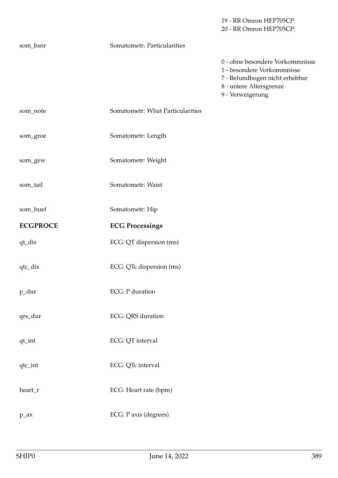20 - RR Omron HEP705CP: som\_bsnr Somatometr: Particularities 0 - ohne besondere Vorkommnisse 1 - besondere Vorkommnisse 7 - Befundbogen nicht erhebbar 8 - untere Altersgrenze 9 - Verweigerung som\_note Somatometr: What Particularities som\_groe Somatometr: Length som\_gew Somatometr: Weight som\_tail Somatometr: Waist som\_huef Somatometr: Hip **ECGPROCE ECG Processings** qt\_dis ECG: QT dispersion (ms) qtc\_dis ECG: QTc dispersion (ms) p\_dur ECG: P duration qrs\_dur ECG: QRS duration qt\_int ECG: QT interval qtc\_int ECG: QTc interval heart\_r ECG: Heart rate (bpm) p\_ax ECG: P axis (degrees)

19 - RR Omron HEP705CP: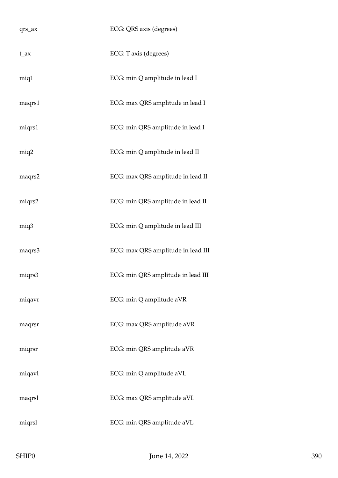| $qrs_ax$ | ECG: QRS axis (degrees)            |
|----------|------------------------------------|
| $t_{ax}$ | ECG: T axis (degrees)              |
| miq1     | ECG: min Q amplitude in lead I     |
| maqrs1   | ECG: max QRS amplitude in lead I   |
| miqrs1   | ECG: min QRS amplitude in lead I   |
| miq2     | ECG: min Q amplitude in lead II    |
| maqrs2   | ECG: max QRS amplitude in lead II  |
| miqrs2   | ECG: min QRS amplitude in lead II  |
| miq3     | ECG: min Q amplitude in lead III   |
| maqrs3   | ECG: max QRS amplitude in lead III |
| miqrs3   | ECG: min QRS amplitude in lead III |
| miqavr   | ECG: min Q amplitude aVR           |
| maqrsr   | ECG: max QRS amplitude aVR         |
| miqrsr   | ECG: min QRS amplitude aVR         |
| miqavl   | ECG: min Q amplitude aVL           |
| maqrsl   | ECG: max QRS amplitude aVL         |
| miqrsl   | ECG: min QRS amplitude aVL         |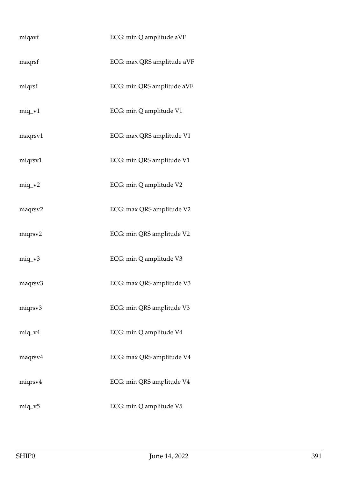| miqavf    | ECG: min Q amplitude aVF   |
|-----------|----------------------------|
| maqrsf    | ECG: max QRS amplitude aVF |
| miqrsf    | ECG: min QRS amplitude aVF |
| $miq_v1$  | ECG: min Q amplitude V1    |
| maqrsv1   | ECG: max QRS amplitude V1  |
| miqrsv1   | ECG: min QRS amplitude V1  |
| $miq_v^2$ | ECG: min Q amplitude V2    |
| maqrsv2   | ECG: max QRS amplitude V2  |
| miqrsv2   | ECG: min QRS amplitude V2  |
| $miq_v3$  | ECG: min Q amplitude V3    |
| maqrsv3   | ECG: max QRS amplitude V3  |
| miqrsv3   | ECG: min QRS amplitude V3  |
| $miq_v4$  | ECG: min Q amplitude V4    |
| maqrsv4   | ECG: max QRS amplitude V4  |
| miqrsv4   | ECG: min QRS amplitude V4  |
| $miq_v5$  | ECG: min Q amplitude V5    |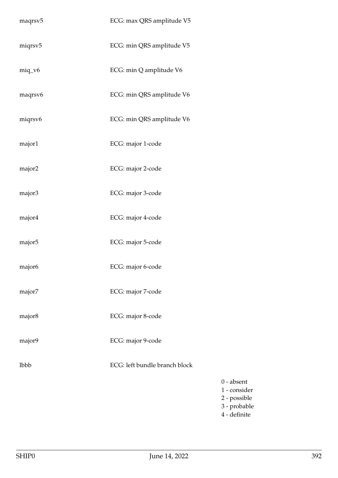| maqrsv <sub>5</sub> | ECG: max QRS amplitude V5     |
|---------------------|-------------------------------|
| miqrsv5             | ECG: min QRS amplitude V5     |
| $miq_v6$            | ECG: min Q amplitude V6       |
| maqrsv6             | ECG: min QRS amplitude V6     |
| miqrsv6             | ECG: min QRS amplitude V6     |
| major1              | ECG: major 1-code             |
| major2              | ECG: major 2-code             |
| major3              | ECG: major 3-code             |
| major4              | ECG: major 4-code             |
| major <sub>5</sub>  | ECG: major 5-code             |
| major <sub>6</sub>  | ECG: major 6-code             |
| major7              | ECG: major 7-code             |
| major8              | ECG: major 8-code             |
| major9              | ECG: major 9-code             |
| lbbb                | ECG: left bundle branch block |
|                     |                               |
|                     |                               |

0 - absent 1 - consider 2 - possible 3 - probable 4 - definite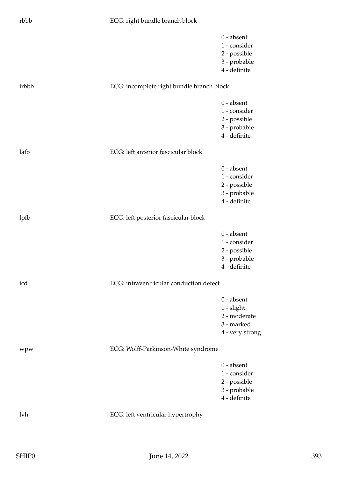## rbbb ECG: right bundle branch block

|       |                                           | $0$ - absent<br>1 - consider |
|-------|-------------------------------------------|------------------------------|
|       |                                           | 2 - possible                 |
|       |                                           | 3 - probable                 |
|       |                                           | 4 - definite                 |
| irbbb | ECG: incomplete right bundle branch block |                              |
|       |                                           | $0 - absent$                 |
|       |                                           | 1 - consider                 |
|       |                                           | 2 - possible                 |
|       |                                           | 3 - probable                 |
|       |                                           | 4 - definite                 |
| lafb  | ECG: left anterior fascicular block       |                              |
|       |                                           | $0$ - absent                 |
|       |                                           | 1 - consider                 |
|       |                                           | 2 - possible                 |
|       |                                           | 3 - probable                 |
|       |                                           | 4 - definite                 |
| lpfb  | ECG: left posterior fascicular block      |                              |
|       |                                           | $0 - absent$                 |
|       |                                           | 1 - consider                 |
|       |                                           | 2 - possible                 |
|       |                                           | 3 - probable                 |
|       |                                           | 4 - definite                 |
| icd   | ECG: intraventricular conduction defect   |                              |
|       |                                           | $0$ - absent                 |
|       |                                           | $1$ - slight                 |
|       |                                           | 2 - moderate                 |
|       |                                           | 3 - marked                   |
|       |                                           | 4 - very strong              |
| wpw   | ECG: Wolff-Parkinson-White syndrome       |                              |
|       |                                           | $0$ - absent                 |
|       |                                           | 1 - consider                 |
|       |                                           | 2 - possible                 |
|       |                                           | 3 - probable                 |
|       |                                           | 4 - definite                 |
| lvh   | ECG: left ventricular hypertrophy         |                              |
|       |                                           |                              |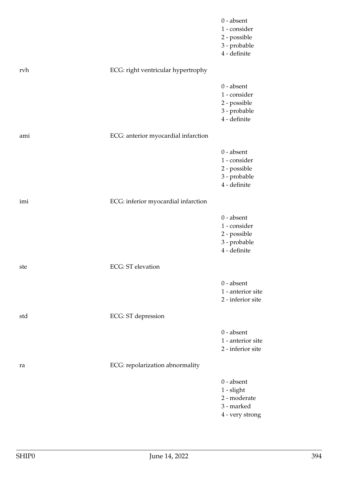|     |                                     | $0$ - absent<br>1 - consider<br>2 - possible<br>3 - probable<br>4 - definite  |
|-----|-------------------------------------|-------------------------------------------------------------------------------|
| rvh | ECG: right ventricular hypertrophy  |                                                                               |
|     |                                     | $0$ - absent<br>1 - consider<br>2 - possible<br>3 - probable<br>4 - definite  |
| ami | ECG: anterior myocardial infarction |                                                                               |
|     |                                     | $0$ - absent<br>1 - consider<br>2 - possible<br>3 - probable<br>4 - definite  |
| imi | ECG: inferior myocardial infarction |                                                                               |
|     |                                     | $0$ - absent<br>1 - consider<br>2 - possible<br>3 - probable<br>4 - definite  |
| ste | <b>ECG</b> : ST elevation           |                                                                               |
|     |                                     | $0$ - absent<br>1 - anterior site<br>2 - inferior site                        |
| std | ECG: ST depression                  |                                                                               |
|     |                                     | $0$ - absent<br>1 - anterior site<br>2 - inferior site                        |
| ra  | ECG: repolarization abnormality     |                                                                               |
|     |                                     | $0$ - absent<br>$1$ - slight<br>2 - moderate<br>3 - marked<br>4 - very strong |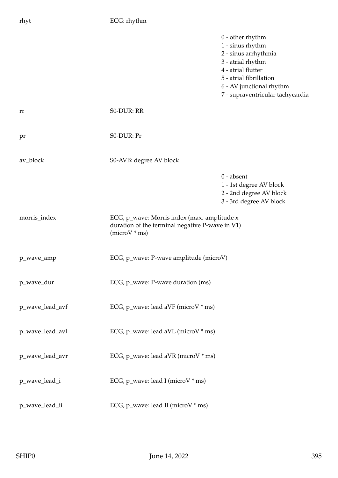| rhyt            | ECG: rhythm                                                                                                       |                                                                                                                                                                                                      |
|-----------------|-------------------------------------------------------------------------------------------------------------------|------------------------------------------------------------------------------------------------------------------------------------------------------------------------------------------------------|
|                 |                                                                                                                   | $0$ - other rhythm<br>1 - sinus rhythm<br>2 - sinus arrhythmia<br>3 - atrial rhythm<br>4 - atrial flutter<br>5 - atrial fibrillation<br>6 - AV junctional rhythm<br>7 - supraventricular tachycardia |
| rr              | S0-DUR: RR                                                                                                        |                                                                                                                                                                                                      |
| pr              | S0-DUR: Pr                                                                                                        |                                                                                                                                                                                                      |
| av_block        | S0-AVB: degree AV block                                                                                           |                                                                                                                                                                                                      |
|                 |                                                                                                                   | $0$ - absent<br>$1$ - $1\mathrm{st}$ degree AV block<br>2 - 2nd degree AV block<br>3 - 3rd degree AV block                                                                                           |
| morris_index    | ECG, p_wave: Morris index (max. amplitude x<br>duration of the terminal negative P-wave in V1)<br>$(microV * ms)$ |                                                                                                                                                                                                      |
| p_wave_amp      | ECG, p_wave: P-wave amplitude (microV)                                                                            |                                                                                                                                                                                                      |
| p_wave_dur      | ECG, p_wave: P-wave duration (ms)                                                                                 |                                                                                                                                                                                                      |
| p_wave_lead_avf | ECG, p_wave: lead aVF (microV * ms)                                                                               |                                                                                                                                                                                                      |
| p_wave_lead_avl | ECG, p_wave: lead aVL (microV * ms)                                                                               |                                                                                                                                                                                                      |
| p_wave_lead_avr | ECG, p_wave: lead aVR (microV * ms)                                                                               |                                                                                                                                                                                                      |
| p_wave_lead_i   | ECG, p_wave: lead I (microV * ms)                                                                                 |                                                                                                                                                                                                      |
| p_wave_lead_ii  | ECG, p_wave: lead II (microV * ms)                                                                                |                                                                                                                                                                                                      |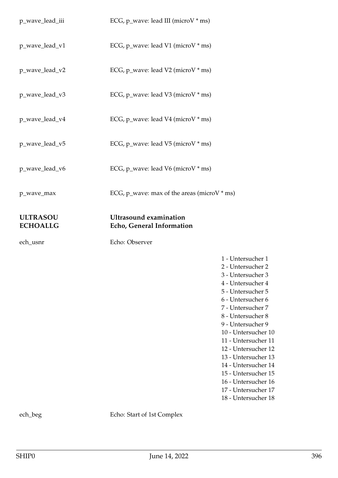| p_wave_lead_iii                    | ECG, p_wave: lead III (microV * ms)                        |                                                                                                                                                                                                                                         |
|------------------------------------|------------------------------------------------------------|-----------------------------------------------------------------------------------------------------------------------------------------------------------------------------------------------------------------------------------------|
| p_wave_lead_v1                     | ECG, p_wave: lead V1 (microV * ms)                         |                                                                                                                                                                                                                                         |
| p_wave_lead_v2                     | ECG, p_wave: lead V2 (microV * ms)                         |                                                                                                                                                                                                                                         |
| p_wave_lead_v3                     | ECG, p_wave: lead V3 (microV * ms)                         |                                                                                                                                                                                                                                         |
| p_wave_lead_v4                     | ECG, p_wave: lead V4 (microV * ms)                         |                                                                                                                                                                                                                                         |
| p_wave_lead_v5                     | ECG, p_wave: lead V5 (microV * ms)                         |                                                                                                                                                                                                                                         |
| p_wave_lead_v6                     | ECG, p_wave: lead V6 (microV * ms)                         |                                                                                                                                                                                                                                         |
| p_wave_max                         | ECG, p_wave: max of the areas (microV $*$ ms)              |                                                                                                                                                                                                                                         |
| <b>ULTRASOU</b><br><b>ECHOALLG</b> | <b>Ultrasound examination</b><br>Echo, General Information |                                                                                                                                                                                                                                         |
| ech_usnr                           | Echo: Observer                                             |                                                                                                                                                                                                                                         |
|                                    |                                                            | 1 - Untersucher 1<br>2 - Untersucher 2<br>3 - Untersucher 3<br>4 - Untersucher 4<br>5 - Untersucher 5<br>6 - Untersucher 6<br>7 - Untersucher 7<br>8 - Untersucher 8<br>9 - Untersucher 9<br>10 - Untersucher 10<br>11 - Untersucher 11 |

18 - Untersucher 18

ech\_beg Echo: Start of 1st Complex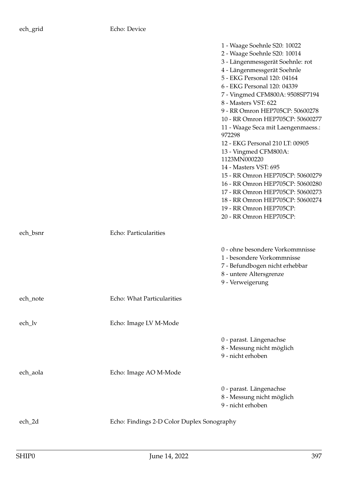|          |                                            | 1 - Waage Soehnle S20: 10022       |
|----------|--------------------------------------------|------------------------------------|
|          |                                            | 2 - Waage Soehnle S20: 10014       |
|          |                                            | 3 - Längenmessgerät Soehnle: rot   |
|          |                                            | 4 - Längenmessgerät Soehnle        |
|          |                                            | 5 - EKG Personal 120: 04164        |
|          |                                            | 6 - EKG Personal 120: 04339        |
|          |                                            | 7 - Vingmed CFM800A: 9508SP7194    |
|          |                                            | 8 - Masters VST: 622               |
|          |                                            | 9 - RR Omron HEP705CP: 50600278    |
|          |                                            | 10 - RR Omron HEP705CP: 50600277   |
|          |                                            | 11 - Waage Seca mit Laengenmaess.: |
|          |                                            | 972298                             |
|          |                                            | 12 - EKG Personal 210 LT: 00905    |
|          |                                            | 13 - Vingmed CFM800A:              |
|          |                                            | 1123MN000220                       |
|          |                                            | 14 - Masters VST: 695              |
|          |                                            | 15 - RR Omron HEP705CP: 50600279   |
|          |                                            | 16 - RR Omron HEP705CP: 50600280   |
|          |                                            | 17 - RR Omron HEP705CP: 50600273   |
|          |                                            | 18 - RR Omron HEP705CP: 50600274   |
|          |                                            | 19 - RR Omron HEP705CP:            |
|          |                                            | 20 - RR Omron HEP705CP:            |
| ech_bsnr | Echo: Particularities                      |                                    |
|          |                                            | 0 - ohne besondere Vorkommnisse    |
|          |                                            | 1 - besondere Vorkommnisse         |
|          |                                            | 7 - Befundbogen nicht erhebbar     |
|          |                                            | 8 - untere Altersgrenze            |
|          |                                            | 9 - Verweigerung                   |
|          |                                            |                                    |
| ech_note | Echo: What Particularities                 |                                    |
| ech_lv   | Echo: Image LV M-Mode                      |                                    |
|          |                                            |                                    |
|          |                                            | 0 - parast. Längenachse            |
|          |                                            | 8 - Messung nicht möglich          |
|          |                                            | 9 - nicht erhoben                  |
| ech_aola | Echo: Image AO M-Mode                      |                                    |
|          |                                            |                                    |
|          |                                            | 0 - parast. Längenachse            |
|          |                                            | 8 - Messung nicht möglich          |
|          |                                            | 9 - nicht erhoben                  |
| ech_2d   | Echo: Findings 2-D Color Duplex Sonography |                                    |
|          |                                            |                                    |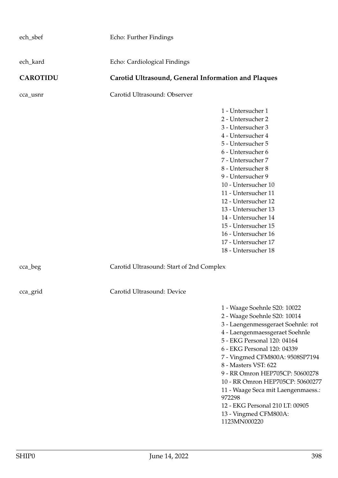| ech_sbef        | Echo: Further Findings                              |                                                                                                                                                                                                                                                                                                                                                                                                                                                                  |
|-----------------|-----------------------------------------------------|------------------------------------------------------------------------------------------------------------------------------------------------------------------------------------------------------------------------------------------------------------------------------------------------------------------------------------------------------------------------------------------------------------------------------------------------------------------|
| ech_kard        | Echo: Cardiological Findings                        |                                                                                                                                                                                                                                                                                                                                                                                                                                                                  |
| <b>CAROTIDU</b> | Carotid Ultrasound, General Information and Plaques |                                                                                                                                                                                                                                                                                                                                                                                                                                                                  |
| cca_usnr        | Carotid Ultrasound: Observer                        |                                                                                                                                                                                                                                                                                                                                                                                                                                                                  |
|                 |                                                     | 1 - Untersucher 1<br>2 - Untersucher 2<br>3 - Untersucher 3<br>4 - Untersucher 4<br>5 - Untersucher 5<br>6 - Untersucher 6<br>7 - Untersucher 7<br>8 - Untersucher 8<br>9 - Untersucher 9<br>10 - Untersucher 10<br>11 - Untersucher 11<br>12 - Untersucher 12<br>13 - Untersucher 13<br>14 - Untersucher 14<br>15 - Untersucher 15<br>16 - Untersucher 16<br>17 - Untersucher 17<br>18 - Untersucher 18                                                         |
| cca_beg         | Carotid Ultrasound: Start of 2nd Complex            |                                                                                                                                                                                                                                                                                                                                                                                                                                                                  |
| cca_grid        | Carotid Ultrasound: Device                          |                                                                                                                                                                                                                                                                                                                                                                                                                                                                  |
|                 |                                                     | 1 - Waage Soehnle S20: 10022<br>2 - Waage Soehnle S20: 10014<br>3 - Laengenmessgeraet Soehnle: rot<br>4 - Laengenmaessgeraet Soehnle<br>5 - EKG Personal 120: 04164<br>6 - EKG Personal 120: 04339<br>7 - Vingmed CFM800A: 9508SP7194<br>8 - Masters VST: 622<br>9 - RR Omron HEP705CP: 50600278<br>10 - RR Omron HEP705CP: 50600277<br>11 - Waage Seca mit Laengenmaess.:<br>972298<br>12 - EKG Personal 210 LT: 00905<br>13 - Vingmed CFM800A:<br>1123MN000220 |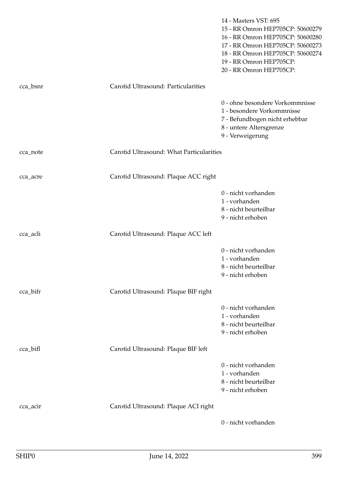|          |                                          | 14 - Masters VST: 695<br>15 - RR Omron HEP705CP: 50600279<br>16 - RR Omron HEP705CP: 50600280<br>17 - RR Omron HEP705CP: 50600273<br>18 - RR Omron HEP705CP: 50600274<br>19 - RR Omron HEP705CP:<br>20 - RR Omron HEP705CP: |
|----------|------------------------------------------|-----------------------------------------------------------------------------------------------------------------------------------------------------------------------------------------------------------------------------|
| cca_bsnr | Carotid Ultrasound: Particularities      |                                                                                                                                                                                                                             |
|          |                                          | 0 - ohne besondere Vorkommnisse<br>1 - besondere Vorkommnisse<br>7 - Befundbogen nicht erhebbar<br>8 - untere Altersgrenze<br>9 - Verweigerung                                                                              |
| cca_note | Carotid Ultrasound: What Particularities |                                                                                                                                                                                                                             |
| cca_acre | Carotid Ultrasound: Plaque ACC right     |                                                                                                                                                                                                                             |
|          |                                          | 0 - nicht vorhanden<br>1 - vorhanden<br>8 - nicht beurteilbar<br>9 - nicht erhoben                                                                                                                                          |
| cca_acli | Carotid Ultrasound: Plaque ACC left      |                                                                                                                                                                                                                             |
|          |                                          | 0 - nicht vorhanden<br>1 - vorhanden<br>8 - nicht beurteilbar<br>9 - nicht erhoben                                                                                                                                          |
| cca_bifr | Carotid Ultrasound: Plaque BIF right     |                                                                                                                                                                                                                             |
|          |                                          | 0 - nicht vorhanden<br>1 - vorhanden<br>8 - nicht beurteilbar<br>9 - nicht erhoben                                                                                                                                          |
| cca_bifl | Carotid Ultrasound: Plaque BIF left      |                                                                                                                                                                                                                             |
|          |                                          | 0 - nicht vorhanden<br>1 - vorhanden<br>8 - nicht beurteilbar<br>9 - nicht erhoben                                                                                                                                          |
| cca_acir | Carotid Ultrasound: Plaque ACI right     |                                                                                                                                                                                                                             |
|          |                                          | 0 - nicht vorhanden                                                                                                                                                                                                         |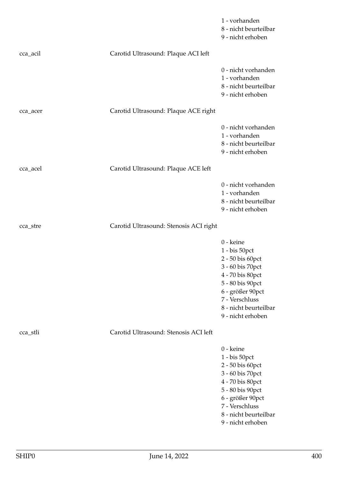|          |                                        | 1 - vorhanden<br>8 - nicht beurteilbar<br>9 - nicht erhoben                                                                                                                                       |
|----------|----------------------------------------|---------------------------------------------------------------------------------------------------------------------------------------------------------------------------------------------------|
| cca_acil | Carotid Ultrasound: Plaque ACI left    |                                                                                                                                                                                                   |
|          |                                        | 0 - nicht vorhanden<br>1 - vorhanden<br>8 - nicht beurteilbar<br>9 - nicht erhoben                                                                                                                |
| cca_acer | Carotid Ultrasound: Plaque ACE right   |                                                                                                                                                                                                   |
|          |                                        | 0 - nicht vorhanden<br>1 - vorhanden<br>8 - nicht beurteilbar<br>9 - nicht erhoben                                                                                                                |
| cca_acel | Carotid Ultrasound: Plaque ACE left    |                                                                                                                                                                                                   |
|          |                                        | 0 - nicht vorhanden<br>1 - vorhanden<br>8 - nicht beurteilbar<br>9 - nicht erhoben                                                                                                                |
| cca_stre | Carotid Ultrasound: Stenosis ACI right |                                                                                                                                                                                                   |
|          |                                        | 0 - keine<br>1 - bis 50pct<br>2 - 50 bis 60pct<br>3 - 60 bis 70pct<br>4 - 70 bis 80pct<br>5 - 80 bis 90pct<br>6 - größer 90pct<br>7 - Verschluss<br>8 - nicht beurteilbar<br>9 - nicht erhoben    |
| cca_stli | Carotid Ultrasound: Stenosis ACI left  |                                                                                                                                                                                                   |
|          |                                        | 0 - keine<br>$1 - bis 50$ pct<br>2 - 50 bis 60pct<br>3 - 60 bis 70pct<br>4 - 70 bis 80pct<br>5 - 80 bis 90pct<br>6 - größer 90pct<br>7 - Verschluss<br>8 - nicht beurteilbar<br>9 - nicht erhoben |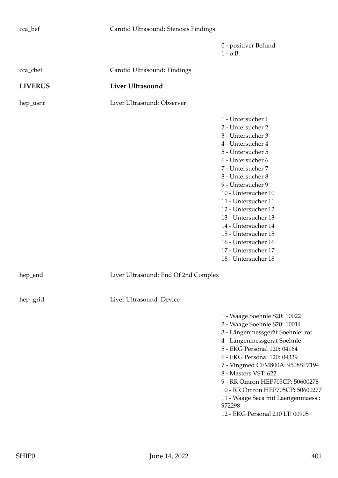| cca_bef        | Carotid Ultrasound: Stenosis Findings |                                                                                                                                                                                                                                                                                                                                                                                                          |
|----------------|---------------------------------------|----------------------------------------------------------------------------------------------------------------------------------------------------------------------------------------------------------------------------------------------------------------------------------------------------------------------------------------------------------------------------------------------------------|
|                |                                       | 0 - positiver Befund<br>$1 - 0.B.$                                                                                                                                                                                                                                                                                                                                                                       |
| cca_cbef       | Carotid Ultrasound: Findings          |                                                                                                                                                                                                                                                                                                                                                                                                          |
| <b>LIVERUS</b> | <b>Liver Ultrasound</b>               |                                                                                                                                                                                                                                                                                                                                                                                                          |
| hep_usnr       | Liver Ultrasound: Observer            |                                                                                                                                                                                                                                                                                                                                                                                                          |
|                |                                       | 1 - Untersucher 1<br>2 - Untersucher 2<br>3 - Untersucher 3<br>4 - Untersucher 4<br>5 - Untersucher 5<br>6 - Untersucher 6<br>7 - Untersucher 7<br>8 - Untersucher 8<br>9 - Untersucher 9<br>10 - Untersucher 10<br>11 - Untersucher 11<br>12 - Untersucher 12<br>13 - Untersucher 13<br>14 - Untersucher 14<br>15 - Untersucher 15<br>16 - Untersucher 16<br>17 - Untersucher 17<br>18 - Untersucher 18 |
| hep_end        | Liver Ultrasound: End Of 2nd Complex  |                                                                                                                                                                                                                                                                                                                                                                                                          |
| hep_grid       | Liver Ultrasound: Device              |                                                                                                                                                                                                                                                                                                                                                                                                          |
|                |                                       | 1 - Waage Soehnle S20: 10022<br>2 - Waage Soehnle S20: 10014<br>3 - Längenmessgerät Soehnle: rot<br>4 - Längenmessgerät Soehnle<br>5 - EKG Personal 120: 04164<br>6 - EKG Personal 120: 04339<br>7 - Vingmed CFM800A: 9508SP7194<br>8 - Masters VST: 622<br>9 - RR Omron HEP705CP: 50600278<br>10 - RR Omron HEP705CP: 50600277<br>11 - Waage Seca mit Laengenmaess.:<br>972298                          |

12 - EKG Personal 210 LT: 00905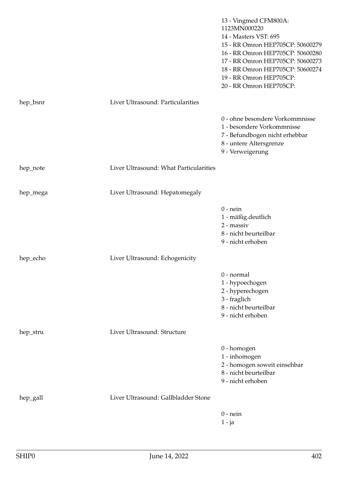|          |                                        | 13 - Vingmed CFM800A:<br>1123MN000220<br>14 - Masters VST: 695<br>15 - RR Omron HEP705CP: 50600279<br>16 - RR Omron HEP705CP: 50600280<br>17 - RR Omron HEP705CP: 50600273<br>18 - RR Omron HEP705CP: 50600274<br>19 - RR Omron HEP705CP:<br>20 - RR Omron HEP705CP: |
|----------|----------------------------------------|----------------------------------------------------------------------------------------------------------------------------------------------------------------------------------------------------------------------------------------------------------------------|
| hep_bsnr | Liver Ultrasound: Particularities      |                                                                                                                                                                                                                                                                      |
|          |                                        | 0 - ohne besondere Vorkommnisse<br>1 - besondere Vorkommnisse<br>7 - Befundbogen nicht erhebbar<br>8 - untere Altersgrenze<br>9 - Verweigerung                                                                                                                       |
| hep_note | Liver Ultrasound: What Particularities |                                                                                                                                                                                                                                                                      |
| hep_mega | Liver Ultrasound: Hepatomegaly         |                                                                                                                                                                                                                                                                      |
|          |                                        | $0$ - nein<br>$1$ - $m$ äßig.<br>deutlich $\,$<br>2 - massiv<br>8 - nicht beurteilbar<br>                                                                                                                                                                            |
| hep_echo | Liver Ultrasound: Echogenicity         |                                                                                                                                                                                                                                                                      |
|          |                                        | $0$ - normal<br>1 - hypoechogen<br>2 - hyperechogen<br>3 - fraglich<br>8 - nicht beurteilbar<br>9 - nicht erhoben                                                                                                                                                    |
| hep_stru | Liver Ultrasound: Structure            |                                                                                                                                                                                                                                                                      |
|          |                                        | 0 - homogen<br>1 - inhomogen<br>2 - homogen soweit einsehbar<br>8 - nicht beurteilbar<br>9 - nicht erhoben                                                                                                                                                           |
| hep_gall | Liver Ultrasound: Gallbladder Stone    |                                                                                                                                                                                                                                                                      |
|          |                                        | $0$ - nein<br>$1 - ja$                                                                                                                                                                                                                                               |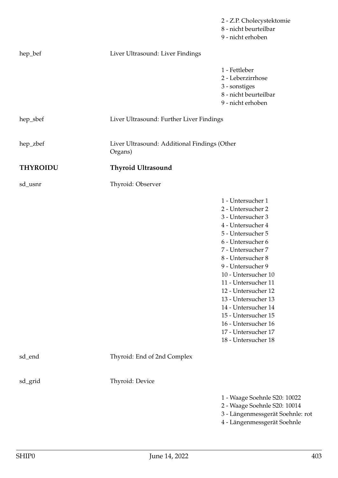|                 |                                                         | 2 - Z.P. Cholecystektomie<br>8 - nicht beurteilbar<br>9 - nicht erhoben                                                                                                                                                                                                                                                                                                                                  |  |
|-----------------|---------------------------------------------------------|----------------------------------------------------------------------------------------------------------------------------------------------------------------------------------------------------------------------------------------------------------------------------------------------------------------------------------------------------------------------------------------------------------|--|
| hep_bef         | Liver Ultrasound: Liver Findings                        |                                                                                                                                                                                                                                                                                                                                                                                                          |  |
|                 |                                                         | 1 - Fettleber<br>2 - Leberzirrhose<br>3 - sonstiges<br>8 - nicht beurteilbar<br>9 - nicht erhoben                                                                                                                                                                                                                                                                                                        |  |
| hep_sbef        | Liver Ultrasound: Further Liver Findings                |                                                                                                                                                                                                                                                                                                                                                                                                          |  |
| hep_zbef        | Liver Ultrasound: Additional Findings (Other<br>Organs) |                                                                                                                                                                                                                                                                                                                                                                                                          |  |
| <b>THYROIDU</b> | <b>Thyroid Ultrasound</b>                               |                                                                                                                                                                                                                                                                                                                                                                                                          |  |
| sd_usnr         | Thyroid: Observer                                       |                                                                                                                                                                                                                                                                                                                                                                                                          |  |
|                 |                                                         | 1 - Untersucher 1<br>2 - Untersucher 2<br>3 - Untersucher 3<br>4 - Untersucher 4<br>5 - Untersucher 5<br>6 - Untersucher 6<br>7 - Untersucher 7<br>8 - Untersucher 8<br>9 - Untersucher 9<br>10 - Untersucher 10<br>11 - Untersucher 11<br>12 - Untersucher 12<br>13 - Untersucher 13<br>14 - Untersucher 14<br>15 - Untersucher 15<br>16 - Untersucher 16<br>17 - Untersucher 17<br>18 - Untersucher 18 |  |
| sd_end          | Thyroid: End of 2nd Complex                             |                                                                                                                                                                                                                                                                                                                                                                                                          |  |
| sd_grid         | Thyroid: Device                                         |                                                                                                                                                                                                                                                                                                                                                                                                          |  |
|                 |                                                         | 1 - Waage Soehnle S20: 10022<br>2 - Waage Soehnle S20: 10014<br>3 - Längenmessgerät Soehnle: rot<br>4 - Längenmessgerät Soehnle                                                                                                                                                                                                                                                                          |  |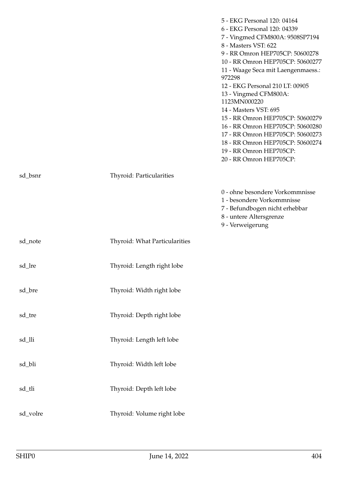|          |                                      | 5 - EKG Personal 120: 04164<br>6 - EKG Personal 120: 04339<br>7 - Vingmed CFM800A: 9508SP7194<br>8 - Masters VST: 622<br>9 - RR Omron HEP705CP: 50600278<br>10 - RR Omron HEP705CP: 50600277<br>11 - Waage Seca mit Laengenmaess.:<br>972298<br>12 - EKG Personal 210 LT: 00905<br>13 - Vingmed CFM800A:<br>1123MN000220<br>14 - Masters VST: 695<br>15 - RR Omron HEP705CP: 50600279<br>16 - RR Omron HEP705CP: 50600280<br>17 - RR Omron HEP705CP: 50600273<br>18 - RR Omron HEP705CP: 50600274<br>19 - RR Omron HEP705CP:<br>20 - RR Omron HEP705CP: |
|----------|--------------------------------------|---------------------------------------------------------------------------------------------------------------------------------------------------------------------------------------------------------------------------------------------------------------------------------------------------------------------------------------------------------------------------------------------------------------------------------------------------------------------------------------------------------------------------------------------------------|
| sd_bsnr  | Thyroid: Particularities             |                                                                                                                                                                                                                                                                                                                                                                                                                                                                                                                                                         |
|          |                                      | 0 - ohne besondere Vorkommnisse<br>1 - besondere Vorkommnisse<br>7 - Befundbogen nicht erhebbar<br>8 - untere Altersgrenze<br>9 - Verweigerung                                                                                                                                                                                                                                                                                                                                                                                                          |
| sd_note  | <b>Thyroid: What Particularities</b> |                                                                                                                                                                                                                                                                                                                                                                                                                                                                                                                                                         |
| sd_lre   | Thyroid: Length right lobe           |                                                                                                                                                                                                                                                                                                                                                                                                                                                                                                                                                         |
| sd_bre   | Thyroid: Width right lobe            |                                                                                                                                                                                                                                                                                                                                                                                                                                                                                                                                                         |
| sd_tre   | Thyroid: Depth right lobe            |                                                                                                                                                                                                                                                                                                                                                                                                                                                                                                                                                         |
| sd_lli   | Thyroid: Length left lobe            |                                                                                                                                                                                                                                                                                                                                                                                                                                                                                                                                                         |
| sd_bli   | Thyroid: Width left lobe             |                                                                                                                                                                                                                                                                                                                                                                                                                                                                                                                                                         |
| sd_tli   | Thyroid: Depth left lobe             |                                                                                                                                                                                                                                                                                                                                                                                                                                                                                                                                                         |
| sd_volre | Thyroid: Volume right lobe           |                                                                                                                                                                                                                                                                                                                                                                                                                                                                                                                                                         |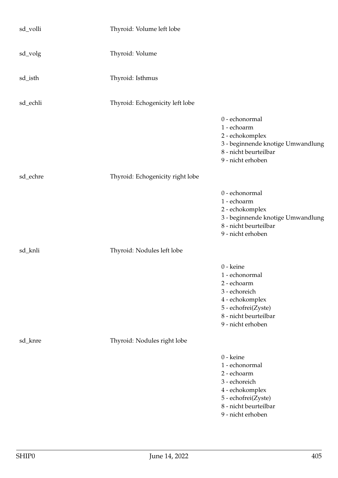| sd_volli | Thyroid: Volume left lobe        |                                                                                                                                                     |
|----------|----------------------------------|-----------------------------------------------------------------------------------------------------------------------------------------------------|
| sd_volg  | Thyroid: Volume                  |                                                                                                                                                     |
| sd_isth  | Thyroid: Isthmus                 |                                                                                                                                                     |
| sd_echli | Thyroid: Echogenicity left lobe  |                                                                                                                                                     |
|          |                                  | 0 - echonormal<br>1 - echoarm<br>2 - echokomplex<br>3 - beginnende knotige Umwandlung<br>8 - nicht beurteilbar<br>9 - nicht erhoben                 |
| sd_echre | Thyroid: Echogenicity right lobe |                                                                                                                                                     |
|          |                                  | 0 - echonormal<br>1 - echoarm<br>2 - echokomplex<br>3 - beginnende knotige Umwandlung<br>8 - nicht beurteilbar<br>9 - nicht erhoben                 |
| sd_knli  | Thyroid: Nodules left lobe       |                                                                                                                                                     |
|          |                                  | 0 - keine<br>1 - echonormal<br>2 - echoarm<br>3 - echoreich<br>4 - echokomplex<br>5 - echofrei(Zyste)<br>8 - nicht beurteilbar<br>9 - nicht erhoben |
| sd_knre  | Thyroid: Nodules right lobe      |                                                                                                                                                     |
|          |                                  | 0 - keine<br>1 - echonormal<br>2 - echoarm<br>3 - echoreich<br>4 - echokomplex<br>5 - echofrei(Zyste)<br>8 - nicht beurteilbar<br>9 - nicht erhoben |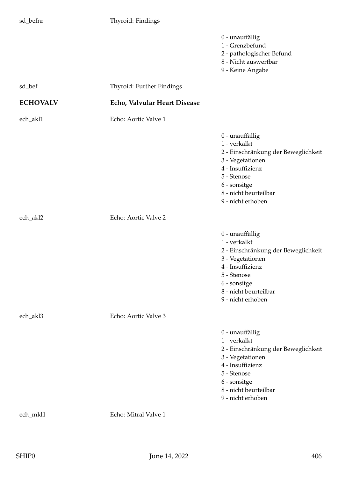## sd\_befnr Thyroid: Findings

|                 |                              | 0 - unauffällig<br>1 - Grenzbefund<br>2 - pathologischer Befund<br>8 - Nicht auswertbar<br>9 - Keine Angabe                                                                                 |
|-----------------|------------------------------|---------------------------------------------------------------------------------------------------------------------------------------------------------------------------------------------|
| sd_bef          | Thyroid: Further Findings    |                                                                                                                                                                                             |
| <b>ECHOVALV</b> | Echo, Valvular Heart Disease |                                                                                                                                                                                             |
| ech_akl1        | Echo: Aortic Valve 1         |                                                                                                                                                                                             |
|                 |                              | 0 - unauffällig<br>1 - verkalkt<br>2 - Einschränkung der Beweglichkeit<br>3 - Vegetationen<br>4 - Insuffizienz<br>5 - Stenose<br>6 - sonsitge<br>8 - nicht beurteilbar<br>9 - nicht erhoben |
| ech_akl2        | Echo: Aortic Valve 2         |                                                                                                                                                                                             |
|                 |                              | 0 - unauffällig<br>1 - verkalkt<br>2 - Einschränkung der Beweglichkeit<br>3 - Vegetationen<br>4 - Insuffizienz<br>5 - Stenose<br>6 - sonsitge<br>8 - nicht beurteilbar<br>9 - nicht erhoben |
| ech_akl3        | Echo: Aortic Valve 3         |                                                                                                                                                                                             |
|                 |                              | 0 - unauffällig<br>1 - verkalkt<br>2 - Einschränkung der Beweglichkeit<br>3 - Vegetationen<br>4 - Insuffizienz<br>5 - Stenose<br>6 - sonsitge<br>8 - nicht beurteilbar<br>9 - nicht erhoben |
| ech_mkl1        | Echo: Mitral Valve 1         |                                                                                                                                                                                             |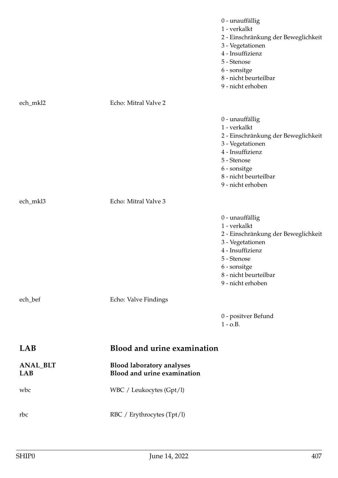|                               |                                                                 | 0 - unauffällig<br>1 - verkalkt<br>2 - Einschränkung der Beweglichkeit<br>3 - Vegetationen<br>4 - Insuffizienz<br>5 - Stenose<br>6 - sonsitge<br>8 - nicht beurteilbar<br>9 - nicht erhoben |
|-------------------------------|-----------------------------------------------------------------|---------------------------------------------------------------------------------------------------------------------------------------------------------------------------------------------|
| ech_mkl2                      | Echo: Mitral Valve 2                                            |                                                                                                                                                                                             |
|                               |                                                                 | 0 - unauffällig<br>1 - verkalkt<br>2 - Einschränkung der Beweglichkeit<br>3 - Vegetationen<br>4 - Insuffizienz<br>5 - Stenose<br>6 - sonsitge<br>8 - nicht beurteilbar<br>9 - nicht erhoben |
| ech_mkl3                      | Echo: Mitral Valve 3                                            |                                                                                                                                                                                             |
|                               |                                                                 | 0 - unauffällig<br>1 - verkalkt<br>2 - Einschränkung der Beweglichkeit<br>3 - Vegetationen<br>4 - Insuffizienz<br>5 - Stenose<br>6 - sonsitge<br>8 - nicht beurteilbar<br>9 - nicht erhoben |
| ech_bef                       | Echo: Valve Findings                                            |                                                                                                                                                                                             |
|                               |                                                                 | 0 - positver Befund<br>$1 - 0.B.$                                                                                                                                                           |
| LAB                           | <b>Blood and urine examination</b>                              |                                                                                                                                                                                             |
| <b>ANAL_BLT</b><br><b>LAB</b> | <b>Blood laboratory analyses</b><br>Blood and urine examination |                                                                                                                                                                                             |
| wbc                           | WBC / Leukocytes (Gpt/l)                                        |                                                                                                                                                                                             |
| rbc                           | RBC / Erythrocytes (Tpt/l)                                      |                                                                                                                                                                                             |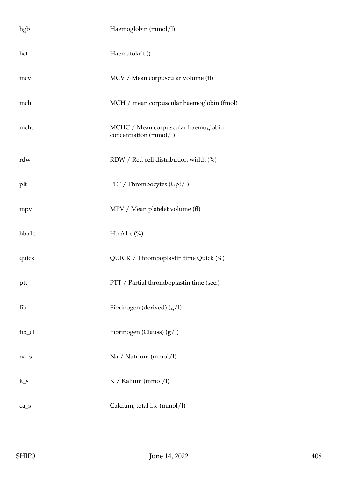| hgb                            | Haemoglobin (mmol/l)                                          |
|--------------------------------|---------------------------------------------------------------|
| hct                            | Haematokrit ()                                                |
| mcv                            | MCV / Mean corpuscular volume (fl)                            |
| mch                            | MCH / mean corpuscular haemoglobin (fmol)                     |
| mchc                           | MCHC / Mean corpuscular haemoglobin<br>concentration (mmol/l) |
| rdw                            | RDW / Red cell distribution width (%)                         |
| plt                            | PLT / Thrombocytes (Gpt/1)                                    |
| mpv                            | MPV / Mean platelet volume (fl)                               |
| hba1c                          | Hb A1 c $\frac{\%}{\%}$                                       |
| quick                          | QUICK / Thromboplastin time Quick (%)                         |
| ptt                            | PTT / Partial thromboplastin time (sec.)                      |
| fib                            | Fibrinogen (derived) (g/l)                                    |
| fib_cl                         | Fibrinogen (Clauss) $(g/l)$                                   |
| $na_S$                         | Na / Natrium (mmol/l)                                         |
| $k_s$                          | K / Kalium (mmol/l)                                           |
| $ca$ <sub><math>s</math></sub> | Calcium, total i.s. (mmol/l)                                  |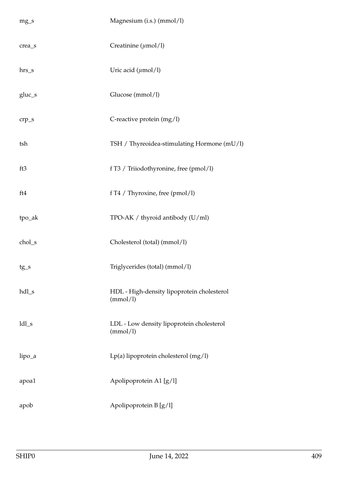| $mg_S$   | Magnesium (i.s.) (mmol/l)                              |
|----------|--------------------------------------------------------|
| crea_s   | Creatinine $(\mu \text{mol/l})$                        |
| $hrs_s$  | Uric acid $(\mu$ mol/l)                                |
| $gluc_s$ | Glucose (mmol/l)                                       |
| $crp_s$  | C-reactive protein (mg/l)                              |
| tsh      | TSH / Thyreoidea-stimulating Hormone (mU/l)            |
| ft3      | f T3 / Triiodothyronine, free (pmol/l)                 |
| ft4      | f T4 / Thyroxine, free (pmol/l)                        |
| tpo_ak   | TPO-AK / thyroid antibody (U/ml)                       |
| chol_s   | Cholesterol (total) (mmol/l)                           |
| $tg_s$   | Triglycerides (total) (mmol/l)                         |
| hdl_s    | HDL - High-density lipoprotein cholesterol<br>(mmol/l) |
| $ldl_s$  | LDL - Low density lipoprotein cholesterol<br>(mmol/l)  |
| lipo_a   | Lp(a) lipoprotein cholesterol (mg/l)                   |
| apoa1    | Apolipoprotein A1 [g/l]                                |
| apob     | Apolipoprotein B [g/l]                                 |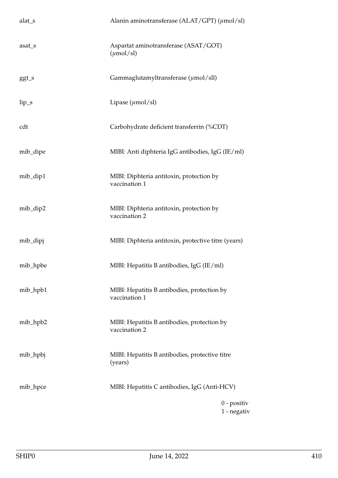| alat_s   | Alanin aminotransferase (ALAT/GPT) $(\mu \text{mol/sl})$      |
|----------|---------------------------------------------------------------|
| asat_s   | Aspartat aminotransferase (ASAT/GOT)<br>$(\mu \text{mol/sl})$ |
| ggt_s    | Gammaglutamyltransferase $(\mu \text{mol/sll})$               |
| $lip_s$  | Lipase $(\mu \text{mol/sl})$                                  |
| cdt      | Carbohydrate deficient transferrin (%CDT)                     |
| mib_dipe | MIBI: Anti diphteria IgG antibodies, IgG (IE/ml)              |
| mib_dip1 | MIBI: Diphteria antitoxin, protection by<br>vaccination 1     |
| mib_dip2 | MIBI: Diphteria antitoxin, protection by<br>vaccination 2     |
| mib_dipj | MIBI: Diphteria antitoxin, protective titre (years)           |
| mib_hpbe | MIBI: Hepatitis B antibodies, IgG (IE/ml)                     |
| mib_hpb1 | MIBI: Hepatitis B antibodies, protection by<br>vaccination 1  |
| mib_hpb2 | MIBI: Hepatitis B antibodies, protection by<br>vaccination 2  |
| mib_hpbj | MIBI: Hepatitis B antibodies, protective titre<br>(years)     |
| mib_hpce | MIBI: Hepatitis C antibodies, IgG (Anti-HCV)                  |
|          | $0$ - positiv<br>$1$ - negativ                                |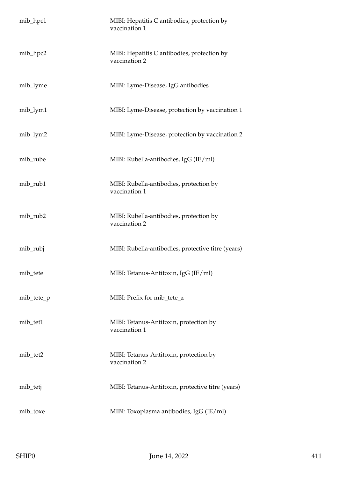| mib_hpc1   | MIBI: Hepatitis C antibodies, protection by<br>vaccination 1 |
|------------|--------------------------------------------------------------|
| mib_hpc2   | MIBI: Hepatitis C antibodies, protection by<br>vaccination 2 |
| mib_lyme   | MIBI: Lyme-Disease, IgG antibodies                           |
| mib_lym1   | MIBI: Lyme-Disease, protection by vaccination 1              |
| mib_lym2   | MIBI: Lyme-Disease, protection by vaccination 2              |
| mib_rube   | MIBI: Rubella-antibodies, IgG (IE/ml)                        |
| mib_rub1   | MIBI: Rubella-antibodies, protection by<br>vaccination 1     |
| mib_rub2   | MIBI: Rubella-antibodies, protection by<br>vaccination 2     |
| mib_rubj   | MIBI: Rubella-antibodies, protective titre (years)           |
| mib_tete   | MIBI: Tetanus-Antitoxin, IgG (IE/ml)                         |
| mib_tete_p | MIBI: Prefix for mib_tete_z                                  |
| mib_tet1   | MIBI: Tetanus-Antitoxin, protection by<br>vaccination 1      |
| mib_tet2   | MIBI: Tetanus-Antitoxin, protection by<br>vaccination 2      |
| mib_tetj   | MIBI: Tetanus-Antitoxin, protective titre (years)            |
| mib_toxe   | MIBI: Toxoplasma antibodies, IgG (IE/ml)                     |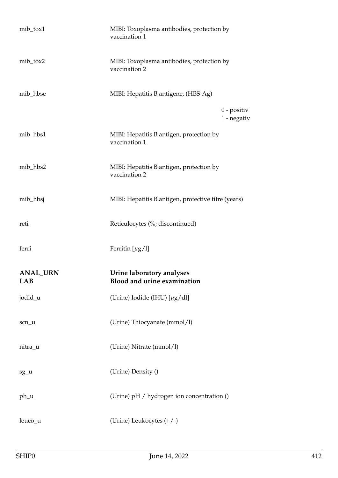| mib_tox1                      | MIBI: Toxoplasma antibodies, protection by<br>vaccination 1 |
|-------------------------------|-------------------------------------------------------------|
| mib_tox2                      | MIBI: Toxoplasma antibodies, protection by<br>vaccination 2 |
| mib_hbse                      | MIBI: Hepatitis B antigene, (HBS-Ag)                        |
|                               | $0$ - positiv<br>1 - negativ                                |
| mib_hbs1                      | MIBI: Hepatitis B antigen, protection by<br>vaccination 1   |
| mib_hbs2                      | MIBI: Hepatitis B antigen, protection by<br>vaccination 2   |
| mib_hbsj                      | MIBI: Hepatitis B antigen, protective titre (years)         |
| reti                          | Reticulocytes (%; discontinued)                             |
| ferri                         | Ferritin $[\mu g/l]$                                        |
| <b>ANAL_URN</b><br><b>LAB</b> | Urine laboratory analyses<br>Blood and urine examination    |
| jodid_u                       | (Urine) Iodide (IHU) $[\mu g/dt]$                           |
| scn_u                         | (Urine) Thiocyanate (mmol/l)                                |
| nitra_u                       | (Urine) Nitrate (mmol/l)                                    |
| sg_u                          | (Urine) Density ()                                          |
| ph_u                          | (Urine) pH / hydrogen ion concentration ()                  |
| leuco_u                       | (Urine) Leukocytes $(+/-)$                                  |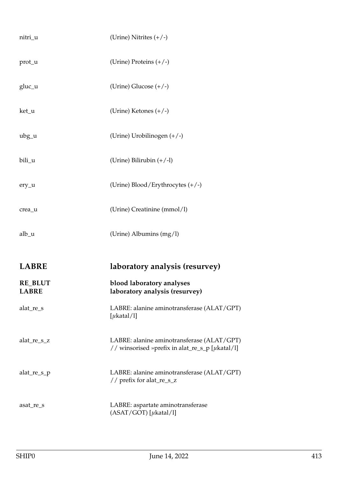| nitri_u                        | (Urine) Nitrites $(+/-)$                                                                      |
|--------------------------------|-----------------------------------------------------------------------------------------------|
| prot_u                         | (Urine) Proteins (+/-)                                                                        |
| $gluc_u$                       | (Urine) Glucose $(+/-)$                                                                       |
| ket_u                          | (Urine) Ketones $(+/-)$                                                                       |
| $ubg_u$                        | (Urine) Urobilinogen $(+/-)$                                                                  |
| bili_u                         | (Urine) Bilirubin $(+/-1)$                                                                    |
| ery_u                          | (Urine) Blood/Erythrocytes (+/-)                                                              |
| crea_u                         | (Urine) Creatinine (mmol/l)                                                                   |
| $alb_$ u                       | (Urine) Albumins (mg/l)                                                                       |
|                                |                                                                                               |
|                                |                                                                                               |
| <b>LABRE</b>                   | laboratory analysis (resurvey)                                                                |
| <b>RE_BLUT</b><br><b>LABRE</b> | blood laboratory analyses<br>laboratory analysis (resurvey)                                   |
| alat_re_s                      | LABRE: alanine aminotransferase (ALAT/GPT)<br>[ $\mu$ katal/l]                                |
| alat_re_s_z                    | LABRE: alanine aminotransferase (ALAT/GPT)<br>// winsorised »prefix in alat_re_s_p [µkatal/l] |
| alat_re_s_p                    | LABRE: alanine aminotransferase (ALAT/GPT)<br>// prefix for alat_re_s_z                       |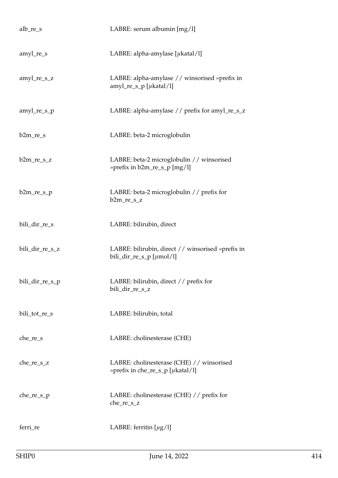| $alb_re_s$      | LABRE: serum albumin [mg/l]                                                         |
|-----------------|-------------------------------------------------------------------------------------|
| $amyl_re_s$     | LABRE: alpha-amylase $[\mu$ katal/l]                                                |
| amyl_re_s_z     | LABRE: alpha-amylase // winsorised »prefix in<br>amyl_re_s_p [ $\mu$ katal/l]       |
| amyl_re_s_p     | LABRE: alpha-amylase // prefix for amyl_re_s_z                                      |
| $b2m_re_s$      | LABRE: beta-2 microglobulin                                                         |
| $b2m_re_s_z$    | LABRE: beta-2 microglobulin // winsorised<br>» prefix in b2m_re_s_p [mg/l]          |
| $b2m_re_s_p$    | LABRE: beta-2 microglobulin // prefix for<br>$b2m_re_s_z$                           |
| bili_dir_re_s   | LABRE: bilirubin, direct                                                            |
| bili_dir_re_s_z | LABRE: bilirubin, direct // winsorised »prefix in<br>bili_dir_re_s_p [ $\mu$ mol/l] |
| bili_dir_re_s_p | LABRE: bilirubin, direct // prefix for<br>bili_dir_re_s_z                           |
| bili_tot_re_s   | LABRE: bilirubin, total                                                             |
| $che_re_s$      | LABRE: cholinesterase (CHE)                                                         |
| $che_re_s_z$    | LABRE: cholinesterase (CHE) // winsorised<br>»prefix in che_re_s_p [µkatal/l]       |
| $che_re_s_p$    | LABRE: cholinesterase (CHE) // prefix for<br>che_re_s_z                             |
| ferri_re        | LABRE: ferritin $[\mu g/l]$                                                         |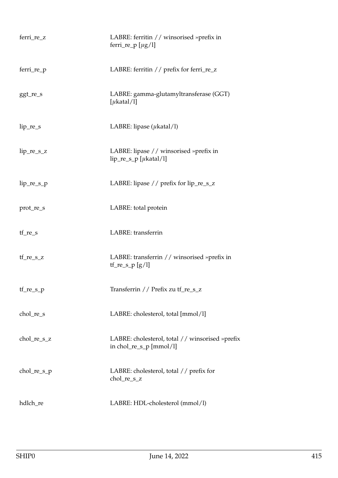| ferri_re_z    | LABRE: ferritin // winsorised »prefix in<br>ferri_re_p $[\mu g/l]$           |
|---------------|------------------------------------------------------------------------------|
| ferri_re_p    | LABRE: ferritin // prefix for ferri_re_z                                     |
| ggt_re_s      | LABRE: gamma-glutamyltransferase (GGT)<br>[ $\mu$ katal/l]                   |
| $lip_re_s$    | LABRE: lipase $(\mu$ katal/l)                                                |
| $lip_re_s_z$  | LABRE: lipase // winsorised »prefix in<br>$lip_re_s_p$ [ $\mu$ katal/l]      |
| $lip_re_s_p$  | LABRE: lipase $//$ prefix for lip_re_s_z                                     |
| prot_re_s     | LABRE: total protein                                                         |
| $tf_re_s$     | LABRE: transferrin                                                           |
| $tf_re_s_z$   | LABRE: transferrin // winsorised »prefix in<br>$tf_re_s_p[g/l]$              |
| tf_re_s_p     | Transferrin // Prefix zu tf_re_s_z                                           |
| chol_re_s     | LABRE: cholesterol, total [mmol/l]                                           |
| chol_re_s_z   | LABRE: cholesterol, total // winsorised »prefix<br>in chol_re_s_p $[mmol/l]$ |
| $chol_re_s_p$ | LABRE: cholesterol, total // prefix for<br>chol_re_s_z                       |
| hdlch_re      | LABRE: HDL-cholesterol (mmol/l)                                              |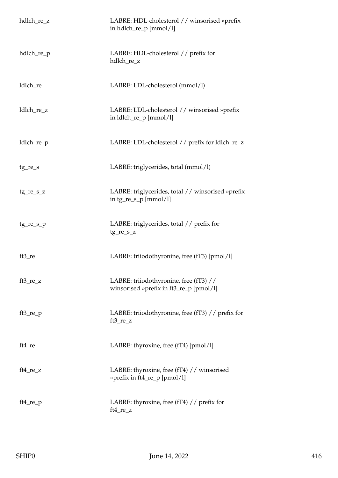| hdlch_re_z  | LABRE: HDL-cholesterol // winsorised »prefix<br>in hdlch_re_p [mmol/l]            |
|-------------|-----------------------------------------------------------------------------------|
| hdlch_re_p  | LABRE: HDL-cholesterol // prefix for<br>hdlch_re_z                                |
| ldlch_re    | LABRE: LDL-cholesterol (mmol/l)                                                   |
| ldlch_re_z  | LABRE: LDL-cholesterol // winsorised »prefix<br>in ldlch_re_p [mmol/l]            |
| ldlch_re_p  | LABRE: LDL-cholesterol // prefix for ldlch_re_z                                   |
| $tg_re_s$   | LABRE: triglycerides, total (mmol/l)                                              |
| $tg_re_s_z$ | LABRE: triglycerides, total // winsorised »prefix<br>in $tg_re_s_p$ [mmol/l]      |
| $tg_re_s_p$ | LABRE: triglycerides, total // prefix for<br>$tg_re_s_z$                          |
| $ft3_re$    | LABRE: triiodothyronine, free (fT3) [pmol/l]                                      |
| $ft3_re_z$  | LABRE: triiodothyronine, free (fT3) //<br>winsorised »prefix in ft3_re_p [pmol/l] |
| $ft3_re_p$  | LABRE: triiodothyronine, free (fT3) // prefix for<br>$ft3_re_z$                   |
| $ft4_re$    | LABRE: thyroxine, free (fT4) [pmol/1]                                             |
| $ft4_re_z$  | LABRE: thyroxine, free (fT4) // winsorised<br>» prefix in ft4_re_p [pmol/l]       |
| $ft4_re_p$  | LABRE: thyroxine, free (fT4) $//$ prefix for<br>ft4_re_z                          |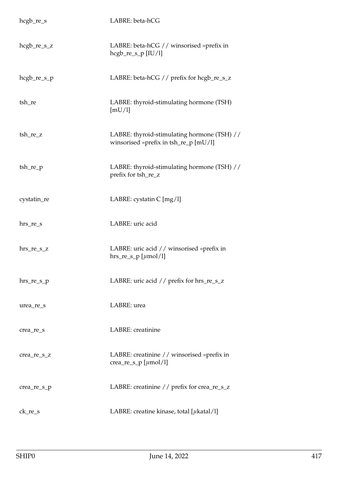| $hegb_re_s$   | LABRE: beta-hCG                                                                      |
|---------------|--------------------------------------------------------------------------------------|
| $hegb_re_s_z$ | LABRE: beta-hCG // winsorised »prefix in<br>$hegb_re_s_p [IU/l]$                     |
| $hegb_re_s_p$ | LABRE: beta-hCG // prefix for hcgb_re_s_z                                            |
| tsh_re        | LABRE: thyroid-stimulating hormone (TSH)<br>[mU/l]                                   |
| $tsh_re_z$    | LABRE: thyroid-stimulating hormone (TSH) //<br>winsorised »prefix in tsh_re_p [mU/l] |
| $tsh_re\_p$   | LABRE: thyroid-stimulating hormone (TSH) //<br>prefix for tsh_re_z                   |
| cystatin_re   | LABRE: cystatin C [mg/l]                                                             |
| $hrs_re_s$    | LABRE: uric acid                                                                     |
| $hrs_re_s_z$  | LABRE: uric acid // winsorised »prefix in<br>$hrs_re_s_p$ [ $\mu$ mol/l]             |
| $hrs_re_s_p$  | LABRE: uric acid // prefix for hrs_re_s_z                                            |
| urea_re_s     | LABRE: urea                                                                          |
| crea_re_s     | LABRE: creatinine                                                                    |
| crea_re_s_z   | LABRE: creatinine // winsorised »prefix in<br>crea_re_s_p [ $\mu$ mol/l]             |
| crea_re_s_p   | LABRE: creatinine // prefix for crea_re_s_z                                          |
| $ck_re_s$     | LABRE: creatine kinase, total [ $\mu$ katal/l]                                       |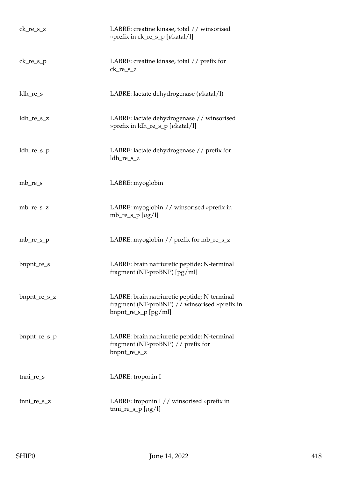| $ck_re_s_z$  | LABRE: creatine kinase, total // winsorised<br>» prefix in $ck_re_s_p$ [ $\mu$ katal/l]                                  |
|--------------|--------------------------------------------------------------------------------------------------------------------------|
| $ck_re_s_p$  | LABRE: creatine kinase, total // prefix for<br>$ck_re_s_z$                                                               |
| ldh_re_s     | LABRE: lactate dehydrogenase $(\mu$ katal/l)                                                                             |
| $ldh_re_s_z$ | LABRE: lactate dehydrogenase // winsorised<br>» prefix in $ldh_re_s_p$ [ $\mu$ katal/l]                                  |
| $ldh_re_s_p$ | LABRE: lactate dehydrogenase // prefix for<br>ldh_re_s_z                                                                 |
| $mb_re_s$    | LABRE: myoglobin                                                                                                         |
| $mb_re_s_z$  | LABRE: myoglobin // winsorised »prefix in<br>mb_re_s_p [ $\mu$ g/l]                                                      |
| $mb_re\_s_p$ | LABRE: myoglobin // prefix for mb_re_s_z                                                                                 |
| bnpnt_re_s   | LABRE: brain natriuretic peptide; N-terminal<br>fragment (NT-proBNP) [pg/ml]                                             |
| bnpnt_re_s_z | LABRE: brain natriuretic peptide; N-terminal<br>fragment (NT-proBNP) // winsorised »prefix in<br>$b$ npnt_re_s_p [pg/ml] |
| bnpnt_re_s_p | LABRE: brain natriuretic peptide; N-terminal<br>fragment (NT-proBNP) // prefix for<br>bnpnt_re_s_z                       |
| $t$ nni_re_s | LABRE: troponin I                                                                                                        |
| tnni_re_s_z  | LABRE: troponin I // winsorised »prefix in<br>tnni_re_s_p [ $\mu$ g/l]                                                   |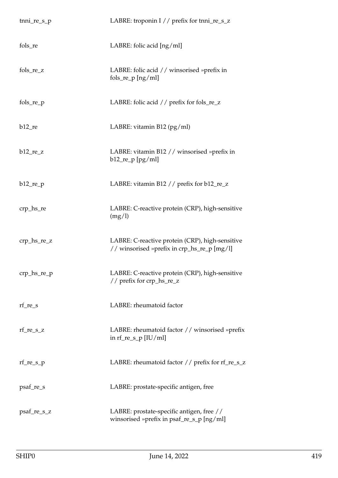| tnni_re_s_p     | LABRE: troponin I // prefix for tnni_re_s_z                                                    |
|-----------------|------------------------------------------------------------------------------------------------|
| fols_re         | LABRE: folic acid [ng/ml]                                                                      |
| fols_re_z       | LABRE: folic acid // winsorised »prefix in<br>$fols_re\_p [ng/ml]$                             |
| $fols_re\_p$    | LABRE: folic acid // prefix for fols_re_z                                                      |
| $b12$ _re       | LABRE: vitamin B12 $(pg/ml)$                                                                   |
| $b12_re_z$      | LABRE: vitamin B12 // winsorised »prefix in<br>$b12$ _re_p [pg/ml]                             |
| $b12_re_p$      | LABRE: vitamin B12 // prefix for b12_re_z                                                      |
| $crp_{hs_re}$   | LABRE: C-reactive protein (CRP), high-sensitive<br>(mg/l)                                      |
| $crp_{hs_re_z}$ | LABRE: C-reactive protein (CRP), high-sensitive<br>// winsorised »prefix in crp_hs_re_p [mg/l] |
| $crp_hs_re_p$   | LABRE: C-reactive protein (CRP), high-sensitive<br>// prefix for crp_hs_re_z                   |
| $rf_re_s$       | LABRE: rheumatoid factor                                                                       |
| $rf_re_s_z$     | LABRE: rheumatoid factor // winsorised »prefix<br>in $rf_re_s_p$ [IU/ml]                       |
| $rf_re_s_p$     | LABRE: rheumatoid factor // prefix for rf_re_s_z                                               |
| psaf_re_s       | LABRE: prostate-specific antigen, free                                                         |
| psaf_re_s_z     | LABRE: prostate-specific antigen, free //<br>winsorised »prefix in psaf_re_s_p [ng/ml]         |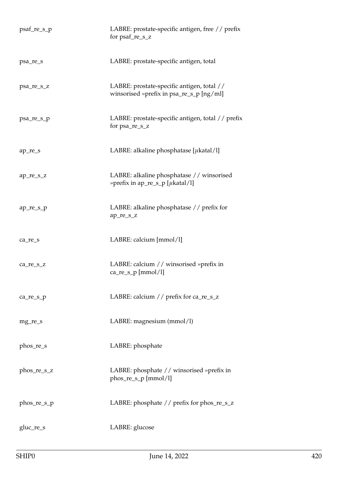| psaf_re_s_p | LABRE: prostate-specific antigen, free // prefix<br>for psaf_re_s_z                    |
|-------------|----------------------------------------------------------------------------------------|
| psa_re_s    | LABRE: prostate-specific antigen, total                                                |
| psa_re_s_z  | LABRE: prostate-specific antigen, total //<br>winsorised »prefix in psa_re_s_p [ng/ml] |
| psa_re_s_p  | LABRE: prostate-specific antigen, total // prefix<br>for psa_re_s_z                    |
| ap_re_s     | LABRE: alkaline phosphatase [ $\mu$ katal/l]                                           |
| ap_re_s_z   | LABRE: alkaline phosphatase // winsorised<br>» prefix in ap_re_s_p [ $\mu$ katal/l]    |
| ap_re_s_p   | LABRE: alkaline phosphatase // prefix for<br>ap_re_s_z                                 |
| $ca_re_s$   | LABRE: calcium [mmol/l]                                                                |
| ca_re_s_z   | LABRE: calcium // winsorised »prefix in<br>$ca_re_s_p[mmol/l]$                         |
| ca_re_s_p   | LABRE: calcium // prefix for ca_re_s_z                                                 |
| mg_re_s     | LABRE: magnesium (mmol/l)                                                              |
| phos_re_s   | LABRE: phosphate                                                                       |
| phos_re_s_z | LABRE: phosphate // winsorised »prefix in<br>phos_re_s_p [mmol/l]                      |
| phos_re_s_p | LABRE: phosphate // prefix for phos_re_s_z                                             |
| gluc_re_s   | LABRE: glucose                                                                         |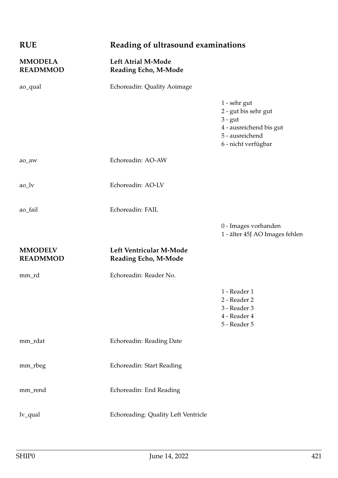| <b>RUE</b>                        | Reading of ultrasound examinations                |                                                                                                                        |
|-----------------------------------|---------------------------------------------------|------------------------------------------------------------------------------------------------------------------------|
| <b>MMODELA</b><br><b>READMMOD</b> | <b>Left Atrial M-Mode</b><br>Reading Echo, M-Mode |                                                                                                                        |
| ao_qual                           | Echoreadin: Quality Aoimage                       |                                                                                                                        |
|                                   |                                                   | 1 - sehr gut<br>2 - gut bis sehr gut<br>$3 - gut$<br>4 - ausreichend bis gut<br>5 - ausreichend<br>6 - nicht verfügbar |
| ao_aw                             | Echoreadin: AO-AW                                 |                                                                                                                        |
| $ao_l$                            | Echoreadin: AO-LV                                 |                                                                                                                        |
| ao_fail                           | Echoreadin: FAIL                                  |                                                                                                                        |
|                                   |                                                   | 0 - Images vorhanden<br>1 - älter 45J AO Images fehlen                                                                 |
| <b>MMODELV</b><br><b>READMMOD</b> | Left Ventricular M-Mode<br>Reading Echo, M-Mode   |                                                                                                                        |
| mm_rd                             | Echoreadin: Reader No.                            |                                                                                                                        |
|                                   |                                                   | 1 - Reader 1<br>2 - Reader 2<br>3 - Reader 3<br>4 - Reader 4<br>$5$ - Reader $5$                                       |
| mm_rdat                           | Echoreadin: Reading Date                          |                                                                                                                        |
| mm_rbeg                           | Echoreadin: Start Reading                         |                                                                                                                        |
| mm_rend                           | Echoreadin: End Reading                           |                                                                                                                        |
| $lv_qual$                         | Echoreading: Quality Left Ventricle               |                                                                                                                        |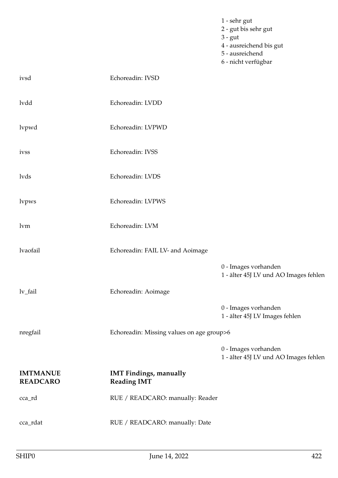|                                    |                                                     | 1 - sehr gut<br>2 - gut bis sehr gut<br>$3 - gut$<br>4 - ausreichend bis gut<br>5 - ausreichend<br>6 - nicht verfügbar |
|------------------------------------|-----------------------------------------------------|------------------------------------------------------------------------------------------------------------------------|
| ivsd                               | Echoreadin: IVSD                                    |                                                                                                                        |
| lvdd                               | Echoreadin: LVDD                                    |                                                                                                                        |
| lvpwd                              | Echoreadin: LVPWD                                   |                                                                                                                        |
| ivss                               | Echoreadin: IVSS                                    |                                                                                                                        |
| lvds                               | Echoreadin: LVDS                                    |                                                                                                                        |
| lvpws                              | Echoreadin: LVPWS                                   |                                                                                                                        |
| lvm                                | Echoreadin: LVM                                     |                                                                                                                        |
| lvaofail                           | Echoreadin: FAIL LV- and Aoimage                    |                                                                                                                        |
|                                    |                                                     | 0 - Images vorhanden<br>1 - älter 45J LV und AO Images fehlen                                                          |
| lv_fail                            | Echoreadin: Aoimage                                 |                                                                                                                        |
|                                    |                                                     | 0 - Images vorhanden<br>1 - älter 45J LV Images fehlen                                                                 |
| nregfail                           | Echoreadin: Missing values on age group>6           |                                                                                                                        |
|                                    |                                                     | 0 - Images vorhanden<br>1 - älter 45J LV und AO Images fehlen                                                          |
| <b>IMTMANUE</b><br><b>READCARO</b> | <b>IMT Findings, manually</b><br><b>Reading IMT</b> |                                                                                                                        |
| cca_rd                             | RUE / READCARO: manually: Reader                    |                                                                                                                        |
| cca_rdat                           | RUE / READCARO: manually: Date                      |                                                                                                                        |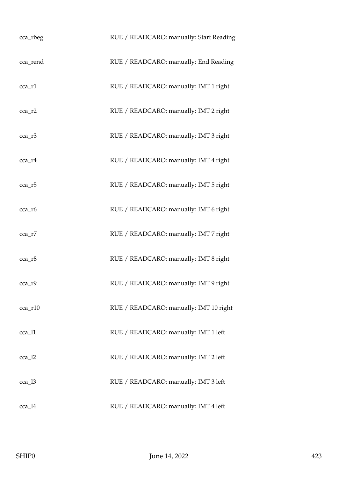| cca_rbeg      | RUE / READCARO: manually: Start Reading |
|---------------|-----------------------------------------|
| cca_rend      | RUE / READCARO: manually: End Reading   |
| cca_r1        | RUE / READCARO: manually: IMT 1 right   |
| $cca$ _ $r2$  | RUE / READCARO: manually: IMT 2 right   |
| $cca$ _ $r3$  | RUE / READCARO: manually: IMT 3 right   |
| cca_r4        | RUE / READCARO: manually: IMT 4 right   |
| $cca$ _ $r5$  | RUE / READCARO: manually: IMT 5 right   |
| cca_r6        | RUE / READCARO: manually: IMT 6 right   |
| cca_r7        | RUE / READCARO: manually: IMT 7 right   |
| $cca$ _ $r8$  | RUE / READCARO: manually: IMT 8 right   |
| $cca_r9$      | RUE / READCARO: manually: IMT 9 right   |
| $cca$ _ $r10$ | RUE / READCARO: manually: IMT 10 right  |
| $cca_11$      | RUE / READCARO: manually: IMT 1 left    |
| $cca_12$      | RUE / READCARO: manually: IMT 2 left    |
| cca_l3        | RUE / READCARO: manually: IMT 3 left    |
| $cca_14$      | RUE / READCARO: manually: IMT 4 left    |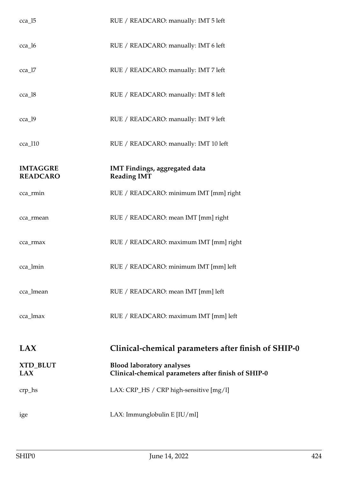| $cca_15$                           | RUE / READCARO: manually: IMT 5 left                                                    |
|------------------------------------|-----------------------------------------------------------------------------------------|
| $cca_16$                           | RUE / READCARO: manually: IMT 6 left                                                    |
| $cca$ <sup>17</sup>                | RUE / READCARO: manually: IMT 7 left                                                    |
| $cca_18$                           | RUE / READCARO: manually: IMT 8 left                                                    |
| $cca_19$                           | RUE / READCARO: manually: IMT 9 left                                                    |
| $cca$ <sup>110</sup>               | RUE / READCARO: manually: IMT 10 left                                                   |
| <b>IMTAGGRE</b><br><b>READCARO</b> | IMT Findings, aggregated data<br><b>Reading IMT</b>                                     |
| cca_rmin                           | RUE / READCARO: minimum IMT [mm] right                                                  |
| cca_rmean                          | RUE / READCARO: mean IMT [mm] right                                                     |
| cca_rmax                           | RUE / READCARO: maximum IMT [mm] right                                                  |
| cca_lmin                           | RUE / READCARO: minimum IMT [mm] left                                                   |
| cca_lmean                          | RUE / READCARO: mean IMT [mm] left                                                      |
| cca_lmax                           | RUE / READCARO: maximum IMT [mm] left                                                   |
| LAX                                |                                                                                         |
|                                    | Clinical-chemical parameters after finish of SHIP-0                                     |
| <b>XTD_BLUT</b><br>LAX             | <b>Blood laboratory analyses</b><br>Clinical-chemical parameters after finish of SHIP-0 |
| $crp_$                             | LAX: CRP_HS / CRP high-sensitive [mg/l]                                                 |
| ige                                | LAX: Immunglobulin E [IU/ml]                                                            |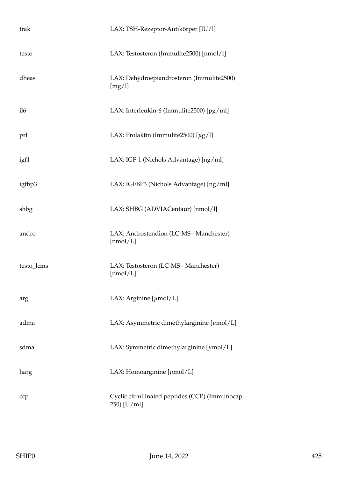| trak            | LAX: TSH-Rezeptor-Antikörper [IU/l]                           |
|-----------------|---------------------------------------------------------------|
| testo           | LAX: Testosteron (Immulite2500) [nmol/l]                      |
| dheas           | LAX: Dehydroepiandrosteron (Immulite2500)<br>[mg/l]           |
| il <sub>6</sub> | LAX: Interleukin-6 (Immulite2500) [pg/ml]                     |
| prl             | LAX: Prolaktin (Immulite2500) $[\mu g/l]$                     |
| igf1            | LAX: IGF-1 (Nichols Advantage) [ng/ml]                        |
| igfbp3          | LAX: IGFBP3 (Nichols Advantage) [ng/ml]                       |
| shbg            | LAX: SHBG (ADVIACentaur) [nmol/l]                             |
| andro           | LAX: Androstendion (LC-MS - Manchester)<br>[nmol/L]           |
| testo_lcms      | LAX: Testosteron (LC-MS - Manchester)<br>[nmol/L]             |
| arg             | LAX: Arginine $[\mu \text{mol}/L]$                            |
| adma            | LAX: Asymmetric dimethylarginine $[\mu \text{mol}/L]$         |
| sdma            | LAX: Symmetric dimethylarginine $[\mu \text{mol}/L]$          |
| harg            | LAX: Homoarginine $[\mu \text{mol}/L]$                        |
| ccp             | Cyclic citrullinated peptides (CCP) (Immunocap<br>250) [U/ml] |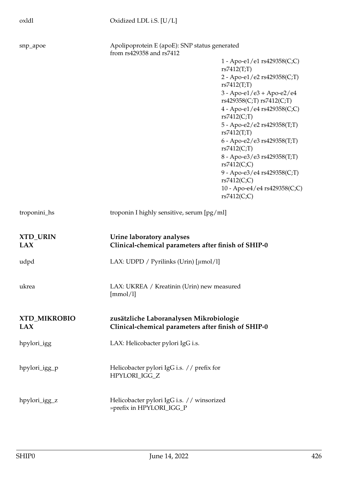oxldl Oxidized LDL i.S. [U/L]

| snp_apoe                      | from rs429358 and rs7412                                                         | Apolipoprotein E (apoE): SNP status generated                                                  |  |
|-------------------------------|----------------------------------------------------------------------------------|------------------------------------------------------------------------------------------------|--|
|                               |                                                                                  | 1 - Apo-e1/e1 rs429358(C;C)                                                                    |  |
|                               |                                                                                  | rs7412(T;T)                                                                                    |  |
|                               |                                                                                  | 2 - Apo-e1/e2 rs429358(C;T)<br>rs7412(T;T)                                                     |  |
|                               |                                                                                  | $3 - Apo-e1/e3 + Apo-e2/e4$<br>rs429358(C;T) rs7412(C;T)                                       |  |
|                               |                                                                                  | 4 - Apo-e1/e4 rs429358(C;C)<br>rs7412(C,T)                                                     |  |
|                               |                                                                                  | 5 - Apo-e2/e2 rs429358(T;T)<br>rs7412(T;T)                                                     |  |
|                               |                                                                                  | 6 - Apo-e2/e3 rs429358(T;T)<br>rs7412(C;T)                                                     |  |
|                               |                                                                                  | 8 - Apo-e3/e3 rs429358(T;T)<br>rs7412(C;C)                                                     |  |
|                               |                                                                                  | 9 - Apo-e3/e4 rs429358(C;T)<br>rs7412(C;C)                                                     |  |
|                               |                                                                                  | 10 - Apo-e4/e4 rs429358(C;C)<br>rs7412(C;C)                                                    |  |
| troponini_hs                  |                                                                                  | troponin I highly sensitive, serum [pg/ml]                                                     |  |
| <b>XTD_URIN</b><br><b>LAX</b> | Urine laboratory analyses<br>Clinical-chemical parameters after finish of SHIP-0 |                                                                                                |  |
| udpd                          | LAX: UDPD / Pyrilinks (Urin) $[\mu \text{mol/l}]$                                |                                                                                                |  |
| ukrea                         | [mmol/l]                                                                         | LAX: UKREA / Kreatinin (Urin) new measured                                                     |  |
| <b>XTD_MIKROBIO</b><br>LAX    |                                                                                  | zusätzliche Laboranalysen Mikrobiologie<br>Clinical-chemical parameters after finish of SHIP-0 |  |
| hpylori_igg                   | LAX: Helicobacter pylori IgG i.s.                                                |                                                                                                |  |
| hpylori_igg_p                 | Helicobacter pylori IgG i.s. // prefix for<br>HPYLORI_IGG_Z                      |                                                                                                |  |
| hpylori_igg_z                 | Helicobacter pylori IgG i.s. // winsorized<br>»prefix in HPYLORI_IGG_P           |                                                                                                |  |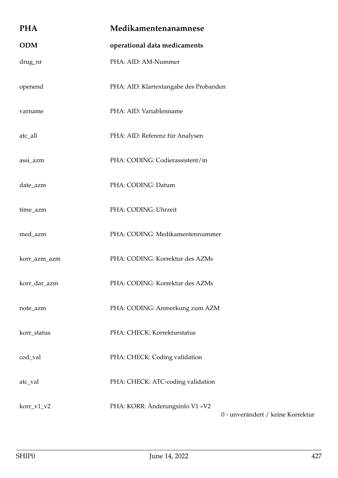| <b>PHA</b>   | Medikamentenanamnese                   |                                   |
|--------------|----------------------------------------|-----------------------------------|
| <b>ODM</b>   | operational data medicaments           |                                   |
| drug_nr      | PHA: AID: AM-Nummer                    |                                   |
| openend      | PHA: AID: Klartextangabe des Probanden |                                   |
| varname      | PHA: AID: Variablenname                |                                   |
| atc_all      | PHA: AID: Referenz für Analysen        |                                   |
| assi_azm     | PHA: CODING: Codierassistent/in        |                                   |
| date_azm     | PHA: CODING: Datum                     |                                   |
| time_azm     | PHA: CODING: Uhrzeit                   |                                   |
| med_azm      | PHA: CODING: Medikamentennummer        |                                   |
| korr_azm_azm | PHA: CODING: Korrektur des AZMs        |                                   |
| korr_dar_azm | PHA: CODING: Korrektur des AZMs        |                                   |
| note_azm     | PHA: CODING: Anmerkung zum AZM         |                                   |
| korr_status  | PHA: CHECK: Korrekturstatus            |                                   |
| cod_val      | PHA: CHECK: Coding validation          |                                   |
| atc_val      | PHA: CHECK: ATC-coding validation      |                                   |
| korr_v1_v2   | PHA: KORR: Änderungsinfo V1 »V2        | 0 - unverändert / keine Korrektur |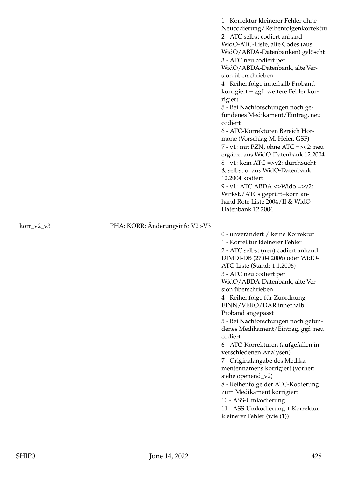1 - Korrektur kleinerer Fehler ohne Neucodierung/Reihenfolgenkorrektur 2 - ATC selbst codiert anhand WidO-ATC-Liste, alte Codes (aus WidO/ABDA-Datenbanken) gelöscht 3 - ATC neu codiert per WidO/ABDA-Datenbank, alte Version überschrieben 4 - Reihenfolge innerhalb Proband korrigiert + ggf. weitere Fehler korrigiert 5 - Bei Nachforschungen noch gefundenes Medikament/Eintrag, neu codiert 6 - ATC-Korrekturen Bereich Hormone (Vorschlag M. Heier, GSF) 7 - v1: mit PZN, ohne ATC =>v2: neu ergänzt aus WidO-Datenbank 12.2004 8 - v1: kein ATC =>v2: durchsucht & selbst o. aus WidO-Datenbank 12.2004 kodiert  $9 - v1$ : ATC ABDA  $\langle >$ Wido = $> v2$ : Wirkst./ATCs geprüft+korr. anhand Rote Liste 2004/II & WidO-Datenbank 12.2004

korr\_v2\_v3 PHA: KORR: Änderungsinfo V2 »V3

0 - unverändert / keine Korrektur 1 - Korrektur kleinerer Fehler 2 - ATC selbst (neu) codiert anhand DIMDI-DB (27.04.2006) oder WidO-ATC-Liste (Stand: 1.1.2006) 3 - ATC neu codiert per WidO/ABDA-Datenbank, alte Version überschrieben 4 - Reihenfolge für Zuordnung EINN/VERO/DAR innerhalb Proband angepasst 5 - Bei Nachforschungen noch gefundenes Medikament/Eintrag, ggf. neu codiert 6 - ATC-Korrekturen (aufgefallen in verschiedenen Analysen) 7 - Originalangabe des Medikamentennamens korrigiert (vorher: siehe openend\_v2) 8 - Reihenfolge der ATC-Kodierung zum Medikament korrigiert 10 - ASS-Umkodierung 11 - ASS-Umkodierung + Korrektur kleinerer Fehler (wie (1))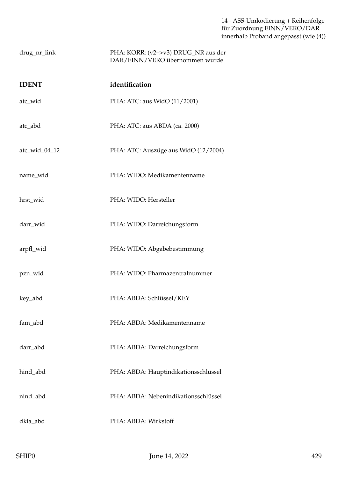14 - ASS-Umkodierung + Reihenfolge für Zuordnung EINN/VERO/DAR innerhalb Proband angepasst (wie (4))

| drug_nr_link | PHA: KORR: (v2->v3) DRUG_NR aus der |
|--------------|-------------------------------------|
|              | DAR/EINN/VERO übernommen wurde      |

| <b>IDENT</b>  | identification                       |
|---------------|--------------------------------------|
| atc_wid       | PHA: ATC: aus WidO (11/2001)         |
| atc_abd       | PHA: ATC: aus ABDA (ca. 2000)        |
| atc_wid_04_12 | PHA: ATC: Auszüge aus WidO (12/2004) |
| name_wid      | PHA: WIDO: Medikamentenname          |
| hrst_wid      | PHA: WIDO: Hersteller                |
| darr_wid      | PHA: WIDO: Darreichungsform          |
| arpfl_wid     | PHA: WIDO: Abgabebestimmung          |
| pzn_wid       | PHA: WIDO: Pharmazentralnummer       |
| key_abd       | PHA: ABDA: Schlüssel/KEY             |
| fam_abd       | PHA: ABDA: Medikamentenname          |
| darr_abd      | PHA: ABDA: Darreichungsform          |
| hind_abd      | PHA: ABDA: Hauptindikationsschlüssel |
| nind_abd      | PHA: ABDA: Nebenindikationsschlüssel |
| dkla_abd      | PHA: ABDA: Wirkstoff                 |